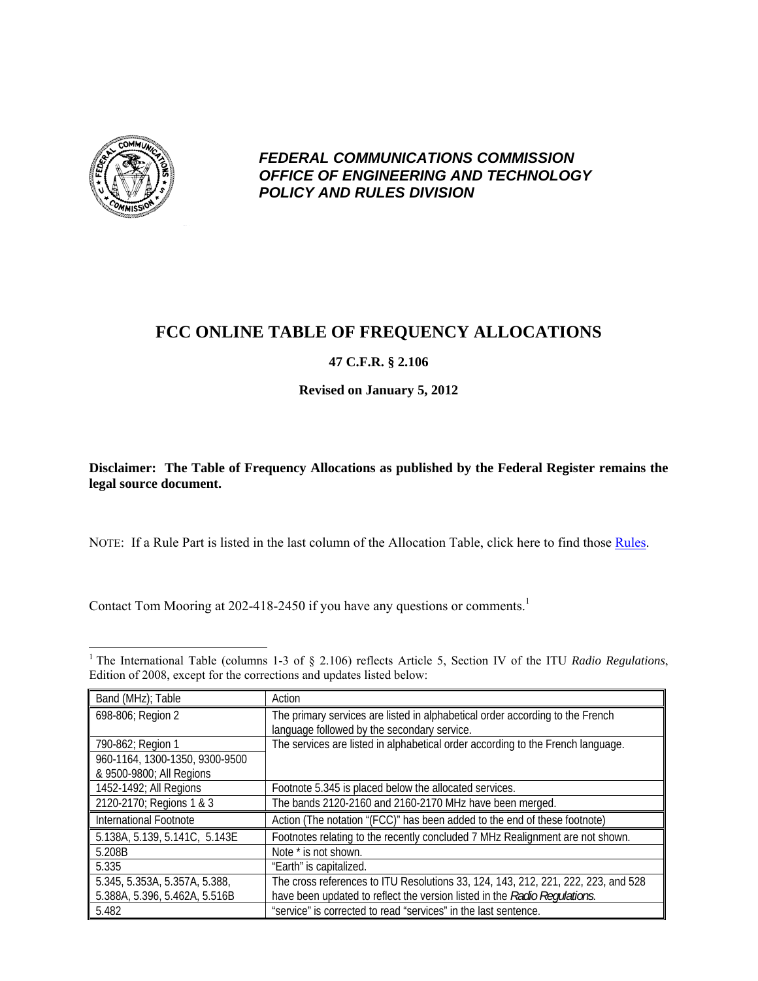

*FEDERAL COMMUNICATIONS COMMISSION OFFICE OF ENGINEERING AND TECHNOLOGY POLICY AND RULES DIVISION* 

## **FCC ONLINE TABLE OF FREQUENCY ALLOCATIONS**

## **47 C.F.R. § 2.106**

**Revised on January 5, 2012** 

**Disclaimer: The Table of Frequency Allocations as published by the Federal Register remains the legal source document.** 

NOTE: If a Rule Part is listed in the last column of the Allocation Table, click here to find those Rules.

Contact Tom Mooring at 202-418-2450 if you have any questions or comments.<sup>1</sup>

<sup>1</sup> The International Table (columns 1-3 of § 2.106) reflects Article 5, Section IV of the ITU *Radio Regulations*, Edition of 2008, except for the corrections and updates listed below:

| Band (MHz); Table              | Action                                                                                                                       |
|--------------------------------|------------------------------------------------------------------------------------------------------------------------------|
| 698-806; Region 2              | The primary services are listed in alphabetical order according to the French<br>language followed by the secondary service. |
| 790-862; Region 1              | The services are listed in alphabetical order according to the French language.                                              |
| 960-1164, 1300-1350, 9300-9500 |                                                                                                                              |
| & 9500-9800; All Regions       |                                                                                                                              |
| 1452-1492; All Regions         | Footnote 5.345 is placed below the allocated services.                                                                       |
| 2120-2170; Regions 1 & 3       | The bands 2120-2160 and 2160-2170 MHz have been merged.                                                                      |
| International Footnote         | Action (The notation "(FCC)" has been added to the end of these footnote)                                                    |
| 5.138A, 5.139, 5.141C, 5.143E  | Footnotes relating to the recently concluded 7 MHz Realignment are not shown.                                                |
| 5.208B                         | Note * is not shown.                                                                                                         |
| 5.335                          | "Earth" is capitalized.                                                                                                      |
| 5.345, 5.353A, 5.357A, 5.388,  | The cross references to ITU Resolutions 33, 124, 143, 212, 221, 222, 223, and 528                                            |
| 5.388A, 5.396, 5.462A, 5.516B  | have been updated to reflect the version listed in the Radio Regulations.                                                    |
| 5.482                          | "service" is corrected to read "services" in the last sentence.                                                              |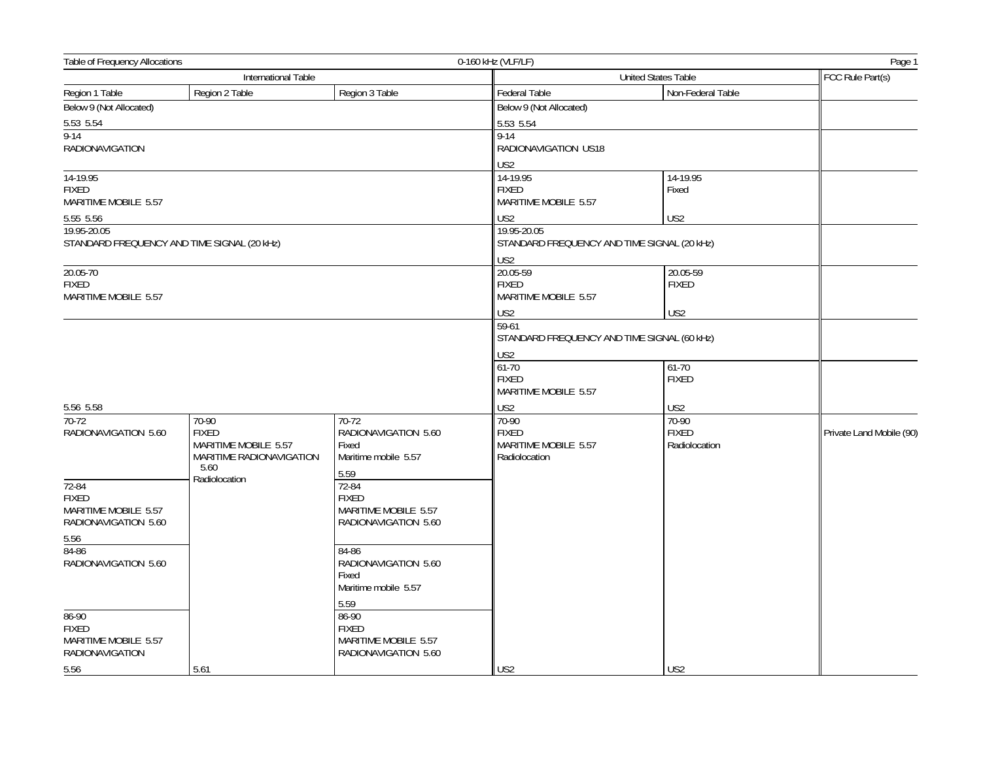| Table of Frequency Allocations<br>0-160 kHz (VLF/LF) |                          |                                              |                                                      |                     | Page 1                   |  |
|------------------------------------------------------|--------------------------|----------------------------------------------|------------------------------------------------------|---------------------|--------------------------|--|
|                                                      | International Table      |                                              |                                                      | United States Table |                          |  |
| Region 1 Table                                       | Region 2 Table           | Region 3 Table                               | Federal Table                                        | Non-Federal Table   |                          |  |
| Below 9 (Not Allocated)                              |                          |                                              | Below 9 (Not Allocated)                              |                     |                          |  |
| 5.53 5.54                                            |                          |                                              | 5.53 5.54                                            |                     |                          |  |
| $9 - 14$                                             |                          |                                              | $9 - 14$                                             |                     |                          |  |
| <b>RADIONAVIGATION</b>                               |                          |                                              | RADIONAVIGATION US18                                 |                     |                          |  |
|                                                      |                          |                                              | US <sub>2</sub>                                      |                     |                          |  |
| 14-19.95                                             |                          |                                              | 14-19.95                                             | 14-19.95            |                          |  |
| <b>FIXED</b>                                         |                          |                                              | <b>FIXED</b>                                         | Fixed               |                          |  |
| MARITIME MOBILE 5.57                                 |                          |                                              | MARITIME MOBILE 5.57                                 |                     |                          |  |
| 5.55 5.56                                            |                          |                                              | US2                                                  | US2                 |                          |  |
| 19.95-20.05                                          |                          |                                              | 19.95-20.05                                          |                     |                          |  |
| STANDARD FREQUENCY AND TIME SIGNAL (20 kHz)          |                          |                                              | STANDARD FREQUENCY AND TIME SIGNAL (20 kHz)          |                     |                          |  |
|                                                      |                          |                                              | US <sub>2</sub>                                      |                     |                          |  |
| 20.05-70                                             |                          |                                              | 20.05-59                                             | 20.05-59            |                          |  |
| <b>FIXED</b><br>MARITIME MOBILE 5.57                 |                          |                                              | <b>FIXED</b><br>MARITIME MOBILE 5.57                 | <b>FIXED</b>        |                          |  |
|                                                      |                          |                                              |                                                      |                     |                          |  |
|                                                      |                          |                                              | US <sub>2</sub>                                      | US <sub>2</sub>     |                          |  |
|                                                      |                          |                                              | 59-61<br>STANDARD FREQUENCY AND TIME SIGNAL (60 kHz) |                     |                          |  |
|                                                      |                          |                                              |                                                      | US2                 |                          |  |
|                                                      |                          |                                              | 61-70                                                | $61-70$             |                          |  |
|                                                      |                          |                                              | <b>FIXED</b>                                         | <b>FIXED</b>        |                          |  |
|                                                      |                          |                                              | MARITIME MOBILE 5.57                                 |                     |                          |  |
| 5.56 5.58                                            |                          |                                              | US2                                                  | US2                 |                          |  |
| 70-72                                                | 70-90                    | 70-72                                        | 70-90                                                | 70-90               |                          |  |
| RADIONAVIGATION 5.60                                 | <b>FIXED</b>             | RADIONAVIGATION 5.60                         | <b>FIXED</b>                                         | <b>FIXED</b>        | Private Land Mobile (90) |  |
|                                                      | MARITIME MOBILE 5.57     | Fixed                                        | MARITIME MOBILE 5.57                                 | Radiolocation       |                          |  |
|                                                      | MARITIME RADIONAVIGATION | Maritime mobile 5.57                         | Radiolocation                                        |                     |                          |  |
|                                                      | 5.60<br>Radiolocation    | 5.59                                         |                                                      |                     |                          |  |
| $72 - 84$                                            |                          | 72-84                                        |                                                      |                     |                          |  |
| <b>FIXED</b>                                         |                          | <b>FIXED</b>                                 |                                                      |                     |                          |  |
| MARITIME MOBILE 5.57<br>RADIONAVIGATION 5.60         |                          | MARITIME MOBILE 5.57<br>RADIONAVIGATION 5.60 |                                                      |                     |                          |  |
|                                                      |                          |                                              |                                                      |                     |                          |  |
| 5.56<br>$84-86$                                      |                          | 84-86                                        |                                                      |                     |                          |  |
| RADIONAVIGATION 5.60                                 |                          | RADIONAVIGATION 5.60                         |                                                      |                     |                          |  |
|                                                      |                          | Fixed                                        |                                                      |                     |                          |  |
|                                                      |                          | Maritime mobile 5.57                         |                                                      |                     |                          |  |
|                                                      |                          | 5.59                                         |                                                      |                     |                          |  |
| 86-90                                                |                          | 86-90                                        |                                                      |                     |                          |  |
| <b>FIXED</b>                                         |                          | <b>FIXED</b>                                 |                                                      |                     |                          |  |
| MARITIME MOBILE 5.57                                 |                          | MARITIME MOBILE 5.57                         |                                                      |                     |                          |  |
| <b>RADIONAVIGATION</b>                               |                          | RADIONAVIGATION 5.60                         |                                                      |                     |                          |  |
| 5.56                                                 | 5.61                     |                                              | US <sub>2</sub>                                      | US <sub>2</sub>     |                          |  |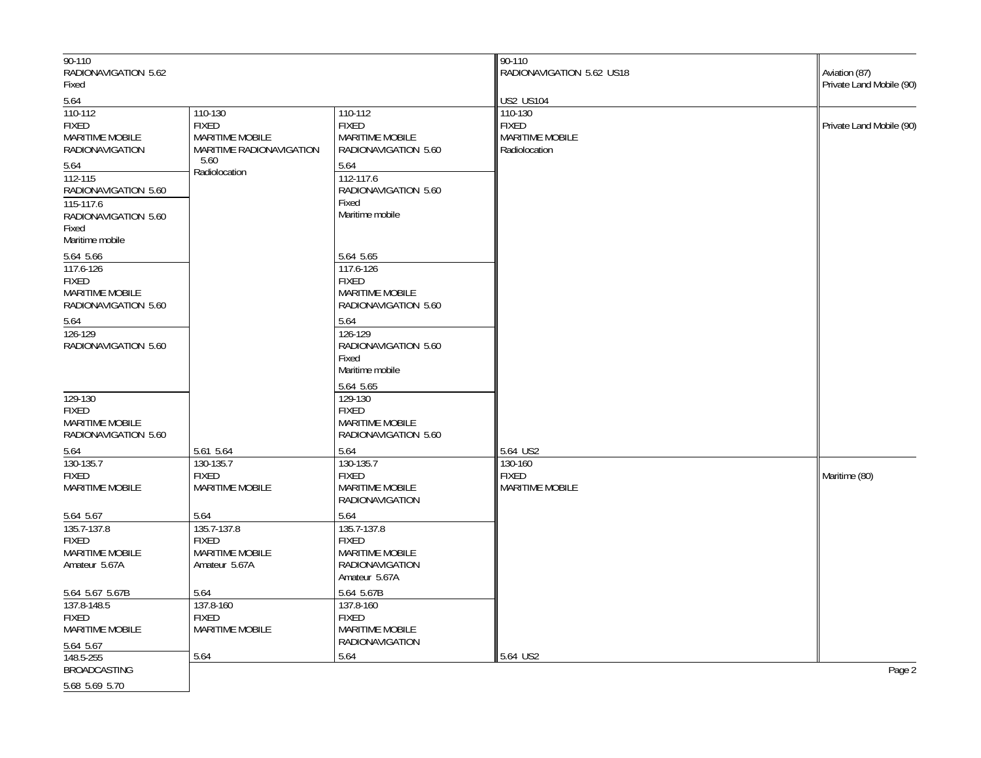| 90-110                        |                          |                                                  | 90-110                      |                                           |
|-------------------------------|--------------------------|--------------------------------------------------|-----------------------------|-------------------------------------------|
| RADIONAVIGATION 5.62<br>Fixed |                          |                                                  | RADIONAVIGATION 5.62 US18   | Aviation (87)<br>Private Land Mobile (90) |
|                               |                          |                                                  |                             |                                           |
| 5.64<br>110-112               | 110-130                  | 110-112                                          | <b>US2 US104</b><br>110-130 |                                           |
| <b>FIXED</b>                  | <b>FIXED</b>             | <b>FIXED</b>                                     | <b>FIXED</b>                | Private Land Mobile (90)                  |
| MARITIME MOBILE               | MARITIME MOBILE          | <b>MARITIME MOBILE</b>                           | MARITIME MOBILE             |                                           |
| <b>RADIONAVIGATION</b>        | MARITIME RADIONAVIGATION | RADIONAVIGATION 5.60                             | Radiolocation               |                                           |
| 5.64                          | 5.60<br>Radiolocation    | 5.64                                             |                             |                                           |
| 112-115                       |                          | 112-117.6                                        |                             |                                           |
| RADIONAVIGATION 5.60          |                          | RADIONAVIGATION 5.60                             |                             |                                           |
| 115-117.6                     |                          | Fixed                                            |                             |                                           |
| RADIONAVIGATION 5.60          |                          | Maritime mobile                                  |                             |                                           |
| Fixed<br>Maritime mobile      |                          |                                                  |                             |                                           |
| 5.64 5.66                     |                          | 5.64 5.65                                        |                             |                                           |
| 117.6-126                     |                          | 117.6-126                                        |                             |                                           |
| <b>FIXED</b>                  |                          | <b>FIXED</b>                                     |                             |                                           |
| MARITIME MOBILE               |                          | MARITIME MOBILE                                  |                             |                                           |
| RADIONAVIGATION 5.60          |                          | RADIONAVIGATION 5.60                             |                             |                                           |
| 5.64                          |                          | 5.64                                             |                             |                                           |
| 126-129                       |                          | 126-129                                          |                             |                                           |
| RADIONAVIGATION 5.60          |                          | RADIONAVIGATION 5.60                             |                             |                                           |
|                               |                          | Fixed<br>Maritime mobile                         |                             |                                           |
|                               |                          |                                                  |                             |                                           |
| 129-130                       |                          | 5.64 5.65<br>129-130                             |                             |                                           |
| <b>FIXED</b>                  |                          | <b>FIXED</b>                                     |                             |                                           |
| <b>MARITIME MOBILE</b>        |                          | <b>MARITIME MOBILE</b>                           |                             |                                           |
| RADIONAVIGATION 5.60          |                          | RADIONAVIGATION 5.60                             |                             |                                           |
| 5.64                          | 5.61 5.64                | 5.64                                             | 5.64 US2                    |                                           |
| 130-135.7                     | 130-135.7                | 130-135.7                                        | 130-160                     |                                           |
| <b>FIXED</b>                  | <b>FIXED</b>             | <b>FIXED</b>                                     | <b>FIXED</b>                | Maritime (80)                             |
| <b>MARITIME MOBILE</b>        | <b>MARITIME MOBILE</b>   | <b>MARITIME MOBILE</b><br><b>RADIONAVIGATION</b> | <b>MARITIME MOBILE</b>      |                                           |
| 5.64 5.67                     | 5.64                     | 5.64                                             |                             |                                           |
| 135.7-137.8                   | 135.7-137.8              | 135.7-137.8                                      |                             |                                           |
| <b>FIXED</b>                  | <b>FIXED</b>             | <b>FIXED</b>                                     |                             |                                           |
| <b>MARITIME MOBILE</b>        | <b>MARITIME MOBILE</b>   | <b>MARITIME MOBILE</b>                           |                             |                                           |
| Amateur 5.67A                 | Amateur 5.67A            | <b>RADIONAVIGATION</b><br>Amateur 5.67A          |                             |                                           |
| 5.64 5.67 5.67B               | 5.64                     | 5.64 5.67B                                       |                             |                                           |
| 137.8-148.5                   | 137.8-160                | 137.8-160                                        |                             |                                           |
| <b>FIXED</b>                  | <b>FIXED</b>             | <b>FIXED</b>                                     |                             |                                           |
| <b>MARITIME MOBILE</b>        | <b>MARITIME MOBILE</b>   | <b>MARITIME MOBILE</b>                           |                             |                                           |
| 5.64 5.67                     |                          | RADIONAVIGATION                                  |                             |                                           |
| 148.5-255                     | 5.64                     | 5.64                                             | 5.64 US2                    |                                           |
| <b>BROADCASTING</b>           |                          |                                                  |                             | Page 2                                    |
| 5.68 5.69 5.70                |                          |                                                  |                             |                                           |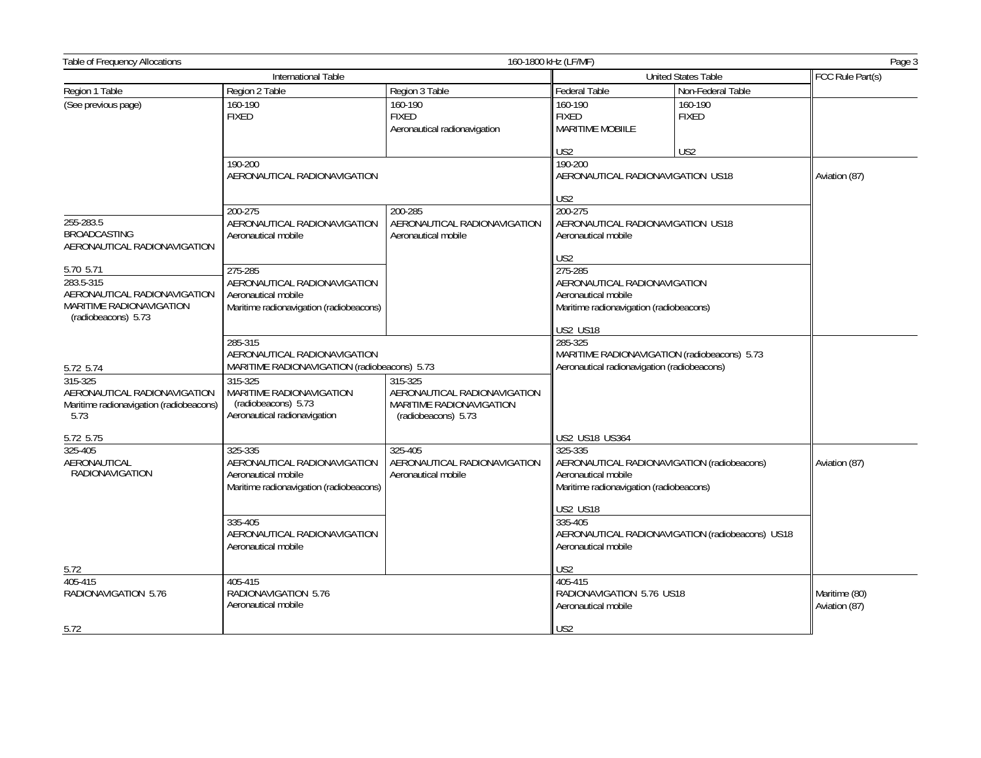| Table of Frequency Allocations<br>160-1800 kHz (LF/MF)                                                           |                                                                                                                                                                           |                                                                    |                                                                                                                           |                                                  | Page 3                         |
|------------------------------------------------------------------------------------------------------------------|---------------------------------------------------------------------------------------------------------------------------------------------------------------------------|--------------------------------------------------------------------|---------------------------------------------------------------------------------------------------------------------------|--------------------------------------------------|--------------------------------|
|                                                                                                                  | International Table                                                                                                                                                       |                                                                    |                                                                                                                           | <b>United States Table</b>                       | FCC Rule Part(s)               |
| Region 1 Table                                                                                                   | Region 2 Table                                                                                                                                                            | Region 3 Table                                                     | Federal Table                                                                                                             | Non-Federal Table                                |                                |
| (See previous page)                                                                                              | 160-190<br><b>FIXED</b>                                                                                                                                                   | 160-190<br><b>FIXED</b><br>Aeronautical radionavigation            | 160-190<br><b>FIXED</b><br><b>MARITIME MOBIILE</b><br>US <sub>2</sub>                                                     | 160-190<br><b>FIXED</b><br>US <sub>2</sub>       |                                |
|                                                                                                                  | 190-200<br>AERONAUTICAL RADIONAVIGATION                                                                                                                                   |                                                                    | 190-200<br>AERONAUTICAL RADIONAVIGATION US18<br>US <sub>2</sub>                                                           |                                                  | Aviation (87)                  |
| 255-283.5<br><b>BROADCASTING</b><br>AERONAUTICAL RADIONAVIGATION                                                 | 200-275<br>AERONAUTICAL RADIONAVIGATION<br>Aeronautical mobile                                                                                                            | 200-285<br>AERONAUTICAL RADIONAVIGATION<br>Aeronautical mobile     | 200-275<br>AERONAUTICAL RADIONAVIGATION US18<br>Aeronautical mobile<br>US <sub>2</sub>                                    |                                                  |                                |
| 5.70 5.71<br>283.5-315<br>AERONAUTICAL RADIONAVIGATION<br><b>MARITIME RADIONAVIGATION</b><br>(radiobeacons) 5.73 | 275-285<br>AERONAUTICAL RADIONAVIGATION<br>Aeronautical mobile<br>Maritime radionavigation (radiobeacons)                                                                 |                                                                    | 275-285<br>AERONAUTICAL RADIONAVIGATION<br>Aeronautical mobile<br>Maritime radionavigation (radiobeacons)                 |                                                  |                                |
| 5.72 5.74<br>315-325<br>AERONAUTICAL RADIONAVIGATION                                                             | 285-315<br>AERONAUTICAL RADIONAVIGATION<br>MARITIME RADIONAVIGATION (radiobeacons) 5.73<br>315-325<br>315-325<br>MARITIME RADIONAVIGATION<br>AERONAUTICAL RADIONAVIGATION |                                                                    | <b>US2 US18</b><br>285-325<br>MARITIME RADIONAVIGATION (radiobeacons) 5.73<br>Aeronautical radionavigation (radiobeacons) |                                                  |                                |
| Maritime radionavigation (radiobeacons)<br>5.73                                                                  | (radiobeacons) 5.73<br>Aeronautical radionavigation                                                                                                                       | MARITIME RADIONAVIGATION<br>(radiobeacons) 5.73                    |                                                                                                                           |                                                  |                                |
| 5.72 5.75                                                                                                        |                                                                                                                                                                           |                                                                    | US2 US18 US364                                                                                                            |                                                  |                                |
| 325-405<br>AERONAUTICAL<br><b>RADIONAVIGATION</b>                                                                | 325-335<br>AERONAUTICAL RADIONAVIGATION<br>Aeronautical mobile<br>Maritime radionavigation (radiobeacons)                                                                 | $325 - 405$<br>AERONAUTICAL RADIONAVIGATION<br>Aeronautical mobile | 325-335<br>AERONAUTICAL RADIONAVIGATION (radiobeacons)<br>Aeronautical mobile<br>Maritime radionavigation (radiobeacons)  |                                                  | Aviation (87)                  |
|                                                                                                                  | 335-405<br>AERONAUTICAL RADIONAVIGATION<br>Aeronautical mobile                                                                                                            |                                                                    | <b>US2 US18</b><br>335-405<br>Aeronautical mobile                                                                         | AERONAUTICAL RADIONAVIGATION (radiobeacons) US18 |                                |
| 5.72                                                                                                             |                                                                                                                                                                           |                                                                    | US <sub>2</sub>                                                                                                           |                                                  |                                |
| 405-415<br>RADIONAVIGATION 5.76                                                                                  | 405-415<br>RADIONAVIGATION 5.76<br>Aeronautical mobile                                                                                                                    |                                                                    | 405-415<br>RADIONAVIGATION 5.76 US18<br>Aeronautical mobile                                                               |                                                  | Maritime (80)<br>Aviation (87) |
| 5.72                                                                                                             |                                                                                                                                                                           |                                                                    | US <sub>2</sub>                                                                                                           |                                                  |                                |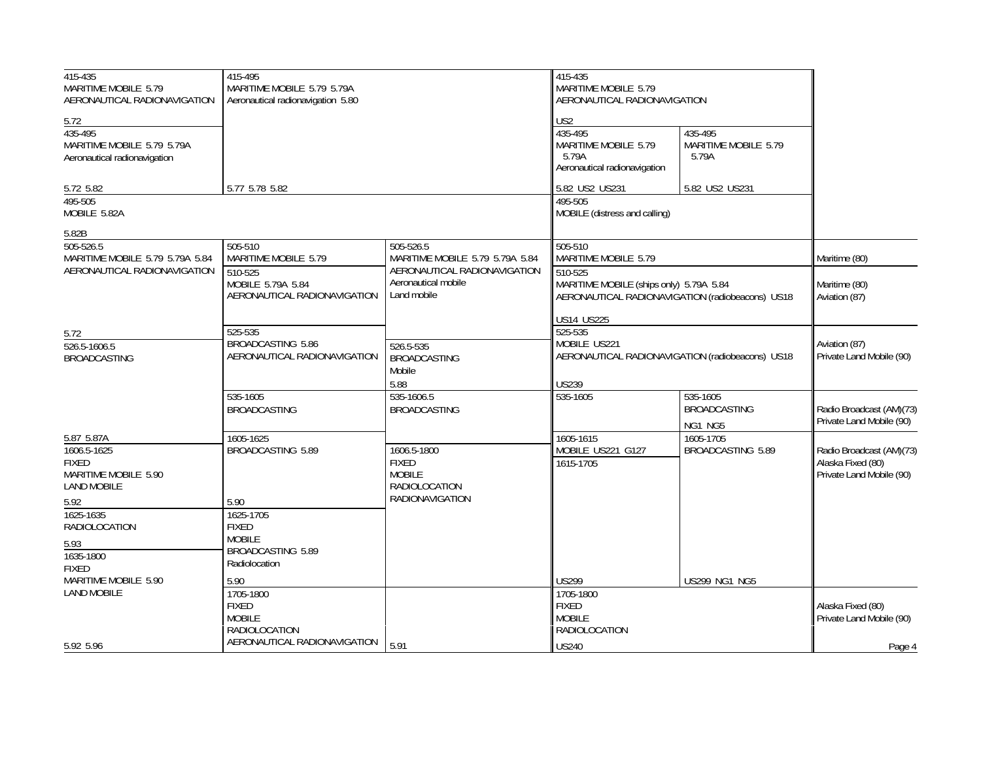| 415-435<br>MARITIME MOBILE 5.79<br>AERONAUTICAL RADIONAVIGATION               | 415-495<br>MARITIME MOBILE 5.79 5.79A<br>Aeronautical radionavigation 5.80 |                                                                                  | 415-435<br>MARITIME MOBILE 5.79<br>AERONAUTICAL RADIONAVIGATION                             |                                                  |                                                                           |
|-------------------------------------------------------------------------------|----------------------------------------------------------------------------|----------------------------------------------------------------------------------|---------------------------------------------------------------------------------------------|--------------------------------------------------|---------------------------------------------------------------------------|
| 5.72<br>435-495<br>MARITIME MOBILE 5.79 5.79A<br>Aeronautical radionavigation |                                                                            |                                                                                  | US <sub>2</sub><br>435-495<br>MARITIME MOBILE 5.79<br>5.79A<br>Aeronautical radionavigation | 435-495<br>MARITIME MOBILE 5.79<br>5.79A         |                                                                           |
| 5.72 5.82                                                                     | 5.77 5.78 5.82                                                             |                                                                                  | 5.82 US2 US231                                                                              | 5.82 US2 US231                                   |                                                                           |
| 495-505<br>MOBILE 5.82A                                                       |                                                                            |                                                                                  | 495-505<br>MOBILE (distress and calling)                                                    |                                                  |                                                                           |
| 5.82B                                                                         |                                                                            |                                                                                  |                                                                                             |                                                  |                                                                           |
| 505-526.5<br>MARITIME MOBILE 5.79 5.79A 5.84                                  | 505-510<br>MARITIME MOBILE 5.79                                            | 505-526.5<br>MARITIME MOBILE 5.79 5.79A 5.84                                     | 505-510<br>MARITIME MOBILE 5.79                                                             |                                                  | Maritime (80)                                                             |
| AERONAUTICAL RADIONAVIGATION                                                  | 510-525<br>MOBILE 5.79A 5.84<br>AERONAUTICAL RADIONAVIGATION               | AERONAUTICAL RADIONAVIGATION<br>Aeronautical mobile<br>Land mobile               | 510-525<br>MARITIME MOBILE (ships only) 5.79A 5.84                                          | AERONAUTICAL RADIONAVIGATION (radiobeacons) US18 | Maritime (80)<br>Aviation (87)                                            |
|                                                                               | 525-535                                                                    |                                                                                  | <b>US14 US225</b><br>525-535                                                                |                                                  |                                                                           |
| 5.72<br>526.5-1606.5<br><b>BROADCASTING</b>                                   | BROADCASTING 5.86<br>AERONAUTICAL RADIONAVIGATION                          | 526.5-535<br><b>BROADCASTING</b><br>Mobile                                       | MOBILE US221                                                                                | AERONAUTICAL RADIONAVIGATION (radiobeacons) US18 | Aviation (87)<br>Private Land Mobile (90)                                 |
|                                                                               |                                                                            | 5.88                                                                             | <b>US239</b>                                                                                |                                                  |                                                                           |
|                                                                               | 535-1605<br><b>BROADCASTING</b>                                            | 535-1606.5<br><b>BROADCASTING</b>                                                | 535-1605                                                                                    | 535-1605<br><b>BROADCASTING</b><br>NG1 NG5       | Radio Broadcast (AM)(73)<br>Private Land Mobile (90)                      |
| 5.87 5.87A                                                                    | 1605-1625                                                                  |                                                                                  | 1605-1615                                                                                   | 1605-1705                                        |                                                                           |
| 1606.5-1625<br><b>FIXED</b><br>MARITIME MOBILE 5.90<br><b>LAND MOBILE</b>     | BROADCASTING 5.89                                                          | 1606.5-1800<br><b>FIXED</b><br><b>MOBILE</b><br>RADIOLOCATION<br>RADIONAVIGATION | MOBILE US221 G127<br>1615-1705                                                              | BROADCASTING 5.89                                | Radio Broadcast (AM)(73)<br>Alaska Fixed (80)<br>Private Land Mobile (90) |
| 5.92<br>1625-1635<br>RADIOLOCATION                                            | 5.90<br>1625-1705<br><b>FIXED</b>                                          |                                                                                  |                                                                                             |                                                  |                                                                           |
| 5.93<br>1635-1800<br><b>FIXED</b>                                             | <b>MOBILE</b><br>BROADCASTING 5.89<br>Radiolocation                        |                                                                                  |                                                                                             |                                                  |                                                                           |
| MARITIME MOBILE 5.90                                                          | 5.90                                                                       |                                                                                  | <b>US299</b>                                                                                | <b>US299 NG1 NG5</b>                             |                                                                           |
| <b>LAND MOBILE</b>                                                            | 1705-1800<br><b>FIXED</b><br><b>MOBILE</b><br>RADIOLOCATION                |                                                                                  | 1705-1800<br><b>FIXED</b><br><b>MOBILE</b><br>RADIOLOCATION                                 |                                                  | Alaska Fixed (80)<br>Private Land Mobile (90)                             |
| 5.92 5.96                                                                     | AERONAUTICAL RADIONAVIGATION                                               | 5.91                                                                             | <b>US240</b>                                                                                |                                                  | Page 4                                                                    |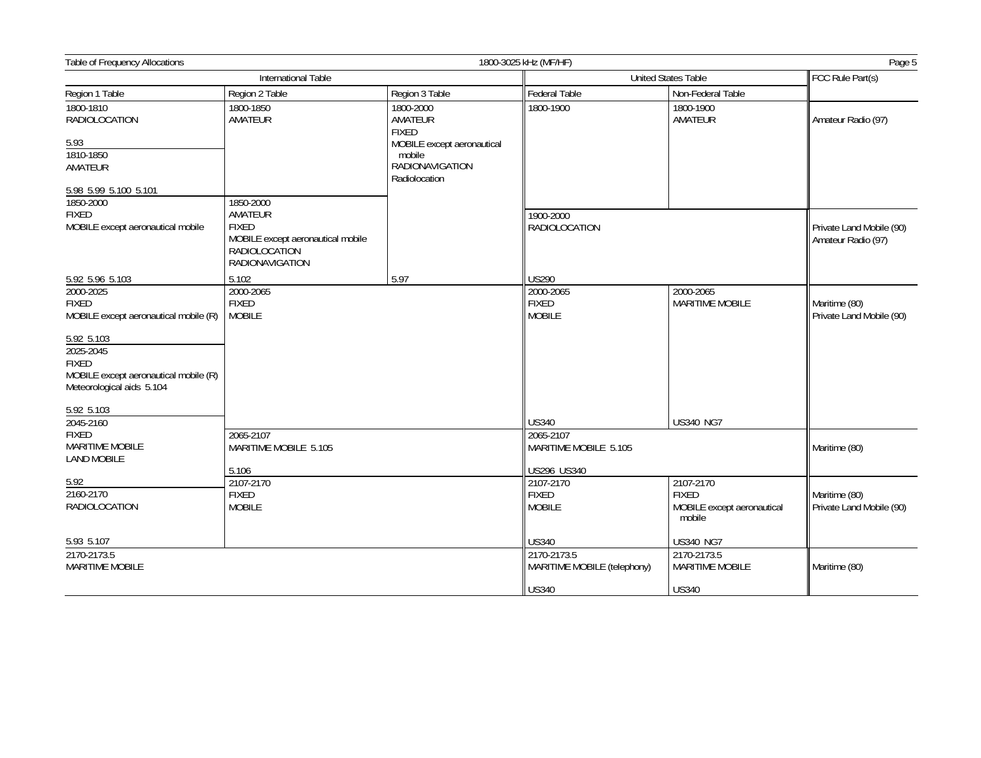| Table of Frequency Allocations<br>1800-3025 kHz (MF/HF)                                                       |                                                                                                                             |                                                   |                                            |                                                                   | Page 5                                         |
|---------------------------------------------------------------------------------------------------------------|-----------------------------------------------------------------------------------------------------------------------------|---------------------------------------------------|--------------------------------------------|-------------------------------------------------------------------|------------------------------------------------|
|                                                                                                               | International Table                                                                                                         |                                                   | <b>United States Table</b>                 |                                                                   | FCC Rule Part(s)                               |
| Region 1 Table                                                                                                | Region 2 Table                                                                                                              | Region 3 Table                                    | Federal Table                              | Non-Federal Table                                                 |                                                |
| 1800-1810<br><b>RADIOLOCATION</b>                                                                             | 1800-1850<br>AMATEUR                                                                                                        | 1800-2000<br>AMATEUR<br><b>FIXED</b>              | 1800-1900                                  | 1800-1900<br>AMATEUR                                              | Amateur Radio (97)                             |
| 5.93                                                                                                          |                                                                                                                             | MOBILE except aeronautical                        |                                            |                                                                   |                                                |
| 1810-1850<br>AMATEUR                                                                                          |                                                                                                                             | mobile<br><b>RADIONAVIGATION</b><br>Radiolocation |                                            |                                                                   |                                                |
| 5.98 5.99 5.100 5.101                                                                                         |                                                                                                                             |                                                   |                                            |                                                                   |                                                |
| 1850-2000<br><b>FIXED</b><br>MOBILE except aeronautical mobile                                                | 1850-2000<br>AMATEUR<br><b>FIXED</b><br>MOBILE except aeronautical mobile<br><b>RADIOLOCATION</b><br><b>RADIONAVIGATION</b> |                                                   | 1900-2000<br>RADIOLOCATION                 |                                                                   | Private Land Mobile (90)<br>Amateur Radio (97) |
| 5.92 5.96 5.103                                                                                               | 5.102                                                                                                                       | 5.97                                              | <b>US290</b>                               |                                                                   |                                                |
| 2000-2025<br><b>FIXED</b><br>MOBILE except aeronautical mobile (R)                                            | 2000-2065<br><b>FIXED</b><br><b>MOBILE</b>                                                                                  |                                                   | 2000-2065<br><b>FIXED</b><br><b>MOBILE</b> | 2000-2065<br><b>MARITIME MOBILE</b>                               | Maritime (80)<br>Private Land Mobile (90)      |
| 5.92 5.103<br>2025-2045<br><b>FIXED</b><br>MOBILE except aeronautical mobile (R)<br>Meteorological aids 5.104 |                                                                                                                             |                                                   |                                            |                                                                   |                                                |
| 5.92 5.103                                                                                                    |                                                                                                                             |                                                   |                                            |                                                                   |                                                |
| 2045-2160                                                                                                     |                                                                                                                             |                                                   | <b>US340</b>                               | <b>US340 NG7</b>                                                  |                                                |
| <b>FIXED</b><br>MARITIME MOBILE<br><b>LAND MOBILE</b>                                                         | 2065-2107<br>MARITIME MOBILE 5.105                                                                                          |                                                   | 2065-2107<br>MARITIME MOBILE 5.105         |                                                                   | Maritime (80)                                  |
|                                                                                                               | 5.106                                                                                                                       |                                                   | US296 US340                                |                                                                   |                                                |
| 5.92<br>2160-2170<br><b>RADIOLOCATION</b>                                                                     | 2107-2170<br><b>FIXED</b><br><b>MOBILE</b>                                                                                  |                                                   | 2107-2170<br><b>FIXED</b><br><b>MOBILE</b> | 2107-2170<br><b>FIXED</b><br>MOBILE except aeronautical<br>mobile | Maritime (80)<br>Private Land Mobile (90)      |
| 5.93 5.107                                                                                                    |                                                                                                                             |                                                   | US340                                      | <b>US340 NG7</b>                                                  |                                                |
| 2170-2173.5<br>MARITIME MOBILE                                                                                |                                                                                                                             |                                                   | 2170-2173.5<br>MARITIME MOBILE (telephony) | 2170-2173.5<br>MARITIME MOBILE                                    | Maritime (80)                                  |
|                                                                                                               |                                                                                                                             |                                                   | <b>US340</b>                               | <b>US340</b>                                                      |                                                |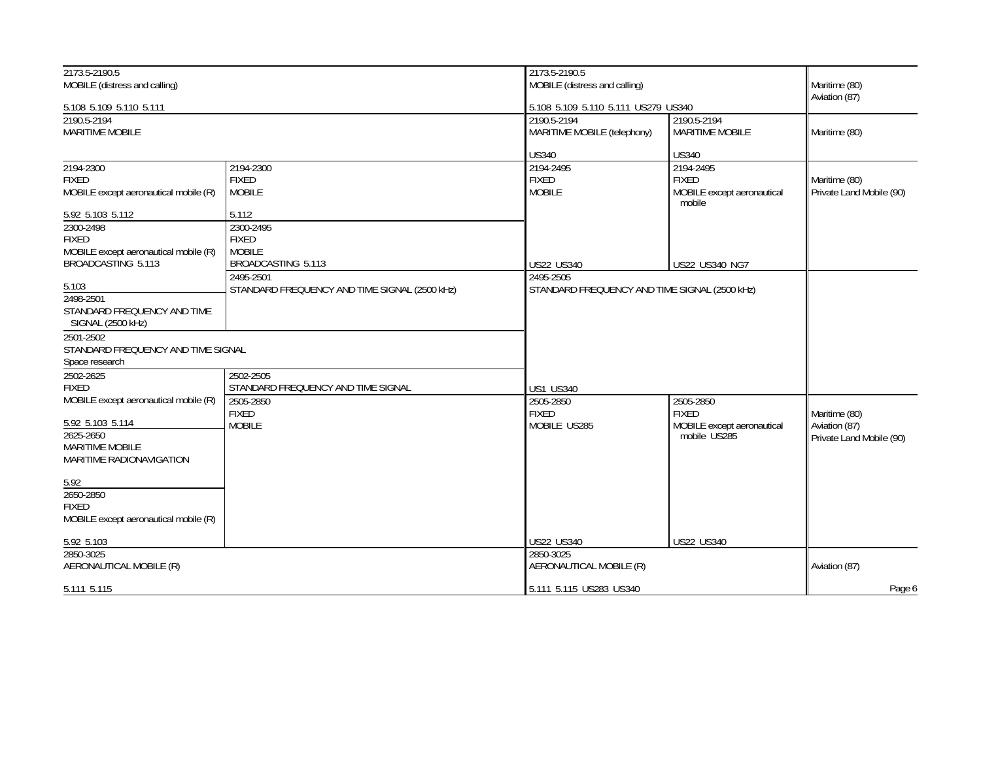| 2173.5-2190.5                                                 |                                               | 2173.5-2190.5                                 |                                       |                          |
|---------------------------------------------------------------|-----------------------------------------------|-----------------------------------------------|---------------------------------------|--------------------------|
| MOBILE (distress and calling)                                 |                                               | MOBILE (distress and calling)                 | Maritime (80)<br>Aviation (87)        |                          |
| 5.108 5.109 5.110 5.111                                       |                                               | 5.108 5.109 5.110 5.111 US279 US340           |                                       |                          |
| 2190.5-2194<br><b>MARITIME MOBILE</b>                         |                                               | 2190.5-2194<br>MARITIME MOBILE (telephony)    | 2190.5-2194<br><b>MARITIME MOBILE</b> | Maritime (80)            |
|                                                               |                                               | <b>US340</b>                                  | <b>US340</b>                          |                          |
| 2194-2300                                                     | 2194-2300                                     | 2194-2495                                     | 2194-2495                             |                          |
| <b>FIXED</b>                                                  | <b>FIXED</b>                                  | <b>FIXED</b>                                  | <b>FIXED</b>                          | Maritime (80)            |
| MOBILE except aeronautical mobile (R)                         | <b>MOBILE</b>                                 | <b>MOBILE</b>                                 | MOBILE except aeronautical<br>mobile  | Private Land Mobile (90) |
| 5.92 5.103 5.112                                              | 5.112                                         |                                               |                                       |                          |
| 2300-2498                                                     | 2300-2495                                     |                                               |                                       |                          |
| <b>FIXED</b>                                                  | <b>FIXED</b>                                  |                                               |                                       |                          |
| MOBILE except aeronautical mobile (R)                         | <b>MOBILE</b>                                 |                                               |                                       |                          |
| BROADCASTING 5.113                                            | BROADCASTING 5.113                            | <b>US22 US340</b>                             | <b>US22 US340 NG7</b>                 |                          |
|                                                               | 2495-2501                                     | 2495-2505                                     |                                       |                          |
| 5.103                                                         | STANDARD FREQUENCY AND TIME SIGNAL (2500 KHz) | STANDARD FREQUENCY AND TIME SIGNAL (2500 KHz) |                                       |                          |
| 2498-2501<br>STANDARD FREQUENCY AND TIME<br>SIGNAL (2500 kHz) |                                               |                                               |                                       |                          |
| 2501-2502                                                     |                                               |                                               |                                       |                          |
| STANDARD FREQUENCY AND TIME SIGNAL                            |                                               |                                               |                                       |                          |
| Space research                                                |                                               |                                               |                                       |                          |
| 2502-2625                                                     | 2502-2505                                     |                                               |                                       |                          |
| <b>FIXED</b>                                                  | STANDARD FREQUENCY AND TIME SIGNAL            | <b>US1 US340</b>                              |                                       |                          |
| MOBILE except aeronautical mobile (R)                         | 2505-2850                                     | 2505-2850                                     | 2505-2850                             |                          |
|                                                               | <b>FIXED</b>                                  | <b>FIXED</b>                                  | <b>FIXED</b>                          | Maritime (80)            |
| 5.92 5.103 5.114                                              | <b>MOBILE</b>                                 | MOBILE US285                                  | MOBILE except aeronautical            | Aviation (87)            |
| 2625-2650                                                     |                                               |                                               | mobile US285                          | Private Land Mobile (90) |
| <b>MARITIME MOBILE</b>                                        |                                               |                                               |                                       |                          |
| MARITIME RADIONAVIGATION                                      |                                               |                                               |                                       |                          |
| 5.92                                                          |                                               |                                               |                                       |                          |
| 2650-2850                                                     |                                               |                                               |                                       |                          |
| <b>FIXED</b>                                                  |                                               |                                               |                                       |                          |
| MOBILE except aeronautical mobile (R)                         |                                               |                                               |                                       |                          |
| 5.92 5.103                                                    |                                               | US22 US340                                    | <b>US22 US340</b>                     |                          |
| 2850-3025                                                     |                                               | 2850-3025                                     |                                       |                          |
| AERONAUTICAL MOBILE (R)                                       |                                               | AERONAUTICAL MOBILE (R)                       |                                       | Aviation (87)            |
| 5.111 5.115                                                   |                                               | 5.111 5.115 US283 US340                       |                                       | Page 6                   |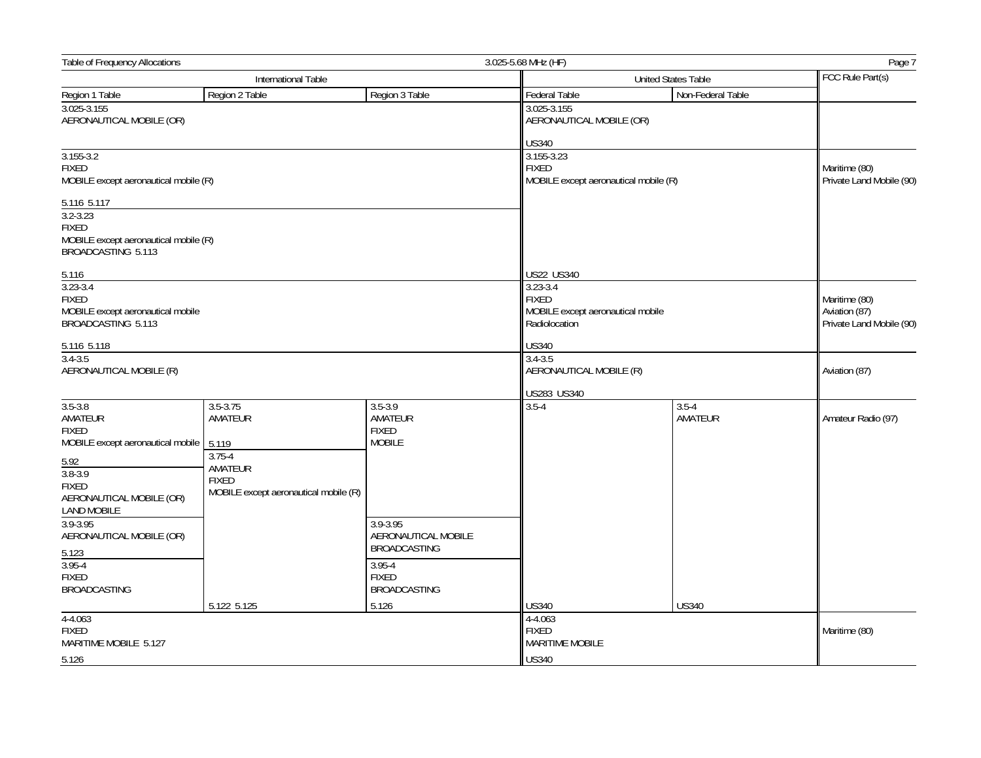| <b>Table of Frequency Allocations</b><br>3.025-5.68 MHz (HF)                                                                                                  |                                                                                                                    |                                                         |                                                                                                  | Page 7                     |                                                            |
|---------------------------------------------------------------------------------------------------------------------------------------------------------------|--------------------------------------------------------------------------------------------------------------------|---------------------------------------------------------|--------------------------------------------------------------------------------------------------|----------------------------|------------------------------------------------------------|
|                                                                                                                                                               | International Table                                                                                                |                                                         |                                                                                                  | <b>United States Table</b> |                                                            |
| Region 1 Table                                                                                                                                                | Region 2 Table                                                                                                     | Region 3 Table                                          | Federal Table                                                                                    | Non-Federal Table          |                                                            |
| 3.025-3.155<br>AERONAUTICAL MOBILE (OR)                                                                                                                       |                                                                                                                    |                                                         | 3.025-3.155<br>AERONAUTICAL MOBILE (OR)                                                          |                            |                                                            |
| $3.155 - 3.2$<br><b>FIXED</b><br>MOBILE except aeronautical mobile (R)                                                                                        |                                                                                                                    |                                                         | <b>US340</b><br>3.155-3.23<br><b>FIXED</b><br>MOBILE except aeronautical mobile (R)              |                            | Maritime (80)<br>Private Land Mobile (90)                  |
| 5.116 5.117<br>$3.2 - 3.23$<br><b>FIXED</b><br>MOBILE except aeronautical mobile (R)<br>BROADCASTING 5.113                                                    |                                                                                                                    |                                                         |                                                                                                  |                            |                                                            |
| 5.116<br>$3.23 - 3.4$<br><b>FIXED</b><br>MOBILE except aeronautical mobile<br>BROADCASTING 5.113                                                              |                                                                                                                    |                                                         | US22 US340<br>$3.23 - 3.4$<br><b>FIXED</b><br>MOBILE except aeronautical mobile<br>Radiolocation |                            | Maritime (80)<br>Aviation (87)<br>Private Land Mobile (90) |
| 5.116 5.118                                                                                                                                                   |                                                                                                                    |                                                         | <b>US340</b>                                                                                     |                            |                                                            |
| $3.4 - 3.5$<br>AERONAUTICAL MOBILE (R)                                                                                                                        |                                                                                                                    |                                                         | $3.4 - 3.5$                                                                                      | AERONAUTICAL MOBILE (R)    |                                                            |
|                                                                                                                                                               |                                                                                                                    |                                                         | US283 US340                                                                                      |                            |                                                            |
| $3.5 - 3.8$<br>AMATEUR<br><b>FIXED</b><br>MOBILE except aeronautical mobile<br>5.92<br>$3.8 - 3.9$<br><b>FIXED</b><br>AERONAUTICAL MOBILE (OR)<br>LAND MOBILE | $3.5 - 3.75$<br>AMATEUR<br>5.119<br>$3.75 - 4$<br>AMATEUR<br><b>FIXED</b><br>MOBILE except aeronautical mobile (R) | $3.5 - 3.9$<br>AMATEUR<br><b>FIXED</b><br><b>MOBILE</b> | $3.5 - 4$                                                                                        | $3.5 - 4$<br>AMATEUR       | Amateur Radio (97)                                         |
| 3.9-3.95<br>AERONAUTICAL MOBILE (OR)<br>5.123                                                                                                                 |                                                                                                                    | 3.9-3.95<br>AERONAUTICAL MOBILE<br><b>BROADCASTING</b>  |                                                                                                  |                            |                                                            |
| $3.95 - 4$<br><b>FIXED</b><br><b>BROADCASTING</b>                                                                                                             |                                                                                                                    | $3.95 - 4$<br><b>FIXED</b><br><b>BROADCASTING</b>       |                                                                                                  |                            |                                                            |
|                                                                                                                                                               | 5.122 5.125                                                                                                        | 5.126                                                   | US340                                                                                            | <b>US340</b>               |                                                            |
| $4 - 4.063$<br><b>FIXED</b><br>MARITIME MOBILE 5.127                                                                                                          |                                                                                                                    |                                                         | $4 - 4.063$<br><b>FIXED</b><br><b>MARITIME MOBILE</b>                                            |                            | Maritime (80)                                              |
| 5.126                                                                                                                                                         |                                                                                                                    |                                                         | <b>US340</b>                                                                                     |                            |                                                            |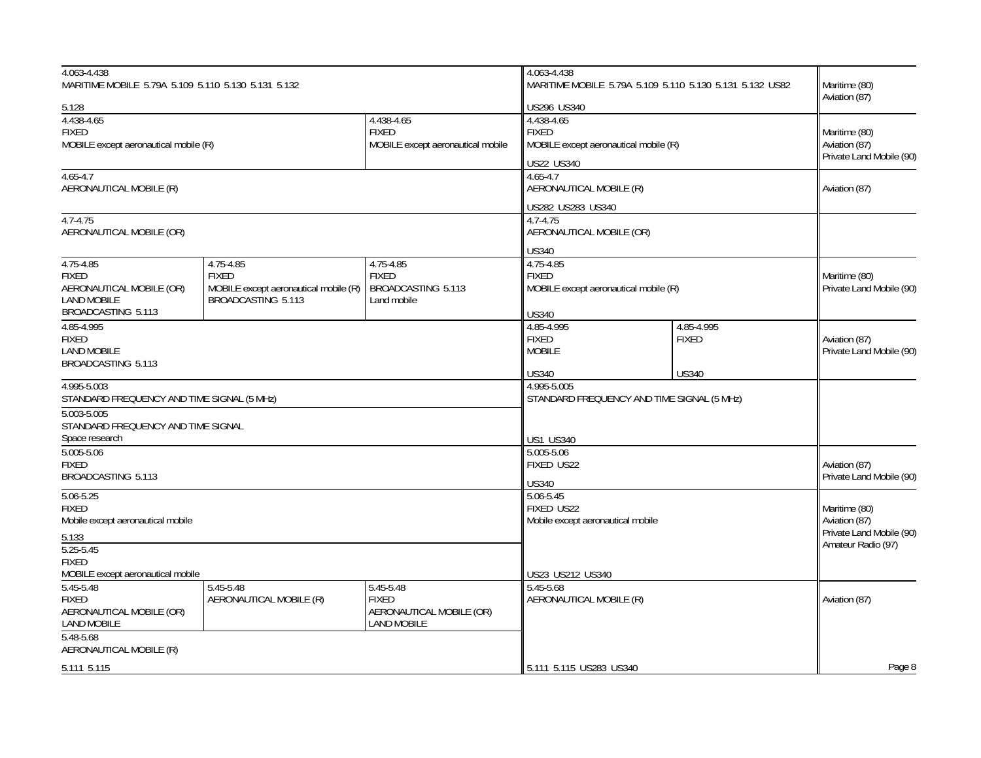| 4.063-4.438<br>MARITIME MOBILE 5.79A 5.109 5.110 5.130 5.131 5.132                                                                     |                                                                                          |                                                                             | 4.063-4.438<br>MARITIME MOBILE 5.79A 5.109 5.110 5.130 5.131 5.132 US82            |                                            | Maritime (80)                                                                    |  |
|----------------------------------------------------------------------------------------------------------------------------------------|------------------------------------------------------------------------------------------|-----------------------------------------------------------------------------|------------------------------------------------------------------------------------|--------------------------------------------|----------------------------------------------------------------------------------|--|
| 5.128                                                                                                                                  |                                                                                          |                                                                             | US296 US340                                                                        |                                            | Aviation (87)                                                                    |  |
| 4.438-4.65<br>4.438-4.65<br><b>FIXED</b><br><b>FIXED</b><br>MOBILE except aeronautical mobile (R)<br>MOBILE except aeronautical mobile |                                                                                          |                                                                             | 4.438-4.65<br><b>FIXED</b><br>MOBILE except aeronautical mobile (R)<br>US22 US340  |                                            | Maritime (80)<br>Aviation (87)<br>Private Land Mobile (90)                       |  |
| $4.65 - 4.7$<br>AERONAUTICAL MOBILE (R)                                                                                                |                                                                                          |                                                                             | 4.65-4.7<br>AERONAUTICAL MOBILE (R)                                                |                                            | Aviation (87)                                                                    |  |
| $4.7 - 4.75$<br>AERONAUTICAL MOBILE (OR)                                                                                               |                                                                                          |                                                                             | US282 US283 US340<br>4.7-4.75<br>AERONAUTICAL MOBILE (OR)<br><b>US340</b>          |                                            |                                                                                  |  |
| $4.75 - 4.85$<br><b>FIXED</b><br>AERONAUTICAL MOBILE (OR)<br><b>LAND MOBILE</b><br>BROADCASTING 5.113                                  | 4.75-4.85<br><b>FIXED</b><br>MOBILE except aeronautical mobile (R)<br>BROADCASTING 5.113 | 4.75-4.85<br><b>FIXED</b><br>BROADCASTING 5.113<br>Land mobile              | 4.75-4.85<br><b>FIXED</b><br>MOBILE except aeronautical mobile (R)<br><b>US340</b> |                                            | Maritime (80)<br>Private Land Mobile (90)                                        |  |
| 4.85-4.995<br><b>FIXED</b><br><b>LAND MOBILE</b><br>BROADCASTING 5.113                                                                 |                                                                                          |                                                                             | 4.85-4.995<br><b>FIXED</b><br><b>MOBILE</b><br><b>US340</b>                        | 4.85-4.995<br><b>FIXED</b><br><b>US340</b> | Aviation (87)<br>Private Land Mobile (90)                                        |  |
| 4.995-5.003<br>STANDARD FREQUENCY AND TIME SIGNAL (5 MHz)                                                                              |                                                                                          |                                                                             | 4.995-5.005<br>STANDARD FREQUENCY AND TIME SIGNAL (5 MHz)                          |                                            |                                                                                  |  |
| 5.003-5.005<br>STANDARD FREQUENCY AND TIME SIGNAL<br>Space research                                                                    |                                                                                          |                                                                             | <b>US1 US340</b>                                                                   |                                            |                                                                                  |  |
| 5.005-5.06<br><b>FIXED</b><br>BROADCASTING 5.113                                                                                       |                                                                                          |                                                                             | 5.005-5.06<br>FIXED US22<br><b>US340</b>                                           |                                            | Aviation (87)<br>Private Land Mobile (90)                                        |  |
| $5.06 - 5.25$<br><b>FIXED</b><br>Mobile except aeronautical mobile<br>5.133<br>$5.25 - 5.45$                                           |                                                                                          |                                                                             | $5.06 - 5.45$<br>FIXED US22<br>Mobile except aeronautical mobile                   |                                            | Maritime (80)<br>Aviation (87)<br>Private Land Mobile (90)<br>Amateur Radio (97) |  |
| <b>FIXED</b><br>MOBILE except aeronautical mobile                                                                                      |                                                                                          |                                                                             | US23 US212 US340                                                                   |                                            |                                                                                  |  |
| $5.45 - 5.48$<br><b>FIXED</b><br>AERONAUTICAL MOBILE (OR)<br><b>LAND MOBILE</b>                                                        | $5.45 - 5.48$<br>AERONAUTICAL MOBILE (R)                                                 | 5.45-5.48<br><b>FIXED</b><br>AERONAUTICAL MOBILE (OR)<br><b>LAND MOBILE</b> | 5.45-5.68<br>AERONAUTICAL MOBILE (R)                                               |                                            | Aviation (87)                                                                    |  |
| 5.48-5.68<br>AERONAUTICAL MOBILE (R)                                                                                                   |                                                                                          |                                                                             |                                                                                    |                                            | Page 8                                                                           |  |
| 5.111 5.115                                                                                                                            |                                                                                          |                                                                             | 5.111 5.115 US283 US340                                                            |                                            |                                                                                  |  |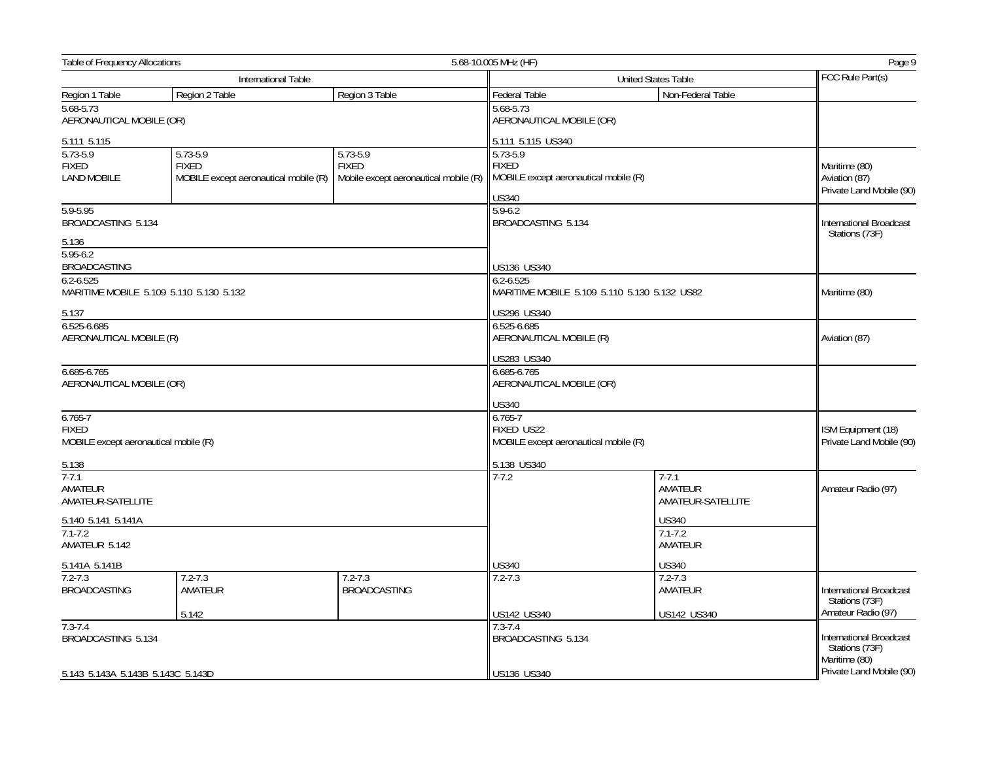| Table of Frequency Allocations                                       |                                                                   |                                                                       | 5.68-10.005 MHz (HF)                                                               |                                              | Page 9                                                     |  |
|----------------------------------------------------------------------|-------------------------------------------------------------------|-----------------------------------------------------------------------|------------------------------------------------------------------------------------|----------------------------------------------|------------------------------------------------------------|--|
|                                                                      | International Table                                               |                                                                       |                                                                                    | United States Table                          |                                                            |  |
| Region 1 Table                                                       | Region 2 Table                                                    | Region 3 Table                                                        | Federal Table                                                                      | Non-Federal Table                            |                                                            |  |
| 5.68-5.73<br>AERONAUTICAL MOBILE (OR)                                |                                                                   |                                                                       | 5.68-5.73<br>AERONAUTICAL MOBILE (OR)                                              |                                              |                                                            |  |
| 5.111 5.115                                                          |                                                                   |                                                                       | 5.111 5.115 US340                                                                  |                                              |                                                            |  |
| $5.73 - 5.9$<br><b>FIXED</b><br><b>LAND MOBILE</b>                   | 5.73-5.9<br><b>FIXED</b><br>MOBILE except aeronautical mobile (R) | $5.73 - 5.9$<br><b>FIXED</b><br>Mobile except aeronautical mobile (R) | 5.73-5.9<br><b>FIXED</b><br>MOBILE except aeronautical mobile (R)<br><b>US340</b>  |                                              | Maritime (80)<br>Aviation (87)<br>Private Land Mobile (90) |  |
| 5.9-5.95<br>BROADCASTING 5.134<br>5.136                              |                                                                   |                                                                       | $5.9 - 6.2$<br>BROADCASTING 5.134                                                  |                                              | International Broadcast<br>Stations (73F)                  |  |
| $5.95 - 6.2$<br><b>BROADCASTING</b>                                  |                                                                   |                                                                       | <b>US136 US340</b>                                                                 |                                              |                                                            |  |
| $6.2 - 6.525$<br>MARITIME MOBILE 5.109 5.110 5.130 5.132             |                                                                   |                                                                       | $6.2 - 6.525$                                                                      | MARITIME MOBILE 5.109 5.110 5.130 5.132 US82 | Maritime (80)                                              |  |
| 5.137<br>6.525-6.685<br>AERONAUTICAL MOBILE (R)                      |                                                                   |                                                                       | US296 US340<br>6.525-6.685<br>AERONAUTICAL MOBILE (R)<br>US283 US340               |                                              | Aviation (87)                                              |  |
| 6.685-6.765<br>AERONAUTICAL MOBILE (OR)                              |                                                                   |                                                                       | $6.685 - 6.765$<br>AERONAUTICAL MOBILE (OR)                                        |                                              |                                                            |  |
| $6.765 - 7$<br><b>FIXED</b><br>MOBILE except aeronautical mobile (R) |                                                                   |                                                                       | <b>US340</b><br>$6.765 - 7$<br>FIXED US22<br>MOBILE except aeronautical mobile (R) |                                              | ISM Equipment (18)<br>Private Land Mobile (90)             |  |
| 5.138                                                                |                                                                   |                                                                       | 5.138 US340                                                                        |                                              |                                                            |  |
| $7 - 7.1$<br>AMATEUR<br>AMATEUR-SATELLITE                            |                                                                   |                                                                       | $7 - 7.2$<br>$7 - 7.1$                                                             | AMATEUR<br>AMATEUR-SATELLITE                 | Amateur Radio (97)                                         |  |
| 5.140 5.141 5.141A<br>$7.1 - 7.2$<br>AMATEUR 5.142                   |                                                                   |                                                                       | <b>US340</b><br>$7.1 - 7.2$<br>AMATEUR                                             |                                              |                                                            |  |
| 5.141A 5.141B                                                        |                                                                   |                                                                       | <b>US340</b>                                                                       | <b>US340</b>                                 |                                                            |  |
| $7.2 - 7.3$<br><b>BROADCASTING</b>                                   | $7.2 - 7.3$<br>AMATEUR                                            | $7.2 - 7.3$<br><b>BROADCASTING</b>                                    | $7.2 - 7.3$                                                                        | $7.2 - 7.3$<br>AMATEUR                       | International Broadcast<br>Stations (73F)                  |  |
|                                                                      | 5.142                                                             |                                                                       | US142 US340                                                                        | US142 US340                                  | Amateur Radio (97)                                         |  |
| $7.3 - 7.4$<br>BROADCASTING 5.134                                    |                                                                   |                                                                       | $7.3 - 7.4$<br>BROADCASTING 5.134                                                  |                                              | International Broadcast<br>Stations (73F)<br>Maritime (80) |  |
| 5.143 5.143A 5.143B 5.143C 5.143D                                    |                                                                   |                                                                       | US136 US340                                                                        |                                              | Private Land Mobile (90)                                   |  |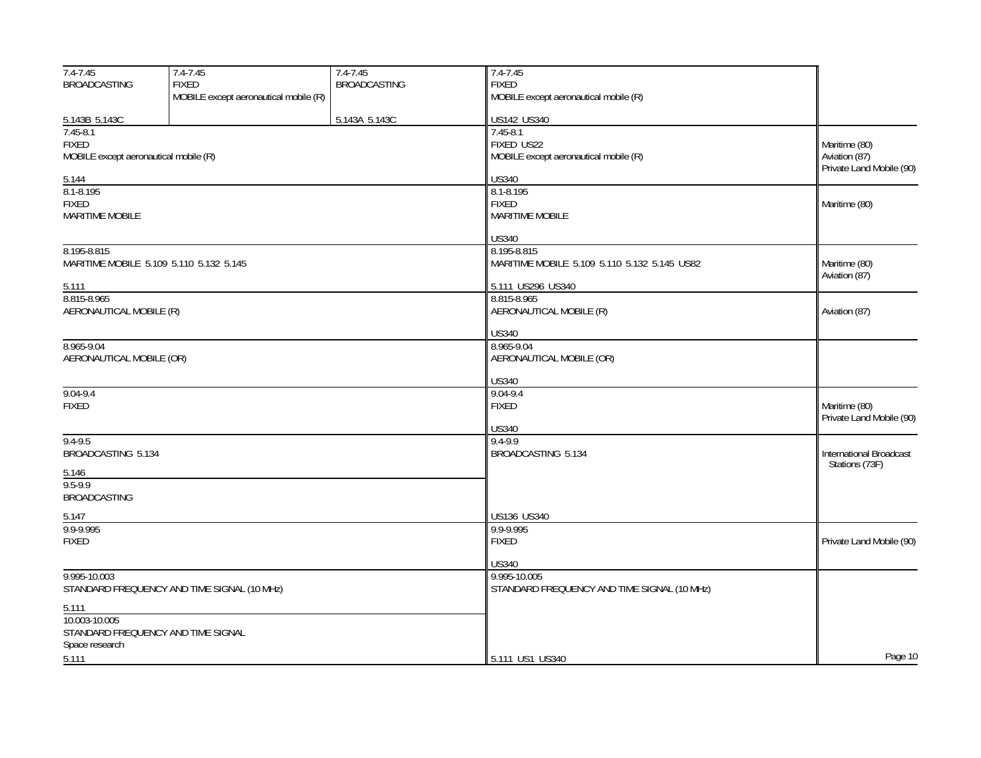| $7.4 - 7.45$                          | 7.4-7.45                                    | $7.4 - 7.45$        | $7.4 - 7.45$                                 |                                           |
|---------------------------------------|---------------------------------------------|---------------------|----------------------------------------------|-------------------------------------------|
| <b>BROADCASTING</b>                   | <b>FIXED</b>                                | <b>BROADCASTING</b> | <b>FIXED</b>                                 |                                           |
|                                       | MOBILE except aeronautical mobile (R)       |                     | MOBILE except aeronautical mobile (R)        |                                           |
| 5.143B 5.143C                         |                                             | 5.143A 5.143C       | US142 US340                                  |                                           |
| $7.45 - 8.1$                          |                                             |                     | $7.45 - 8.1$                                 |                                           |
| <b>FIXED</b>                          |                                             |                     | FIXED US22                                   | Maritime (80)                             |
| MOBILE except aeronautical mobile (R) |                                             |                     | MOBILE except aeronautical mobile (R)        | Aviation (87)                             |
|                                       |                                             |                     | <b>US340</b>                                 | Private Land Mobile (90)                  |
| 5.144<br>8.1-8.195                    |                                             |                     | 8.1-8.195                                    |                                           |
| <b>FIXED</b>                          |                                             |                     | <b>FIXED</b>                                 | Maritime (80)                             |
| <b>MARITIME MOBILE</b>                |                                             |                     | <b>MARITIME MOBILE</b>                       |                                           |
|                                       |                                             |                     |                                              |                                           |
|                                       |                                             |                     | <b>US340</b>                                 |                                           |
| 8.195-8.815                           |                                             |                     | 8.195-8.815                                  |                                           |
|                                       | MARITIME MOBILE 5.109 5.110 5.132 5.145     |                     | MARITIME MOBILE 5.109 5.110 5.132 5.145 US82 | Maritime (80)<br>Aviation (87)            |
| 5.111                                 |                                             |                     | 5.111 US296 US340                            |                                           |
| 8.815-8.965                           |                                             |                     | 8.815-8.965                                  |                                           |
| AERONAUTICAL MOBILE (R)               |                                             |                     | AERONAUTICAL MOBILE (R)                      | Aviation (87)                             |
|                                       |                                             |                     | <b>US340</b>                                 |                                           |
| 8.965-9.04                            |                                             |                     | 8.965-9.04                                   |                                           |
| AERONAUTICAL MOBILE (OR)              |                                             |                     | AERONAUTICAL MOBILE (OR)                     |                                           |
|                                       |                                             |                     |                                              |                                           |
|                                       |                                             |                     | <b>US340</b>                                 |                                           |
| $9.04 - 9.4$                          |                                             |                     | $9.04 - 9.4$                                 |                                           |
| <b>FIXED</b>                          |                                             |                     | <b>FIXED</b>                                 | Maritime (80)<br>Private Land Mobile (90) |
|                                       |                                             |                     | <b>US340</b>                                 |                                           |
| $9.4 - 9.5$                           |                                             |                     | 9.4-9.9                                      |                                           |
| BROADCASTING 5.134                    |                                             |                     | BROADCASTING 5.134                           | <b>International Broadcast</b>            |
| 5.146                                 |                                             |                     |                                              | Stations (73F)                            |
| $9.5 - 9.9$                           |                                             |                     |                                              |                                           |
| <b>BROADCASTING</b>                   |                                             |                     |                                              |                                           |
|                                       |                                             |                     | US136 US340                                  |                                           |
| 5.147<br>9.9-9.995                    |                                             |                     | 9.9-9.995                                    |                                           |
| <b>FIXED</b>                          |                                             |                     | <b>FIXED</b>                                 | Private Land Mobile (90)                  |
|                                       |                                             |                     |                                              |                                           |
|                                       |                                             |                     | US340                                        |                                           |
| 9.995-10.003                          |                                             |                     | 9.995-10.005                                 |                                           |
|                                       | STANDARD FREQUENCY AND TIME SIGNAL (10 MHz) |                     | STANDARD FREQUENCY AND TIME SIGNAL (10 MHz)  |                                           |
| 5.111                                 |                                             |                     |                                              |                                           |
| 10.003-10.005                         |                                             |                     |                                              |                                           |
|                                       | STANDARD FREQUENCY AND TIME SIGNAL          |                     |                                              |                                           |
| Space research                        |                                             |                     |                                              | Page 10                                   |
| 5.111                                 |                                             |                     | 5.111 US1 US340                              |                                           |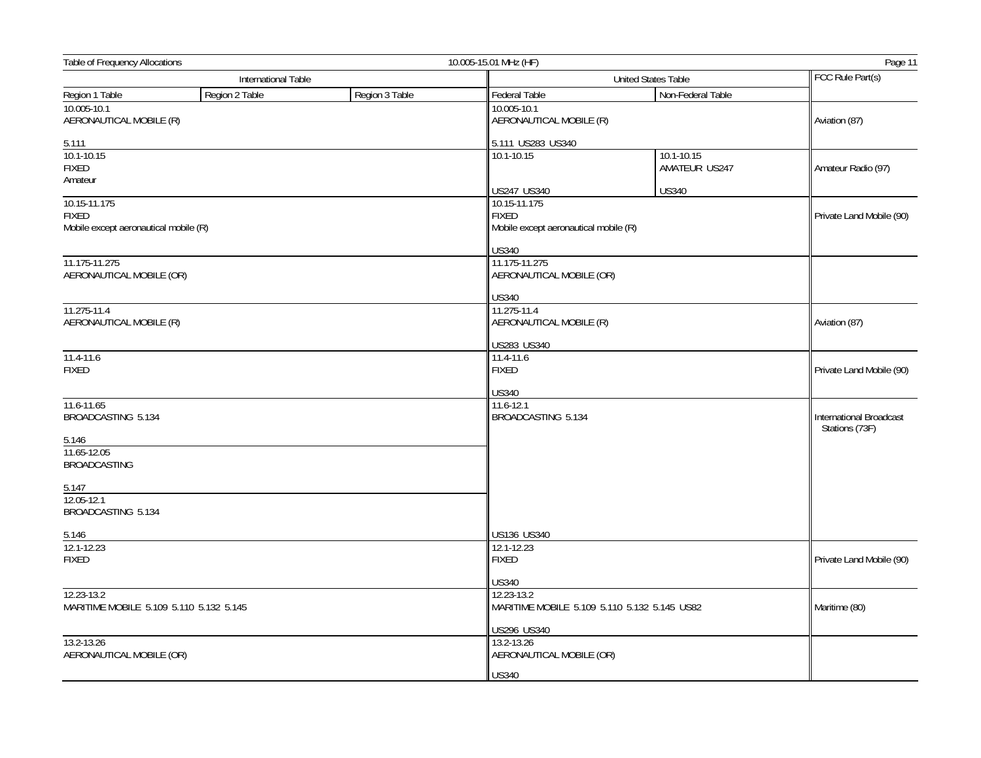| <b>Table of Frequency Allocations</b><br>10.005-15.01 MHz (HF)        |                     |                |                                                                       |                                              | Page 11                                   |  |
|-----------------------------------------------------------------------|---------------------|----------------|-----------------------------------------------------------------------|----------------------------------------------|-------------------------------------------|--|
|                                                                       | International Table |                |                                                                       | <b>United States Table</b>                   |                                           |  |
| Region 1 Table                                                        | Region 2 Table      | Region 3 Table | Federal Table                                                         | Non-Federal Table                            |                                           |  |
| 10.005-10.1<br>AERONAUTICAL MOBILE (R)                                |                     |                | 10.005-10.1<br>AERONAUTICAL MOBILE (R)                                |                                              | Aviation (87)                             |  |
| 5.111                                                                 |                     |                | 5.111 US283 US340                                                     |                                              |                                           |  |
| 10.1-10.15<br><b>FIXED</b>                                            |                     |                | 10.1-10.15                                                            | $10.1 - 10.15$<br>AMATEUR US247              | Amateur Radio (97)                        |  |
| Amateur                                                               |                     |                | US247 US340                                                           | <b>US340</b>                                 |                                           |  |
| 10.15-11.175<br><b>FIXED</b><br>Mobile except aeronautical mobile (R) |                     |                | 10.15-11.175<br><b>FIXED</b><br>Mobile except aeronautical mobile (R) |                                              | Private Land Mobile (90)                  |  |
|                                                                       |                     |                | <b>US340</b>                                                          |                                              |                                           |  |
| 11.175-11.275<br>AERONAUTICAL MOBILE (OR)                             |                     |                | 11.175-11.275<br>AERONAUTICAL MOBILE (OR)                             |                                              |                                           |  |
|                                                                       |                     |                | <b>US340</b>                                                          |                                              |                                           |  |
| 11.275-11.4<br>AERONAUTICAL MOBILE (R)                                |                     |                | 11.275-11.4<br>AERONAUTICAL MOBILE (R)                                |                                              | Aviation (87)                             |  |
|                                                                       |                     |                | US283 US340                                                           |                                              |                                           |  |
| $11.4 - 11.6$<br><b>FIXED</b>                                         |                     |                | 11.4-11.6<br><b>FIXED</b>                                             |                                              | Private Land Mobile (90)                  |  |
|                                                                       |                     |                | <b>US340</b>                                                          |                                              |                                           |  |
| 11.6-11.65<br>BROADCASTING 5.134                                      |                     |                | 11.6-12.1<br>BROADCASTING 5.134                                       |                                              | International Broadcast<br>Stations (73F) |  |
| 5.146                                                                 |                     |                |                                                                       |                                              |                                           |  |
| 11.65-12.05<br><b>BROADCASTING</b>                                    |                     |                |                                                                       |                                              |                                           |  |
| 5.147                                                                 |                     |                |                                                                       |                                              |                                           |  |
| 12.05-12.1<br>BROADCASTING 5.134                                      |                     |                |                                                                       |                                              |                                           |  |
| 5.146                                                                 |                     |                | US136 US340                                                           |                                              |                                           |  |
| 12.1-12.23<br><b>FIXED</b>                                            |                     |                | 12.1-12.23<br><b>FIXED</b>                                            |                                              | Private Land Mobile (90)                  |  |
|                                                                       |                     |                | <b>US340</b>                                                          |                                              |                                           |  |
| 12.23-13.2<br>MARITIME MOBILE 5.109 5.110 5.132 5.145                 |                     |                | 12.23-13.2                                                            | MARITIME MOBILE 5.109 5.110 5.132 5.145 US82 | Maritime (80)                             |  |
|                                                                       |                     |                | US296 US340                                                           |                                              |                                           |  |
| 13.2-13.26<br>AERONAUTICAL MOBILE (OR)                                |                     |                | 13.2-13.26<br>AERONAUTICAL MOBILE (OR)                                |                                              |                                           |  |
|                                                                       |                     |                | <b>US340</b>                                                          |                                              |                                           |  |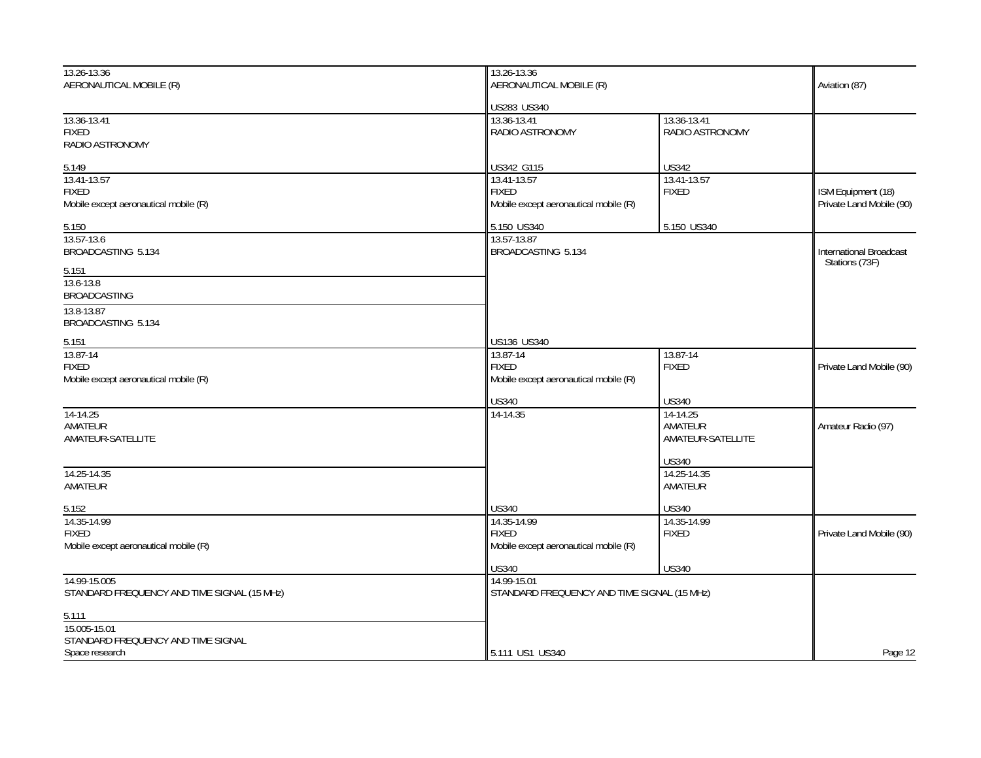| 13.26-13.36                                 | 13.26-13.36                                 |                   |                          |
|---------------------------------------------|---------------------------------------------|-------------------|--------------------------|
| AERONAUTICAL MOBILE (R)                     | AERONAUTICAL MOBILE (R)                     |                   | Aviation (87)            |
|                                             | US283 US340                                 |                   |                          |
| 13.36-13.41                                 | 13.36-13.41                                 | 13.36-13.41       |                          |
| <b>FIXED</b>                                | RADIO ASTRONOMY                             | RADIO ASTRONOMY   |                          |
| RADIO ASTRONOMY                             |                                             |                   |                          |
| 5.149                                       | US342 G115                                  | <b>US342</b>      |                          |
| 13.41-13.57                                 | 13.41-13.57                                 | 13.41-13.57       |                          |
| <b>FIXED</b>                                | <b>FIXED</b>                                | <b>FIXED</b>      | ISM Equipment (18)       |
| Mobile except aeronautical mobile (R)       | Mobile except aeronautical mobile (R)       |                   | Private Land Mobile (90) |
| 5.150                                       | 5.150 US340                                 | 5.150 US340       |                          |
| 13.57-13.6                                  | 13.57-13.87                                 |                   |                          |
| BROADCASTING 5.134                          | BROADCASTING 5.134                          |                   | International Broadcast  |
| 5.151                                       |                                             |                   | Stations (73F)           |
| 13.6-13.8                                   |                                             |                   |                          |
| <b>BROADCASTING</b>                         |                                             |                   |                          |
| 13.8-13.87                                  |                                             |                   |                          |
| BROADCASTING 5.134                          |                                             |                   |                          |
| 5.151                                       | US136 US340                                 |                   |                          |
| 13.87-14                                    | 13.87-14                                    | 13.87-14          |                          |
| <b>FIXED</b>                                | <b>FIXED</b>                                | <b>FIXED</b>      | Private Land Mobile (90) |
| Mobile except aeronautical mobile (R)       | Mobile except aeronautical mobile (R)       |                   |                          |
|                                             | <b>US340</b>                                | <b>US340</b>      |                          |
| 14-14.25                                    | 14-14.35                                    | 14-14.25          |                          |
| AMATEUR                                     |                                             | AMATEUR           | Amateur Radio (97)       |
| AMATEUR-SATELLITE                           |                                             | AMATEUR-SATELLITE |                          |
|                                             |                                             | <b>US340</b>      |                          |
| 14.25-14.35                                 |                                             | 14.25-14.35       |                          |
| AMATEUR                                     |                                             | AMATEUR           |                          |
| 5.152                                       | <b>US340</b>                                | <b>US340</b>      |                          |
| 14.35-14.99                                 | 14.35-14.99                                 | 14.35-14.99       |                          |
| <b>FIXED</b>                                | <b>FIXED</b>                                | <b>FIXED</b>      | Private Land Mobile (90) |
| Mobile except aeronautical mobile (R)       | Mobile except aeronautical mobile (R)       |                   |                          |
|                                             | <b>US340</b>                                | <b>US340</b>      |                          |
| 14.99-15.005                                | 14.99-15.01                                 |                   |                          |
| STANDARD FREQUENCY AND TIME SIGNAL (15 MHz) | STANDARD FREQUENCY AND TIME SIGNAL (15 MHz) |                   |                          |
| 5.111                                       |                                             |                   |                          |
| 15.005-15.01                                |                                             |                   |                          |
| STANDARD FREQUENCY AND TIME SIGNAL          |                                             |                   |                          |
| Space research                              | 5.111 US1 US340                             |                   | Page 12                  |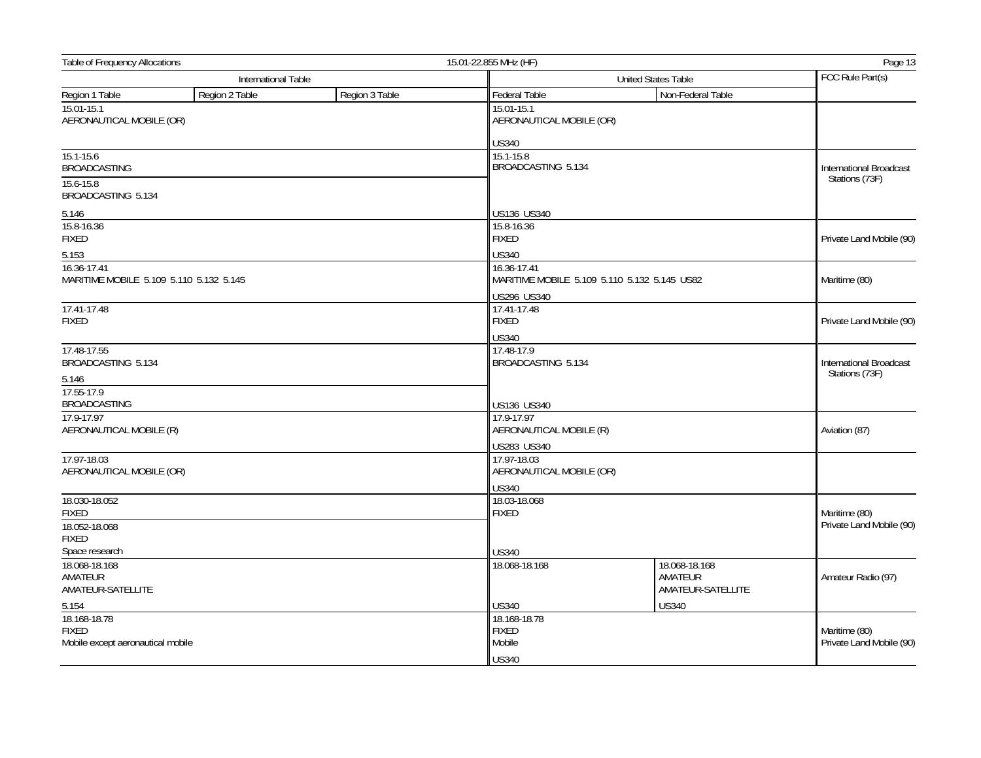| <b>Table of Frequency Allocations</b>                  |                     |                | 15.01-22.855 MHz (HF)                   |                                              |                                                  |
|--------------------------------------------------------|---------------------|----------------|-----------------------------------------|----------------------------------------------|--------------------------------------------------|
|                                                        | International Table |                |                                         | <b>United States Table</b>                   |                                                  |
| Region 1 Table                                         | Region 2 Table      | Region 3 Table | Federal Table                           | Non-Federal Table                            |                                                  |
| 15.01-15.1<br>AERONAUTICAL MOBILE (OR)                 |                     |                | 15.01-15.1<br>AERONAUTICAL MOBILE (OR)  |                                              |                                                  |
|                                                        |                     |                | <b>US340</b>                            |                                              |                                                  |
| $15.1 - 15.6$<br><b>BROADCASTING</b>                   |                     |                | 15.1-15.8<br>BROADCASTING 5.134         |                                              | International Broadcast<br>Stations (73F)        |
| 15.6-15.8<br>BROADCASTING 5.134                        |                     |                |                                         |                                              |                                                  |
| 5.146                                                  |                     |                | US136 US340                             |                                              |                                                  |
| 15.8-16.36<br><b>FIXED</b>                             |                     |                | 15.8-16.36<br><b>FIXED</b>              |                                              | Private Land Mobile (90)                         |
| 5.153                                                  |                     |                | <b>US340</b>                            |                                              |                                                  |
| 16.36-17.41<br>MARITIME MOBILE 5.109 5.110 5.132 5.145 |                     |                | 16.36-17.41                             | MARITIME MOBILE 5.109 5.110 5.132 5.145 US82 | Maritime (80)                                    |
|                                                        |                     |                | US296 US340                             |                                              |                                                  |
| 17.41-17.48<br><b>FIXED</b>                            |                     |                | 17.41-17.48<br><b>FIXED</b>             |                                              | Private Land Mobile (90)                         |
| 17.48-17.55                                            |                     |                | <b>US340</b><br>17.48-17.9              |                                              |                                                  |
| BROADCASTING 5.134                                     |                     |                | BROADCASTING 5.134                      |                                              | <b>International Broadcast</b><br>Stations (73F) |
| 5.146<br>17.55-17.9                                    |                     |                |                                         |                                              |                                                  |
| <b>BROADCASTING</b>                                    |                     |                | US136 US340                             |                                              |                                                  |
| 17.9-17.97                                             |                     |                | 17.9-17.97                              |                                              | Aviation (87)                                    |
| AERONAUTICAL MOBILE (R)                                |                     |                |                                         | AERONAUTICAL MOBILE (R)                      |                                                  |
|                                                        |                     |                | US283 US340                             |                                              |                                                  |
| 17.97-18.03<br>AERONAUTICAL MOBILE (OR)                |                     |                | 17.97-18.03<br>AERONAUTICAL MOBILE (OR) |                                              |                                                  |
|                                                        |                     |                | <b>US340</b>                            |                                              |                                                  |
| 18.030-18.052                                          |                     |                | 18.03-18.068                            |                                              |                                                  |
| <b>FIXED</b>                                           |                     |                | <b>FIXED</b>                            |                                              | Maritime (80)                                    |
| 18.052-18.068<br><b>FIXED</b>                          |                     |                |                                         |                                              | Private Land Mobile (90)                         |
| Space research                                         |                     |                | <b>US340</b>                            |                                              |                                                  |
| 18.068-18.168                                          |                     |                | 18.068-18.168                           | 18.068-18.168                                |                                                  |
| AMATEUR<br>AMATEUR-SATELLITE                           |                     |                |                                         | AMATEUR<br>AMATEUR-SATELLITE                 | Amateur Radio (97)                               |
| 5.154                                                  |                     |                | <b>US340</b>                            | <b>US340</b>                                 |                                                  |
| 18.168-18.78                                           |                     |                | 18.168-18.78                            |                                              |                                                  |
| <b>FIXED</b><br>Mobile except aeronautical mobile      |                     |                | <b>FIXED</b><br>Mobile                  |                                              | Maritime (80)<br>Private Land Mobile (90)        |
|                                                        |                     |                | <b>US340</b>                            |                                              |                                                  |
|                                                        |                     |                |                                         |                                              |                                                  |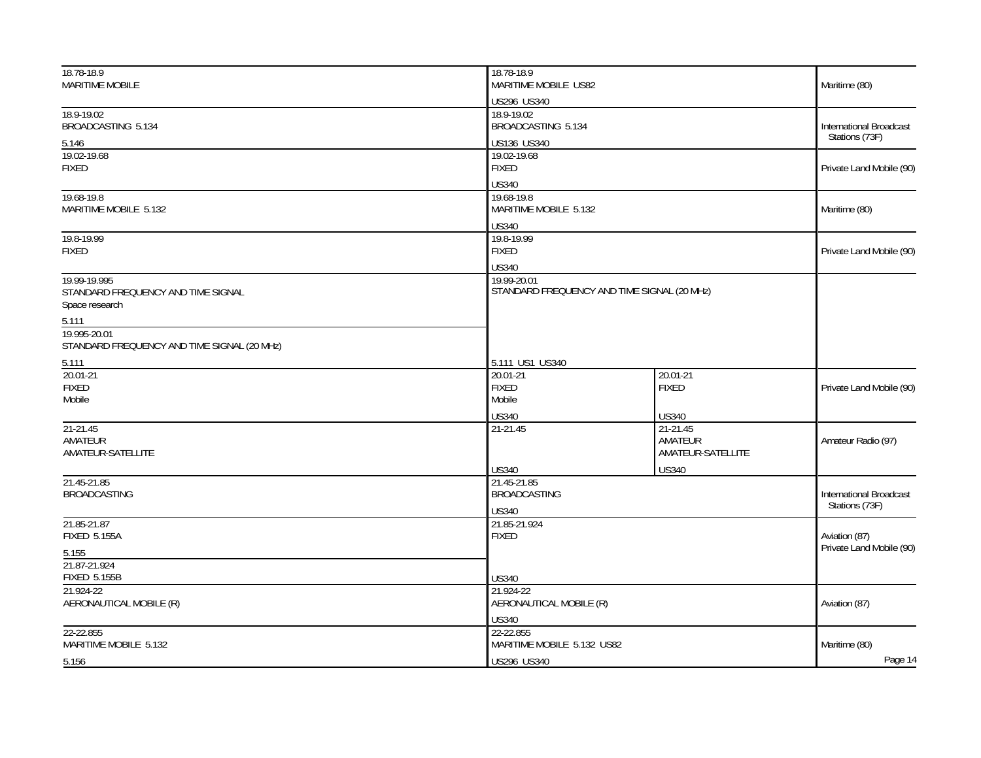| 18.78-18.9<br><b>MARITIME MOBILE</b>                                 | 18.78-18.9<br>MARITIME MOBILE US82                      |                                                          | Maritime (80)                                    |
|----------------------------------------------------------------------|---------------------------------------------------------|----------------------------------------------------------|--------------------------------------------------|
|                                                                      | US296 US340                                             |                                                          |                                                  |
| 18.9-19.02<br>BROADCASTING 5.134                                     | 18.9-19.02<br>BROADCASTING 5.134                        |                                                          | <b>International Broadcast</b><br>Stations (73F) |
| 5.146                                                                | US136 US340                                             |                                                          |                                                  |
| 19.02-19.68<br><b>FIXED</b>                                          | <b>FIXED</b>                                            | 19.02-19.68                                              |                                                  |
| 19.68-19.8<br>MARITIME MOBILE 5.132                                  | <b>US340</b><br>19.68-19.8<br>MARITIME MOBILE 5.132     |                                                          | Maritime (80)                                    |
|                                                                      | <b>US340</b>                                            |                                                          |                                                  |
| 19.8-19.99<br><b>FIXED</b>                                           | 19.8-19.99<br><b>FIXED</b>                              |                                                          | Private Land Mobile (90)                         |
| 19.99-19.995<br>STANDARD FREQUENCY AND TIME SIGNAL<br>Space research | <b>US340</b><br>19.99-20.01                             | STANDARD FREQUENCY AND TIME SIGNAL (20 MHz)              |                                                  |
| 5.111                                                                |                                                         |                                                          |                                                  |
| 19.995-20.01<br>STANDARD FREQUENCY AND TIME SIGNAL (20 MHz)          |                                                         |                                                          |                                                  |
| 5.111                                                                | 5.111 US1 US340                                         |                                                          |                                                  |
| 20.01-21<br><b>FIXED</b>                                             | $20.01 - 21$<br><b>FIXED</b>                            | 20.01-21<br><b>FIXED</b>                                 | Private Land Mobile (90)                         |
| Mobile                                                               | Mobile                                                  |                                                          |                                                  |
| 21-21.45<br>AMATEUR<br>AMATEUR-SATELLITE                             | <b>US340</b><br>21-21.45                                | <b>US340</b><br>21-21.45<br>AMATEUR<br>AMATEUR-SATELLITE | Amateur Radio (97)                               |
|                                                                      | <b>US340</b>                                            | <b>US340</b>                                             |                                                  |
| 21.45-21.85<br><b>BROADCASTING</b>                                   | 21.45-21.85<br><b>BROADCASTING</b><br><b>US340</b>      |                                                          | International Broadcast<br>Stations (73F)        |
| 21.85-21.87<br><b>FIXED 5.155A</b>                                   | 21.85-21.924<br><b>FIXED</b>                            |                                                          | Aviation (87)                                    |
| 5.155                                                                |                                                         |                                                          | Private Land Mobile (90)                         |
| 21.87-21.924<br><b>FIXED 5.155B</b>                                  | <b>US340</b>                                            |                                                          |                                                  |
| 21.924-22<br>AERONAUTICAL MOBILE (R)                                 | 21.924-22<br>AERONAUTICAL MOBILE (R)                    |                                                          | Aviation (87)                                    |
| 22-22.855<br>MARITIME MOBILE 5.132                                   | <b>US340</b><br>22-22.855<br>MARITIME MOBILE 5.132 US82 |                                                          | Maritime (80)                                    |
| 5.156                                                                | US296 US340                                             |                                                          | Page 14                                          |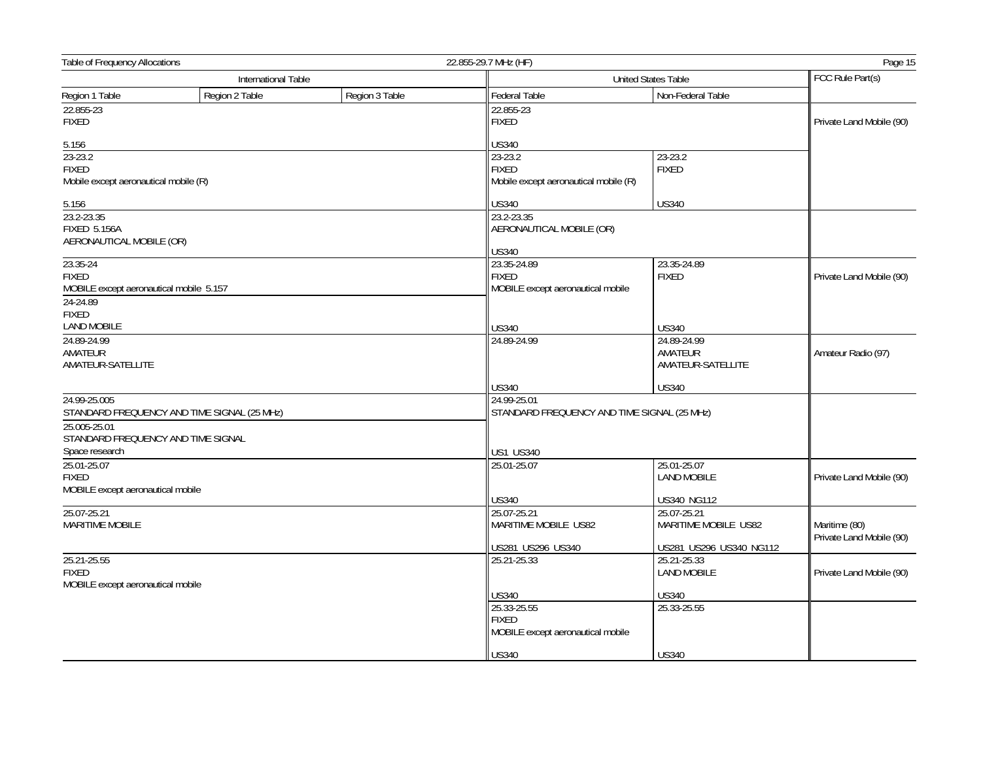| Table of Frequency Allocations                                                                  |                                             |                | 22.855-29.7 MHz (HF)<br>Page 15                                                  |                                             |                                           |
|-------------------------------------------------------------------------------------------------|---------------------------------------------|----------------|----------------------------------------------------------------------------------|---------------------------------------------|-------------------------------------------|
|                                                                                                 | International Table                         |                |                                                                                  | United States Table                         | FCC Rule Part(s)                          |
| Region 1 Table                                                                                  | Region 2 Table                              | Region 3 Table | <b>Federal Table</b>                                                             | Non-Federal Table                           |                                           |
| 22.855-23<br><b>FIXED</b>                                                                       |                                             |                | 22.855-23<br><b>FIXED</b>                                                        |                                             | Private Land Mobile (90)                  |
| 5.156                                                                                           |                                             |                | <b>US340</b>                                                                     |                                             |                                           |
| $23 - 23.2$<br><b>FIXED</b><br>Mobile except aeronautical mobile (R)                            |                                             |                | 23-23.2<br><b>FIXED</b><br>Mobile except aeronautical mobile (R)                 | 23-23.2<br><b>FIXED</b>                     |                                           |
| 5.156                                                                                           |                                             |                | <b>US340</b>                                                                     | <b>US340</b>                                |                                           |
| 23.2-23.35<br><b>FIXED 5.156A</b><br>AERONAUTICAL MOBILE (OR)                                   |                                             |                | 23.2-23.35<br>AERONAUTICAL MOBILE (OR)<br><b>US340</b>                           |                                             |                                           |
| 23.35-24<br><b>FIXED</b><br>MOBILE except aeronautical mobile 5.157<br>24-24.89<br><b>FIXED</b> |                                             |                | 23.35-24.89<br><b>FIXED</b><br>MOBILE except aeronautical mobile                 | 23.35-24.89<br><b>FIXED</b>                 | Private Land Mobile (90)                  |
| <b>LAND MOBILE</b>                                                                              |                                             |                | <b>US340</b>                                                                     | <b>US340</b>                                |                                           |
| 24.89-24.99<br>AMATEUR<br>AMATEUR-SATELLITE                                                     |                                             |                | 24.89-24.99                                                                      | 24.89-24.99<br>AMATEUR<br>AMATEUR-SATELLITE | Amateur Radio (97)                        |
|                                                                                                 |                                             |                | <b>US340</b>                                                                     | <b>US340</b>                                |                                           |
| 24.99-25.005<br>25.005-25.01<br>STANDARD FREQUENCY AND TIME SIGNAL<br>Space research            | STANDARD FREQUENCY AND TIME SIGNAL (25 MHz) |                | 24.99-25.01<br>STANDARD FREQUENCY AND TIME SIGNAL (25 MHz)<br><b>US1 US340</b>   |                                             |                                           |
| 25.01-25.07<br><b>FIXED</b><br>MOBILE except aeronautical mobile                                |                                             |                | 25.01-25.07                                                                      | 25.01-25.07<br><b>LAND MOBILE</b>           | Private Land Mobile (90)                  |
| 25.07-25.21                                                                                     |                                             |                | <b>US340</b><br>25.07-25.21                                                      | US340 NG112<br>25.07-25.21                  |                                           |
| <b>MARITIME MOBILE</b>                                                                          |                                             |                | MARITIME MOBILE US82                                                             | MARITIME MOBILE US82                        | Maritime (80)<br>Private Land Mobile (90) |
|                                                                                                 |                                             |                | US281 US296 US340                                                                | US281 US296 US340 NG112                     |                                           |
| 25.21-25.55<br><b>FIXED</b><br>MOBILE except aeronautical mobile                                |                                             |                | 25.21-25.33                                                                      | 25.21-25.33<br><b>LAND MOBILE</b>           | Private Land Mobile (90)                  |
|                                                                                                 |                                             |                | <b>US340</b><br>25.33-25.55<br><b>FIXED</b><br>MOBILE except aeronautical mobile | <b>US340</b><br>25.33-25.55                 |                                           |
|                                                                                                 |                                             |                | <b>US340</b>                                                                     | <b>US340</b>                                |                                           |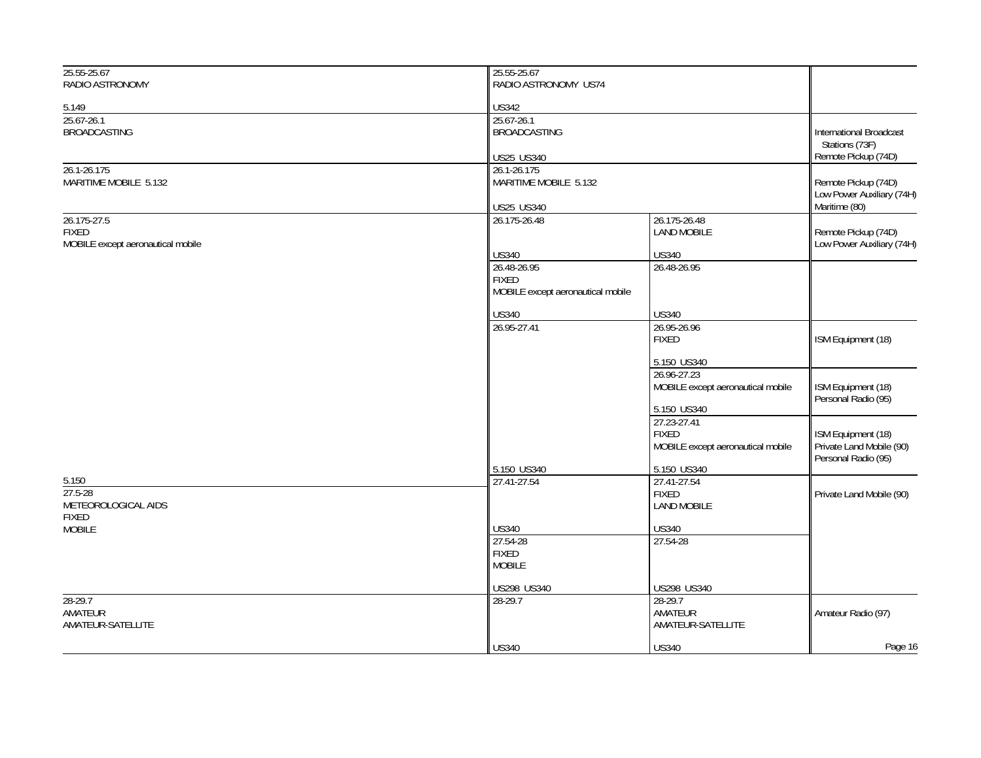| RADIO ASTRONOMY<br>RADIO ASTRONOMY US74<br><b>US342</b><br>5.149<br>25.67-26.1<br>25.67-26.1<br><b>BROADCASTING</b><br><b>BROADCASTING</b><br><b>International Broadcast</b><br>Stations (73F)<br>Remote Pickup (74D)<br><b>US25 US340</b><br>26.1-26.175<br>26.1-26.175<br>MARITIME MOBILE 5.132<br>MARITIME MOBILE 5.132<br>Remote Pickup (74D)<br>Low Power Auxiliary (74H)<br>Maritime (80)<br>US25 US340 |         |
|---------------------------------------------------------------------------------------------------------------------------------------------------------------------------------------------------------------------------------------------------------------------------------------------------------------------------------------------------------------------------------------------------------------|---------|
|                                                                                                                                                                                                                                                                                                                                                                                                               |         |
|                                                                                                                                                                                                                                                                                                                                                                                                               |         |
|                                                                                                                                                                                                                                                                                                                                                                                                               |         |
|                                                                                                                                                                                                                                                                                                                                                                                                               |         |
|                                                                                                                                                                                                                                                                                                                                                                                                               |         |
|                                                                                                                                                                                                                                                                                                                                                                                                               |         |
|                                                                                                                                                                                                                                                                                                                                                                                                               |         |
|                                                                                                                                                                                                                                                                                                                                                                                                               |         |
|                                                                                                                                                                                                                                                                                                                                                                                                               |         |
| 26.175-27.5<br>26.175-26.48<br>26.175-26.48                                                                                                                                                                                                                                                                                                                                                                   |         |
| <b>FIXED</b><br><b>LAND MOBILE</b><br>Remote Pickup (74D)                                                                                                                                                                                                                                                                                                                                                     |         |
| MOBILE except aeronautical mobile<br>Low Power Auxiliary (74H)<br><b>US340</b><br><b>US340</b>                                                                                                                                                                                                                                                                                                                |         |
| 26.48-26.95<br>26.48-26.95                                                                                                                                                                                                                                                                                                                                                                                    |         |
| <b>FIXED</b>                                                                                                                                                                                                                                                                                                                                                                                                  |         |
| MOBILE except aeronautical mobile                                                                                                                                                                                                                                                                                                                                                                             |         |
| <b>US340</b><br><b>US340</b>                                                                                                                                                                                                                                                                                                                                                                                  |         |
| 26.95-27.41<br>26.95-26.96                                                                                                                                                                                                                                                                                                                                                                                    |         |
| ISM Equipment (18)<br><b>FIXED</b>                                                                                                                                                                                                                                                                                                                                                                            |         |
|                                                                                                                                                                                                                                                                                                                                                                                                               |         |
| 5.150 US340<br>26.96-27.23                                                                                                                                                                                                                                                                                                                                                                                    |         |
| ISM Equipment (18)<br>MOBILE except aeronautical mobile                                                                                                                                                                                                                                                                                                                                                       |         |
| Personal Radio (95)                                                                                                                                                                                                                                                                                                                                                                                           |         |
| 5.150 US340                                                                                                                                                                                                                                                                                                                                                                                                   |         |
| 27.23-27.41                                                                                                                                                                                                                                                                                                                                                                                                   |         |
| ISM Equipment (18)<br><b>FIXED</b><br>Private Land Mobile (90)<br>MOBILE except aeronautical mobile                                                                                                                                                                                                                                                                                                           |         |
| Personal Radio (95)                                                                                                                                                                                                                                                                                                                                                                                           |         |
| 5.150 US340<br>5.150 US340                                                                                                                                                                                                                                                                                                                                                                                    |         |
| 5.150<br>27.41-27.54<br>27.41-27.54                                                                                                                                                                                                                                                                                                                                                                           |         |
| 27.5-28<br><b>FIXED</b><br>Private Land Mobile (90)<br>METEOROLOGICAL AIDS<br><b>LAND MOBILE</b>                                                                                                                                                                                                                                                                                                              |         |
| <b>FIXED</b>                                                                                                                                                                                                                                                                                                                                                                                                  |         |
| <b>US340</b><br><b>US340</b><br><b>MOBILE</b>                                                                                                                                                                                                                                                                                                                                                                 |         |
| 27.54-28<br>27.54-28                                                                                                                                                                                                                                                                                                                                                                                          |         |
| <b>FIXED</b><br><b>MOBILE</b>                                                                                                                                                                                                                                                                                                                                                                                 |         |
|                                                                                                                                                                                                                                                                                                                                                                                                               |         |
| US298 US340<br>US298 US340                                                                                                                                                                                                                                                                                                                                                                                    |         |
| $28-29.7$<br>28-29.7<br>28-29.7                                                                                                                                                                                                                                                                                                                                                                               |         |
| AMATEUR<br>AMATEUR<br>Amateur Radio (97)                                                                                                                                                                                                                                                                                                                                                                      |         |
| AMATEUR-SATELLITE<br>AMATEUR-SATELLITE                                                                                                                                                                                                                                                                                                                                                                        |         |
| <b>US340</b><br><b>US340</b>                                                                                                                                                                                                                                                                                                                                                                                  | Page 16 |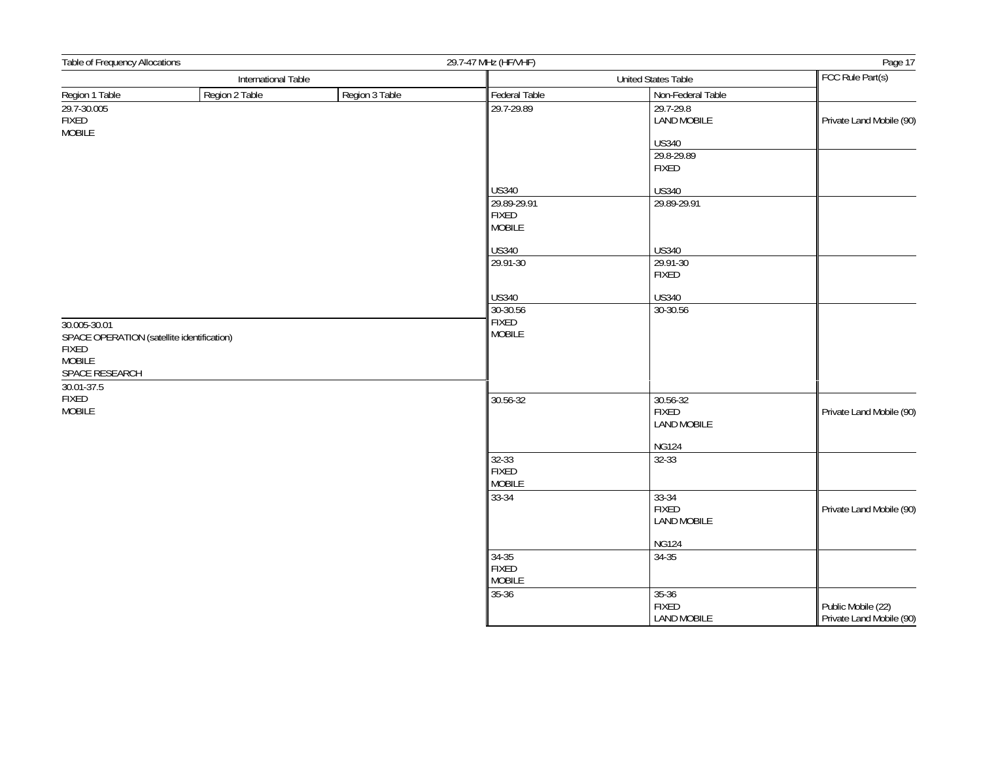| Table of Frequency Allocations                                                                                |                     | 29.7-47 MHz (HF/VHF) |                                                |                                                 |                                                |
|---------------------------------------------------------------------------------------------------------------|---------------------|----------------------|------------------------------------------------|-------------------------------------------------|------------------------------------------------|
|                                                                                                               | International Table |                      | United States Table                            |                                                 | FCC Rule Part(s)                               |
| Region 1 Table                                                                                                | Region 2 Table      | Region 3 Table       | Federal Table                                  | Non-Federal Table                               |                                                |
| 29.7-30.005<br>FIXED<br><b>MOBILE</b>                                                                         |                     |                      | 29.7-29.89                                     | 29.7-29.8<br><b>LAND MOBILE</b>                 | Private Land Mobile (90)                       |
|                                                                                                               |                     |                      |                                                | <b>US340</b>                                    |                                                |
|                                                                                                               |                     |                      |                                                | 29.8-29.89<br><b>FIXED</b>                      |                                                |
|                                                                                                               |                     |                      | <b>US340</b>                                   | <b>US340</b>                                    |                                                |
|                                                                                                               |                     |                      | 29.89-29.91<br><b>FIXED</b><br><b>MOBILE</b>   | 29.89-29.91                                     |                                                |
|                                                                                                               |                     |                      | <b>US340</b>                                   | <b>US340</b>                                    |                                                |
|                                                                                                               |                     |                      | 29.91-30                                       | 29.91-30<br><b>FIXED</b>                        |                                                |
|                                                                                                               |                     |                      | <b>US340</b>                                   | <b>US340</b>                                    |                                                |
|                                                                                                               |                     |                      | 30-30.56                                       | 30-30.56                                        |                                                |
| 30.005-30.01<br>SPACE OPERATION (satellite identification)<br><b>FIXED</b><br><b>MOBILE</b><br>SPACE RESEARCH |                     |                      | <b>FIXED</b><br><b>MOBILE</b>                  |                                                 |                                                |
| 30.01-37.5<br>FIXED<br><b>MOBILE</b>                                                                          |                     | 30.56-32             | 30.56-32<br><b>FIXED</b><br><b>LAND MOBILE</b> | Private Land Mobile (90)                        |                                                |
|                                                                                                               |                     |                      |                                                | <b>NG124</b>                                    |                                                |
|                                                                                                               |                     |                      | $32 - 33$<br><b>FIXED</b><br><b>MOBILE</b>     | 32-33                                           |                                                |
|                                                                                                               |                     |                      | 33-34                                          | $33-34$<br><b>FIXED</b><br><b>LAND MOBILE</b>   | Private Land Mobile (90)                       |
|                                                                                                               |                     |                      |                                                | <b>NG124</b>                                    |                                                |
|                                                                                                               |                     |                      | $34 - 35$<br><b>FIXED</b><br><b>MOBILE</b>     | $34 - 35$                                       |                                                |
|                                                                                                               |                     |                      | $35 - 36$                                      | $35 - 36$<br><b>FIXED</b><br><b>LAND MOBILE</b> | Public Mobile (22)<br>Private Land Mobile (90) |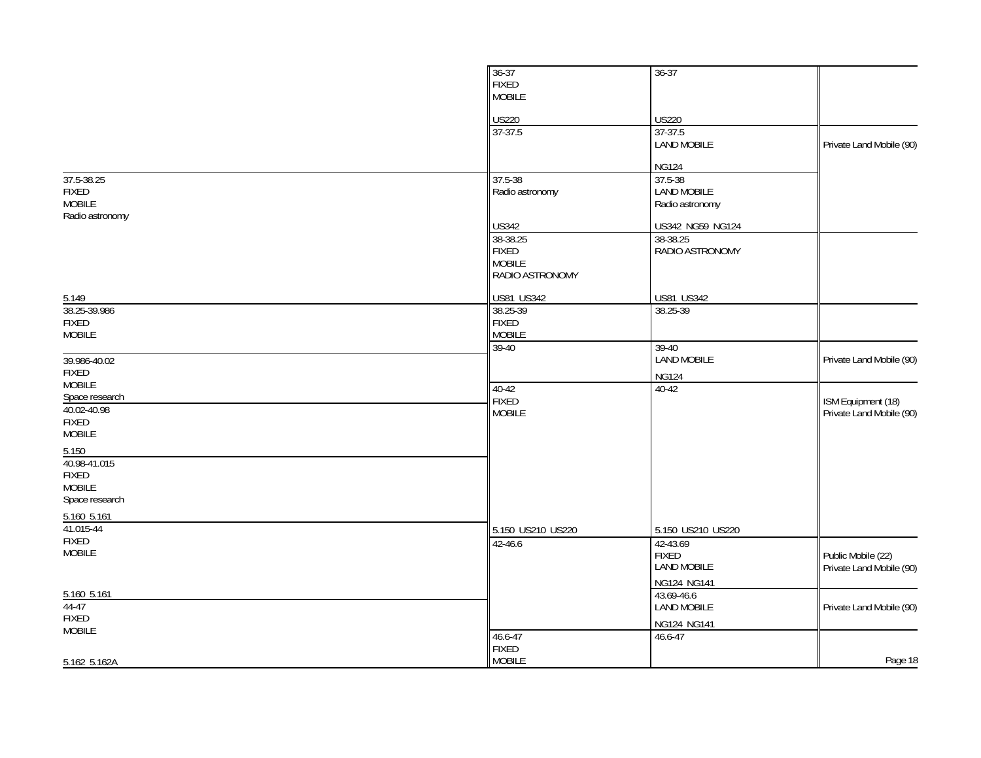|                                                                 | $36 - 37$<br><b>FIXED</b><br><b>MOBILE</b>                   | $36 - 37$                                      |                                                |
|-----------------------------------------------------------------|--------------------------------------------------------------|------------------------------------------------|------------------------------------------------|
|                                                                 | <b>US220</b>                                                 | <b>US220</b>                                   |                                                |
|                                                                 | 37-37.5                                                      | 37-37.5<br><b>LAND MOBILE</b>                  | Private Land Mobile (90)                       |
|                                                                 |                                                              | <b>NG124</b>                                   |                                                |
| 37.5-38.25<br><b>FIXED</b><br><b>MOBILE</b><br>Radio astronomy  | 37.5-38<br>Radio astronomy                                   | 37.5-38<br>LAND MOBILE<br>Radio astronomy      |                                                |
|                                                                 | <b>US342</b>                                                 | US342 NG59 NG124                               |                                                |
|                                                                 | 38-38.25<br><b>FIXED</b><br><b>MOBILE</b><br>RADIO ASTRONOMY | 38-38.25<br>RADIO ASTRONOMY                    |                                                |
| 5.149                                                           | <b>US81 US342</b>                                            | <b>US81 US342</b>                              |                                                |
| 38.25-39.986                                                    | 38.25-39                                                     | 38.25-39                                       |                                                |
| <b>FIXED</b><br><b>MOBILE</b>                                   | <b>FIXED</b><br><b>MOBILE</b>                                |                                                |                                                |
| 39.986-40.02                                                    | $39-40$                                                      | $39-40$<br><b>LAND MOBILE</b>                  | Private Land Mobile (90)                       |
| <b>FIXED</b>                                                    |                                                              | <b>NG124</b>                                   |                                                |
| <b>MOBILE</b><br>Space research                                 | $40 - 42$<br><b>FIXED</b>                                    | 40-42                                          | ISM Equipment (18)                             |
| 40.02-40.98<br><b>FIXED</b><br><b>MOBILE</b>                    | <b>MOBILE</b>                                                |                                                | Private Land Mobile (90)                       |
| 5.150                                                           |                                                              |                                                |                                                |
| 40.98-41.015<br><b>FIXED</b><br><b>MOBILE</b><br>Space research |                                                              |                                                |                                                |
| 5.160 5.161                                                     |                                                              |                                                |                                                |
| 41.015-44                                                       | 5.150 US210 US220                                            | 5.150 US210 US220                              |                                                |
| <b>FIXED</b><br><b>MOBILE</b>                                   | 42-46.6                                                      | 42-43.69<br><b>FIXED</b><br><b>LAND MOBILE</b> | Public Mobile (22)<br>Private Land Mobile (90) |
| 5.160 5.161                                                     |                                                              | NG124 NG141<br>43.69-46.6                      |                                                |
| $44-47$                                                         |                                                              | <b>LAND MOBILE</b>                             | Private Land Mobile (90)                       |
| <b>FIXED</b><br><b>MOBILE</b>                                   |                                                              | NG124 NG141                                    |                                                |
|                                                                 | 46.6-47<br><b>FIXED</b>                                      | $46.6 - 47$                                    |                                                |
| 5.162 5.162A                                                    | <b>MOBILE</b>                                                |                                                | Page 18                                        |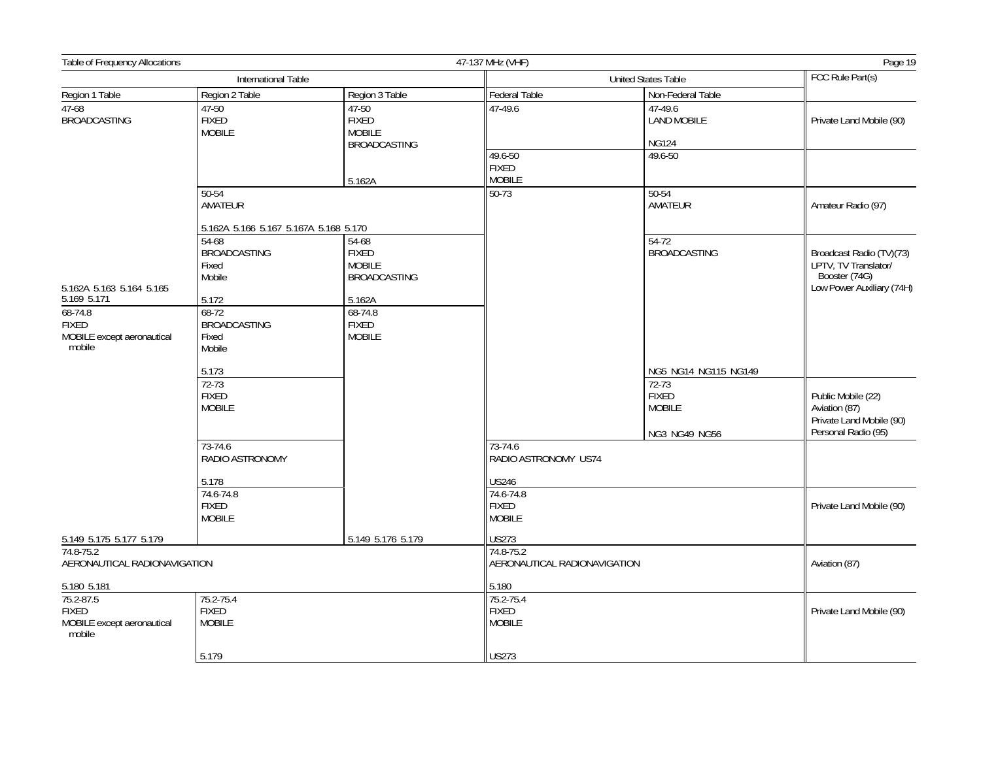| Table of Frequency Allocations                                                                       |                                                                                                                                              |                                                                                                                         | 47-137 MHz (VHF)<br>Page 19                                                                   |                                                                                 |                                                                                                |
|------------------------------------------------------------------------------------------------------|----------------------------------------------------------------------------------------------------------------------------------------------|-------------------------------------------------------------------------------------------------------------------------|-----------------------------------------------------------------------------------------------|---------------------------------------------------------------------------------|------------------------------------------------------------------------------------------------|
|                                                                                                      | International Table                                                                                                                          |                                                                                                                         | <b>United States Table</b>                                                                    |                                                                                 | FCC Rule Part(s)                                                                               |
| Region 1 Table                                                                                       | Region 2 Table                                                                                                                               | Region 3 Table                                                                                                          | Federal Table                                                                                 | Non-Federal Table                                                               |                                                                                                |
| $47-68$<br><b>BROADCASTING</b>                                                                       | 47-50<br><b>FIXED</b><br><b>MOBILE</b>                                                                                                       | 47-50<br><b>FIXED</b><br><b>MOBILE</b><br><b>BROADCASTING</b>                                                           | 47-49.6                                                                                       | 47-49.6<br><b>LAND MOBILE</b><br><b>NG124</b>                                   | Private Land Mobile (90)                                                                       |
|                                                                                                      |                                                                                                                                              | 5.162A                                                                                                                  | 49.6-50<br><b>FIXED</b><br><b>MOBILE</b>                                                      | 49.6-50                                                                         |                                                                                                |
|                                                                                                      | $50 - 54$<br>AMATEUR                                                                                                                         |                                                                                                                         | $50-73$                                                                                       | $50 - 54$<br>AMATEUR                                                            | Amateur Radio (97)                                                                             |
| 5.162A 5.163 5.164 5.165<br>5.169 5.171<br>$68 - 74.8$<br><b>FIXED</b><br>MOBILE except aeronautical | 5.162A 5.166 5.167 5.167A 5.168 5.170<br>54-68<br><b>BROADCASTING</b><br>Fixed<br>Mobile<br>5.172<br>$68-72$<br><b>BROADCASTING</b><br>Fixed | $54 - 68$<br><b>FIXED</b><br><b>MOBILE</b><br><b>BROADCASTING</b><br>5.162A<br>68-74.8<br><b>FIXED</b><br><b>MOBILE</b> |                                                                                               | $54-72$<br><b>BROADCASTING</b>                                                  | Broadcast Radio (TV)(73)<br>LPTV, TV Translator/<br>Booster (74G)<br>Low Power Auxiliary (74H) |
| mobile                                                                                               | Mobile<br>5.173<br>$72 - 73$<br><b>FIXED</b><br><b>MOBILE</b>                                                                                |                                                                                                                         |                                                                                               | NG5 NG14 NG115 NG149<br>72-73<br><b>FIXED</b><br><b>MOBILE</b><br>NG3 NG49 NG56 | Public Mobile (22)<br>Aviation (87)<br>Private Land Mobile (90)<br>Personal Radio (95)         |
|                                                                                                      | 73-74.6<br>RADIO ASTRONOMY<br>5.178<br>74.6-74.8<br><b>FIXED</b><br><b>MOBILE</b>                                                            |                                                                                                                         | 73-74.6<br>RADIO ASTRONOMY US74<br><b>US246</b><br>74.6-74.8<br><b>FIXED</b><br><b>MOBILE</b> |                                                                                 | Private Land Mobile (90)                                                                       |
| 5.149 5.175 5.177 5.179                                                                              |                                                                                                                                              | 5.149 5.176 5.179                                                                                                       | <b>US273</b>                                                                                  |                                                                                 |                                                                                                |
| 74.8-75.2<br>AERONAUTICAL RADIONAVIGATION                                                            |                                                                                                                                              |                                                                                                                         | 74.8-75.2<br>AERONAUTICAL RADIONAVIGATION                                                     |                                                                                 | Aviation (87)                                                                                  |
| 5.180 5.181<br>75.2-87.5<br><b>FIXED</b><br>MOBILE except aeronautical<br>mobile                     | 75.2-75.4<br><b>FIXED</b><br><b>MOBILE</b>                                                                                                   |                                                                                                                         | 5.180<br>75.2-75.4<br><b>FIXED</b><br><b>MOBILE</b>                                           |                                                                                 | Private Land Mobile (90)                                                                       |
|                                                                                                      | 5.179                                                                                                                                        |                                                                                                                         | <b>US273</b>                                                                                  |                                                                                 |                                                                                                |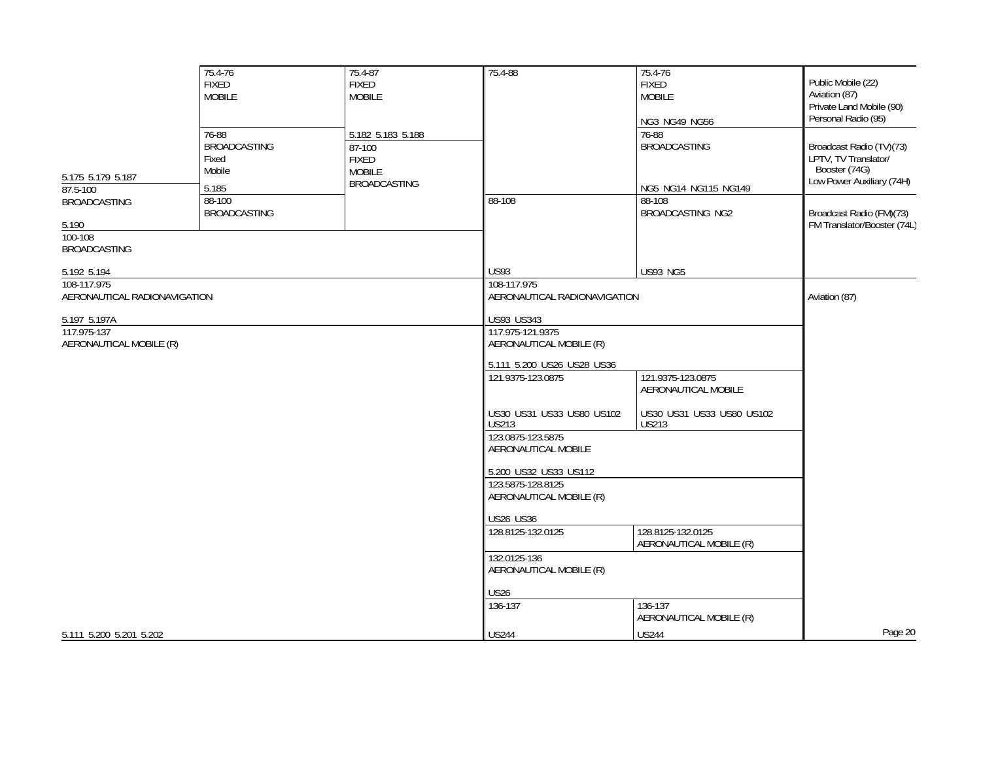|                                                                | 75.4-76<br><b>FIXED</b><br><b>MOBILE</b><br>76-88 | 75.4-87<br><b>FIXED</b><br><b>MOBILE</b><br>5.182 5.183 5.188  | 75.4-88                                   | 75.4-76<br><b>FIXED</b><br><b>MOBILE</b><br>NG3 NG49 NG56<br>76-88 | Public Mobile (22)<br>Aviation (87)<br>Private Land Mobile (90)<br>Personal Radio (95)         |
|----------------------------------------------------------------|---------------------------------------------------|----------------------------------------------------------------|-------------------------------------------|--------------------------------------------------------------------|------------------------------------------------------------------------------------------------|
| 5.175 5.179 5.187<br>87.5-100                                  | <b>BROADCASTING</b><br>Fixed<br>Mobile<br>5.185   | 87-100<br><b>FIXED</b><br><b>MOBILE</b><br><b>BROADCASTING</b> |                                           | <b>BROADCASTING</b><br>NG5 NG14 NG115 NG149                        | Broadcast Radio (TV)(73)<br>LPTV, TV Translator/<br>Booster (74G)<br>Low Power Auxiliary (74H) |
| <b>BROADCASTING</b><br>5.190<br>100-108<br><b>BROADCASTING</b> | 88-100<br><b>BROADCASTING</b>                     |                                                                | 88-108                                    | 88-108<br><b>BROADCASTING NG2</b>                                  | Broadcast Radio (FM)(73)<br>FM Translator/Booster (74L)                                        |
|                                                                |                                                   |                                                                | <b>US93</b>                               | <b>US93 NG5</b>                                                    |                                                                                                |
| 5.192 5.194<br>108-117.975                                     |                                                   |                                                                | 108-117.975                               |                                                                    |                                                                                                |
| AERONAUTICAL RADIONAVIGATION                                   |                                                   |                                                                | AERONAUTICAL RADIONAVIGATION              |                                                                    | Aviation (87)                                                                                  |
| 5.197 5.197A                                                   |                                                   |                                                                | US93 US343                                |                                                                    |                                                                                                |
| 117.975-137                                                    |                                                   |                                                                | 117.975-121.9375                          |                                                                    |                                                                                                |
| AERONAUTICAL MOBILE (R)                                        |                                                   |                                                                | AERONAUTICAL MOBILE (R)                   |                                                                    |                                                                                                |
|                                                                |                                                   |                                                                | 5.111 5.200 US26 US28 US36                |                                                                    |                                                                                                |
|                                                                |                                                   |                                                                | 121.9375-123.0875                         | 121.9375-123.0875<br>AERONAUTICAL MOBILE                           |                                                                                                |
|                                                                |                                                   |                                                                | US30 US31 US33 US80 US102<br><b>US213</b> | US30 US31 US33 US80 US102<br><b>US213</b>                          |                                                                                                |
|                                                                |                                                   |                                                                | 123.0875-123.5875<br>AERONAUTICAL MOBILE  |                                                                    |                                                                                                |
|                                                                |                                                   |                                                                | 5.200 US32 US33 US112                     |                                                                    |                                                                                                |
|                                                                |                                                   |                                                                | 123.5875-128.8125                         |                                                                    |                                                                                                |
|                                                                |                                                   |                                                                | AERONAUTICAL MOBILE (R)                   |                                                                    |                                                                                                |
|                                                                |                                                   |                                                                | <b>US26 US36</b>                          |                                                                    |                                                                                                |
|                                                                |                                                   |                                                                | 128.8125-132.0125                         | 128.8125-132.0125<br>AERONAUTICAL MOBILE (R)                       |                                                                                                |
|                                                                |                                                   |                                                                | 132.0125-136<br>AERONAUTICAL MOBILE (R)   |                                                                    |                                                                                                |
|                                                                |                                                   |                                                                | US26                                      |                                                                    |                                                                                                |
|                                                                |                                                   |                                                                | 136-137                                   | 136-137<br>AERONAUTICAL MOBILE (R)                                 |                                                                                                |
| 5.111 5.200 5.201 5.202                                        |                                                   |                                                                | <b>US244</b>                              | <b>US244</b>                                                       | Page 20                                                                                        |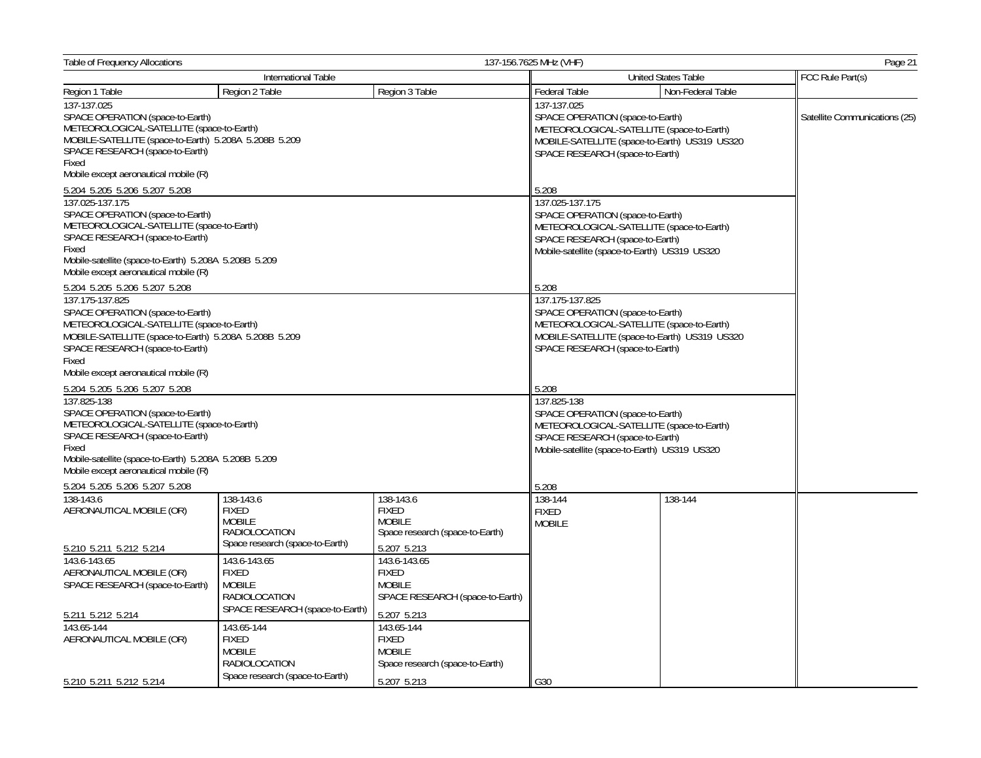| Table of Frequency Allocations<br>137-156.7625 MHz (VHF)                                                                                                                                                                                       |                                                                                          |                                                                                 |                                                                                                                                                                                      |                            | Page 21                       |
|------------------------------------------------------------------------------------------------------------------------------------------------------------------------------------------------------------------------------------------------|------------------------------------------------------------------------------------------|---------------------------------------------------------------------------------|--------------------------------------------------------------------------------------------------------------------------------------------------------------------------------------|----------------------------|-------------------------------|
|                                                                                                                                                                                                                                                | International Table                                                                      |                                                                                 |                                                                                                                                                                                      | <b>United States Table</b> | FCC Rule Part(s)              |
| Region 1 Table                                                                                                                                                                                                                                 | Region 2 Table                                                                           | Region 3 Table                                                                  | <b>Federal Table</b>                                                                                                                                                                 | Non-Federal Table          |                               |
| 137-137.025<br>SPACE OPERATION (space-to-Earth)<br>METEOROLOGICAL-SATELLITE (space-to-Earth)<br>MOBILE-SATELLITE (space-to-Earth) 5.208A 5.208B 5.209<br>SPACE RESEARCH (space-to-Earth)<br>Fixed<br>Mobile except aeronautical mobile (R)     |                                                                                          |                                                                                 | 137-137.025<br>SPACE OPERATION (space-to-Earth)<br>METEOROLOGICAL-SATELLITE (space-to-Earth)<br>MOBILE-SATELLITE (space-to-Earth) US319 US320<br>SPACE RESEARCH (space-to-Earth)     |                            | Satellite Communications (25) |
| 5.204 5.205 5.206 5.207 5.208                                                                                                                                                                                                                  |                                                                                          |                                                                                 | 5.208                                                                                                                                                                                |                            |                               |
| 137.025-137.175<br>SPACE OPERATION (space-to-Earth)<br>METEOROLOGICAL-SATELLITE (space-to-Earth)<br>SPACE RESEARCH (space-to-Earth)<br>Fixed<br>Mobile-satellite (space-to-Earth) 5.208A 5.208B 5.209<br>Mobile except aeronautical mobile (R) |                                                                                          |                                                                                 | 137.025-137.175<br>SPACE OPERATION (space-to-Earth)<br>METEOROLOGICAL-SATELLITE (space-to-Earth)<br>SPACE RESEARCH (space-to-Earth)<br>Mobile-satellite (space-to-Earth) US319 US320 |                            |                               |
| 5.204 5.205 5.206 5.207 5.208                                                                                                                                                                                                                  |                                                                                          |                                                                                 | 5.208                                                                                                                                                                                |                            |                               |
| 137.175-137.825<br>SPACE OPERATION (space-to-Earth)<br>METEOROLOGICAL-SATELLITE (space-to-Earth)<br>MOBILE-SATELLITE (space-to-Earth) 5.208A 5.208B 5.209<br>SPACE RESEARCH (space-to-Earth)<br>Fixed<br>Mobile except aeronautical mobile (R) |                                                                                          |                                                                                 | 137.175-137.825<br>SPACE OPERATION (space-to-Earth)<br>METEOROLOGICAL-SATELLITE (space-to-Earth)<br>MOBILE-SATELLITE (space-to-Earth) US319 US320<br>SPACE RESEARCH (space-to-Earth) |                            |                               |
| 5.204 5.205 5.206 5.207 5.208                                                                                                                                                                                                                  |                                                                                          |                                                                                 | 5.208                                                                                                                                                                                |                            |                               |
| 137.825-138<br>SPACE OPERATION (space-to-Earth)<br>METEOROLOGICAL-SATELLITE (space-to-Earth)<br>SPACE RESEARCH (space-to-Earth)<br>Fixed<br>Mobile-satellite (space-to-Earth) 5.208A 5.208B 5.209<br>Mobile except aeronautical mobile (R)     |                                                                                          |                                                                                 | 137.825-138<br>SPACE OPERATION (space-to-Earth)<br>METEOROLOGICAL-SATELLITE (space-to-Earth)<br>SPACE RESEARCH (space-to-Earth)<br>Mobile-satellite (space-to-Earth) US319 US320     |                            |                               |
| 5.204 5.205 5.206 5.207 5.208<br>138-143.6                                                                                                                                                                                                     | 138-143.6                                                                                |                                                                                 | 5.208<br>138-144                                                                                                                                                                     | 138-144                    |                               |
| AERONAUTICAL MOBILE (OR)                                                                                                                                                                                                                       | <b>FIXED</b><br><b>MOBILE</b><br><b>RADIOLOCATION</b><br>Space research (space-to-Earth) | 138-143.6<br><b>FIXED</b><br><b>MOBILE</b><br>Space research (space-to-Earth)   | <b>FIXED</b><br><b>MOBILE</b>                                                                                                                                                        |                            |                               |
| 5.210 5.211 5.212 5.214<br>143.6-143.65                                                                                                                                                                                                        | 143.6-143.65                                                                             | 5.207 5.213<br>143.6-143.65                                                     |                                                                                                                                                                                      |                            |                               |
| AERONAUTICAL MOBILE (OR)<br>SPACE RESEARCH (space-to-Earth)<br>5.211 5.212 5.214                                                                                                                                                               | <b>FIXED</b><br><b>MOBILE</b><br>RADIOLOCATION<br>SPACE RESEARCH (space-to-Earth)        | <b>FIXED</b><br><b>MOBILE</b><br>SPACE RESEARCH (space-to-Earth)<br>5.207 5.213 |                                                                                                                                                                                      |                            |                               |
| 143.65-144                                                                                                                                                                                                                                     | 143.65-144                                                                               | 143.65-144                                                                      |                                                                                                                                                                                      |                            |                               |
| AERONAUTICAL MOBILE (OR)                                                                                                                                                                                                                       | <b>FIXED</b><br><b>MOBILE</b><br>RADIOLOCATION                                           | <b>FIXED</b><br><b>MOBILE</b><br>Space research (space-to-Earth)                |                                                                                                                                                                                      |                            |                               |
| 5.210 5.211 5.212 5.214                                                                                                                                                                                                                        | Space research (space-to-Earth)                                                          | 5.207 5.213                                                                     | G30                                                                                                                                                                                  |                            |                               |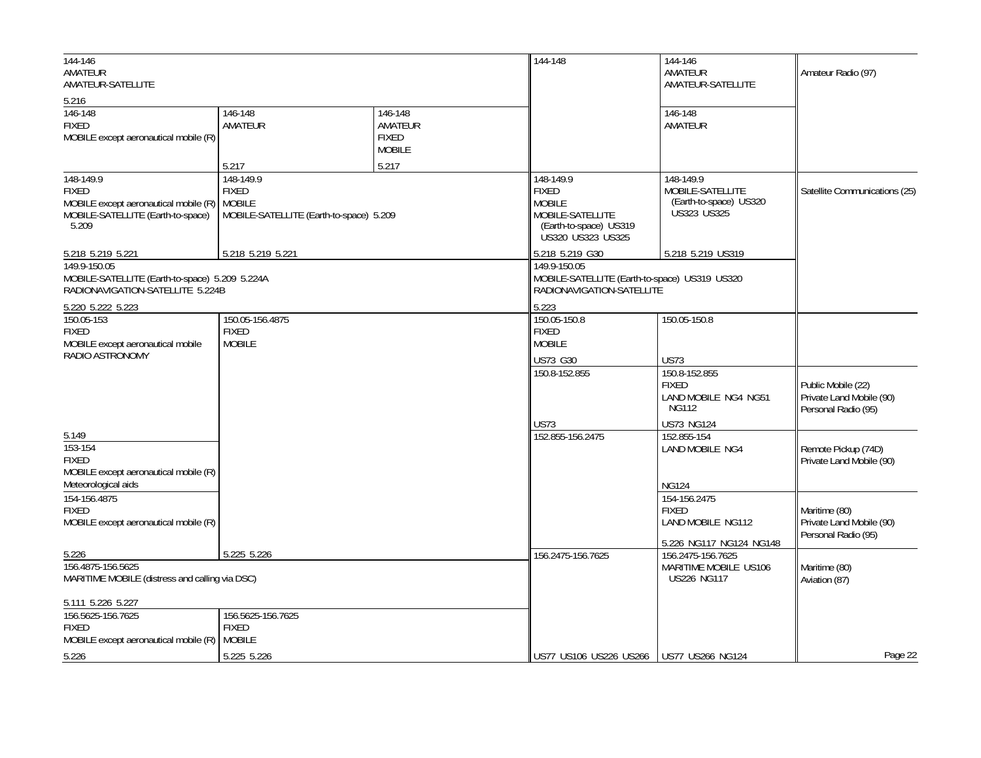| 144-146<br>AMATEUR<br>AMATEUR-SATELLITE                                                                                 |                                                                                       | 144-148                                                      | 144-146<br>AMATEUR<br>AMATEUR-SATELLITE                                                                       | Amateur Radio (97)                                                                           |                                                                       |
|-------------------------------------------------------------------------------------------------------------------------|---------------------------------------------------------------------------------------|--------------------------------------------------------------|---------------------------------------------------------------------------------------------------------------|----------------------------------------------------------------------------------------------|-----------------------------------------------------------------------|
| 5.216<br>146-148<br><b>FIXED</b><br>MOBILE except aeronautical mobile (R)                                               | 146-148<br>AMATEUR<br>5.217                                                           | 146-148<br>AMATEUR<br><b>FIXED</b><br><b>MOBILE</b><br>5.217 |                                                                                                               | 146-148<br>AMATEUR                                                                           |                                                                       |
| 148-149.9<br><b>FIXED</b><br>MOBILE except aeronautical mobile (R)<br>MOBILE-SATELLITE (Earth-to-space)<br>5.209        | 148-149.9<br><b>FIXED</b><br><b>MOBILE</b><br>MOBILE-SATELLITE (Earth-to-space) 5.209 |                                                              | 148-149.9<br><b>FIXED</b><br><b>MOBILE</b><br>MOBILE-SATELLITE<br>(Earth-to-space) US319<br>US320 US323 US325 | 148-149.9<br>MOBILE-SATELLITE<br>(Earth-to-space) US320<br><b>US323 US325</b>                | Satellite Communications (25)                                         |
| 5.218 5.219 5.221<br>149.9-150.05<br>MOBILE-SATELLITE (Earth-to-space) 5.209 5.224A<br>RADIONAVIGATION-SATELLITE 5.224B | 5.218 5.219 5.221                                                                     |                                                              | 5.218 5.219 G30<br>149.9-150.05<br>MOBILE-SATELLITE (Earth-to-space) US319 US320<br>RADIONAVIGATION-SATELLITE | 5.218 5.219 US319                                                                            |                                                                       |
| 5.220 5.222 5.223<br>150.05-153<br><b>FIXED</b><br>MOBILE except aeronautical mobile<br>RADIO ASTRONOMY                 | 150.05-156.4875<br><b>FIXED</b><br><b>MOBILE</b>                                      |                                                              | 5.223<br>150.05-150.8<br><b>FIXED</b><br><b>MOBILE</b><br>US73 G30                                            | 150.05-150.8<br><b>US73</b>                                                                  |                                                                       |
|                                                                                                                         |                                                                                       |                                                              | 150.8-152.855                                                                                                 | 150.8-152.855<br><b>FIXED</b><br>LAND MOBILE NG4 NG51<br><b>NG112</b>                        | Public Mobile (22)<br>Private Land Mobile (90)<br>Personal Radio (95) |
| 5.149<br>153-154<br><b>FIXED</b><br>MOBILE except aeronautical mobile (R)                                               |                                                                                       |                                                              | <b>US73</b><br>152.855-156.2475                                                                               | <b>US73 NG124</b><br>152.855-154<br><b>LAND MOBILE NG4</b>                                   | Remote Pickup (74D)<br>Private Land Mobile (90)                       |
| Meteorological aids<br>154-156.4875<br><b>FIXED</b><br>MOBILE except aeronautical mobile (R)                            |                                                                                       |                                                              |                                                                                                               | <b>NG124</b><br>154-156.2475<br><b>FIXED</b><br>LAND MOBILE NG112<br>5.226 NG117 NG124 NG148 | Maritime (80)<br>Private Land Mobile (90)<br>Personal Radio (95)      |
| 5.226<br>156.4875-156.5625<br>MARITIME MOBILE (distress and calling via DSC)                                            | 5.225 5.226                                                                           |                                                              | 156.2475-156.7625                                                                                             | 156.2475-156.7625<br>MARITIME MOBILE US106<br><b>US226 NG117</b>                             | Maritime (80)<br>Aviation (87)                                        |
| 5.111 5.226 5.227<br>156.5625-156.7625<br><b>FIXED</b><br>MOBILE except aeronautical mobile (R) MOBILE                  | 156.5625-156.7625<br><b>FIXED</b>                                                     |                                                              |                                                                                                               |                                                                                              |                                                                       |
| 5.226                                                                                                                   | 5.225 5.226                                                                           |                                                              | US77 US106 US226 US266   US77 US266 NG124                                                                     |                                                                                              | Page 22                                                               |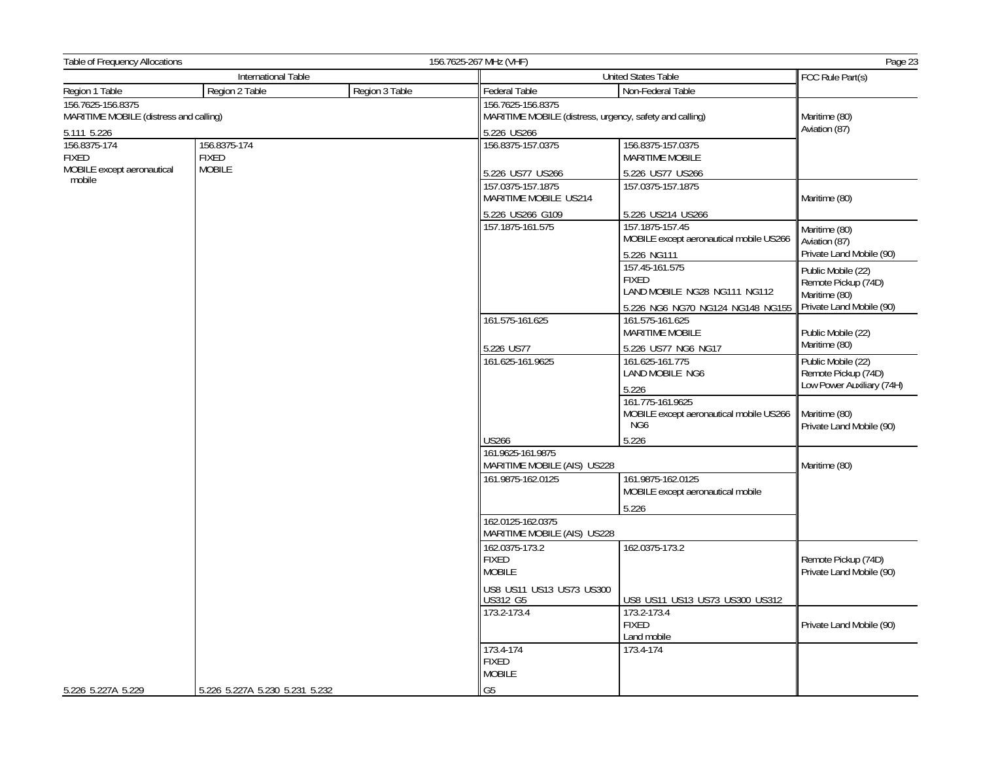| Table of Frequency Allocations         |                                |                                                 | 156.7625-267 MHz (VHF)                                     |                                                                    |                                                                        |  |
|----------------------------------------|--------------------------------|-------------------------------------------------|------------------------------------------------------------|--------------------------------------------------------------------|------------------------------------------------------------------------|--|
|                                        | International Table            |                                                 | United States Table                                        |                                                                    | FCC Rule Part(s)                                                       |  |
| Region 1 Table                         | Region 2 Table                 | Region 3 Table                                  | Federal Table                                              | Non-Federal Table                                                  |                                                                        |  |
| 156.7625-156.8375                      |                                |                                                 | 156.7625-156.8375                                          |                                                                    |                                                                        |  |
| MARITIME MOBILE (distress and calling) |                                |                                                 | MARITIME MOBILE (distress, urgency, safety and calling)    |                                                                    | Maritime (80)<br>Aviation (87)                                         |  |
| 5.111 5.226                            |                                |                                                 | 5.226 US266                                                |                                                                    |                                                                        |  |
| 156.8375-174<br><b>FIXED</b>           | 156.8375-174<br><b>FIXED</b>   |                                                 | 156.8375-157.0375                                          | 156.8375-157.0375<br>MARITIME MOBILE                               |                                                                        |  |
| MOBILE except aeronautical<br>mobile   | <b>MOBILE</b>                  |                                                 | 5.226 US77 US266                                           | 5.226 US77 US266                                                   |                                                                        |  |
|                                        |                                |                                                 | 157.0375-157.1875<br>MARITIME MOBILE US214                 | 157.0375-157.1875                                                  | Maritime (80)                                                          |  |
|                                        |                                |                                                 | 5.226 US266 G109                                           | 5.226 US214 US266                                                  |                                                                        |  |
|                                        |                                | 157.1875-161.575                                | 157.1875-157.45<br>MOBILE except aeronautical mobile US266 | Maritime (80)<br>Aviation (87)                                     |                                                                        |  |
|                                        |                                |                                                 |                                                            | 5.226 NG111                                                        | Private Land Mobile (90)                                               |  |
|                                        |                                |                                                 |                                                            | 157.45-161.575<br><b>FIXED</b><br>LAND MOBILE NG28 NG111 NG112     | Public Mobile (22)<br>Remote Pickup (74D)<br>Maritime (80)             |  |
|                                        |                                |                                                 |                                                            | 5.226 NG6 NG70 NG124 NG148 NG155                                   | Private Land Mobile (90)                                               |  |
|                                        |                                |                                                 | 161.575-161.625                                            | 161.575-161.625<br>MARITIME MOBILE                                 | Public Mobile (22)                                                     |  |
|                                        |                                |                                                 | 5.226 US77                                                 | 5.226 US77 NG6 NG17                                                | Maritime (80)                                                          |  |
|                                        |                                |                                                 | 161.625-161.9625                                           | 161.625-161.775<br>LAND MOBILE NG6<br>5.226                        | Public Mobile (22)<br>Remote Pickup (74D)<br>Low Power Auxiliary (74H) |  |
|                                        |                                |                                                 |                                                            | 161.775-161.9625<br>MOBILE except aeronautical mobile US266<br>NG6 | Maritime (80)<br>Private Land Mobile (90)                              |  |
|                                        |                                |                                                 | <b>US266</b>                                               | 5.226                                                              |                                                                        |  |
|                                        |                                |                                                 | 161.9625-161.9875<br>MARITIME MOBILE (AIS) US228           |                                                                    |                                                                        |  |
|                                        |                                |                                                 | 161.9875-162.0125                                          | 161.9875-162.0125<br>MOBILE except aeronautical mobile             |                                                                        |  |
|                                        |                                |                                                 |                                                            | 5.226                                                              |                                                                        |  |
|                                        |                                |                                                 | 162.0125-162.0375<br>MARITIME MOBILE (AIS) US228           |                                                                    |                                                                        |  |
|                                        |                                | 162.0375-173.2<br><b>FIXED</b><br><b>MOBILE</b> | 162.0375-173.2                                             | Remote Pickup (74D)<br>Private Land Mobile (90)                    |                                                                        |  |
|                                        |                                | US8 US11 US13 US73 US300<br><b>US312 G5</b>     | US8 US11 US13 US73 US300 US312                             |                                                                    |                                                                        |  |
|                                        |                                |                                                 | 173.2-173.4                                                | 173.2-173.4<br><b>FIXED</b><br>Land mobile                         | Private Land Mobile (90)                                               |  |
|                                        |                                |                                                 | 173.4-174<br><b>FIXED</b><br><b>MOBILE</b>                 | 173.4-174                                                          |                                                                        |  |
| 5.226 5.227A 5.229                     | 5.226 5.227A 5.230 5.231 5.232 |                                                 | G <sub>5</sub>                                             |                                                                    |                                                                        |  |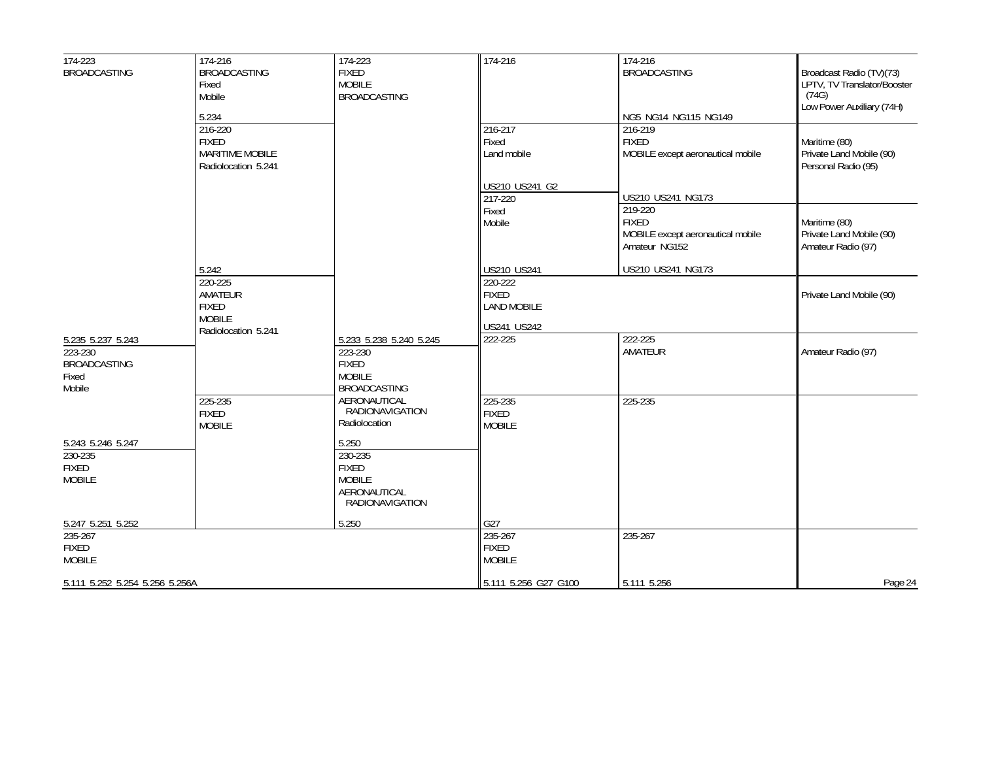| $174 - 223$                                                            | 174-216                                                                  | 174-223                                                                                     | 174-216                                       | 174-216                                                                                            |                                                                  |
|------------------------------------------------------------------------|--------------------------------------------------------------------------|---------------------------------------------------------------------------------------------|-----------------------------------------------|----------------------------------------------------------------------------------------------------|------------------------------------------------------------------|
| <b>BROADCASTING</b>                                                    | <b>BROADCASTING</b><br>Fixed<br>Mobile                                   | <b>FIXED</b><br><b>MOBILE</b><br><b>BROADCASTING</b>                                        |                                               | <b>BROADCASTING</b>                                                                                | Broadcast Radio (TV)(73)<br>LPTV, TV Translator/Booster<br>(74G) |
|                                                                        | 5.234                                                                    |                                                                                             |                                               | NG5 NG14 NG115 NG149                                                                               | Low Power Auxiliary (74H)                                        |
|                                                                        | 216-220<br><b>FIXED</b><br><b>MARITIME MOBILE</b><br>Radiolocation 5.241 |                                                                                             | 216-217<br>Fixed<br>Land mobile               | $216 - 219$<br><b>FIXED</b><br>MOBILE except aeronautical mobile                                   | Maritime (80)<br>Private Land Mobile (90)<br>Personal Radio (95) |
|                                                                        |                                                                          |                                                                                             | US210 US241 G2                                |                                                                                                    |                                                                  |
|                                                                        |                                                                          |                                                                                             | 217-220<br>Fixed<br>Mobile                    | US210 US241 NG173<br>219-220<br><b>FIXED</b><br>MOBILE except aeronautical mobile<br>Amateur NG152 | Maritime (80)<br>Private Land Mobile (90)<br>Amateur Radio (97)  |
|                                                                        | 5.242                                                                    |                                                                                             | US210 US241                                   | US210 US241 NG173                                                                                  |                                                                  |
|                                                                        | 220-225<br>AMATEUR<br><b>FIXED</b><br><b>MOBILE</b>                      |                                                                                             | 220-222<br><b>FIXED</b><br><b>LAND MOBILE</b> |                                                                                                    | Private Land Mobile (90)                                         |
|                                                                        | Radiolocation 5.241                                                      |                                                                                             | US241 US242                                   |                                                                                                    |                                                                  |
| 5.235 5.237 5.243<br>223-230<br><b>BROADCASTING</b><br>Fixed<br>Mobile |                                                                          | 5.233 5.238 5.240 5.245<br>223-230<br><b>FIXED</b><br><b>MOBILE</b><br><b>BROADCASTING</b>  | 222-225                                       | 222-225<br>AMATEUR                                                                                 | Amateur Radio (97)                                               |
|                                                                        | 225-235<br><b>FIXED</b><br><b>MOBILE</b>                                 | AERONAUTICAL<br>RADIONAVIGATION<br>Radiolocation                                            | 225-235<br><b>FIXED</b><br><b>MOBILE</b>      | 225-235                                                                                            |                                                                  |
| 5.243 5.246 5.247<br>230-235<br><b>FIXED</b><br><b>MOBILE</b>          |                                                                          | 5.250<br>230-235<br><b>FIXED</b><br><b>MOBILE</b><br>AERONAUTICAL<br><b>RADIONAVIGATION</b> |                                               |                                                                                                    |                                                                  |
| 5.247 5.251 5.252                                                      |                                                                          | 5.250                                                                                       | G27                                           |                                                                                                    |                                                                  |
| 235-267<br><b>FIXED</b><br><b>MOBILE</b>                               |                                                                          |                                                                                             | 235-267<br><b>FIXED</b><br><b>MOBILE</b>      | 235-267                                                                                            |                                                                  |
| 5.111 5.252 5.254 5.256 5.256A                                         |                                                                          |                                                                                             | 5.111 5.256 G27 G100                          | 5.111 5.256                                                                                        | Page 24                                                          |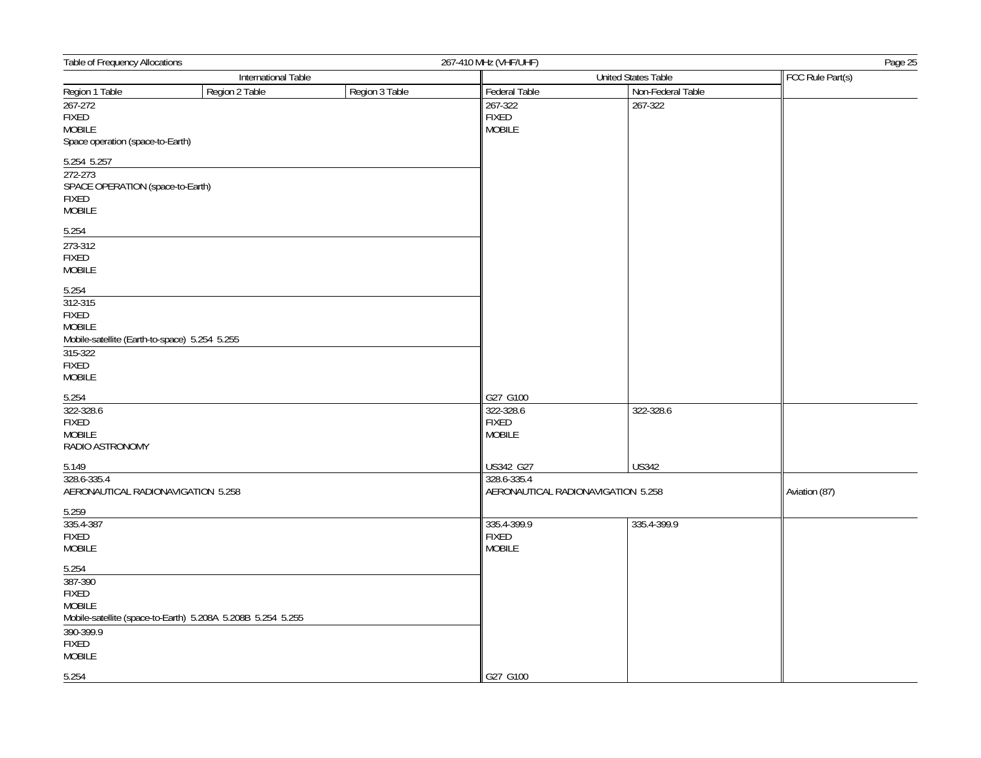| Table of Frequency Allocations                                                                         |                                                             |                | 267-410 MHz (VHF/UHF)<br>Page 25                       |                            |                  |  |
|--------------------------------------------------------------------------------------------------------|-------------------------------------------------------------|----------------|--------------------------------------------------------|----------------------------|------------------|--|
| International Table                                                                                    |                                                             |                |                                                        | <b>United States Table</b> |                  |  |
| Region 1 Table                                                                                         | Region 2 Table                                              | Region 3 Table | <b>Federal Table</b>                                   | Non-Federal Table          | FCC Rule Part(s) |  |
| $267 - 272$<br><b>FIXED</b><br><b>MOBILE</b><br>Space operation (space-to-Earth)                       |                                                             |                | 267-322<br><b>FIXED</b><br><b>MOBILE</b>               | 267-322                    |                  |  |
| 5.254 5.257                                                                                            |                                                             |                |                                                        |                            |                  |  |
| 272-273<br>SPACE OPERATION (space-to-Earth)<br>FIXED<br><b>MOBILE</b>                                  |                                                             |                |                                                        |                            |                  |  |
| 5.254                                                                                                  |                                                             |                |                                                        |                            |                  |  |
| 273-312<br><b>FIXED</b><br><b>MOBILE</b>                                                               |                                                             |                |                                                        |                            |                  |  |
| 5.254<br>312-315<br><b>FIXED</b><br>MOBILE<br>Mobile-satellite (Earth-to-space) 5.254 5.255<br>315-322 |                                                             |                |                                                        |                            |                  |  |
| FIXED<br>MOBILE                                                                                        |                                                             |                |                                                        |                            |                  |  |
| 5.254<br>322-328.6<br>FIXED<br><b>MOBILE</b><br>RADIO ASTRONOMY                                        |                                                             |                | G27 G100<br>322-328.6<br><b>FIXED</b><br><b>MOBILE</b> | 322-328.6                  |                  |  |
| 5.149                                                                                                  |                                                             |                | US342 G27                                              | <b>US342</b>               |                  |  |
| 328.6-335.4<br>AERONAUTICAL RADIONAVIGATION 5.258                                                      |                                                             |                | 328.6-335.4<br>AERONAUTICAL RADIONAVIGATION 5.258      |                            | Aviation (87)    |  |
| 5.259<br>335.4-387<br><b>FIXED</b><br><b>MOBILE</b>                                                    |                                                             |                | 335.4-399.9<br><b>FIXED</b><br>MOBILE                  | 335.4-399.9                |                  |  |
| 5.254<br>387-390<br>FIXED<br><b>MOBILE</b><br>390-399.9<br><b>FIXED</b><br><b>MOBILE</b>               | Mobile-satellite (space-to-Earth) 5.208A 5.208B 5.254 5.255 |                |                                                        |                            |                  |  |
| 5.254                                                                                                  |                                                             |                | G27 G100                                               |                            |                  |  |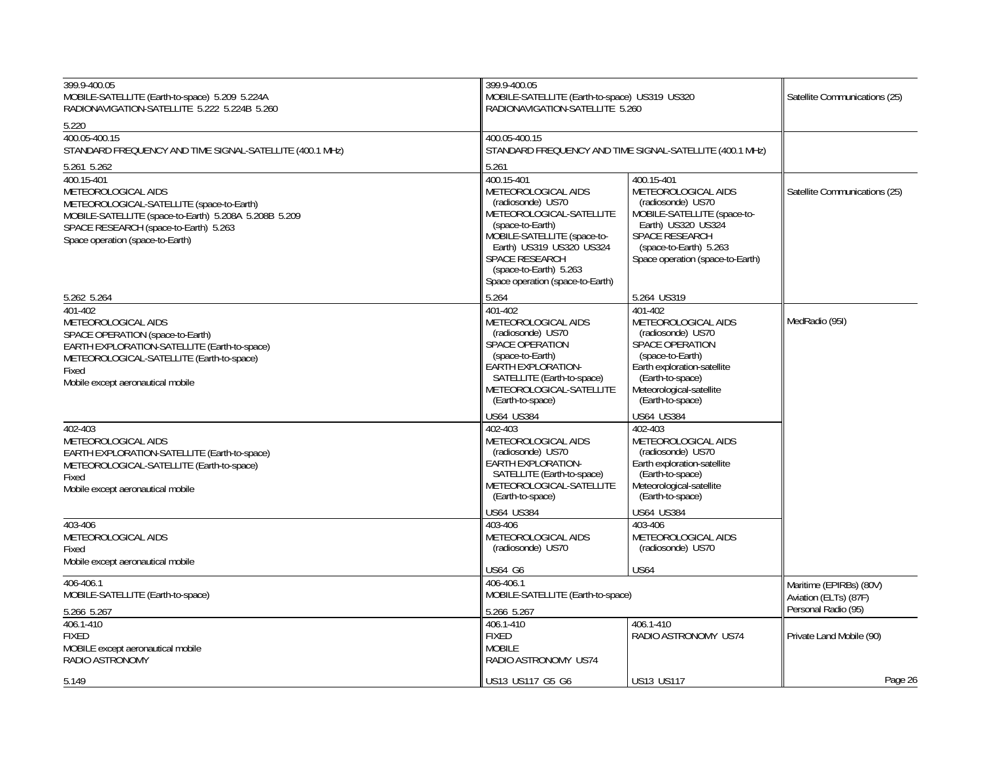| 399.9-400.05<br>MOBILE-SATELLITE (Earth-to-space) 5.209 5.224A<br>RADIONAVIGATION-SATELLITE 5.222 5.224B 5.260                                                                                                       | 399.9-400.05                                                                                                                                                                                                                                             | MOBILE-SATELLITE (Earth-to-space) US319 US320<br>RADIONAVIGATION-SATELLITE 5.260                                                                                                                     |                                                                         |
|----------------------------------------------------------------------------------------------------------------------------------------------------------------------------------------------------------------------|----------------------------------------------------------------------------------------------------------------------------------------------------------------------------------------------------------------------------------------------------------|------------------------------------------------------------------------------------------------------------------------------------------------------------------------------------------------------|-------------------------------------------------------------------------|
| 5.220                                                                                                                                                                                                                |                                                                                                                                                                                                                                                          |                                                                                                                                                                                                      |                                                                         |
| 400.05-400.15<br>STANDARD FREQUENCY AND TIME SIGNAL-SATELLITE (400.1 MHz)                                                                                                                                            | 400.05-400.15                                                                                                                                                                                                                                            | STANDARD FREQUENCY AND TIME SIGNAL-SATELLITE (400.1 MHz)                                                                                                                                             |                                                                         |
| 5.261 5.262                                                                                                                                                                                                          | 5.261                                                                                                                                                                                                                                                    |                                                                                                                                                                                                      |                                                                         |
| 400.15-401<br>METEOROLOGICAL AIDS<br>METEOROLOGICAL-SATELLITE (space-to-Earth)<br>MOBILE-SATELLITE (space-to-Earth) 5.208A 5.208B 5.209<br>SPACE RESEARCH (space-to-Earth) 5.263<br>Space operation (space-to-Earth) | 400.15-401<br>METEOROLOGICAL AIDS<br>(radiosonde) US70<br>METEOROLOGICAL-SATELLITE<br>(space-to-Earth)<br>MOBILE-SATELLITE (space-to-<br>Earth) US319 US320 US324<br><b>SPACE RESEARCH</b><br>(space-to-Earth) 5.263<br>Space operation (space-to-Earth) | 400.15-401<br>METEOROLOGICAL AIDS<br>(radiosonde) US70<br>MOBILE-SATELLITE (space-to-<br>Earth) US320 US324<br>SPACE RESEARCH<br>(space-to-Earth) 5.263<br>Space operation (space-to-Earth)          | Satellite Communications (25)                                           |
| 5.262 5.264                                                                                                                                                                                                          | 5.264                                                                                                                                                                                                                                                    | 5.264 US319                                                                                                                                                                                          |                                                                         |
| 401-402<br>METEOROLOGICAL AIDS<br>SPACE OPERATION (space-to-Earth)<br>EARTH EXPLORATION-SATELLITE (Earth-to-space)<br>METEOROLOGICAL-SATELLITE (Earth-to-space)<br>Fixed<br>Mobile except aeronautical mobile        | 401-402<br>METEOROLOGICAL AIDS<br>(radiosonde) US70<br>SPACE OPERATION<br>(space-to-Earth)<br>EARTH EXPLORATION-<br>SATELLITE (Earth-to-space)<br>METEOROLOGICAL-SATELLITE<br>(Earth-to-space)                                                           | 401-402<br>METEOROLOGICAL AIDS<br>(radiosonde) US70<br><b>SPACE OPERATION</b><br>(space-to-Earth)<br>Earth exploration-satellite<br>(Earth-to-space)<br>Meteorological-satellite<br>(Earth-to-space) | MedRadio (95I)                                                          |
|                                                                                                                                                                                                                      | <b>US64 US384</b>                                                                                                                                                                                                                                        | <b>US64 US384</b>                                                                                                                                                                                    |                                                                         |
| 402-403<br>METEOROLOGICAL AIDS<br>EARTH EXPLORATION-SATELLITE (Earth-to-space)<br>METEOROLOGICAL-SATELLITE (Earth-to-space)<br>Fixed<br>Mobile except aeronautical mobile                                            | 402-403<br>METEOROLOGICAL AIDS<br>(radiosonde) US70<br><b>EARTH EXPLORATION-</b><br>SATELLITE (Earth-to-space)<br>METEOROLOGICAL-SATELLITE<br>(Earth-to-space)                                                                                           | 402-403<br>METEOROLOGICAL AIDS<br>(radiosonde) US70<br>Earth exploration-satellite<br>(Earth-to-space)<br>Meteorological-satellite<br>(Earth-to-space)                                               |                                                                         |
|                                                                                                                                                                                                                      | <b>US64 US384</b>                                                                                                                                                                                                                                        | <b>US64 US384</b>                                                                                                                                                                                    |                                                                         |
| 403-406<br>METEOROLOGICAL AIDS<br>Fixed<br>Mobile except aeronautical mobile                                                                                                                                         | 403-406<br>METEOROLOGICAL AIDS<br>(radiosonde) US70                                                                                                                                                                                                      | 403-406<br>METEOROLOGICAL AIDS<br>(radiosonde) US70                                                                                                                                                  |                                                                         |
|                                                                                                                                                                                                                      | US64 G6                                                                                                                                                                                                                                                  | <b>US64</b>                                                                                                                                                                                          |                                                                         |
| 406-406.1<br>MOBILE-SATELLITE (Earth-to-space)<br>5.266 5.267                                                                                                                                                        | 406-406.1<br>MOBILE-SATELLITE (Earth-to-space)<br>5.266 5.267                                                                                                                                                                                            |                                                                                                                                                                                                      | Maritime (EPIRBs) (80V)<br>Aviation (ELTs) (87F)<br>Personal Radio (95) |
| 406.1-410                                                                                                                                                                                                            | 406.1-410                                                                                                                                                                                                                                                | 406.1-410                                                                                                                                                                                            |                                                                         |
| <b>FIXED</b><br>MOBILE except aeronautical mobile<br>RADIO ASTRONOMY                                                                                                                                                 | <b>FIXED</b><br><b>MOBILE</b><br>RADIO ASTRONOMY US74                                                                                                                                                                                                    | RADIO ASTRONOMY US74                                                                                                                                                                                 | Private Land Mobile (90)                                                |
| 5.149                                                                                                                                                                                                                | US13 US117 G5 G6                                                                                                                                                                                                                                         | <b>US13 US117</b>                                                                                                                                                                                    | Page 26                                                                 |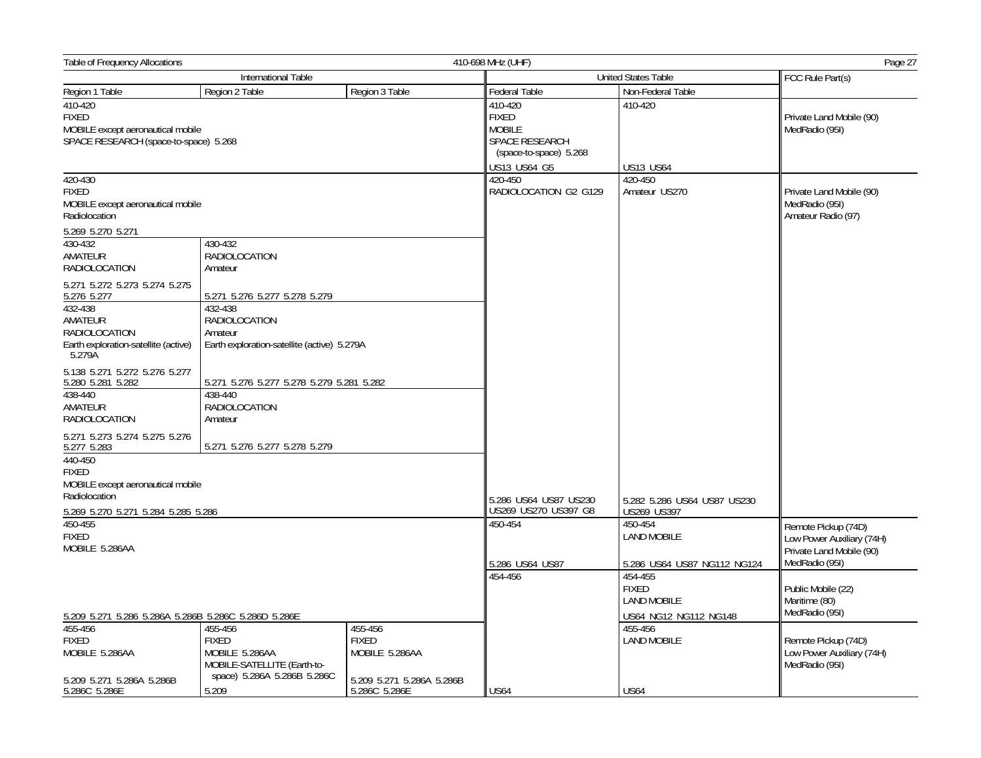| Table of Frequency Allocations                                                                        |                                                                                                         |                                                                        | Page 27<br>410-698 MHz (UHF)                                                                         |                                                                        |                                                                              |  |
|-------------------------------------------------------------------------------------------------------|---------------------------------------------------------------------------------------------------------|------------------------------------------------------------------------|------------------------------------------------------------------------------------------------------|------------------------------------------------------------------------|------------------------------------------------------------------------------|--|
| International Table                                                                                   |                                                                                                         |                                                                        |                                                                                                      | <b>United States Table</b>                                             | FCC Rule Part(s)                                                             |  |
| Region 1 Table                                                                                        | Region 2 Table                                                                                          | Region 3 Table                                                         | Federal Table                                                                                        | Non-Federal Table                                                      |                                                                              |  |
| 410-420<br><b>FIXED</b><br>MOBILE except aeronautical mobile<br>SPACE RESEARCH (space-to-space) 5.268 |                                                                                                         |                                                                        | 410-420<br><b>FIXED</b><br><b>MOBILE</b><br>SPACE RESEARCH<br>(space-to-space) 5.268<br>US13 US64 G5 | 410-420<br><b>US13 US64</b>                                            | Private Land Mobile (90)<br>MedRadio (95I)                                   |  |
| 420-430                                                                                               |                                                                                                         |                                                                        | 420-450                                                                                              | 420-450                                                                |                                                                              |  |
| <b>FIXED</b><br>MOBILE except aeronautical mobile<br>Radiolocation<br>5.269 5.270 5.271               |                                                                                                         |                                                                        | RADIOLOCATION G2 G129                                                                                | Amateur US270                                                          | Private Land Mobile (90)<br>MedRadio (95I)<br>Amateur Radio (97)             |  |
| 430-432<br>AMATEUR<br>RADIOLOCATION                                                                   | 430-432<br><b>RADIOLOCATION</b><br>Amateur                                                              |                                                                        |                                                                                                      |                                                                        |                                                                              |  |
| 5.271 5.272 5.273 5.274 5.275<br>5.276 5.277                                                          | 5.271 5.276 5.277 5.278 5.279                                                                           |                                                                        |                                                                                                      |                                                                        |                                                                              |  |
| 432-438<br>AMATEUR<br><b>RADIOLOCATION</b><br>Earth exploration-satellite (active)<br>5.279A          | 432-438<br>RADIOLOCATION<br>Amateur<br>Earth exploration-satellite (active) 5.279A                      |                                                                        |                                                                                                      |                                                                        |                                                                              |  |
| 5.138 5.271 5.272 5.276 5.277<br>5.280 5.281 5.282<br>438-440                                         | 5.271 5.276 5.277 5.278 5.279 5.281 5.282<br>438-440                                                    |                                                                        |                                                                                                      |                                                                        |                                                                              |  |
| AMATEUR<br><b>RADIOLOCATION</b>                                                                       | RADIOLOCATION<br>Amateur                                                                                |                                                                        |                                                                                                      |                                                                        |                                                                              |  |
| 5.271 5.273 5.274 5.275 5.276<br>5.277 5.283                                                          | 5.271 5.276 5.277 5.278 5.279                                                                           |                                                                        |                                                                                                      |                                                                        |                                                                              |  |
| 440-450<br><b>FIXED</b><br>MOBILE except aeronautical mobile<br>Radiolocation                         |                                                                                                         |                                                                        |                                                                                                      |                                                                        |                                                                              |  |
| 5.269 5.270 5.271 5.284 5.285 5.286                                                                   |                                                                                                         |                                                                        | 5.286 US64 US87 US230<br>US269 US270 US397 G8                                                        | 5.282 5.286 US64 US87 US230<br>US269 US397                             |                                                                              |  |
| 450-455<br><b>FIXED</b><br>MOBILE 5.286AA                                                             |                                                                                                         |                                                                        | 450-454                                                                                              | 450-454<br><b>LAND MOBILE</b>                                          | Remote Pickup (74D)<br>Low Power Auxiliary (74H)<br>Private Land Mobile (90) |  |
|                                                                                                       |                                                                                                         |                                                                        | 5.286 US64 US87                                                                                      | 5.286 US64 US87 NG112 NG124                                            | MedRadio (95I)                                                               |  |
| 5.209 5.271 5.286 5.286A 5.286B 5.286C 5.286D 5.286E                                                  |                                                                                                         |                                                                        | 454-456                                                                                              | 454-455<br><b>FIXED</b><br><b>LAND MOBILE</b><br>US64 NG12 NG112 NG148 | Public Mobile (22)<br>Maritime (80)<br>MedRadio (95I)                        |  |
| 455-456<br><b>FIXED</b><br>MOBILE 5.286AA<br>5.209 5.271 5.286A 5.286B                                | 455-456<br><b>FIXED</b><br>MOBILE 5.286AA<br>MOBILE-SATELLITE (Earth-to-<br>space) 5.286A 5.286B 5.286C | 455-456<br><b>FIXED</b><br>MOBILE 5.286AA<br>5.209 5.271 5.286A 5.286B |                                                                                                      | 455-456<br><b>LAND MOBILE</b>                                          | Remote Pickup (74D)<br>Low Power Auxiliary (74H)<br>MedRadio (95I)           |  |
| 5.286C 5.286E                                                                                         | 5.209                                                                                                   | 5.286C 5.286E                                                          | <b>US64</b>                                                                                          | <b>US64</b>                                                            |                                                                              |  |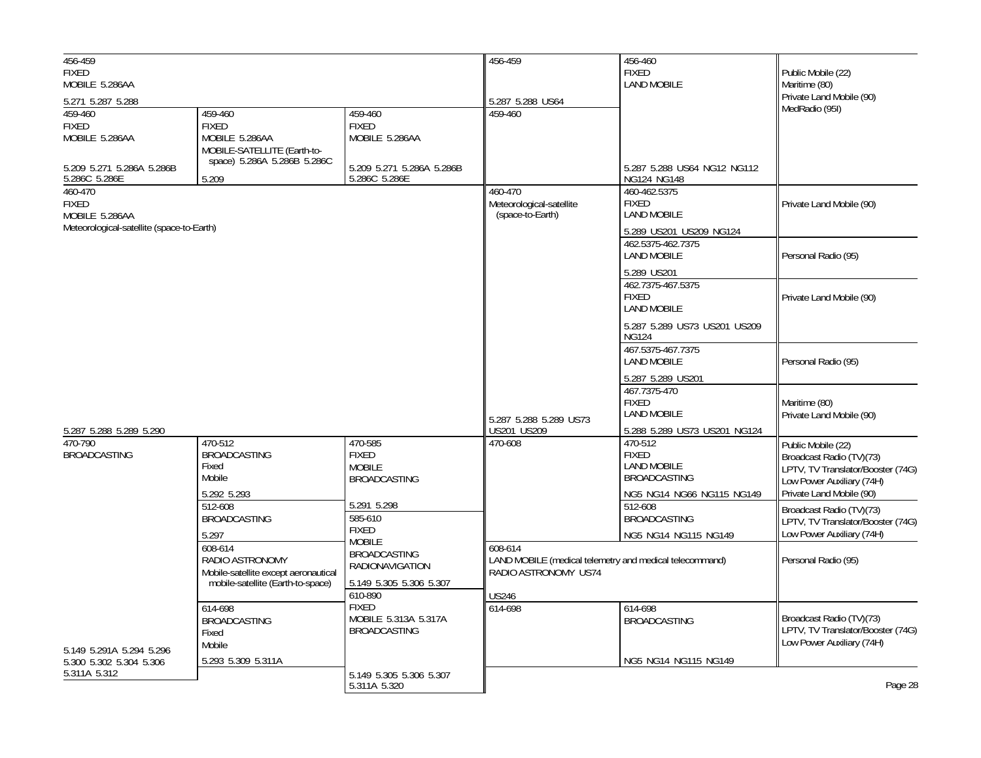| 456-459<br><b>FIXED</b><br>MOBILE 5.286AA                                       |                                                                                                         |                                                                        | 456-459                                                                                                            | 456-460<br><b>FIXED</b><br><b>LAND MOBILE</b>                                 | Public Mobile (22)<br>Maritime (80)                                                                              |
|---------------------------------------------------------------------------------|---------------------------------------------------------------------------------------------------------|------------------------------------------------------------------------|--------------------------------------------------------------------------------------------------------------------|-------------------------------------------------------------------------------|------------------------------------------------------------------------------------------------------------------|
| 5.271 5.287 5.288                                                               |                                                                                                         |                                                                        | 5.287 5.288 US64                                                                                                   |                                                                               | Private Land Mobile (90)                                                                                         |
| 459-460<br><b>FIXED</b><br>MOBILE 5.286AA<br>5.209 5.271 5.286A 5.286B          | 459-460<br><b>FIXED</b><br>MOBILE 5.286AA<br>MOBILE-SATELLITE (Earth-to-<br>space) 5.286A 5.286B 5.286C | 459-460<br><b>FIXED</b><br>MOBILE 5.286AA<br>5.209 5.271 5.286A 5.286B | 459-460                                                                                                            | 5.287 5.288 US64 NG12 NG112                                                   | MedRadio (95I)                                                                                                   |
| 5.286C 5.286E                                                                   | 5.209                                                                                                   | 5.286C 5.286E                                                          |                                                                                                                    | NG124 NG148                                                                   |                                                                                                                  |
| 460-470<br>FIXED<br>MOBILE 5.286AA<br>Meteorological-satellite (space-to-Earth) |                                                                                                         |                                                                        | 460-470<br>Meteorological-satellite<br>(space-to-Earth)                                                            | 460-462.5375<br><b>FIXED</b><br><b>LAND MOBILE</b><br>5.289 US201 US209 NG124 | Private Land Mobile (90)                                                                                         |
|                                                                                 |                                                                                                         |                                                                        |                                                                                                                    | 462.5375-462.7375<br><b>LAND MOBILE</b><br>5.289 US201                        | Personal Radio (95)                                                                                              |
|                                                                                 |                                                                                                         |                                                                        |                                                                                                                    | 462.7375-467.5375<br><b>FIXED</b><br><b>LAND MOBILE</b>                       | Private Land Mobile (90)                                                                                         |
|                                                                                 |                                                                                                         |                                                                        |                                                                                                                    | 5.287 5.289 US73 US201 US209<br><b>NG124</b>                                  |                                                                                                                  |
|                                                                                 |                                                                                                         |                                                                        |                                                                                                                    | 467.5375-467.7375<br><b>LAND MOBILE</b>                                       | Personal Radio (95)                                                                                              |
|                                                                                 |                                                                                                         |                                                                        | 5.287 5.288 5.289 US73                                                                                             | 5.287 5.289 US201<br>467.7375-470<br><b>FIXED</b><br><b>LAND MOBILE</b>       | Maritime (80)<br>Private Land Mobile (90)                                                                        |
| 5.287 5.288 5.289 5.290<br>470-790                                              | 470-512                                                                                                 | 470-585                                                                | US201 US209<br>470-608                                                                                             | 5.288 5.289 US73 US201 NG124<br>470-512                                       |                                                                                                                  |
| <b>BROADCASTING</b>                                                             | <b>BROADCASTING</b><br>Fixed<br>Mobile                                                                  | <b>FIXED</b><br><b>MOBILE</b><br><b>BROADCASTING</b>                   |                                                                                                                    | <b>FIXED</b><br><b>LAND MOBILE</b><br><b>BROADCASTING</b>                     | Public Mobile (22)<br>Broadcast Radio (TV)(73)<br>LPTV, TV Translator/Booster (74G)<br>Low Power Auxiliary (74H) |
|                                                                                 | 5.292 5.293<br>512-608                                                                                  | 5.291 5.298                                                            |                                                                                                                    | NG5 NG14 NG66 NG115 NG149<br>512-608                                          | Private Land Mobile (90)<br>Broadcast Radio (TV)(73)                                                             |
|                                                                                 | <b>BROADCASTING</b><br>5.297                                                                            | 585-610<br><b>FIXED</b>                                                |                                                                                                                    | <b>BROADCASTING</b>                                                           | LPTV, TV Translator/Booster (74G)<br>Low Power Auxiliary (74H)                                                   |
|                                                                                 | 608-614<br>RADIO ASTRONOMY<br>Mobile-satellite except aeronautical<br>mobile-satellite (Earth-to-space) | <b>MOBILE</b><br><b>BROADCASTING</b><br>RADIONAVIGATION                | NG5 NG14 NG115 NG149<br>608-614<br>LAND MOBILE (medical telemetry and medical telecommand)<br>RADIO ASTRONOMY US74 |                                                                               | Personal Radio (95)                                                                                              |
|                                                                                 |                                                                                                         | 5.149 5.305 5.306 5.307<br>610-890                                     | <b>US246</b>                                                                                                       |                                                                               |                                                                                                                  |
| 5.149 5.291A 5.294 5.296                                                        | 614-698<br><b>BROADCASTING</b><br>Fixed<br>Mobile                                                       | <b>FIXED</b><br>MOBILE 5.313A 5.317A<br><b>BROADCASTING</b>            | 614-698                                                                                                            | 614-698<br><b>BROADCASTING</b>                                                | Broadcast Radio (TV)(73)<br>LPTV, TV Translator/Booster (74G)<br>Low Power Auxiliary (74H)                       |
| 5.300 5.302 5.304 5.306                                                         | 5.293 5.309 5.311A                                                                                      |                                                                        |                                                                                                                    | NG5 NG14 NG115 NG149                                                          |                                                                                                                  |
| 5.311A 5.312                                                                    |                                                                                                         | 5.149 5.305 5.306 5.307<br>5.311A 5.320                                |                                                                                                                    |                                                                               | Page 28                                                                                                          |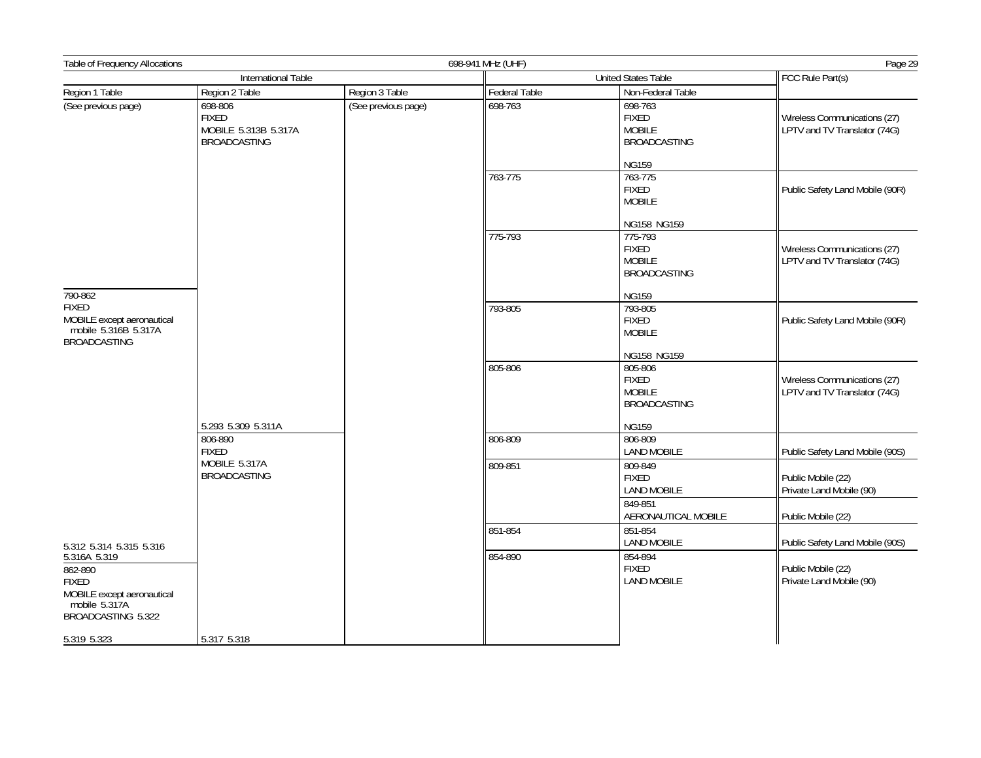| International Table<br>FCC Rule Part(s)<br><b>United States Table</b><br>Region 1 Table<br>Region 2 Table<br>Region 3 Table<br>Federal Table<br>Non-Federal Table<br>(See previous page)<br>698-806<br>698-763<br>698-763<br>(See previous page)<br><b>FIXED</b><br><b>FIXED</b><br>Wireless Communications (27)<br><b>MOBILE</b><br>LPTV and TV Translator (74G)<br>MOBILE 5.313B 5.317A<br><b>BROADCASTING</b><br><b>BROADCASTING</b><br><b>NG159</b><br>763-775<br>763-775<br><b>FIXED</b><br>Public Safety Land Mobile (90R)<br><b>MOBILE</b><br>NG158 NG159<br>775-793<br>775-793<br><b>FIXED</b><br>Wireless Communications (27)<br><b>MOBILE</b><br>LPTV and TV Translator (74G)<br><b>BROADCASTING</b><br>790-862<br><b>NG159</b><br><b>FIXED</b><br>793-805<br>793-805<br>MOBILE except aeronautical<br><b>FIXED</b><br>Public Safety Land Mobile (90R)<br>mobile 5.316B 5.317A<br><b>MOBILE</b><br><b>BROADCASTING</b><br>NG158 NG159<br>805-806<br>805-806<br><b>FIXED</b><br>Wireless Communications (27)<br><b>MOBILE</b><br>LPTV and TV Translator (74G)<br><b>BROADCASTING</b><br>5.293 5.309 5.311A<br><b>NG159</b><br>806-890<br>806-809<br>806-809<br><b>LAND MOBILE</b><br><b>FIXED</b><br>Public Safety Land Mobile (90S)<br>MOBILE 5.317A<br>809-851<br>809-849<br><b>BROADCASTING</b><br><b>FIXED</b><br>Public Mobile (22)<br>Private Land Mobile (90)<br><b>LAND MOBILE</b><br>849-851<br>AERONAUTICAL MOBILE<br>Public Mobile (22)<br>851-854<br>851-854<br><b>LAND MOBILE</b><br>Public Safety Land Mobile (90S)<br>5.312 5.314 5.315 5.316<br>854-890<br>854-894<br>5.316A 5.319<br><b>FIXED</b><br>862-890<br>Public Mobile (22)<br><b>LAND MOBILE</b><br>Private Land Mobile (90)<br><b>FIXED</b><br>MOBILE except aeronautical<br>mobile 5.317A<br>BROADCASTING 5.322<br>5.317 5.318<br>5.319 5.323 | Table of Frequency Allocations |  |  | 698-941 MHz (UHF) |  |  |  |
|-----------------------------------------------------------------------------------------------------------------------------------------------------------------------------------------------------------------------------------------------------------------------------------------------------------------------------------------------------------------------------------------------------------------------------------------------------------------------------------------------------------------------------------------------------------------------------------------------------------------------------------------------------------------------------------------------------------------------------------------------------------------------------------------------------------------------------------------------------------------------------------------------------------------------------------------------------------------------------------------------------------------------------------------------------------------------------------------------------------------------------------------------------------------------------------------------------------------------------------------------------------------------------------------------------------------------------------------------------------------------------------------------------------------------------------------------------------------------------------------------------------------------------------------------------------------------------------------------------------------------------------------------------------------------------------------------------------------------------------------------------------------------------------------------------------------------------------|--------------------------------|--|--|-------------------|--|--|--|
|                                                                                                                                                                                                                                                                                                                                                                                                                                                                                                                                                                                                                                                                                                                                                                                                                                                                                                                                                                                                                                                                                                                                                                                                                                                                                                                                                                                                                                                                                                                                                                                                                                                                                                                                                                                                                                   |                                |  |  |                   |  |  |  |
|                                                                                                                                                                                                                                                                                                                                                                                                                                                                                                                                                                                                                                                                                                                                                                                                                                                                                                                                                                                                                                                                                                                                                                                                                                                                                                                                                                                                                                                                                                                                                                                                                                                                                                                                                                                                                                   |                                |  |  |                   |  |  |  |
|                                                                                                                                                                                                                                                                                                                                                                                                                                                                                                                                                                                                                                                                                                                                                                                                                                                                                                                                                                                                                                                                                                                                                                                                                                                                                                                                                                                                                                                                                                                                                                                                                                                                                                                                                                                                                                   |                                |  |  |                   |  |  |  |
|                                                                                                                                                                                                                                                                                                                                                                                                                                                                                                                                                                                                                                                                                                                                                                                                                                                                                                                                                                                                                                                                                                                                                                                                                                                                                                                                                                                                                                                                                                                                                                                                                                                                                                                                                                                                                                   |                                |  |  |                   |  |  |  |
|                                                                                                                                                                                                                                                                                                                                                                                                                                                                                                                                                                                                                                                                                                                                                                                                                                                                                                                                                                                                                                                                                                                                                                                                                                                                                                                                                                                                                                                                                                                                                                                                                                                                                                                                                                                                                                   |                                |  |  |                   |  |  |  |
|                                                                                                                                                                                                                                                                                                                                                                                                                                                                                                                                                                                                                                                                                                                                                                                                                                                                                                                                                                                                                                                                                                                                                                                                                                                                                                                                                                                                                                                                                                                                                                                                                                                                                                                                                                                                                                   |                                |  |  |                   |  |  |  |
|                                                                                                                                                                                                                                                                                                                                                                                                                                                                                                                                                                                                                                                                                                                                                                                                                                                                                                                                                                                                                                                                                                                                                                                                                                                                                                                                                                                                                                                                                                                                                                                                                                                                                                                                                                                                                                   |                                |  |  |                   |  |  |  |
|                                                                                                                                                                                                                                                                                                                                                                                                                                                                                                                                                                                                                                                                                                                                                                                                                                                                                                                                                                                                                                                                                                                                                                                                                                                                                                                                                                                                                                                                                                                                                                                                                                                                                                                                                                                                                                   |                                |  |  |                   |  |  |  |
|                                                                                                                                                                                                                                                                                                                                                                                                                                                                                                                                                                                                                                                                                                                                                                                                                                                                                                                                                                                                                                                                                                                                                                                                                                                                                                                                                                                                                                                                                                                                                                                                                                                                                                                                                                                                                                   |                                |  |  |                   |  |  |  |
|                                                                                                                                                                                                                                                                                                                                                                                                                                                                                                                                                                                                                                                                                                                                                                                                                                                                                                                                                                                                                                                                                                                                                                                                                                                                                                                                                                                                                                                                                                                                                                                                                                                                                                                                                                                                                                   |                                |  |  |                   |  |  |  |
|                                                                                                                                                                                                                                                                                                                                                                                                                                                                                                                                                                                                                                                                                                                                                                                                                                                                                                                                                                                                                                                                                                                                                                                                                                                                                                                                                                                                                                                                                                                                                                                                                                                                                                                                                                                                                                   |                                |  |  |                   |  |  |  |
|                                                                                                                                                                                                                                                                                                                                                                                                                                                                                                                                                                                                                                                                                                                                                                                                                                                                                                                                                                                                                                                                                                                                                                                                                                                                                                                                                                                                                                                                                                                                                                                                                                                                                                                                                                                                                                   |                                |  |  |                   |  |  |  |
|                                                                                                                                                                                                                                                                                                                                                                                                                                                                                                                                                                                                                                                                                                                                                                                                                                                                                                                                                                                                                                                                                                                                                                                                                                                                                                                                                                                                                                                                                                                                                                                                                                                                                                                                                                                                                                   |                                |  |  |                   |  |  |  |
|                                                                                                                                                                                                                                                                                                                                                                                                                                                                                                                                                                                                                                                                                                                                                                                                                                                                                                                                                                                                                                                                                                                                                                                                                                                                                                                                                                                                                                                                                                                                                                                                                                                                                                                                                                                                                                   |                                |  |  |                   |  |  |  |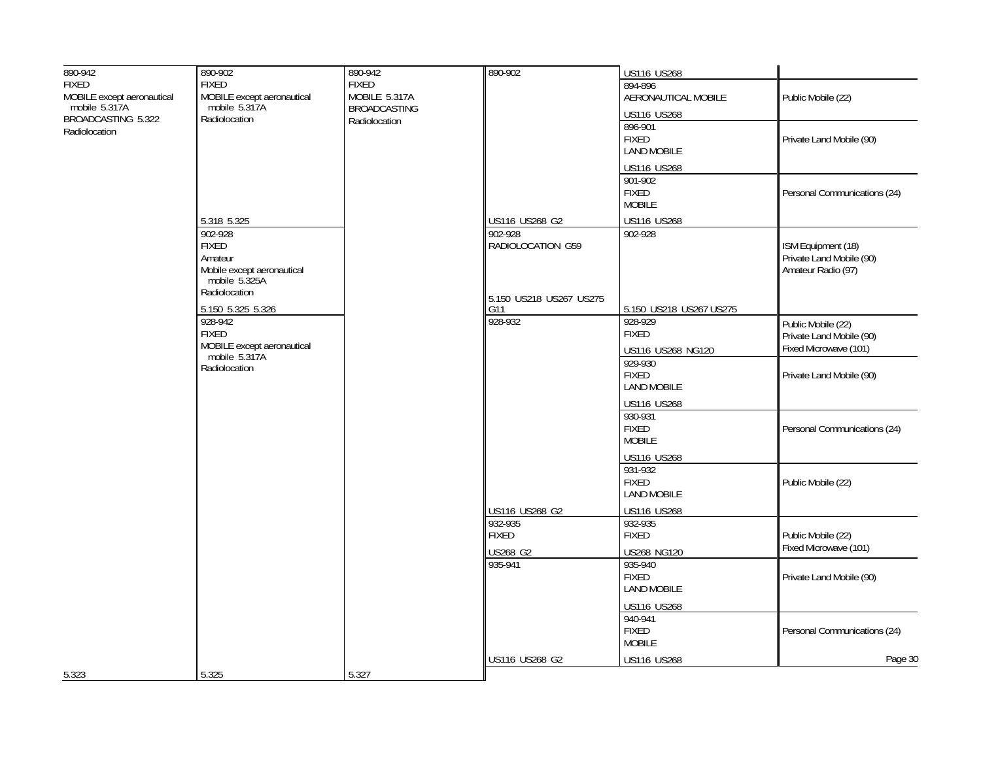| 890-942                             | 890-902                                     | 890-942             | 890-902                   | US116 US268                        |                                                   |
|-------------------------------------|---------------------------------------------|---------------------|---------------------------|------------------------------------|---------------------------------------------------|
| <b>FIXED</b>                        | <b>FIXED</b>                                | <b>FIXED</b>        |                           | 894-896                            |                                                   |
| MOBILE except aeronautical          | MOBILE except aeronautical<br>mobile 5.317A | MOBILE 5.317A       |                           | AERONAUTICAL MOBILE                | Public Mobile (22)                                |
| mobile 5.317A<br>BROADCASTING 5.322 | Radiolocation                               | <b>BROADCASTING</b> |                           | US116 US268                        |                                                   |
| Radiolocation                       |                                             | Radiolocation       |                           | 896-901                            |                                                   |
|                                     |                                             |                     |                           | <b>FIXED</b>                       | Private Land Mobile (90)                          |
|                                     |                                             |                     |                           | <b>LAND MOBILE</b>                 |                                                   |
|                                     |                                             |                     |                           | US116 US268                        |                                                   |
|                                     |                                             |                     |                           | 901-902                            |                                                   |
|                                     |                                             |                     |                           | <b>FIXED</b><br><b>MOBILE</b>      | Personal Communications (24)                      |
|                                     |                                             |                     |                           |                                    |                                                   |
|                                     | 5.318 5.325<br>902-928                      |                     | US116 US268 G2<br>902-928 | US116 US268<br>902-928             |                                                   |
|                                     | <b>FIXED</b>                                |                     | RADIOLOCATION G59         |                                    | ISM Equipment (18)                                |
|                                     | Amateur                                     |                     |                           |                                    | Private Land Mobile (90)                          |
|                                     | Mobile except aeronautical<br>mobile 5.325A |                     |                           |                                    | Amateur Radio (97)                                |
|                                     |                                             |                     |                           |                                    |                                                   |
|                                     | Radiolocation                               |                     | 5.150 US218 US267 US275   |                                    |                                                   |
|                                     | 5.150 5.325 5.326                           |                     | G11<br>928-932            | 5.150 US218 US267 US275            |                                                   |
|                                     | 928-942<br><b>FIXED</b>                     |                     |                           | 928-929<br><b>FIXED</b>            | Public Mobile (22)                                |
|                                     | MOBILE except aeronautical                  |                     |                           |                                    | Private Land Mobile (90)<br>Fixed Microwave (101) |
|                                     | mobile 5.317A<br>Radiolocation              |                     |                           | US116 US268 NG120<br>929-930       |                                                   |
|                                     |                                             |                     |                           | <b>FIXED</b>                       | Private Land Mobile (90)                          |
|                                     |                                             |                     |                           | <b>LAND MOBILE</b>                 |                                                   |
|                                     |                                             |                     |                           | US116 US268                        |                                                   |
|                                     |                                             |                     |                           | 930-931                            |                                                   |
|                                     |                                             |                     |                           | <b>FIXED</b>                       | Personal Communications (24)                      |
|                                     |                                             |                     |                           | <b>MOBILE</b>                      |                                                   |
|                                     |                                             |                     |                           | US116 US268                        |                                                   |
|                                     |                                             |                     |                           | 931-932                            |                                                   |
|                                     |                                             |                     |                           | <b>FIXED</b><br><b>LAND MOBILE</b> | Public Mobile (22)                                |
|                                     |                                             |                     |                           |                                    |                                                   |
|                                     |                                             |                     | US116 US268 G2<br>932-935 | US116 US268<br>932-935             |                                                   |
|                                     |                                             |                     | <b>FIXED</b>              | <b>FIXED</b>                       | Public Mobile (22)                                |
|                                     |                                             |                     | US268 G2                  | US268 NG120                        | Fixed Microwave (101)                             |
|                                     |                                             |                     | 935-941                   | 935-940                            |                                                   |
|                                     |                                             |                     |                           | <b>FIXED</b>                       | Private Land Mobile (90)                          |
|                                     |                                             |                     |                           | <b>LAND MOBILE</b>                 |                                                   |
|                                     |                                             |                     |                           | US116 US268                        |                                                   |
|                                     |                                             |                     |                           | 940-941                            |                                                   |
|                                     |                                             |                     |                           | <b>FIXED</b>                       | Personal Communications (24)                      |
|                                     |                                             |                     |                           | <b>MOBILE</b>                      |                                                   |
|                                     |                                             |                     | US116 US268 G2            | US116 US268                        | Page 30                                           |
| 5.323                               | 5.325                                       | 5.327               |                           |                                    |                                                   |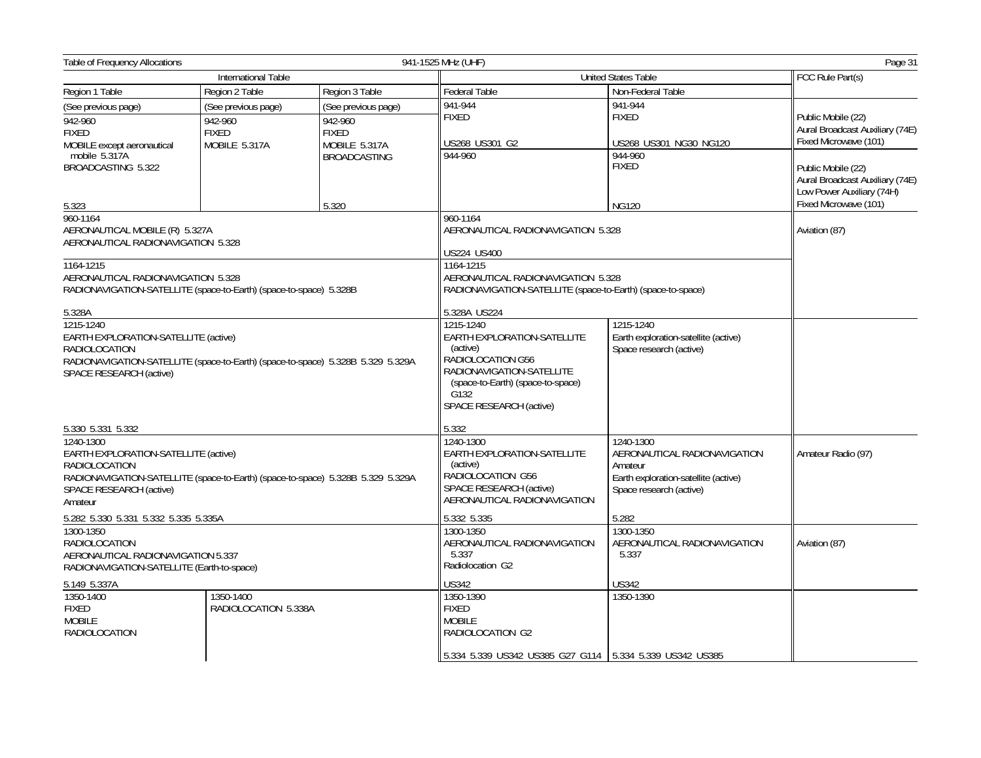| <b>Table of Frequency Allocations</b>                                                                                                                                                                     |                                                                 |                                                                                                                                                                                | 941-1525 MHz (UHF)<br>Page 31                                                                                                                                       |                                                   |                                                                                                             |  |
|-----------------------------------------------------------------------------------------------------------------------------------------------------------------------------------------------------------|-----------------------------------------------------------------|--------------------------------------------------------------------------------------------------------------------------------------------------------------------------------|---------------------------------------------------------------------------------------------------------------------------------------------------------------------|---------------------------------------------------|-------------------------------------------------------------------------------------------------------------|--|
|                                                                                                                                                                                                           | International Table                                             |                                                                                                                                                                                |                                                                                                                                                                     | <b>United States Table</b>                        | FCC Rule Part(s)                                                                                            |  |
| Region 1 Table                                                                                                                                                                                            | Region 2 Table                                                  | Region 3 Table                                                                                                                                                                 | Federal Table                                                                                                                                                       | Non-Federal Table                                 |                                                                                                             |  |
| (See previous page)<br>942-960<br><b>FIXED</b><br>MOBILE except aeronautical                                                                                                                              | (See previous page)<br>942-960<br><b>FIXED</b><br>MOBILE 5.317A | (See previous page)<br>942-960<br><b>FIXED</b><br>MOBILE 5.317A                                                                                                                | 941-944<br><b>FIXED</b><br>US268 US301 G2                                                                                                                           | 941-944<br><b>FIXED</b><br>US268 US301 NG30 NG120 | Public Mobile (22)<br>Aural Broadcast Auxiliary (74E)<br>Fixed Microwave (101)                              |  |
| mobile 5.317A<br>BROADCASTING 5.322                                                                                                                                                                       |                                                                 | <b>BROADCASTING</b><br>5.320                                                                                                                                                   | 944-960                                                                                                                                                             | 944-960<br><b>FIXED</b>                           | Public Mobile (22)<br>Aural Broadcast Auxiliary (74E)<br>Low Power Auxiliary (74H)<br>Fixed Microwave (101) |  |
| 5.323                                                                                                                                                                                                     |                                                                 |                                                                                                                                                                                | 960-1164                                                                                                                                                            | <b>NG120</b>                                      |                                                                                                             |  |
| 960-1164<br>AERONAUTICAL MOBILE (R) 5.327A<br>AERONAUTICAL RADIONAVIGATION 5.328<br>1164-1215<br>AERONAUTICAL RADIONAVIGATION 5.328<br>RADIONAVIGATION-SATELLITE (space-to-Earth) (space-to-space) 5.328B |                                                                 |                                                                                                                                                                                | AERONAUTICAL RADIONAVIGATION 5.328<br>US224 US400<br>1164-1215<br>AERONAUTICAL RADIONAVIGATION 5.328<br>RADIONAVIGATION-SATELLITE (space-to-Earth) (space-to-space) | Aviation (87)                                     |                                                                                                             |  |
| 5.328A                                                                                                                                                                                                    |                                                                 |                                                                                                                                                                                | 5.328A US224                                                                                                                                                        |                                                   |                                                                                                             |  |
| 1215-1240<br>EARTH EXPLORATION-SATELLITE (active)<br>RADIOLOCATION<br>RADIONAVIGATION-SATELLITE (space-to-Earth) (space-to-space) 5.328B 5.329 5.329A<br>SPACE RESEARCH (active)                          |                                                                 | 1215-1240<br>EARTH EXPLORATION-SATELLITE<br>(active)<br>RADIOLOCATION G56<br>RADIONAVIGATION-SATELLITE<br>(space-to-Earth) (space-to-space)<br>G132<br>SPACE RESEARCH (active) | 1215-1240<br>Earth exploration-satellite (active)<br>Space research (active)                                                                                        |                                                   |                                                                                                             |  |
| 5.330 5.331 5.332                                                                                                                                                                                         |                                                                 |                                                                                                                                                                                | 5.332                                                                                                                                                               |                                                   |                                                                                                             |  |
| 1240-1300<br>EARTH EXPLORATION-SATELLITE (active)<br><b>RADIOLOCATION</b><br>RADIONAVIGATION-SATELLITE (space-to-Earth) (space-to-space) 5.328B 5.329 5.329A<br>SPACE RESEARCH (active)<br>Amateur        |                                                                 | 1240-1300<br><b>EARTH EXPLORATION-SATELLITE</b><br>(active)<br>RADIOLOCATION G56<br><b>SPACE RESEARCH (active)</b><br>AERONAUTICAL RADIONAVIGATION                             | 1240-1300<br>AERONAUTICAL RADIONAVIGATION<br>Amateur<br>Earth exploration-satellite (active)<br>Space research (active)                                             | Amateur Radio (97)                                |                                                                                                             |  |
| 5.282 5.330 5.331 5.332 5.335 5.335A                                                                                                                                                                      |                                                                 |                                                                                                                                                                                | 5.332 5.335                                                                                                                                                         | 5.282                                             |                                                                                                             |  |
| 1300-1350<br>RADIOLOCATION<br>AERONAUTICAL RADIONAVIGATION 5.337<br>RADIONAVIGATION-SATELLITE (Earth-to-space)                                                                                            |                                                                 | 1300-1350<br>AERONAUTICAL RADIONAVIGATION<br>5.337<br>Radiolocation G2                                                                                                         | 1300-1350<br>AERONAUTICAL RADIONAVIGATION<br>5.337                                                                                                                  | Aviation (87)                                     |                                                                                                             |  |
| 5.149 5.337A                                                                                                                                                                                              |                                                                 |                                                                                                                                                                                | <b>US342</b>                                                                                                                                                        | <b>US342</b>                                      |                                                                                                             |  |
| 1350-1400<br><b>FIXED</b><br><b>MOBILE</b><br><b>RADIOLOCATION</b>                                                                                                                                        | 1350-1400<br>RADIOLOCATION 5.338A                               |                                                                                                                                                                                | 1350-1390<br><b>FIXED</b><br><b>MOBILE</b><br>RADIOLOCATION G2                                                                                                      | 1350-1390                                         |                                                                                                             |  |
|                                                                                                                                                                                                           |                                                                 |                                                                                                                                                                                | 5.334 5.339 US342 US385 G27 G114 5.334 5.339 US342 US385                                                                                                            |                                                   |                                                                                                             |  |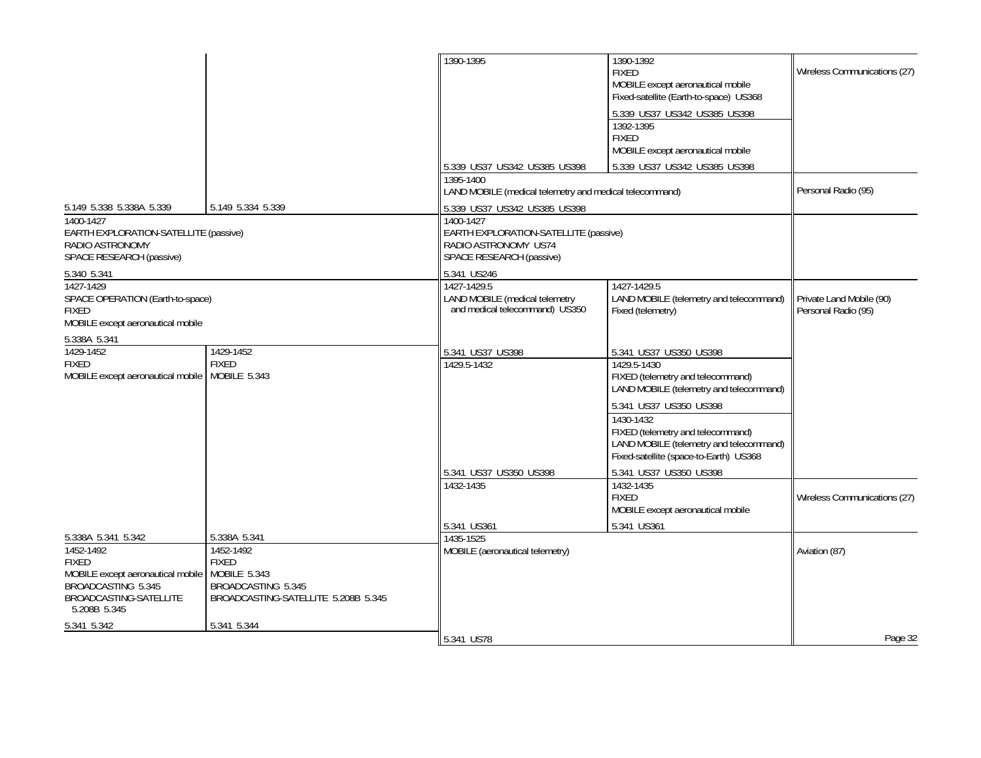|                                                                                                                                                      |                                                                                                                        | 1390-1395                                                                                              | 1390-1392<br><b>FIXED</b><br>MOBILE except aeronautical mobile<br>Fixed-satellite (Earth-to-space) US368<br>5.339 US37 US342 US385 US398<br>1392-1395<br><b>FIXED</b><br>MOBILE except aeronautical mobile                                                                             | Wireless Communications (27)                    |
|------------------------------------------------------------------------------------------------------------------------------------------------------|------------------------------------------------------------------------------------------------------------------------|--------------------------------------------------------------------------------------------------------|----------------------------------------------------------------------------------------------------------------------------------------------------------------------------------------------------------------------------------------------------------------------------------------|-------------------------------------------------|
|                                                                                                                                                      |                                                                                                                        | 5.339 US37 US342 US385 US398<br>1395-1400                                                              | 5.339 US37 US342 US385 US398                                                                                                                                                                                                                                                           |                                                 |
|                                                                                                                                                      |                                                                                                                        | LAND MOBILE (medical telemetry and medical telecommand)                                                |                                                                                                                                                                                                                                                                                        | Personal Radio (95)                             |
| 5.149 5.338 5.338A 5.339                                                                                                                             | 5.149 5.334 5.339                                                                                                      | 5.339 US37 US342 US385 US398                                                                           |                                                                                                                                                                                                                                                                                        |                                                 |
| 1400-1427<br>EARTH EXPLORATION-SATELLITE (passive)<br>RADIO ASTRONOMY<br>SPACE RESEARCH (passive)                                                    |                                                                                                                        | 1400-1427<br>EARTH EXPLORATION-SATELLITE (passive)<br>RADIO ASTRONOMY US74<br>SPACE RESEARCH (passive) |                                                                                                                                                                                                                                                                                        |                                                 |
| 5.340 5.341                                                                                                                                          |                                                                                                                        | 5.341 US246                                                                                            |                                                                                                                                                                                                                                                                                        |                                                 |
| 1427-1429<br>SPACE OPERATION (Earth-to-space)<br><b>FIXED</b><br>MOBILE except aeronautical mobile                                                   |                                                                                                                        | 1427-1429.5<br>LAND MOBILE (medical telemetry<br>and medical telecommand) US350                        | 1427-1429.5<br>LAND MOBILE (telemetry and telecommand)<br>Fixed (telemetry)                                                                                                                                                                                                            | Private Land Mobile (90)<br>Personal Radio (95) |
| 5.338A 5.341                                                                                                                                         |                                                                                                                        |                                                                                                        |                                                                                                                                                                                                                                                                                        |                                                 |
| 1429-1452<br><b>FIXED</b><br>MOBILE except aeronautical mobile   MOBILE 5.343                                                                        | 1429-1452<br><b>FIXED</b>                                                                                              | 5.341 US37 US398<br>1429.5-1432                                                                        | 5.341 US37 US350 US398<br>1429.5-1430<br>FIXED (telemetry and telecommand)<br>LAND MOBILE (telemetry and telecommand)<br>5.341 US37 US350 US398<br>1430-1432<br>FIXED (telemetry and telecommand)<br>LAND MOBILE (telemetry and telecommand)<br>Fixed-satellite (space-to-Earth) US368 |                                                 |
|                                                                                                                                                      |                                                                                                                        | 5.341 US37 US350 US398                                                                                 | 5.341 US37 US350 US398                                                                                                                                                                                                                                                                 |                                                 |
|                                                                                                                                                      |                                                                                                                        | 1432-1435                                                                                              | 1432-1435<br><b>FIXED</b><br>MOBILE except aeronautical mobile                                                                                                                                                                                                                         | Wireless Communications (27)                    |
|                                                                                                                                                      |                                                                                                                        | 5.341 US361                                                                                            | 5.341 US361                                                                                                                                                                                                                                                                            |                                                 |
| 5.338A 5.341 5.342<br>1452-1492<br><b>FIXED</b><br>MOBILE except aeronautical mobile<br>BROADCASTING 5.345<br>BROADCASTING-SATELLITE<br>5.208B 5.345 | 5.338A 5.341<br>1452-1492<br><b>FIXED</b><br>MOBILE 5.343<br>BROADCASTING 5.345<br>BROADCASTING-SATELLITE 5.208B 5.345 | 1435-1525<br>MOBILE (aeronautical telemetry)                                                           |                                                                                                                                                                                                                                                                                        | Aviation (87)                                   |
| 5.341 5.342                                                                                                                                          | 5.341 5.344                                                                                                            |                                                                                                        |                                                                                                                                                                                                                                                                                        |                                                 |
|                                                                                                                                                      |                                                                                                                        | 5.341 US78                                                                                             |                                                                                                                                                                                                                                                                                        | Page 32                                         |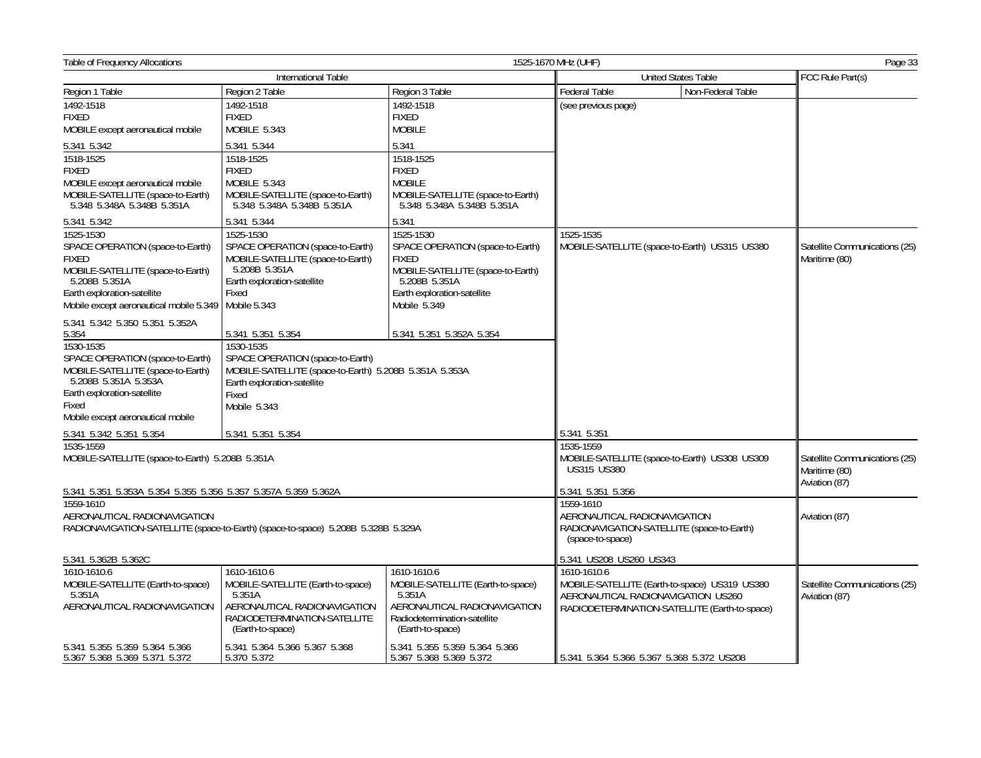| <b>Table of Frequency Allocations</b>                           | 1525-1670 MHz (UHF)<br>Page 33                                                   |                                                                 |                              |                                               |                               |
|-----------------------------------------------------------------|----------------------------------------------------------------------------------|-----------------------------------------------------------------|------------------------------|-----------------------------------------------|-------------------------------|
|                                                                 | International Table                                                              |                                                                 |                              | <b>United States Table</b>                    | FCC Rule Part(s)              |
| Region 1 Table                                                  | Region 2 Table                                                                   | Region 3 Table                                                  | Federal Table                | Non-Federal Table                             |                               |
| 1492-1518                                                       | 1492-1518                                                                        | 1492-1518                                                       | (see previous page)          |                                               |                               |
| <b>FIXED</b>                                                    | <b>FIXED</b>                                                                     | <b>FIXED</b>                                                    |                              |                                               |                               |
| MOBILE except aeronautical mobile                               | MOBILE 5.343                                                                     | <b>MOBILE</b>                                                   |                              |                                               |                               |
| 5.341 5.342                                                     | 5.341 5.344                                                                      | 5.341                                                           |                              |                                               |                               |
| 1518-1525                                                       | 1518-1525                                                                        | 1518-1525                                                       |                              |                                               |                               |
| <b>FIXED</b>                                                    | <b>FIXED</b>                                                                     | <b>FIXED</b>                                                    |                              |                                               |                               |
| MOBILE except aeronautical mobile                               | MOBILE 5.343                                                                     | <b>MOBILE</b>                                                   |                              |                                               |                               |
| MOBILE-SATELLITE (space-to-Earth)<br>5.348 5.348A 5.348B 5.351A | MOBILE-SATELLITE (space-to-Earth)<br>5.348 5.348A 5.348B 5.351A                  | MOBILE-SATELLITE (space-to-Earth)<br>5.348 5.348A 5.348B 5.351A |                              |                                               |                               |
| 5.341 5.342                                                     | 5.341 5.344                                                                      | 5.341                                                           |                              |                                               |                               |
| 1525-1530                                                       | 1525-1530                                                                        | 1525-1530                                                       | 1525-1535                    |                                               |                               |
| SPACE OPERATION (space-to-Earth)                                | SPACE OPERATION (space-to-Earth)                                                 | SPACE OPERATION (space-to-Earth)                                |                              | MOBILE-SATELLITE (space-to-Earth) US315 US380 | Satellite Communications (25) |
| <b>FIXED</b>                                                    | MOBILE-SATELLITE (space-to-Earth)                                                | <b>FIXED</b>                                                    |                              |                                               | Maritime (80)                 |
| MOBILE-SATELLITE (space-to-Earth)                               | 5.208B 5.351A                                                                    | MOBILE-SATELLITE (space-to-Earth)                               |                              |                                               |                               |
| 5.208B 5.351A<br>Earth exploration-satellite                    | Earth exploration-satellite<br>Fixed                                             | 5.208B 5.351A<br>Earth exploration-satellite                    |                              |                                               |                               |
| Mobile except aeronautical mobile 5.349   Mobile 5.343          |                                                                                  | Mobile 5.349                                                    |                              |                                               |                               |
|                                                                 |                                                                                  |                                                                 |                              |                                               |                               |
| 5.341 5.342 5.350 5.351 5.352A                                  |                                                                                  |                                                                 |                              |                                               |                               |
| 5.354                                                           | 5.341 5.351 5.354                                                                | 5.341 5.351 5.352A 5.354                                        |                              |                                               |                               |
| 1530-1535<br>SPACE OPERATION (space-to-Earth)                   | 1530-1535<br>SPACE OPERATION (space-to-Earth)                                    |                                                                 |                              |                                               |                               |
| MOBILE-SATELLITE (space-to-Earth)                               | MOBILE-SATELLITE (space-to-Earth) 5.208B 5.351A 5.353A                           |                                                                 |                              |                                               |                               |
| 5.208B 5.351A 5.353A                                            | Earth exploration-satellite                                                      |                                                                 |                              |                                               |                               |
| Earth exploration-satellite                                     | Fixed                                                                            |                                                                 |                              |                                               |                               |
| Fixed                                                           | Mobile 5.343                                                                     |                                                                 |                              |                                               |                               |
| Mobile except aeronautical mobile                               |                                                                                  |                                                                 |                              |                                               |                               |
| 5.341 5.342 5.351 5.354                                         | 5.341 5.351 5.354                                                                |                                                                 | 5.341 5.351                  |                                               |                               |
| 1535-1559                                                       |                                                                                  |                                                                 | 1535-1559                    |                                               |                               |
| MOBILE-SATELLITE (space-to-Earth) 5.208B 5.351A                 |                                                                                  |                                                                 |                              | MOBILE-SATELLITE (space-to-Earth) US308 US309 | Satellite Communications (25) |
|                                                                 |                                                                                  |                                                                 | <b>US315 US380</b>           |                                               | Maritime (80)                 |
| 5.341 5.351 5.353A 5.354 5.355 5.356 5.357 5.357A 5.359 5.362A  |                                                                                  |                                                                 | 5.341 5.351 5.356            |                                               | Aviation (87)                 |
| 1559-1610                                                       |                                                                                  |                                                                 | 1559-1610                    |                                               |                               |
| AERONAUTICAL RADIONAVIGATION                                    |                                                                                  |                                                                 | AERONAUTICAL RADIONAVIGATION |                                               | Aviation (87)                 |
|                                                                 | RADIONAVIGATION-SATELLITE (space-to-Earth) (space-to-space) 5.208B 5.328B 5.329A |                                                                 |                              | RADIONAVIGATION-SATELLITE (space-to-Earth)    |                               |
|                                                                 |                                                                                  |                                                                 | (space-to-space)             |                                               |                               |
| 5.341 5.362B 5.362C                                             |                                                                                  |                                                                 | 5.341 US208 US260 US343      |                                               |                               |
| 1610-1610.6                                                     | 1610-1610.6                                                                      | 1610-1610.6                                                     | 1610-1610.6                  |                                               |                               |
| MOBILE-SATELLITE (Earth-to-space)                               | MOBILE-SATELLITE (Earth-to-space)                                                | MOBILE-SATELLITE (Earth-to-space)                               |                              | MOBILE-SATELLITE (Earth-to-space) US319 US380 | Satellite Communications (25) |
| 5.351A                                                          | 5.351A                                                                           | 5.351A                                                          |                              | AERONAUTICAL RADIONAVIGATION US260            | Aviation (87)                 |
| AERONAUTICAL RADIONAVIGATION                                    | AERONAUTICAL RADIONAVIGATION                                                     | AERONAUTICAL RADIONAVIGATION                                    |                              | RADIODETERMINATION-SATELLITE (Earth-to-space) |                               |
|                                                                 | RADIODETERMINATION-SATELLITE<br>(Earth-to-space)                                 | Radiodetermination-satellite<br>(Earth-to-space)                |                              |                                               |                               |
|                                                                 |                                                                                  |                                                                 |                              |                                               |                               |
| 5.341 5.355 5.359 5.364 5.366                                   | 5.341 5.364 5.366 5.367 5.368<br>5.370 5.372                                     | 5.341 5.355 5.359 5.364 5.366                                   |                              |                                               |                               |
| 5.367 5.368 5.369 5.371 5.372                                   |                                                                                  | 5.367 5.368 5.369 5.372                                         |                              | 5.341 5.364 5.366 5.367 5.368 5.372 US208     |                               |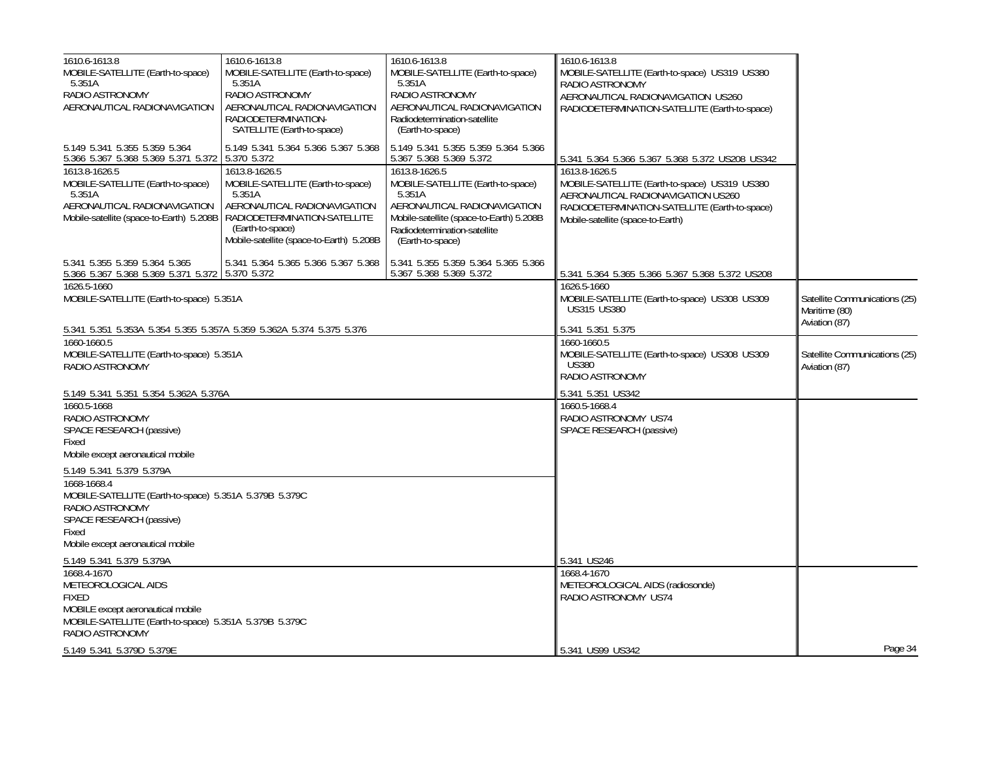| 1610.6-1613.8<br>MOBILE-SATELLITE (Earth-to-space)                                                                                                                   | 1610.6-1613.8<br>MOBILE-SATELLITE (Earth-to-space)                                                                                               | 1610.6-1613.8                                                                                                                                                            | 1610.6-1613.8<br>MOBILE-SATELLITE (Earth-to-space) US319 US380                                                                                                                             |                                                |
|----------------------------------------------------------------------------------------------------------------------------------------------------------------------|--------------------------------------------------------------------------------------------------------------------------------------------------|--------------------------------------------------------------------------------------------------------------------------------------------------------------------------|--------------------------------------------------------------------------------------------------------------------------------------------------------------------------------------------|------------------------------------------------|
| 5.351A                                                                                                                                                               | 5.351A                                                                                                                                           | MOBILE-SATELLITE (Earth-to-space)<br>5.351A                                                                                                                              | RADIO ASTRONOMY                                                                                                                                                                            |                                                |
| RADIO ASTRONOMY                                                                                                                                                      | RADIO ASTRONOMY                                                                                                                                  | RADIO ASTRONOMY                                                                                                                                                          | AERONAUTICAL RADIONAVIGATION US260                                                                                                                                                         |                                                |
| AERONAUTICAL RADIONAVIGATION                                                                                                                                         | AERONAUTICAL RADIONAVIGATION<br>RADIODETERMINATION-                                                                                              | AERONAUTICAL RADIONAVIGATION<br>Radiodetermination-satellite                                                                                                             | RADIODETERMINATION-SATELLITE (Earth-to-space)                                                                                                                                              |                                                |
|                                                                                                                                                                      | SATELLITE (Earth-to-space)                                                                                                                       | (Earth-to-space)                                                                                                                                                         |                                                                                                                                                                                            |                                                |
| 5.149 5.341 5.355 5.359 5.364<br>5.366 5.367 5.368 5.369 5.371 5.372 5.370 5.372                                                                                     | 5.149 5.341 5.364 5.366 5.367 5.368                                                                                                              | 5.149 5.341 5.355 5.359 5.364 5.366<br>5.367 5.368 5.369 5.372                                                                                                           | 5.341 5.364 5.366 5.367 5.368 5.372 US208 US342                                                                                                                                            |                                                |
| 1613.8-1626.5<br>MOBILE-SATELLITE (Earth-to-space)<br>5.351A<br>AERONAUTICAL RADIONAVIGATION<br>Mobile-satellite (space-to-Earth) 5.208B                             | 1613.8-1626.5<br>MOBILE-SATELLITE (Earth-to-space)<br>5.351A<br>AERONAUTICAL RADIONAVIGATION<br>RADIODETERMINATION-SATELLITE<br>(Earth-to-space) | 1613.8-1626.5<br>MOBILE-SATELLITE (Earth-to-space)<br>5.351A<br>AERONAUTICAL RADIONAVIGATION<br>Mobile-satellite (space-to-Earth) 5.208B<br>Radiodetermination-satellite | 1613.8-1626.5<br>MOBILE-SATELLITE (Earth-to-space) US319 US380<br>AERONAUTICAL RADIONAVIGATION US260<br>RADIODETERMINATION-SATELLITE (Earth-to-space)<br>Mobile-satellite (space-to-Earth) |                                                |
|                                                                                                                                                                      | Mobile-satellite (space-to-Earth) 5.208B                                                                                                         | (Earth-to-space)                                                                                                                                                         |                                                                                                                                                                                            |                                                |
| 5.341 5.355 5.359 5.364 5.365<br>5.366 5.367 5.368 5.369 5.371 5.372 5.370 5.372                                                                                     | 5.341 5.364 5.365 5.366 5.367 5.368                                                                                                              | 5.341 5.355 5.359 5.364 5.365 5.366<br>5.367 5.368 5.369 5.372                                                                                                           | 5.341 5.364 5.365 5.366 5.367 5.368 5.372 US208                                                                                                                                            |                                                |
| 1626.5-1660<br>MOBILE-SATELLITE (Earth-to-space) 5.351A                                                                                                              |                                                                                                                                                  |                                                                                                                                                                          | 1626.5-1660<br>MOBILE-SATELLITE (Earth-to-space) US308 US309<br><b>US315 US380</b>                                                                                                         | Satellite Communications (25)<br>Maritime (80) |
| 5.341 5.351 5.353A 5.354 5.355 5.357A 5.359 5.362A 5.374 5.375 5.376                                                                                                 |                                                                                                                                                  |                                                                                                                                                                          | 5.341 5.351 5.375                                                                                                                                                                          | Aviation (87)                                  |
| 1660-1660.5<br>MOBILE-SATELLITE (Earth-to-space) 5.351A<br>RADIO ASTRONOMY                                                                                           |                                                                                                                                                  |                                                                                                                                                                          | 1660-1660.5<br>MOBILE-SATELLITE (Earth-to-space) US308 US309<br><b>US380</b><br>RADIO ASTRONOMY                                                                                            | Satellite Communications (25)<br>Aviation (87) |
| 5.149 5.341 5.351 5.354 5.362A 5.376A                                                                                                                                |                                                                                                                                                  |                                                                                                                                                                          |                                                                                                                                                                                            |                                                |
| 1660.5-1668<br>RADIO ASTRONOMY<br>SPACE RESEARCH (passive)<br>Fixed<br>Mobile except aeronautical mobile                                                             |                                                                                                                                                  |                                                                                                                                                                          | 1660.5-1668.4<br>RADIO ASTRONOMY US74<br>SPACE RESEARCH (passive)                                                                                                                          |                                                |
| 5.149 5.341 5.379 5.379A                                                                                                                                             |                                                                                                                                                  |                                                                                                                                                                          |                                                                                                                                                                                            |                                                |
| 1668-1668.4<br>MOBILE-SATELLITE (Earth-to-space) 5.351A 5.379B 5.379C<br>RADIO ASTRONOMY<br>SPACE RESEARCH (passive)<br>Fixed<br>Mobile except aeronautical mobile   |                                                                                                                                                  |                                                                                                                                                                          |                                                                                                                                                                                            |                                                |
| 5.149 5.341 5.379 5.379A                                                                                                                                             |                                                                                                                                                  |                                                                                                                                                                          | 5.341 US246                                                                                                                                                                                |                                                |
| 1668.4-1670<br>METEOROLOGICAL AIDS<br><b>FIXED</b><br>MOBILE except aeronautical mobile<br>MOBILE-SATELLITE (Earth-to-space) 5.351A 5.379B 5.379C<br>RADIO ASTRONOMY |                                                                                                                                                  |                                                                                                                                                                          | 1668.4-1670<br>METEOROLOGICAL AIDS (radiosonde)<br>RADIO ASTRONOMY US74                                                                                                                    |                                                |
| 5.149 5.341 5.379D 5.379E                                                                                                                                            |                                                                                                                                                  |                                                                                                                                                                          | 5.341 US99 US342                                                                                                                                                                           | Page 34                                        |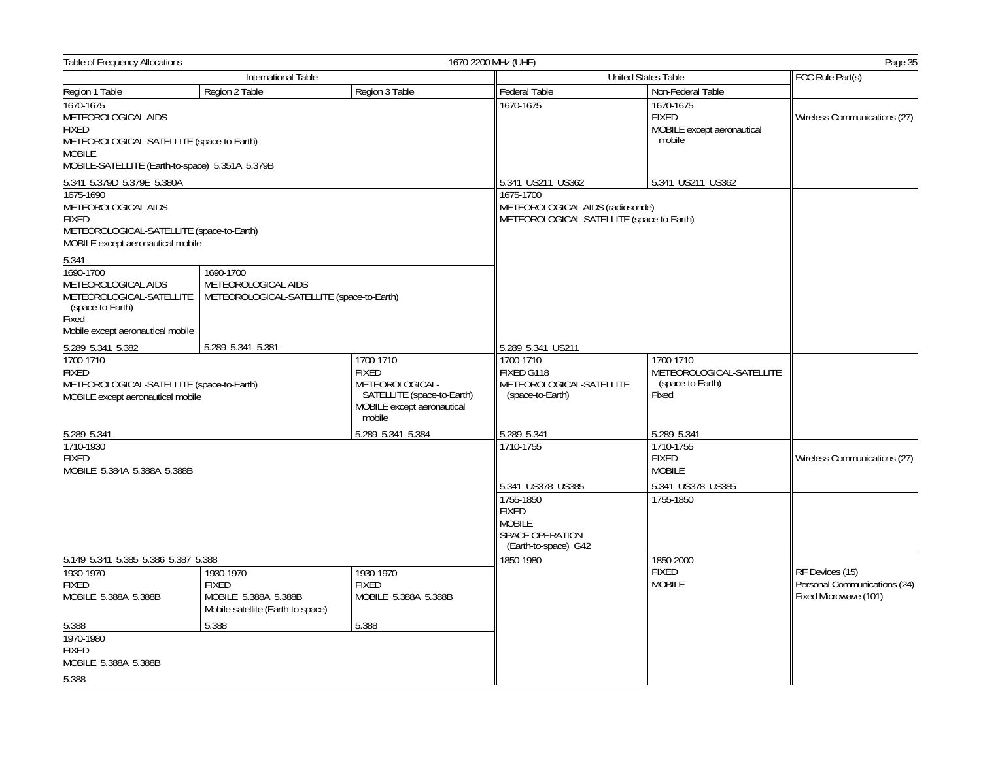| <b>Table of Frequency Allocations</b>                                                                                                                             |                                                                                        |                                                                                                                    | 1670-2200 MHz (UHF)                                                                                        |                                                                    | Page 35                                                                  |
|-------------------------------------------------------------------------------------------------------------------------------------------------------------------|----------------------------------------------------------------------------------------|--------------------------------------------------------------------------------------------------------------------|------------------------------------------------------------------------------------------------------------|--------------------------------------------------------------------|--------------------------------------------------------------------------|
| International Table                                                                                                                                               |                                                                                        |                                                                                                                    |                                                                                                            | <b>United States Table</b>                                         | FCC Rule Part(s)                                                         |
| Region 1 Table                                                                                                                                                    | Region 2 Table                                                                         | Region 3 Table                                                                                                     | <b>Federal Table</b>                                                                                       | Non-Federal Table                                                  |                                                                          |
| 1670-1675<br>METEOROLOGICAL AIDS<br><b>FIXED</b><br>METEOROLOGICAL-SATELLITE (space-to-Earth)<br><b>MOBILE</b><br>MOBILE-SATELLITE (Earth-to-space) 5.351A 5.379B |                                                                                        |                                                                                                                    | 1670-1675                                                                                                  | 1670-1675<br><b>FIXED</b><br>MOBILE except aeronautical<br>mobile  | Wireless Communications (27)                                             |
| 5.341 5.379D 5.379E 5.380A                                                                                                                                        |                                                                                        |                                                                                                                    | 5.341 US211 US362                                                                                          | 5.341 US211 US362                                                  |                                                                          |
| 1675-1690<br>METEOROLOGICAL AIDS<br><b>FIXED</b><br>METEOROLOGICAL-SATELLITE (space-to-Earth)<br>MOBILE except aeronautical mobile                                |                                                                                        |                                                                                                                    | 1675-1700<br>METEOROLOGICAL AIDS (radiosonde)<br>METEOROLOGICAL-SATELLITE (space-to-Earth)                 |                                                                    |                                                                          |
| 5.341                                                                                                                                                             |                                                                                        |                                                                                                                    |                                                                                                            |                                                                    |                                                                          |
| 1690-1700<br>METEOROLOGICAL AIDS<br>METEOROLOGICAL-SATELLITE<br>(space-to-Earth)<br>Fixed<br>Mobile except aeronautical mobile                                    | 1690-1700<br>METEOROLOGICAL AIDS<br>METEOROLOGICAL-SATELLITE (space-to-Earth)          |                                                                                                                    |                                                                                                            |                                                                    |                                                                          |
| 5.289 5.341 5.382                                                                                                                                                 | 5.289 5.341 5.381                                                                      |                                                                                                                    | 5.289 5.341 US211                                                                                          |                                                                    |                                                                          |
| 1700-1710<br><b>FIXED</b><br>METEOROLOGICAL-SATELLITE (space-to-Earth)<br>MOBILE except aeronautical mobile                                                       |                                                                                        | 1700-1710<br><b>FIXED</b><br>METEOROLOGICAL-<br>SATELLITE (space-to-Earth)<br>MOBILE except aeronautical<br>mobile | 1700-1710<br>FIXED G118<br>METEOROLOGICAL-SATELLITE<br>(space-to-Earth)                                    | 1700-1710<br>METEOROLOGICAL-SATELLITE<br>(space-to-Earth)<br>Fixed |                                                                          |
| 5.289 5.341                                                                                                                                                       |                                                                                        | 5.289 5.341 5.384                                                                                                  | 5.289 5.341                                                                                                | 5.289 5.341                                                        |                                                                          |
| 1710-1930<br><b>FIXED</b><br>MOBILE 5.384A 5.388A 5.388B                                                                                                          |                                                                                        |                                                                                                                    | 1710-1755                                                                                                  | 1710-1755<br><b>FIXED</b><br><b>MOBILE</b>                         | Wireless Communications (27)                                             |
|                                                                                                                                                                   |                                                                                        |                                                                                                                    | 5.341 US378 US385<br>1755-1850<br><b>FIXED</b><br><b>MOBILE</b><br>SPACE OPERATION<br>(Earth-to-space) G42 | 5.341 US378 US385<br>1755-1850                                     |                                                                          |
| 5.149 5.341 5.385 5.386 5.387 5.388                                                                                                                               |                                                                                        |                                                                                                                    | 1850-1980                                                                                                  | 1850-2000                                                          |                                                                          |
| 1930-1970<br><b>FIXED</b><br>MOBILE 5.388A 5.388B                                                                                                                 | 1930-1970<br><b>FIXED</b><br>MOBILE 5.388A 5.388B<br>Mobile-satellite (Earth-to-space) | 1930-1970<br><b>FIXED</b><br>MOBILE 5.388A 5.388B                                                                  |                                                                                                            | <b>FIXED</b><br><b>MOBILE</b>                                      | RF Devices (15)<br>Personal Communications (24)<br>Fixed Microwave (101) |
| 5.388                                                                                                                                                             | 5.388                                                                                  | 5.388                                                                                                              |                                                                                                            |                                                                    |                                                                          |
| 1970-1980<br><b>FIXED</b><br>MOBILE 5.388A 5.388B                                                                                                                 |                                                                                        |                                                                                                                    |                                                                                                            |                                                                    |                                                                          |
| 5.388                                                                                                                                                             |                                                                                        |                                                                                                                    |                                                                                                            |                                                                    |                                                                          |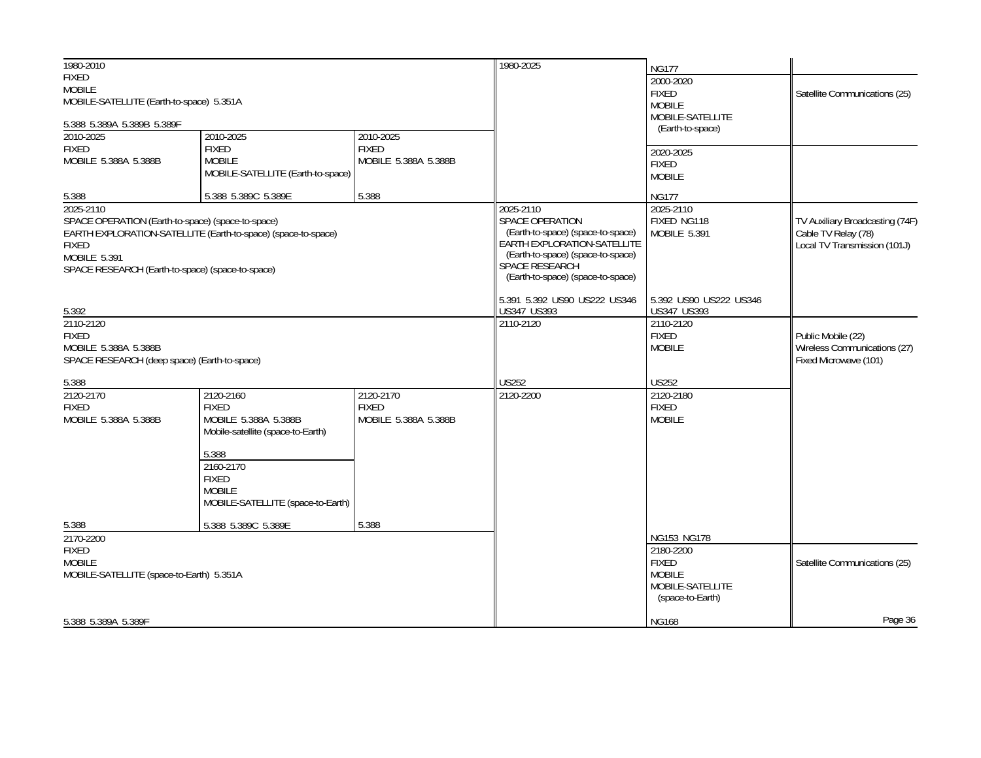| 1980-2010                                         |                                                               |                      | 1980-2025                                                        | <b>NG177</b>           |                                 |
|---------------------------------------------------|---------------------------------------------------------------|----------------------|------------------------------------------------------------------|------------------------|---------------------------------|
| <b>FIXED</b>                                      |                                                               |                      |                                                                  | 2000-2020              |                                 |
| <b>MOBILE</b>                                     |                                                               |                      |                                                                  | <b>FIXED</b>           | Satellite Communications (25)   |
| MOBILE-SATELLITE (Earth-to-space) 5.351A          |                                                               |                      |                                                                  | <b>MOBILE</b>          |                                 |
|                                                   |                                                               |                      |                                                                  | MOBILE-SATELLITE       |                                 |
| 5.388 5.389A 5.389B 5.389F                        |                                                               |                      |                                                                  | (Earth-to-space)       |                                 |
| 2010-2025                                         | 2010-2025                                                     | 2010-2025            |                                                                  |                        |                                 |
| <b>FIXED</b>                                      | <b>FIXED</b>                                                  | <b>FIXED</b>         |                                                                  | 2020-2025              |                                 |
| MOBILE 5.388A 5.388B                              | <b>MOBILE</b>                                                 | MOBILE 5.388A 5.388B |                                                                  | <b>FIXED</b>           |                                 |
|                                                   | MOBILE-SATELLITE (Earth-to-space)                             |                      |                                                                  | <b>MOBILE</b>          |                                 |
|                                                   |                                                               |                      |                                                                  |                        |                                 |
| 5.388                                             | 5.388 5.389C 5.389E                                           | 5.388                |                                                                  | <b>NG177</b>           |                                 |
| 2025-2110                                         |                                                               |                      | 2025-2110                                                        | 2025-2110              |                                 |
| SPACE OPERATION (Earth-to-space) (space-to-space) |                                                               |                      | <b>SPACE OPERATION</b>                                           | FIXED NG118            | TV Auxiliary Broadcasting (74F) |
|                                                   | EARTH EXPLORATION-SATELLITE (Earth-to-space) (space-to-space) |                      | (Earth-to-space) (space-to-space)<br>EARTH EXPLORATION-SATELLITE | MOBILE 5.391           | Cable TV Relay (78)             |
| <b>FIXED</b>                                      |                                                               |                      |                                                                  |                        | Local TV Transmission (101J)    |
| MOBILE 5.391                                      |                                                               |                      | (Earth-to-space) (space-to-space)                                |                        |                                 |
| SPACE RESEARCH (Earth-to-space) (space-to-space)  |                                                               |                      | SPACE RESEARCH                                                   |                        |                                 |
|                                                   |                                                               |                      | (Earth-to-space) (space-to-space)                                |                        |                                 |
|                                                   |                                                               |                      | 5.391 5.392 US90 US222 US346                                     | 5.392 US90 US222 US346 |                                 |
| 5.392                                             |                                                               |                      | US347 US393                                                      | <b>US347 US393</b>     |                                 |
| 2110-2120                                         |                                                               |                      | 2110-2120                                                        | 2110-2120              |                                 |
| <b>FIXED</b>                                      |                                                               |                      |                                                                  | <b>FIXED</b>           | Public Mobile (22)              |
| MOBILE 5.388A 5.388B                              |                                                               |                      |                                                                  | <b>MOBILE</b>          | Wireless Communications (27)    |
| SPACE RESEARCH (deep space) (Earth-to-space)      |                                                               |                      |                                                                  |                        | Fixed Microwave (101)           |
| 5.388                                             |                                                               |                      | <b>US252</b>                                                     | <b>US252</b>           |                                 |
| 2120-2170                                         | 2120-2160                                                     | 2120-2170            | 2120-2200                                                        | 2120-2180              |                                 |
| <b>FIXED</b>                                      | <b>FIXED</b>                                                  | <b>FIXED</b>         |                                                                  | <b>FIXED</b>           |                                 |
|                                                   |                                                               |                      |                                                                  |                        |                                 |
| MOBILE 5.388A 5.388B                              | MOBILE 5.388A 5.388B<br>Mobile-satellite (space-to-Earth)     | MOBILE 5.388A 5.388B |                                                                  | <b>MOBILE</b>          |                                 |
|                                                   | 5.388                                                         |                      |                                                                  |                        |                                 |
|                                                   | 2160-2170                                                     |                      |                                                                  |                        |                                 |
|                                                   |                                                               |                      |                                                                  |                        |                                 |
|                                                   | <b>FIXED</b>                                                  |                      |                                                                  |                        |                                 |
|                                                   | <b>MOBILE</b>                                                 |                      |                                                                  |                        |                                 |
|                                                   | MOBILE-SATELLITE (space-to-Earth)                             |                      |                                                                  |                        |                                 |
| 5.388                                             | 5.388 5.389C 5.389E                                           | 5.388                |                                                                  |                        |                                 |
| 2170-2200                                         |                                                               |                      |                                                                  | NG153 NG178            |                                 |
| <b>FIXED</b>                                      |                                                               |                      |                                                                  | 2180-2200              |                                 |
| <b>MOBILE</b>                                     |                                                               |                      |                                                                  | <b>FIXED</b>           | Satellite Communications (25)   |
| MOBILE-SATELLITE (space-to-Earth) 5.351A          |                                                               |                      |                                                                  | <b>MOBILE</b>          |                                 |
|                                                   |                                                               |                      |                                                                  | MOBILE-SATELLITE       |                                 |
|                                                   |                                                               |                      |                                                                  | (space-to-Earth)       |                                 |
|                                                   |                                                               |                      |                                                                  |                        | Page 36                         |
| 5.388 5.389A 5.389F                               |                                                               |                      |                                                                  | <b>NG168</b>           |                                 |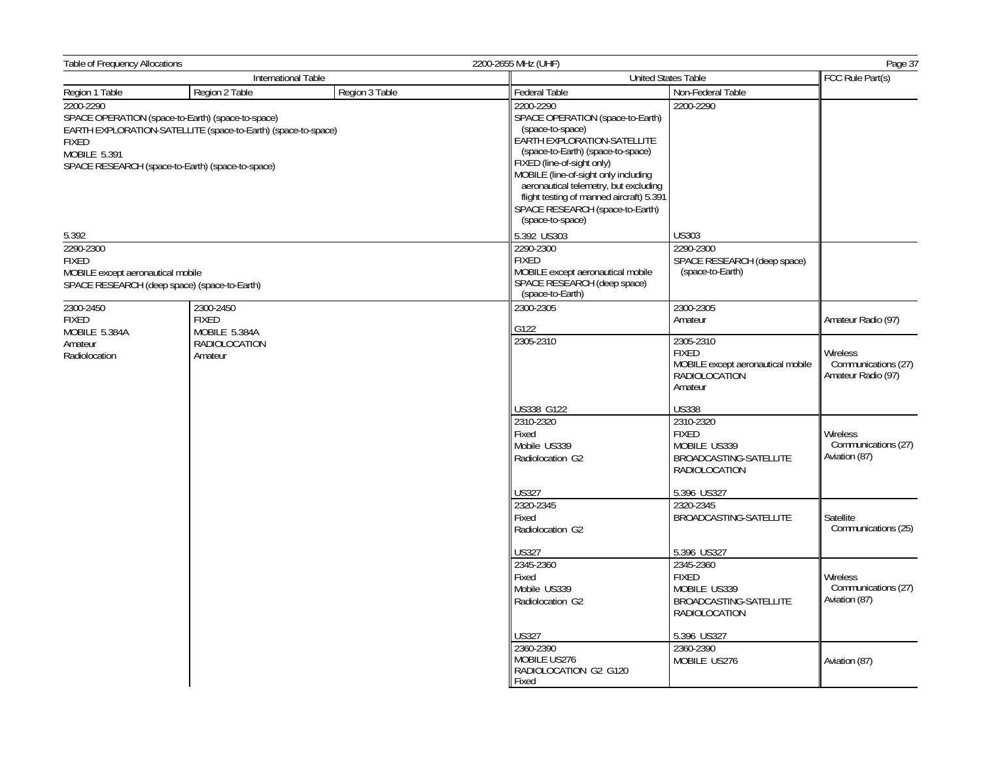| Table of Frequency Allocations                                 |                                                                                                                                                                        |                                                                                            | 2200-2655 MHz (UHF)                                                                                                                                                                                                                                                                                                                                     | Page 37                                                      |                                  |
|----------------------------------------------------------------|------------------------------------------------------------------------------------------------------------------------------------------------------------------------|--------------------------------------------------------------------------------------------|---------------------------------------------------------------------------------------------------------------------------------------------------------------------------------------------------------------------------------------------------------------------------------------------------------------------------------------------------------|--------------------------------------------------------------|----------------------------------|
| International Table                                            |                                                                                                                                                                        |                                                                                            | <b>United States Table</b>                                                                                                                                                                                                                                                                                                                              | FCC Rule Part(s)                                             |                                  |
| Region 1 Table                                                 | Region 2 Table                                                                                                                                                         | Region 3 Table                                                                             | <b>Federal Table</b>                                                                                                                                                                                                                                                                                                                                    | Non-Federal Table                                            |                                  |
| 2200-2290<br><b>FIXED</b><br>MOBILE 5.391                      | SPACE OPERATION (space-to-Earth) (space-to-space)<br>EARTH EXPLORATION-SATELLITE (space-to-Earth) (space-to-space)<br>SPACE RESEARCH (space-to-Earth) (space-to-space) |                                                                                            | 2200-2290<br>SPACE OPERATION (space-to-Earth)<br>(space-to-space)<br>EARTH EXPLORATION-SATELLITE<br>(space-to-Earth) (space-to-space)<br>FIXED (line-of-sight only)<br>MOBILE (line-of-sight only including<br>aeronautical telemetry, but excluding<br>flight testing of manned aircraft) 5.391<br>SPACE RESEARCH (space-to-Earth)<br>(space-to-space) | 2200-2290                                                    |                                  |
| 5.392                                                          |                                                                                                                                                                        |                                                                                            | 5.392 US303                                                                                                                                                                                                                                                                                                                                             | <b>US303</b>                                                 |                                  |
| 2290-2300<br><b>FIXED</b><br>MOBILE except aeronautical mobile | SPACE RESEARCH (deep space) (space-to-Earth)                                                                                                                           |                                                                                            | 2290-2300<br><b>FIXED</b><br>MOBILE except aeronautical mobile<br>SPACE RESEARCH (deep space)<br>(space-to-Earth)                                                                                                                                                                                                                                       | 2290-2300<br>SPACE RESEARCH (deep space)<br>(space-to-Earth) |                                  |
| 2300-2450<br><b>FIXED</b><br>MOBILE 5.384A                     | 2300-2450<br><b>FIXED</b><br>MOBILE 5.384A                                                                                                                             |                                                                                            | 2300-2305<br>G122                                                                                                                                                                                                                                                                                                                                       | 2300-2305<br>Amateur                                         | Amateur Radio (97)               |
| RADIOLOCATION<br>Amateur<br>Radiolocation<br>Amateur           | 2305-2310                                                                                                                                                              | 2305-2310<br><b>FIXED</b><br>MOBILE except aeronautical mobile<br>RADIOLOCATION<br>Amateur | Wireless<br>Communications (27)<br>Amateur Radio (97)                                                                                                                                                                                                                                                                                                   |                                                              |                                  |
|                                                                |                                                                                                                                                                        |                                                                                            | US338 G122                                                                                                                                                                                                                                                                                                                                              | <b>US338</b>                                                 |                                  |
|                                                                | 2310-2320<br>Fixed<br>Mobile US339<br>Radiolocation G2                                                                                                                 | 2310-2320<br><b>FIXED</b><br>MOBILE US339<br>BROADCASTING-SATELLITE<br>RADIOLOCATION       | Wireless<br>Communications (27)<br>Aviation (87)                                                                                                                                                                                                                                                                                                        |                                                              |                                  |
|                                                                |                                                                                                                                                                        |                                                                                            | <b>US327</b>                                                                                                                                                                                                                                                                                                                                            | 5.396 US327                                                  |                                  |
|                                                                |                                                                                                                                                                        |                                                                                            | 2320-2345<br>Fixed<br>Radiolocation G2                                                                                                                                                                                                                                                                                                                  | 2320-2345<br>BROADCASTING-SATELLITE                          | Satellite<br>Communications (25) |
|                                                                |                                                                                                                                                                        |                                                                                            | <b>US327</b>                                                                                                                                                                                                                                                                                                                                            | 5.396 US327                                                  |                                  |
|                                                                |                                                                                                                                                                        | 2345-2360<br>Fixed<br>Mobile US339<br>Radiolocation G2                                     | 2345-2360<br><b>FIXED</b><br>MOBILE US339<br>BROADCASTING-SATELLITE<br><b>RADIOLOCATION</b>                                                                                                                                                                                                                                                             | Wireless<br>Communications (27)<br>Aviation (87)             |                                  |
|                                                                |                                                                                                                                                                        |                                                                                            | <b>US327</b>                                                                                                                                                                                                                                                                                                                                            | 5.396 US327                                                  |                                  |
|                                                                |                                                                                                                                                                        |                                                                                            | 2360-2390<br>MOBILE US276<br>RADIOLOCATION G2 G120<br>Fixed                                                                                                                                                                                                                                                                                             | 2360-2390<br>MOBILE US276                                    | Aviation (87)                    |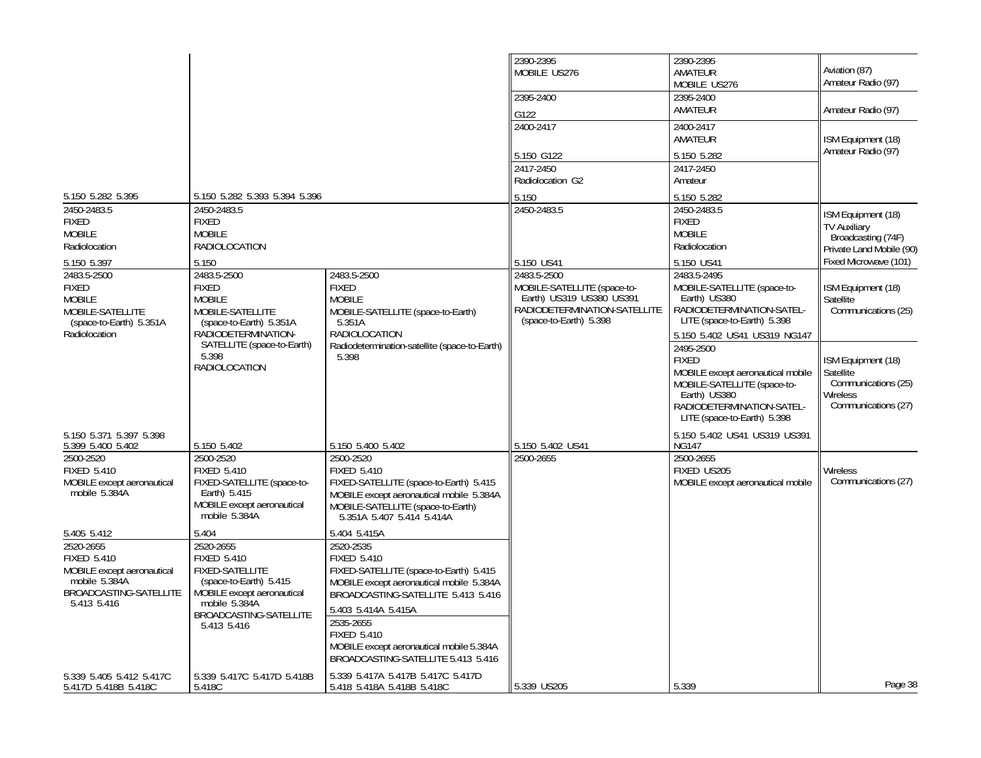|                                                                                                                         |                                                                                                                                                                             |                                                                                                                                                                                                                                                                                                         | 2390-2395<br>MOBILE US276                                                                                                        | 2390-2395<br>AMATEUR<br>MOBILE US276                                                                                                                                      | Aviation (87)<br>Amateur Radio (97)                                                         |
|-------------------------------------------------------------------------------------------------------------------------|-----------------------------------------------------------------------------------------------------------------------------------------------------------------------------|---------------------------------------------------------------------------------------------------------------------------------------------------------------------------------------------------------------------------------------------------------------------------------------------------------|----------------------------------------------------------------------------------------------------------------------------------|---------------------------------------------------------------------------------------------------------------------------------------------------------------------------|---------------------------------------------------------------------------------------------|
|                                                                                                                         |                                                                                                                                                                             |                                                                                                                                                                                                                                                                                                         | 2395-2400<br>G122                                                                                                                | 2395-2400<br>AMATEUR                                                                                                                                                      | Amateur Radio (97)                                                                          |
|                                                                                                                         |                                                                                                                                                                             |                                                                                                                                                                                                                                                                                                         | 2400-2417                                                                                                                        | 2400-2417<br>AMATEUR                                                                                                                                                      | ISM Equipment (18)<br>Amateur Radio (97)                                                    |
|                                                                                                                         |                                                                                                                                                                             |                                                                                                                                                                                                                                                                                                         | 5.150 G122<br>2417-2450<br>Radiolocation G2                                                                                      | 5.150 5.282<br>2417-2450<br>Amateur                                                                                                                                       |                                                                                             |
| 5.150 5.282 5.395                                                                                                       | 5.150 5.282 5.393 5.394 5.396                                                                                                                                               |                                                                                                                                                                                                                                                                                                         | 5.150                                                                                                                            | 5.150 5.282                                                                                                                                                               |                                                                                             |
| 2450-2483.5<br>FIXED<br><b>MOBILE</b><br>Radiolocation                                                                  | 2450-2483.5<br><b>FIXED</b><br><b>MOBILE</b><br>RADIOLOCATION                                                                                                               |                                                                                                                                                                                                                                                                                                         | 2450-2483.5                                                                                                                      | 2450-2483.5<br><b>FIXED</b><br><b>MOBILE</b><br>Radiolocation                                                                                                             | ISM Equipment (18)<br><b>TV Auxiliary</b><br>Broadcasting (74F)<br>Private Land Mobile (90) |
| 5.150 5.397                                                                                                             | 5.150                                                                                                                                                                       |                                                                                                                                                                                                                                                                                                         | 5.150 US41                                                                                                                       | 5.150 US41                                                                                                                                                                | Fixed Microwave (101)                                                                       |
| 2483.5-2500<br><b>FIXED</b><br><b>MOBILE</b><br>MOBILE-SATELLITE<br>(space-to-Earth) 5.351A<br>Radiolocation            | 2483.5-2500<br><b>FIXED</b><br><b>MOBILE</b><br>MOBILE-SATELLITE<br>$(space-to-Earth)$ 5.351A<br>RADIODETERMINATION-                                                        | 2483.5-2500<br><b>FIXED</b><br><b>MOBILE</b><br>MOBILE-SATELLITE (space-to-Earth)<br>5.351A<br><b>RADIOLOCATION</b>                                                                                                                                                                                     | 2483.5-2500<br>MOBILE-SATELLITE (space-to-<br>Earth) US319 US380 US391<br>RADIODETERMINATION-SATELLITE<br>(space-to-Earth) 5.398 | 2483.5-2495<br>MOBILE-SATELLITE (space-to-<br>Earth) US380<br>RADIODETERMINATION-SATEL-<br>LITE (space-to-Earth) 5.398<br>5.150 5.402 US41 US319 NG147                    | ISM Equipment (18)<br>Satellite<br>Communications (25)                                      |
|                                                                                                                         | SATELLITE (space-to-Earth)<br>5.398<br><b>RADIOLOCATION</b>                                                                                                                 | Radiodetermination-satellite (space-to-Earth)<br>5.398                                                                                                                                                                                                                                                  |                                                                                                                                  | 2495-2500<br><b>FIXED</b><br>MOBILE except aeronautical mobile<br>MOBILE-SATELLITE (space-to-<br>Earth) US380<br>RADIODETERMINATION-SATEL-<br>LITE (space-to-Earth) 5.398 | ISM Equipment (18)<br>Satellite<br>Communications (25)<br>Wireless<br>Communications (27)   |
| 5.150 5.371 5.397 5.398<br>5.399 5.400 5.402                                                                            | 5.150 5.402                                                                                                                                                                 | 5.150 5.400 5.402                                                                                                                                                                                                                                                                                       | 5.150 5.402 US41                                                                                                                 | 5.150 5.402 US41 US319 US391<br><b>NG147</b>                                                                                                                              |                                                                                             |
| 2500-2520<br><b>FIXED 5.410</b><br>MOBILE except aeronautical<br>mobile 5.384A                                          | 2500-2520<br><b>FIXED 5.410</b><br>FIXED-SATELLITE (space-to-<br>Earth) 5.415<br>MOBILE except aeronautical<br>mobile 5.384A                                                | 2500-2520<br><b>FIXED 5.410</b><br>FIXED-SATELLITE (space-to-Earth) 5.415<br>MOBILE except aeronautical mobile 5.384A<br>MOBILE-SATELLITE (space-to-Earth)<br>5.351A 5.407 5.414 5.414A                                                                                                                 | 2500-2655                                                                                                                        | 2500-2655<br>FIXED US205<br>MOBILE except aeronautical mobile                                                                                                             | Wireless<br>Communications (27)                                                             |
| 5.405 5.412                                                                                                             | 5.404                                                                                                                                                                       | 5.404 5.415A                                                                                                                                                                                                                                                                                            |                                                                                                                                  |                                                                                                                                                                           |                                                                                             |
| 2520-2655<br><b>FIXED 5.410</b><br>MOBILE except aeronautical<br>mobile 5.384A<br>BROADCASTING-SATELLITE<br>5.413 5.416 | 2520-2655<br><b>FIXED 5.410</b><br><b>FIXED-SATELLITE</b><br>(space-to-Earth) 5.415<br>MOBILE except aeronautical<br>mobile 5.384A<br>BROADCASTING-SATELLITE<br>5.413 5.416 | 2520-2535<br><b>FIXED 5.410</b><br>FIXED-SATELLITE (space-to-Earth) 5.415<br>MOBILE except aeronautical mobile 5.384A<br>BROADCASTING-SATELLITE 5.413 5.416<br>5.403 5.414A 5.415A<br>2535-2655<br><b>FIXED 5.410</b><br>MOBILE except aeronautical mobile 5.384A<br>BROADCASTING-SATELLITE 5.413 5.416 |                                                                                                                                  |                                                                                                                                                                           |                                                                                             |
| 5.339 5.405 5.412 5.417C<br>5.417D 5.418B 5.418C                                                                        | 5.339 5.417C 5.417D 5.418B<br>5.418C                                                                                                                                        | 5.339 5.417A 5.417B 5.417C 5.417D<br>5.418 5.418A 5.418B 5.418C                                                                                                                                                                                                                                         | 5.339 US205                                                                                                                      | 5.339                                                                                                                                                                     | Page 38                                                                                     |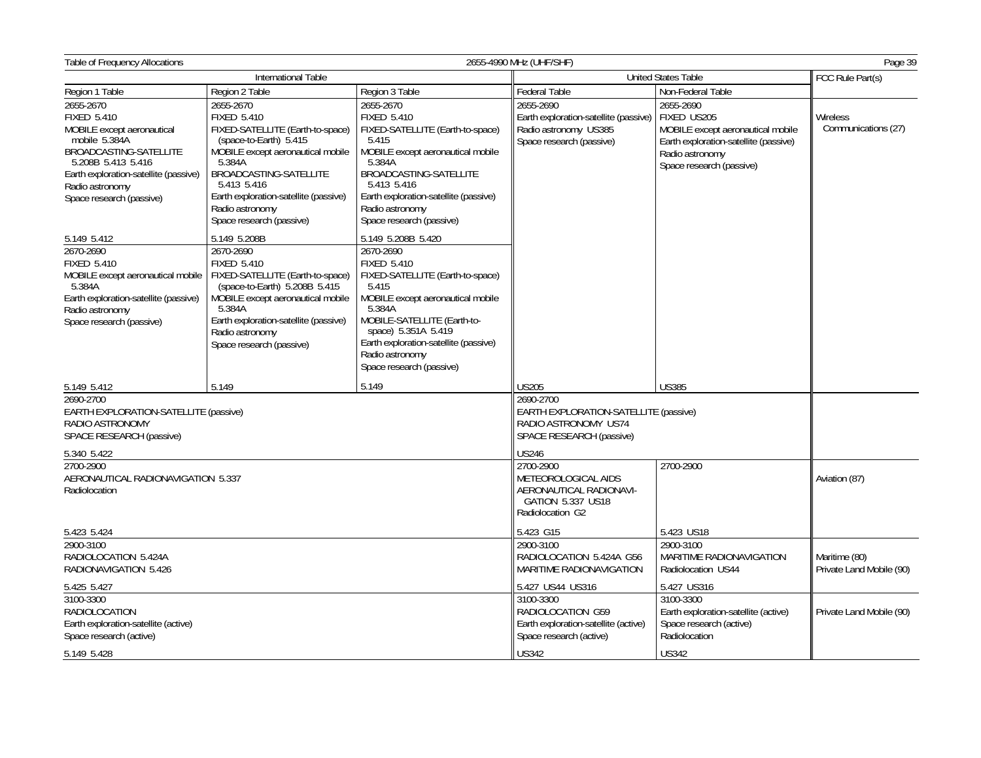| Table of Frequency Allocations<br>2655-4990 MHz (UHF/SHF)                                                                                                                                                              |                                                                                                                                                                                                                                                                               |                                                                                                                                                                                                                                                                                                 |                                                                                                                                                                                                                                |                                                                                                                                                       | Page 39                                   |
|------------------------------------------------------------------------------------------------------------------------------------------------------------------------------------------------------------------------|-------------------------------------------------------------------------------------------------------------------------------------------------------------------------------------------------------------------------------------------------------------------------------|-------------------------------------------------------------------------------------------------------------------------------------------------------------------------------------------------------------------------------------------------------------------------------------------------|--------------------------------------------------------------------------------------------------------------------------------------------------------------------------------------------------------------------------------|-------------------------------------------------------------------------------------------------------------------------------------------------------|-------------------------------------------|
|                                                                                                                                                                                                                        | International Table                                                                                                                                                                                                                                                           |                                                                                                                                                                                                                                                                                                 | <b>United States Table</b>                                                                                                                                                                                                     |                                                                                                                                                       | FCC Rule Part(s)                          |
| Region 1 Table                                                                                                                                                                                                         | Region 2 Table                                                                                                                                                                                                                                                                | Region 3 Table                                                                                                                                                                                                                                                                                  | Federal Table                                                                                                                                                                                                                  | Non-Federal Table                                                                                                                                     |                                           |
| 2655-2670<br><b>FIXED 5.410</b><br>MOBILE except aeronautical<br>mobile 5.384A<br>BROADCASTING-SATELLITE<br>5.208B 5.413 5.416<br>Earth exploration-satellite (passive)<br>Radio astronomy<br>Space research (passive) | 2655-2670<br><b>FIXED 5.410</b><br>FIXED-SATELLITE (Earth-to-space)<br>(space-to-Earth) 5.415<br>MOBILE except aeronautical mobile<br>5.384A<br>BROADCASTING-SATELLITE<br>5.413 5.416<br>Earth exploration-satellite (passive)<br>Radio astronomy<br>Space research (passive) | 2655-2670<br><b>FIXED 5.410</b><br>FIXED-SATELLITE (Earth-to-space)<br>5.415<br>MOBILE except aeronautical mobile<br>5.384A<br>BROADCASTING-SATELLITE<br>5.413 5.416<br>Earth exploration-satellite (passive)<br>Radio astronomy<br>Space research (passive)                                    | 2655-2690<br>Earth exploration-satellite (passive)<br>Radio astronomy US385<br>Space research (passive)                                                                                                                        | 2655-2690<br>FIXED US205<br>MOBILE except aeronautical mobile<br>Earth exploration-satellite (passive)<br>Radio astronomy<br>Space research (passive) | Wireless<br>Communications (27)           |
| 5.149 5.412<br>2670-2690<br><b>FIXED 5.410</b><br>MOBILE except aeronautical mobile<br>5.384A<br>Earth exploration-satellite (passive)<br>Radio astronomy<br>Space research (passive)                                  | 5.149 5.208B<br>2670-2690<br><b>FIXED 5.410</b><br>FIXED-SATELLITE (Earth-to-space)<br>(space-to-Earth) 5.208B 5.415<br>MOBILE except aeronautical mobile<br>5.384A<br>Earth exploration-satellite (passive)<br>Radio astronomy<br>Space research (passive)                   | 5.149 5.208B 5.420<br>2670-2690<br><b>FIXED 5.410</b><br>FIXED-SATELLITE (Earth-to-space)<br>5.415<br>MOBILE except aeronautical mobile<br>5.384A<br>MOBILE-SATELLITE (Earth-to-<br>space) 5.351A 5.419<br>Earth exploration-satellite (passive)<br>Radio astronomy<br>Space research (passive) |                                                                                                                                                                                                                                |                                                                                                                                                       |                                           |
| 5.149 5.412                                                                                                                                                                                                            | 5.149                                                                                                                                                                                                                                                                         | 5.149                                                                                                                                                                                                                                                                                           | <b>US205</b>                                                                                                                                                                                                                   | <b>US385</b>                                                                                                                                          |                                           |
| 2690-2700<br>EARTH EXPLORATION-SATELLITE (passive)<br>RADIO ASTRONOMY<br>SPACE RESEARCH (passive)<br>5.340 5.422<br>2700-2900<br>AERONAUTICAL RADIONAVIGATION 5.337<br>Radiolocation                                   |                                                                                                                                                                                                                                                                               |                                                                                                                                                                                                                                                                                                 | 2690-2700<br>EARTH EXPLORATION-SATELLITE (passive)<br>RADIO ASTRONOMY US74<br>SPACE RESEARCH (passive)<br><b>US246</b><br>2700-2900<br>METEOROLOGICAL AIDS<br>AERONAUTICAL RADIONAVI-<br>GATION 5.337 US18<br>Radiolocation G2 | 2700-2900                                                                                                                                             | Aviation (87)                             |
| 5.423 5.424                                                                                                                                                                                                            |                                                                                                                                                                                                                                                                               |                                                                                                                                                                                                                                                                                                 | 5.423 G15                                                                                                                                                                                                                      | 5.423 US18                                                                                                                                            |                                           |
| 2900-3100<br>RADIOLOCATION 5.424A<br>RADIONAVIGATION 5.426                                                                                                                                                             |                                                                                                                                                                                                                                                                               |                                                                                                                                                                                                                                                                                                 | 2900-3100<br>RADIOLOCATION 5.424A G56<br>MARITIME RADIONAVIGATION                                                                                                                                                              | 2900-3100<br>MARITIME RADIONAVIGATION<br>Radiolocation US44                                                                                           | Maritime (80)<br>Private Land Mobile (90) |
| 5.425 5.427                                                                                                                                                                                                            |                                                                                                                                                                                                                                                                               |                                                                                                                                                                                                                                                                                                 | 5.427 US44 US316                                                                                                                                                                                                               | 5.427 US316                                                                                                                                           |                                           |
| 3100-3300<br>RADIOLOCATION<br>Earth exploration-satellite (active)<br>Space research (active)                                                                                                                          |                                                                                                                                                                                                                                                                               |                                                                                                                                                                                                                                                                                                 | 3100-3300<br>RADIOLOCATION G59<br>Earth exploration-satellite (active)<br>Space research (active)                                                                                                                              | 3100-3300<br>Earth exploration-satellite (active)<br>Space research (active)<br>Radiolocation                                                         | Private Land Mobile (90)                  |
| 5.149 5.428                                                                                                                                                                                                            |                                                                                                                                                                                                                                                                               |                                                                                                                                                                                                                                                                                                 | <b>US342</b>                                                                                                                                                                                                                   | <b>US342</b>                                                                                                                                          |                                           |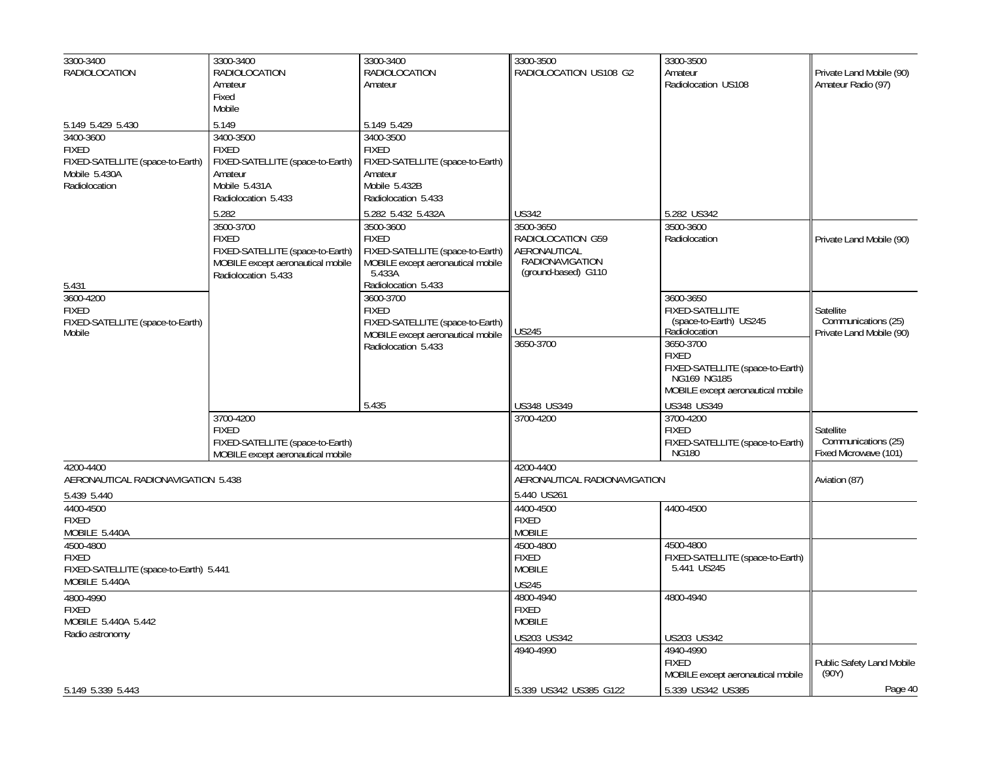| 3300-3400                                               | 3300-3400                         | 3300-3400                                   | 3300-3500                       | 3300-3500                                       |                                    |
|---------------------------------------------------------|-----------------------------------|---------------------------------------------|---------------------------------|-------------------------------------------------|------------------------------------|
| <b>RADIOLOCATION</b>                                    | RADIOLOCATION                     | <b>RADIOLOCATION</b>                        | RADIOLOCATION US108 G2          | Amateur                                         | Private Land Mobile (90)           |
|                                                         | Amateur                           | Amateur                                     |                                 | Radiolocation US108                             | Amateur Radio (97)                 |
|                                                         | Fixed                             |                                             |                                 |                                                 |                                    |
|                                                         | Mobile                            |                                             |                                 |                                                 |                                    |
| 5.149 5.429 5.430                                       | 5.149                             | 5.149 5.429                                 |                                 |                                                 |                                    |
| 3400-3600                                               | 3400-3500                         | 3400-3500                                   |                                 |                                                 |                                    |
| <b>FIXED</b>                                            | <b>FIXED</b>                      | <b>FIXED</b>                                |                                 |                                                 |                                    |
| FIXED-SATELLITE (space-to-Earth)                        | FIXED-SATELLITE (space-to-Earth)  | FIXED-SATELLITE (space-to-Earth)            |                                 |                                                 |                                    |
| Mobile 5.430A                                           | Amateur                           | Amateur                                     |                                 |                                                 |                                    |
| Radiolocation                                           | Mobile 5.431A                     | Mobile 5.432B                               |                                 |                                                 |                                    |
|                                                         | Radiolocation 5.433               | Radiolocation 5.433                         |                                 |                                                 |                                    |
|                                                         | 5.282                             | 5.282 5.432 5.432A                          | <b>US342</b>                    | 5.282 US342                                     |                                    |
|                                                         | 3500-3700                         | 3500-3600                                   | 3500-3650                       | 3500-3600                                       |                                    |
|                                                         | <b>FIXED</b>                      | <b>FIXED</b>                                | RADIOLOCATION G59               | Radiolocation                                   | Private Land Mobile (90)           |
|                                                         | FIXED-SATELLITE (space-to-Earth)  | FIXED-SATELLITE (space-to-Earth)            | AERONAUTICAL<br>RADIONAVIGATION |                                                 |                                    |
|                                                         | MOBILE except aeronautical mobile | MOBILE except aeronautical mobile<br>5.433A | (ground-based) G110             |                                                 |                                    |
| 5.431                                                   | Radiolocation 5.433               | Radiolocation 5.433                         |                                 |                                                 |                                    |
| 3600-4200                                               |                                   | 3600-3700                                   |                                 | 3600-3650                                       |                                    |
| <b>FIXED</b>                                            |                                   | <b>FIXED</b>                                |                                 | <b>FIXED-SATELLITE</b>                          | Satellite                          |
| FIXED-SATELLITE (space-to-Earth)                        |                                   | FIXED-SATELLITE (space-to-Earth)            |                                 | (space-to-Earth) US245<br>Radiolocation         | Communications (25)                |
| Mobile                                                  |                                   | MOBILE except aeronautical mobile           | US245                           |                                                 | Private Land Mobile (90)           |
|                                                         |                                   | Radiolocation 5.433                         | 3650-3700                       | 3650-3700                                       |                                    |
|                                                         |                                   |                                             |                                 | <b>FIXED</b>                                    |                                    |
|                                                         |                                   |                                             |                                 | FIXED-SATELLITE (space-to-Earth)<br>NG169 NG185 |                                    |
|                                                         |                                   |                                             |                                 | MOBILE except aeronautical mobile               |                                    |
|                                                         |                                   | 5.435                                       | US348 US349                     | US348 US349                                     |                                    |
|                                                         | 3700-4200                         |                                             | 3700-4200                       | 3700-4200                                       |                                    |
|                                                         | <b>FIXED</b>                      |                                             |                                 | <b>FIXED</b>                                    | Satellite                          |
|                                                         | FIXED-SATELLITE (space-to-Earth)  |                                             |                                 | FIXED-SATELLITE (space-to-Earth)                | Communications (25)                |
|                                                         | MOBILE except aeronautical mobile |                                             |                                 | <b>NG180</b>                                    | Fixed Microwave (101)              |
| 4200-4400                                               |                                   |                                             | 4200-4400                       |                                                 |                                    |
| AERONAUTICAL RADIONAVIGATION 5.438                      |                                   |                                             | AERONAUTICAL RADIONAVIGATION    |                                                 | Aviation (87)                      |
| 5.439 5.440                                             |                                   |                                             | 5.440 US261                     |                                                 |                                    |
| 4400-4500                                               |                                   |                                             | 4400-4500                       | 4400-4500                                       |                                    |
| <b>FIXED</b>                                            |                                   |                                             | <b>FIXED</b>                    |                                                 |                                    |
| MOBILE 5.440A                                           |                                   |                                             | <b>MOBILE</b>                   |                                                 |                                    |
| 4500-4800                                               |                                   |                                             | 4500-4800                       | 4500-4800                                       |                                    |
| <b>FIXED</b>                                            |                                   |                                             | <b>FIXED</b>                    | FIXED-SATELLITE (space-to-Earth)<br>5.441 US245 |                                    |
| FIXED-SATELLITE (space-to-Earth) 5.441<br>MOBILE 5.440A |                                   |                                             | <b>MOBILE</b>                   |                                                 |                                    |
|                                                         |                                   |                                             | <b>US245</b>                    |                                                 |                                    |
| 4800-4990<br><b>FIXED</b>                               |                                   |                                             | 4800-4940<br><b>FIXED</b>       | 4800-4940                                       |                                    |
|                                                         |                                   |                                             | <b>MOBILE</b>                   |                                                 |                                    |
| MOBILE 5.440A 5.442<br>Radio astronomy                  |                                   |                                             |                                 |                                                 |                                    |
|                                                         |                                   |                                             | US203 US342                     | US203 US342                                     |                                    |
|                                                         |                                   |                                             | 4940-4990                       | 4940-4990<br><b>FIXED</b>                       |                                    |
|                                                         |                                   |                                             |                                 | MOBILE except aeronautical mobile               | Public Safety Land Mobile<br>(90Y) |
|                                                         |                                   |                                             |                                 |                                                 |                                    |
| 5.149 5.339 5.443                                       |                                   |                                             | 5.339 US342 US385 G122          | 5.339 US342 US385                               | Page 40                            |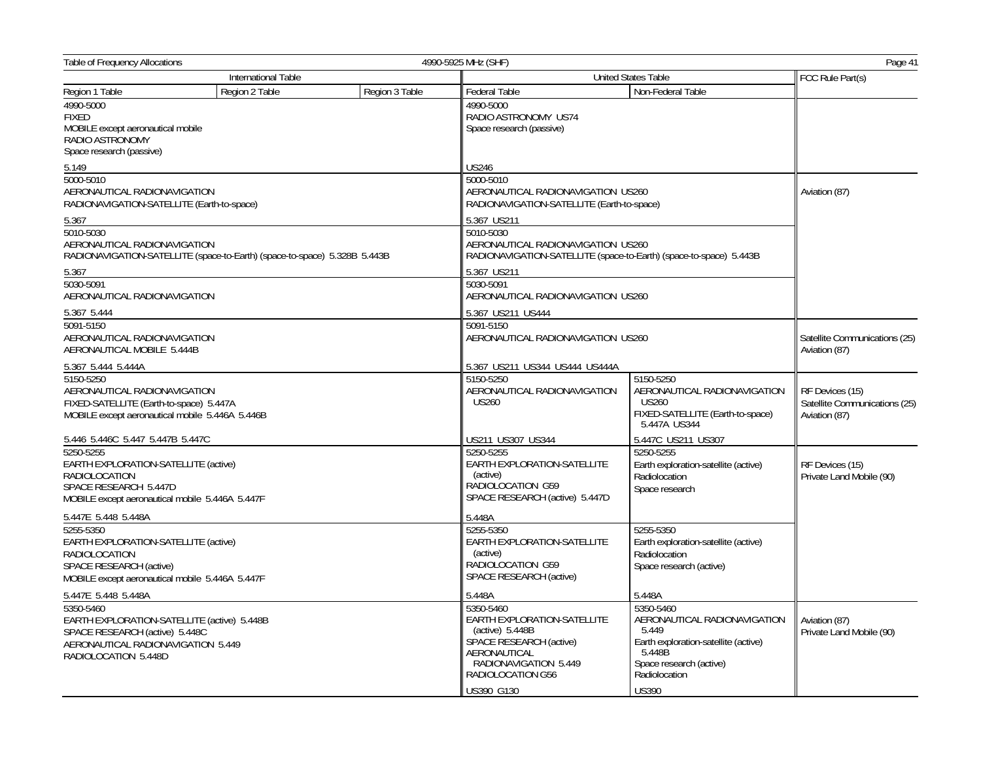| Table of Frequency Allocations<br>4990-5925 MHz (SHF)                                                                                                    |                                                                           |                |                                                                                                                                                                      |                                                                                                                                                                  |                                                                   |  |
|----------------------------------------------------------------------------------------------------------------------------------------------------------|---------------------------------------------------------------------------|----------------|----------------------------------------------------------------------------------------------------------------------------------------------------------------------|------------------------------------------------------------------------------------------------------------------------------------------------------------------|-------------------------------------------------------------------|--|
| International Table                                                                                                                                      |                                                                           |                |                                                                                                                                                                      | <b>United States Table</b>                                                                                                                                       |                                                                   |  |
| Region 1 Table                                                                                                                                           | Region 2 Table                                                            | Region 3 Table | Federal Table                                                                                                                                                        | Non-Federal Table                                                                                                                                                |                                                                   |  |
| 4990-5000<br><b>FIXED</b><br>MOBILE except aeronautical mobile<br>RADIO ASTRONOMY<br>Space research (passive)                                            |                                                                           |                | 4990-5000<br>RADIO ASTRONOMY US74<br>Space research (passive)                                                                                                        |                                                                                                                                                                  |                                                                   |  |
| 5.149                                                                                                                                                    |                                                                           |                | <b>US246</b>                                                                                                                                                         |                                                                                                                                                                  |                                                                   |  |
| 5000-5010<br>AERONAUTICAL RADIONAVIGATION<br>RADIONAVIGATION-SATELLITE (Earth-to-space)                                                                  |                                                                           |                | 5000-5010<br>AERONAUTICAL RADIONAVIGATION US260<br>RADIONAVIGATION-SATELLITE (Earth-to-space)                                                                        |                                                                                                                                                                  | Aviation (87)                                                     |  |
| 5.367                                                                                                                                                    |                                                                           |                | 5.367 US211                                                                                                                                                          |                                                                                                                                                                  |                                                                   |  |
| 5010-5030<br>AERONAUTICAL RADIONAVIGATION                                                                                                                | RADIONAVIGATION-SATELLITE (space-to-Earth) (space-to-space) 5.328B 5.443B |                | 5010-5030<br>AERONAUTICAL RADIONAVIGATION US260<br>RADIONAVIGATION-SATELLITE (space-to-Earth) (space-to-space) 5.443B                                                |                                                                                                                                                                  |                                                                   |  |
| 5.367                                                                                                                                                    |                                                                           |                | 5.367 US211                                                                                                                                                          |                                                                                                                                                                  |                                                                   |  |
| 5030-5091<br>AERONAUTICAL RADIONAVIGATION                                                                                                                |                                                                           |                | 5030-5091<br>AERONAUTICAL RADIONAVIGATION US260                                                                                                                      |                                                                                                                                                                  |                                                                   |  |
| 5.367 5.444                                                                                                                                              |                                                                           |                | 5.367 US211 US444                                                                                                                                                    |                                                                                                                                                                  |                                                                   |  |
| 5091-5150<br>AERONAUTICAL RADIONAVIGATION<br>AERONAUTICAL MOBILE 5.444B                                                                                  |                                                                           |                | 5091-5150<br>AERONAUTICAL RADIONAVIGATION US260                                                                                                                      |                                                                                                                                                                  | Satellite Communications (25)<br>Aviation (87)                    |  |
| 5.367 5.444 5.444A                                                                                                                                       |                                                                           |                | 5.367 US211 US344 US444 US444A                                                                                                                                       |                                                                                                                                                                  |                                                                   |  |
| 5150-5250<br>AERONAUTICAL RADIONAVIGATION<br>FIXED-SATELLITE (Earth-to-space) 5.447A<br>MOBILE except aeronautical mobile 5.446A 5.446B                  |                                                                           |                | 5150-5250<br>AERONAUTICAL RADIONAVIGATION<br><b>US260</b>                                                                                                            | 5150-5250<br>AERONAUTICAL RADIONAVIGATION<br><b>US260</b><br>FIXED-SATELLITE (Earth-to-space)<br>5.447A US344                                                    | RF Devices (15)<br>Satellite Communications (25)<br>Aviation (87) |  |
| 5.446 5.446C 5.447 5.447B 5.447C                                                                                                                         |                                                                           |                | US211 US307 US344                                                                                                                                                    | 5.447C US211 US307                                                                                                                                               |                                                                   |  |
| 5250-5255<br>EARTH EXPLORATION-SATELLITE (active)<br><b>RADIOLOCATION</b><br>SPACE RESEARCH 5.447D<br>MOBILE except aeronautical mobile 5.446A 5.447F    |                                                                           |                | 5250-5255<br>EARTH EXPLORATION-SATELLITE<br>(active)<br>RADIOLOCATION G59<br>SPACE RESEARCH (active) 5.447D                                                          | 5250-5255<br>Earth exploration-satellite (active)<br>Radiolocation<br>Space research                                                                             | RF Devices (15)<br>Private Land Mobile (90)                       |  |
| 5.447E 5.448 5.448A                                                                                                                                      |                                                                           |                | 5.448A                                                                                                                                                               |                                                                                                                                                                  |                                                                   |  |
| 5255-5350<br>EARTH EXPLORATION-SATELLITE (active)<br><b>RADIOLOCATION</b><br>SPACE RESEARCH (active)<br>MOBILE except aeronautical mobile 5.446A 5.447F  |                                                                           |                | 5255-5350<br>EARTH EXPLORATION-SATELLITE<br>(active)<br>RADIOLOCATION G59<br>SPACE RESEARCH (active)                                                                 | 5255-5350<br>Earth exploration-satellite (active)<br>Radiolocation<br>Space research (active)                                                                    |                                                                   |  |
| 5.447E 5.448 5.448A                                                                                                                                      |                                                                           |                | 5.448A                                                                                                                                                               | 5.448A                                                                                                                                                           |                                                                   |  |
| 5350-5460<br>EARTH EXPLORATION-SATELLITE (active) 5.448B<br>SPACE RESEARCH (active) 5.448C<br>AERONAUTICAL RADIONAVIGATION 5.449<br>RADIOLOCATION 5.448D |                                                                           |                | 5350-5460<br>EARTH EXPLORATION-SATELLITE<br>(active) $5.448B$<br>SPACE RESEARCH (active)<br>AERONAUTICAL<br>RADIONAVIGATION 5.449<br>RADIOLOCATION G56<br>US390 G130 | 5350-5460<br>AERONAUTICAL RADIONAVIGATION<br>5.449<br>Earth exploration-satellite (active)<br>5.448B<br>Space research (active)<br>Radiolocation<br><b>US390</b> | Aviation (87)<br>Private Land Mobile (90)                         |  |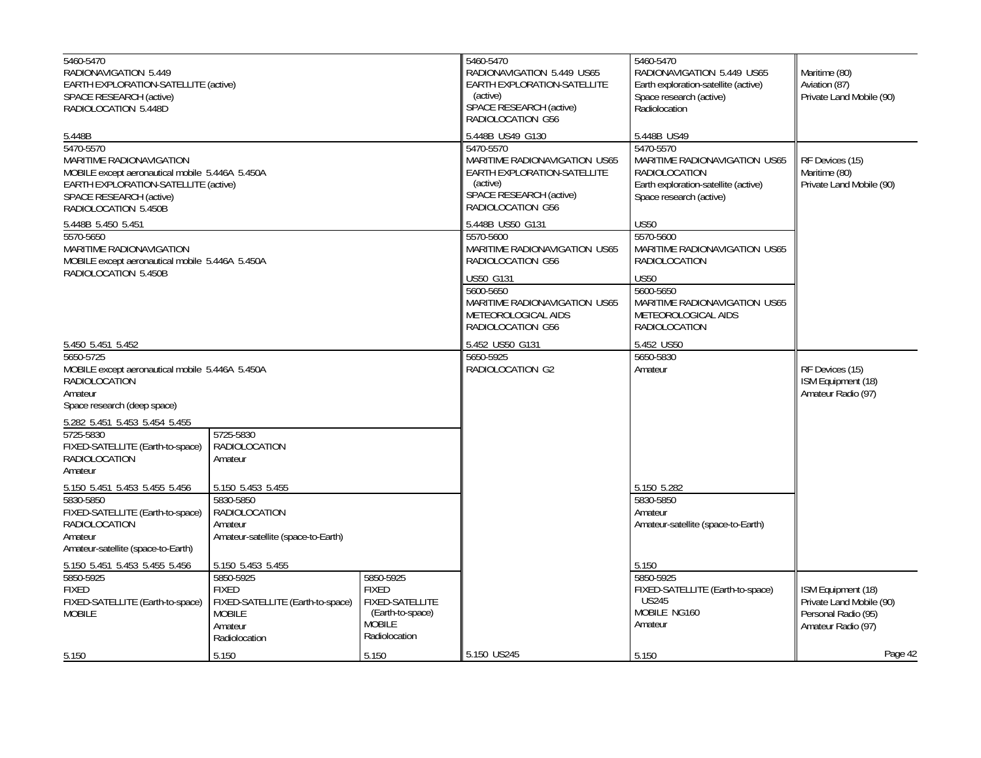| 5460-5470<br>RADIONAVIGATION 5.449<br>EARTH EXPLORATION-SATELLITE (active)<br>SPACE RESEARCH (active)<br>RADIOLOCATION 5.448D                                                              |                                                                                                            |                                                                                                           | 5460-5470<br>RADIONAVIGATION 5.449 US65<br><b>EARTH EXPLORATION-SATELLITE</b><br>(active)<br>SPACE RESEARCH (active)<br>RADIOLOCATION G56 | 5460-5470<br>RADIONAVIGATION 5.449 US65<br>Earth exploration-satellite (active)<br>Space research (active)<br>Radiolocation           | Maritime (80)<br>Aviation (87)<br>Private Land Mobile (90)                                  |
|--------------------------------------------------------------------------------------------------------------------------------------------------------------------------------------------|------------------------------------------------------------------------------------------------------------|-----------------------------------------------------------------------------------------------------------|-------------------------------------------------------------------------------------------------------------------------------------------|---------------------------------------------------------------------------------------------------------------------------------------|---------------------------------------------------------------------------------------------|
| 5.448B                                                                                                                                                                                     |                                                                                                            |                                                                                                           | 5.448B US49 G130                                                                                                                          | 5.448B US49                                                                                                                           |                                                                                             |
| 5470-5570<br>MARITIME RADIONAVIGATION<br>MOBILE except aeronautical mobile 5.446A 5.450A<br><b>EARTH EXPLORATION-SATELLITE (active)</b><br>SPACE RESEARCH (active)<br>RADIOLOCATION 5.450B |                                                                                                            |                                                                                                           | 5470-5570<br>MARITIME RADIONAVIGATION US65<br>EARTH EXPLORATION-SATELLITE<br>(active)<br>SPACE RESEARCH (active)<br>RADIOLOCATION G56     | 5470-5570<br>MARITIME RADIONAVIGATION US65<br><b>RADIOLOCATION</b><br>Earth exploration-satellite (active)<br>Space research (active) | RF Devices (15)<br>Maritime (80)<br>Private Land Mobile (90)                                |
| 5.448B 5.450 5.451                                                                                                                                                                         |                                                                                                            |                                                                                                           | 5.448B US50 G131                                                                                                                          | <b>US50</b>                                                                                                                           |                                                                                             |
| 5570-5650<br>MARITIME RADIONAVIGATION<br>MOBILE except aeronautical mobile 5.446A 5.450A                                                                                                   |                                                                                                            |                                                                                                           | 5570-5600<br>MARITIME RADIONAVIGATION US65<br>RADIOLOCATION G56                                                                           | 5570-5600<br>MARITIME RADIONAVIGATION US65<br><b>RADIOLOCATION</b>                                                                    |                                                                                             |
| RADIOLOCATION 5.450B                                                                                                                                                                       |                                                                                                            |                                                                                                           | <b>US50 G131</b>                                                                                                                          | <b>US50</b>                                                                                                                           |                                                                                             |
|                                                                                                                                                                                            |                                                                                                            |                                                                                                           | 5600-5650<br>MARITIME RADIONAVIGATION US65<br>METEOROLOGICAL AIDS<br>RADIOLOCATION G56                                                    | 5600-5650<br>MARITIME RADIONAVIGATION US65<br>METEOROLOGICAL AIDS<br>RADIOLOCATION                                                    |                                                                                             |
| 5.450 5.451 5.452                                                                                                                                                                          |                                                                                                            |                                                                                                           | 5.452 US50 G131                                                                                                                           | 5.452 US50                                                                                                                            |                                                                                             |
| 5650-5725<br>MOBILE except aeronautical mobile 5.446A 5.450A<br><b>RADIOLOCATION</b><br>Amateur<br>Space research (deep space)                                                             |                                                                                                            |                                                                                                           | 5650-5925<br>RADIOLOCATION G2                                                                                                             | 5650-5830<br>Amateur                                                                                                                  | RF Devices (15)<br>ISM Equipment (18)<br>Amateur Radio (97)                                 |
| 5.282 5.451 5.453 5.454 5.455                                                                                                                                                              |                                                                                                            |                                                                                                           |                                                                                                                                           |                                                                                                                                       |                                                                                             |
| 5725-5830<br>FIXED-SATELLITE (Earth-to-space)<br><b>RADIOLOCATION</b><br>Amateur                                                                                                           | 5725-5830<br><b>RADIOLOCATION</b><br>Amateur                                                               |                                                                                                           |                                                                                                                                           |                                                                                                                                       |                                                                                             |
| 5.150 5.451 5.453 5.455 5.456                                                                                                                                                              | 5.150 5.453 5.455                                                                                          |                                                                                                           |                                                                                                                                           | 5.150 5.282                                                                                                                           |                                                                                             |
| 5830-5850<br>FIXED-SATELLITE (Earth-to-space)<br>RADIOLOCATION<br>Amateur<br>Amateur-satellite (space-to-Earth)                                                                            | 5830-5850<br>RADIOLOCATION<br>Amateur<br>Amateur-satellite (space-to-Earth)                                |                                                                                                           |                                                                                                                                           | 5830-5850<br>Amateur<br>Amateur-satellite (space-to-Earth)                                                                            |                                                                                             |
| 5.150 5.451 5.453 5.455 5.456                                                                                                                                                              | 5.150 5.453 5.455                                                                                          |                                                                                                           |                                                                                                                                           | 5.150                                                                                                                                 |                                                                                             |
| 5850-5925<br><b>FIXED</b><br>FIXED-SATELLITE (Earth-to-space)<br><b>MOBILE</b>                                                                                                             | 5850-5925<br><b>FIXED</b><br>FIXED-SATELLITE (Earth-to-space)<br><b>MOBILE</b><br>Amateur<br>Radiolocation | 5850-5925<br><b>FIXED</b><br><b>FIXED-SATELLITE</b><br>(Earth-to-space)<br><b>MOBILE</b><br>Radiolocation |                                                                                                                                           | 5850-5925<br>FIXED-SATELLITE (Earth-to-space)<br>US245<br>MOBILE NG160<br>Amateur                                                     | ISM Equipment (18)<br>Private Land Mobile (90)<br>Personal Radio (95)<br>Amateur Radio (97) |
| 5.150                                                                                                                                                                                      | 5.150                                                                                                      | 5.150                                                                                                     | 5.150 US245                                                                                                                               | 5.150                                                                                                                                 | Page 42                                                                                     |
|                                                                                                                                                                                            |                                                                                                            |                                                                                                           |                                                                                                                                           |                                                                                                                                       |                                                                                             |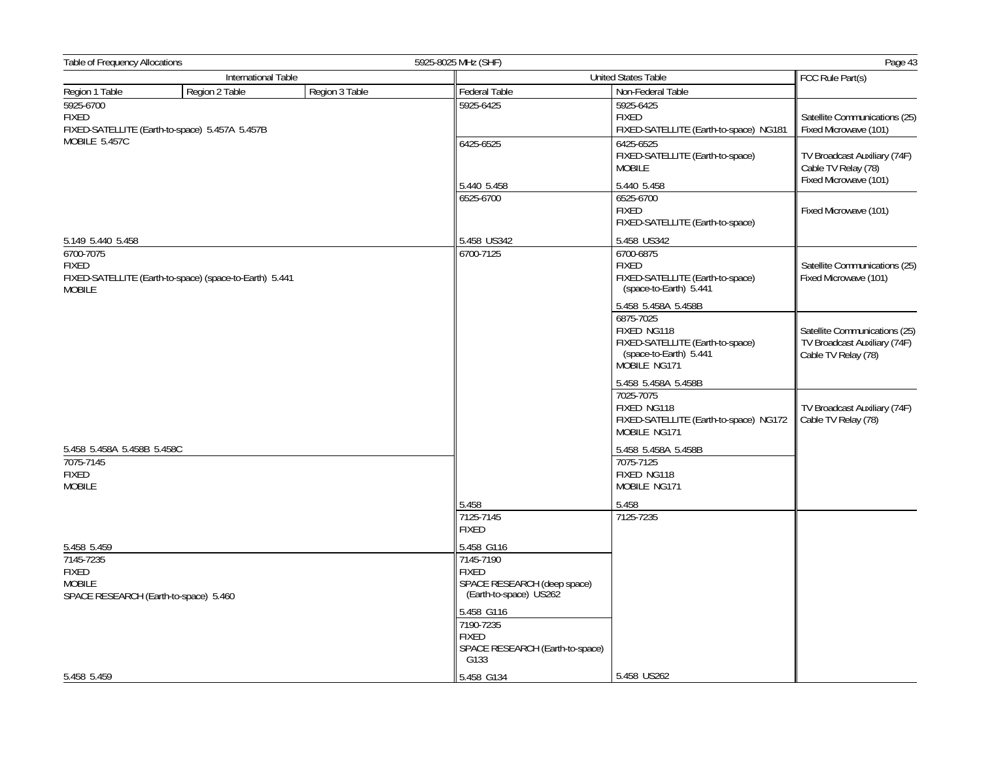| Table of Frequency Allocations                                         |                                                         |                                                                       | 5925-8025 MHz (SHF)                                                                                    |                                                                                                                |                                                        |
|------------------------------------------------------------------------|---------------------------------------------------------|-----------------------------------------------------------------------|--------------------------------------------------------------------------------------------------------|----------------------------------------------------------------------------------------------------------------|--------------------------------------------------------|
|                                                                        | International Table                                     |                                                                       |                                                                                                        | United States Table                                                                                            | FCC Rule Part(s)                                       |
| Region 1 Table                                                         | Region 2 Table                                          | Region 3 Table                                                        | Federal Table                                                                                          | Non-Federal Table                                                                                              |                                                        |
| 5925-6700<br><b>FIXED</b>                                              | FIXED-SATELLITE (Earth-to-space) 5.457A 5.457B          |                                                                       | 5925-6425                                                                                              | 5925-6425<br><b>FIXED</b><br>FIXED-SATELLITE (Earth-to-space) NG181                                            | Satellite Communications (25)<br>Fixed Microwave (101) |
| MOBILE 5.457C                                                          |                                                         | 6425-6525                                                             | 6425-6525<br>FIXED-SATELLITE (Earth-to-space)<br><b>MOBILE</b>                                         | TV Broadcast Auxiliary (74F)<br>Cable TV Relay (78)<br>Fixed Microwave (101)                                   |                                                        |
|                                                                        |                                                         |                                                                       | 5.440 5.458                                                                                            | 5.440 5.458                                                                                                    |                                                        |
|                                                                        |                                                         |                                                                       | 6525-6700                                                                                              | 6525-6700<br><b>FIXED</b><br>FIXED-SATELLITE (Earth-to-space)                                                  | Fixed Microwave (101)                                  |
| 5.149 5.440 5.458                                                      |                                                         |                                                                       | 5.458 US342                                                                                            | 5.458 US342                                                                                                    |                                                        |
| 6700-7075<br><b>FIXED</b><br><b>MOBILE</b>                             | FIXED-SATELLITE (Earth-to-space) (space-to-Earth) 5.441 |                                                                       | 6700-7125                                                                                              | 6700-6875<br><b>FIXED</b><br>FIXED-SATELLITE (Earth-to-space)<br>(space-to-Earth) 5.441<br>5.458 5.458A 5.458B | Satellite Communications (25)<br>Fixed Microwave (101) |
|                                                                        |                                                         |                                                                       | 6875-7025<br>FIXED NG118<br>FIXED-SATELLITE (Earth-to-space)<br>(space-to-Earth) 5.441<br>MOBILE NG171 | Satellite Communications (25)<br>TV Broadcast Auxiliary (74F)<br>Cable TV Relay (78)                           |                                                        |
|                                                                        |                                                         |                                                                       |                                                                                                        | 5.458 5.458A 5.458B                                                                                            |                                                        |
|                                                                        |                                                         |                                                                       | 7025-7075<br>FIXED NG118<br>FIXED-SATELLITE (Earth-to-space) NG172<br>MOBILE NG171                     | TV Broadcast Auxiliary (74F)<br>Cable TV Relay (78)                                                            |                                                        |
| 5.458 5.458A 5.458B 5.458C                                             |                                                         |                                                                       |                                                                                                        | 5.458 5.458A 5.458B                                                                                            |                                                        |
| 7075-7145<br><b>FIXED</b><br><b>MOBILE</b>                             |                                                         |                                                                       |                                                                                                        | 7075-7125<br>FIXED NG118<br>MOBILE NG171                                                                       |                                                        |
|                                                                        |                                                         |                                                                       | 5.458                                                                                                  | 5.458                                                                                                          |                                                        |
|                                                                        |                                                         |                                                                       | 7125-7145<br><b>FIXED</b>                                                                              | 7125-7235                                                                                                      |                                                        |
| 5.458 5.459                                                            |                                                         |                                                                       | 5.458 G116                                                                                             |                                                                                                                |                                                        |
| 7145-7235                                                              |                                                         |                                                                       | 7145-7190                                                                                              |                                                                                                                |                                                        |
| <b>FIXED</b><br><b>MOBILE</b><br>SPACE RESEARCH (Earth-to-space) 5.460 |                                                         | <b>FIXED</b><br>SPACE RESEARCH (deep space)<br>(Earth-to-space) US262 |                                                                                                        |                                                                                                                |                                                        |
|                                                                        |                                                         |                                                                       | 5.458 G116<br>7190-7235<br>FIXED<br>SPACE RESEARCH (Earth-to-space)<br>G133                            |                                                                                                                |                                                        |
| 5.458 5.459                                                            |                                                         |                                                                       | 5.458 G134                                                                                             | 5.458 US262                                                                                                    |                                                        |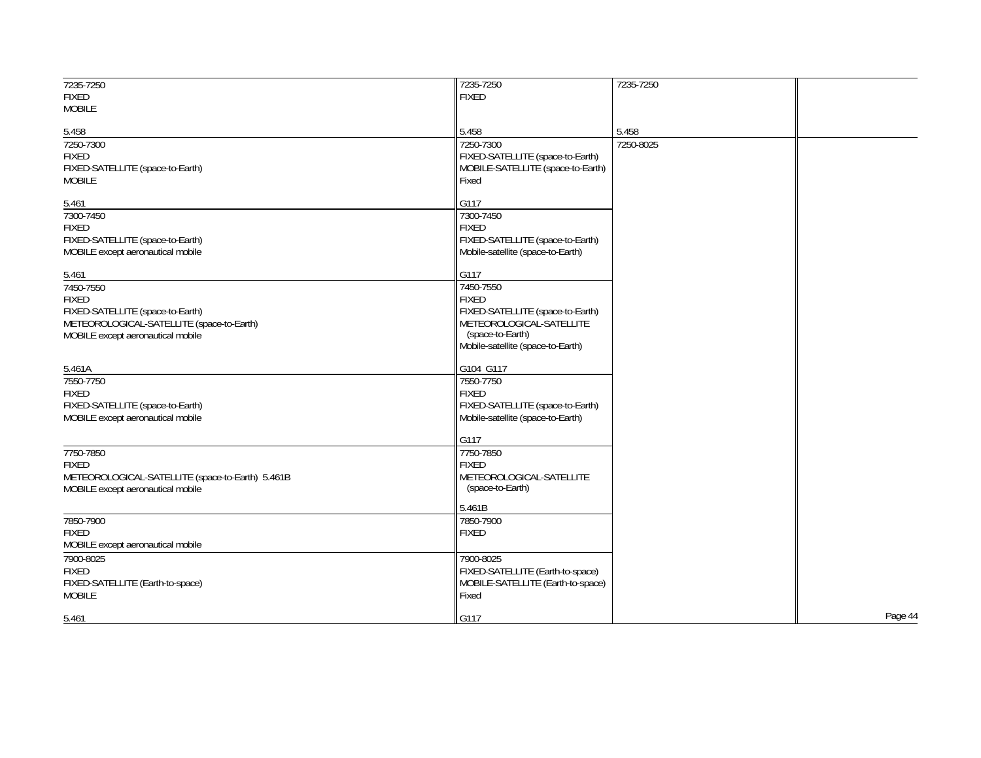| 7235-7250                                        | 7235-7250                         | 7235-7250 |         |
|--------------------------------------------------|-----------------------------------|-----------|---------|
| <b>FIXED</b>                                     | <b>FIXED</b>                      |           |         |
| <b>MOBILE</b>                                    |                                   |           |         |
|                                                  | 5.458                             | 5.458     |         |
| 5.458<br>7250-7300                               | 7250-7300                         | 7250-8025 |         |
| <b>FIXED</b>                                     | FIXED-SATELLITE (space-to-Earth)  |           |         |
|                                                  |                                   |           |         |
| FIXED-SATELLITE (space-to-Earth)                 | MOBILE-SATELLITE (space-to-Earth) |           |         |
| <b>MOBILE</b>                                    | Fixed                             |           |         |
| 5.461                                            | G117                              |           |         |
| 7300-7450                                        | 7300-7450                         |           |         |
| <b>FIXED</b>                                     | <b>FIXED</b>                      |           |         |
| FIXED-SATELLITE (space-to-Earth)                 | FIXED-SATELLITE (space-to-Earth)  |           |         |
| MOBILE except aeronautical mobile                | Mobile-satellite (space-to-Earth) |           |         |
|                                                  |                                   |           |         |
| 5.461                                            | G117                              |           |         |
| 7450-7550                                        | 7450-7550                         |           |         |
| <b>FIXED</b>                                     | <b>FIXED</b>                      |           |         |
| FIXED-SATELLITE (space-to-Earth)                 | FIXED-SATELLITE (space-to-Earth)  |           |         |
| METEOROLOGICAL-SATELLITE (space-to-Earth)        | METEOROLOGICAL-SATELLITE          |           |         |
| MOBILE except aeronautical mobile                | (space-to-Earth)                  |           |         |
|                                                  | Mobile-satellite (space-to-Earth) |           |         |
| 5.461A                                           | G104 G117                         |           |         |
| 7550-7750                                        | 7550-7750                         |           |         |
| <b>FIXED</b>                                     | <b>FIXED</b>                      |           |         |
| FIXED-SATELLITE (space-to-Earth)                 | FIXED-SATELLITE (space-to-Earth)  |           |         |
| MOBILE except aeronautical mobile                | Mobile-satellite (space-to-Earth) |           |         |
|                                                  |                                   |           |         |
|                                                  | G117                              |           |         |
| 7750-7850                                        | 7750-7850                         |           |         |
| <b>FIXED</b>                                     | <b>FIXED</b>                      |           |         |
| METEOROLOGICAL-SATELLITE (space-to-Earth) 5.461B | METEOROLOGICAL-SATELLITE          |           |         |
| MOBILE except aeronautical mobile                | (space-to-Earth)                  |           |         |
|                                                  | 5.461B                            |           |         |
| 7850-7900                                        | 7850-7900                         |           |         |
| <b>FIXED</b>                                     | <b>FIXED</b>                      |           |         |
| MOBILE except aeronautical mobile                |                                   |           |         |
| 7900-8025                                        | 7900-8025                         |           |         |
| <b>FIXED</b>                                     | FIXED-SATELLITE (Earth-to-space)  |           |         |
| FIXED-SATELLITE (Earth-to-space)                 | MOBILE-SATELLITE (Earth-to-space) |           |         |
| <b>MOBILE</b>                                    | Fixed                             |           |         |
|                                                  |                                   |           |         |
| 5.461                                            | G117                              |           | Page 44 |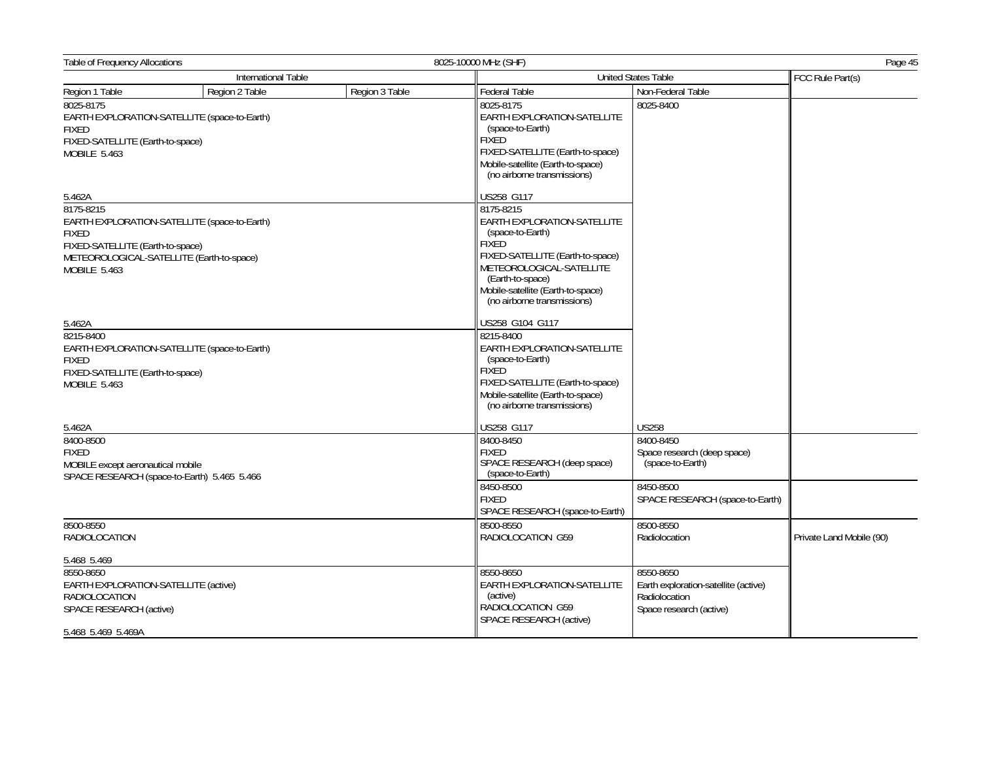| <b>International Table</b><br><b>United States Table</b><br>Region 1 Table<br>Region 3 Table<br>Region 2 Table<br>Federal Table<br>Non-Federal Table<br>8025-8175<br>8025-8175<br>8025-8400<br>EARTH EXPLORATION-SATELLITE<br>EARTH EXPLORATION-SATELLITE (space-to-Earth)<br>(space-to-Earth)<br><b>FIXED</b><br><b>FIXED</b><br>FIXED-SATELLITE (Earth-to-space)<br>FIXED-SATELLITE (Earth-to-space)<br>MOBILE 5.463<br>Mobile-satellite (Earth-to-space)<br>(no airborne transmissions) | FCC Rule Part(s)         |
|--------------------------------------------------------------------------------------------------------------------------------------------------------------------------------------------------------------------------------------------------------------------------------------------------------------------------------------------------------------------------------------------------------------------------------------------------------------------------------------------|--------------------------|
|                                                                                                                                                                                                                                                                                                                                                                                                                                                                                            |                          |
|                                                                                                                                                                                                                                                                                                                                                                                                                                                                                            |                          |
|                                                                                                                                                                                                                                                                                                                                                                                                                                                                                            |                          |
| US258 G117<br>5.462A                                                                                                                                                                                                                                                                                                                                                                                                                                                                       |                          |
| 8175-8215<br>8175-8215<br>EARTH EXPLORATION-SATELLITE<br>EARTH EXPLORATION-SATELLITE (space-to-Earth)<br>(space-to-Earth)<br><b>FIXED</b><br><b>FIXED</b><br>FIXED-SATELLITE (Earth-to-space)<br>FIXED-SATELLITE (Earth-to-space)<br>METEOROLOGICAL-SATELLITE (Earth-to-space)<br>METEOROLOGICAL-SATELLITE<br><b>MOBILE 5.463</b><br>(Earth-to-space)<br>Mobile-satellite (Earth-to-space)<br>(no airborne transmissions)                                                                  |                          |
| US258 G104 G117<br>5.462A                                                                                                                                                                                                                                                                                                                                                                                                                                                                  |                          |
| 8215-8400<br>8215-8400<br>EARTH EXPLORATION-SATELLITE<br>EARTH EXPLORATION-SATELLITE (space-to-Earth)<br>(space-to-Earth)<br><b>FIXED</b><br><b>FIXED</b><br>FIXED-SATELLITE (Earth-to-space)<br>FIXED-SATELLITE (Earth-to-space)<br><b>MOBILE 5.463</b><br>Mobile-satellite (Earth-to-space)<br>(no airborne transmissions)                                                                                                                                                               |                          |
| <b>US258</b><br>5.462A<br>US258 G117                                                                                                                                                                                                                                                                                                                                                                                                                                                       |                          |
| 8400-8500<br>8400-8450<br>8400-8450<br><b>FIXED</b><br><b>FIXED</b><br>Space research (deep space)<br>SPACE RESEARCH (deep space)<br>(space-to-Earth)<br>MOBILE except aeronautical mobile<br>(space-to-Earth)<br>SPACE RESEARCH (space-to-Earth) 5.465 5.466<br>8450-8500<br>8450-8500                                                                                                                                                                                                    |                          |
| <b>FIXED</b><br>SPACE RESEARCH (space-to-Earth)<br>SPACE RESEARCH (space-to-Earth)                                                                                                                                                                                                                                                                                                                                                                                                         |                          |
| 8500-8550<br>8500-8550<br>8500-8550<br><b>RADIOLOCATION</b><br>RADIOLOCATION G59<br>Radiolocation                                                                                                                                                                                                                                                                                                                                                                                          | Private Land Mobile (90) |
| 5.468 5.469                                                                                                                                                                                                                                                                                                                                                                                                                                                                                |                          |
| 8550-8650<br>8550-8650<br>8550-8650<br>EARTH EXPLORATION-SATELLITE (active)<br>EARTH EXPLORATION-SATELLITE<br>Earth exploration-satellite (active)<br>(active)<br>Radiolocation<br><b>RADIOLOCATION</b><br>RADIOLOCATION G59<br>SPACE RESEARCH (active)<br>Space research (active)<br>SPACE RESEARCH (active)<br>5.468 5.469 5.469A                                                                                                                                                        |                          |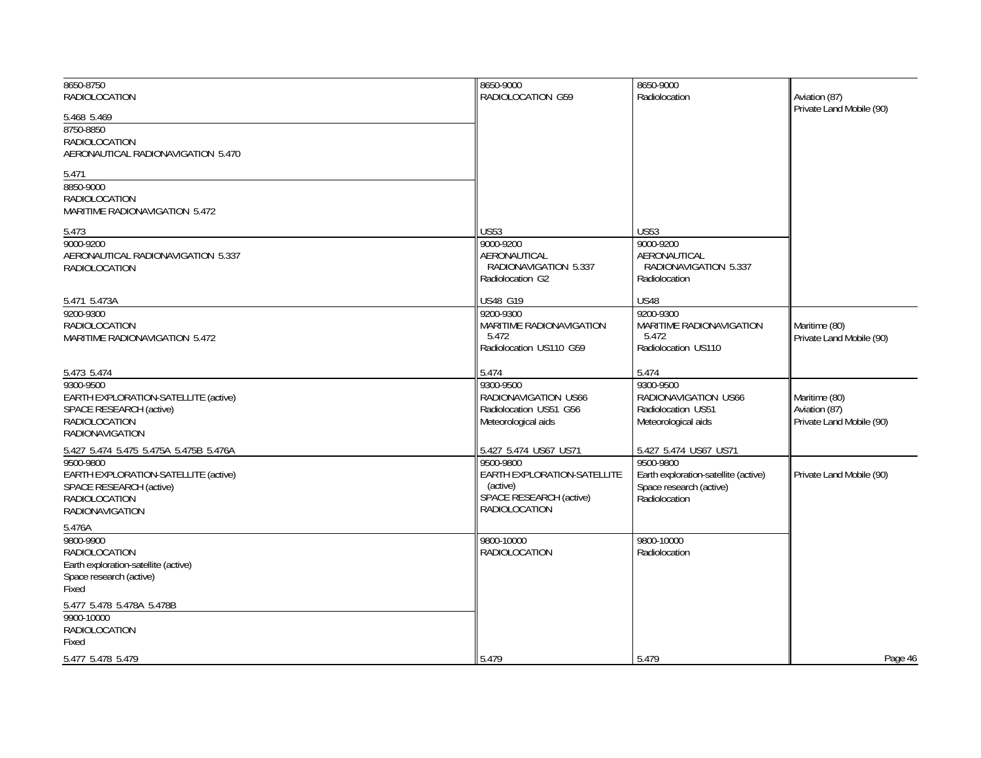| 8650-8750                                           | 8650-9000                                      | 8650-9000                                  |                                           |
|-----------------------------------------------------|------------------------------------------------|--------------------------------------------|-------------------------------------------|
| <b>RADIOLOCATION</b>                                | RADIOLOCATION G59                              | Radiolocation                              | Aviation (87)<br>Private Land Mobile (90) |
| 5.468 5.469                                         |                                                |                                            |                                           |
| 8750-8850                                           |                                                |                                            |                                           |
| <b>RADIOLOCATION</b>                                |                                                |                                            |                                           |
| AERONAUTICAL RADIONAVIGATION 5.470                  |                                                |                                            |                                           |
| 5.471                                               |                                                |                                            |                                           |
| 8850-9000                                           |                                                |                                            |                                           |
| <b>RADIOLOCATION</b>                                |                                                |                                            |                                           |
| MARITIME RADIONAVIGATION 5.472                      |                                                |                                            |                                           |
| 5.473                                               | <b>US53</b>                                    | <b>US53</b>                                |                                           |
| 9000-9200                                           | 9000-9200                                      | 9000-9200                                  |                                           |
| AERONAUTICAL RADIONAVIGATION 5.337                  | AERONAUTICAL                                   | AERONAUTICAL                               |                                           |
| <b>RADIOLOCATION</b>                                | RADIONAVIGATION 5.337                          | RADIONAVIGATION 5.337                      |                                           |
|                                                     | Radiolocation G2                               | Radiolocation                              |                                           |
| 5.471 5.473A                                        | US48 G19                                       | <b>US48</b>                                |                                           |
| 9200-9300                                           | 9200-9300                                      | 9200-9300                                  |                                           |
| <b>RADIOLOCATION</b>                                | MARITIME RADIONAVIGATION                       | <b>MARITIME RADIONAVIGATION</b>            | Maritime (80)                             |
| <b>MARITIME RADIONAVIGATION 5.472</b>               | 5.472                                          | 5.472                                      | Private Land Mobile (90)                  |
|                                                     | Radiolocation US110 G59                        | Radiolocation US110                        |                                           |
|                                                     |                                                |                                            |                                           |
| 5.473 5.474                                         | 5.474                                          | 5.474                                      |                                           |
| 9300-9500                                           | 9300-9500                                      | 9300-9500                                  |                                           |
| EARTH EXPLORATION-SATELLITE (active)                | RADIONAVIGATION US66<br>Radiolocation US51 G56 | RADIONAVIGATION US66<br>Radiolocation US51 | Maritime (80)                             |
| SPACE RESEARCH (active)<br><b>RADIOLOCATION</b>     | Meteorological aids                            | Meteorological aids                        | Aviation (87)<br>Private Land Mobile (90) |
| <b>RADIONAVIGATION</b>                              |                                                |                                            |                                           |
|                                                     |                                                | 5.427 5.474 US67 US71                      |                                           |
| 5.427 5.474 5.475 5.475A 5.475B 5.476A<br>9500-9800 | 5.427 5.474 US67 US71<br>9500-9800             | 9500-9800                                  |                                           |
| EARTH EXPLORATION-SATELLITE (active)                | EARTH EXPLORATION-SATELLITE                    | Earth exploration-satellite (active)       | Private Land Mobile (90)                  |
| SPACE RESEARCH (active)                             | (active)                                       | Space research (active)                    |                                           |
| <b>RADIOLOCATION</b>                                | SPACE RESEARCH (active)                        | Radiolocation                              |                                           |
| <b>RADIONAVIGATION</b>                              | <b>RADIOLOCATION</b>                           |                                            |                                           |
| 5.476A                                              |                                                |                                            |                                           |
| 9800-9900                                           | 9800-10000                                     | 9800-10000                                 |                                           |
| RADIOLOCATION                                       | RADIOLOCATION                                  | Radiolocation                              |                                           |
| Earth exploration-satellite (active)                |                                                |                                            |                                           |
| Space research (active)                             |                                                |                                            |                                           |
| Fixed                                               |                                                |                                            |                                           |
| 5.477 5.478 5.478A 5.478B                           |                                                |                                            |                                           |
| 9900-10000                                          |                                                |                                            |                                           |
| <b>RADIOLOCATION</b>                                |                                                |                                            |                                           |
| Fixed                                               |                                                |                                            |                                           |
| 5.477 5.478 5.479                                   | 5.479                                          | 5.479                                      | Page 46                                   |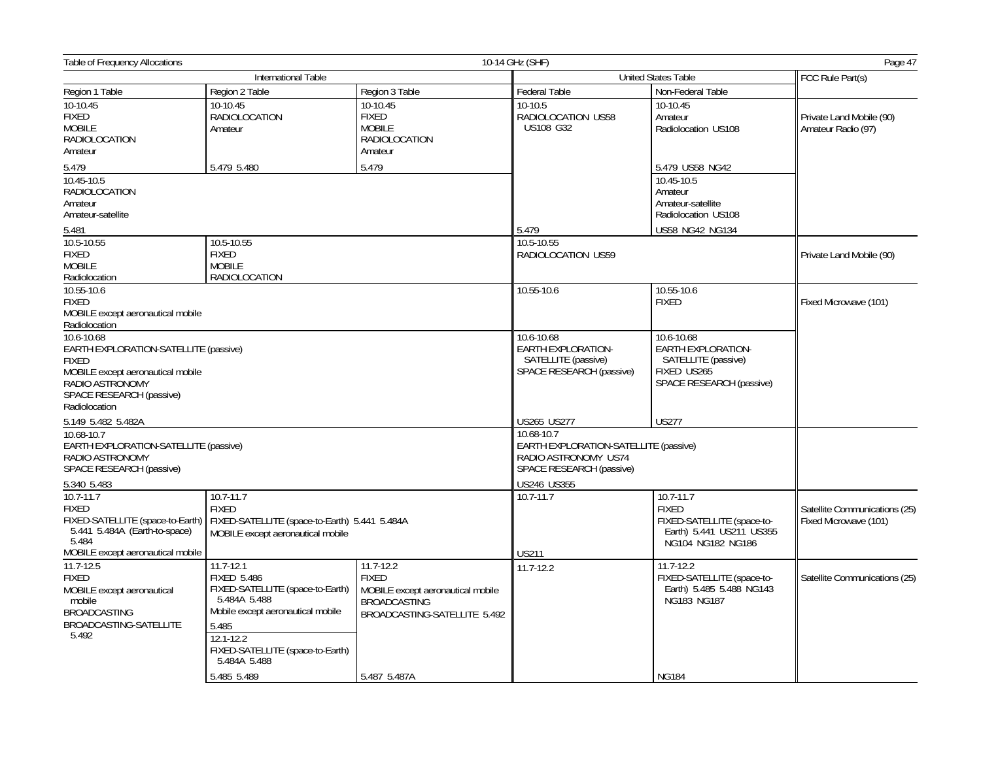| <b>Table of Frequency Allocations</b>                                                                                                                                    |                                                                                                                                                                                                                       |                                                                                                                                           | 10-14 GHz (SHF)                                                                                         |                                                                                                               | Page 47                                                |
|--------------------------------------------------------------------------------------------------------------------------------------------------------------------------|-----------------------------------------------------------------------------------------------------------------------------------------------------------------------------------------------------------------------|-------------------------------------------------------------------------------------------------------------------------------------------|---------------------------------------------------------------------------------------------------------|---------------------------------------------------------------------------------------------------------------|--------------------------------------------------------|
|                                                                                                                                                                          | International Table                                                                                                                                                                                                   |                                                                                                                                           | <b>United States Table</b>                                                                              | FCC Rule Part(s)                                                                                              |                                                        |
| Region 1 Table                                                                                                                                                           | Region 2 Table                                                                                                                                                                                                        | Region 3 Table                                                                                                                            | <b>Federal Table</b>                                                                                    | Non-Federal Table                                                                                             |                                                        |
| $10-10.45$<br><b>FIXED</b><br><b>MOBILE</b><br><b>RADIOLOCATION</b><br>Amateur                                                                                           | 10-10.45<br><b>RADIOLOCATION</b><br>Amateur                                                                                                                                                                           | 10-10.45<br><b>FIXED</b><br><b>MOBILE</b><br><b>RADIOLOCATION</b><br>Amateur                                                              | 10-10.5<br>RADIOLOCATION US58<br><b>US108 G32</b>                                                       | 10-10.45<br>Amateur<br>Radiolocation US108                                                                    | Private Land Mobile (90)<br>Amateur Radio (97)         |
| 5.479                                                                                                                                                                    | 5.479 5.480                                                                                                                                                                                                           | 5.479                                                                                                                                     |                                                                                                         | 5.479 US58 NG42                                                                                               |                                                        |
| 10.45-10.5<br>RADIOLOCATION<br>Amateur<br>Amateur-satellite<br>5.481                                                                                                     |                                                                                                                                                                                                                       |                                                                                                                                           | 5.479                                                                                                   | 10.45-10.5<br>Amateur<br>Amateur-satellite<br>Radiolocation US108<br>US58 NG42 NG134                          |                                                        |
| 10.5-10.55                                                                                                                                                               | 10.5-10.55                                                                                                                                                                                                            |                                                                                                                                           | 10.5-10.55                                                                                              |                                                                                                               |                                                        |
| <b>FIXED</b><br><b>MOBILE</b><br>Radiolocation                                                                                                                           | <b>FIXED</b><br><b>MOBILE</b><br><b>RADIOLOCATION</b>                                                                                                                                                                 | RADIOLOCATION US59                                                                                                                        |                                                                                                         | Private Land Mobile (90)                                                                                      |                                                        |
| 10.55-10.6<br><b>FIXED</b><br>MOBILE except aeronautical mobile<br>Radiolocation                                                                                         |                                                                                                                                                                                                                       |                                                                                                                                           | 10.55-10.6                                                                                              | 10.55-10.6<br><b>FIXED</b>                                                                                    | Fixed Microwave (101)                                  |
| 10.6-10.68<br>EARTH EXPLORATION-SATELLITE (passive)<br><b>FIXED</b><br>MOBILE except aeronautical mobile<br>RADIO ASTRONOMY<br>SPACE RESEARCH (passive)<br>Radiolocation |                                                                                                                                                                                                                       |                                                                                                                                           | 10.6-10.68<br>EARTH EXPLORATION-<br>SATELLITE (passive)<br>SPACE RESEARCH (passive)                     | 10.6-10.68<br>EARTH EXPLORATION-<br>SATELLITE (passive)<br>FIXED US265<br>SPACE RESEARCH (passive)            |                                                        |
| 5.149 5.482 5.482A                                                                                                                                                       |                                                                                                                                                                                                                       |                                                                                                                                           | <b>US265 US277</b>                                                                                      | <b>US277</b>                                                                                                  |                                                        |
| 10.68-10.7<br>EARTH EXPLORATION-SATELLITE (passive)<br>RADIO ASTRONOMY<br>SPACE RESEARCH (passive)                                                                       |                                                                                                                                                                                                                       |                                                                                                                                           | 10.68-10.7<br>EARTH EXPLORATION-SATELLITE (passive)<br>RADIO ASTRONOMY US74<br>SPACE RESEARCH (passive) |                                                                                                               |                                                        |
| 5.340 5.483                                                                                                                                                              |                                                                                                                                                                                                                       |                                                                                                                                           | US246 US355                                                                                             |                                                                                                               |                                                        |
| $10.7 - 11.7$<br><b>FIXED</b><br>FIXED-SATELLITE (space-to-Earth)<br>5.441 5.484A (Earth-to-space)<br>5.484<br>MOBILE except aeronautical mobile                         | $10.7 - 11.7$<br><b>FIXED</b><br>FIXED-SATELLITE (space-to-Earth) 5.441 5.484A<br>MOBILE except aeronautical mobile                                                                                                   |                                                                                                                                           | $10.7 - 11.7$<br><b>US211</b>                                                                           | 10.7-11.7<br><b>FIXED</b><br>FIXED-SATELLITE (space-to-<br>Earth) 5.441 US211 US355<br>NG104 NG182 NG186      | Satellite Communications (25)<br>Fixed Microwave (101) |
| $11.7 - 12.5$<br><b>FIXED</b><br>MOBILE except aeronautical<br>mobile<br><b>BROADCASTING</b><br>BROADCASTING-SATELLITE<br>5.492                                          | $11.7 - 12.1$<br><b>FIXED 5.486</b><br>FIXED-SATELLITE (space-to-Earth)<br>5.484A 5.488<br>Mobile except aeronautical mobile<br>5.485<br>12.1-12.2<br>FIXED-SATELLITE (space-to-Earth)<br>5.484A 5.488<br>5.485 5.489 | $11.7 - 12.2$<br><b>FIXED</b><br>MOBILE except aeronautical mobile<br><b>BROADCASTING</b><br>BROADCASTING-SATELLITE 5.492<br>5.487 5.487A | 11.7-12.2                                                                                               | $11.7 - 12.2$<br>FIXED-SATELLITE (space-to-<br>Earth) 5.485 5.488 NG143<br><b>NG183 NG187</b><br><b>NG184</b> | Satellite Communications (25)                          |
|                                                                                                                                                                          |                                                                                                                                                                                                                       |                                                                                                                                           |                                                                                                         |                                                                                                               |                                                        |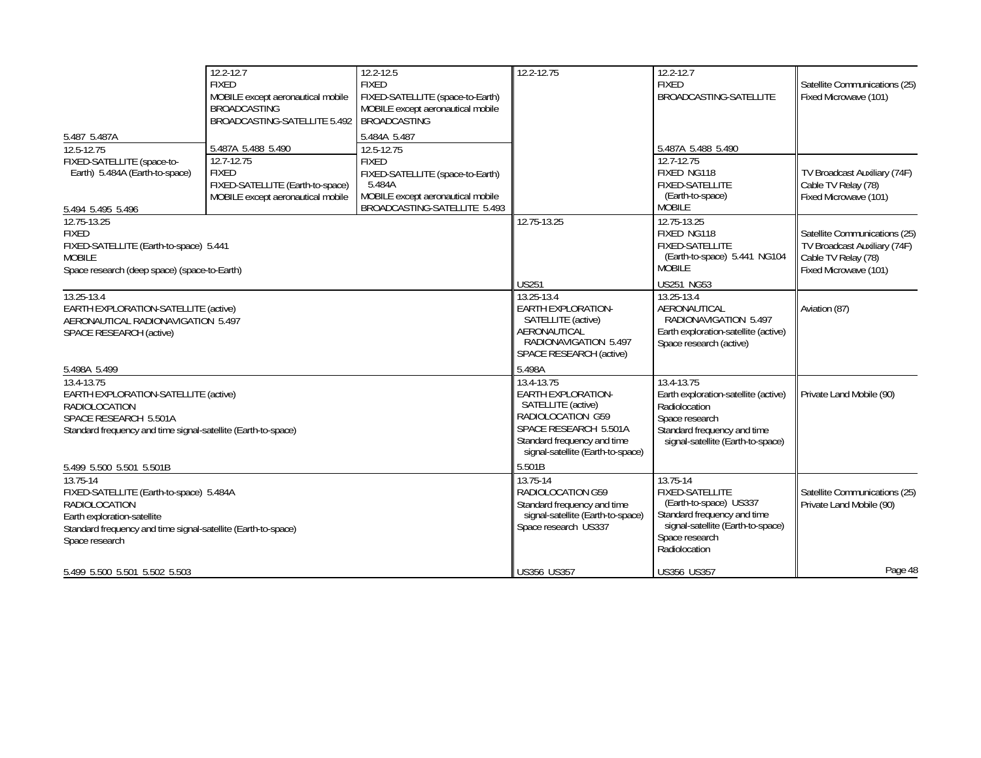| 5.487 5.487A<br>12.5-12.75<br>FIXED-SATELLITE (space-to-<br>Earth) 5.484A (Earth-to-space)<br>5.494 5.495 5.496                                                                                                               | 12.2-12.7<br><b>FIXED</b><br>MOBILE except aeronautical mobile<br><b>BROADCASTING</b><br>BROADCASTING-SATELLITE 5.492<br>5.487A 5.488 5.490<br>12.7-12.75<br><b>FIXED</b><br>FIXED-SATELLITE (Earth-to-space)<br>MOBILE except aeronautical mobile | $\overline{12.2} - 12.5$<br><b>FIXED</b><br>FIXED-SATELLITE (space-to-Earth)<br>MOBILE except aeronautical mobile<br><b>BROADCASTING</b><br>5.484A 5.487<br>12.5-12.75<br><b>FIXED</b><br>FIXED-SATELLITE (space-to-Earth)<br>5.484A<br>MOBILE except aeronautical mobile<br>BROADCASTING-SATELLITE 5.493 | 12.2-12.75                                                                                                                                                               | 12.2-12.7<br><b>FIXED</b><br>BROADCASTING-SATELLITE<br>5.487A 5.488 5.490<br>12.7-12.75<br>FIXED NG118<br>FIXED-SATELLITE<br>(Earth-to-space)<br><b>MOBILE</b>      | Satellite Communications (25)<br>Fixed Microwave (101)<br>TV Broadcast Auxiliary (74F)<br>Cable TV Relay (78)<br>Fixed Microwave (101) |
|-------------------------------------------------------------------------------------------------------------------------------------------------------------------------------------------------------------------------------|----------------------------------------------------------------------------------------------------------------------------------------------------------------------------------------------------------------------------------------------------|-----------------------------------------------------------------------------------------------------------------------------------------------------------------------------------------------------------------------------------------------------------------------------------------------------------|--------------------------------------------------------------------------------------------------------------------------------------------------------------------------|---------------------------------------------------------------------------------------------------------------------------------------------------------------------|----------------------------------------------------------------------------------------------------------------------------------------|
| 12.75-13.25<br><b>FIXED</b><br>FIXED-SATELLITE (Earth-to-space) 5.441<br><b>MOBILE</b><br>Space research (deep space) (space-to-Earth)                                                                                        |                                                                                                                                                                                                                                                    |                                                                                                                                                                                                                                                                                                           | 12.75-13.25<br><b>US251</b>                                                                                                                                              | 12.75-13.25<br>FIXED NG118<br><b>FIXED-SATELLITE</b><br>(Earth-to-space) 5.441 NG104<br><b>MOBILE</b><br><b>US251 NG53</b>                                          | Satellite Communications (25)<br>TV Broadcast Auxiliary (74F)<br>Cable TV Relay (78)<br>Fixed Microwave (101)                          |
| 13.25-13.4<br>EARTH EXPLORATION-SATELLITE (active)<br>AERONAUTICAL RADIONAVIGATION 5.497<br><b>SPACE RESEARCH (active)</b><br>5.498A 5.499                                                                                    |                                                                                                                                                                                                                                                    |                                                                                                                                                                                                                                                                                                           | 13.25-13.4<br>EARTH EXPLORATION-<br>SATELLITE (active)<br>AERONAUTICAL<br>RADIONAVIGATION 5.497<br>SPACE RESEARCH (active)<br>5.498A                                     | 13.25-13.4<br>AERONAUTICAL<br>RADIONAVIGATION 5.497<br>Earth exploration-satellite (active)<br>Space research (active)                                              | Aviation (87)                                                                                                                          |
| 13.4-13.75<br>EARTH EXPLORATION-SATELLITE (active)<br><b>RADIOLOCATION</b><br>SPACE RESEARCH 5.501A<br>Standard frequency and time signal-satellite (Earth-to-space)                                                          |                                                                                                                                                                                                                                                    |                                                                                                                                                                                                                                                                                                           | 13.4-13.75<br>EARTH EXPLORATION-<br>SATELLITE (active)<br>RADIOLOCATION G59<br>SPACE RESEARCH 5.501A<br>Standard frequency and time<br>signal-satellite (Earth-to-space) | 13.4-13.75<br>Earth exploration-satellite (active)<br>Radiolocation<br>Space research<br>Standard frequency and time<br>signal-satellite (Earth-to-space)           | Private Land Mobile (90)                                                                                                               |
| 5.499 5.500 5.501 5.501B<br>$13.75 - 14$<br>FIXED-SATELLITE (Earth-to-space) 5.484A<br><b>RADIOLOCATION</b><br>Earth exploration-satellite<br>Standard frequency and time signal-satellite (Earth-to-space)<br>Space research |                                                                                                                                                                                                                                                    |                                                                                                                                                                                                                                                                                                           | 5.501B<br>13.75-14<br>RADIOLOCATION G59<br>Standard frequency and time<br>signal-satellite (Earth-to-space)<br>Space research US337                                      | 13.75-14<br><b>FIXED-SATELLITE</b><br>(Earth-to-space) US337<br>Standard frequency and time<br>signal-satellite (Earth-to-space)<br>Space research<br>Radiolocation | Satellite Communications (25)<br>Private Land Mobile (90)                                                                              |
| 5.499 5.500 5.501 5.502 5.503                                                                                                                                                                                                 |                                                                                                                                                                                                                                                    |                                                                                                                                                                                                                                                                                                           | US356 US357                                                                                                                                                              | <b>US356 US357</b>                                                                                                                                                  | Page 48                                                                                                                                |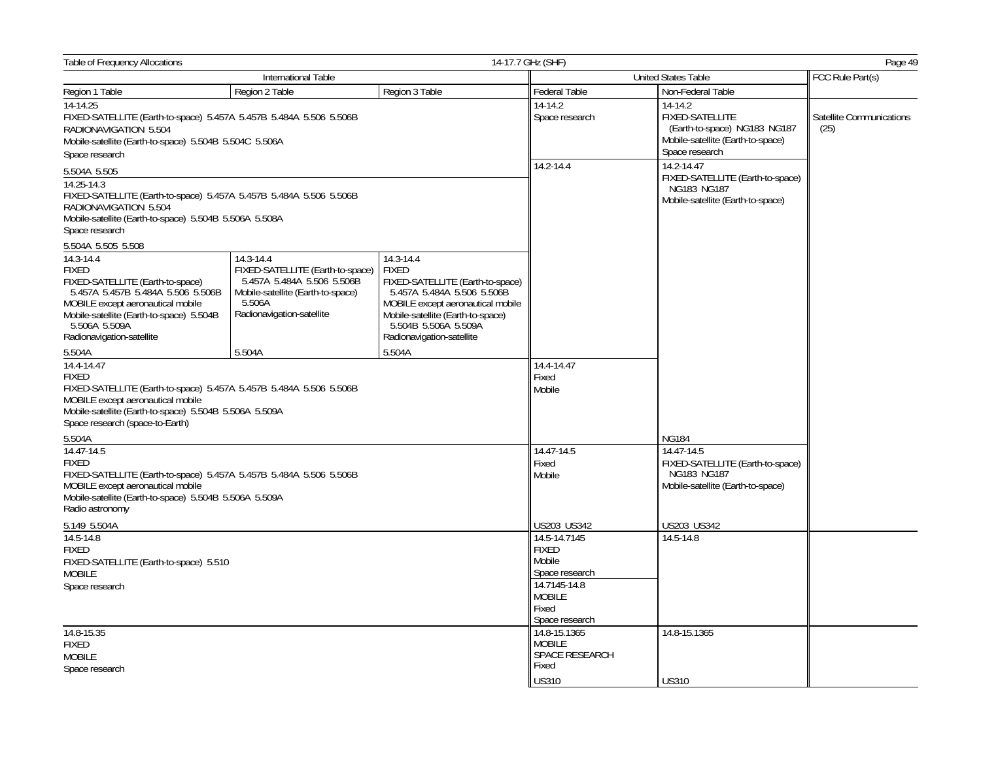| <b>Table of Frequency Allocations</b>                                                                                                                                                                                              |                                                                                                                                                         |                                                                                                                                                                                                                            | 14-17.7 GHz (SHF)                                                                                                                                     | Page 49                                                                                                |                                  |
|------------------------------------------------------------------------------------------------------------------------------------------------------------------------------------------------------------------------------------|---------------------------------------------------------------------------------------------------------------------------------------------------------|----------------------------------------------------------------------------------------------------------------------------------------------------------------------------------------------------------------------------|-------------------------------------------------------------------------------------------------------------------------------------------------------|--------------------------------------------------------------------------------------------------------|----------------------------------|
| International Table                                                                                                                                                                                                                |                                                                                                                                                         |                                                                                                                                                                                                                            | <b>United States Table</b>                                                                                                                            |                                                                                                        | FCC Rule Part(s)                 |
| Region 1 Table                                                                                                                                                                                                                     | Region 2 Table                                                                                                                                          | Region 3 Table                                                                                                                                                                                                             | Federal Table                                                                                                                                         | Non-Federal Table                                                                                      |                                  |
| $14-14.25$                                                                                                                                                                                                                         |                                                                                                                                                         |                                                                                                                                                                                                                            | $14-14.2$                                                                                                                                             | 14-14.2                                                                                                |                                  |
| FIXED-SATELLITE (Earth-to-space) 5.457A 5.457B 5.484A 5.506 5.506B<br>RADIONAVIGATION 5.504<br>Mobile-satellite (Earth-to-space) 5.504B 5.504C 5.506A<br>Space research                                                            |                                                                                                                                                         |                                                                                                                                                                                                                            | Space research                                                                                                                                        | FIXED-SATELLITE<br>(Earth-to-space) NG183 NG187<br>Mobile-satellite (Earth-to-space)<br>Space research | Satellite Communications<br>(25) |
| 5.504A 5.505                                                                                                                                                                                                                       |                                                                                                                                                         |                                                                                                                                                                                                                            | 14.2-14.4                                                                                                                                             | 14.2-14.47                                                                                             |                                  |
| 14.25-14.3<br>FIXED-SATELLITE (Earth-to-space) 5.457A 5.457B 5.484A 5.506 5.506B<br>RADIONAVIGATION 5.504<br>Mobile-satellite (Earth-to-space) 5.504B 5.506A 5.508A<br>Space research                                              |                                                                                                                                                         |                                                                                                                                                                                                                            |                                                                                                                                                       | FIXED-SATELLITE (Earth-to-space)<br>NG183 NG187<br>Mobile-satellite (Earth-to-space)                   |                                  |
| 5.504A 5.505 5.508                                                                                                                                                                                                                 |                                                                                                                                                         |                                                                                                                                                                                                                            |                                                                                                                                                       |                                                                                                        |                                  |
| 14.3-14.4<br><b>FIXED</b><br>FIXED-SATELLITE (Earth-to-space)<br>5.457A 5.457B 5.484A 5.506 5.506B<br>MOBILE except aeronautical mobile<br>Mobile-satellite (Earth-to-space) 5.504B<br>5.506A 5.509A<br>Radionavigation-satellite  | 14.3-14.4<br>FIXED-SATELLITE (Earth-to-space)<br>5.457A 5.484A 5.506 5.506B<br>Mobile-satellite (Earth-to-space)<br>5.506A<br>Radionavigation-satellite | 14.3-14.4<br><b>FIXED</b><br>FIXED-SATELLITE (Earth-to-space)<br>5.457A 5.484A 5.506 5.506B<br>MOBILE except aeronautical mobile<br>Mobile-satellite (Earth-to-space)<br>5.504B 5.506A 5.509A<br>Radionavigation-satellite |                                                                                                                                                       |                                                                                                        |                                  |
| 5.504A                                                                                                                                                                                                                             | 5.504A                                                                                                                                                  | 5.504A                                                                                                                                                                                                                     |                                                                                                                                                       |                                                                                                        |                                  |
| 14.4-14.47<br><b>FIXED</b><br>FIXED-SATELLITE (Earth-to-space) 5.457A 5.457B 5.484A 5.506 5.506B<br>MOBILE except aeronautical mobile<br>Mobile-satellite (Earth-to-space) 5.504B 5.506A 5.509A<br>Space research (space-to-Earth) |                                                                                                                                                         |                                                                                                                                                                                                                            | 14.4-14.47<br>Fixed<br>Mobile                                                                                                                         |                                                                                                        |                                  |
| 5.504A                                                                                                                                                                                                                             |                                                                                                                                                         |                                                                                                                                                                                                                            |                                                                                                                                                       | <b>NG184</b>                                                                                           |                                  |
| 14.47-14.5<br><b>FIXED</b><br>FIXED-SATELLITE (Earth-to-space) 5.457A 5.457B 5.484A 5.506 5.506B<br>MOBILE except aeronautical mobile<br>Mobile-satellite (Earth-to-space) 5.504B 5.506A 5.509A<br>Radio astronomy                 |                                                                                                                                                         |                                                                                                                                                                                                                            | 14.47-14.5<br>Fixed<br>Mobile                                                                                                                         | 14.47-14.5<br>FIXED-SATELLITE (Earth-to-space)<br>NG183 NG187<br>Mobile-satellite (Earth-to-space)     |                                  |
| 5.149 5.504A                                                                                                                                                                                                                       |                                                                                                                                                         |                                                                                                                                                                                                                            | US203 US342                                                                                                                                           | US203 US342                                                                                            |                                  |
| 14.5-14.8<br><b>FIXED</b><br>FIXED-SATELLITE (Earth-to-space) 5.510<br><b>MOBILE</b><br>Space research<br>14.8-15.35<br><b>FIXED</b>                                                                                               |                                                                                                                                                         |                                                                                                                                                                                                                            | 14.5-14.7145<br><b>FIXED</b><br>Mobile<br>Space research<br>14.7145-14.8<br><b>MOBILE</b><br>Fixed<br>Space research<br>14.8-15.1365<br><b>MOBILE</b> | 14.5-14.8<br>14.8-15.1365                                                                              |                                  |
| <b>MOBILE</b>                                                                                                                                                                                                                      |                                                                                                                                                         |                                                                                                                                                                                                                            | SPACE RESEARCH                                                                                                                                        |                                                                                                        |                                  |
| Space research                                                                                                                                                                                                                     |                                                                                                                                                         |                                                                                                                                                                                                                            | Fixed                                                                                                                                                 |                                                                                                        |                                  |
|                                                                                                                                                                                                                                    |                                                                                                                                                         |                                                                                                                                                                                                                            | <b>US310</b>                                                                                                                                          | <b>US310</b>                                                                                           |                                  |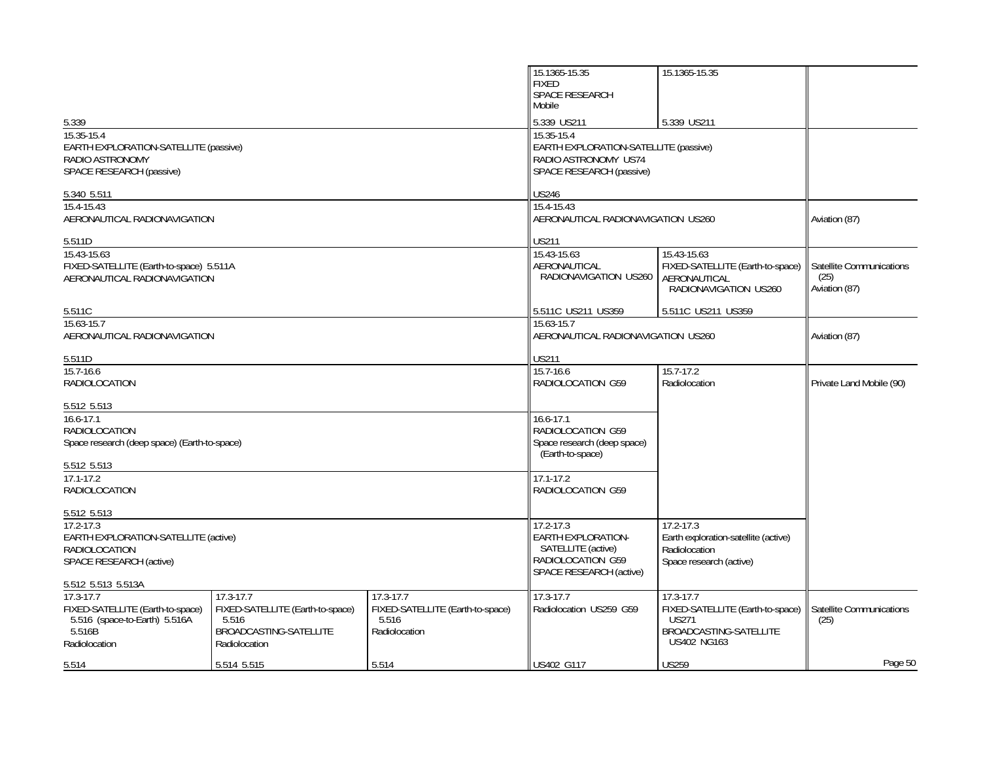|                                                                                                                                               |                                                                                                   |                                                                             | 15.1365-15.35<br><b>FIXED</b><br>SPACE RESEARCH<br>Mobile                                                                             | 15.1365-15.35                                                                                                 |                                                   |
|-----------------------------------------------------------------------------------------------------------------------------------------------|---------------------------------------------------------------------------------------------------|-----------------------------------------------------------------------------|---------------------------------------------------------------------------------------------------------------------------------------|---------------------------------------------------------------------------------------------------------------|---------------------------------------------------|
| 5.339<br>15.35-15.4<br>EARTH EXPLORATION-SATELLITE (passive)<br>RADIO ASTRONOMY<br>SPACE RESEARCH (passive)                                   |                                                                                                   |                                                                             | 5.339 US211<br>5.339 US211<br>15.35-15.4<br>EARTH EXPLORATION-SATELLITE (passive)<br>RADIO ASTRONOMY US74<br>SPACE RESEARCH (passive) |                                                                                                               |                                                   |
| 5.340 5.511<br>15.4-15.43<br>AERONAUTICAL RADIONAVIGATION                                                                                     |                                                                                                   |                                                                             | <b>US246</b><br>15.4-15.43<br>AERONAUTICAL RADIONAVIGATION US260                                                                      |                                                                                                               | Aviation (87)                                     |
| 5.511D<br>15.43-15.63                                                                                                                         |                                                                                                   |                                                                             | <b>US211</b><br>15.43-15.63                                                                                                           | 15.43-15.63                                                                                                   |                                                   |
| FIXED-SATELLITE (Earth-to-space) 5.511A<br>AERONAUTICAL RADIONAVIGATION                                                                       |                                                                                                   |                                                                             | AERONAUTICAL<br>RADIONAVIGATION US260                                                                                                 | FIXED-SATELLITE (Earth-to-space)<br>AERONAUTICAL<br>RADIONAVIGATION US260                                     | Satellite Communications<br>(25)<br>Aviation (87) |
| 5.511C                                                                                                                                        |                                                                                                   |                                                                             | 5.511C US211 US359                                                                                                                    | 5.511C US211 US359                                                                                            |                                                   |
| 15.63-15.7<br>AERONAUTICAL RADIONAVIGATION                                                                                                    |                                                                                                   |                                                                             | 15.63-15.7<br>AERONAUTICAL RADIONAVIGATION US260                                                                                      |                                                                                                               | Aviation (87)                                     |
| 5.511D                                                                                                                                        |                                                                                                   |                                                                             | <b>US211</b>                                                                                                                          |                                                                                                               |                                                   |
| 15.7-16.6<br><b>RADIOLOCATION</b>                                                                                                             |                                                                                                   |                                                                             | 15.7-16.6<br>RADIOLOCATION G59                                                                                                        | $15.7 - 17.2$<br>Radiolocation                                                                                | Private Land Mobile (90)                          |
| 5.512 5.513<br>$16.6 - 17.1$<br><b>RADIOLOCATION</b><br>Space research (deep space) (Earth-to-space)<br>5.512 5.513                           |                                                                                                   |                                                                             | 16.6-17.1<br>RADIOLOCATION G59<br>Space research (deep space)<br>(Earth-to-space)                                                     |                                                                                                               |                                                   |
| $17.1 - 17.2$<br><b>RADIOLOCATION</b>                                                                                                         |                                                                                                   |                                                                             | $17.1 - 17.2$<br>RADIOLOCATION G59                                                                                                    |                                                                                                               |                                                   |
| 5.512 5.513<br>$17.2 - 17.3$<br>EARTH EXPLORATION-SATELLITE (active)<br><b>RADIOLOCATION</b><br>SPACE RESEARCH (active)<br>5.512 5.513 5.513A |                                                                                                   |                                                                             | $17.2 - 17.3$<br><b>EARTH EXPLORATION-</b><br>SATELLITE (active)<br>RADIOLOCATION G59<br>SPACE RESEARCH (active)                      | 17.2-17.3<br>Earth exploration-satellite (active)<br>Radiolocation<br>Space research (active)                 |                                                   |
| $17.3 - 17.7$<br>FIXED-SATELLITE (Earth-to-space)<br>5.516 (space-to-Earth) 5.516A<br>5.516B<br>Radiolocation                                 | 17.3-17.7<br>FIXED-SATELLITE (Earth-to-space)<br>5.516<br>BROADCASTING-SATELLITE<br>Radiolocation | $17.3 - 17.7$<br>FIXED-SATELLITE (Earth-to-space)<br>5.516<br>Radiolocation | 17.3-17.7<br>Radiolocation US259 G59                                                                                                  | 17.3-17.7<br>FIXED-SATELLITE (Earth-to-space)<br><b>US271</b><br>BROADCASTING-SATELLITE<br><b>US402 NG163</b> | Satellite Communications<br>(25)                  |
| 5.514                                                                                                                                         | 5.514 5.515                                                                                       | 5.514                                                                       | US402 G117                                                                                                                            | <b>US259</b>                                                                                                  | Page 50                                           |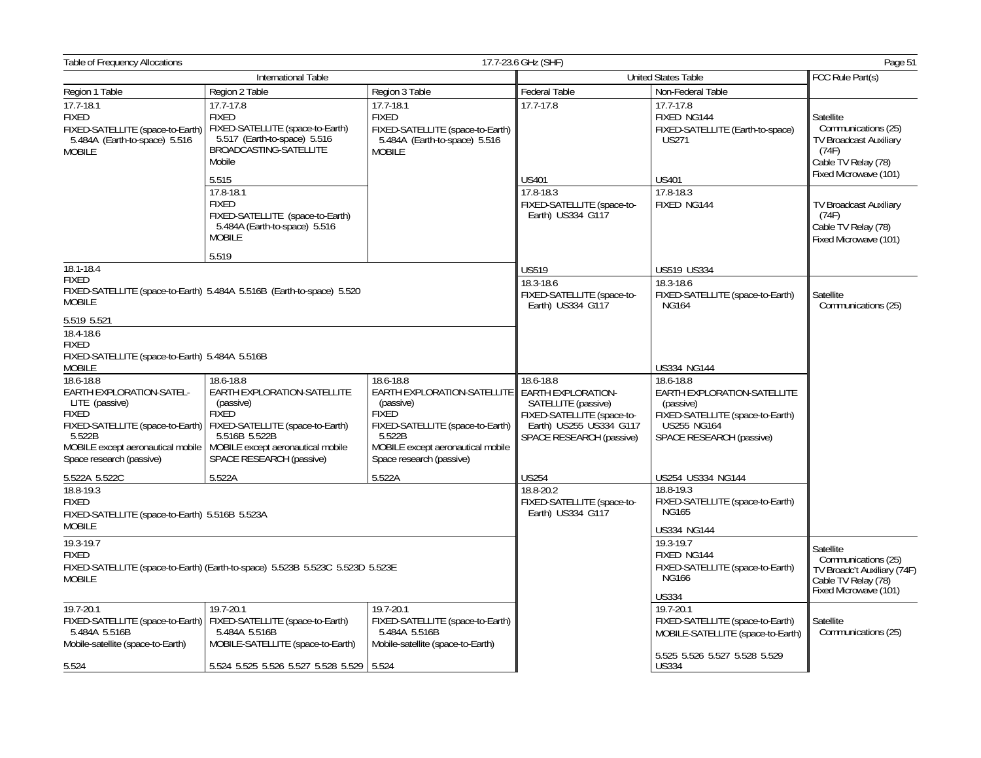| Table of Frequency Allocations                                                                                                                                             |                                                                                                                                        |                                                                                                                      | 17.7-23.6 GHz (SHF)                                                               |                                                                                                                     | Page 51                                                                                                                    |
|----------------------------------------------------------------------------------------------------------------------------------------------------------------------------|----------------------------------------------------------------------------------------------------------------------------------------|----------------------------------------------------------------------------------------------------------------------|-----------------------------------------------------------------------------------|---------------------------------------------------------------------------------------------------------------------|----------------------------------------------------------------------------------------------------------------------------|
|                                                                                                                                                                            | International Table                                                                                                                    |                                                                                                                      |                                                                                   | <b>United States Table</b>                                                                                          | FCC Rule Part(s)                                                                                                           |
| Region 1 Table                                                                                                                                                             | Region 2 Table                                                                                                                         | Region 3 Table                                                                                                       | Federal Table                                                                     | Non-Federal Table                                                                                                   |                                                                                                                            |
| 17.7-18.1<br><b>FIXED</b><br>FIXED-SATELLITE (space-to-Earth)<br>5.484A (Earth-to-space) 5.516<br>MOBILE                                                                   | $17.7 - 17.8$<br><b>FIXED</b><br>FIXED-SATELLITE (space-to-Earth)<br>5.517 (Earth-to-space) 5.516<br>BROADCASTING-SATELLITE<br>Mobile  | 17.7-18.1<br><b>FIXED</b><br>FIXED-SATELLITE (space-to-Earth)<br>5.484A (Earth-to-space) 5.516<br><b>MOBILE</b>      | 17.7-17.8                                                                         | 17.7-17.8<br>FIXED NG144<br>FIXED-SATELLITE (Earth-to-space)<br><b>US271</b>                                        | Satellite<br>Communications (25)<br><b>TV Broadcast Auxiliary</b><br>(74F)<br>Cable TV Relay (78)<br>Fixed Microwave (101) |
|                                                                                                                                                                            | 5.515<br>17.8-18.1<br><b>FIXED</b><br>FIXED-SATELLITE (space-to-Earth)<br>5.484A (Earth-to-space) 5.516<br><b>MOBILE</b>               |                                                                                                                      | <b>US401</b><br>17.8-18.3<br>FIXED-SATELLITE (space-to-<br>Earth) US334 G117      | <b>US401</b><br>17.8-18.3<br>FIXED NG144                                                                            | <b>TV Broadcast Auxiliary</b><br>(74F)<br>Cable TV Relay (78)<br>Fixed Microwave (101)                                     |
| 18.1-18.4                                                                                                                                                                  | 5.519                                                                                                                                  |                                                                                                                      | <b>US519</b>                                                                      | <b>US519 US334</b>                                                                                                  |                                                                                                                            |
| <b>FIXED</b><br><b>MOBILE</b>                                                                                                                                              | FIXED-SATELLITE (space-to-Earth) 5.484A 5.516B (Earth-to-space) 5.520                                                                  |                                                                                                                      | 18.3-18.6<br>FIXED-SATELLITE (space-to-<br>Earth) US334 G117                      | 18.3-18.6<br>FIXED-SATELLITE (space-to-Earth)<br><b>NG164</b>                                                       | Satellite<br>Communications (25)                                                                                           |
| 5.519 5.521<br>$18.4 - 18.6$<br><b>FIXED</b><br>FIXED-SATELLITE (space-to-Earth) 5.484A 5.516B<br><b>MOBILE</b><br>18.6-18.8<br>EARTH EXPLORATION-SATEL-<br>LITE (passive) | 18.6-18.8<br>EARTH EXPLORATION-SATELLITE<br>(passive)                                                                                  | 18.6-18.8<br>EARTH EXPLORATION-SATELLITE<br>(passive)                                                                | 18.6-18.8<br><b>EARTH EXPLORATION-</b><br>SATELLITE (passive)                     | <b>US334 NG144</b><br>18.6-18.8<br>EARTH EXPLORATION-SATELLITE<br>(passive)                                         |                                                                                                                            |
| <b>FIXED</b><br>FIXED-SATELLITE (space-to-Earth)<br>5.522B<br>MOBILE except aeronautical mobile<br>Space research (passive)                                                | <b>FIXED</b><br>FIXED-SATELLITE (space-to-Earth)<br>5.516B 5.522B<br>MOBILE except aeronautical mobile<br>SPACE RESEARCH (passive)     | FIXED<br>FIXED-SATELLITE (space-to-Earth)<br>5.522B<br>MOBILE except aeronautical mobile<br>Space research (passive) | FIXED-SATELLITE (space-to-<br>Earth) US255 US334 G117<br>SPACE RESEARCH (passive) | FIXED-SATELLITE (space-to-Earth)<br>US255 NG164<br>SPACE RESEARCH (passive)                                         |                                                                                                                            |
| 5.522A 5.522C<br>18.8-19.3<br><b>FIXED</b>                                                                                                                                 | 5.522A                                                                                                                                 | 5.522A                                                                                                               | <b>US254</b><br>18.8-20.2<br>FIXED-SATELLITE (space-to-                           | US254 US334 NG144<br>18.8-19.3<br>FIXED-SATELLITE (space-to-Earth)                                                  |                                                                                                                            |
| FIXED-SATELLITE (space-to-Earth) 5.516B 5.523A<br><b>MOBILE</b>                                                                                                            |                                                                                                                                        |                                                                                                                      | Earth) US334 G117                                                                 | <b>NG165</b><br><b>US334 NG144</b>                                                                                  |                                                                                                                            |
| 19.3-19.7<br><b>FIXED</b><br><b>MOBILE</b>                                                                                                                                 | FIXED-SATELLITE (space-to-Earth) (Earth-to-space) 5.523B 5.523C 5.523D 5.523E                                                          |                                                                                                                      |                                                                                   | 19.3-19.7<br>FIXED NG144<br>FIXED-SATELLITE (space-to-Earth)<br><b>NG166</b><br><b>US334</b>                        | Satellite<br>Communications (25)<br>TV Broadc't Auxiliary (74F)<br>Cable TV Relav (78)<br>Fixed Microwave (101)            |
| 19.7-20.1<br>5.484A 5.516B<br>Mobile-satellite (space-to-Earth)                                                                                                            | 19.7-20.1<br>FIXED-SATELLITE (space-to-Earth)   FIXED-SATELLITE (space-to-Earth)<br>5.484A 5.516B<br>MOBILE-SATELLITE (space-to-Earth) | 19.7-20.1<br>FIXED-SATELLITE (space-to-Earth)<br>5.484A 5.516B<br>Mobile-satellite (space-to-Earth)                  |                                                                                   | 19.7-20.1<br>FIXED-SATELLITE (space-to-Earth)<br>MOBILE-SATELLITE (space-to-Earth)<br>5.525 5.526 5.527 5.528 5.529 | Satellite<br>Communications (25)                                                                                           |
| 5.524                                                                                                                                                                      | 5.524 5.525 5.526 5.527 5.528 5.529 5.524                                                                                              |                                                                                                                      |                                                                                   | <b>US334</b>                                                                                                        |                                                                                                                            |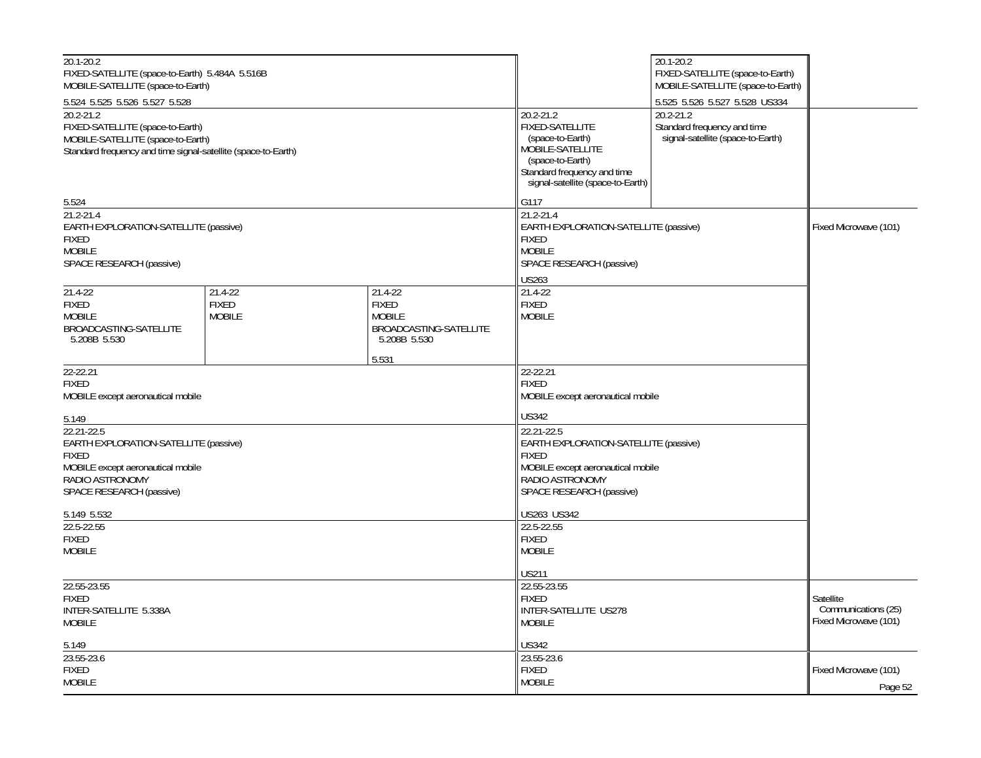| 20.1-20.2<br>FIXED-SATELLITE (space-to-Earth) 5.484A 5.516B<br>MOBILE-SATELLITE (space-to-Earth)                                                        |                                          |                                                                                                                                                         |                                                                                                                                                                     | 20.1-20.2<br>FIXED-SATELLITE (space-to-Earth)<br>MOBILE-SATELLITE (space-to-Earth) |                                                           |
|---------------------------------------------------------------------------------------------------------------------------------------------------------|------------------------------------------|---------------------------------------------------------------------------------------------------------------------------------------------------------|---------------------------------------------------------------------------------------------------------------------------------------------------------------------|------------------------------------------------------------------------------------|-----------------------------------------------------------|
| 5.524 5.525 5.526 5.527 5.528                                                                                                                           |                                          |                                                                                                                                                         |                                                                                                                                                                     | 5.525 5.526 5.527 5.528 US334                                                      |                                                           |
| $20.2 - 21.2$<br>FIXED-SATELLITE (space-to-Earth)<br>MOBILE-SATELLITE (space-to-Earth)<br>Standard frequency and time signal-satellite (space-to-Earth) |                                          |                                                                                                                                                         | 20.2-21.2<br><b>FIXED-SATELLITE</b><br>(space-to-Earth)<br>MOBILE-SATELLITE<br>(space-to-Earth)<br>Standard frequency and time<br>signal-satellite (space-to-Earth) | 20.2-21.2<br>Standard frequency and time<br>signal-satellite (space-to-Earth)      |                                                           |
| 5.524                                                                                                                                                   |                                          |                                                                                                                                                         | G117                                                                                                                                                                |                                                                                    |                                                           |
| $21.2 - 21.4$<br>EARTH EXPLORATION-SATELLITE (passive)<br><b>FIXED</b><br><b>MOBILE</b><br>SPACE RESEARCH (passive)                                     |                                          |                                                                                                                                                         | 21.2-21.4<br>EARTH EXPLORATION-SATELLITE (passive)<br><b>FIXED</b><br><b>MOBILE</b><br>SPACE RESEARCH (passive)                                                     |                                                                                    | Fixed Microwave (101)                                     |
|                                                                                                                                                         |                                          |                                                                                                                                                         | <b>US263</b>                                                                                                                                                        |                                                                                    |                                                           |
| $21.4 - 22$<br>FIXED<br><b>MOBILE</b><br>BROADCASTING-SATELLITE<br>5.208B 5.530                                                                         | 21.4-22<br><b>FIXED</b><br><b>MOBILE</b> | 21.4-22<br><b>FIXED</b><br><b>MOBILE</b><br>BROADCASTING-SATELLITE<br>5.208B 5.530                                                                      | 21.4-22<br><b>FIXED</b><br><b>MOBILE</b>                                                                                                                            |                                                                                    |                                                           |
| 22-22.21                                                                                                                                                |                                          | 5.531                                                                                                                                                   | 22-22.21                                                                                                                                                            |                                                                                    |                                                           |
| <b>FIXED</b><br>MOBILE except aeronautical mobile                                                                                                       |                                          |                                                                                                                                                         | <b>FIXED</b><br>MOBILE except aeronautical mobile                                                                                                                   |                                                                                    |                                                           |
| 5.149                                                                                                                                                   |                                          |                                                                                                                                                         | <b>US342</b>                                                                                                                                                        |                                                                                    |                                                           |
| 22.21-22.5<br>EARTH EXPLORATION-SATELLITE (passive)<br><b>FIXED</b><br>MOBILE except aeronautical mobile<br>RADIO ASTRONOMY<br>SPACE RESEARCH (passive) |                                          | 22.21-22.5<br>EARTH EXPLORATION-SATELLITE (passive)<br><b>FIXED</b><br>MOBILE except aeronautical mobile<br>RADIO ASTRONOMY<br>SPACE RESEARCH (passive) |                                                                                                                                                                     |                                                                                    |                                                           |
|                                                                                                                                                         |                                          |                                                                                                                                                         | <b>US263 US342</b>                                                                                                                                                  |                                                                                    |                                                           |
| 5.149 5.532<br>22.5-22.55<br><b>FIXED</b><br><b>MOBILE</b>                                                                                              |                                          | 22.5-22.55<br><b>FIXED</b><br><b>MOBILE</b>                                                                                                             |                                                                                                                                                                     |                                                                                    |                                                           |
|                                                                                                                                                         |                                          |                                                                                                                                                         | <b>US211</b>                                                                                                                                                        |                                                                                    |                                                           |
| 22.55-23.55<br><b>FIXED</b><br>INTER-SATELLITE 5.338A<br><b>MOBILE</b>                                                                                  |                                          |                                                                                                                                                         | 22.55-23.55<br><b>FIXED</b><br>INTER-SATELLITE US278<br><b>MOBILE</b>                                                                                               |                                                                                    | Satellite<br>Communications (25)<br>Fixed Microwave (101) |
| 5.149                                                                                                                                                   |                                          |                                                                                                                                                         | <b>US342</b>                                                                                                                                                        |                                                                                    |                                                           |
| 23.55-23.6<br><b>FIXED</b><br><b>MOBILE</b>                                                                                                             |                                          |                                                                                                                                                         | 23.55-23.6<br><b>FIXED</b><br><b>MOBILE</b>                                                                                                                         |                                                                                    | Fixed Microwave (101)                                     |
|                                                                                                                                                         |                                          |                                                                                                                                                         |                                                                                                                                                                     |                                                                                    | Page 52                                                   |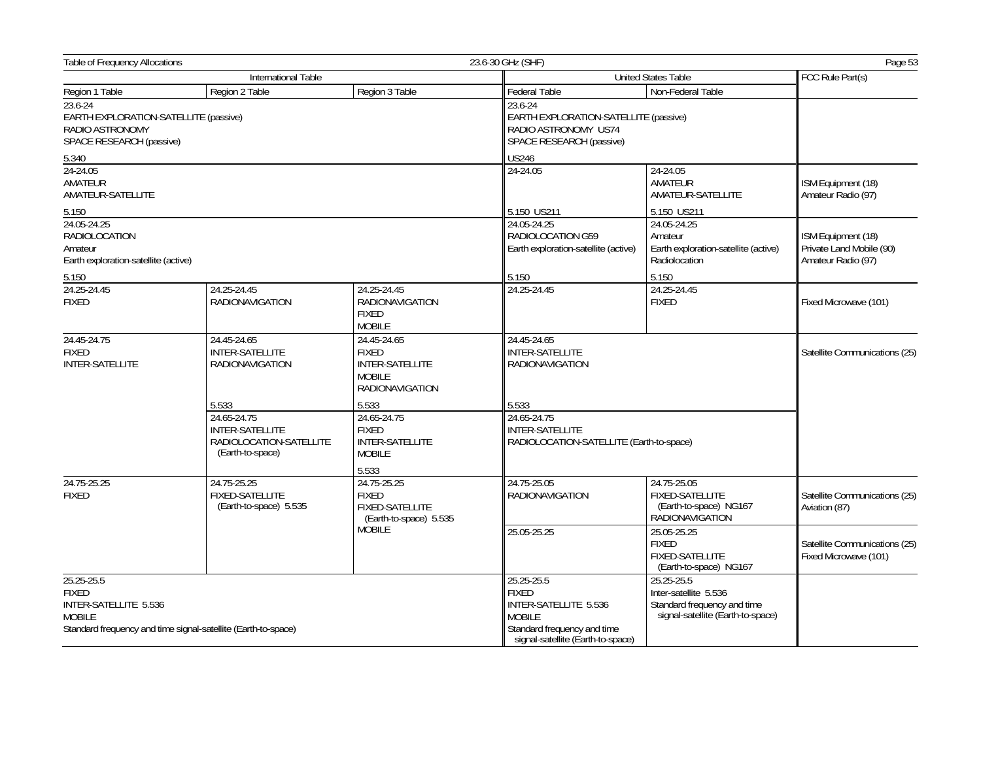| <b>Table of Frequency Allocations</b>                                                           |                                                                                      |                                                                                                      | 23.6-30 GHz (SHF)                                                                                                                        |                                                                                                         | Page 53                                                              |
|-------------------------------------------------------------------------------------------------|--------------------------------------------------------------------------------------|------------------------------------------------------------------------------------------------------|------------------------------------------------------------------------------------------------------------------------------------------|---------------------------------------------------------------------------------------------------------|----------------------------------------------------------------------|
| <b>International Table</b>                                                                      |                                                                                      |                                                                                                      | <b>United States Table</b>                                                                                                               |                                                                                                         |                                                                      |
| Region 1 Table                                                                                  | Region 2 Table                                                                       | Region 3 Table                                                                                       | <b>Federal Table</b>                                                                                                                     | Non-Federal Table                                                                                       |                                                                      |
| 23.6-24<br>EARTH EXPLORATION-SATELLITE (passive)<br>RADIO ASTRONOMY<br>SPACE RESEARCH (passive) |                                                                                      | 23.6-24<br>EARTH EXPLORATION-SATELLITE (passive)<br>RADIO ASTRONOMY US74<br>SPACE RESEARCH (passive) |                                                                                                                                          |                                                                                                         |                                                                      |
| 5.340                                                                                           |                                                                                      |                                                                                                      | <b>US246</b>                                                                                                                             |                                                                                                         |                                                                      |
| 24-24.05<br>AMATEUR<br>AMATEUR-SATELLITE                                                        |                                                                                      |                                                                                                      | 24-24.05                                                                                                                                 | 24-24.05<br>AMATEUR<br>AMATEUR-SATELLITE                                                                | ISM Equipment (18)<br>Amateur Radio (97)                             |
| 5.150                                                                                           |                                                                                      |                                                                                                      | 5.150 US211                                                                                                                              | 5.150 US211                                                                                             |                                                                      |
| 24.05-24.25<br><b>RADIOLOCATION</b><br>Amateur<br>Earth exploration-satellite (active)          |                                                                                      |                                                                                                      | 24.05-24.25<br>RADIOLOCATION G59<br>Earth exploration-satellite (active)                                                                 | 24.05-24.25<br>Amateur<br>Earth exploration-satellite (active)<br>Radiolocation                         | ISM Equipment (18)<br>Private Land Mobile (90)<br>Amateur Radio (97) |
| 5.150                                                                                           |                                                                                      |                                                                                                      | 5.150                                                                                                                                    | 5.150                                                                                                   |                                                                      |
| 24.25-24.45<br><b>FIXED</b>                                                                     | 24.25-24.45<br><b>RADIONAVIGATION</b>                                                | 24.25-24.45<br><b>RADIONAVIGATION</b><br><b>FIXED</b><br><b>MOBILE</b>                               | 24.25-24.45                                                                                                                              | 24.25-24.45<br><b>FIXED</b>                                                                             | Fixed Microwave (101)                                                |
| 24.45-24.75<br><b>FIXED</b><br><b>INTER-SATELLITE</b>                                           | 24.45-24.65<br><b>INTER-SATELLITE</b><br><b>RADIONAVIGATION</b>                      | 24.45-24.65<br><b>FIXED</b><br><b>INTER-SATELLITE</b><br><b>MOBILE</b><br><b>RADIONAVIGATION</b>     | 24.45-24.65<br><b>INTER-SATELLITE</b><br><b>RADIONAVIGATION</b>                                                                          |                                                                                                         | Satellite Communications (25)                                        |
|                                                                                                 | 5.533                                                                                | 5.533                                                                                                | 5.533                                                                                                                                    |                                                                                                         |                                                                      |
|                                                                                                 | 24.65-24.75<br><b>INTER-SATELLITE</b><br>RADIOLOCATION-SATELLITE<br>(Earth-to-space) | 24.65-24.75<br><b>FIXED</b><br>INTER-SATELLITE<br><b>MOBILE</b>                                      | 24.65-24.75<br>INTER-SATELLITE                                                                                                           | RADIOLOCATION-SATELLITE (Earth-to-space)                                                                |                                                                      |
|                                                                                                 |                                                                                      | 5.533                                                                                                |                                                                                                                                          |                                                                                                         |                                                                      |
| 24.75-25.25<br><b>FIXED</b>                                                                     | 24.75-25.25<br><b>FIXED-SATELLITE</b><br>(Earth-to-space) 5.535                      | 24.75-25.25<br><b>FIXED</b><br><b>FIXED-SATELLITE</b><br>(Earth-to-space) 5.535                      | 24.75-25.05<br><b>RADIONAVIGATION</b>                                                                                                    | 24.75-25.05<br>FIXED-SATELLITE<br>(Earth-to-space) NG167<br><b>RADIONAVIGATION</b>                      | Satellite Communications (25)<br>Aviation (87)                       |
|                                                                                                 |                                                                                      | <b>MOBILE</b>                                                                                        | 25.05-25.25                                                                                                                              | 25.05-25.25<br><b>FIXED</b><br><b>FIXED-SATELLITE</b><br>(Earth-to-space) NG167                         | Satellite Communications (25)<br>Fixed Microwave (101)               |
| 25.25-25.5<br><b>FIXED</b><br>INTER-SATELLITE 5.536<br><b>MOBILE</b>                            | Standard frequency and time signal-satellite (Earth-to-space)                        |                                                                                                      | 25.25-25.5<br><b>FIXED</b><br>INTER-SATELLITE 5.536<br><b>MOBILE</b><br>Standard frequency and time<br>signal-satellite (Earth-to-space) | 25.25-25.5<br>Inter-satellite 5.536<br>Standard frequency and time<br>signal-satellite (Earth-to-space) |                                                                      |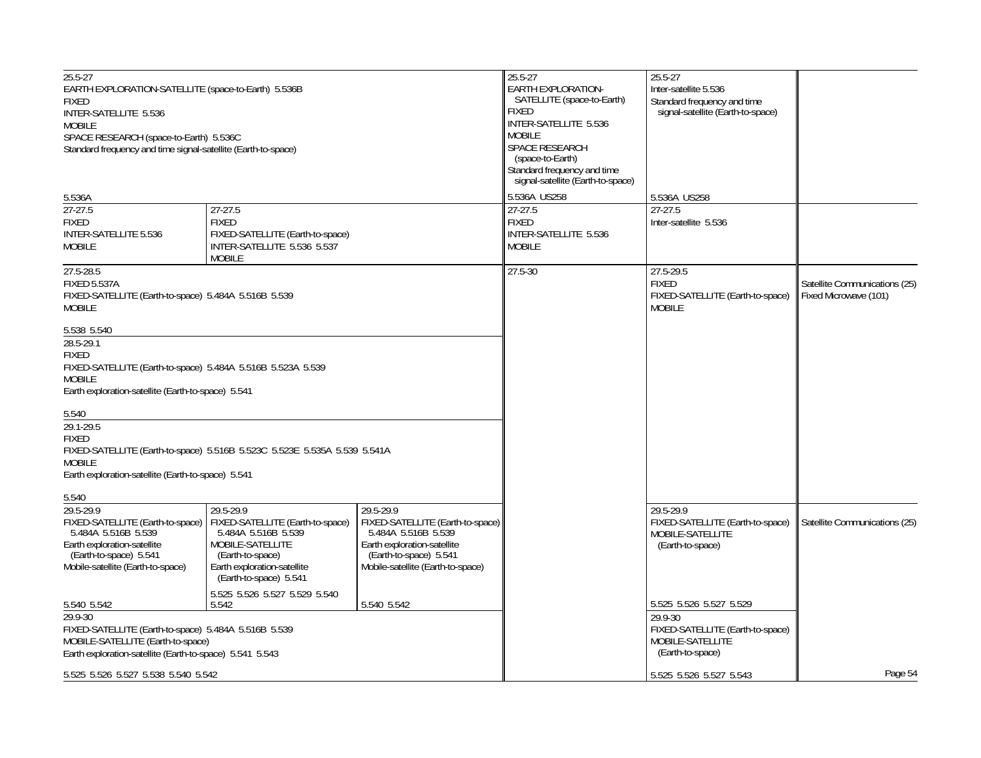| 25.5-27                                                       |                                                                           |                                                         | 25.5-27                           | 25.5-27                           |                               |
|---------------------------------------------------------------|---------------------------------------------------------------------------|---------------------------------------------------------|-----------------------------------|-----------------------------------|-------------------------------|
| EARTH EXPLORATION-SATELLITE (space-to-Earth) 5.536B           |                                                                           |                                                         | <b>EARTH EXPLORATION-</b>         | Inter-satellite 5.536             |                               |
| <b>FIXED</b>                                                  |                                                                           |                                                         | SATELLITE (space-to-Earth)        | Standard frequency and time       |                               |
| INTER-SATELLITE 5.536                                         |                                                                           |                                                         | FIXED                             | signal-satellite (Earth-to-space) |                               |
| <b>MOBILE</b>                                                 |                                                                           |                                                         | INTER-SATELLITE 5.536             |                                   |                               |
| SPACE RESEARCH (space-to-Earth) 5.536C                        |                                                                           |                                                         | <b>MOBILE</b>                     |                                   |                               |
| Standard frequency and time signal-satellite (Earth-to-space) |                                                                           |                                                         | SPACE RESEARCH                    |                                   |                               |
|                                                               |                                                                           |                                                         | (space-to-Earth)                  |                                   |                               |
|                                                               |                                                                           |                                                         | Standard frequency and time       |                                   |                               |
|                                                               |                                                                           |                                                         | signal-satellite (Earth-to-space) |                                   |                               |
|                                                               |                                                                           |                                                         | 5.536A US258                      |                                   |                               |
| 5.536A                                                        |                                                                           |                                                         |                                   | 5.536A US258                      |                               |
| $27 - 27.5$                                                   | $27-27.5$                                                                 |                                                         | 27-27.5                           | $27 - 27.5$                       |                               |
| <b>FIXED</b>                                                  | <b>FIXED</b>                                                              |                                                         | <b>FIXED</b>                      | Inter-satellite 5.536             |                               |
| INTER-SATELLITE 5.536                                         | FIXED-SATELLITE (Earth-to-space)                                          |                                                         | INTER-SATELLITE 5.536             |                                   |                               |
| <b>MOBILE</b>                                                 | INTER-SATELLITE 5.536 5.537                                               |                                                         | <b>MOBILE</b>                     |                                   |                               |
|                                                               | <b>MOBILE</b>                                                             |                                                         |                                   |                                   |                               |
| 27.5-28.5                                                     |                                                                           |                                                         | $27.5 - 30$                       | 27.5-29.5                         |                               |
| <b>FIXED 5.537A</b>                                           |                                                                           |                                                         |                                   | <b>FIXED</b>                      | Satellite Communications (25) |
| FIXED-SATELLITE (Earth-to-space) 5.484A 5.516B 5.539          |                                                                           |                                                         |                                   | FIXED-SATELLITE (Earth-to-space)  | Fixed Microwave (101)         |
| <b>MOBILE</b>                                                 |                                                                           |                                                         |                                   | <b>MOBILE</b>                     |                               |
|                                                               |                                                                           |                                                         |                                   |                                   |                               |
| 5.538 5.540                                                   |                                                                           |                                                         |                                   |                                   |                               |
| 28.5-29.1                                                     |                                                                           |                                                         |                                   |                                   |                               |
| <b>FIXED</b>                                                  |                                                                           |                                                         |                                   |                                   |                               |
| FIXED-SATELLITE (Earth-to-space) 5.484A 5.516B 5.523A 5.539   |                                                                           |                                                         |                                   |                                   |                               |
|                                                               |                                                                           |                                                         |                                   |                                   |                               |
| <b>MOBILE</b>                                                 |                                                                           |                                                         |                                   |                                   |                               |
| Earth exploration-satellite (Earth-to-space) 5.541            |                                                                           |                                                         |                                   |                                   |                               |
| 5.540                                                         |                                                                           |                                                         |                                   |                                   |                               |
| 29.1-29.5                                                     |                                                                           |                                                         |                                   |                                   |                               |
|                                                               |                                                                           |                                                         |                                   |                                   |                               |
| <b>FIXED</b>                                                  |                                                                           |                                                         |                                   |                                   |                               |
|                                                               | FIXED-SATELLITE (Earth-to-space) 5.516B 5.523C 5.523E 5.535A 5.539 5.541A |                                                         |                                   |                                   |                               |
| <b>MOBILE</b>                                                 |                                                                           |                                                         |                                   |                                   |                               |
| Earth exploration-satellite (Earth-to-space) 5.541            |                                                                           |                                                         |                                   |                                   |                               |
| 5.540                                                         |                                                                           |                                                         |                                   |                                   |                               |
| $29.5 - 29.9$                                                 | 29.5-29.9                                                                 | 29.5-29.9                                               |                                   | 29.5-29.9                         |                               |
| FIXED-SATELLITE (Earth-to-space)                              | FIXED-SATELLITE (Earth-to-space)                                          |                                                         |                                   | FIXED-SATELLITE (Earth-to-space)  | Satellite Communications (25) |
| 5.484A 5.516B 5.539                                           | 5.484A 5.516B 5.539                                                       | FIXED-SATELLITE (Earth-to-space)<br>5.484A 5.516B 5.539 |                                   | MOBILE-SATELLITE                  |                               |
| Earth exploration-satellite                                   | MOBILE-SATELLITE                                                          | Earth exploration-satellite                             |                                   | (Earth-to-space)                  |                               |
| (Earth-to-space) 5.541                                        | (Earth-to-space)                                                          | (Earth-to-space) 5.541                                  |                                   |                                   |                               |
| Mobile-satellite (Earth-to-space)                             | Earth exploration-satellite                                               | Mobile-satellite (Earth-to-space)                       |                                   |                                   |                               |
|                                                               | (Earth-to-space) 5.541                                                    |                                                         |                                   |                                   |                               |
|                                                               |                                                                           |                                                         |                                   |                                   |                               |
|                                                               | 5.525 5.526 5.527 5.529 5.540                                             |                                                         |                                   |                                   |                               |
| 5.540 5.542                                                   | 5.542                                                                     | 5.540 5.542                                             |                                   | 5.525 5.526 5.527 5.529           |                               |
| 29.9-30                                                       |                                                                           |                                                         |                                   | 29.9-30                           |                               |
| FIXED-SATELLITE (Earth-to-space) 5.484A 5.516B 5.539          |                                                                           |                                                         |                                   | FIXED-SATELLITE (Earth-to-space)  |                               |
| MOBILE-SATELLITE (Earth-to-space)                             |                                                                           |                                                         |                                   | MOBILE-SATELLITE                  |                               |
| Earth exploration-satellite (Earth-to-space) 5.541 5.543      |                                                                           |                                                         |                                   | (Earth-to-space)                  |                               |
| 5.525 5.526 5.527 5.538 5.540 5.542                           |                                                                           |                                                         |                                   | 5.525 5.526 5.527 5.543           | Page 54                       |
|                                                               |                                                                           |                                                         |                                   |                                   |                               |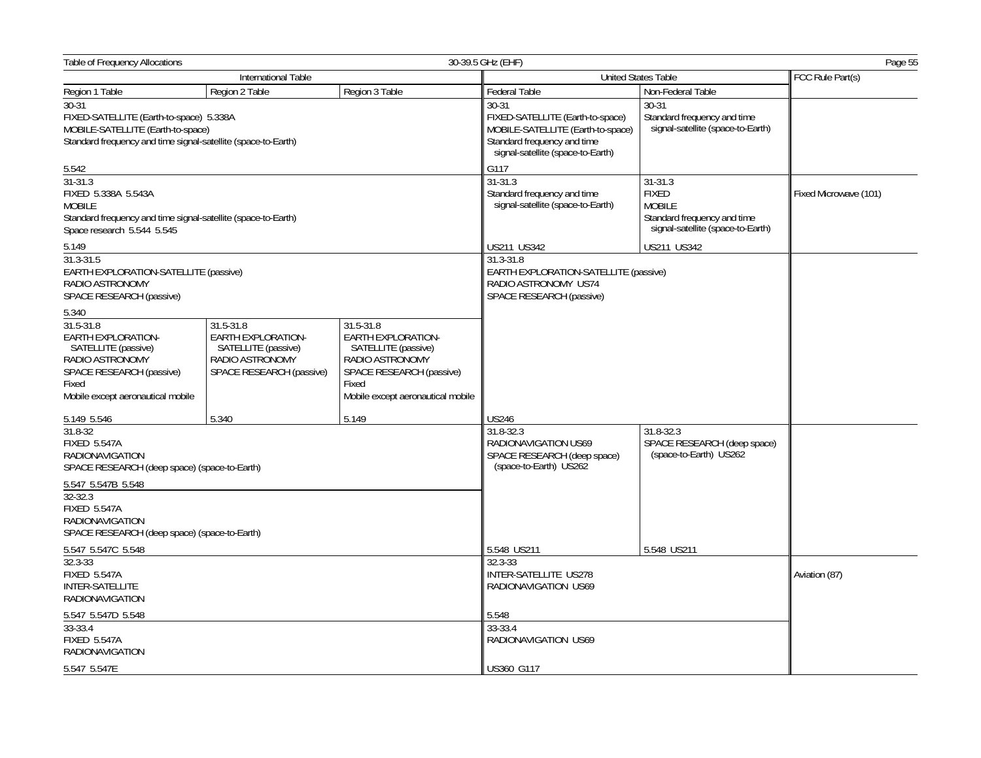| Table of Frequency Allocations                                                                                                                           |                                                                                                       |                                                                                                                                                            | 30-39.5 GHz (EHF)                                                                                 | Page 55                                                            |               |
|----------------------------------------------------------------------------------------------------------------------------------------------------------|-------------------------------------------------------------------------------------------------------|------------------------------------------------------------------------------------------------------------------------------------------------------------|---------------------------------------------------------------------------------------------------|--------------------------------------------------------------------|---------------|
|                                                                                                                                                          | International Table                                                                                   |                                                                                                                                                            | <b>United States Table</b>                                                                        | FCC Rule Part(s)                                                   |               |
| Region 1 Table                                                                                                                                           | Region 2 Table                                                                                        | Region 3 Table                                                                                                                                             | <b>Federal Table</b>                                                                              | Non-Federal Table                                                  |               |
| $30-31$<br>FIXED-SATELLITE (Earth-to-space) 5.338A<br>MOBILE-SATELLITE (Earth-to-space)<br>Standard frequency and time signal-satellite (space-to-Earth) |                                                                                                       | 30-31<br>FIXED-SATELLITE (Earth-to-space)<br>MOBILE-SATELLITE (Earth-to-space)<br>Standard frequency and time<br>signal-satellite (space-to-Earth)<br>G117 | $30-31$<br>Standard frequency and time<br>signal-satellite (space-to-Earth)                       |                                                                    |               |
| 5.542<br>$31 - 31.3$                                                                                                                                     |                                                                                                       |                                                                                                                                                            | $31 - 31.3$                                                                                       | $31 - 31.3$                                                        |               |
| FIXED 5.338A 5.543A<br><b>MOBILE</b><br>Standard frequency and time signal-satellite (space-to-Earth)<br>Space research 5.544 5.545                      |                                                                                                       | Standard frequency and time<br>signal-satellite (space-to-Earth)                                                                                           | <b>FIXED</b><br><b>MOBILE</b><br>Standard frequency and time<br>signal-satellite (space-to-Earth) | Fixed Microwave (101)                                              |               |
| 5.149                                                                                                                                                    |                                                                                                       |                                                                                                                                                            | US211 US342                                                                                       | US211 US342                                                        |               |
| 31.3-31.5<br>EARTH EXPLORATION-SATELLITE (passive)<br>RADIO ASTRONOMY<br>SPACE RESEARCH (passive)                                                        |                                                                                                       | 31.3-31.8<br>EARTH EXPLORATION-SATELLITE (passive)<br>RADIO ASTRONOMY US74<br>SPACE RESEARCH (passive)                                                     |                                                                                                   |                                                                    |               |
| 5.340                                                                                                                                                    |                                                                                                       |                                                                                                                                                            |                                                                                                   |                                                                    |               |
| 31.5-31.8<br>EARTH EXPLORATION-<br>SATELLITE (passive)<br>RADIO ASTRONOMY<br>SPACE RESEARCH (passive)<br>Fixed<br>Mobile except aeronautical mobile      | 31.5-31.8<br>EARTH EXPLORATION-<br>SATELLITE (passive)<br>RADIO ASTRONOMY<br>SPACE RESEARCH (passive) | $31.5 - 31.8$<br>EARTH EXPLORATION-<br>SATELLITE (passive)<br>RADIO ASTRONOMY<br>SPACE RESEARCH (passive)<br>Fixed<br>Mobile except aeronautical mobile    |                                                                                                   |                                                                    |               |
| 5.149 5.546                                                                                                                                              | 5.340                                                                                                 | 5.149                                                                                                                                                      | <b>US246</b>                                                                                      |                                                                    |               |
| 31.8-32<br><b>FIXED 5.547A</b><br><b>RADIONAVIGATION</b><br>SPACE RESEARCH (deep space) (space-to-Earth)                                                 |                                                                                                       |                                                                                                                                                            | 31.8-32.3<br>RADIONAVIGATION US69<br>SPACE RESEARCH (deep space)<br>(space-to-Earth) US262        | 31.8-32.3<br>SPACE RESEARCH (deep space)<br>(space-to-Earth) US262 |               |
| 5.547 5.547B 5.548<br>$32 - 32.3$<br><b>FIXED 5.547A</b><br><b>RADIONAVIGATION</b><br>SPACE RESEARCH (deep space) (space-to-Earth)                       |                                                                                                       |                                                                                                                                                            |                                                                                                   |                                                                    |               |
| 5.547 5.547C 5.548                                                                                                                                       |                                                                                                       |                                                                                                                                                            | 5.548 US211                                                                                       | 5.548 US211                                                        |               |
| $32.3 - 33$<br><b>FIXED 5.547A</b><br><b>INTER-SATELLITE</b><br><b>RADIONAVIGATION</b>                                                                   |                                                                                                       |                                                                                                                                                            | 32.3-33<br><b>INTER-SATELLITE US278</b><br>RADIONAVIGATION US69                                   |                                                                    | Aviation (87) |
| 5.547 5.547D 5.548                                                                                                                                       |                                                                                                       |                                                                                                                                                            | 5.548                                                                                             |                                                                    |               |
| 33-33.4<br><b>FIXED 5.547A</b><br><b>RADIONAVIGATION</b>                                                                                                 |                                                                                                       |                                                                                                                                                            | 33-33.4<br>RADIONAVIGATION US69                                                                   |                                                                    |               |
| 5.547 5.547E                                                                                                                                             |                                                                                                       |                                                                                                                                                            | US360 G117                                                                                        |                                                                    |               |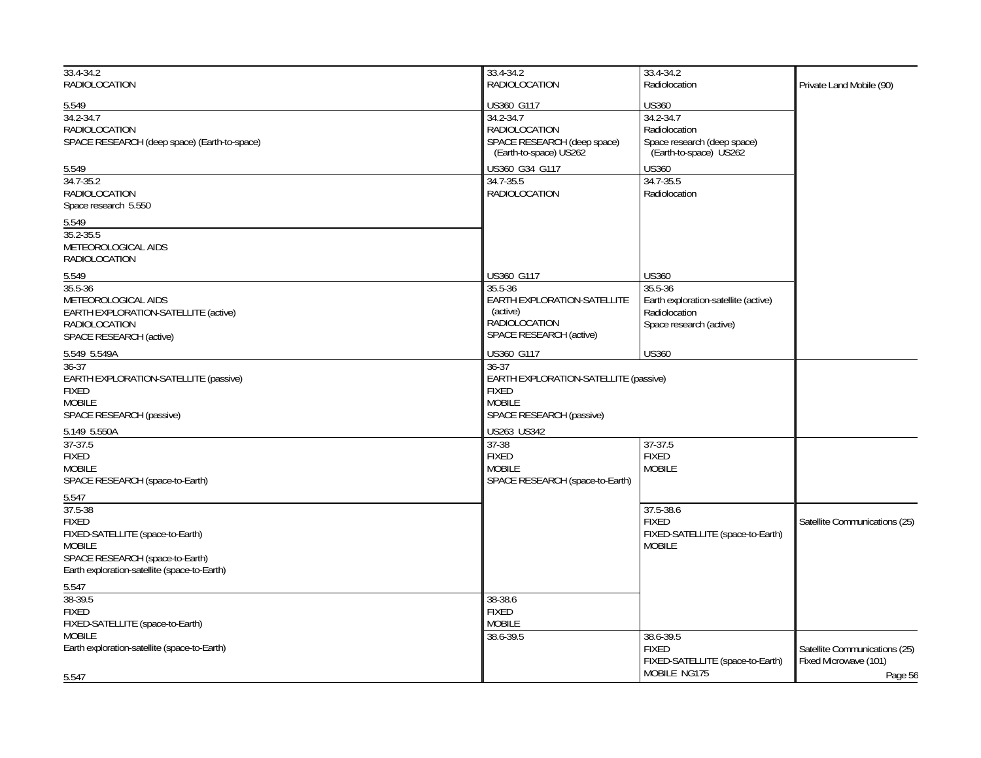| $33.4 - 34.2$<br>RADIOLOCATION                                                                                                                                           | 33.4-34.2<br>RADIOLOCATION                                                                                                        | 33.4-34.2<br>Radiolocation                                                                                  | Private Land Mobile (90)                               |
|--------------------------------------------------------------------------------------------------------------------------------------------------------------------------|-----------------------------------------------------------------------------------------------------------------------------------|-------------------------------------------------------------------------------------------------------------|--------------------------------------------------------|
| 5.549<br>$34.2 - 34.7$<br><b>RADIOLOCATION</b><br>SPACE RESEARCH (deep space) (Earth-to-space)                                                                           | US360 G117<br>34.2-34.7<br>RADIOLOCATION<br>SPACE RESEARCH (deep space)<br>(Earth-to-space) US262                                 | <b>US360</b><br>34.2-34.7<br>Radiolocation<br>Space research (deep space)<br>(Earth-to-space) US262         |                                                        |
| 5.549<br>$34.7 - 35.2$<br><b>RADIOLOCATION</b><br>Space research 5.550<br>5.549<br>$35.2 - 35.5$<br>METEOROLOGICAL AIDS<br><b>RADIOLOCATION</b>                          | US360 G34 G117<br>34.7-35.5<br><b>RADIOLOCATION</b>                                                                               | <b>US360</b><br>34.7-35.5<br>Radiolocation                                                                  |                                                        |
| 5.549<br>35.5-36<br>METEOROLOGICAL AIDS<br>EARTH EXPLORATION-SATELLITE (active)<br><b>RADIOLOCATION</b><br>SPACE RESEARCH (active)                                       | US360 G117<br>35.5-36<br>EARTH EXPLORATION-SATELLITE<br>(active)<br>RADIOLOCATION<br>SPACE RESEARCH (active)                      | <b>US360</b><br>35.5-36<br>Earth exploration-satellite (active)<br>Radiolocation<br>Space research (active) |                                                        |
| 5.549 5.549A<br>$36 - 37$<br>EARTH EXPLORATION-SATELLITE (passive)<br><b>FIXED</b><br><b>MOBILE</b><br>SPACE RESEARCH (passive)<br>5.149 5.550A                          | US360 G117<br>36-37<br>EARTH EXPLORATION-SATELLITE (passive)<br>FIXED<br><b>MOBILE</b><br>SPACE RESEARCH (passive)<br>US263 US342 | <b>US360</b>                                                                                                |                                                        |
| $37-37.5$<br><b>FIXED</b><br><b>MOBILE</b><br>SPACE RESEARCH (space-to-Earth)<br>5.547                                                                                   | $37 - 38$<br><b>FIXED</b><br><b>MOBILE</b><br>SPACE RESEARCH (space-to-Earth)                                                     | $37-37.5$<br><b>FIXED</b><br><b>MOBILE</b>                                                                  |                                                        |
| 37.5-38<br><b>FIXED</b><br>FIXED-SATELLITE (space-to-Earth)<br><b>MOBILE</b><br>SPACE RESEARCH (space-to-Earth)<br>Earth exploration-satellite (space-to-Earth)<br>5.547 |                                                                                                                                   | 37.5-38.6<br><b>FIXED</b><br>FIXED-SATELLITE (space-to-Earth)<br><b>MOBILE</b>                              | Satellite Communications (25)                          |
| 38-39.5<br><b>FIXED</b><br>FIXED-SATELLITE (space-to-Earth)<br><b>MOBILE</b><br>Earth exploration-satellite (space-to-Earth)                                             | 38-38.6<br><b>FIXED</b><br><b>MOBILE</b><br>38.6-39.5                                                                             | 38.6-39.5<br><b>FIXED</b><br>FIXED-SATELLITE (space-to-Earth)<br>MOBILE NG175                               | Satellite Communications (25)<br>Fixed Microwave (101) |
| 5.547                                                                                                                                                                    |                                                                                                                                   |                                                                                                             | Page 56                                                |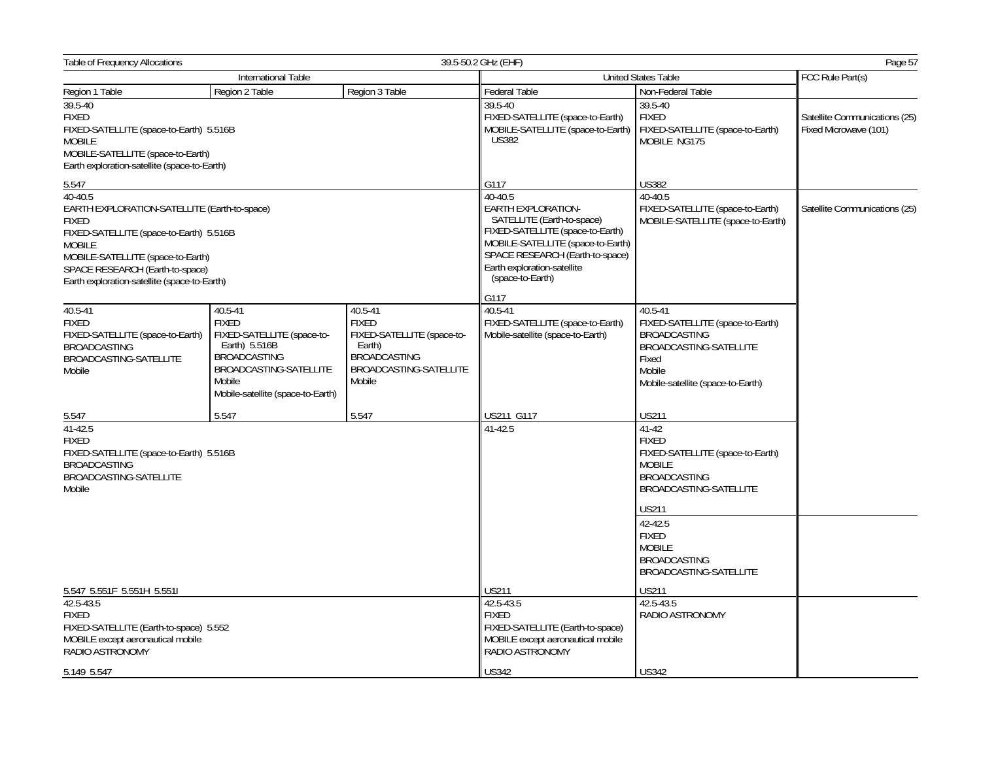| Table of Frequency Allocations                                                                                                                                                                                                                              |                                                                                                                                                                        |                                                                                                                            | 39.5-50.2 GHz (EHF)                                                                                                                                                                                                        |                                                                                                                                                      | Page 57                                                |
|-------------------------------------------------------------------------------------------------------------------------------------------------------------------------------------------------------------------------------------------------------------|------------------------------------------------------------------------------------------------------------------------------------------------------------------------|----------------------------------------------------------------------------------------------------------------------------|----------------------------------------------------------------------------------------------------------------------------------------------------------------------------------------------------------------------------|------------------------------------------------------------------------------------------------------------------------------------------------------|--------------------------------------------------------|
|                                                                                                                                                                                                                                                             | International Table                                                                                                                                                    |                                                                                                                            | <b>United States Table</b>                                                                                                                                                                                                 | FCC Rule Part(s)                                                                                                                                     |                                                        |
| Region 1 Table                                                                                                                                                                                                                                              | Region 2 Table                                                                                                                                                         | Region 3 Table                                                                                                             | Federal Table                                                                                                                                                                                                              | Non-Federal Table                                                                                                                                    |                                                        |
| 39.5-40<br><b>FIXED</b><br>FIXED-SATELLITE (space-to-Earth) 5.516B<br><b>MOBILE</b><br>MOBILE-SATELLITE (space-to-Earth)<br>Earth exploration-satellite (space-to-Earth)                                                                                    |                                                                                                                                                                        |                                                                                                                            | 39.5-40<br>FIXED-SATELLITE (space-to-Earth)<br>MOBILE-SATELLITE (space-to-Earth)<br><b>US382</b>                                                                                                                           | 39.5-40<br><b>FIXED</b><br>FIXED-SATELLITE (space-to-Earth)<br>MOBILE NG175                                                                          | Satellite Communications (25)<br>Fixed Microwave (101) |
| 5.547                                                                                                                                                                                                                                                       |                                                                                                                                                                        |                                                                                                                            | G117                                                                                                                                                                                                                       | <b>US382</b>                                                                                                                                         |                                                        |
| 40-40.5<br>EARTH EXPLORATION-SATELLITE (Earth-to-space)<br><b>FIXED</b><br>FIXED-SATELLITE (space-to-Earth) 5.516B<br><b>MOBILE</b><br>MOBILE-SATELLITE (space-to-Earth)<br>SPACE RESEARCH (Earth-to-space)<br>Earth exploration-satellite (space-to-Earth) |                                                                                                                                                                        |                                                                                                                            | 40-40.5<br>EARTH EXPLORATION-<br>SATELLITE (Earth-to-space)<br>FIXED-SATELLITE (space-to-Earth)<br>MOBILE-SATELLITE (space-to-Earth)<br>SPACE RESEARCH (Earth-to-space)<br>Earth exploration-satellite<br>(space-to-Earth) | 40-40.5<br>FIXED-SATELLITE (space-to-Earth)<br>MOBILE-SATELLITE (space-to-Earth)                                                                     | Satellite Communications (25)                          |
|                                                                                                                                                                                                                                                             |                                                                                                                                                                        |                                                                                                                            | G117                                                                                                                                                                                                                       |                                                                                                                                                      |                                                        |
| 40.5-41<br><b>FIXED</b><br>FIXED-SATELLITE (space-to-Earth)<br><b>BROADCASTING</b><br>BROADCASTING-SATELLITE<br>Mobile                                                                                                                                      | 40.5-41<br><b>FIXED</b><br>FIXED-SATELLITE (space-to-<br>Earth) 5.516B<br><b>BROADCASTING</b><br>BROADCASTING-SATELLITE<br>Mobile<br>Mobile-satellite (space-to-Earth) | 40.5-41<br><b>FIXED</b><br>FIXED-SATELLITE (space-to-<br>Earth)<br><b>BROADCASTING</b><br>BROADCASTING-SATELLITE<br>Mobile | 40.5-41<br>FIXED-SATELLITE (space-to-Earth)<br>Mobile-satellite (space-to-Earth)                                                                                                                                           | 40.5-41<br>FIXED-SATELLITE (space-to-Earth)<br><b>BROADCASTING</b><br>BROADCASTING-SATELLITE<br>Fixed<br>Mobile<br>Mobile-satellite (space-to-Earth) |                                                        |
| 5.547                                                                                                                                                                                                                                                       | 5.547                                                                                                                                                                  | 5.547                                                                                                                      | US211 G117                                                                                                                                                                                                                 | <b>US211</b>                                                                                                                                         |                                                        |
| 41-42.5<br><b>FIXED</b><br>FIXED-SATELLITE (space-to-Earth) 5.516B<br><b>BROADCASTING</b><br>BROADCASTING-SATELLITE<br>Mobile                                                                                                                               |                                                                                                                                                                        | 41-42.5                                                                                                                    | $41 - 42$<br><b>FIXED</b><br>FIXED-SATELLITE (space-to-Earth)<br><b>MOBILE</b><br><b>BROADCASTING</b><br>BROADCASTING-SATELLITE<br><b>US211</b>                                                                            |                                                                                                                                                      |                                                        |
|                                                                                                                                                                                                                                                             |                                                                                                                                                                        |                                                                                                                            |                                                                                                                                                                                                                            | 42-42.5<br><b>FIXED</b><br><b>MOBILE</b><br><b>BROADCASTING</b><br>BROADCASTING-SATELLITE                                                            |                                                        |
| 5.547 5.551F 5.551H 5.551I<br>42.5-43.5                                                                                                                                                                                                                     |                                                                                                                                                                        |                                                                                                                            | US211<br>42.5-43.5                                                                                                                                                                                                         | <b>US211</b><br>42.5-43.5                                                                                                                            |                                                        |
| <b>FIXED</b><br>FIXED-SATELLITE (Earth-to-space) 5.552<br>MOBILE except aeronautical mobile<br>RADIO ASTRONOMY                                                                                                                                              |                                                                                                                                                                        |                                                                                                                            | <b>FIXED</b><br>FIXED-SATELLITE (Earth-to-space)<br>MOBILE except aeronautical mobile<br>RADIO ASTRONOMY                                                                                                                   | RADIO ASTRONOMY                                                                                                                                      |                                                        |
| 5.149 5.547                                                                                                                                                                                                                                                 |                                                                                                                                                                        |                                                                                                                            | <b>US342</b>                                                                                                                                                                                                               | <b>US342</b>                                                                                                                                         |                                                        |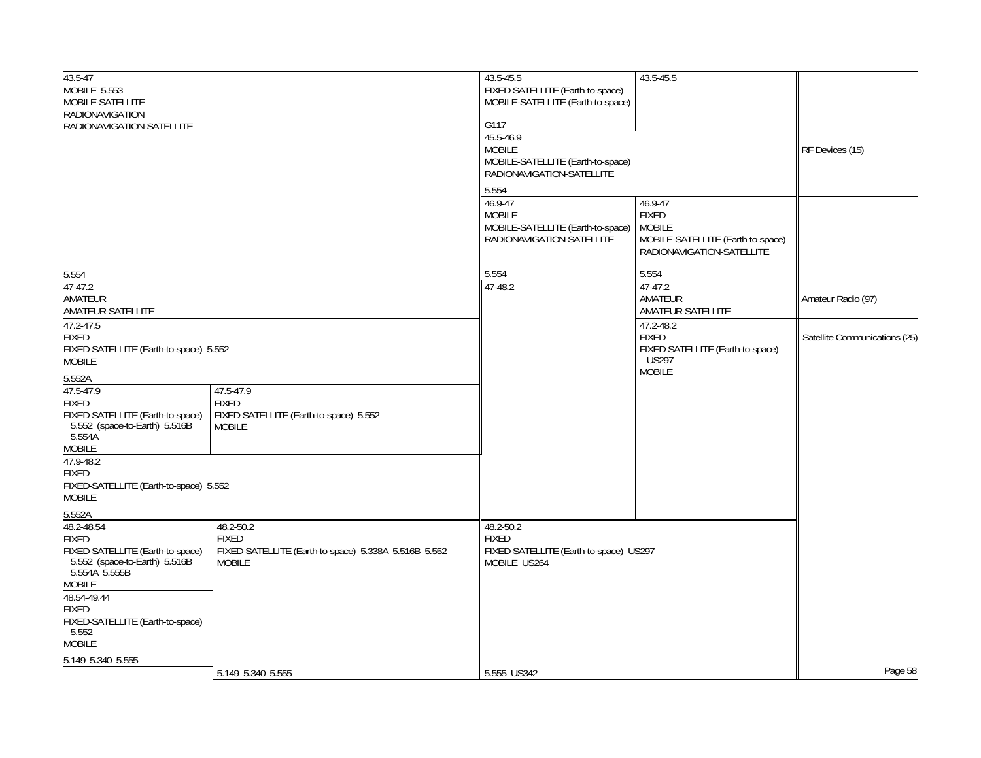| $43.5 - 47$<br>MOBILE 5.553<br>MOBILE-SATELLITE<br><b>RADIONAVIGATION</b><br>RADIONAVIGATION-SATELLITE                                                     |                                                                                                    | 43.5-45.5<br>FIXED-SATELLITE (Earth-to-space)<br>MOBILE-SATELLITE (Earth-to-space)<br>G117<br>45.5-46.9<br><b>MOBILE</b><br>MOBILE-SATELLITE (Earth-to-space)<br>RADIONAVIGATION-SATELLITE<br>5.554<br>46.9-47<br><b>MOBILE</b><br>MOBILE-SATELLITE (Earth-to-space)<br>RADIONAVIGATION-SATELLITE | 43.5-45.5<br>46.9-47<br><b>FIXED</b><br><b>MOBILE</b><br>MOBILE-SATELLITE (Earth-to-space)<br>RADIONAVIGATION-SATELLITE | RF Devices (15)               |
|------------------------------------------------------------------------------------------------------------------------------------------------------------|----------------------------------------------------------------------------------------------------|---------------------------------------------------------------------------------------------------------------------------------------------------------------------------------------------------------------------------------------------------------------------------------------------------|-------------------------------------------------------------------------------------------------------------------------|-------------------------------|
|                                                                                                                                                            |                                                                                                    |                                                                                                                                                                                                                                                                                                   |                                                                                                                         |                               |
| 5.554<br>$47-47.2$<br>AMATEUR<br>AMATEUR-SATELLITE                                                                                                         |                                                                                                    | 5.554<br>47-48.2                                                                                                                                                                                                                                                                                  | 5.554<br>47-47.2<br>AMATEUR<br>AMATEUR-SATELLITE                                                                        | Amateur Radio (97)            |
| 47.2-47.5<br><b>FIXED</b><br>FIXED-SATELLITE (Earth-to-space) 5.552<br><b>MOBILE</b>                                                                       |                                                                                                    |                                                                                                                                                                                                                                                                                                   | 47.2-48.2<br><b>FIXED</b><br>FIXED-SATELLITE (Earth-to-space)<br><b>US297</b><br><b>MOBILE</b>                          | Satellite Communications (25) |
| 5.552A<br>47.5-47.9<br><b>FIXED</b><br>FIXED-SATELLITE (Earth-to-space)<br>5.552 (space-to-Earth) 5.516B<br>5.554A<br><b>MOBILE</b>                        | 47.5-47.9<br><b>FIXED</b><br>FIXED-SATELLITE (Earth-to-space) 5.552<br><b>MOBILE</b>               |                                                                                                                                                                                                                                                                                                   |                                                                                                                         |                               |
| 47.9-48.2<br><b>FIXED</b><br>FIXED-SATELLITE (Earth-to-space) 5.552<br><b>MOBILE</b>                                                                       |                                                                                                    |                                                                                                                                                                                                                                                                                                   |                                                                                                                         |                               |
| 5.552A<br>48.2-48.54<br><b>FIXED</b><br>FIXED-SATELLITE (Earth-to-space)<br>5.552 (space-to-Earth) 5.516B<br>5.554A 5.555B<br><b>MOBILE</b><br>48.54-49.44 | 48.2-50.2<br><b>FIXED</b><br>FIXED-SATELLITE (Earth-to-space) 5.338A 5.516B 5.552<br><b>MOBILE</b> | 48.2-50.2<br><b>FIXED</b><br>FIXED-SATELLITE (Earth-to-space) US297<br>MOBILE US264                                                                                                                                                                                                               |                                                                                                                         |                               |
| <b>FIXED</b><br>FIXED-SATELLITE (Earth-to-space)<br>5.552<br><b>MOBILE</b><br>5.149 5.340 5.555                                                            | 5.149 5.340 5.555                                                                                  | 5.555 US342                                                                                                                                                                                                                                                                                       |                                                                                                                         | Page 58                       |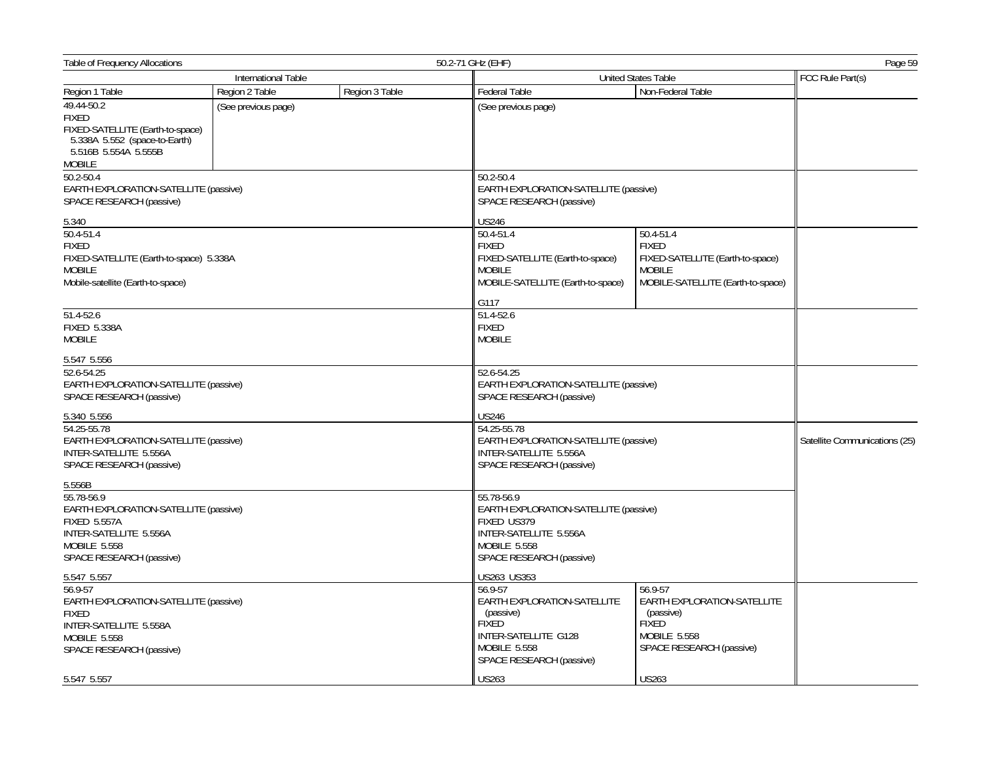| <b>Table of Frequency Allocations</b><br>50.2-71 GHz (EHF)                                                                                       |                     |                                                                   |                                                                                                                                          | Page 59                                                                                                             |                  |  |
|--------------------------------------------------------------------------------------------------------------------------------------------------|---------------------|-------------------------------------------------------------------|------------------------------------------------------------------------------------------------------------------------------------------|---------------------------------------------------------------------------------------------------------------------|------------------|--|
|                                                                                                                                                  | International Table |                                                                   |                                                                                                                                          | <b>United States Table</b>                                                                                          | FCC Rule Part(s) |  |
| Region 1 Table                                                                                                                                   | Region 2 Table      | Region 3 Table                                                    | Federal Table                                                                                                                            | Non-Federal Table                                                                                                   |                  |  |
| 49.44-50.2<br><b>FIXED</b><br>FIXED-SATELLITE (Earth-to-space)<br>5.338A 5.552 (space-to-Earth)                                                  | (See previous page) |                                                                   | (See previous page)                                                                                                                      |                                                                                                                     |                  |  |
| 5.516B 5.554A 5.555B<br><b>MOBILE</b>                                                                                                            |                     |                                                                   |                                                                                                                                          |                                                                                                                     |                  |  |
| 50.2-50.4<br>EARTH EXPLORATION-SATELLITE (passive)<br>SPACE RESEARCH (passive)                                                                   |                     |                                                                   | 50.2-50.4<br>EARTH EXPLORATION-SATELLITE (passive)<br>SPACE RESEARCH (passive)                                                           |                                                                                                                     |                  |  |
| 5.340                                                                                                                                            |                     |                                                                   | <b>US246</b>                                                                                                                             |                                                                                                                     |                  |  |
| 50.4-51.4<br><b>FIXED</b><br>FIXED-SATELLITE (Earth-to-space) 5.338A<br><b>MOBILE</b><br>Mobile-satellite (Earth-to-space)                       |                     |                                                                   | 50.4-51.4<br><b>FIXED</b><br>FIXED-SATELLITE (Earth-to-space)<br><b>MOBILE</b><br>MOBILE-SATELLITE (Earth-to-space)                      | 50.4-51.4<br><b>FIXED</b><br>FIXED-SATELLITE (Earth-to-space)<br><b>MOBILE</b><br>MOBILE-SATELLITE (Earth-to-space) |                  |  |
|                                                                                                                                                  |                     |                                                                   | G117                                                                                                                                     |                                                                                                                     |                  |  |
| 51.4-52.6<br><b>FIXED 5.338A</b><br><b>MOBILE</b>                                                                                                |                     |                                                                   | 51.4-52.6<br><b>FIXED</b><br><b>MOBILE</b>                                                                                               |                                                                                                                     |                  |  |
| 5.547 5.556                                                                                                                                      |                     |                                                                   |                                                                                                                                          |                                                                                                                     |                  |  |
| 52.6-54.25<br>EARTH EXPLORATION-SATELLITE (passive)<br>SPACE RESEARCH (passive)                                                                  |                     |                                                                   | 52.6-54.25<br>EARTH EXPLORATION-SATELLITE (passive)<br>SPACE RESEARCH (passive)                                                          |                                                                                                                     |                  |  |
| 5.340 5.556                                                                                                                                      |                     |                                                                   | <b>US246</b>                                                                                                                             |                                                                                                                     |                  |  |
| 54.25-55.78<br>EARTH EXPLORATION-SATELLITE (passive)<br>INTER-SATELLITE 5.556A<br>SPACE RESEARCH (passive)                                       |                     | 54.25-55.78<br>INTER-SATELLITE 5.556A<br>SPACE RESEARCH (passive) | EARTH EXPLORATION-SATELLITE (passive)                                                                                                    |                                                                                                                     |                  |  |
| 5.556B                                                                                                                                           |                     |                                                                   |                                                                                                                                          |                                                                                                                     |                  |  |
| 55.78-56.9<br>EARTH EXPLORATION-SATELLITE (passive)<br><b>FIXED 5.557A</b><br>INTER-SATELLITE 5.556A<br>MOBILE 5.558<br>SPACE RESEARCH (passive) |                     |                                                                   | 55.78-56.9<br>EARTH EXPLORATION-SATELLITE (passive)<br>FIXED US379<br>INTER-SATELLITE 5.556A<br>MOBILE 5.558<br>SPACE RESEARCH (passive) |                                                                                                                     |                  |  |
| 5.547 5.557                                                                                                                                      |                     |                                                                   | US263 US353                                                                                                                              |                                                                                                                     |                  |  |
| 56.9-57<br>EARTH EXPLORATION-SATELLITE (passive)<br><b>FIXED</b>                                                                                 |                     |                                                                   | 56.9-57<br><b>EARTH EXPLORATION-SATELLITE</b><br>(passive)                                                                               | 56.9-57<br>EARTH EXPLORATION-SATELLITE<br>(passive)                                                                 |                  |  |
| INTER-SATELLITE 5.558A<br><b>MOBILE 5.558</b><br>SPACE RESEARCH (passive)                                                                        |                     |                                                                   | <b>FIXED</b><br>INTER-SATELLITE G128<br>MOBILE 5.558<br>SPACE RESEARCH (passive)                                                         | <b>FIXED</b><br>MOBILE 5.558<br>SPACE RESEARCH (passive)                                                            |                  |  |
| 5.547 5.557                                                                                                                                      |                     |                                                                   | <b>US263</b>                                                                                                                             | <b>US263</b>                                                                                                        |                  |  |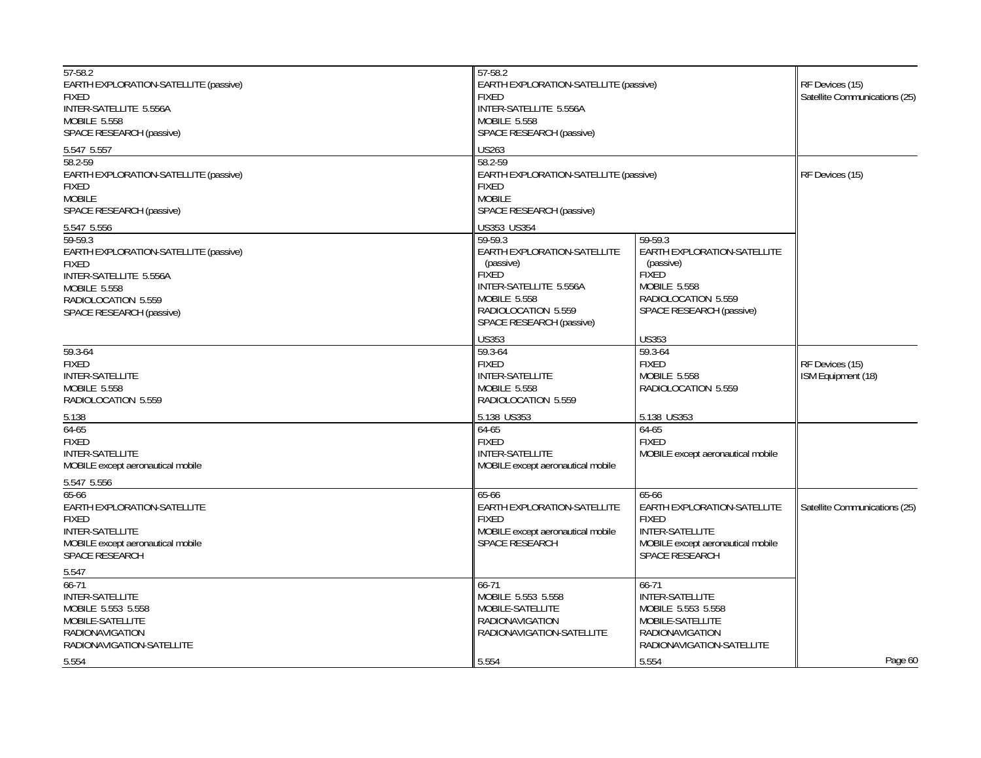| 57-58.2<br>EARTH EXPLORATION-SATELLITE (passive)<br><b>FIXED</b><br>INTER-SATELLITE 5.556A<br><b>MOBILE 5.558</b><br>SPACE RESEARCH (passive)<br>5.547 5.557<br>58.2-59<br>EARTH EXPLORATION-SATELLITE (passive)<br><b>FIXED</b> | 57-58.2<br><b>FIXED</b><br>INTER-SATELLITE 5.556A<br>MOBILE 5.558<br>SPACE RESEARCH (passive)<br><b>US263</b><br>58.2-59<br><b>FIXED</b>                                               | EARTH EXPLORATION-SATELLITE (passive)<br>EARTH EXPLORATION-SATELLITE (passive)                                                               |                                       |  |
|----------------------------------------------------------------------------------------------------------------------------------------------------------------------------------------------------------------------------------|----------------------------------------------------------------------------------------------------------------------------------------------------------------------------------------|----------------------------------------------------------------------------------------------------------------------------------------------|---------------------------------------|--|
| <b>MOBILE</b><br>SPACE RESEARCH (passive)                                                                                                                                                                                        | <b>MOBILE</b><br>SPACE RESEARCH (passive)                                                                                                                                              |                                                                                                                                              |                                       |  |
| 5.547 5.556<br>$59-59.3$<br>EARTH EXPLORATION-SATELLITE (passive)<br><b>FIXED</b><br>INTER-SATELLITE 5.556A<br><b>MOBILE 5.558</b><br>RADIOLOCATION 5.559<br>SPACE RESEARCH (passive)                                            | US353 US354<br>59-59.3<br>EARTH EXPLORATION-SATELLITE<br>(passive)<br><b>FIXED</b><br>INTER-SATELLITE 5.556A<br><b>MOBILE 5.558</b><br>RADIOLOCATION 5.559<br>SPACE RESEARCH (passive) | 59-59.3<br>EARTH EXPLORATION-SATELLITE<br>(passive)<br><b>FIXED</b><br>MOBILE 5.558<br>RADIOLOCATION 5.559<br>SPACE RESEARCH (passive)       |                                       |  |
| 59.3-64<br><b>FIXED</b><br>INTER-SATELLITE<br><b>MOBILE 5.558</b><br>RADIOLOCATION 5.559                                                                                                                                         | <b>US353</b><br>59.3-64<br><b>FIXED</b><br><b>INTER-SATELLITE</b><br>MOBILE 5.558<br>RADIOLOCATION 5.559                                                                               | <b>US353</b><br>59.3-64<br><b>FIXED</b><br>MOBILE 5.558<br>RADIOLOCATION 5.559                                                               | RF Devices (15)<br>ISM Equipment (18) |  |
| 5.138<br>$64 - 65$<br><b>FIXED</b><br><b>INTER-SATELLITE</b><br>MOBILE except aeronautical mobile                                                                                                                                | 5.138 US353<br>64-65<br><b>FIXED</b><br>INTER-SATELLITE<br>MOBILE except aeronautical mobile                                                                                           | 5.138 US353<br>64-65<br><b>FIXED</b><br>MOBILE except aeronautical mobile                                                                    |                                       |  |
| 5.547 5.556<br>65-66<br>EARTH EXPLORATION-SATELLITE<br><b>FIXED</b><br>INTER-SATELLITE<br>MOBILE except aeronautical mobile<br>SPACE RESEARCH                                                                                    | 65-66<br>EARTH EXPLORATION-SATELLITE<br><b>FIXED</b><br>MOBILE except aeronautical mobile<br><b>SPACE RESEARCH</b>                                                                     | 65-66<br>EARTH EXPLORATION-SATELLITE<br><b>FIXED</b><br><b>INTER-SATELLITE</b><br>MOBILE except aeronautical mobile<br><b>SPACE RESEARCH</b> | Satellite Communications (25)         |  |
| 5.547<br>$66 - 71$<br>INTER-SATELLITE<br>MOBILE 5.553 5.558<br>MOBILE-SATELLITE<br><b>RADIONAVIGATION</b><br>RADIONAVIGATION-SATELLITE                                                                                           | 66-71<br>MOBILE 5.553 5.558<br>MOBILE-SATELLITE<br><b>RADIONAVIGATION</b><br>RADIONAVIGATION-SATELLITE                                                                                 | 66-71<br><b>INTER-SATELLITE</b><br>MOBILE 5.553 5.558<br>MOBILE-SATELLITE<br><b>RADIONAVIGATION</b><br>RADIONAVIGATION-SATELLITE             |                                       |  |
| 5.554                                                                                                                                                                                                                            | 5.554                                                                                                                                                                                  | 5.554                                                                                                                                        | Page 60                               |  |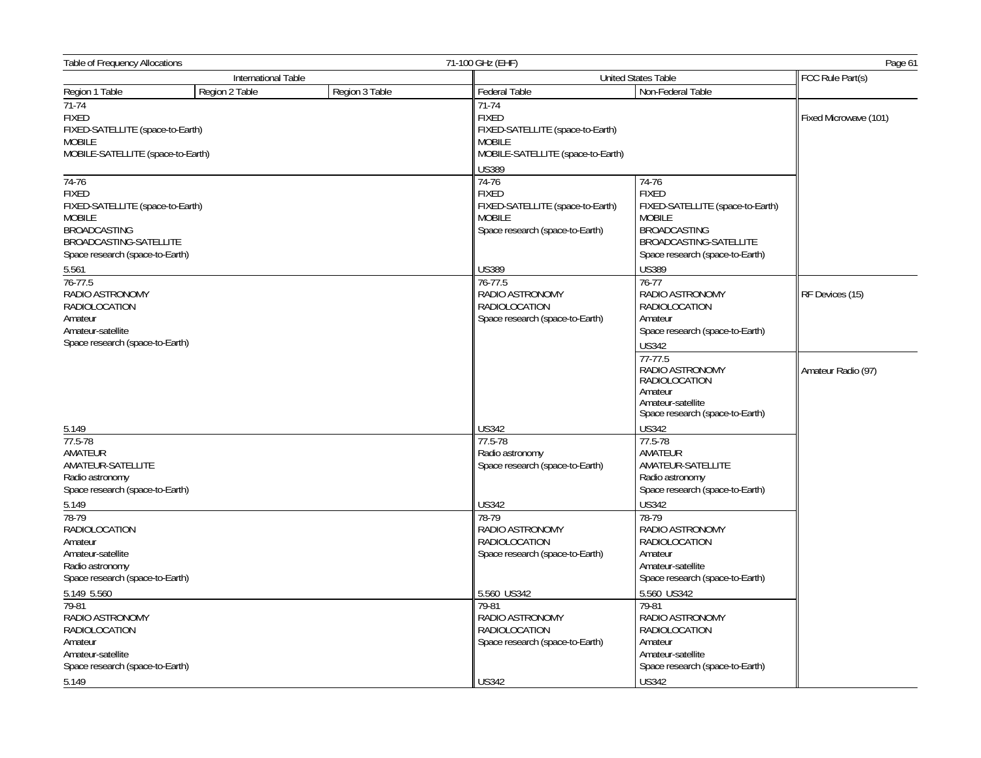| <b>Table of Frequency Allocations</b><br>71-100 GHz (EHF)                                                                                                                                                                                                                                                      |                |                            | Page 61                                                                                                                                                                                                            |                                                                                                                                                                                                                                                                                                                              |                       |
|----------------------------------------------------------------------------------------------------------------------------------------------------------------------------------------------------------------------------------------------------------------------------------------------------------------|----------------|----------------------------|--------------------------------------------------------------------------------------------------------------------------------------------------------------------------------------------------------------------|------------------------------------------------------------------------------------------------------------------------------------------------------------------------------------------------------------------------------------------------------------------------------------------------------------------------------|-----------------------|
| International Table                                                                                                                                                                                                                                                                                            |                | <b>United States Table</b> | FCC Rule Part(s)                                                                                                                                                                                                   |                                                                                                                                                                                                                                                                                                                              |                       |
| Region 1 Table                                                                                                                                                                                                                                                                                                 | Region 2 Table | Region 3 Table             | <b>Federal Table</b>                                                                                                                                                                                               | Non-Federal Table                                                                                                                                                                                                                                                                                                            |                       |
| $71-74$<br>FIXED<br>FIXED-SATELLITE (space-to-Earth)<br><b>MOBILE</b><br>MOBILE-SATELLITE (space-to-Earth)                                                                                                                                                                                                     |                |                            | $71 - 74$<br><b>FIXED</b><br>FIXED-SATELLITE (space-to-Earth)<br><b>MOBILE</b><br>MOBILE-SATELLITE (space-to-Earth)<br><b>US389</b>                                                                                |                                                                                                                                                                                                                                                                                                                              | Fixed Microwave (101) |
| $74-76$<br><b>FIXED</b><br>FIXED-SATELLITE (space-to-Earth)<br><b>MOBILE</b><br><b>BROADCASTING</b><br>BROADCASTING-SATELLITE<br>Space research (space-to-Earth)                                                                                                                                               |                |                            | 74-76<br><b>FIXED</b><br>FIXED-SATELLITE (space-to-Earth)<br><b>MOBILE</b><br>Space research (space-to-Earth)                                                                                                      | 74-76<br><b>FIXED</b><br>FIXED-SATELLITE (space-to-Earth)<br><b>MOBILE</b><br>BROADCASTING<br>BROADCASTING-SATELLITE<br>Space research (space-to-Earth)                                                                                                                                                                      |                       |
| 5.561<br>$76 - 77.5$<br>RADIO ASTRONOMY<br><b>RADIOLOCATION</b><br>Amateur<br>Amateur-satellite<br>Space research (space-to-Earth)                                                                                                                                                                             |                |                            | <b>US389</b><br>76-77.5<br>RADIO ASTRONOMY<br><b>RADIOLOCATION</b><br>Space research (space-to-Earth)                                                                                                              | <b>US389</b><br>$76 - 77$<br>RADIO ASTRONOMY<br><b>RADIOLOCATION</b><br>Amateur<br>Space research (space-to-Earth)<br><b>US342</b><br>$77 - 77.5$                                                                                                                                                                            | RF Devices (15)       |
| 5.149<br>77.5-78<br>AMATEUR<br>AMATEUR-SATELLITE<br>Radio astronomy                                                                                                                                                                                                                                            |                |                            | <b>US342</b><br>77.5-78<br>Radio astronomy<br>Space research (space-to-Earth)                                                                                                                                      | RADIO ASTRONOMY<br><b>RADIOLOCATION</b><br>Amateur<br>Amateur-satellite<br>Space research (space-to-Earth)<br><b>US342</b><br>77.5-78<br>AMATEUR<br>AMATEUR-SATELLITE<br>Radio astronomy                                                                                                                                     | Amateur Radio (97)    |
| Space research (space-to-Earth)<br>5.149<br>78-79<br><b>RADIOLOCATION</b><br>Amateur<br>Amateur-satellite<br>Radio astronomy<br>Space research (space-to-Earth)<br>5.149 5.560<br>79-81<br>RADIO ASTRONOMY<br><b>RADIOLOCATION</b><br>Amateur<br>Amateur-satellite<br>Space research (space-to-Earth)<br>5.149 |                |                            | <b>US342</b><br>78-79<br>RADIO ASTRONOMY<br><b>RADIOLOCATION</b><br>Space research (space-to-Earth)<br>5.560 US342<br>79-81<br>RADIO ASTRONOMY<br>RADIOLOCATION<br>Space research (space-to-Earth)<br><b>US342</b> | Space research (space-to-Earth)<br><b>US342</b><br>78-79<br>RADIO ASTRONOMY<br><b>RADIOLOCATION</b><br>Amateur<br>Amateur-satellite<br>Space research (space-to-Earth)<br>5.560 US342<br>79-81<br>RADIO ASTRONOMY<br><b>RADIOLOCATION</b><br>Amateur<br>Amateur-satellite<br>Space research (space-to-Earth)<br><b>US342</b> |                       |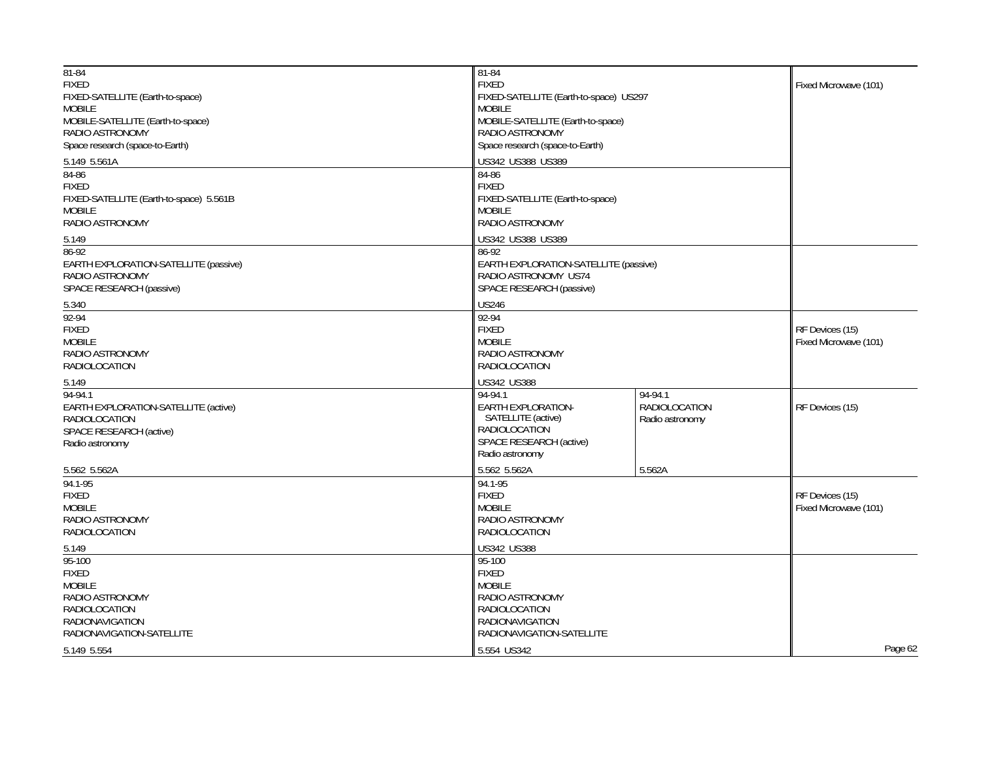| 81-84<br><b>FIXED</b><br>FIXED-SATELLITE (Earth-to-space)<br><b>MOBILE</b><br>MOBILE-SATELLITE (Earth-to-space)<br>RADIO ASTRONOMY<br>Space research (space-to-Earth)<br>5.149 5.561A<br>84-86<br><b>FIXED</b><br>FIXED-SATELLITE (Earth-to-space) 5.561B<br><b>MOBILE</b><br>RADIO ASTRONOMY | 81-84<br><b>FIXED</b><br>FIXED-SATELLITE (Earth-to-space) US297<br><b>MOBILE</b><br>MOBILE-SATELLITE (Earth-to-space)<br>RADIO ASTRONOMY<br>Space research (space-to-Earth)<br>US342 US388 US389<br>84-86<br><b>FIXED</b><br>FIXED-SATELLITE (Earth-to-space)<br><b>MOBILE</b><br>RADIO ASTRONOMY | Fixed Microwave (101)                              |                                          |
|-----------------------------------------------------------------------------------------------------------------------------------------------------------------------------------------------------------------------------------------------------------------------------------------------|---------------------------------------------------------------------------------------------------------------------------------------------------------------------------------------------------------------------------------------------------------------------------------------------------|----------------------------------------------------|------------------------------------------|
| 5.149                                                                                                                                                                                                                                                                                         | US342 US388 US389                                                                                                                                                                                                                                                                                 |                                                    |                                          |
| 86-92<br>EARTH EXPLORATION-SATELLITE (passive)<br>RADIO ASTRONOMY<br>SPACE RESEARCH (passive)                                                                                                                                                                                                 | 86-92<br>EARTH EXPLORATION-SATELLITE (passive)<br>RADIO ASTRONOMY US74<br>SPACE RESEARCH (passive)                                                                                                                                                                                                |                                                    |                                          |
| 5.340<br>$92 - 94$                                                                                                                                                                                                                                                                            | <b>US246</b><br>92-94                                                                                                                                                                                                                                                                             |                                                    |                                          |
| <b>FIXED</b><br><b>MOBILE</b><br>RADIO ASTRONOMY<br>RADIOLOCATION                                                                                                                                                                                                                             | <b>FIXED</b><br><b>MOBILE</b><br>RADIO ASTRONOMY<br>RADIOLOCATION                                                                                                                                                                                                                                 |                                                    | RF Devices (15)<br>Fixed Microwave (101) |
| 5.149                                                                                                                                                                                                                                                                                         | US342 US388                                                                                                                                                                                                                                                                                       |                                                    |                                          |
| 94-94.1<br>EARTH EXPLORATION-SATELLITE (active)<br><b>RADIOLOCATION</b><br>SPACE RESEARCH (active)<br>Radio astronomy                                                                                                                                                                         | 94-94.1<br>EARTH EXPLORATION-<br>SATELLITE (active)<br><b>RADIOLOCATION</b><br>SPACE RESEARCH (active)<br>Radio astronomy                                                                                                                                                                         | 94-94.1<br><b>RADIOLOCATION</b><br>Radio astronomy | RF Devices (15)                          |
| 5.562 5.562A                                                                                                                                                                                                                                                                                  | 5.562 5.562A                                                                                                                                                                                                                                                                                      | 5.562A                                             |                                          |
| 94.1-95<br><b>FIXED</b><br><b>MOBILE</b><br>RADIO ASTRONOMY<br>RADIOLOCATION                                                                                                                                                                                                                  | 94.1-95<br><b>FIXED</b><br><b>MOBILE</b><br>RADIO ASTRONOMY<br>RADIOLOCATION                                                                                                                                                                                                                      |                                                    | RF Devices (15)<br>Fixed Microwave (101) |
| 5.149                                                                                                                                                                                                                                                                                         | <b>US342 US388</b>                                                                                                                                                                                                                                                                                |                                                    |                                          |
| $95 - 100$<br><b>FIXED</b><br><b>MOBILE</b><br>RADIO ASTRONOMY<br>RADIOLOCATION<br><b>RADIONAVIGATION</b><br>RADIONAVIGATION-SATELLITE                                                                                                                                                        | 95-100<br><b>FIXED</b><br><b>MOBILE</b><br>RADIO ASTRONOMY<br>RADIOLOCATION<br><b>RADIONAVIGATION</b><br>RADIONAVIGATION-SATELLITE                                                                                                                                                                |                                                    |                                          |
| 5.149 5.554                                                                                                                                                                                                                                                                                   | 5.554 US342                                                                                                                                                                                                                                                                                       |                                                    | Page 62                                  |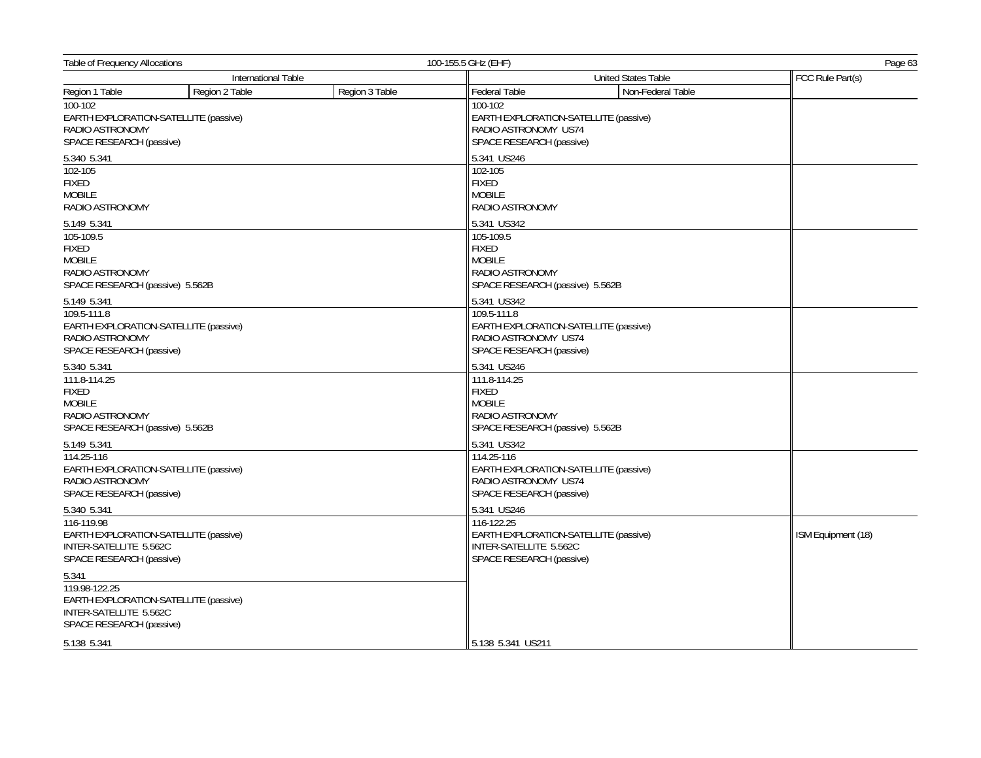| <b>Table of Frequency Allocations</b><br>International Table                                                             |                | 100-155.5 GHz (EHF)                                                                                 | Page 63                                                                                          |                                       |                    |
|--------------------------------------------------------------------------------------------------------------------------|----------------|-----------------------------------------------------------------------------------------------------|--------------------------------------------------------------------------------------------------|---------------------------------------|--------------------|
|                                                                                                                          |                | United States Table                                                                                 |                                                                                                  | FCC Rule Part(s)                      |                    |
| Region 1 Table                                                                                                           | Region 2 Table | Region 3 Table                                                                                      | Federal Table                                                                                    | Non-Federal Table                     |                    |
| 100-102<br>EARTH EXPLORATION-SATELLITE (passive)<br>RADIO ASTRONOMY<br>SPACE RESEARCH (passive)                          |                |                                                                                                     | 100-102<br>RADIO ASTRONOMY US74<br>SPACE RESEARCH (passive)                                      | EARTH EXPLORATION-SATELLITE (passive) |                    |
| 5.340 5.341                                                                                                              |                |                                                                                                     | 5.341 US246                                                                                      |                                       |                    |
| 102-105<br>FIXED<br><b>MOBILE</b><br>RADIO ASTRONOMY                                                                     |                |                                                                                                     | 102-105<br><b>FIXED</b><br><b>MOBILE</b><br>RADIO ASTRONOMY                                      |                                       |                    |
| 5.149 5.341                                                                                                              |                |                                                                                                     | 5.341 US342                                                                                      |                                       |                    |
| 105-109.5<br><b>FIXED</b><br>MOBILE<br>RADIO ASTRONOMY<br>SPACE RESEARCH (passive) 5.562B                                |                |                                                                                                     | 105-109.5<br><b>FIXED</b><br><b>MOBILE</b><br>RADIO ASTRONOMY<br>SPACE RESEARCH (passive) 5.562B |                                       |                    |
| 5.149 5.341                                                                                                              |                |                                                                                                     | 5.341 US342                                                                                      |                                       |                    |
| 109.5-111.8<br>EARTH EXPLORATION-SATELLITE (passive)<br>RADIO ASTRONOMY<br>SPACE RESEARCH (passive)                      |                |                                                                                                     | 109.5-111.8<br>RADIO ASTRONOMY US74<br>SPACE RESEARCH (passive)                                  | EARTH EXPLORATION-SATELLITE (passive) |                    |
| 5.340 5.341<br>111.8-114.25<br><b>FIXED</b><br><b>MOBILE</b><br>RADIO ASTRONOMY<br>SPACE RESEARCH (passive) 5.562B       |                | 5.341 US246                                                                                         |                                                                                                  |                                       |                    |
|                                                                                                                          |                | 111.8-114.25<br><b>FIXED</b><br><b>MOBILE</b><br>RADIO ASTRONOMY<br>SPACE RESEARCH (passive) 5.562B |                                                                                                  |                                       |                    |
| 5.149 5.341                                                                                                              |                |                                                                                                     | 5.341 US342                                                                                      |                                       |                    |
| 114.25-116<br>EARTH EXPLORATION-SATELLITE (passive)<br>RADIO ASTRONOMY<br>SPACE RESEARCH (passive)                       |                |                                                                                                     | 114.25-116<br>RADIO ASTRONOMY US74<br>SPACE RESEARCH (passive)                                   | EARTH EXPLORATION-SATELLITE (passive) |                    |
| 5.340 5.341<br>116-119.98<br>EARTH EXPLORATION-SATELLITE (passive)<br>INTER-SATELLITE 5.562C<br>SPACE RESEARCH (passive) |                |                                                                                                     | 5.341 US246<br>116-122.25<br>INTER-SATELLITE 5.562C<br>SPACE RESEARCH (passive)                  | EARTH EXPLORATION-SATELLITE (passive) | ISM Equipment (18) |
| 5.341                                                                                                                    |                |                                                                                                     |                                                                                                  |                                       |                    |
| 119.98-122.25<br>EARTH EXPLORATION-SATELLITE (passive)<br>INTER-SATELLITE 5.562C<br>SPACE RESEARCH (passive)             |                |                                                                                                     |                                                                                                  |                                       |                    |
| 5.138 5.341                                                                                                              |                |                                                                                                     | 5.138 5.341 US211                                                                                |                                       |                    |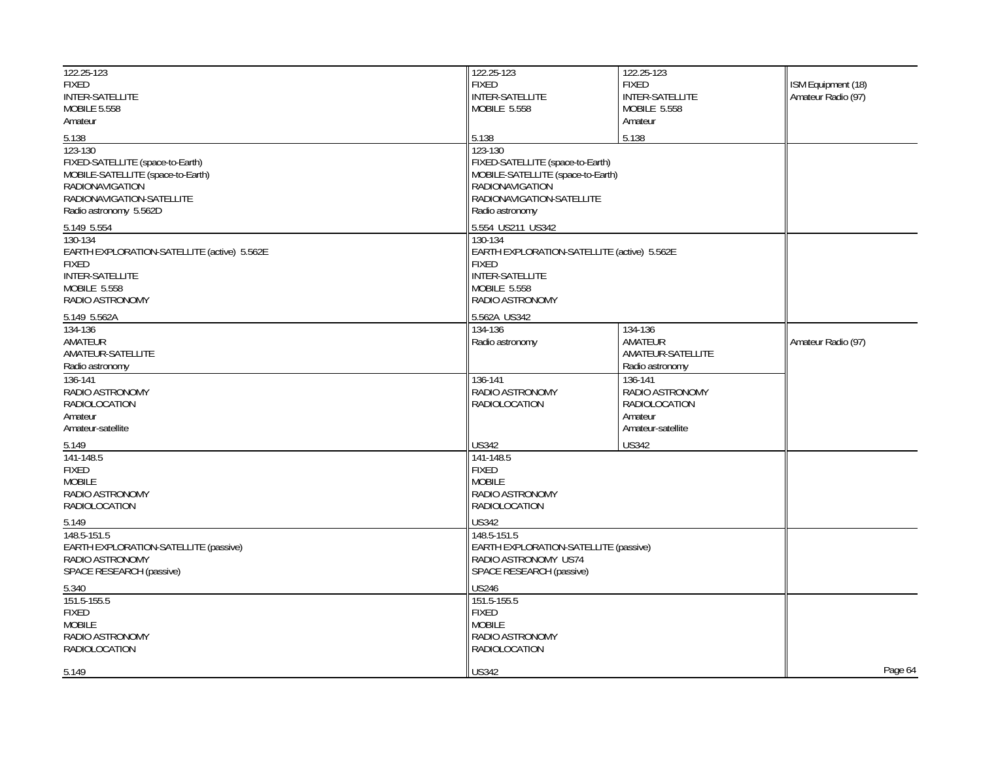| 122.25-123                                  | 122.25-123                                  | 122.25-123             |                    |
|---------------------------------------------|---------------------------------------------|------------------------|--------------------|
| <b>FIXED</b>                                | <b>FIXED</b>                                | <b>FIXED</b>           | ISM Equipment (18) |
| INTER-SATELLITE                             | <b>INTER-SATELLITE</b>                      | <b>INTER-SATELLITE</b> | Amateur Radio (97) |
| <b>MOBILE 5.558</b>                         | MOBILE 5.558                                | <b>MOBILE 5.558</b>    |                    |
| Amateur                                     |                                             | Amateur                |                    |
| 5.138                                       | 5.138                                       | 5.138                  |                    |
| 123-130                                     | 123-130                                     |                        |                    |
| FIXED-SATELLITE (space-to-Earth)            | FIXED-SATELLITE (space-to-Earth)            |                        |                    |
| MOBILE-SATELLITE (space-to-Earth)           | MOBILE-SATELLITE (space-to-Earth)           |                        |                    |
| <b>RADIONAVIGATION</b>                      | <b>RADIONAVIGATION</b>                      |                        |                    |
| RADIONAVIGATION-SATELLITE                   | RADIONAVIGATION-SATELLITE                   |                        |                    |
| Radio astronomy 5.562D                      | Radio astronomy                             |                        |                    |
| 5.149 5.554                                 | 5.554 US211 US342                           |                        |                    |
| 130-134                                     | 130-134                                     |                        |                    |
| EARTH EXPLORATION-SATELLITE (active) 5.562E | EARTH EXPLORATION-SATELLITE (active) 5.562E |                        |                    |
| <b>FIXED</b>                                | <b>FIXED</b>                                |                        |                    |
| <b>INTER-SATELLITE</b>                      | <b>INTER-SATELLITE</b>                      |                        |                    |
| <b>MOBILE 5.558</b>                         | MOBILE 5.558                                |                        |                    |
| RADIO ASTRONOMY                             | RADIO ASTRONOMY                             |                        |                    |
| 5.149 5.562A                                | 5.562A US342                                |                        |                    |
| 134-136                                     | 134-136                                     | 134-136                |                    |
| AMATEUR                                     | Radio astronomy                             | AMATEUR                | Amateur Radio (97) |
| AMATEUR-SATELLITE                           |                                             | AMATEUR-SATELLITE      |                    |
| Radio astronomy                             |                                             | Radio astronomy        |                    |
| 136-141                                     | 136-141                                     | 136-141                |                    |
| RADIO ASTRONOMY                             | RADIO ASTRONOMY                             | RADIO ASTRONOMY        |                    |
| <b>RADIOLOCATION</b>                        | RADIOLOCATION                               | RADIOLOCATION          |                    |
| Amateur                                     |                                             | Amateur                |                    |
| Amateur-satellite                           |                                             | Amateur-satellite      |                    |
| 5.149                                       | <b>US342</b>                                | <b>US342</b>           |                    |
| 141-148.5                                   | 141-148.5                                   |                        |                    |
| <b>FIXED</b>                                | <b>FIXED</b>                                |                        |                    |
| <b>MOBILE</b>                               | <b>MOBILE</b>                               |                        |                    |
| RADIO ASTRONOMY                             | RADIO ASTRONOMY                             |                        |                    |
| <b>RADIOLOCATION</b>                        | <b>RADIOLOCATION</b>                        |                        |                    |
| 5.149                                       | <b>US342</b>                                |                        |                    |
| 148.5-151.5                                 | $148.5 - 151.5$                             |                        |                    |
| EARTH EXPLORATION-SATELLITE (passive)       | EARTH EXPLORATION-SATELLITE (passive)       |                        |                    |
| RADIO ASTRONOMY                             | RADIO ASTRONOMY US74                        |                        |                    |
| SPACE RESEARCH (passive)                    | SPACE RESEARCH (passive)                    |                        |                    |
| 5.340                                       | <b>US246</b>                                |                        |                    |
| 151.5-155.5                                 | 151.5-155.5                                 |                        |                    |
| <b>FIXED</b>                                | <b>FIXED</b>                                |                        |                    |
| MOBILE                                      | <b>MOBILE</b>                               |                        |                    |
| RADIO ASTRONOMY                             | RADIO ASTRONOMY                             |                        |                    |
| RADIOLOCATION                               | RADIOLOCATION                               |                        |                    |
|                                             |                                             |                        |                    |
| 5.149                                       | <b>US342</b>                                |                        | Page 64            |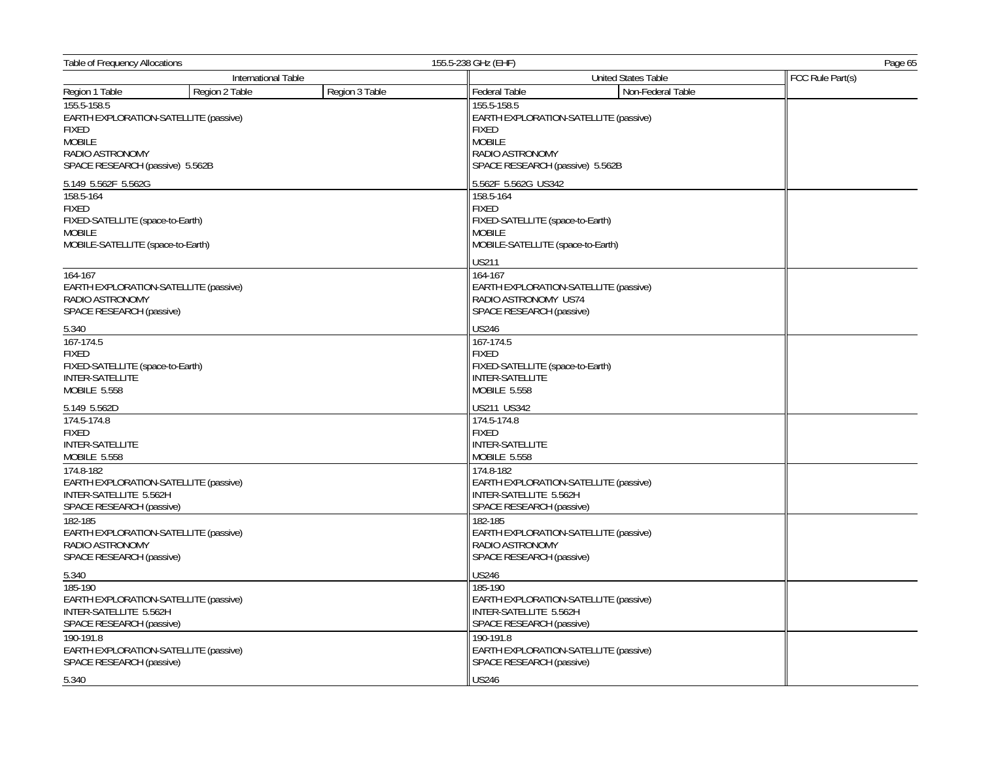| Table of Frequency Allocations                                                                                                              |                | 155.5-238 GHz (EHF)<br>Page 65 |                                                                                                                     |                                       |                  |
|---------------------------------------------------------------------------------------------------------------------------------------------|----------------|--------------------------------|---------------------------------------------------------------------------------------------------------------------|---------------------------------------|------------------|
| International Table                                                                                                                         |                |                                | United States Table                                                                                                 |                                       | FCC Rule Part(s) |
| Region 1 Table                                                                                                                              | Region 2 Table | Region 3 Table                 | <b>Federal Table</b>                                                                                                | Non-Federal Table                     |                  |
| 155.5-158.5<br>EARTH EXPLORATION-SATELLITE (passive)<br><b>FIXED</b><br><b>MOBILE</b><br>RADIO ASTRONOMY<br>SPACE RESEARCH (passive) 5.562B |                |                                | $155.5 - 158.5$<br><b>FIXED</b><br><b>MOBILE</b><br>RADIO ASTRONOMY<br>SPACE RESEARCH (passive) 5.562B              | EARTH EXPLORATION-SATELLITE (passive) |                  |
| 5.149 5.562F 5.562G                                                                                                                         |                |                                | 5.562F 5.562G US342                                                                                                 |                                       |                  |
| 158.5-164<br>FIXED<br>FIXED-SATELLITE (space-to-Earth)<br><b>MOBILE</b><br>MOBILE-SATELLITE (space-to-Earth)                                |                |                                | 158.5-164<br><b>FIXED</b><br>FIXED-SATELLITE (space-to-Earth)<br><b>MOBILE</b><br>MOBILE-SATELLITE (space-to-Earth) |                                       |                  |
|                                                                                                                                             |                |                                | <b>US211</b>                                                                                                        |                                       |                  |
| 164-167<br>EARTH EXPLORATION-SATELLITE (passive)<br>RADIO ASTRONOMY<br>SPACE RESEARCH (passive)                                             |                |                                | 164-167<br>RADIO ASTRONOMY US74<br>SPACE RESEARCH (passive)                                                         | EARTH EXPLORATION-SATELLITE (passive) |                  |
| 5.340                                                                                                                                       |                |                                | <b>US246</b>                                                                                                        |                                       |                  |
| 167-174.5<br><b>FIXED</b><br>FIXED-SATELLITE (space-to-Earth)<br>INTER-SATELLITE<br><b>MOBILE 5.558</b>                                     |                |                                | 167-174.5<br><b>FIXED</b><br>FIXED-SATELLITE (space-to-Earth)<br>INTER-SATELLITE<br><b>MOBILE 5.558</b>             |                                       |                  |
| 5.149 5.562D                                                                                                                                |                |                                | US211 US342                                                                                                         |                                       |                  |
| 174.5-174.8<br><b>FIXED</b><br><b>INTER-SATELLITE</b><br>MOBILE 5.558<br>174.8-182                                                          |                |                                | 174.5-174.8<br><b>FIXED</b><br><b>INTER-SATELLITE</b><br>MOBILE 5.558<br>174.8-182                                  |                                       |                  |
| EARTH EXPLORATION-SATELLITE (passive)<br>INTER-SATELLITE 5.562H<br>SPACE RESEARCH (passive)                                                 |                |                                | INTER-SATELLITE 5.562H<br>SPACE RESEARCH (passive)                                                                  | EARTH EXPLORATION-SATELLITE (passive) |                  |
| 182-185<br>EARTH EXPLORATION-SATELLITE (passive)<br>RADIO ASTRONOMY<br>SPACE RESEARCH (passive)                                             |                |                                | 182-185<br>RADIO ASTRONOMY<br>SPACE RESEARCH (passive)                                                              | EARTH EXPLORATION-SATELLITE (passive) |                  |
| 5.340                                                                                                                                       |                |                                | <b>US246</b>                                                                                                        |                                       |                  |
| 185-190<br>EARTH EXPLORATION-SATELLITE (passive)<br>INTER-SATELLITE 5.562H<br>SPACE RESEARCH (passive)                                      |                |                                | 185-190<br>INTER-SATELLITE 5.562H<br>SPACE RESEARCH (passive)                                                       | EARTH EXPLORATION-SATELLITE (passive) |                  |
| 190-191.8<br>EARTH EXPLORATION-SATELLITE (passive)<br>SPACE RESEARCH (passive)                                                              |                |                                | 190-191.8<br>SPACE RESEARCH (passive)                                                                               | EARTH EXPLORATION-SATELLITE (passive) |                  |
| 5.340                                                                                                                                       |                |                                | <b>US246</b>                                                                                                        |                                       |                  |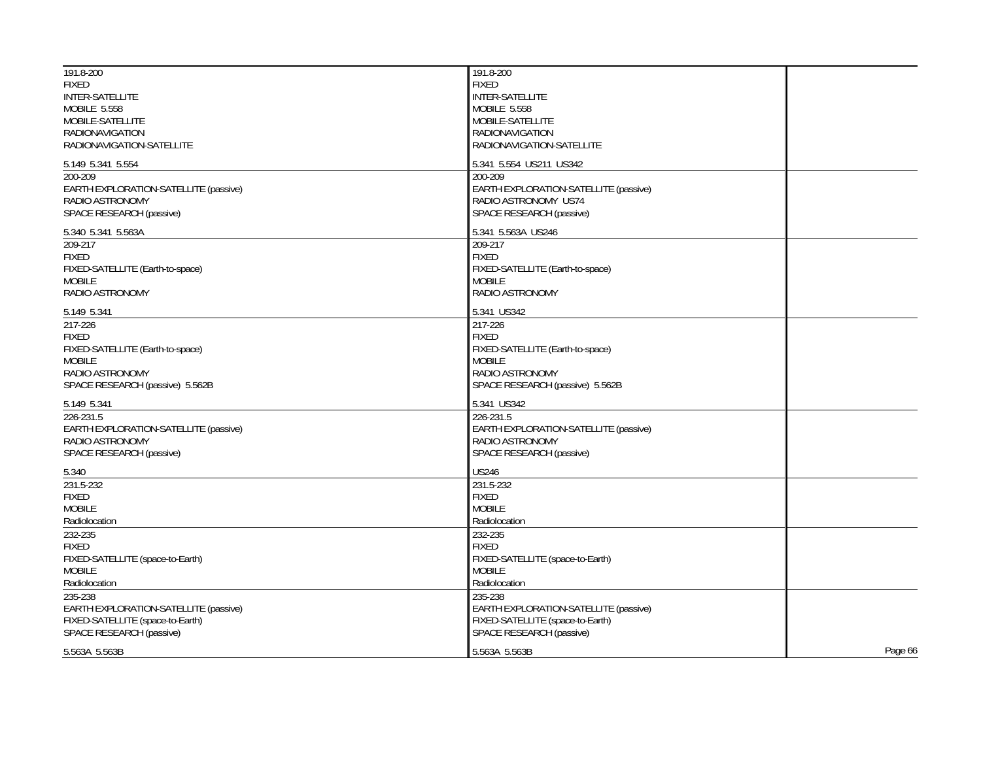| 191.8-200<br><b>FIXED</b>             | 191.8-200<br><b>FIXED</b>             |         |
|---------------------------------------|---------------------------------------|---------|
| <b>INTER-SATELLITE</b>                | <b>INTER-SATELLITE</b>                |         |
| MOBILE 5.558                          | MOBILE 5.558                          |         |
| MOBILE-SATELLITE                      | MOBILE-SATELLITE                      |         |
| <b>RADIONAVIGATION</b>                | <b>RADIONAVIGATION</b>                |         |
| RADIONAVIGATION-SATELLITE             | RADIONAVIGATION-SATELLITE             |         |
| 5.149 5.341 5.554                     | 5.341 5.554 US211 US342               |         |
| 200-209                               | 200-209                               |         |
| EARTH EXPLORATION-SATELLITE (passive) | EARTH EXPLORATION-SATELLITE (passive) |         |
| RADIO ASTRONOMY                       | RADIO ASTRONOMY US74                  |         |
| SPACE RESEARCH (passive)              | SPACE RESEARCH (passive)              |         |
| 5.340 5.341 5.563A                    | 5.341 5.563A US246                    |         |
| 209-217                               | 209-217                               |         |
| <b>FIXED</b>                          | <b>FIXED</b>                          |         |
| FIXED-SATELLITE (Earth-to-space)      | FIXED-SATELLITE (Earth-to-space)      |         |
| <b>MOBILE</b>                         | <b>MOBILE</b>                         |         |
| RADIO ASTRONOMY                       | RADIO ASTRONOMY                       |         |
| 5.149 5.341                           | 5.341 US342                           |         |
| 217-226                               | 217-226                               |         |
| <b>FIXED</b>                          | <b>FIXED</b>                          |         |
| FIXED-SATELLITE (Earth-to-space)      | FIXED-SATELLITE (Earth-to-space)      |         |
| <b>MOBILE</b>                         | <b>MOBILE</b>                         |         |
| RADIO ASTRONOMY                       | RADIO ASTRONOMY                       |         |
| SPACE RESEARCH (passive) 5.562B       | SPACE RESEARCH (passive) 5.562B       |         |
| 5.149 5.341                           | 5.341 US342                           |         |
| 226-231.5                             | 226-231.5                             |         |
| EARTH EXPLORATION-SATELLITE (passive) | EARTH EXPLORATION-SATELLITE (passive) |         |
| RADIO ASTRONOMY                       | RADIO ASTRONOMY                       |         |
| SPACE RESEARCH (passive)              | SPACE RESEARCH (passive)              |         |
| 5.340                                 | <b>US246</b>                          |         |
| 231.5-232                             | 231.5-232                             |         |
| <b>FIXED</b>                          | <b>FIXED</b>                          |         |
| <b>MOBILE</b>                         | <b>MOBILE</b>                         |         |
| Radiolocation                         | Radiolocation                         |         |
| 232-235                               | 232-235                               |         |
| <b>FIXED</b>                          | <b>FIXED</b>                          |         |
| FIXED-SATELLITE (space-to-Earth)      | FIXED-SATELLITE (space-to-Earth)      |         |
| <b>MOBILE</b>                         | <b>MOBILE</b>                         |         |
| Radiolocation                         | Radiolocation                         |         |
| 235-238                               | 235-238                               |         |
| EARTH EXPLORATION-SATELLITE (passive) | EARTH EXPLORATION-SATELLITE (passive) |         |
| FIXED-SATELLITE (space-to-Earth)      | FIXED-SATELLITE (space-to-Earth)      |         |
| SPACE RESEARCH (passive)              | SPACE RESEARCH (passive)              |         |
| 5.563A 5.563B                         | 5.563A 5.563B                         | Page 66 |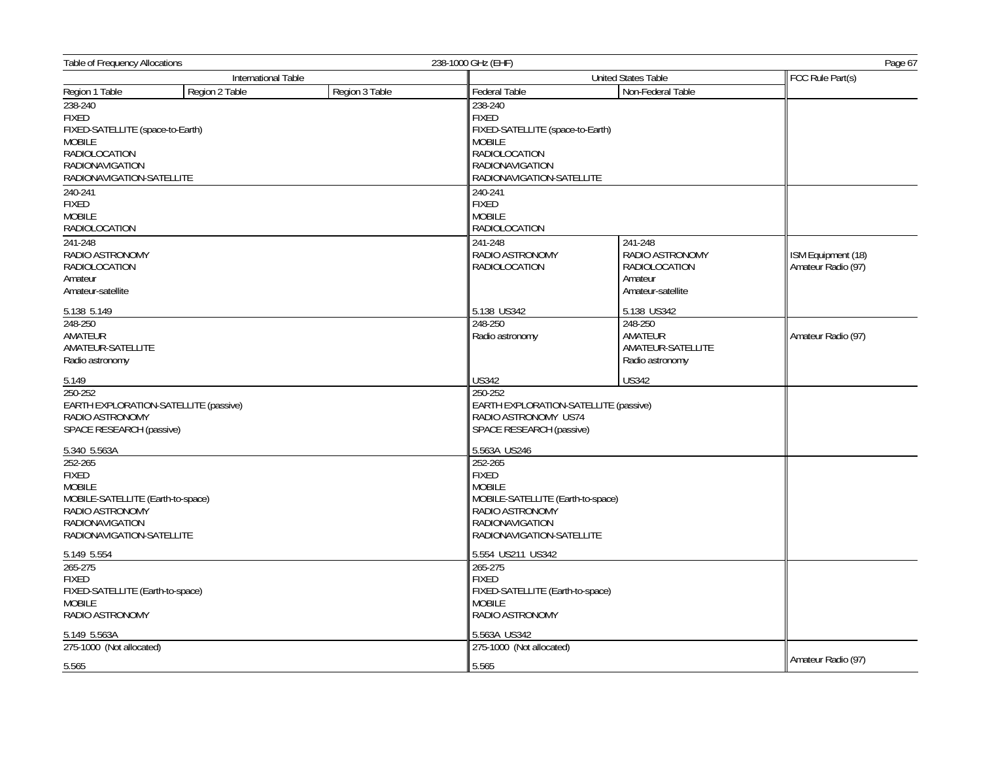| Table of Frequency Allocations                   |                |                | 238-1000 GHz (EHF)                               | Page 67                                                       |                    |  |
|--------------------------------------------------|----------------|----------------|--------------------------------------------------|---------------------------------------------------------------|--------------------|--|
| International Table                              |                |                | <b>United States Table</b>                       |                                                               |                    |  |
| Region 1 Table                                   | Region 2 Table | Region 3 Table | Federal Table                                    | Non-Federal Table                                             |                    |  |
| 238-240                                          |                |                | 238-240                                          |                                                               |                    |  |
| <b>FIXED</b>                                     |                |                | <b>FIXED</b>                                     |                                                               |                    |  |
| FIXED-SATELLITE (space-to-Earth)                 |                |                | FIXED-SATELLITE (space-to-Earth)                 |                                                               |                    |  |
| <b>MOBILE</b>                                    |                |                | <b>MOBILE</b>                                    |                                                               |                    |  |
| <b>RADIOLOCATION</b>                             |                |                | RADIOLOCATION                                    |                                                               |                    |  |
| <b>RADIONAVIGATION</b>                           |                |                | <b>RADIONAVIGATION</b>                           |                                                               |                    |  |
| RADIONAVIGATION-SATELLITE                        |                |                | RADIONAVIGATION-SATELLITE                        |                                                               |                    |  |
| 240-241                                          |                |                | 240-241                                          |                                                               |                    |  |
| <b>FIXED</b>                                     |                |                | <b>FIXED</b>                                     |                                                               |                    |  |
| <b>MOBILE</b>                                    |                |                | <b>MOBILE</b>                                    |                                                               |                    |  |
| <b>RADIOLOCATION</b>                             |                |                | <b>RADIOLOCATION</b>                             |                                                               |                    |  |
|                                                  |                |                |                                                  |                                                               |                    |  |
| 241-248                                          |                |                | 241-248                                          | 241-248                                                       |                    |  |
| RADIO ASTRONOMY                                  |                |                | RADIO ASTRONOMY                                  | RADIO ASTRONOMY                                               | ISM Equipment (18) |  |
| <b>RADIOLOCATION</b>                             |                |                | RADIOLOCATION                                    | RADIOLOCATION                                                 | Amateur Radio (97) |  |
| Amateur                                          |                |                |                                                  | Amateur                                                       |                    |  |
| Amateur-satellite                                |                |                |                                                  | Amateur-satellite                                             |                    |  |
| 5.138 5.149                                      |                |                | 5.138 US342                                      | 5.138 US342                                                   |                    |  |
| 248-250                                          |                |                | 248-250                                          | 248-250                                                       |                    |  |
| AMATEUR                                          |                |                | Radio astronomy                                  | AMATEUR                                                       | Amateur Radio (97) |  |
| AMATEUR-SATELLITE                                |                |                |                                                  | AMATEUR-SATELLITE                                             |                    |  |
| Radio astronomy                                  |                |                |                                                  | Radio astronomy                                               |                    |  |
| 5.149                                            |                |                | <b>US342</b>                                     | <b>US342</b>                                                  |                    |  |
| 250-252                                          |                |                | 250-252                                          |                                                               |                    |  |
| EARTH EXPLORATION-SATELLITE (passive)            |                |                |                                                  |                                                               |                    |  |
| RADIO ASTRONOMY                                  |                |                |                                                  | EARTH EXPLORATION-SATELLITE (passive)<br>RADIO ASTRONOMY US74 |                    |  |
| SPACE RESEARCH (passive)                         |                |                | SPACE RESEARCH (passive)                         |                                                               |                    |  |
|                                                  |                |                |                                                  |                                                               |                    |  |
| 5.340 5.563A                                     |                |                | 5.563A US246                                     |                                                               |                    |  |
| 252-265                                          |                |                | 252-265                                          |                                                               |                    |  |
| <b>FIXED</b>                                     |                |                | <b>FIXED</b>                                     |                                                               |                    |  |
| <b>MOBILE</b>                                    |                |                | <b>MOBILE</b>                                    |                                                               |                    |  |
| MOBILE-SATELLITE (Earth-to-space)                |                |                | MOBILE-SATELLITE (Earth-to-space)                |                                                               |                    |  |
| RADIO ASTRONOMY                                  |                |                | RADIO ASTRONOMY                                  |                                                               |                    |  |
| <b>RADIONAVIGATION</b>                           |                |                | <b>RADIONAVIGATION</b>                           |                                                               |                    |  |
| RADIONAVIGATION-SATELLITE                        |                |                | RADIONAVIGATION-SATELLITE                        |                                                               |                    |  |
| 5.149 5.554                                      |                |                | 5.554 US211 US342                                |                                                               |                    |  |
| 265-275                                          |                |                | 265-275                                          |                                                               |                    |  |
| <b>FIXED</b><br>FIXED-SATELLITE (Earth-to-space) |                |                | <b>FIXED</b><br>FIXED-SATELLITE (Earth-to-space) |                                                               |                    |  |
|                                                  |                |                |                                                  |                                                               |                    |  |
| <b>MOBILE</b>                                    |                |                | <b>MOBILE</b>                                    |                                                               |                    |  |
| RADIO ASTRONOMY                                  |                |                | RADIO ASTRONOMY                                  |                                                               |                    |  |
| 5.149 5.563A                                     |                |                | 5.563A US342                                     |                                                               |                    |  |
| 275-1000 (Not allocated)                         |                |                | 275-1000 (Not allocated)                         |                                                               |                    |  |
| 5.565                                            |                | 5.565          |                                                  | Amateur Radio (97)                                            |                    |  |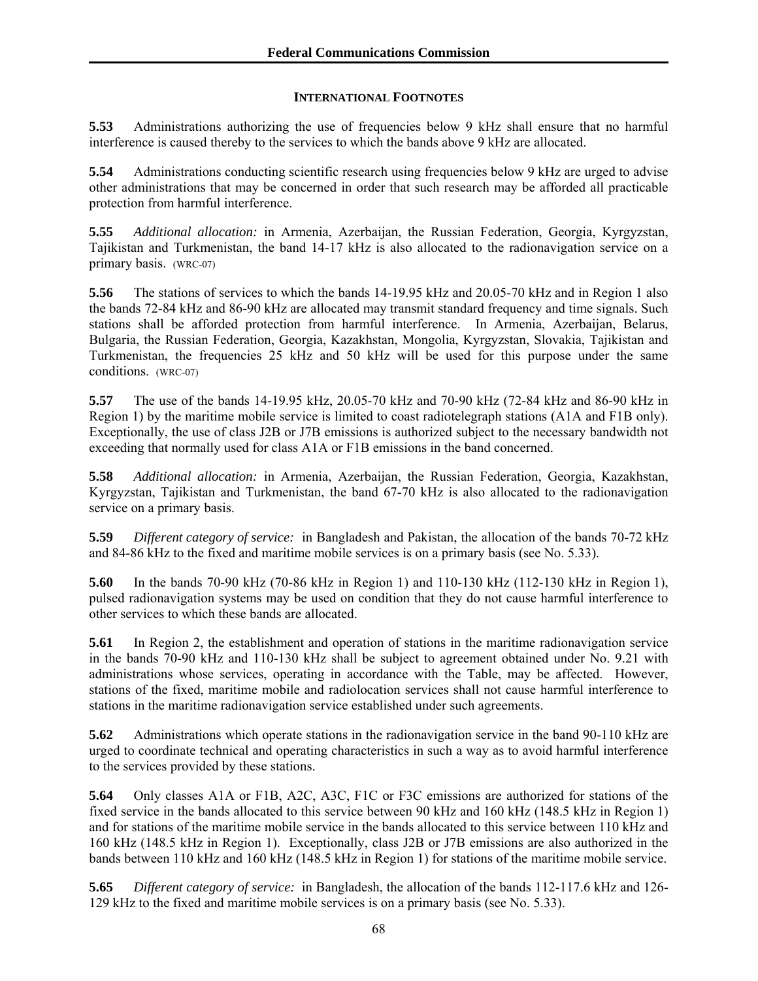## **INTERNATIONAL FOOTNOTES**

**5.53** Administrations authorizing the use of frequencies below 9 kHz shall ensure that no harmful interference is caused thereby to the services to which the bands above 9 kHz are allocated.

**5.54** Administrations conducting scientific research using frequencies below 9 kHz are urged to advise other administrations that may be concerned in order that such research may be afforded all practicable protection from harmful interference.

**5.55** *Additional allocation:* in Armenia, Azerbaijan, the Russian Federation, Georgia, Kyrgyzstan, Tajikistan and Turkmenistan, the band 14-17 kHz is also allocated to the radionavigation service on a primary basis. (WRC-07)

**5.56** The stations of services to which the bands 14-19.95 kHz and 20.05-70 kHz and in Region 1 also the bands 72-84 kHz and 86-90 kHz are allocated may transmit standard frequency and time signals. Such stations shall be afforded protection from harmful interference. In Armenia, Azerbaijan, Belarus, Bulgaria, the Russian Federation, Georgia, Kazakhstan, Mongolia, Kyrgyzstan, Slovakia, Tajikistan and Turkmenistan, the frequencies 25 kHz and 50 kHz will be used for this purpose under the same conditions. (WRC-07)

**5.57** The use of the bands 14-19.95 kHz, 20.05-70 kHz and 70-90 kHz (72-84 kHz and 86-90 kHz in Region 1) by the maritime mobile service is limited to coast radiotelegraph stations (A1A and F1B only). Exceptionally, the use of class J2B or J7B emissions is authorized subject to the necessary bandwidth not exceeding that normally used for class A1A or F1B emissions in the band concerned.

**5.58** *Additional allocation:* in Armenia, Azerbaijan, the Russian Federation, Georgia, Kazakhstan, Kyrgyzstan, Tajikistan and Turkmenistan, the band 67-70 kHz is also allocated to the radionavigation service on a primary basis.

**5.59** *Different category of service:* in Bangladesh and Pakistan, the allocation of the bands 70-72 kHz and 84-86 kHz to the fixed and maritime mobile services is on a primary basis (see No. 5.33).

**5.60** In the bands 70-90 kHz (70-86 kHz in Region 1) and 110-130 kHz (112-130 kHz in Region 1), pulsed radionavigation systems may be used on condition that they do not cause harmful interference to other services to which these bands are allocated.

**5.61** In Region 2, the establishment and operation of stations in the maritime radionavigation service in the bands 70-90 kHz and 110-130 kHz shall be subject to agreement obtained under No. 9.21 with administrations whose services, operating in accordance with the Table, may be affected. However, stations of the fixed, maritime mobile and radiolocation services shall not cause harmful interference to stations in the maritime radionavigation service established under such agreements.

**5.62** Administrations which operate stations in the radionavigation service in the band 90-110 kHz are urged to coordinate technical and operating characteristics in such a way as to avoid harmful interference to the services provided by these stations.

**5.64** Only classes A1A or F1B, A2C, A3C, F1C or F3C emissions are authorized for stations of the fixed service in the bands allocated to this service between 90 kHz and 160 kHz (148.5 kHz in Region 1) and for stations of the maritime mobile service in the bands allocated to this service between 110 kHz and 160 kHz (148.5 kHz in Region 1). Exceptionally, class J2B or J7B emissions are also authorized in the bands between 110 kHz and 160 kHz (148.5 kHz in Region 1) for stations of the maritime mobile service.

**5.65** *Different category of service:* in Bangladesh, the allocation of the bands 112-117.6 kHz and 126- 129 kHz to the fixed and maritime mobile services is on a primary basis (see No. 5.33).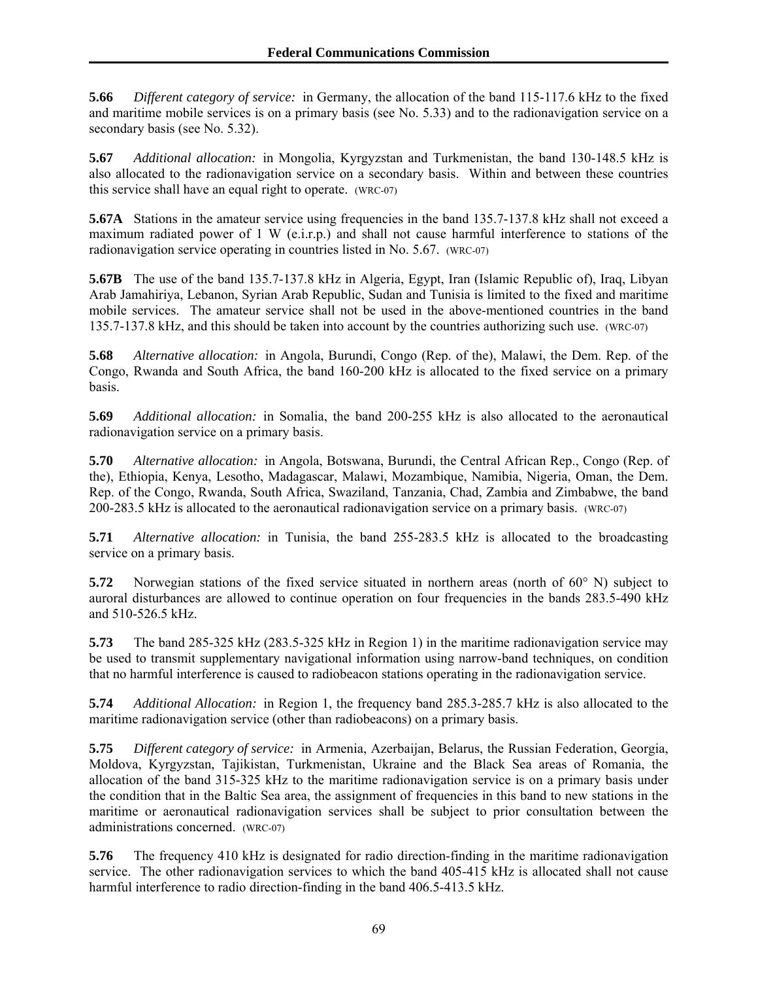**5.66** *Different category of service:* in Germany, the allocation of the band 115-117.6 kHz to the fixed and maritime mobile services is on a primary basis (see No. 5.33) and to the radionavigation service on a secondary basis (see No. 5.32).

**5.67** *Additional allocation:* in Mongolia, Kyrgyzstan and Turkmenistan, the band 130-148.5 kHz is also allocated to the radionavigation service on a secondary basis. Within and between these countries this service shall have an equal right to operate. (WRC-07)

**5.67A** Stations in the amateur service using frequencies in the band 135.7-137.8 kHz shall not exceed a maximum radiated power of 1 W (e.i.r.p.) and shall not cause harmful interference to stations of the radionavigation service operating in countries listed in No. 5.67. (WRC-07)

**5.67B** The use of the band 135.7-137.8 kHz in Algeria, Egypt, Iran (Islamic Republic of), Iraq, Libyan Arab Jamahiriya, Lebanon, Syrian Arab Republic, Sudan and Tunisia is limited to the fixed and maritime mobile services. The amateur service shall not be used in the above-mentioned countries in the band 135.7-137.8 kHz, and this should be taken into account by the countries authorizing such use. (WRC-07)

**5.68** *Alternative allocation:* in Angola, Burundi, Congo (Rep. of the), Malawi, the Dem. Rep. of the Congo, Rwanda and South Africa, the band 160-200 kHz is allocated to the fixed service on a primary basis.

**5.69** *Additional allocation:* in Somalia, the band 200-255 kHz is also allocated to the aeronautical radionavigation service on a primary basis.

**5.70** *Alternative allocation:* in Angola, Botswana, Burundi, the Central African Rep., Congo (Rep. of the), Ethiopia, Kenya, Lesotho, Madagascar, Malawi, Mozambique, Namibia, Nigeria, Oman, the Dem. Rep. of the Congo, Rwanda, South Africa, Swaziland, Tanzania, Chad, Zambia and Zimbabwe, the band 200-283.5 kHz is allocated to the aeronautical radionavigation service on a primary basis. (WRC-07)

**5.71** *Alternative allocation:* in Tunisia, the band 255-283.5 kHz is allocated to the broadcasting service on a primary basis.

**5.72** Norwegian stations of the fixed service situated in northern areas (north of 60° N) subject to auroral disturbances are allowed to continue operation on four frequencies in the bands 283.5-490 kHz and 510-526.5 kHz.

**5.73** The band 285-325 kHz (283.5-325 kHz in Region 1) in the maritime radionavigation service may be used to transmit supplementary navigational information using narrow-band techniques, on condition that no harmful interference is caused to radiobeacon stations operating in the radionavigation service.

**5.74** *Additional Allocation:* in Region 1, the frequency band 285.3-285.7 kHz is also allocated to the maritime radionavigation service (other than radiobeacons) on a primary basis.

**5.75** *Different category of service:* in Armenia, Azerbaijan, Belarus, the Russian Federation, Georgia, Moldova, Kyrgyzstan, Tajikistan, Turkmenistan, Ukraine and the Black Sea areas of Romania, the allocation of the band 315-325 kHz to the maritime radionavigation service is on a primary basis under the condition that in the Baltic Sea area, the assignment of frequencies in this band to new stations in the maritime or aeronautical radionavigation services shall be subject to prior consultation between the administrations concerned. (WRC-07)

**5.76** The frequency 410 kHz is designated for radio direction-finding in the maritime radionavigation service. The other radionavigation services to which the band 405-415 kHz is allocated shall not cause harmful interference to radio direction-finding in the band 406.5-413.5 kHz.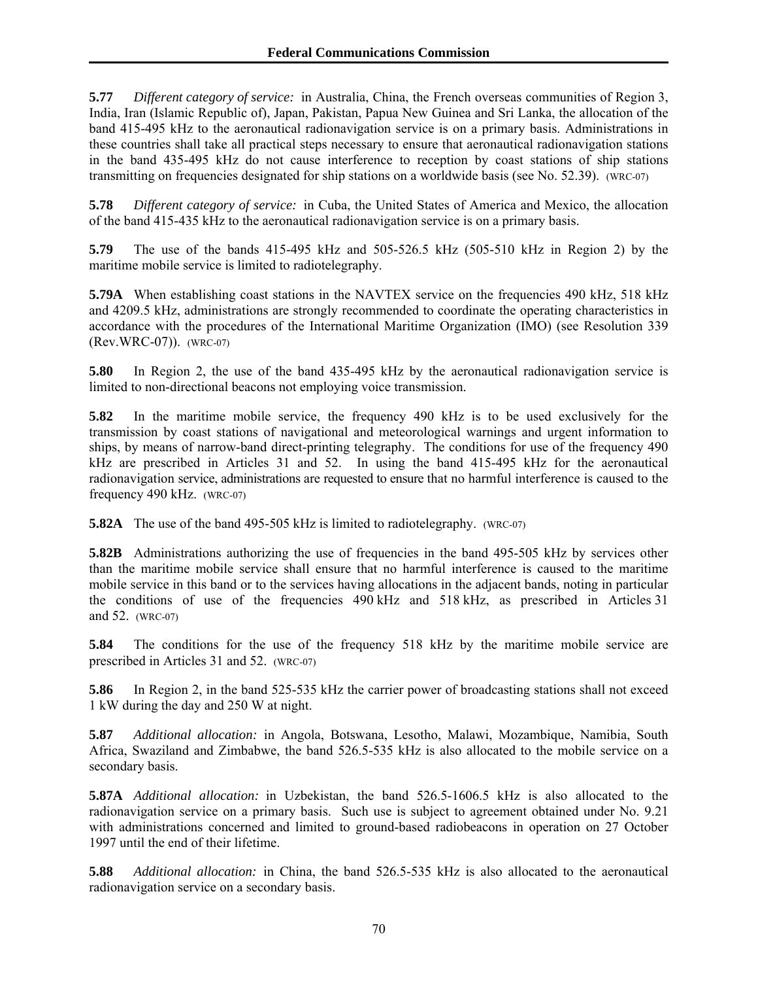**5.77** *Different category of service:* in Australia, China, the French overseas communities of Region 3, India, Iran (Islamic Republic of), Japan, Pakistan, Papua New Guinea and Sri Lanka, the allocation of the band 415-495 kHz to the aeronautical radionavigation service is on a primary basis. Administrations in these countries shall take all practical steps necessary to ensure that aeronautical radionavigation stations in the band 435-495 kHz do not cause interference to reception by coast stations of ship stations transmitting on frequencies designated for ship stations on a worldwide basis (see No. 52.39). (WRC-07)

**5.78** *Different category of service:* in Cuba, the United States of America and Mexico, the allocation of the band 415-435 kHz to the aeronautical radionavigation service is on a primary basis.

**5.79** The use of the bands 415-495 kHz and 505-526.5 kHz (505-510 kHz in Region 2) by the maritime mobile service is limited to radiotelegraphy.

**5.79A** When establishing coast stations in the NAVTEX service on the frequencies 490 kHz, 518 kHz and 4209.5 kHz, administrations are strongly recommended to coordinate the operating characteristics in accordance with the procedures of the International Maritime Organization (IMO) (see Resolution 339 (Rev.WRC-07)). (WRC-07)

**5.80** In Region 2, the use of the band 435-495 kHz by the aeronautical radionavigation service is limited to non-directional beacons not employing voice transmission.

**5.82** In the maritime mobile service, the frequency 490 kHz is to be used exclusively for the transmission by coast stations of navigational and meteorological warnings and urgent information to ships, by means of narrow-band direct-printing telegraphy. The conditions for use of the frequency 490 kHz are prescribed in Articles 31 and 52. In using the band 415-495 kHz for the aeronautical radionavigation service, administrations are requested to ensure that no harmful interference is caused to the frequency 490 kHz. (WRC-07)

**5.82A** The use of the band 495-505 kHz is limited to radiotelegraphy. (WRC-07)

**5.82B** Administrations authorizing the use of frequencies in the band 495-505 kHz by services other than the maritime mobile service shall ensure that no harmful interference is caused to the maritime mobile service in this band or to the services having allocations in the adjacent bands, noting in particular the conditions of use of the frequencies 490 kHz and 518 kHz, as prescribed in Articles 31 and 52. (WRC-07)

**5.84** The conditions for the use of the frequency 518 kHz by the maritime mobile service are prescribed in Articles 31 and 52. (WRC-07)

**5.86** In Region 2, in the band 525-535 kHz the carrier power of broadcasting stations shall not exceed 1 kW during the day and 250 W at night.

**5.87** *Additional allocation:* in Angola, Botswana, Lesotho, Malawi, Mozambique, Namibia, South Africa, Swaziland and Zimbabwe, the band 526.5-535 kHz is also allocated to the mobile service on a secondary basis.

**5.87A** *Additional allocation:* in Uzbekistan, the band 526.5-1606.5 kHz is also allocated to the radionavigation service on a primary basis. Such use is subject to agreement obtained under No. 9.21 with administrations concerned and limited to ground-based radiobeacons in operation on 27 October 1997 until the end of their lifetime.

**5.88** *Additional allocation:* in China, the band 526.5-535 kHz is also allocated to the aeronautical radionavigation service on a secondary basis.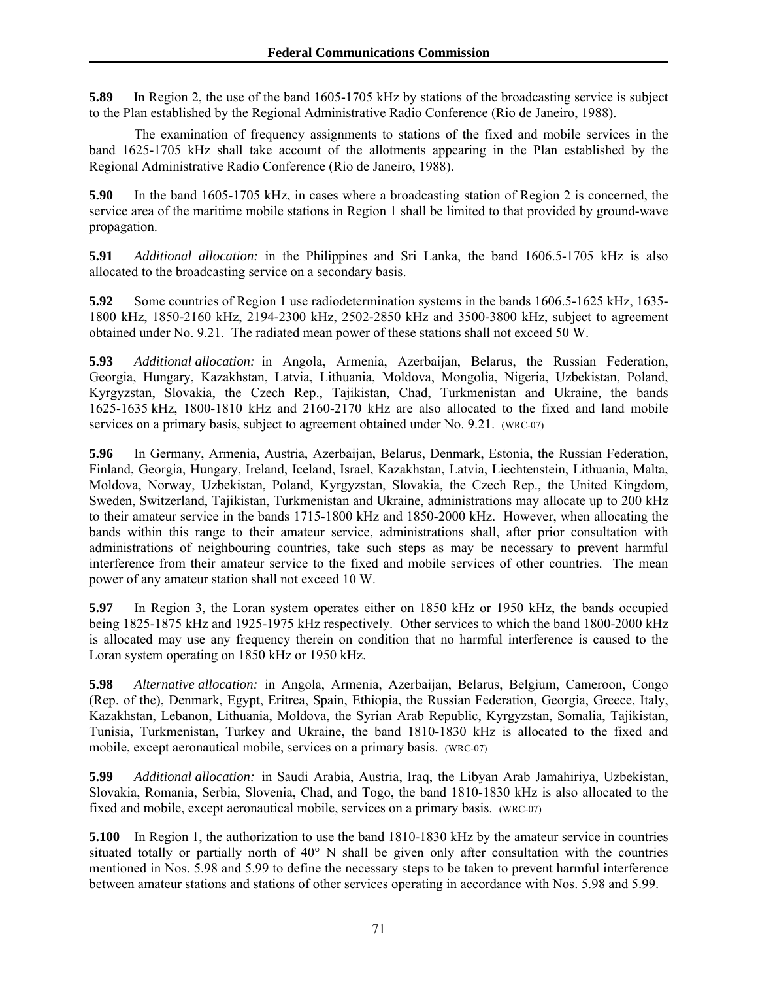**5.89** In Region 2, the use of the band 1605-1705 kHz by stations of the broadcasting service is subject to the Plan established by the Regional Administrative Radio Conference (Rio de Janeiro, 1988).

 The examination of frequency assignments to stations of the fixed and mobile services in the band 1625-1705 kHz shall take account of the allotments appearing in the Plan established by the Regional Administrative Radio Conference (Rio de Janeiro, 1988).

**5.90** In the band 1605-1705 kHz, in cases where a broadcasting station of Region 2 is concerned, the service area of the maritime mobile stations in Region 1 shall be limited to that provided by ground-wave propagation.

**5.91** *Additional allocation:* in the Philippines and Sri Lanka, the band 1606.5-1705 kHz is also allocated to the broadcasting service on a secondary basis.

**5.92** Some countries of Region 1 use radiodetermination systems in the bands 1606.5-1625 kHz, 1635- 1800 kHz, 1850-2160 kHz, 2194-2300 kHz, 2502-2850 kHz and 3500-3800 kHz, subject to agreement obtained under No. 9.21. The radiated mean power of these stations shall not exceed 50 W.

**5.93** *Additional allocation:* in Angola, Armenia, Azerbaijan, Belarus, the Russian Federation, Georgia, Hungary, Kazakhstan, Latvia, Lithuania, Moldova, Mongolia, Nigeria, Uzbekistan, Poland, Kyrgyzstan, Slovakia, the Czech Rep., Tajikistan, Chad, Turkmenistan and Ukraine, the bands 1625-1635 kHz, 1800-1810 kHz and 2160-2170 kHz are also allocated to the fixed and land mobile services on a primary basis, subject to agreement obtained under No. 9.21. (WRC-07)

**5.96** In Germany, Armenia, Austria, Azerbaijan, Belarus, Denmark, Estonia, the Russian Federation, Finland, Georgia, Hungary, Ireland, Iceland, Israel, Kazakhstan, Latvia, Liechtenstein, Lithuania, Malta, Moldova, Norway, Uzbekistan, Poland, Kyrgyzstan, Slovakia, the Czech Rep., the United Kingdom, Sweden, Switzerland, Tajikistan, Turkmenistan and Ukraine, administrations may allocate up to 200 kHz to their amateur service in the bands 1715-1800 kHz and 1850-2000 kHz. However, when allocating the bands within this range to their amateur service, administrations shall, after prior consultation with administrations of neighbouring countries, take such steps as may be necessary to prevent harmful interference from their amateur service to the fixed and mobile services of other countries. The mean power of any amateur station shall not exceed 10 W.

**5.97** In Region 3, the Loran system operates either on 1850 kHz or 1950 kHz, the bands occupied being 1825-1875 kHz and 1925-1975 kHz respectively. Other services to which the band 1800-2000 kHz is allocated may use any frequency therein on condition that no harmful interference is caused to the Loran system operating on 1850 kHz or 1950 kHz.

**5.98** *Alternative allocation:* in Angola, Armenia, Azerbaijan, Belarus, Belgium, Cameroon, Congo (Rep. of the), Denmark, Egypt, Eritrea, Spain, Ethiopia, the Russian Federation, Georgia, Greece, Italy, Kazakhstan, Lebanon, Lithuania, Moldova, the Syrian Arab Republic, Kyrgyzstan, Somalia, Tajikistan, Tunisia, Turkmenistan, Turkey and Ukraine, the band 1810-1830 kHz is allocated to the fixed and mobile, except aeronautical mobile, services on a primary basis. (WRC-07)

**5.99** *Additional allocation:* in Saudi Arabia, Austria, Iraq, the Libyan Arab Jamahiriya, Uzbekistan, Slovakia, Romania, Serbia, Slovenia, Chad, and Togo, the band 1810-1830 kHz is also allocated to the fixed and mobile, except aeronautical mobile, services on a primary basis. (WRC-07)

**5.100** In Region 1, the authorization to use the band 1810-1830 kHz by the amateur service in countries situated totally or partially north of 40° N shall be given only after consultation with the countries mentioned in Nos. 5.98 and 5.99 to define the necessary steps to be taken to prevent harmful interference between amateur stations and stations of other services operating in accordance with Nos. 5.98 and 5.99.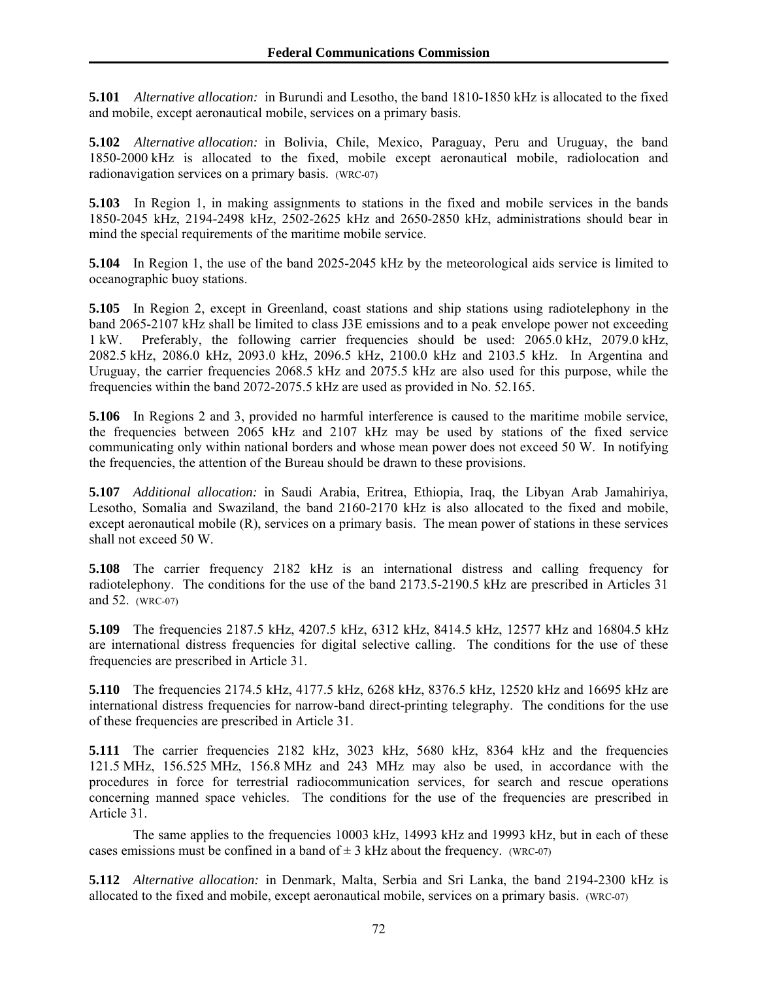**5.101** *Alternative allocation:* in Burundi and Lesotho, the band 1810-1850 kHz is allocated to the fixed and mobile, except aeronautical mobile, services on a primary basis.

**5.102** *Alternative allocation:* in Bolivia, Chile, Mexico, Paraguay, Peru and Uruguay, the band 1850-2000 kHz is allocated to the fixed, mobile except aeronautical mobile, radiolocation and radionavigation services on a primary basis. (WRC-07)

**5.103** In Region 1, in making assignments to stations in the fixed and mobile services in the bands 1850-2045 kHz, 2194-2498 kHz, 2502-2625 kHz and 2650-2850 kHz, administrations should bear in mind the special requirements of the maritime mobile service.

**5.104** In Region 1, the use of the band 2025-2045 kHz by the meteorological aids service is limited to oceanographic buoy stations.

**5.105** In Region 2, except in Greenland, coast stations and ship stations using radiotelephony in the band 2065-2107 kHz shall be limited to class J3E emissions and to a peak envelope power not exceeding 1 kW. Preferably, the following carrier frequencies should be used: 2065.0 kHz, 2079.0 kHz, 2082.5 kHz, 2086.0 kHz, 2093.0 kHz, 2096.5 kHz, 2100.0 kHz and 2103.5 kHz. In Argentina and Uruguay, the carrier frequencies 2068.5 kHz and 2075.5 kHz are also used for this purpose, while the frequencies within the band 2072-2075.5 kHz are used as provided in No. 52.165.

**5.106** In Regions 2 and 3, provided no harmful interference is caused to the maritime mobile service, the frequencies between 2065 kHz and 2107 kHz may be used by stations of the fixed service communicating only within national borders and whose mean power does not exceed 50 W. In notifying the frequencies, the attention of the Bureau should be drawn to these provisions.

**5.107** *Additional allocation:* in Saudi Arabia, Eritrea, Ethiopia, Iraq, the Libyan Arab Jamahiriya, Lesotho, Somalia and Swaziland, the band 2160-2170 kHz is also allocated to the fixed and mobile, except aeronautical mobile (R), services on a primary basis. The mean power of stations in these services shall not exceed 50 W.

**5.108** The carrier frequency 2182 kHz is an international distress and calling frequency for radiotelephony. The conditions for the use of the band 2173.5-2190.5 kHz are prescribed in Articles 31 and 52. (WRC-07)

**5.109** The frequencies 2187.5 kHz, 4207.5 kHz, 6312 kHz, 8414.5 kHz, 12577 kHz and 16804.5 kHz are international distress frequencies for digital selective calling. The conditions for the use of these frequencies are prescribed in Article 31.

**5.110** The frequencies 2174.5 kHz, 4177.5 kHz, 6268 kHz, 8376.5 kHz, 12520 kHz and 16695 kHz are international distress frequencies for narrow-band direct-printing telegraphy. The conditions for the use of these frequencies are prescribed in Article 31.

**5.111** The carrier frequencies 2182 kHz, 3023 kHz, 5680 kHz, 8364 kHz and the frequencies 121.5 MHz, 156.525 MHz, 156.8 MHz and 243 MHz may also be used, in accordance with the procedures in force for terrestrial radiocommunication services, for search and rescue operations concerning manned space vehicles. The conditions for the use of the frequencies are prescribed in Article 31.

 The same applies to the frequencies 10003 kHz, 14993 kHz and 19993 kHz, but in each of these cases emissions must be confined in a band of  $\pm$  3 kHz about the frequency. (WRC-07)

**5.112** *Alternative allocation:* in Denmark, Malta, Serbia and Sri Lanka, the band 2194-2300 kHz is allocated to the fixed and mobile, except aeronautical mobile, services on a primary basis. (WRC-07)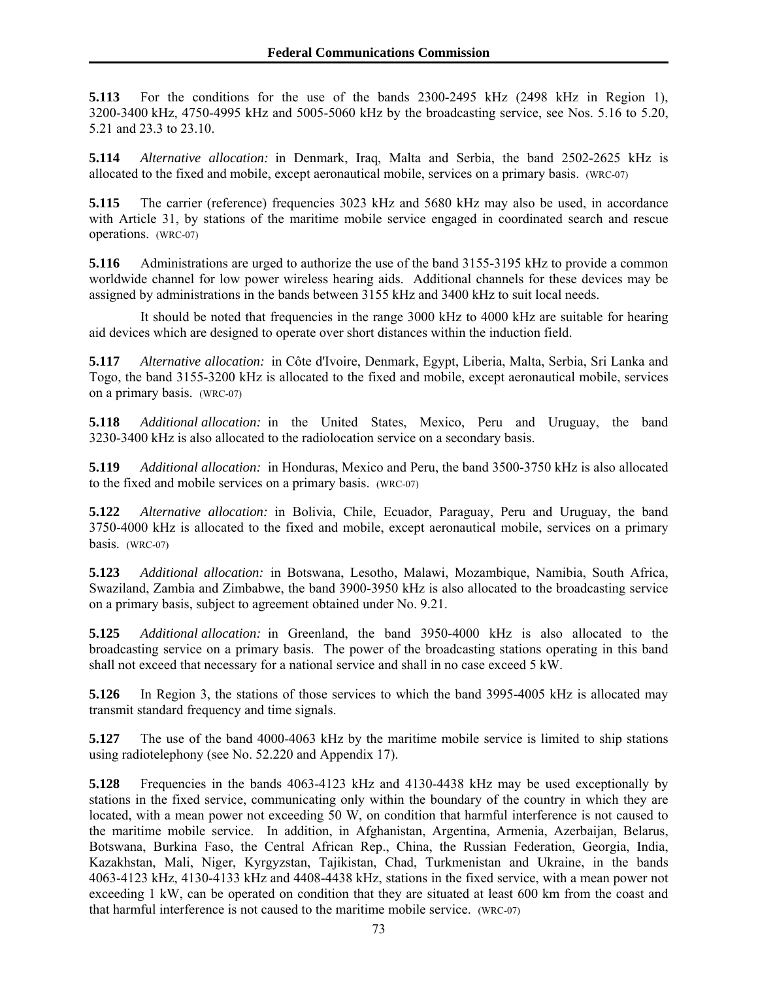**5.113** For the conditions for the use of the bands 2300-2495 kHz (2498 kHz in Region 1), 3200-3400 kHz, 4750-4995 kHz and 5005-5060 kHz by the broadcasting service, see Nos. 5.16 to 5.20, 5.21 and 23.3 to 23.10.

**5.114** *Alternative allocation:* in Denmark, Iraq, Malta and Serbia, the band 2502-2625 kHz is allocated to the fixed and mobile, except aeronautical mobile, services on a primary basis. (WRC-07)

**5.115** The carrier (reference) frequencies 3023 kHz and 5680 kHz may also be used, in accordance with Article 31, by stations of the maritime mobile service engaged in coordinated search and rescue operations. (WRC-07)

**5.116** Administrations are urged to authorize the use of the band 3155-3195 kHz to provide a common worldwide channel for low power wireless hearing aids. Additional channels for these devices may be assigned by administrations in the bands between 3155 kHz and 3400 kHz to suit local needs.

 It should be noted that frequencies in the range 3000 kHz to 4000 kHz are suitable for hearing aid devices which are designed to operate over short distances within the induction field.

**5.117** *Alternative allocation:* in Côte d'Ivoire, Denmark, Egypt, Liberia, Malta, Serbia, Sri Lanka and Togo, the band 3155-3200 kHz is allocated to the fixed and mobile, except aeronautical mobile, services on a primary basis. (WRC-07)

**5.118** *Additional allocation:* in the United States, Mexico, Peru and Uruguay, the band 3230-3400 kHz is also allocated to the radiolocation service on a secondary basis.

**5.119** *Additional allocation:* in Honduras, Mexico and Peru, the band 3500-3750 kHz is also allocated to the fixed and mobile services on a primary basis. (WRC-07)

**5.122** *Alternative allocation:* in Bolivia, Chile, Ecuador, Paraguay, Peru and Uruguay, the band 3750-4000 kHz is allocated to the fixed and mobile, except aeronautical mobile, services on a primary basis. (WRC-07)

**5.123** *Additional allocation:* in Botswana, Lesotho, Malawi, Mozambique, Namibia, South Africa, Swaziland, Zambia and Zimbabwe, the band 3900-3950 kHz is also allocated to the broadcasting service on a primary basis, subject to agreement obtained under No. 9.21.

**5.125** *Additional allocation:* in Greenland, the band 3950-4000 kHz is also allocated to the broadcasting service on a primary basis. The power of the broadcasting stations operating in this band shall not exceed that necessary for a national service and shall in no case exceed 5 kW.

**5.126** In Region 3, the stations of those services to which the band 3995-4005 kHz is allocated may transmit standard frequency and time signals.

**5.127** The use of the band 4000-4063 kHz by the maritime mobile service is limited to ship stations using radiotelephony (see No. 52.220 and Appendix 17).

**5.128** Frequencies in the bands 4063-4123 kHz and 4130-4438 kHz may be used exceptionally by stations in the fixed service, communicating only within the boundary of the country in which they are located, with a mean power not exceeding 50 W, on condition that harmful interference is not caused to the maritime mobile service. In addition, in Afghanistan, Argentina, Armenia, Azerbaijan, Belarus, Botswana, Burkina Faso, the Central African Rep., China, the Russian Federation, Georgia, India, Kazakhstan, Mali, Niger, Kyrgyzstan, Tajikistan, Chad, Turkmenistan and Ukraine, in the bands 4063-4123 kHz, 4130-4133 kHz and 4408-4438 kHz, stations in the fixed service, with a mean power not exceeding 1 kW, can be operated on condition that they are situated at least 600 km from the coast and that harmful interference is not caused to the maritime mobile service. (WRC-07)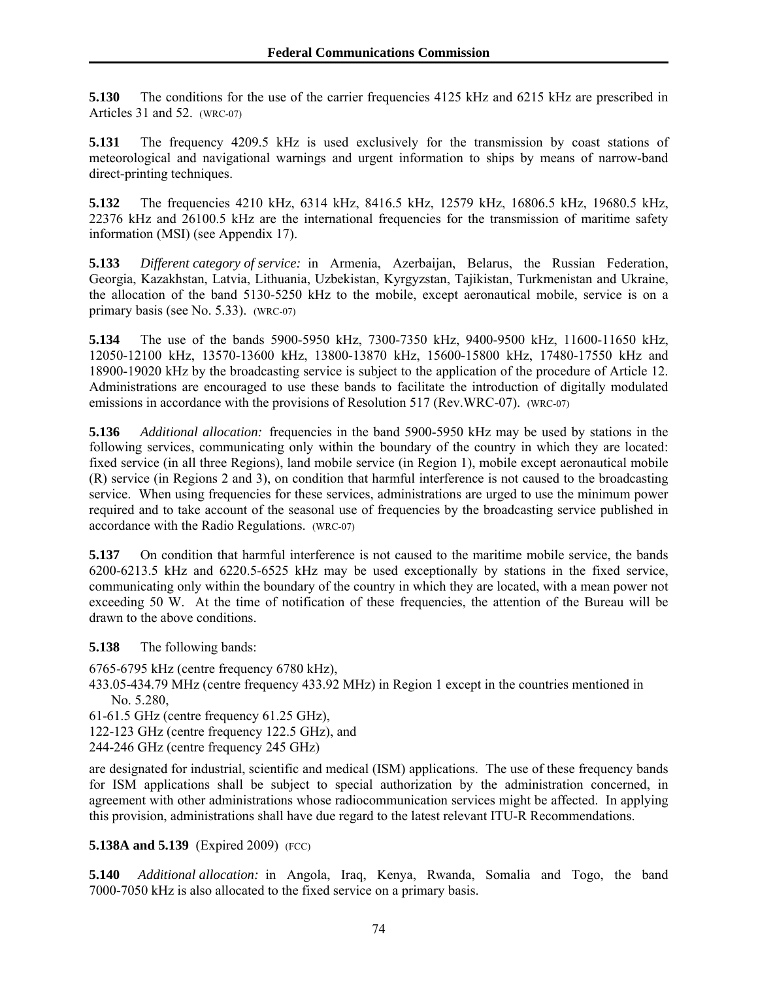**5.130** The conditions for the use of the carrier frequencies 4125 kHz and 6215 kHz are prescribed in Articles 31 and 52. (WRC-07)

**5.131** The frequency 4209.5 kHz is used exclusively for the transmission by coast stations of meteorological and navigational warnings and urgent information to ships by means of narrow-band direct-printing techniques.

**5.132** The frequencies 4210 kHz, 6314 kHz, 8416.5 kHz, 12579 kHz, 16806.5 kHz, 19680.5 kHz, 22376 kHz and 26100.5 kHz are the international frequencies for the transmission of maritime safety information (MSI) (see Appendix 17).

**5.133** *Different category of service:* in Armenia, Azerbaijan, Belarus, the Russian Federation, Georgia, Kazakhstan, Latvia, Lithuania, Uzbekistan, Kyrgyzstan, Tajikistan, Turkmenistan and Ukraine, the allocation of the band 5130-5250 kHz to the mobile, except aeronautical mobile, service is on a primary basis (see No. 5.33). (WRC-07)

**5.134** The use of the bands 5900-5950 kHz, 7300-7350 kHz, 9400-9500 kHz, 11600-11650 kHz, 12050-12100 kHz, 13570-13600 kHz, 13800-13870 kHz, 15600-15800 kHz, 17480-17550 kHz and 18900-19020 kHz by the broadcasting service is subject to the application of the procedure of Article 12. Administrations are encouraged to use these bands to facilitate the introduction of digitally modulated emissions in accordance with the provisions of Resolution 517 (Rev.WRC-07). (WRC-07)

**5.136** *Additional allocation:* frequencies in the band 5900-5950 kHz may be used by stations in the following services, communicating only within the boundary of the country in which they are located: fixed service (in all three Regions), land mobile service (in Region 1), mobile except aeronautical mobile (R) service (in Regions 2 and 3), on condition that harmful interference is not caused to the broadcasting service. When using frequencies for these services, administrations are urged to use the minimum power required and to take account of the seasonal use of frequencies by the broadcasting service published in accordance with the Radio Regulations. (WRC-07)

**5.137** On condition that harmful interference is not caused to the maritime mobile service, the bands 6200-6213.5 kHz and 6220.5-6525 kHz may be used exceptionally by stations in the fixed service, communicating only within the boundary of the country in which they are located, with a mean power not exceeding 50 W. At the time of notification of these frequencies, the attention of the Bureau will be drawn to the above conditions.

**5.138** The following bands:

6765-6795 kHz (centre frequency 6780 kHz),

- 433.05-434.79 MHz (centre frequency 433.92 MHz) in Region 1 except in the countries mentioned in No. 5.280,
- 61-61.5 GHz (centre frequency 61.25 GHz),

122-123 GHz (centre frequency 122.5 GHz), and

244-246 GHz (centre frequency 245 GHz)

are designated for industrial, scientific and medical (ISM) applications. The use of these frequency bands for ISM applications shall be subject to special authorization by the administration concerned, in agreement with other administrations whose radiocommunication services might be affected. In applying this provision, administrations shall have due regard to the latest relevant ITU-R Recommendations.

## **5.138A and 5.139** (Expired 2009) (FCC)

**5.140** *Additional allocation:* in Angola, Iraq, Kenya, Rwanda, Somalia and Togo, the band 7000-7050 kHz is also allocated to the fixed service on a primary basis.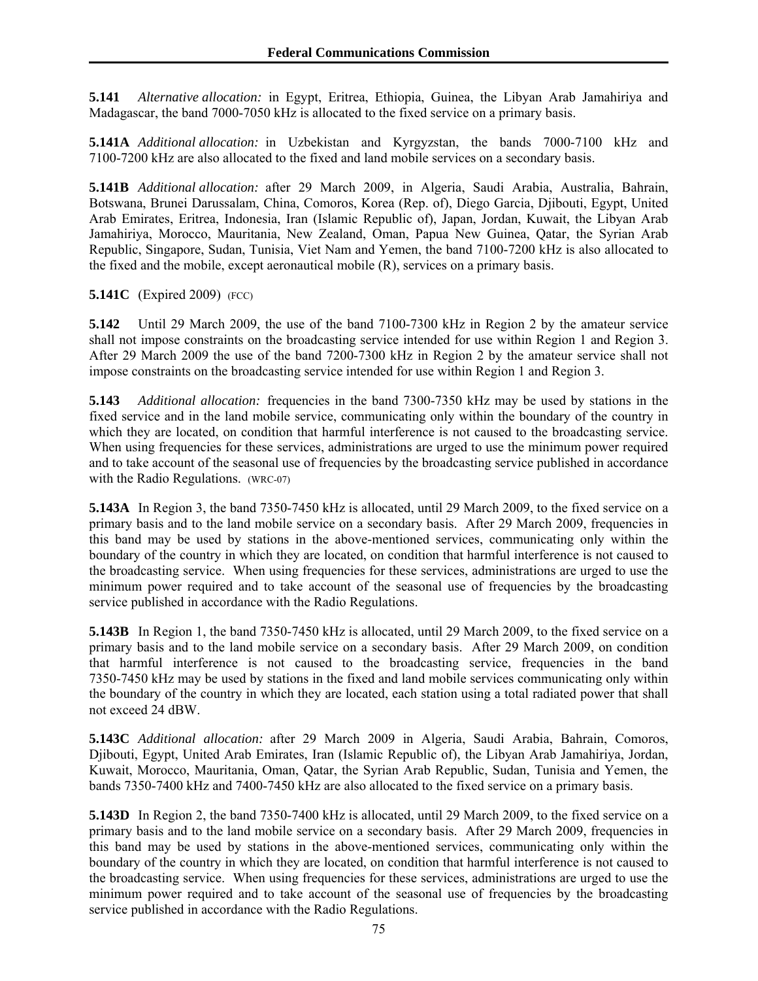**5.141** *Alternative allocation:* in Egypt, Eritrea, Ethiopia, Guinea, the Libyan Arab Jamahiriya and Madagascar, the band 7000-7050 kHz is allocated to the fixed service on a primary basis.

**5.141A** *Additional allocation:* in Uzbekistan and Kyrgyzstan, the bands 7000-7100 kHz and 7100-7200 kHz are also allocated to the fixed and land mobile services on a secondary basis.

**5.141B** *Additional allocation:* after 29 March 2009, in Algeria, Saudi Arabia, Australia, Bahrain, Botswana, Brunei Darussalam, China, Comoros, Korea (Rep. of), Diego Garcia, Djibouti, Egypt, United Arab Emirates, Eritrea, Indonesia, Iran (Islamic Republic of), Japan, Jordan, Kuwait, the Libyan Arab Jamahiriya, Morocco, Mauritania, New Zealand, Oman, Papua New Guinea, Qatar, the Syrian Arab Republic, Singapore, Sudan, Tunisia, Viet Nam and Yemen, the band 7100-7200 kHz is also allocated to the fixed and the mobile, except aeronautical mobile (R), services on a primary basis.

## **5.141C** (Expired 2009) (FCC)

**5.142** Until 29 March 2009, the use of the band 7100-7300 kHz in Region 2 by the amateur service shall not impose constraints on the broadcasting service intended for use within Region 1 and Region 3. After 29 March 2009 the use of the band 7200-7300 kHz in Region 2 by the amateur service shall not impose constraints on the broadcasting service intended for use within Region 1 and Region 3.

**5.143** *Additional allocation:* frequencies in the band 7300-7350 kHz may be used by stations in the fixed service and in the land mobile service, communicating only within the boundary of the country in which they are located, on condition that harmful interference is not caused to the broadcasting service. When using frequencies for these services, administrations are urged to use the minimum power required and to take account of the seasonal use of frequencies by the broadcasting service published in accordance with the Radio Regulations. (WRC-07)

**5.143A** In Region 3, the band 7350-7450 kHz is allocated, until 29 March 2009, to the fixed service on a primary basis and to the land mobile service on a secondary basis. After 29 March 2009, frequencies in this band may be used by stations in the above-mentioned services, communicating only within the boundary of the country in which they are located, on condition that harmful interference is not caused to the broadcasting service. When using frequencies for these services, administrations are urged to use the minimum power required and to take account of the seasonal use of frequencies by the broadcasting service published in accordance with the Radio Regulations.

**5.143B** In Region 1, the band 7350-7450 kHz is allocated, until 29 March 2009, to the fixed service on a primary basis and to the land mobile service on a secondary basis. After 29 March 2009, on condition that harmful interference is not caused to the broadcasting service, frequencies in the band 7350-7450 kHz may be used by stations in the fixed and land mobile services communicating only within the boundary of the country in which they are located, each station using a total radiated power that shall not exceed 24 dBW.

**5.143C** *Additional allocation:* after 29 March 2009 in Algeria, Saudi Arabia, Bahrain, Comoros, Djibouti, Egypt, United Arab Emirates, Iran (Islamic Republic of), the Libyan Arab Jamahiriya, Jordan, Kuwait, Morocco, Mauritania, Oman, Qatar, the Syrian Arab Republic, Sudan, Tunisia and Yemen, the bands 7350-7400 kHz and 7400-7450 kHz are also allocated to the fixed service on a primary basis.

**5.143D** In Region 2, the band 7350-7400 kHz is allocated, until 29 March 2009, to the fixed service on a primary basis and to the land mobile service on a secondary basis. After 29 March 2009, frequencies in this band may be used by stations in the above-mentioned services, communicating only within the boundary of the country in which they are located, on condition that harmful interference is not caused to the broadcasting service. When using frequencies for these services, administrations are urged to use the minimum power required and to take account of the seasonal use of frequencies by the broadcasting service published in accordance with the Radio Regulations.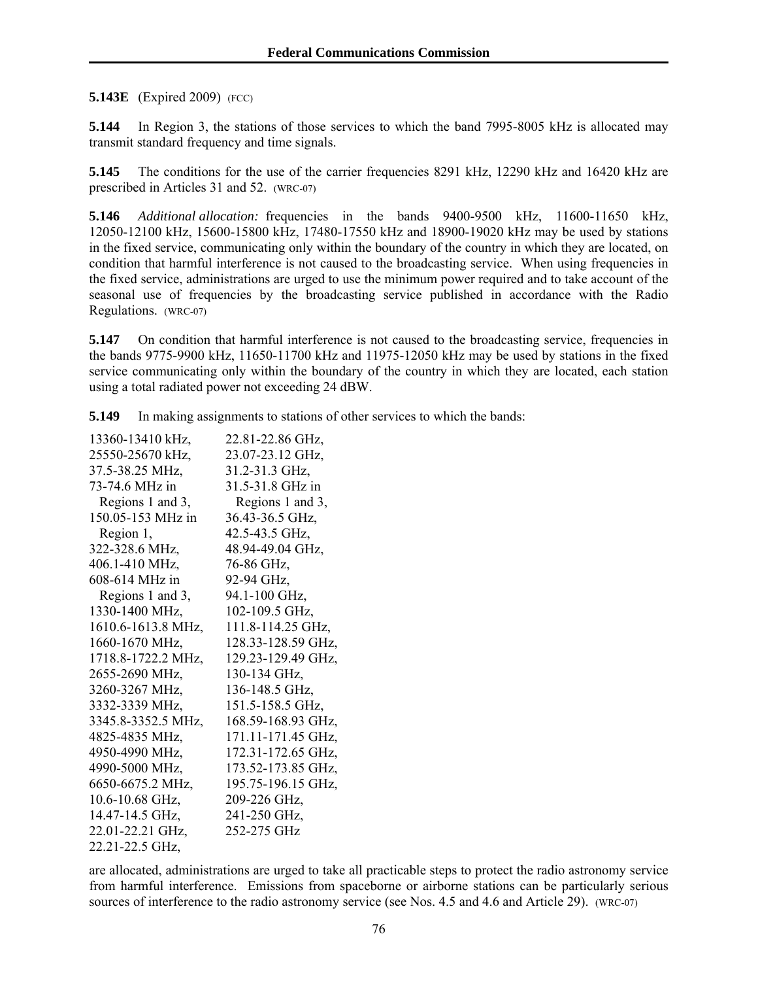**5.143E** (Expired 2009) (FCC)

**5.144** In Region 3, the stations of those services to which the band 7995-8005 kHz is allocated may transmit standard frequency and time signals.

**5.145** The conditions for the use of the carrier frequencies 8291 kHz, 12290 kHz and 16420 kHz are prescribed in Articles 31 and 52. (WRC-07)

**5.146** *Additional allocation:* frequencies in the bands 9400-9500 kHz, 11600-11650 kHz, 12050-12100 kHz, 15600-15800 kHz, 17480-17550 kHz and 18900-19020 kHz may be used by stations in the fixed service, communicating only within the boundary of the country in which they are located, on condition that harmful interference is not caused to the broadcasting service. When using frequencies in the fixed service, administrations are urged to use the minimum power required and to take account of the seasonal use of frequencies by the broadcasting service published in accordance with the Radio Regulations. (WRC-07)

**5.147** On condition that harmful interference is not caused to the broadcasting service, frequencies in the bands 9775-9900 kHz, 11650-11700 kHz and 11975-12050 kHz may be used by stations in the fixed service communicating only within the boundary of the country in which they are located, each station using a total radiated power not exceeding 24 dBW.

**5.149** In making assignments to stations of other services to which the bands:

| 13360-13410 kHz,   | 22.81-22.86 GHz,   |
|--------------------|--------------------|
| 25550-25670 kHz,   | 23.07-23.12 GHz,   |
| 37.5-38.25 MHz,    | 31.2-31.3 GHz,     |
| 73-74.6 MHz in     | 31.5-31.8 GHz in   |
| Regions 1 and 3,   | Regions 1 and 3,   |
| 150.05-153 MHz in  | 36.43-36.5 GHz,    |
| Region 1,          | 42.5-43.5 GHz,     |
| 322-328.6 MHz,     | 48.94-49.04 GHz,   |
| 406.1-410 MHz,     | 76-86 GHz,         |
| 608-614 MHz in     | 92-94 GHz,         |
| Regions 1 and 3,   | 94.1-100 GHz,      |
| 1330-1400 MHz,     | 102-109.5 GHz,     |
| 1610.6-1613.8 MHz, | 111.8-114.25 GHz,  |
| 1660-1670 MHz,     | 128.33-128.59 GHz, |
| 1718.8-1722.2 MHz, | 129.23-129.49 GHz, |
| 2655-2690 MHz,     | 130-134 GHz,       |
| 3260-3267 MHz,     | 136-148.5 GHz,     |
| 3332-3339 MHz,     | 151.5-158.5 GHz,   |
| 3345.8-3352.5 MHz, | 168.59-168.93 GHz, |
| 4825-4835 MHz,     | 171.11-171.45 GHz, |
| 4950-4990 MHz,     | 172.31-172.65 GHz, |
| 4990-5000 MHz,     | 173.52-173.85 GHz, |
| 6650-6675.2 MHz,   | 195.75-196.15 GHz, |
| 10.6-10.68 GHz,    | 209-226 GHz,       |
| 14.47-14.5 GHz,    | 241-250 GHz,       |
| 22.01-22.21 GHz,   | 252-275 GHz        |
| 22.21-22.5 GHz,    |                    |

are allocated, administrations are urged to take all practicable steps to protect the radio astronomy service from harmful interference. Emissions from spaceborne or airborne stations can be particularly serious sources of interference to the radio astronomy service (see Nos. 4.5 and 4.6 and Article 29). (WRC-07)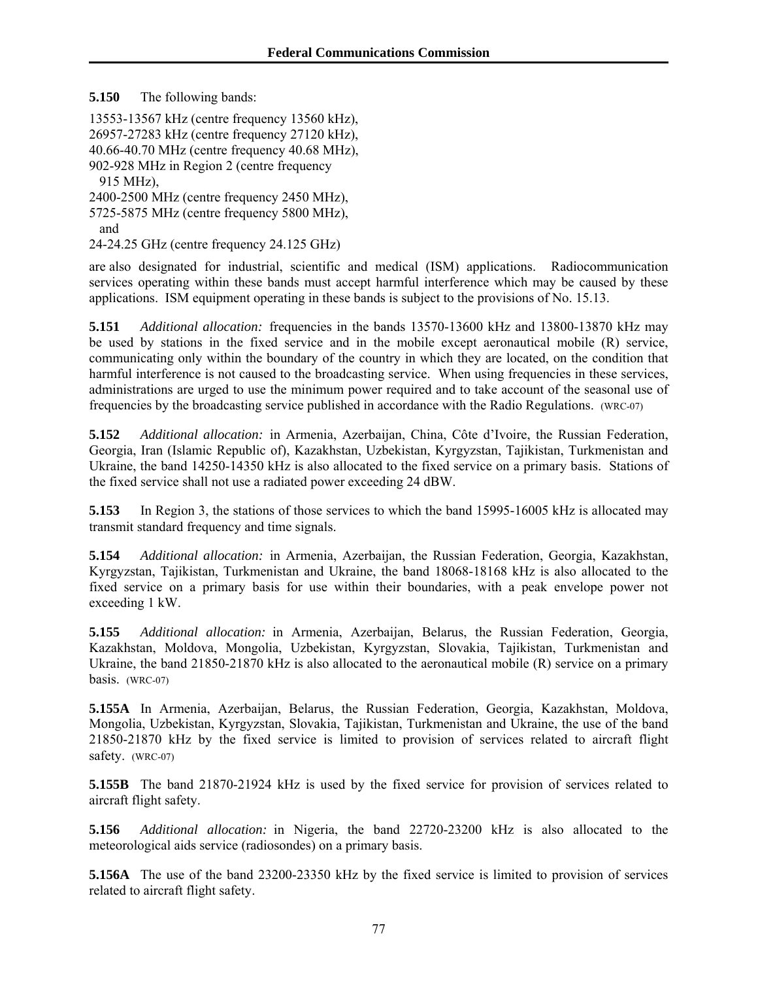**5.150** The following bands:

13553-13567 kHz (centre frequency 13560 kHz), 26957-27283 kHz (centre frequency 27120 kHz), 40.66-40.70 MHz (centre frequency 40.68 MHz), 902-928 MHz in Region 2 (centre frequency 915 MHz), 2400-2500 MHz (centre frequency 2450 MHz), 5725-5875 MHz (centre frequency 5800 MHz), and

24-24.25 GHz (centre frequency 24.125 GHz)

are also designated for industrial, scientific and medical (ISM) applications. Radiocommunication services operating within these bands must accept harmful interference which may be caused by these applications. ISM equipment operating in these bands is subject to the provisions of No. 15.13.

**5.151** *Additional allocation:* frequencies in the bands 13570-13600 kHz and 13800-13870 kHz may be used by stations in the fixed service and in the mobile except aeronautical mobile (R) service, communicating only within the boundary of the country in which they are located, on the condition that harmful interference is not caused to the broadcasting service. When using frequencies in these services, administrations are urged to use the minimum power required and to take account of the seasonal use of frequencies by the broadcasting service published in accordance with the Radio Regulations. (WRC-07)

**5.152** *Additional allocation:* in Armenia, Azerbaijan, China, Côte d'Ivoire, the Russian Federation, Georgia, Iran (Islamic Republic of), Kazakhstan, Uzbekistan, Kyrgyzstan, Tajikistan, Turkmenistan and Ukraine, the band 14250-14350 kHz is also allocated to the fixed service on a primary basis. Stations of the fixed service shall not use a radiated power exceeding 24 dBW.

**5.153** In Region 3, the stations of those services to which the band 15995-16005 kHz is allocated may transmit standard frequency and time signals.

**5.154** *Additional allocation:* in Armenia, Azerbaijan, the Russian Federation, Georgia, Kazakhstan, Kyrgyzstan, Tajikistan, Turkmenistan and Ukraine, the band 18068-18168 kHz is also allocated to the fixed service on a primary basis for use within their boundaries, with a peak envelope power not exceeding 1 kW.

**5.155** *Additional allocation:* in Armenia, Azerbaijan, Belarus, the Russian Federation, Georgia, Kazakhstan, Moldova, Mongolia, Uzbekistan, Kyrgyzstan, Slovakia, Tajikistan, Turkmenistan and Ukraine, the band 21850-21870 kHz is also allocated to the aeronautical mobile (R) service on a primary basis. (WRC-07)

**5.155A** In Armenia, Azerbaijan, Belarus, the Russian Federation, Georgia, Kazakhstan, Moldova, Mongolia, Uzbekistan, Kyrgyzstan, Slovakia, Tajikistan, Turkmenistan and Ukraine, the use of the band 21850-21870 kHz by the fixed service is limited to provision of services related to aircraft flight safety. (WRC-07)

**5.155B** The band 21870-21924 kHz is used by the fixed service for provision of services related to aircraft flight safety.

**5.156** *Additional allocation:* in Nigeria, the band 22720-23200 kHz is also allocated to the meteorological aids service (radiosondes) on a primary basis.

**5.156A** The use of the band 23200-23350 kHz by the fixed service is limited to provision of services related to aircraft flight safety.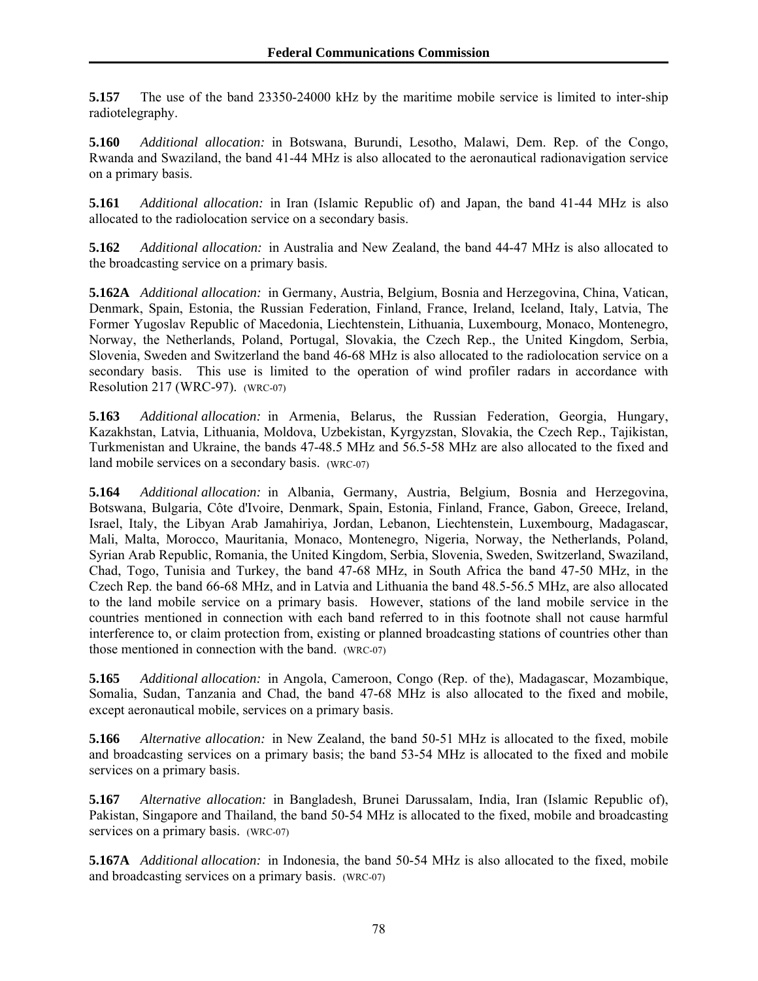**5.157** The use of the band 23350-24000 kHz by the maritime mobile service is limited to inter-ship radiotelegraphy.

**5.160** *Additional allocation:* in Botswana, Burundi, Lesotho, Malawi, Dem. Rep. of the Congo, Rwanda and Swaziland, the band 41-44 MHz is also allocated to the aeronautical radionavigation service on a primary basis.

**5.161** *Additional allocation:* in Iran (Islamic Republic of) and Japan, the band 41-44 MHz is also allocated to the radiolocation service on a secondary basis.

**5.162** *Additional allocation:* in Australia and New Zealand, the band 44-47 MHz is also allocated to the broadcasting service on a primary basis.

**5.162A** *Additional allocation:* in Germany, Austria, Belgium, Bosnia and Herzegovina, China, Vatican, Denmark, Spain, Estonia, the Russian Federation, Finland, France, Ireland, Iceland, Italy, Latvia, The Former Yugoslav Republic of Macedonia, Liechtenstein, Lithuania, Luxembourg, Monaco, Montenegro, Norway, the Netherlands, Poland, Portugal, Slovakia, the Czech Rep., the United Kingdom, Serbia, Slovenia, Sweden and Switzerland the band 46-68 MHz is also allocated to the radiolocation service on a secondary basis. This use is limited to the operation of wind profiler radars in accordance with Resolution 217 (WRC-97). (WRC-07)

**5.163** *Additional allocation:* in Armenia, Belarus, the Russian Federation, Georgia, Hungary, Kazakhstan, Latvia, Lithuania, Moldova, Uzbekistan, Kyrgyzstan, Slovakia, the Czech Rep., Tajikistan, Turkmenistan and Ukraine, the bands 47-48.5 MHz and 56.5-58 MHz are also allocated to the fixed and land mobile services on a secondary basis. (WRC-07)

**5.164** *Additional allocation:* in Albania, Germany, Austria, Belgium, Bosnia and Herzegovina, Botswana, Bulgaria, Côte d'Ivoire, Denmark, Spain, Estonia, Finland, France, Gabon, Greece, Ireland, Israel, Italy, the Libyan Arab Jamahiriya, Jordan, Lebanon, Liechtenstein, Luxembourg, Madagascar, Mali, Malta, Morocco, Mauritania, Monaco, Montenegro, Nigeria, Norway, the Netherlands, Poland, Syrian Arab Republic, Romania, the United Kingdom, Serbia, Slovenia, Sweden, Switzerland, Swaziland, Chad, Togo, Tunisia and Turkey, the band 47-68 MHz, in South Africa the band 47-50 MHz, in the Czech Rep. the band 66-68 MHz, and in Latvia and Lithuania the band 48.5-56.5 MHz, are also allocated to the land mobile service on a primary basis. However, stations of the land mobile service in the countries mentioned in connection with each band referred to in this footnote shall not cause harmful interference to, or claim protection from, existing or planned broadcasting stations of countries other than those mentioned in connection with the band. (WRC-07)

**5.165** *Additional allocation:* in Angola, Cameroon, Congo (Rep. of the), Madagascar, Mozambique, Somalia, Sudan, Tanzania and Chad, the band 47-68 MHz is also allocated to the fixed and mobile, except aeronautical mobile, services on a primary basis.

**5.166** *Alternative allocation:* in New Zealand, the band 50-51 MHz is allocated to the fixed, mobile and broadcasting services on a primary basis; the band 53-54 MHz is allocated to the fixed and mobile services on a primary basis.

**5.167** *Alternative allocation:* in Bangladesh, Brunei Darussalam, India, Iran (Islamic Republic of), Pakistan, Singapore and Thailand, the band 50-54 MHz is allocated to the fixed, mobile and broadcasting services on a primary basis. (WRC-07)

**5.167A** *Additional allocation:* in Indonesia, the band 50-54 MHz is also allocated to the fixed, mobile and broadcasting services on a primary basis. (WRC-07)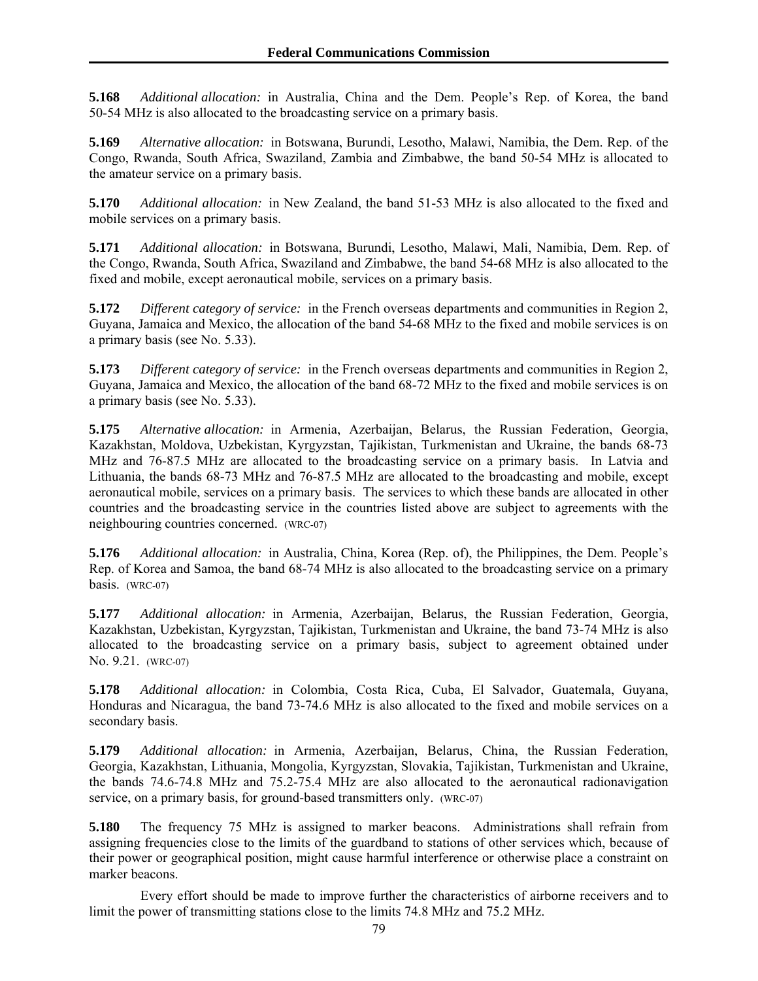**5.168** *Additional allocation:* in Australia, China and the Dem. People's Rep. of Korea, the band 50-54 MHz is also allocated to the broadcasting service on a primary basis.

**5.169** *Alternative allocation:* in Botswana, Burundi, Lesotho, Malawi, Namibia, the Dem. Rep. of the Congo, Rwanda, South Africa, Swaziland, Zambia and Zimbabwe, the band 50-54 MHz is allocated to the amateur service on a primary basis.

**5.170** *Additional allocation:* in New Zealand, the band 51-53 MHz is also allocated to the fixed and mobile services on a primary basis.

**5.171** *Additional allocation:* in Botswana, Burundi, Lesotho, Malawi, Mali, Namibia, Dem. Rep. of the Congo, Rwanda, South Africa, Swaziland and Zimbabwe, the band 54-68 MHz is also allocated to the fixed and mobile, except aeronautical mobile, services on a primary basis.

**5.172** *Different category of service:* in the French overseas departments and communities in Region 2, Guyana, Jamaica and Mexico, the allocation of the band 54-68 MHz to the fixed and mobile services is on a primary basis (see No. 5.33).

**5.173** *Different category of service:* in the French overseas departments and communities in Region 2, Guyana, Jamaica and Mexico, the allocation of the band 68-72 MHz to the fixed and mobile services is on a primary basis (see No. 5.33).

**5.175** *Alternative allocation:* in Armenia, Azerbaijan, Belarus, the Russian Federation, Georgia, Kazakhstan, Moldova, Uzbekistan, Kyrgyzstan, Tajikistan, Turkmenistan and Ukraine, the bands 68-73 MHz and 76-87.5 MHz are allocated to the broadcasting service on a primary basis. In Latvia and Lithuania, the bands 68-73 MHz and 76-87.5 MHz are allocated to the broadcasting and mobile, except aeronautical mobile, services on a primary basis. The services to which these bands are allocated in other countries and the broadcasting service in the countries listed above are subject to agreements with the neighbouring countries concerned. (WRC-07)

**5.176** *Additional allocation:* in Australia, China, Korea (Rep. of), the Philippines, the Dem. People's Rep. of Korea and Samoa, the band 68-74 MHz is also allocated to the broadcasting service on a primary basis. (WRC-07)

**5.177** *Additional allocation:* in Armenia, Azerbaijan, Belarus, the Russian Federation, Georgia, Kazakhstan, Uzbekistan, Kyrgyzstan, Tajikistan, Turkmenistan and Ukraine, the band 73-74 MHz is also allocated to the broadcasting service on a primary basis, subject to agreement obtained under No. 9.21. (WRC-07)

**5.178** *Additional allocation:* in Colombia, Costa Rica, Cuba, El Salvador, Guatemala, Guyana, Honduras and Nicaragua, the band 73-74.6 MHz is also allocated to the fixed and mobile services on a secondary basis.

**5.179** *Additional allocation:* in Armenia, Azerbaijan, Belarus, China, the Russian Federation, Georgia, Kazakhstan, Lithuania, Mongolia, Kyrgyzstan, Slovakia, Tajikistan, Turkmenistan and Ukraine, the bands 74.6-74.8 MHz and 75.2-75.4 MHz are also allocated to the aeronautical radionavigation service, on a primary basis, for ground-based transmitters only. (WRC-07)

**5.180** The frequency 75 MHz is assigned to marker beacons. Administrations shall refrain from assigning frequencies close to the limits of the guardband to stations of other services which, because of their power or geographical position, might cause harmful interference or otherwise place a constraint on marker beacons.

 Every effort should be made to improve further the characteristics of airborne receivers and to limit the power of transmitting stations close to the limits 74.8 MHz and 75.2 MHz.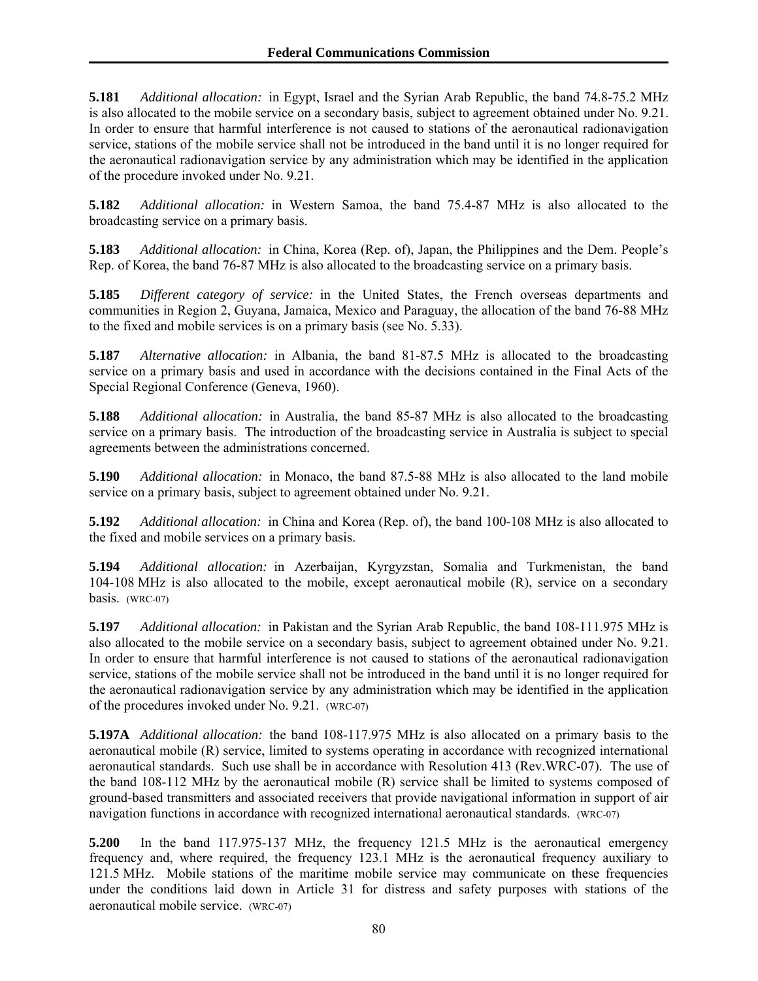**5.181** *Additional allocation:* in Egypt, Israel and the Syrian Arab Republic, the band 74.8-75.2 MHz is also allocated to the mobile service on a secondary basis, subject to agreement obtained under No. 9.21. In order to ensure that harmful interference is not caused to stations of the aeronautical radionavigation service, stations of the mobile service shall not be introduced in the band until it is no longer required for the aeronautical radionavigation service by any administration which may be identified in the application of the procedure invoked under No. 9.21.

**5.182** *Additional allocation:* in Western Samoa, the band 75.4-87 MHz is also allocated to the broadcasting service on a primary basis.

**5.183** *Additional allocation:* in China, Korea (Rep. of), Japan, the Philippines and the Dem. People's Rep. of Korea, the band 76-87 MHz is also allocated to the broadcasting service on a primary basis.

**5.185** *Different category of service:* in the United States, the French overseas departments and communities in Region 2, Guyana, Jamaica, Mexico and Paraguay, the allocation of the band 76-88 MHz to the fixed and mobile services is on a primary basis (see No. 5.33).

**5.187** *Alternative allocation:* in Albania, the band 81-87.5 MHz is allocated to the broadcasting service on a primary basis and used in accordance with the decisions contained in the Final Acts of the Special Regional Conference (Geneva, 1960).

**5.188** *Additional allocation:* in Australia, the band 85-87 MHz is also allocated to the broadcasting service on a primary basis. The introduction of the broadcasting service in Australia is subject to special agreements between the administrations concerned.

**5.190** *Additional allocation:* in Monaco, the band 87.5-88 MHz is also allocated to the land mobile service on a primary basis, subject to agreement obtained under No. 9.21.

**5.192** *Additional allocation:* in China and Korea (Rep. of), the band 100-108 MHz is also allocated to the fixed and mobile services on a primary basis.

**5.194** *Additional allocation:* in Azerbaijan, Kyrgyzstan, Somalia and Turkmenistan, the band 104-108 MHz is also allocated to the mobile, except aeronautical mobile (R), service on a secondary basis. (WRC-07)

**5.197** *Additional allocation:* in Pakistan and the Syrian Arab Republic, the band 108-111.975 MHz is also allocated to the mobile service on a secondary basis, subject to agreement obtained under No. 9.21. In order to ensure that harmful interference is not caused to stations of the aeronautical radionavigation service, stations of the mobile service shall not be introduced in the band until it is no longer required for the aeronautical radionavigation service by any administration which may be identified in the application of the procedures invoked under No. 9.21. (WRC-07)

**5.197A** *Additional allocation:* the band 108-117.975 MHz is also allocated on a primary basis to the aeronautical mobile (R) service, limited to systems operating in accordance with recognized international aeronautical standards. Such use shall be in accordance with Resolution 413 (Rev.WRC-07). The use of the band 108-112 MHz by the aeronautical mobile (R) service shall be limited to systems composed of ground-based transmitters and associated receivers that provide navigational information in support of air navigation functions in accordance with recognized international aeronautical standards. (WRC-07)

**5.200** In the band 117.975-137 MHz, the frequency 121.5 MHz is the aeronautical emergency frequency and, where required, the frequency 123.1 MHz is the aeronautical frequency auxiliary to 121.5 MHz. Mobile stations of the maritime mobile service may communicate on these frequencies under the conditions laid down in Article 31 for distress and safety purposes with stations of the aeronautical mobile service. (WRC-07)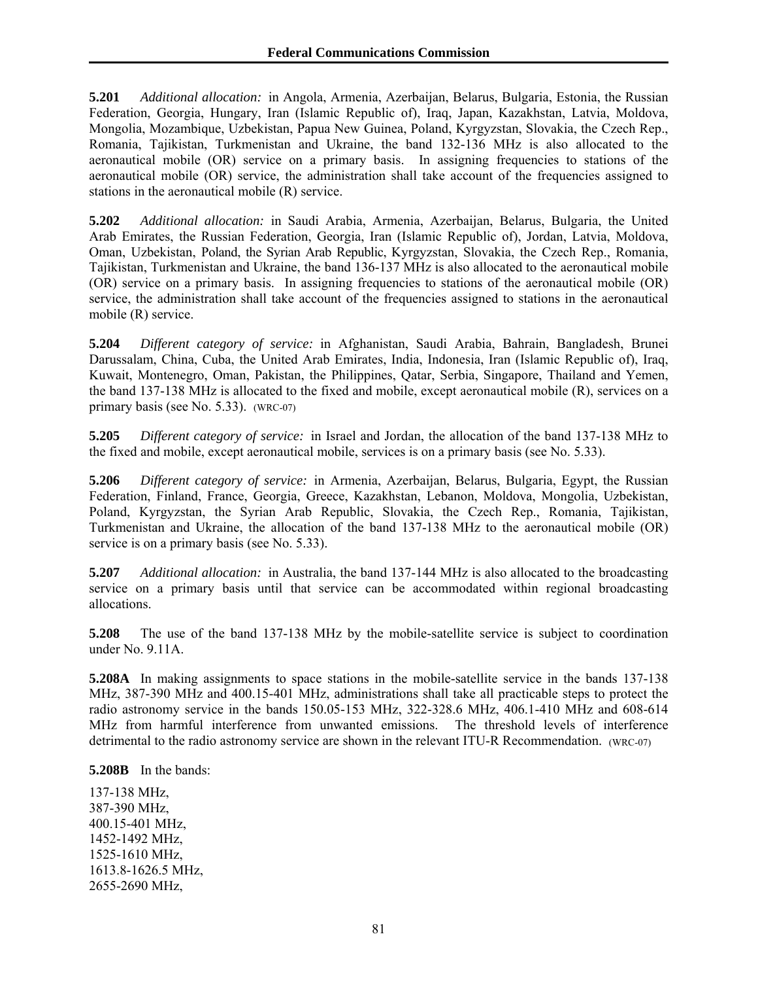**5.201** *Additional allocation:* in Angola, Armenia, Azerbaijan, Belarus, Bulgaria, Estonia, the Russian Federation, Georgia, Hungary, Iran (Islamic Republic of), Iraq, Japan, Kazakhstan, Latvia, Moldova, Mongolia, Mozambique, Uzbekistan, Papua New Guinea, Poland, Kyrgyzstan, Slovakia, the Czech Rep., Romania, Tajikistan, Turkmenistan and Ukraine, the band 132-136 MHz is also allocated to the aeronautical mobile (OR) service on a primary basis. In assigning frequencies to stations of the aeronautical mobile (OR) service, the administration shall take account of the frequencies assigned to stations in the aeronautical mobile (R) service.

**5.202** *Additional allocation:* in Saudi Arabia, Armenia, Azerbaijan, Belarus, Bulgaria, the United Arab Emirates, the Russian Federation, Georgia, Iran (Islamic Republic of), Jordan, Latvia, Moldova, Oman, Uzbekistan, Poland, the Syrian Arab Republic, Kyrgyzstan, Slovakia, the Czech Rep., Romania, Tajikistan, Turkmenistan and Ukraine, the band 136-137 MHz is also allocated to the aeronautical mobile (OR) service on a primary basis. In assigning frequencies to stations of the aeronautical mobile (OR) service, the administration shall take account of the frequencies assigned to stations in the aeronautical mobile (R) service.

**5.204** *Different category of service:* in Afghanistan, Saudi Arabia, Bahrain, Bangladesh, Brunei Darussalam, China, Cuba, the United Arab Emirates, India, Indonesia, Iran (Islamic Republic of), Iraq, Kuwait, Montenegro, Oman, Pakistan, the Philippines, Qatar, Serbia, Singapore, Thailand and Yemen, the band 137-138 MHz is allocated to the fixed and mobile, except aeronautical mobile (R), services on a primary basis (see No. 5.33). (WRC-07)

**5.205** *Different category of service:* in Israel and Jordan, the allocation of the band 137-138 MHz to the fixed and mobile, except aeronautical mobile, services is on a primary basis (see No. 5.33).

**5.206** *Different category of service:* in Armenia, Azerbaijan, Belarus, Bulgaria, Egypt, the Russian Federation, Finland, France, Georgia, Greece, Kazakhstan, Lebanon, Moldova, Mongolia, Uzbekistan, Poland, Kyrgyzstan, the Syrian Arab Republic, Slovakia, the Czech Rep., Romania, Tajikistan, Turkmenistan and Ukraine, the allocation of the band 137-138 MHz to the aeronautical mobile (OR) service is on a primary basis (see No. 5.33).

**5.207** *Additional allocation:* in Australia, the band 137-144 MHz is also allocated to the broadcasting service on a primary basis until that service can be accommodated within regional broadcasting allocations.

**5.208** The use of the band 137-138 MHz by the mobile-satellite service is subject to coordination under No. 9.11A.

**5.208A** In making assignments to space stations in the mobile-satellite service in the bands 137-138 MHz, 387-390 MHz and 400.15-401 MHz, administrations shall take all practicable steps to protect the radio astronomy service in the bands 150.05-153 MHz, 322-328.6 MHz, 406.1-410 MHz and 608-614 MHz from harmful interference from unwanted emissions. The threshold levels of interference detrimental to the radio astronomy service are shown in the relevant ITU-R Recommendation. (WRC-07)

**5.208B** In the bands:

137-138 MHz, 387-390 MHz, 400.15-401 MHz, 1452-1492 MHz, 1525-1610 MHz, 1613.8-1626.5 MHz, 2655-2690 MHz,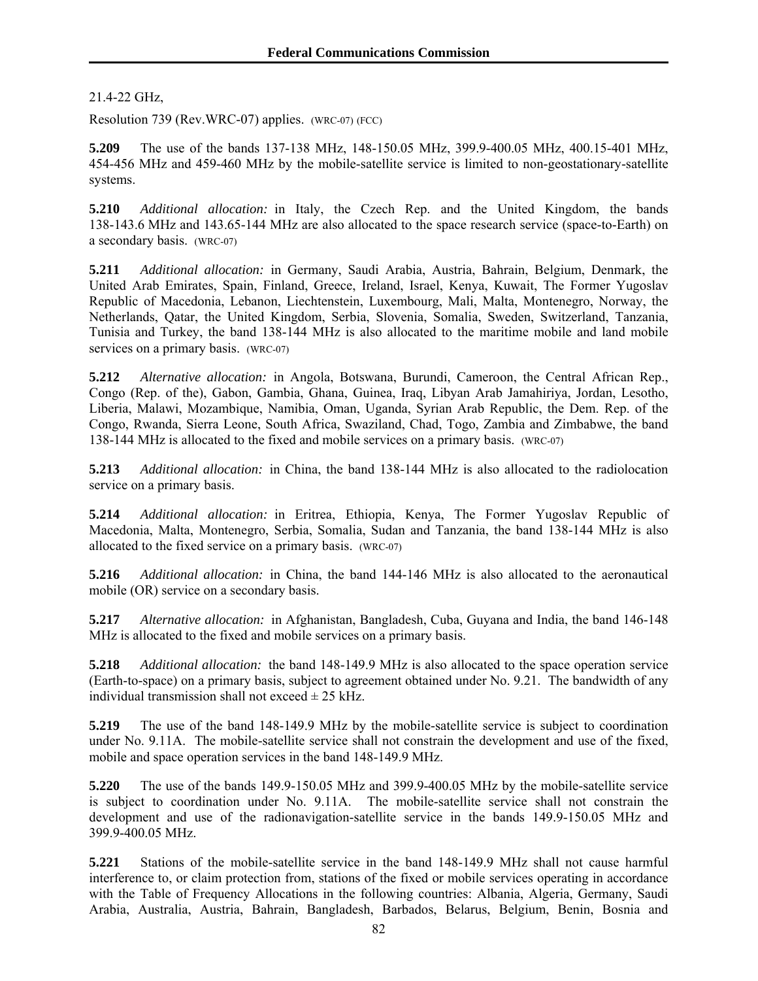21.4-22 GHz,

Resolution 739 (Rev.WRC-07) applies. (WRC-07) (FCC)

**5.209** The use of the bands 137-138 MHz, 148-150.05 MHz, 399.9-400.05 MHz, 400.15-401 MHz, 454-456 MHz and 459-460 MHz by the mobile-satellite service is limited to non-geostationary-satellite systems.

**5.210** *Additional allocation:* in Italy, the Czech Rep. and the United Kingdom, the bands 138-143.6 MHz and 143.65-144 MHz are also allocated to the space research service (space-to-Earth) on a secondary basis. (WRC-07)

**5.211** *Additional allocation:* in Germany, Saudi Arabia, Austria, Bahrain, Belgium, Denmark, the United Arab Emirates, Spain, Finland, Greece, Ireland, Israel, Kenya, Kuwait, The Former Yugoslav Republic of Macedonia, Lebanon, Liechtenstein, Luxembourg, Mali, Malta, Montenegro, Norway, the Netherlands, Qatar, the United Kingdom, Serbia, Slovenia, Somalia, Sweden, Switzerland, Tanzania, Tunisia and Turkey, the band 138-144 MHz is also allocated to the maritime mobile and land mobile services on a primary basis. (WRC-07)

**5.212** *Alternative allocation:* in Angola, Botswana, Burundi, Cameroon, the Central African Rep., Congo (Rep. of the), Gabon, Gambia, Ghana, Guinea, Iraq, Libyan Arab Jamahiriya, Jordan, Lesotho, Liberia, Malawi, Mozambique, Namibia, Oman, Uganda, Syrian Arab Republic, the Dem. Rep. of the Congo, Rwanda, Sierra Leone, South Africa, Swaziland, Chad, Togo, Zambia and Zimbabwe, the band 138-144 MHz is allocated to the fixed and mobile services on a primary basis. (WRC-07)

**5.213** *Additional allocation:* in China, the band 138-144 MHz is also allocated to the radiolocation service on a primary basis.

**5.214** *Additional allocation:* in Eritrea, Ethiopia, Kenya, The Former Yugoslav Republic of Macedonia, Malta, Montenegro, Serbia, Somalia, Sudan and Tanzania, the band 138-144 MHz is also allocated to the fixed service on a primary basis. (WRC-07)

**5.216** *Additional allocation:* in China, the band 144-146 MHz is also allocated to the aeronautical mobile (OR) service on a secondary basis.

**5.217** *Alternative allocation:* in Afghanistan, Bangladesh, Cuba, Guyana and India, the band 146-148 MHz is allocated to the fixed and mobile services on a primary basis.

**5.218** *Additional allocation:* the band 148-149.9 MHz is also allocated to the space operation service (Earth-to-space) on a primary basis, subject to agreement obtained under No. 9.21. The bandwidth of any individual transmission shall not exceed  $\pm$  25 kHz.

**5.219** The use of the band 148-149.9 MHz by the mobile-satellite service is subject to coordination under No. 9.11A. The mobile-satellite service shall not constrain the development and use of the fixed, mobile and space operation services in the band 148-149.9 MHz.

**5.220** The use of the bands 149.9-150.05 MHz and 399.9-400.05 MHz by the mobile-satellite service is subject to coordination under No. 9.11A. The mobile-satellite service shall not constrain the development and use of the radionavigation-satellite service in the bands 149.9-150.05 MHz and 399.9-400.05 MHz.

**5.221** Stations of the mobile-satellite service in the band 148-149.9 MHz shall not cause harmful interference to, or claim protection from, stations of the fixed or mobile services operating in accordance with the Table of Frequency Allocations in the following countries: Albania, Algeria, Germany, Saudi Arabia, Australia, Austria, Bahrain, Bangladesh, Barbados, Belarus, Belgium, Benin, Bosnia and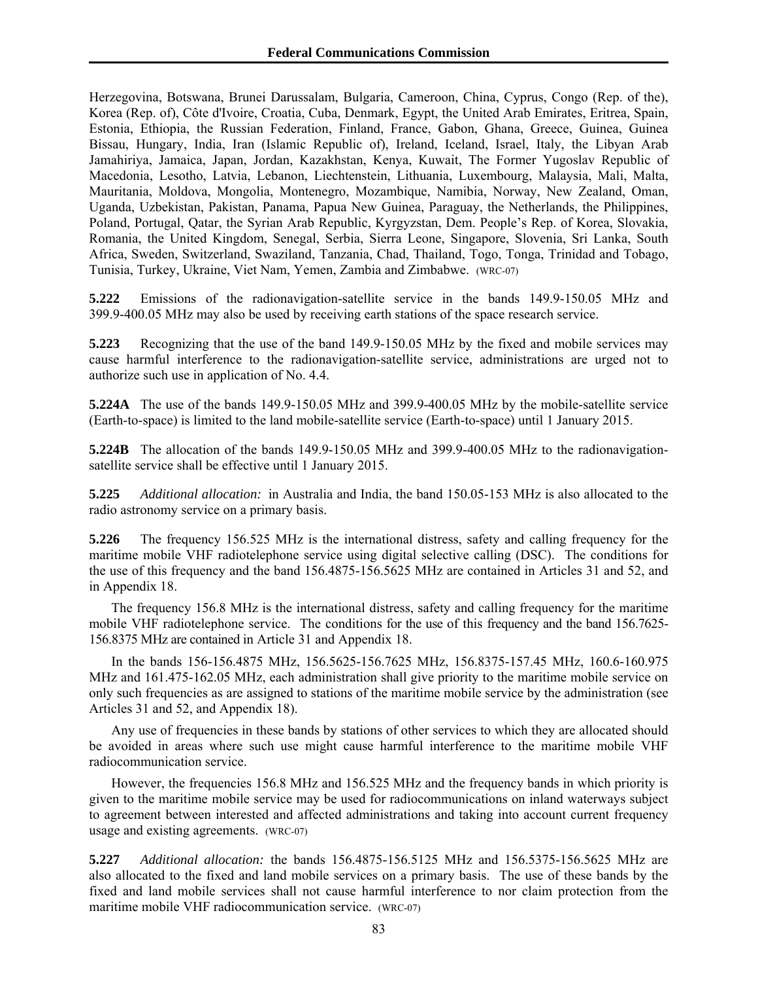Herzegovina, Botswana, Brunei Darussalam, Bulgaria, Cameroon, China, Cyprus, Congo (Rep. of the), Korea (Rep. of), Côte d'Ivoire, Croatia, Cuba, Denmark, Egypt, the United Arab Emirates, Eritrea, Spain, Estonia, Ethiopia, the Russian Federation, Finland, France, Gabon, Ghana, Greece, Guinea, Guinea Bissau, Hungary, India, Iran (Islamic Republic of), Ireland, Iceland, Israel, Italy, the Libyan Arab Jamahiriya, Jamaica, Japan, Jordan, Kazakhstan, Kenya, Kuwait, The Former Yugoslav Republic of Macedonia, Lesotho, Latvia, Lebanon, Liechtenstein, Lithuania, Luxembourg, Malaysia, Mali, Malta, Mauritania, Moldova, Mongolia, Montenegro, Mozambique, Namibia, Norway, New Zealand, Oman, Uganda, Uzbekistan, Pakistan, Panama, Papua New Guinea, Paraguay, the Netherlands, the Philippines, Poland, Portugal, Qatar, the Syrian Arab Republic, Kyrgyzstan, Dem. People's Rep. of Korea, Slovakia, Romania, the United Kingdom, Senegal, Serbia, Sierra Leone, Singapore, Slovenia, Sri Lanka, South Africa, Sweden, Switzerland, Swaziland, Tanzania, Chad, Thailand, Togo, Tonga, Trinidad and Tobago, Tunisia, Turkey, Ukraine, Viet Nam, Yemen, Zambia and Zimbabwe. (WRC-07)

**5.222** Emissions of the radionavigation-satellite service in the bands 149.9-150.05 MHz and 399.9-400.05 MHz may also be used by receiving earth stations of the space research service.

**5.223** Recognizing that the use of the band 149.9-150.05 MHz by the fixed and mobile services may cause harmful interference to the radionavigation-satellite service, administrations are urged not to authorize such use in application of No. 4.4.

**5.224A** The use of the bands 149.9-150.05 MHz and 399.9-400.05 MHz by the mobile-satellite service (Earth-to-space) is limited to the land mobile-satellite service (Earth-to-space) until 1 January 2015.

**5.224B** The allocation of the bands 149.9-150.05 MHz and 399.9-400.05 MHz to the radionavigationsatellite service shall be effective until 1 January 2015.

**5.225** *Additional allocation:* in Australia and India, the band 150.05-153 MHz is also allocated to the radio astronomy service on a primary basis.

**5.226** The frequency 156.525 MHz is the international distress, safety and calling frequency for the maritime mobile VHF radiotelephone service using digital selective calling (DSC). The conditions for the use of this frequency and the band 156.4875-156.5625 MHz are contained in Articles 31 and 52, and in Appendix 18.

The frequency 156.8 MHz is the international distress, safety and calling frequency for the maritime mobile VHF radiotelephone service. The conditions for the use of this frequency and the band 156.7625- 156.8375 MHz are contained in Article 31 and Appendix 18.

In the bands 156-156.4875 MHz, 156.5625-156.7625 MHz, 156.8375-157.45 MHz, 160.6-160.975 MHz and 161.475-162.05 MHz, each administration shall give priority to the maritime mobile service on only such frequencies as are assigned to stations of the maritime mobile service by the administration (see Articles 31 and 52, and Appendix 18).

Any use of frequencies in these bands by stations of other services to which they are allocated should be avoided in areas where such use might cause harmful interference to the maritime mobile VHF radiocommunication service.

However, the frequencies 156.8 MHz and 156.525 MHz and the frequency bands in which priority is given to the maritime mobile service may be used for radiocommunications on inland waterways subject to agreement between interested and affected administrations and taking into account current frequency usage and existing agreements. (WRC-07)

**5.227** *Additional allocation:* the bands 156.4875-156.5125 MHz and 156.5375-156.5625 MHz are also allocated to the fixed and land mobile services on a primary basis. The use of these bands by the fixed and land mobile services shall not cause harmful interference to nor claim protection from the maritime mobile VHF radiocommunication service. (WRC-07)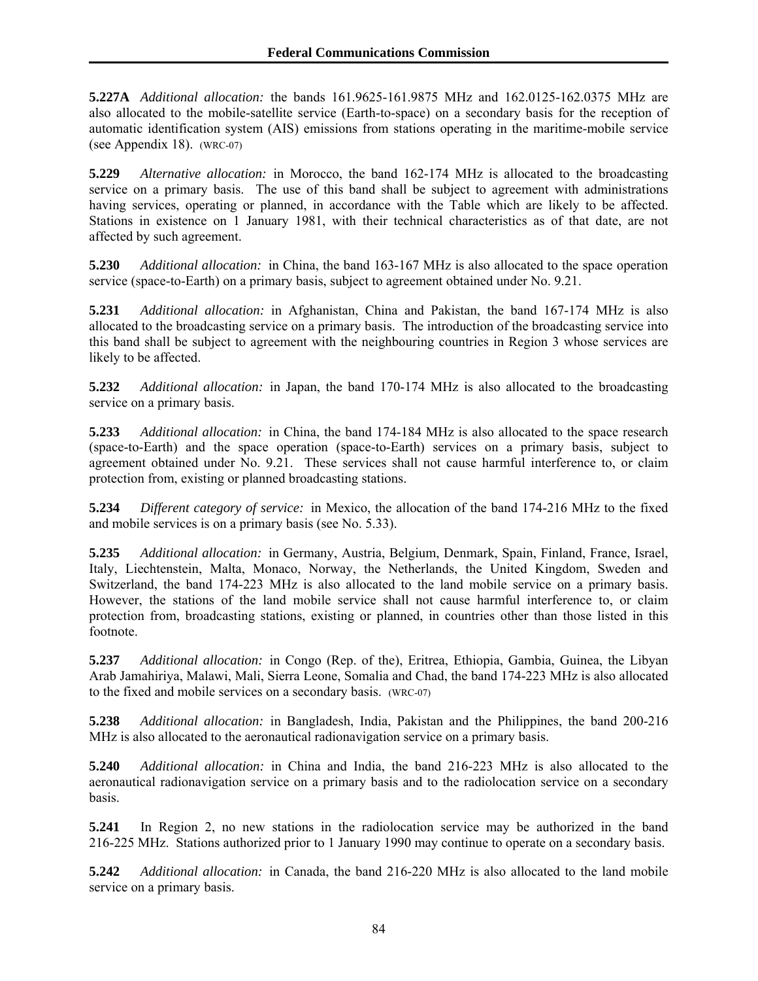**5.227A** *Additional allocation:* the bands 161.9625-161.9875 MHz and 162.0125-162.0375 MHz are also allocated to the mobile-satellite service (Earth-to-space) on a secondary basis for the reception of automatic identification system (AIS) emissions from stations operating in the maritime-mobile service (see Appendix 18). (WRC-07)

**5.229** *Alternative allocation:* in Morocco, the band 162-174 MHz is allocated to the broadcasting service on a primary basis. The use of this band shall be subject to agreement with administrations having services, operating or planned, in accordance with the Table which are likely to be affected. Stations in existence on 1 January 1981, with their technical characteristics as of that date, are not affected by such agreement.

**5.230** *Additional allocation:* in China, the band 163-167 MHz is also allocated to the space operation service (space-to-Earth) on a primary basis, subject to agreement obtained under No. 9.21.

**5.231** *Additional allocation:* in Afghanistan, China and Pakistan, the band 167-174 MHz is also allocated to the broadcasting service on a primary basis. The introduction of the broadcasting service into this band shall be subject to agreement with the neighbouring countries in Region 3 whose services are likely to be affected.

**5.232** *Additional allocation:* in Japan, the band 170-174 MHz is also allocated to the broadcasting service on a primary basis.

**5.233** *Additional allocation:* in China, the band 174-184 MHz is also allocated to the space research (space-to-Earth) and the space operation (space-to-Earth) services on a primary basis, subject to agreement obtained under No. 9.21. These services shall not cause harmful interference to, or claim protection from, existing or planned broadcasting stations.

**5.234** *Different category of service:* in Mexico, the allocation of the band 174-216 MHz to the fixed and mobile services is on a primary basis (see No. 5.33).

**5.235** *Additional allocation:* in Germany, Austria, Belgium, Denmark, Spain, Finland, France, Israel, Italy, Liechtenstein, Malta, Monaco, Norway, the Netherlands, the United Kingdom, Sweden and Switzerland, the band 174-223 MHz is also allocated to the land mobile service on a primary basis. However, the stations of the land mobile service shall not cause harmful interference to, or claim protection from, broadcasting stations, existing or planned, in countries other than those listed in this footnote.

**5.237** *Additional allocation:* in Congo (Rep. of the), Eritrea, Ethiopia, Gambia, Guinea, the Libyan Arab Jamahiriya, Malawi, Mali, Sierra Leone, Somalia and Chad, the band 174-223 MHz is also allocated to the fixed and mobile services on a secondary basis. (WRC-07)

**5.238** *Additional allocation:* in Bangladesh, India, Pakistan and the Philippines, the band 200-216 MHz is also allocated to the aeronautical radionavigation service on a primary basis.

**5.240** *Additional allocation:* in China and India, the band 216-223 MHz is also allocated to the aeronautical radionavigation service on a primary basis and to the radiolocation service on a secondary basis.

**5.241** In Region 2, no new stations in the radiolocation service may be authorized in the band 216-225 MHz. Stations authorized prior to 1 January 1990 may continue to operate on a secondary basis.

**5.242** *Additional allocation:* in Canada, the band 216-220 MHz is also allocated to the land mobile service on a primary basis.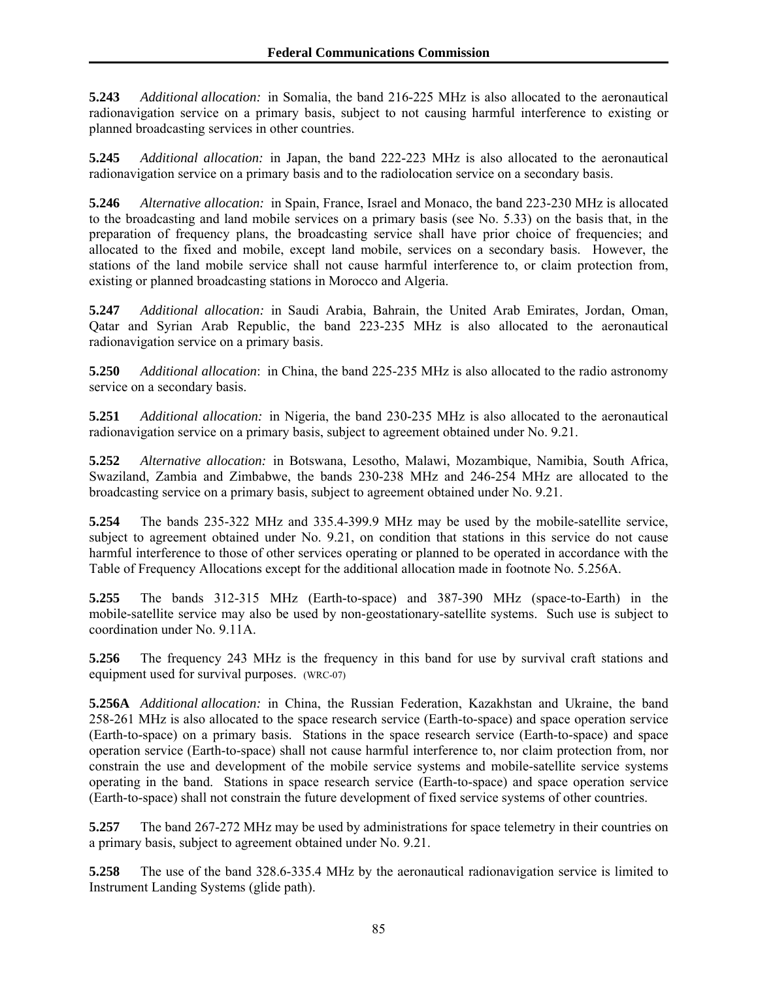**5.243** *Additional allocation:* in Somalia, the band 216-225 MHz is also allocated to the aeronautical radionavigation service on a primary basis, subject to not causing harmful interference to existing or planned broadcasting services in other countries.

**5.245** *Additional allocation:* in Japan, the band 222-223 MHz is also allocated to the aeronautical radionavigation service on a primary basis and to the radiolocation service on a secondary basis.

**5.246** *Alternative allocation:* in Spain, France, Israel and Monaco, the band 223-230 MHz is allocated to the broadcasting and land mobile services on a primary basis (see No. 5.33) on the basis that, in the preparation of frequency plans, the broadcasting service shall have prior choice of frequencies; and allocated to the fixed and mobile, except land mobile, services on a secondary basis. However, the stations of the land mobile service shall not cause harmful interference to, or claim protection from, existing or planned broadcasting stations in Morocco and Algeria.

**5.247** *Additional allocation:* in Saudi Arabia, Bahrain, the United Arab Emirates, Jordan, Oman, Qatar and Syrian Arab Republic, the band 223-235 MHz is also allocated to the aeronautical radionavigation service on a primary basis.

**5.250** *Additional allocation*: in China, the band 225-235 MHz is also allocated to the radio astronomy service on a secondary basis.

**5.251** *Additional allocation:* in Nigeria, the band 230-235 MHz is also allocated to the aeronautical radionavigation service on a primary basis, subject to agreement obtained under No. 9.21.

**5.252** *Alternative allocation:* in Botswana, Lesotho, Malawi, Mozambique, Namibia, South Africa, Swaziland, Zambia and Zimbabwe, the bands 230-238 MHz and 246-254 MHz are allocated to the broadcasting service on a primary basis, subject to agreement obtained under No. 9.21.

**5.254** The bands 235-322 MHz and 335.4-399.9 MHz may be used by the mobile-satellite service, subject to agreement obtained under No. 9.21, on condition that stations in this service do not cause harmful interference to those of other services operating or planned to be operated in accordance with the Table of Frequency Allocations except for the additional allocation made in footnote No. 5.256A.

**5.255** The bands 312-315 MHz (Earth-to-space) and 387-390 MHz (space-to-Earth) in the mobile-satellite service may also be used by non-geostationary-satellite systems. Such use is subject to coordination under No. 9.11A.

**5.256** The frequency 243 MHz is the frequency in this band for use by survival craft stations and equipment used for survival purposes. (WRC-07)

**5.256A** *Additional allocation:* in China, the Russian Federation, Kazakhstan and Ukraine, the band 258-261 MHz is also allocated to the space research service (Earth-to-space) and space operation service (Earth-to-space) on a primary basis. Stations in the space research service (Earth-to-space) and space operation service (Earth-to-space) shall not cause harmful interference to, nor claim protection from, nor constrain the use and development of the mobile service systems and mobile-satellite service systems operating in the band. Stations in space research service (Earth-to-space) and space operation service (Earth-to-space) shall not constrain the future development of fixed service systems of other countries.

**5.257** The band 267-272 MHz may be used by administrations for space telemetry in their countries on a primary basis, subject to agreement obtained under No. 9.21.

**5.258** The use of the band 328.6-335.4 MHz by the aeronautical radionavigation service is limited to Instrument Landing Systems (glide path).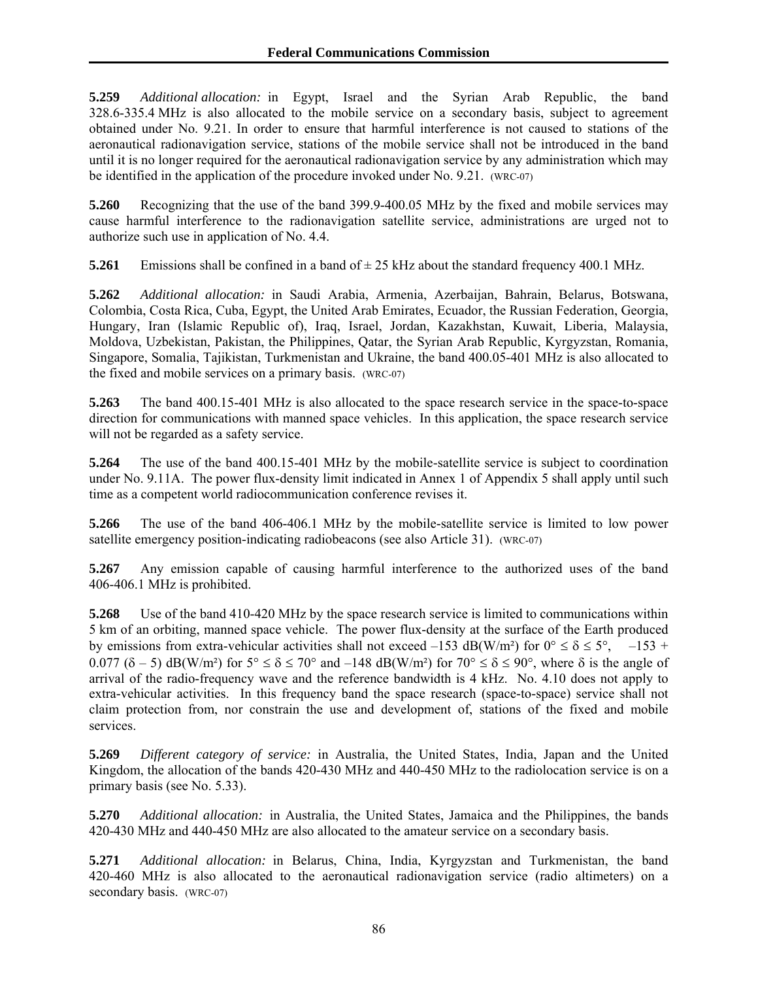**5.259** *Additional allocation:* in Egypt, Israel and the Syrian Arab Republic, the band 328.6-335.4 MHz is also allocated to the mobile service on a secondary basis, subject to agreement obtained under No. 9.21. In order to ensure that harmful interference is not caused to stations of the aeronautical radionavigation service, stations of the mobile service shall not be introduced in the band until it is no longer required for the aeronautical radionavigation service by any administration which may be identified in the application of the procedure invoked under No. 9.21. (WRC-07)

**5.260** Recognizing that the use of the band 399.9-400.05 MHz by the fixed and mobile services may cause harmful interference to the radionavigation satellite service, administrations are urged not to authorize such use in application of No. 4.4.

**5.261** Emissions shall be confined in a band of  $\pm$  25 kHz about the standard frequency 400.1 MHz.

**5.262** *Additional allocation:* in Saudi Arabia, Armenia, Azerbaijan, Bahrain, Belarus, Botswana, Colombia, Costa Rica, Cuba, Egypt, the United Arab Emirates, Ecuador, the Russian Federation, Georgia, Hungary, Iran (Islamic Republic of), Iraq, Israel, Jordan, Kazakhstan, Kuwait, Liberia, Malaysia, Moldova, Uzbekistan, Pakistan, the Philippines, Qatar, the Syrian Arab Republic, Kyrgyzstan, Romania, Singapore, Somalia, Tajikistan, Turkmenistan and Ukraine, the band 400.05-401 MHz is also allocated to the fixed and mobile services on a primary basis. (WRC-07)

**5.263** The band 400.15-401 MHz is also allocated to the space research service in the space-to-space direction for communications with manned space vehicles. In this application, the space research service will not be regarded as a safety service.

**5.264** The use of the band 400.15-401 MHz by the mobile-satellite service is subject to coordination under No. 9.11A. The power flux-density limit indicated in Annex 1 of Appendix 5 shall apply until such time as a competent world radiocommunication conference revises it.

**5.266** The use of the band 406-406.1 MHz by the mobile-satellite service is limited to low power satellite emergency position-indicating radiobeacons (see also Article 31). (WRC-07)

**5.267** Any emission capable of causing harmful interference to the authorized uses of the band 406-406.1 MHz is prohibited.

**5.268** Use of the band 410-420 MHz by the space research service is limited to communications within 5 km of an orbiting, manned space vehicle. The power flux-density at the surface of the Earth produced by emissions from extra-vehicular activities shall not exceed –153 dB(W/m<sup>2</sup>) for  $0^{\circ} \le \delta \le 5^{\circ}$ , –153 + 0.077 ( $\delta$  – 5) dB(W/m<sup>2</sup>) for  $5^{\circ} \le \delta \le 70^{\circ}$  and –148 dB(W/m<sup>2</sup>) for  $70^{\circ} \le \delta \le 90^{\circ}$ , where  $\delta$  is the angle of arrival of the radio-frequency wave and the reference bandwidth is 4 kHz. No. 4.10 does not apply to extra-vehicular activities. In this frequency band the space research (space-to-space) service shall not claim protection from, nor constrain the use and development of, stations of the fixed and mobile services.

**5.269** *Different category of service:* in Australia, the United States, India, Japan and the United Kingdom, the allocation of the bands 420-430 MHz and 440-450 MHz to the radiolocation service is on a primary basis (see No. 5.33).

**5.270** *Additional allocation:* in Australia, the United States, Jamaica and the Philippines, the bands 420-430 MHz and 440-450 MHz are also allocated to the amateur service on a secondary basis.

**5.271** *Additional allocation:* in Belarus, China, India, Kyrgyzstan and Turkmenistan, the band 420-460 MHz is also allocated to the aeronautical radionavigation service (radio altimeters) on a secondary basis. (WRC-07)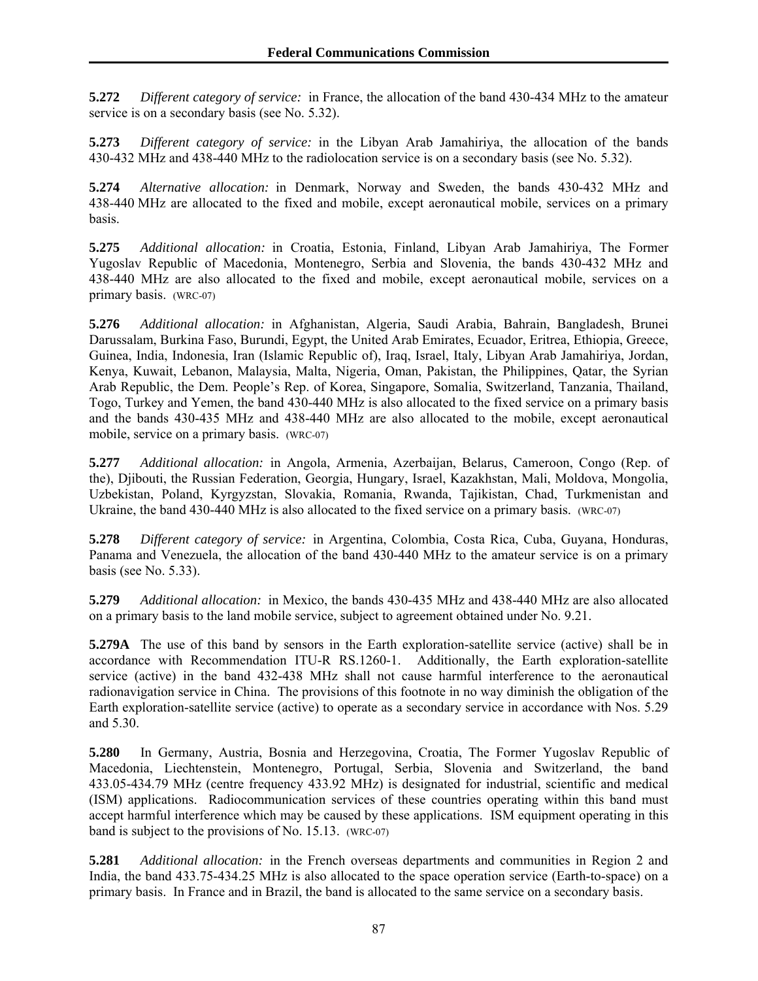**5.272** *Different category of service:* in France, the allocation of the band 430-434 MHz to the amateur service is on a secondary basis (see No. 5.32).

**5.273** *Different category of service:* in the Libyan Arab Jamahiriya, the allocation of the bands 430-432 MHz and 438-440 MHz to the radiolocation service is on a secondary basis (see No. 5.32).

**5.274** *Alternative allocation:* in Denmark, Norway and Sweden, the bands 430-432 MHz and 438-440 MHz are allocated to the fixed and mobile, except aeronautical mobile, services on a primary basis.

**5.275** *Additional allocation:* in Croatia, Estonia, Finland, Libyan Arab Jamahiriya, The Former Yugoslav Republic of Macedonia, Montenegro, Serbia and Slovenia, the bands 430-432 MHz and 438-440 MHz are also allocated to the fixed and mobile, except aeronautical mobile, services on a primary basis. (WRC-07)

**5.276** *Additional allocation:* in Afghanistan, Algeria, Saudi Arabia, Bahrain, Bangladesh, Brunei Darussalam, Burkina Faso, Burundi, Egypt, the United Arab Emirates, Ecuador, Eritrea, Ethiopia, Greece, Guinea, India, Indonesia, Iran (Islamic Republic of), Iraq, Israel, Italy, Libyan Arab Jamahiriya, Jordan, Kenya, Kuwait, Lebanon, Malaysia, Malta, Nigeria, Oman, Pakistan, the Philippines, Qatar, the Syrian Arab Republic, the Dem. People's Rep. of Korea, Singapore, Somalia, Switzerland, Tanzania, Thailand, Togo, Turkey and Yemen, the band 430-440 MHz is also allocated to the fixed service on a primary basis and the bands 430-435 MHz and 438-440 MHz are also allocated to the mobile, except aeronautical mobile, service on a primary basis. (WRC-07)

**5.277** *Additional allocation:* in Angola, Armenia, Azerbaijan, Belarus, Cameroon, Congo (Rep. of the), Djibouti, the Russian Federation, Georgia, Hungary, Israel, Kazakhstan, Mali, Moldova, Mongolia, Uzbekistan, Poland, Kyrgyzstan, Slovakia, Romania, Rwanda, Tajikistan, Chad, Turkmenistan and Ukraine, the band 430-440 MHz is also allocated to the fixed service on a primary basis. (WRC-07)

**5.278** *Different category of service:* in Argentina, Colombia, Costa Rica, Cuba, Guyana, Honduras, Panama and Venezuela, the allocation of the band 430-440 MHz to the amateur service is on a primary basis (see No. 5.33).

**5.279** *Additional allocation:* in Mexico, the bands 430-435 MHz and 438-440 MHz are also allocated on a primary basis to the land mobile service, subject to agreement obtained under No. 9.21.

**5.279A** The use of this band by sensors in the Earth exploration-satellite service (active) shall be in accordance with Recommendation ITU-R RS.1260-1. Additionally, the Earth exploration-satellite service (active) in the band 432-438 MHz shall not cause harmful interference to the aeronautical radionavigation service in China. The provisions of this footnote in no way diminish the obligation of the Earth exploration-satellite service (active) to operate as a secondary service in accordance with Nos. 5.29 and 5.30.

**5.280** In Germany, Austria, Bosnia and Herzegovina, Croatia, The Former Yugoslav Republic of Macedonia, Liechtenstein, Montenegro, Portugal, Serbia, Slovenia and Switzerland, the band 433.05-434.79 MHz (centre frequency 433.92 MHz) is designated for industrial, scientific and medical (ISM) applications. Radiocommunication services of these countries operating within this band must accept harmful interference which may be caused by these applications. ISM equipment operating in this band is subject to the provisions of No. 15.13. (WRC-07)

**5.281** *Additional allocation:* in the French overseas departments and communities in Region 2 and India, the band 433.75-434.25 MHz is also allocated to the space operation service (Earth-to-space) on a primary basis. In France and in Brazil, the band is allocated to the same service on a secondary basis.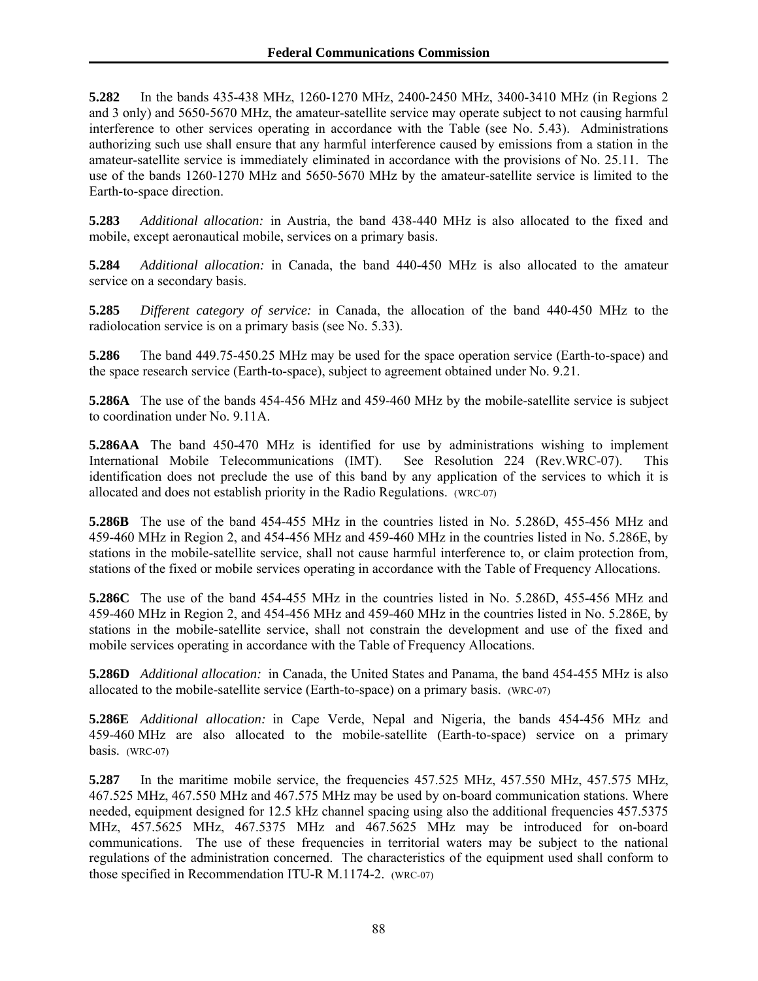**5.282** In the bands 435-438 MHz, 1260-1270 MHz, 2400-2450 MHz, 3400-3410 MHz (in Regions 2 and 3 only) and 5650-5670 MHz, the amateur-satellite service may operate subject to not causing harmful interference to other services operating in accordance with the Table (see No. 5.43). Administrations authorizing such use shall ensure that any harmful interference caused by emissions from a station in the amateur-satellite service is immediately eliminated in accordance with the provisions of No. 25.11. The use of the bands 1260-1270 MHz and 5650-5670 MHz by the amateur-satellite service is limited to the Earth-to-space direction.

**5.283** *Additional allocation:* in Austria, the band 438-440 MHz is also allocated to the fixed and mobile, except aeronautical mobile, services on a primary basis.

**5.284** *Additional allocation:* in Canada, the band 440-450 MHz is also allocated to the amateur service on a secondary basis.

**5.285** *Different category of service:* in Canada, the allocation of the band 440-450 MHz to the radiolocation service is on a primary basis (see No. 5.33).

**5.286** The band 449.75-450.25 MHz may be used for the space operation service (Earth-to-space) and the space research service (Earth-to-space), subject to agreement obtained under No. 9.21.

**5.286A** The use of the bands 454-456 MHz and 459-460 MHz by the mobile-satellite service is subject to coordination under No. 9.11A.

**5.286AA** The band 450-470 MHz is identified for use by administrations wishing to implement International Mobile Telecommunications (IMT). See Resolution 224 (Rev.WRC-07). identification does not preclude the use of this band by any application of the services to which it is allocated and does not establish priority in the Radio Regulations. (WRC-07)

**5.286B** The use of the band 454-455 MHz in the countries listed in No. 5.286D, 455-456 MHz and 459-460 MHz in Region 2, and 454-456 MHz and 459-460 MHz in the countries listed in No. 5.286E, by stations in the mobile-satellite service, shall not cause harmful interference to, or claim protection from, stations of the fixed or mobile services operating in accordance with the Table of Frequency Allocations.

**5.286C** The use of the band 454-455 MHz in the countries listed in No. 5.286D, 455-456 MHz and 459-460 MHz in Region 2, and 454-456 MHz and 459-460 MHz in the countries listed in No. 5.286E, by stations in the mobile-satellite service, shall not constrain the development and use of the fixed and mobile services operating in accordance with the Table of Frequency Allocations.

**5.286D** *Additional allocation:* in Canada, the United States and Panama, the band 454-455 MHz is also allocated to the mobile-satellite service (Earth-to-space) on a primary basis. (WRC-07)

**5.286E** *Additional allocation:* in Cape Verde, Nepal and Nigeria, the bands 454-456 MHz and 459-460 MHz are also allocated to the mobile-satellite (Earth-to-space) service on a primary basis. (WRC-07)

**5.287** In the maritime mobile service, the frequencies 457.525 MHz, 457.550 MHz, 457.575 MHz, 467.525 MHz, 467.550 MHz and 467.575 MHz may be used by on-board communication stations. Where needed, equipment designed for 12.5 kHz channel spacing using also the additional frequencies 457.5375 MHz, 457.5625 MHz, 467.5375 MHz and 467.5625 MHz may be introduced for on-board communications. The use of these frequencies in territorial waters may be subject to the national regulations of the administration concerned. The characteristics of the equipment used shall conform to those specified in Recommendation ITU-R M.1174-2. (WRC-07)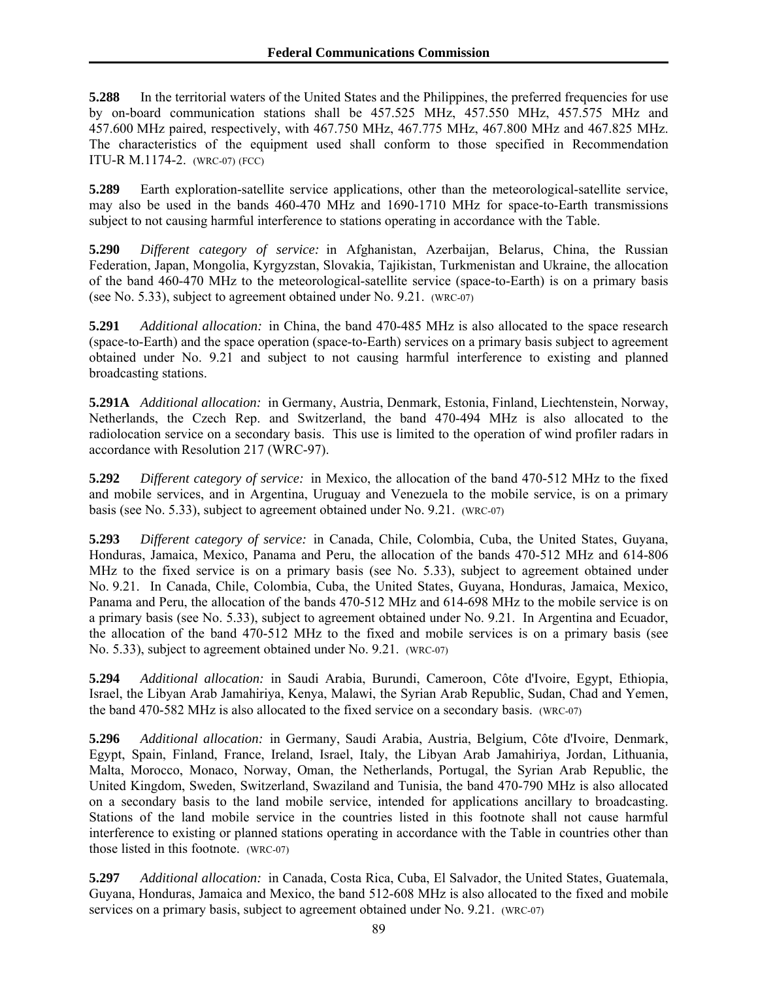**5.288** In the territorial waters of the United States and the Philippines, the preferred frequencies for use by on-board communication stations shall be 457.525 MHz, 457.550 MHz, 457.575 MHz and 457.600 MHz paired, respectively, with 467.750 MHz, 467.775 MHz, 467.800 MHz and 467.825 MHz. The characteristics of the equipment used shall conform to those specified in Recommendation ITU-R M.1174-2. (WRC-07) (FCC)

**5.289** Earth exploration-satellite service applications, other than the meteorological-satellite service, may also be used in the bands 460-470 MHz and 1690-1710 MHz for space-to-Earth transmissions subject to not causing harmful interference to stations operating in accordance with the Table.

**5.290** *Different category of service:* in Afghanistan, Azerbaijan, Belarus, China, the Russian Federation, Japan, Mongolia, Kyrgyzstan, Slovakia, Tajikistan, Turkmenistan and Ukraine, the allocation of the band 460-470 MHz to the meteorological-satellite service (space-to-Earth) is on a primary basis (see No. 5.33), subject to agreement obtained under No. 9.21. (WRC-07)

**5.291** *Additional allocation:* in China, the band 470-485 MHz is also allocated to the space research (space-to-Earth) and the space operation (space-to-Earth) services on a primary basis subject to agreement obtained under No. 9.21 and subject to not causing harmful interference to existing and planned broadcasting stations.

**5.291A** *Additional allocation:* in Germany, Austria, Denmark, Estonia, Finland, Liechtenstein, Norway, Netherlands, the Czech Rep. and Switzerland, the band 470-494 MHz is also allocated to the radiolocation service on a secondary basis. This use is limited to the operation of wind profiler radars in accordance with Resolution 217 (WRC-97).

**5.292** *Different category of service:* in Mexico, the allocation of the band 470-512 MHz to the fixed and mobile services, and in Argentina, Uruguay and Venezuela to the mobile service, is on a primary basis (see No. 5.33), subject to agreement obtained under No. 9.21. (WRC-07)

**5.293** *Different category of service:* in Canada, Chile, Colombia, Cuba, the United States, Guyana, Honduras, Jamaica, Mexico, Panama and Peru, the allocation of the bands 470-512 MHz and 614-806 MHz to the fixed service is on a primary basis (see No. 5.33), subject to agreement obtained under No. 9.21. In Canada, Chile, Colombia, Cuba, the United States, Guyana, Honduras, Jamaica, Mexico, Panama and Peru, the allocation of the bands 470-512 MHz and 614-698 MHz to the mobile service is on a primary basis (see No. 5.33), subject to agreement obtained under No. 9.21. In Argentina and Ecuador, the allocation of the band 470-512 MHz to the fixed and mobile services is on a primary basis (see No. 5.33), subject to agreement obtained under No. 9.21. (WRC-07)

**5.294** *Additional allocation:* in Saudi Arabia, Burundi, Cameroon, Côte d'Ivoire, Egypt, Ethiopia, Israel, the Libyan Arab Jamahiriya, Kenya, Malawi, the Syrian Arab Republic, Sudan, Chad and Yemen, the band 470-582 MHz is also allocated to the fixed service on a secondary basis. (WRC-07)

**5.296** *Additional allocation:* in Germany, Saudi Arabia, Austria, Belgium, Côte d'Ivoire, Denmark, Egypt, Spain, Finland, France, Ireland, Israel, Italy, the Libyan Arab Jamahiriya, Jordan, Lithuania, Malta, Morocco, Monaco, Norway, Oman, the Netherlands, Portugal, the Syrian Arab Republic, the United Kingdom, Sweden, Switzerland, Swaziland and Tunisia, the band 470-790 MHz is also allocated on a secondary basis to the land mobile service, intended for applications ancillary to broadcasting. Stations of the land mobile service in the countries listed in this footnote shall not cause harmful interference to existing or planned stations operating in accordance with the Table in countries other than those listed in this footnote. (WRC-07)

**5.297** *Additional allocation:* in Canada, Costa Rica, Cuba, El Salvador, the United States, Guatemala, Guyana, Honduras, Jamaica and Mexico, the band 512-608 MHz is also allocated to the fixed and mobile services on a primary basis, subject to agreement obtained under No. 9.21. (WRC-07)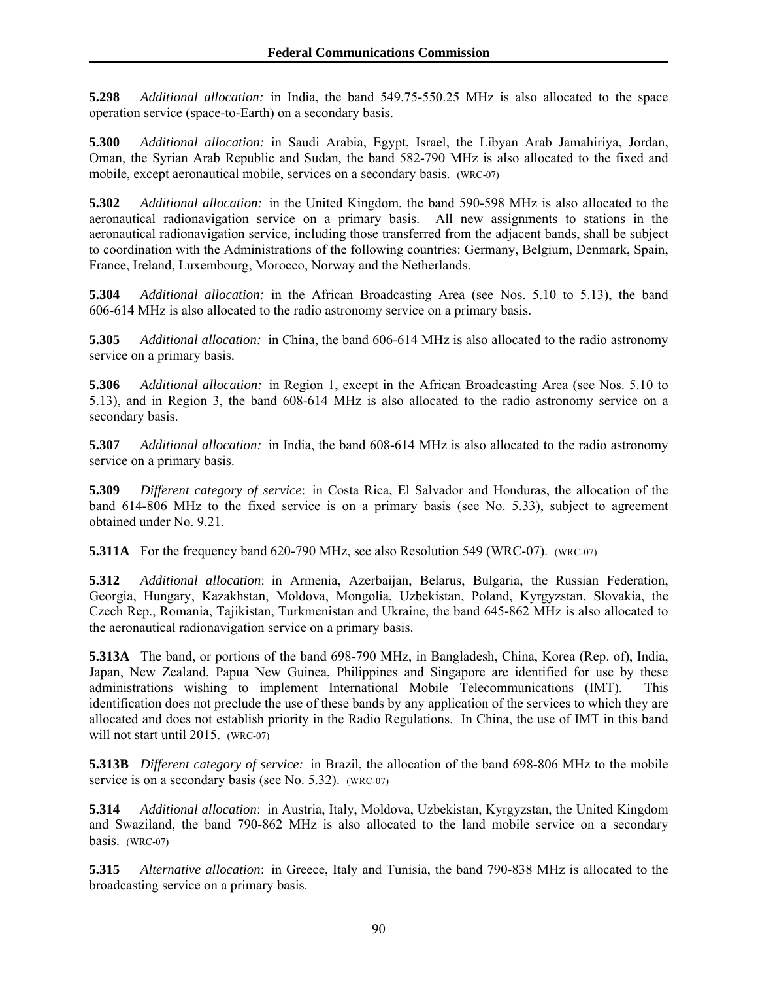**5.298** *Additional allocation:* in India, the band 549.75-550.25 MHz is also allocated to the space operation service (space-to-Earth) on a secondary basis.

**5.300** *Additional allocation:* in Saudi Arabia, Egypt, Israel, the Libyan Arab Jamahiriya, Jordan, Oman, the Syrian Arab Republic and Sudan, the band 582-790 MHz is also allocated to the fixed and mobile, except aeronautical mobile, services on a secondary basis. (WRC-07)

**5.302** *Additional allocation:* in the United Kingdom, the band 590-598 MHz is also allocated to the aeronautical radionavigation service on a primary basis. All new assignments to stations in the aeronautical radionavigation service, including those transferred from the adjacent bands, shall be subject to coordination with the Administrations of the following countries: Germany, Belgium, Denmark, Spain, France, Ireland, Luxembourg, Morocco, Norway and the Netherlands.

**5.304** *Additional allocation:* in the African Broadcasting Area (see Nos. 5.10 to 5.13), the band 606-614 MHz is also allocated to the radio astronomy service on a primary basis.

**5.305** *Additional allocation:* in China, the band 606-614 MHz is also allocated to the radio astronomy service on a primary basis.

**5.306** *Additional allocation:* in Region 1, except in the African Broadcasting Area (see Nos. 5.10 to 5.13), and in Region 3, the band 608-614 MHz is also allocated to the radio astronomy service on a secondary basis.

**5.307** *Additional allocation:* in India, the band 608-614 MHz is also allocated to the radio astronomy service on a primary basis.

**5.309** *Different category of service*: in Costa Rica, El Salvador and Honduras, the allocation of the band 614-806 MHz to the fixed service is on a primary basis (see No. 5.33), subject to agreement obtained under No. 9.21.

**5.311A** For the frequency band 620-790 MHz, see also Resolution 549 (WRC-07). (WRC-07)

**5.312** *Additional allocation*: in Armenia, Azerbaijan, Belarus, Bulgaria, the Russian Federation, Georgia, Hungary, Kazakhstan, Moldova, Mongolia, Uzbekistan, Poland, Kyrgyzstan, Slovakia, the Czech Rep., Romania, Tajikistan, Turkmenistan and Ukraine, the band 645-862 MHz is also allocated to the aeronautical radionavigation service on a primary basis.

**5.313A** The band, or portions of the band 698-790 MHz, in Bangladesh, China, Korea (Rep. of), India, Japan, New Zealand, Papua New Guinea, Philippines and Singapore are identified for use by these administrations wishing to implement International Mobile Telecommunications (IMT). This identification does not preclude the use of these bands by any application of the services to which they are allocated and does not establish priority in the Radio Regulations. In China, the use of IMT in this band will not start until 2015. (WRC-07)

**5.313B** *Different category of service:* in Brazil, the allocation of the band 698-806 MHz to the mobile service is on a secondary basis (see No. 5.32). (WRC-07)

**5.314** *Additional allocation*: in Austria, Italy, Moldova, Uzbekistan, Kyrgyzstan, the United Kingdom and Swaziland, the band 790-862 MHz is also allocated to the land mobile service on a secondary basis. (WRC-07)

**5.315** *Alternative allocation*: in Greece, Italy and Tunisia, the band 790-838 MHz is allocated to the broadcasting service on a primary basis.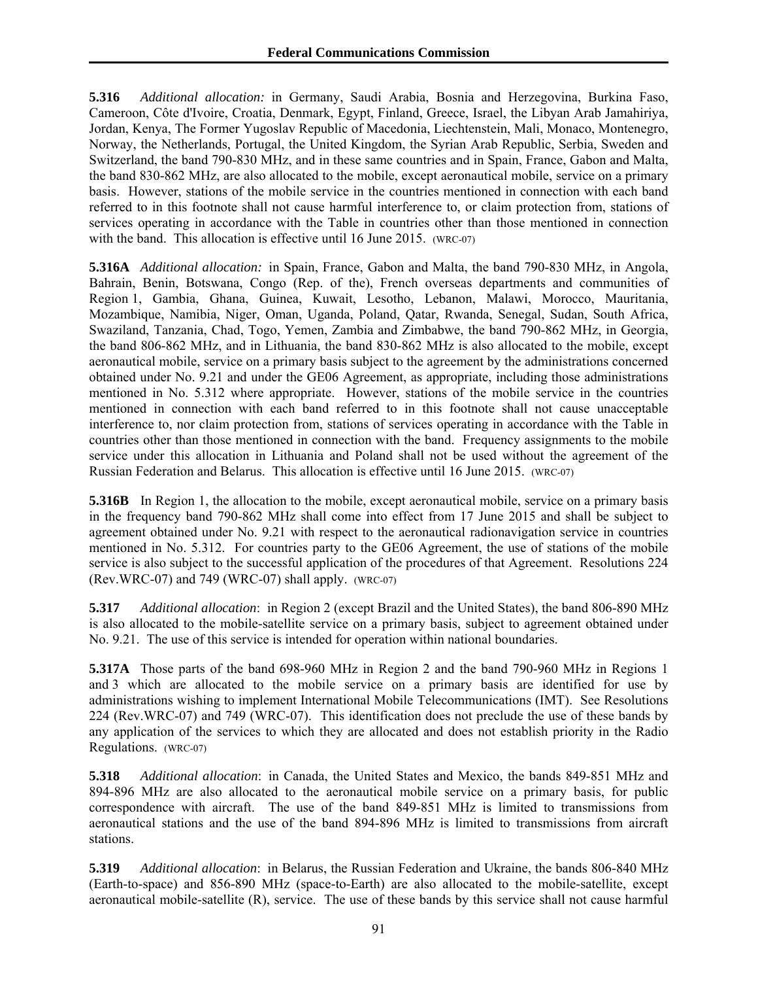**5.316** *Additional allocation:* in Germany, Saudi Arabia, Bosnia and Herzegovina, Burkina Faso, Cameroon, Côte d'Ivoire, Croatia, Denmark, Egypt, Finland, Greece, Israel, the Libyan Arab Jamahiriya, Jordan, Kenya, The Former Yugoslav Republic of Macedonia, Liechtenstein, Mali, Monaco, Montenegro, Norway, the Netherlands, Portugal, the United Kingdom, the Syrian Arab Republic, Serbia, Sweden and Switzerland, the band 790-830 MHz, and in these same countries and in Spain, France, Gabon and Malta, the band 830-862 MHz, are also allocated to the mobile, except aeronautical mobile, service on a primary basis. However, stations of the mobile service in the countries mentioned in connection with each band referred to in this footnote shall not cause harmful interference to, or claim protection from, stations of services operating in accordance with the Table in countries other than those mentioned in connection with the band. This allocation is effective until 16 June 2015. (WRC-07)

**5.316A** *Additional allocation:* in Spain, France, Gabon and Malta, the band 790-830 MHz, in Angola, Bahrain, Benin, Botswana, Congo (Rep. of the), French overseas departments and communities of Region 1, Gambia, Ghana, Guinea, Kuwait, Lesotho, Lebanon, Malawi, Morocco, Mauritania, Mozambique, Namibia, Niger, Oman, Uganda, Poland, Qatar, Rwanda, Senegal, Sudan, South Africa, Swaziland, Tanzania, Chad, Togo, Yemen, Zambia and Zimbabwe, the band 790-862 MHz, in Georgia, the band 806-862 MHz, and in Lithuania, the band 830-862 MHz is also allocated to the mobile, except aeronautical mobile, service on a primary basis subject to the agreement by the administrations concerned obtained under No. 9.21 and under the GE06 Agreement, as appropriate, including those administrations mentioned in No. 5.312 where appropriate. However, stations of the mobile service in the countries mentioned in connection with each band referred to in this footnote shall not cause unacceptable interference to, nor claim protection from, stations of services operating in accordance with the Table in countries other than those mentioned in connection with the band. Frequency assignments to the mobile service under this allocation in Lithuania and Poland shall not be used without the agreement of the Russian Federation and Belarus. This allocation is effective until 16 June 2015. (WRC-07)

**5.316B** In Region 1, the allocation to the mobile, except aeronautical mobile, service on a primary basis in the frequency band 790-862 MHz shall come into effect from 17 June 2015 and shall be subject to agreement obtained under No. 9.21 with respect to the aeronautical radionavigation service in countries mentioned in No. 5.312. For countries party to the GE06 Agreement, the use of stations of the mobile service is also subject to the successful application of the procedures of that Agreement. Resolutions 224 (Rev.WRC-07) and 749 (WRC-07) shall apply. (WRC-07)

**5.317** *Additional allocation*: in Region 2 (except Brazil and the United States), the band 806-890 MHz is also allocated to the mobile-satellite service on a primary basis, subject to agreement obtained under No. 9.21. The use of this service is intended for operation within national boundaries.

**5.317A** Those parts of the band 698-960 MHz in Region 2 and the band 790-960 MHz in Regions 1 and 3 which are allocated to the mobile service on a primary basis are identified for use by administrations wishing to implement International Mobile Telecommunications (IMT). See Resolutions 224 (Rev.WRC-07) and 749 (WRC-07). This identification does not preclude the use of these bands by any application of the services to which they are allocated and does not establish priority in the Radio Regulations. (WRC-07)

**5.318** *Additional allocation*: in Canada, the United States and Mexico, the bands 849-851 MHz and 894-896 MHz are also allocated to the aeronautical mobile service on a primary basis, for public correspondence with aircraft. The use of the band 849-851 MHz is limited to transmissions from aeronautical stations and the use of the band 894-896 MHz is limited to transmissions from aircraft stations.

**5.319** *Additional allocation*: in Belarus, the Russian Federation and Ukraine, the bands 806-840 MHz (Earth-to-space) and 856-890 MHz (space-to-Earth) are also allocated to the mobile-satellite, except aeronautical mobile-satellite (R), service. The use of these bands by this service shall not cause harmful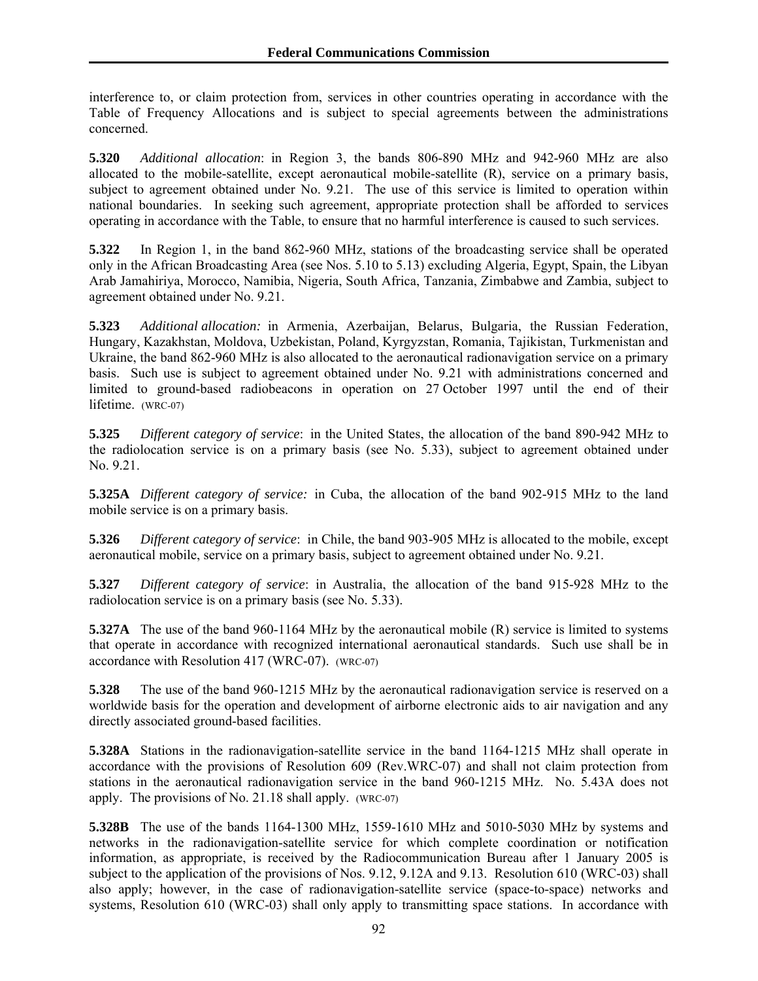interference to, or claim protection from, services in other countries operating in accordance with the Table of Frequency Allocations and is subject to special agreements between the administrations concerned.

**5.320** *Additional allocation*: in Region 3, the bands 806-890 MHz and 942-960 MHz are also allocated to the mobile-satellite, except aeronautical mobile-satellite (R), service on a primary basis, subject to agreement obtained under No. 9.21. The use of this service is limited to operation within national boundaries. In seeking such agreement, appropriate protection shall be afforded to services operating in accordance with the Table, to ensure that no harmful interference is caused to such services.

**5.322** In Region 1, in the band 862-960 MHz, stations of the broadcasting service shall be operated only in the African Broadcasting Area (see Nos. 5.10 to 5.13) excluding Algeria, Egypt, Spain, the Libyan Arab Jamahiriya, Morocco, Namibia, Nigeria, South Africa, Tanzania, Zimbabwe and Zambia, subject to agreement obtained under No. 9.21.

**5.323** *Additional allocation:* in Armenia, Azerbaijan, Belarus, Bulgaria, the Russian Federation, Hungary, Kazakhstan, Moldova, Uzbekistan, Poland, Kyrgyzstan, Romania, Tajikistan, Turkmenistan and Ukraine, the band 862-960 MHz is also allocated to the aeronautical radionavigation service on a primary basis. Such use is subject to agreement obtained under No. 9.21 with administrations concerned and limited to ground-based radiobeacons in operation on 27 October 1997 until the end of their lifetime. (WRC-07)

**5.325** *Different category of service*: in the United States, the allocation of the band 890-942 MHz to the radiolocation service is on a primary basis (see No. 5.33), subject to agreement obtained under No. 9.21.

**5.325A** *Different category of service:* in Cuba, the allocation of the band 902-915 MHz to the land mobile service is on a primary basis.

**5.326** *Different category of service*: in Chile, the band 903-905 MHz is allocated to the mobile, except aeronautical mobile, service on a primary basis, subject to agreement obtained under No. 9.21.

**5.327** *Different category of service*: in Australia, the allocation of the band 915-928 MHz to the radiolocation service is on a primary basis (see No. 5.33).

**5.327A** The use of the band 960-1164 MHz by the aeronautical mobile (R) service is limited to systems that operate in accordance with recognized international aeronautical standards. Such use shall be in accordance with Resolution 417 (WRC-07). (WRC-07)

**5.328** The use of the band 960-1215 MHz by the aeronautical radionavigation service is reserved on a worldwide basis for the operation and development of airborne electronic aids to air navigation and any directly associated ground-based facilities.

**5.328A** Stations in the radionavigation-satellite service in the band 1164-1215 MHz shall operate in accordance with the provisions of Resolution 609 (Rev.WRC-07) and shall not claim protection from stations in the aeronautical radionavigation service in the band 960-1215 MHz. No. 5.43A does not apply. The provisions of No. 21.18 shall apply. (WRC-07)

**5.328B** The use of the bands 1164-1300 MHz, 1559-1610 MHz and 5010-5030 MHz by systems and networks in the radionavigation-satellite service for which complete coordination or notification information, as appropriate, is received by the Radiocommunication Bureau after 1 January 2005 is subject to the application of the provisions of Nos. 9.12, 9.12A and 9.13. Resolution 610 (WRC-03) shall also apply; however, in the case of radionavigation-satellite service (space-to-space) networks and systems, Resolution 610 (WRC-03) shall only apply to transmitting space stations. In accordance with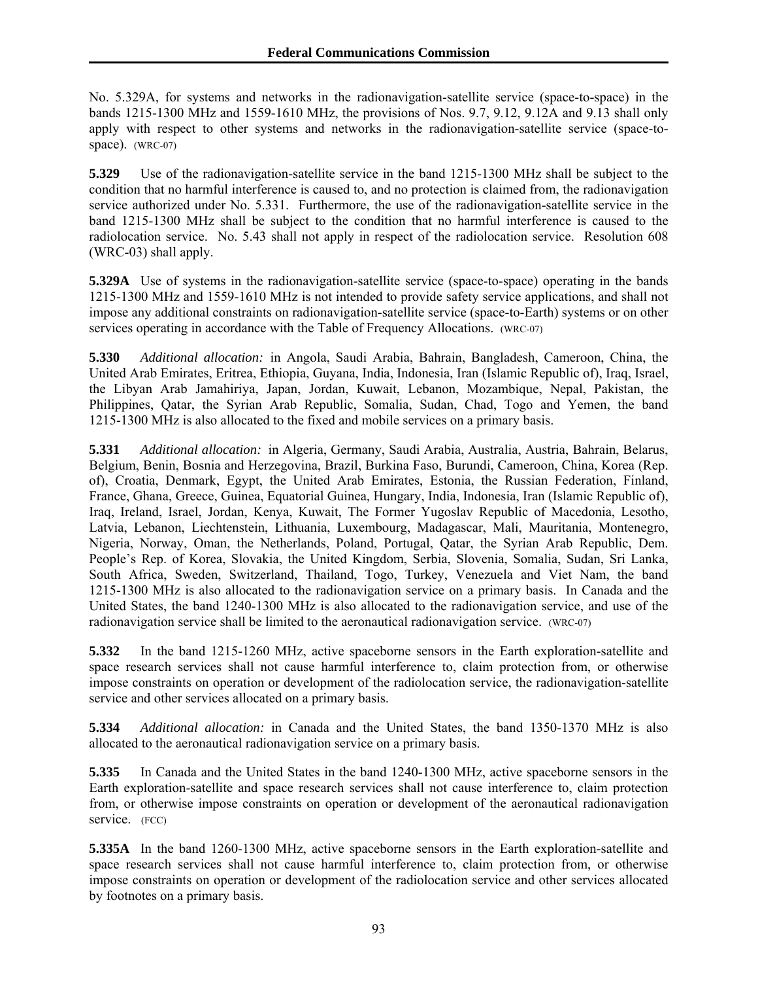No. 5.329A, for systems and networks in the radionavigation-satellite service (space-to-space) in the bands 1215-1300 MHz and 1559-1610 MHz, the provisions of Nos. 9.7, 9.12, 9.12A and 9.13 shall only apply with respect to other systems and networks in the radionavigation-satellite service (space-tospace). (WRC-07)

**5.329** Use of the radionavigation-satellite service in the band 1215-1300 MHz shall be subject to the condition that no harmful interference is caused to, and no protection is claimed from, the radionavigation service authorized under No. 5.331. Furthermore, the use of the radionavigation-satellite service in the band 1215-1300 MHz shall be subject to the condition that no harmful interference is caused to the radiolocation service. No. 5.43 shall not apply in respect of the radiolocation service. Resolution 608 (WRC-03) shall apply.

**5.329A** Use of systems in the radionavigation-satellite service (space-to-space) operating in the bands 1215-1300 MHz and 1559-1610 MHz is not intended to provide safety service applications, and shall not impose any additional constraints on radionavigation-satellite service (space-to-Earth) systems or on other services operating in accordance with the Table of Frequency Allocations. (WRC-07)

**5.330** *Additional allocation:* in Angola, Saudi Arabia, Bahrain, Bangladesh, Cameroon, China, the United Arab Emirates, Eritrea, Ethiopia, Guyana, India, Indonesia, Iran (Islamic Republic of), Iraq, Israel, the Libyan Arab Jamahiriya, Japan, Jordan, Kuwait, Lebanon, Mozambique, Nepal, Pakistan, the Philippines, Qatar, the Syrian Arab Republic, Somalia, Sudan, Chad, Togo and Yemen, the band 1215-1300 MHz is also allocated to the fixed and mobile services on a primary basis.

**5.331** *Additional allocation:* in Algeria, Germany, Saudi Arabia, Australia, Austria, Bahrain, Belarus, Belgium, Benin, Bosnia and Herzegovina, Brazil, Burkina Faso, Burundi, Cameroon, China, Korea (Rep. of), Croatia, Denmark, Egypt, the United Arab Emirates, Estonia, the Russian Federation, Finland, France, Ghana, Greece, Guinea, Equatorial Guinea, Hungary, India, Indonesia, Iran (Islamic Republic of), Iraq, Ireland, Israel, Jordan, Kenya, Kuwait, The Former Yugoslav Republic of Macedonia, Lesotho, Latvia, Lebanon, Liechtenstein, Lithuania, Luxembourg, Madagascar, Mali, Mauritania, Montenegro, Nigeria, Norway, Oman, the Netherlands, Poland, Portugal, Qatar, the Syrian Arab Republic, Dem. People's Rep. of Korea, Slovakia, the United Kingdom, Serbia, Slovenia, Somalia, Sudan, Sri Lanka, South Africa, Sweden, Switzerland, Thailand, Togo, Turkey, Venezuela and Viet Nam, the band 1215-1300 MHz is also allocated to the radionavigation service on a primary basis. In Canada and the United States, the band 1240-1300 MHz is also allocated to the radionavigation service, and use of the radionavigation service shall be limited to the aeronautical radionavigation service. (WRC-07)

**5.332** In the band 1215-1260 MHz, active spaceborne sensors in the Earth exploration-satellite and space research services shall not cause harmful interference to, claim protection from, or otherwise impose constraints on operation or development of the radiolocation service, the radionavigation-satellite service and other services allocated on a primary basis.

**5.334** *Additional allocation:* in Canada and the United States, the band 1350-1370 MHz is also allocated to the aeronautical radionavigation service on a primary basis.

**5.335** In Canada and the United States in the band 1240-1300 MHz, active spaceborne sensors in the Earth exploration-satellite and space research services shall not cause interference to, claim protection from, or otherwise impose constraints on operation or development of the aeronautical radionavigation service. (FCC)

**5.335A** In the band 1260-1300 MHz, active spaceborne sensors in the Earth exploration-satellite and space research services shall not cause harmful interference to, claim protection from, or otherwise impose constraints on operation or development of the radiolocation service and other services allocated by footnotes on a primary basis.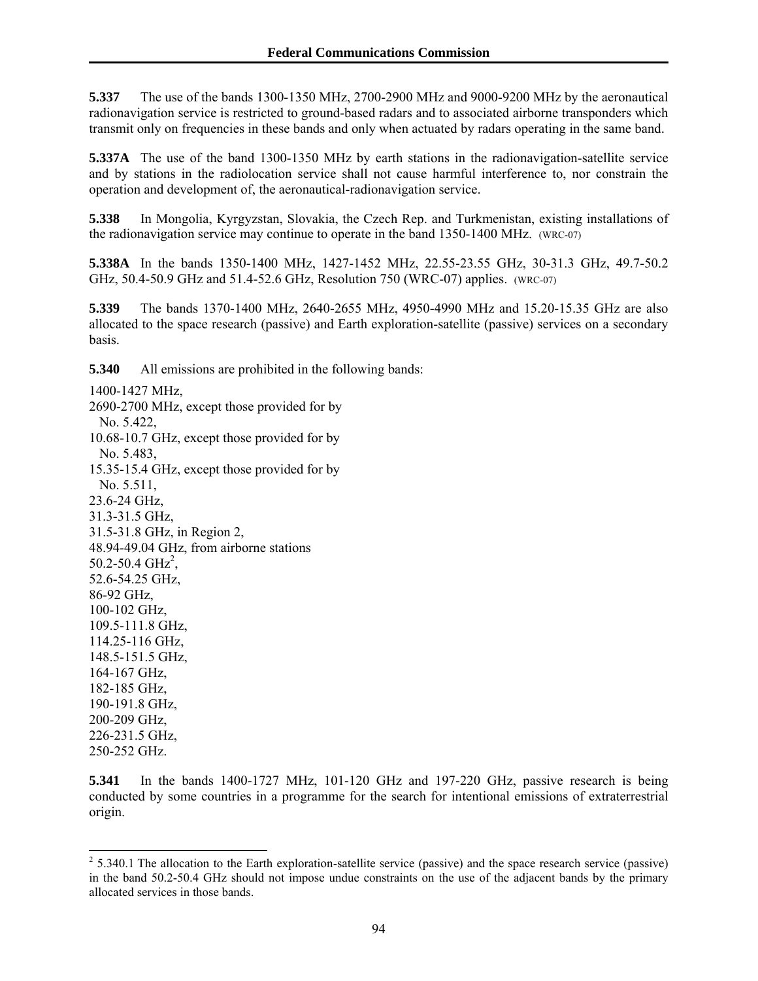**5.337** The use of the bands 1300-1350 MHz, 2700-2900 MHz and 9000-9200 MHz by the aeronautical radionavigation service is restricted to ground-based radars and to associated airborne transponders which transmit only on frequencies in these bands and only when actuated by radars operating in the same band.

**5.337A** The use of the band 1300-1350 MHz by earth stations in the radionavigation-satellite service and by stations in the radiolocation service shall not cause harmful interference to, nor constrain the operation and development of, the aeronautical-radionavigation service.

**5.338** In Mongolia, Kyrgyzstan, Slovakia, the Czech Rep. and Turkmenistan, existing installations of the radionavigation service may continue to operate in the band 1350-1400 MHz. (WRC-07)

**5.338A** In the bands 1350-1400 MHz, 1427-1452 MHz, 22.55-23.55 GHz, 30-31.3 GHz, 49.7-50.2 GHz, 50.4-50.9 GHz and 51.4-52.6 GHz, Resolution 750 (WRC-07) applies. (WRC-07)

**5.339** The bands 1370-1400 MHz, 2640-2655 MHz, 4950-4990 MHz and 15.20-15.35 GHz are also allocated to the space research (passive) and Earth exploration-satellite (passive) services on a secondary basis.

**5.340** All emissions are prohibited in the following bands:

1400-1427 MHz, 2690-2700 MHz, except those provided for by No. 5.422, 10.68-10.7 GHz, except those provided for by No. 5.483, 15.35-15.4 GHz, except those provided for by No. 5.511, 23.6-24 GHz, 31.3-31.5 GHz, 31.5-31.8 GHz, in Region 2, 48.94-49.04 GHz, from airborne stations  $50.2 - 50.4$  GHz<sup>2</sup>, 52.6-54.25 GHz, 86-92 GHz, 100-102 GHz, 109.5-111.8 GHz, 114.25-116 GHz, 148.5-151.5 GHz, 164-167 GHz, 182-185 GHz, 190-191.8 GHz, 200-209 GHz, 226-231.5 GHz, 250-252 GHz.

 $\overline{a}$ 

**5.341** In the bands 1400-1727 MHz, 101-120 GHz and 197-220 GHz, passive research is being conducted by some countries in a programme for the search for intentional emissions of extraterrestrial origin.

 $2^{2}$  5.340.1 The allocation to the Earth exploration-satellite service (passive) and the space research service (passive) in the band 50.2-50.4 GHz should not impose undue constraints on the use of the adjacent bands by the primary allocated services in those bands.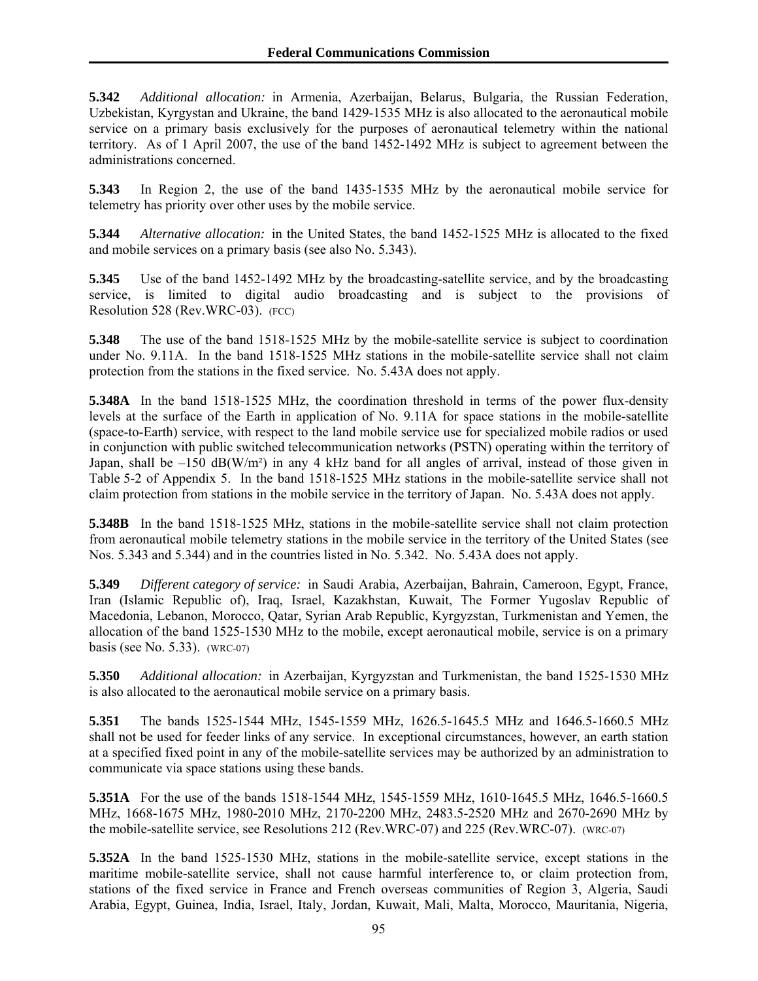**5.342** *Additional allocation:* in Armenia, Azerbaijan, Belarus, Bulgaria, the Russian Federation, Uzbekistan, Kyrgystan and Ukraine, the band 1429-1535 MHz is also allocated to the aeronautical mobile service on a primary basis exclusively for the purposes of aeronautical telemetry within the national territory. As of 1 April 2007, the use of the band 1452-1492 MHz is subject to agreement between the administrations concerned.

**5.343** In Region 2, the use of the band 1435-1535 MHz by the aeronautical mobile service for telemetry has priority over other uses by the mobile service.

**5.344** *Alternative allocation:* in the United States, the band 1452-1525 MHz is allocated to the fixed and mobile services on a primary basis (see also No. 5.343).

**5.345** Use of the band 1452-1492 MHz by the broadcasting-satellite service, and by the broadcasting service, is limited to digital audio broadcasting and is subject to the provisions of Resolution 528 (Rev.WRC-03). (FCC)

**5.348** The use of the band 1518-1525 MHz by the mobile-satellite service is subject to coordination under No. 9.11A. In the band 1518-1525 MHz stations in the mobile-satellite service shall not claim protection from the stations in the fixed service. No. 5.43A does not apply.

**5.348A** In the band 1518-1525 MHz, the coordination threshold in terms of the power flux-density levels at the surface of the Earth in application of No. 9.11A for space stations in the mobile-satellite (space-to-Earth) service, with respect to the land mobile service use for specialized mobile radios or used in conjunction with public switched telecommunication networks (PSTN) operating within the territory of Japan, shall be  $-150$  dB(W/m<sup>2</sup>) in any 4 kHz band for all angles of arrival, instead of those given in Table 5-2 of Appendix 5. In the band 1518-1525 MHz stations in the mobile-satellite service shall not claim protection from stations in the mobile service in the territory of Japan. No. 5.43A does not apply.

**5.348B** In the band 1518-1525 MHz, stations in the mobile-satellite service shall not claim protection from aeronautical mobile telemetry stations in the mobile service in the territory of the United States (see Nos. 5.343 and 5.344) and in the countries listed in No. 5.342. No. 5.43A does not apply.

**5.349** *Different category of service:* in Saudi Arabia, Azerbaijan, Bahrain, Cameroon, Egypt, France, Iran (Islamic Republic of), Iraq, Israel, Kazakhstan, Kuwait, The Former Yugoslav Republic of Macedonia, Lebanon, Morocco, Qatar, Syrian Arab Republic, Kyrgyzstan, Turkmenistan and Yemen, the allocation of the band 1525-1530 MHz to the mobile, except aeronautical mobile, service is on a primary basis (see No. 5.33). (WRC-07)

**5.350** *Additional allocation:* in Azerbaijan, Kyrgyzstan and Turkmenistan, the band 1525-1530 MHz is also allocated to the aeronautical mobile service on a primary basis.

**5.351** The bands 1525-1544 MHz, 1545-1559 MHz, 1626.5-1645.5 MHz and 1646.5-1660.5 MHz shall not be used for feeder links of any service. In exceptional circumstances, however, an earth station at a specified fixed point in any of the mobile-satellite services may be authorized by an administration to communicate via space stations using these bands.

**5.351A** For the use of the bands 1518-1544 MHz, 1545-1559 MHz, 1610-1645.5 MHz, 1646.5-1660.5 MHz, 1668-1675 MHz, 1980-2010 MHz, 2170-2200 MHz, 2483.5-2520 MHz and 2670-2690 MHz by the mobile-satellite service, see Resolutions 212 (Rev.WRC-07) and 225 (Rev.WRC-07). (WRC-07)

**5.352A** In the band 1525-1530 MHz, stations in the mobile-satellite service, except stations in the maritime mobile-satellite service, shall not cause harmful interference to, or claim protection from, stations of the fixed service in France and French overseas communities of Region 3, Algeria, Saudi Arabia, Egypt, Guinea, India, Israel, Italy, Jordan, Kuwait, Mali, Malta, Morocco, Mauritania, Nigeria,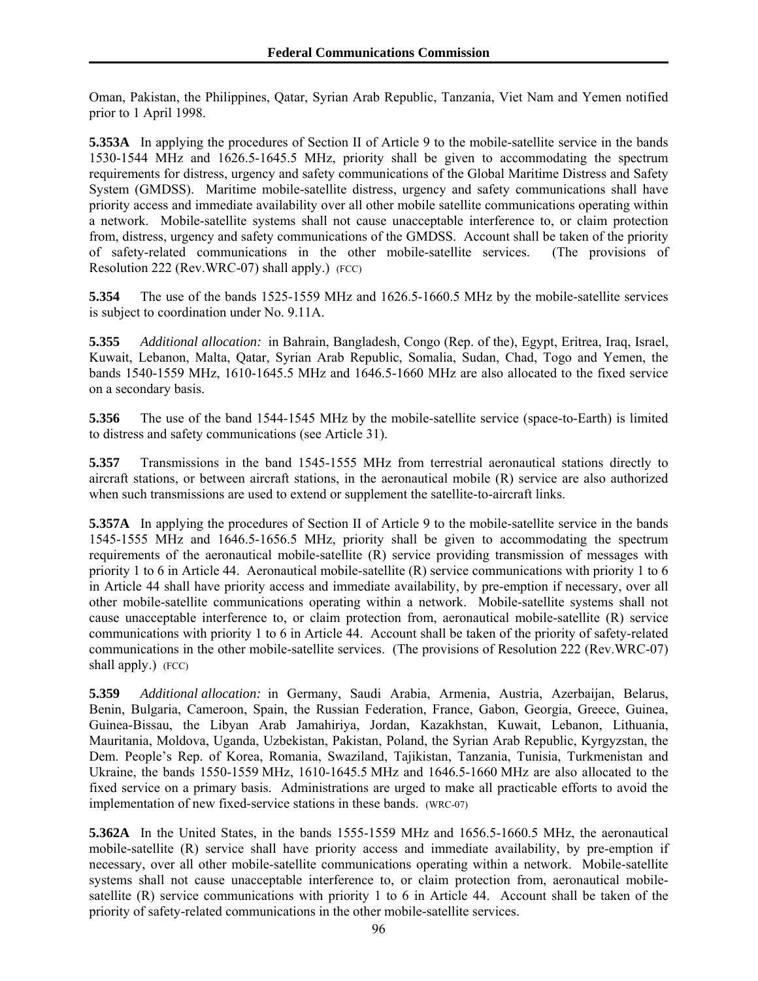Oman, Pakistan, the Philippines, Qatar, Syrian Arab Republic, Tanzania, Viet Nam and Yemen notified prior to 1 April 1998.

**5.353A** In applying the procedures of Section II of Article 9 to the mobile-satellite service in the bands 1530-1544 MHz and 1626.5-1645.5 MHz, priority shall be given to accommodating the spectrum requirements for distress, urgency and safety communications of the Global Maritime Distress and Safety System (GMDSS). Maritime mobile-satellite distress, urgency and safety communications shall have priority access and immediate availability over all other mobile satellite communications operating within a network. Mobile-satellite systems shall not cause unacceptable interference to, or claim protection from, distress, urgency and safety communications of the GMDSS. Account shall be taken of the priority of safety-related communications in the other mobile-satellite services. (The provisions of Resolution 222 (Rev.WRC-07) shall apply.) (FCC)

**5.354** The use of the bands 1525-1559 MHz and 1626.5-1660.5 MHz by the mobile-satellite services is subject to coordination under No. 9.11A.

**5.355** *Additional allocation:* in Bahrain, Bangladesh, Congo (Rep. of the), Egypt, Eritrea, Iraq, Israel, Kuwait, Lebanon, Malta, Qatar, Syrian Arab Republic, Somalia, Sudan, Chad, Togo and Yemen, the bands 1540-1559 MHz, 1610-1645.5 MHz and 1646.5-1660 MHz are also allocated to the fixed service on a secondary basis.

**5.356** The use of the band 1544-1545 MHz by the mobile-satellite service (space-to-Earth) is limited to distress and safety communications (see Article 31).

**5.357** Transmissions in the band 1545-1555 MHz from terrestrial aeronautical stations directly to aircraft stations, or between aircraft stations, in the aeronautical mobile (R) service are also authorized when such transmissions are used to extend or supplement the satellite-to-aircraft links.

**5.357A** In applying the procedures of Section II of Article 9 to the mobile-satellite service in the bands 1545-1555 MHz and 1646.5-1656.5 MHz, priority shall be given to accommodating the spectrum requirements of the aeronautical mobile-satellite (R) service providing transmission of messages with priority 1 to 6 in Article 44. Aeronautical mobile-satellite (R) service communications with priority 1 to 6 in Article 44 shall have priority access and immediate availability, by pre-emption if necessary, over all other mobile-satellite communications operating within a network. Mobile-satellite systems shall not cause unacceptable interference to, or claim protection from, aeronautical mobile-satellite (R) service communications with priority 1 to 6 in Article 44. Account shall be taken of the priority of safety-related communications in the other mobile-satellite services. (The provisions of Resolution 222 (Rev.WRC-07) shall apply.)  $(FCC)$ 

**5.359** *Additional allocation:* in Germany, Saudi Arabia, Armenia, Austria, Azerbaijan, Belarus, Benin, Bulgaria, Cameroon, Spain, the Russian Federation, France, Gabon, Georgia, Greece, Guinea, Guinea-Bissau, the Libyan Arab Jamahiriya, Jordan, Kazakhstan, Kuwait, Lebanon, Lithuania, Mauritania, Moldova, Uganda, Uzbekistan, Pakistan, Poland, the Syrian Arab Republic, Kyrgyzstan, the Dem. People's Rep. of Korea, Romania, Swaziland, Tajikistan, Tanzania, Tunisia, Turkmenistan and Ukraine, the bands 1550-1559 MHz, 1610-1645.5 MHz and 1646.5-1660 MHz are also allocated to the fixed service on a primary basis. Administrations are urged to make all practicable efforts to avoid the implementation of new fixed-service stations in these bands. (WRC-07)

**5.362A** In the United States, in the bands 1555-1559 MHz and 1656.5-1660.5 MHz, the aeronautical mobile-satellite (R) service shall have priority access and immediate availability, by pre-emption if necessary, over all other mobile-satellite communications operating within a network. Mobile-satellite systems shall not cause unacceptable interference to, or claim protection from, aeronautical mobilesatellite (R) service communications with priority 1 to 6 in Article 44. Account shall be taken of the priority of safety-related communications in the other mobile-satellite services.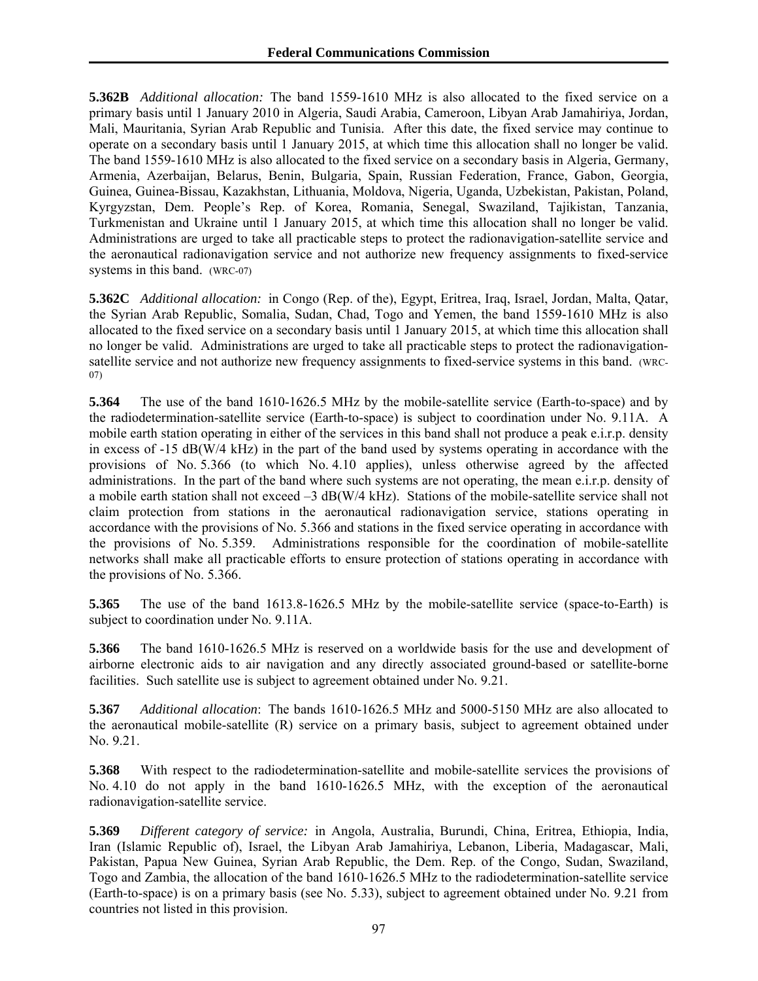**5.362B** *Additional allocation:* The band 1559-1610 MHz is also allocated to the fixed service on a primary basis until 1 January 2010 in Algeria, Saudi Arabia, Cameroon, Libyan Arab Jamahiriya, Jordan, Mali, Mauritania, Syrian Arab Republic and Tunisia. After this date, the fixed service may continue to operate on a secondary basis until 1 January 2015, at which time this allocation shall no longer be valid. The band 1559-1610 MHz is also allocated to the fixed service on a secondary basis in Algeria, Germany, Armenia, Azerbaijan, Belarus, Benin, Bulgaria, Spain, Russian Federation, France, Gabon, Georgia, Guinea, Guinea-Bissau, Kazakhstan, Lithuania, Moldova, Nigeria, Uganda, Uzbekistan, Pakistan, Poland, Kyrgyzstan, Dem. People's Rep. of Korea, Romania, Senegal, Swaziland, Tajikistan, Tanzania, Turkmenistan and Ukraine until 1 January 2015, at which time this allocation shall no longer be valid. Administrations are urged to take all practicable steps to protect the radionavigation-satellite service and the aeronautical radionavigation service and not authorize new frequency assignments to fixed-service systems in this band. (WRC-07)

**5.362C** *Additional allocation:* in Congo (Rep. of the), Egypt, Eritrea, Iraq, Israel, Jordan, Malta, Qatar, the Syrian Arab Republic, Somalia, Sudan, Chad, Togo and Yemen, the band 1559-1610 MHz is also allocated to the fixed service on a secondary basis until 1 January 2015, at which time this allocation shall no longer be valid. Administrations are urged to take all practicable steps to protect the radionavigationsatellite service and not authorize new frequency assignments to fixed-service systems in this band. (WRC-07)

**5.364** The use of the band 1610-1626.5 MHz by the mobile-satellite service (Earth-to-space) and by the radiodetermination-satellite service (Earth-to-space) is subject to coordination under No. 9.11A. A mobile earth station operating in either of the services in this band shall not produce a peak e.i.r.p. density in excess of -15 dB(W/4 kHz) in the part of the band used by systems operating in accordance with the provisions of No. 5.366 (to which No. 4.10 applies), unless otherwise agreed by the affected administrations. In the part of the band where such systems are not operating, the mean e.i.r.p. density of a mobile earth station shall not exceed –3 dB(W/4 kHz). Stations of the mobile-satellite service shall not claim protection from stations in the aeronautical radionavigation service, stations operating in accordance with the provisions of No. 5.366 and stations in the fixed service operating in accordance with the provisions of No. 5.359. Administrations responsible for the coordination of mobile-satellite networks shall make all practicable efforts to ensure protection of stations operating in accordance with the provisions of No. 5.366.

**5.365** The use of the band 1613.8-1626.5 MHz by the mobile-satellite service (space-to-Earth) is subject to coordination under No. 9.11A.

**5.366** The band 1610-1626.5 MHz is reserved on a worldwide basis for the use and development of airborne electronic aids to air navigation and any directly associated ground-based or satellite-borne facilities. Such satellite use is subject to agreement obtained under No. 9.21.

**5.367** *Additional allocation*: The bands 1610-1626.5 MHz and 5000-5150 MHz are also allocated to the aeronautical mobile-satellite (R) service on a primary basis, subject to agreement obtained under No. 9.21.

**5.368** With respect to the radiodetermination-satellite and mobile-satellite services the provisions of No. 4.10 do not apply in the band 1610-1626.5 MHz, with the exception of the aeronautical radionavigation-satellite service.

**5.369** *Different category of service:* in Angola, Australia, Burundi, China, Eritrea, Ethiopia, India, Iran (Islamic Republic of), Israel, the Libyan Arab Jamahiriya, Lebanon, Liberia, Madagascar, Mali, Pakistan, Papua New Guinea, Syrian Arab Republic, the Dem. Rep. of the Congo, Sudan, Swaziland, Togo and Zambia, the allocation of the band 1610-1626.5 MHz to the radiodetermination-satellite service (Earth-to-space) is on a primary basis (see No. 5.33), subject to agreement obtained under No. 9.21 from countries not listed in this provision.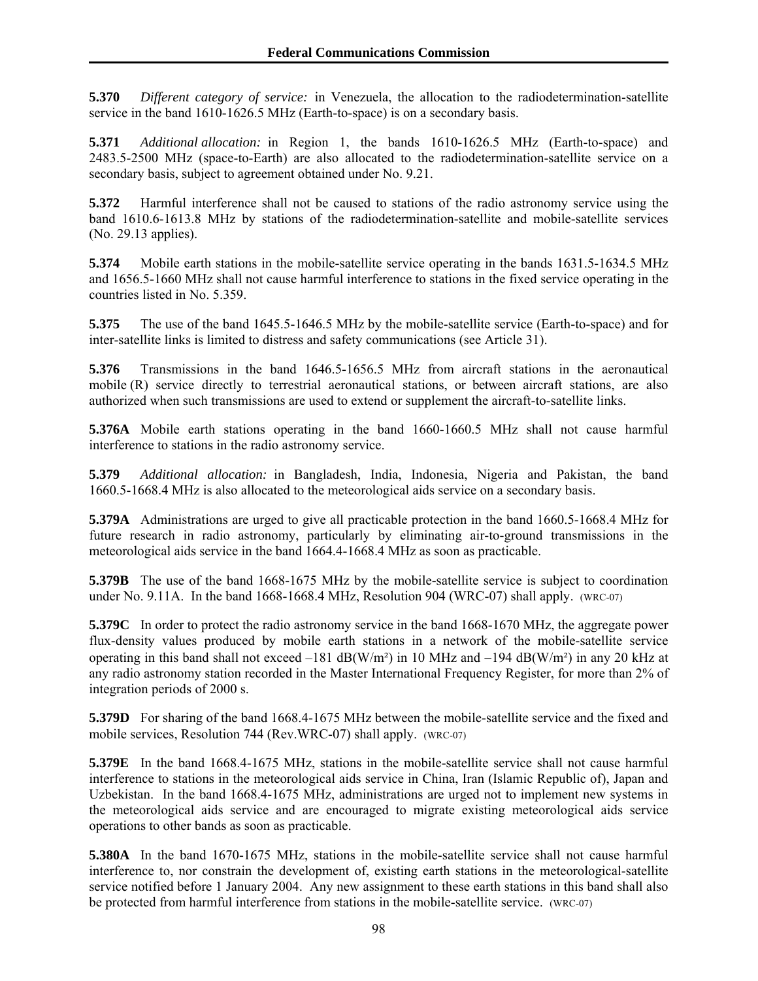**5.370** *Different category of service:* in Venezuela, the allocation to the radiodetermination-satellite service in the band 1610-1626.5 MHz (Earth-to-space) is on a secondary basis.

**5.371** *Additional allocation:* in Region 1, the bands 1610-1626.5 MHz (Earth-to-space) and 2483.5-2500 MHz (space-to-Earth) are also allocated to the radiodetermination-satellite service on a secondary basis, subject to agreement obtained under No. 9.21.

**5.372** Harmful interference shall not be caused to stations of the radio astronomy service using the band 1610.6-1613.8 MHz by stations of the radiodetermination-satellite and mobile-satellite services (No. 29.13 applies).

**5.374** Mobile earth stations in the mobile-satellite service operating in the bands 1631.5-1634.5 MHz and 1656.5-1660 MHz shall not cause harmful interference to stations in the fixed service operating in the countries listed in No. 5.359.

**5.375** The use of the band 1645.5-1646.5 MHz by the mobile-satellite service (Earth-to-space) and for inter-satellite links is limited to distress and safety communications (see Article 31).

**5.376** Transmissions in the band 1646.5-1656.5 MHz from aircraft stations in the aeronautical mobile (R) service directly to terrestrial aeronautical stations, or between aircraft stations, are also authorized when such transmissions are used to extend or supplement the aircraft-to-satellite links.

**5.376A** Mobile earth stations operating in the band 1660-1660.5 MHz shall not cause harmful interference to stations in the radio astronomy service.

**5.379** *Additional allocation:* in Bangladesh, India, Indonesia, Nigeria and Pakistan, the band 1660.5-1668.4 MHz is also allocated to the meteorological aids service on a secondary basis.

**5.379A** Administrations are urged to give all practicable protection in the band 1660.5-1668.4 MHz for future research in radio astronomy, particularly by eliminating air-to-ground transmissions in the meteorological aids service in the band 1664.4-1668.4 MHz as soon as practicable.

**5.379B** The use of the band 1668-1675 MHz by the mobile-satellite service is subject to coordination under No. 9.11A. In the band 1668-1668.4 MHz, Resolution 904 (WRC-07) shall apply. (WRC-07)

**5.379C** In order to protect the radio astronomy service in the band 1668-1670 MHz, the aggregate power flux-density values produced by mobile earth stations in a network of the mobile-satellite service operating in this band shall not exceed –181 dB(W/m<sup>2</sup>) in 10 MHz and –194 dB(W/m<sup>2</sup>) in any 20 kHz at any radio astronomy station recorded in the Master International Frequency Register, for more than 2% of integration periods of 2000 s.

**5.379D** For sharing of the band 1668.4-1675 MHz between the mobile-satellite service and the fixed and mobile services, Resolution 744 (Rev.WRC-07) shall apply. (WRC-07)

**5.379E** In the band 1668.4-1675 MHz, stations in the mobile-satellite service shall not cause harmful interference to stations in the meteorological aids service in China, Iran (Islamic Republic of), Japan and Uzbekistan. In the band 1668.4-1675 MHz, administrations are urged not to implement new systems in the meteorological aids service and are encouraged to migrate existing meteorological aids service operations to other bands as soon as practicable.

**5.380A** In the band 1670-1675 MHz, stations in the mobile-satellite service shall not cause harmful interference to, nor constrain the development of, existing earth stations in the meteorological-satellite service notified before 1 January 2004. Any new assignment to these earth stations in this band shall also be protected from harmful interference from stations in the mobile-satellite service. (WRC-07)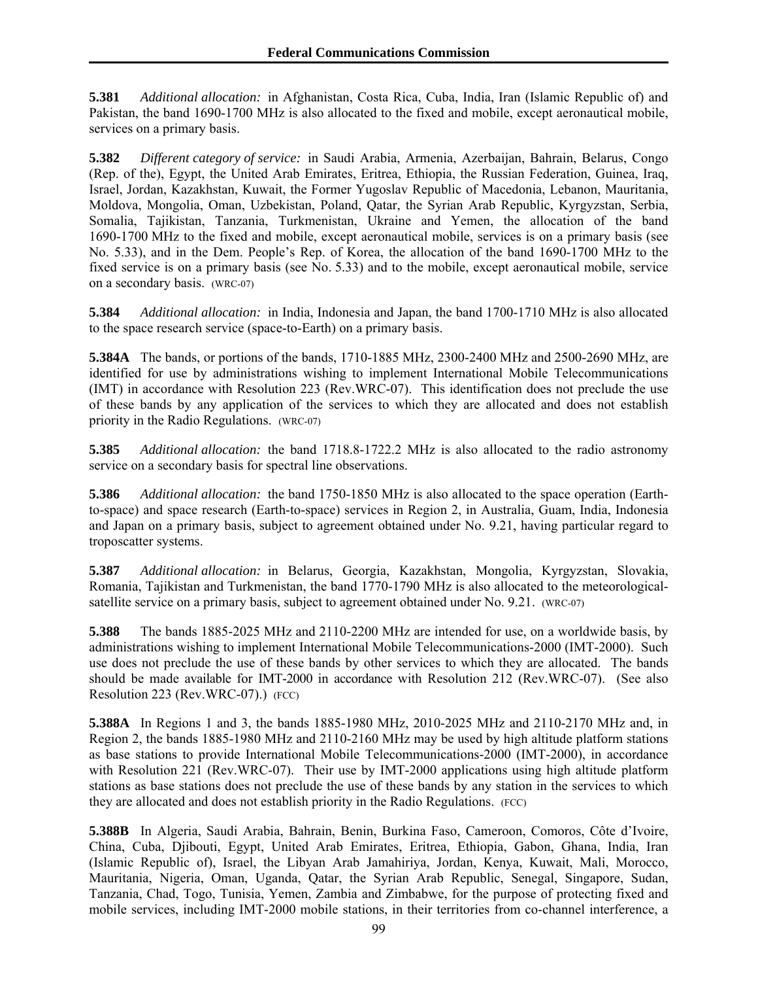**5.381** *Additional allocation:* in Afghanistan, Costa Rica, Cuba, India, Iran (Islamic Republic of) and Pakistan, the band 1690-1700 MHz is also allocated to the fixed and mobile, except aeronautical mobile, services on a primary basis.

**5.382** *Different category of service:* in Saudi Arabia, Armenia, Azerbaijan, Bahrain, Belarus, Congo (Rep. of the), Egypt, the United Arab Emirates, Eritrea, Ethiopia, the Russian Federation, Guinea, Iraq, Israel, Jordan, Kazakhstan, Kuwait, the Former Yugoslav Republic of Macedonia, Lebanon, Mauritania, Moldova, Mongolia, Oman, Uzbekistan, Poland, Qatar, the Syrian Arab Republic, Kyrgyzstan, Serbia, Somalia, Tajikistan, Tanzania, Turkmenistan, Ukraine and Yemen, the allocation of the band 1690-1700 MHz to the fixed and mobile, except aeronautical mobile, services is on a primary basis (see No. 5.33), and in the Dem. People's Rep. of Korea, the allocation of the band 1690-1700 MHz to the fixed service is on a primary basis (see No. 5.33) and to the mobile, except aeronautical mobile, service on a secondary basis. (WRC-07)

**5.384** *Additional allocation:* in India, Indonesia and Japan, the band 1700-1710 MHz is also allocated to the space research service (space-to-Earth) on a primary basis.

**5.384A** The bands, or portions of the bands, 1710-1885 MHz, 2300-2400 MHz and 2500-2690 MHz, are identified for use by administrations wishing to implement International Mobile Telecommunications (IMT) in accordance with Resolution 223 (Rev.WRC-07). This identification does not preclude the use of these bands by any application of the services to which they are allocated and does not establish priority in the Radio Regulations. (WRC-07)

**5.385** *Additional allocation:* the band 1718.8-1722.2 MHz is also allocated to the radio astronomy service on a secondary basis for spectral line observations.

**5.386** *Additional allocation:* the band 1750-1850 MHz is also allocated to the space operation (Earthto-space) and space research (Earth-to-space) services in Region 2, in Australia, Guam, India, Indonesia and Japan on a primary basis, subject to agreement obtained under No. 9.21, having particular regard to troposcatter systems.

**5.387** *Additional allocation:* in Belarus, Georgia, Kazakhstan, Mongolia, Kyrgyzstan, Slovakia, Romania, Tajikistan and Turkmenistan, the band 1770-1790 MHz is also allocated to the meteorologicalsatellite service on a primary basis, subject to agreement obtained under No. 9.21. (WRC-07)

**5.388** The bands 1885-2025 MHz and 2110-2200 MHz are intended for use, on a worldwide basis, by administrations wishing to implement International Mobile Telecommunications-2000 (IMT-2000). Such use does not preclude the use of these bands by other services to which they are allocated. The bands should be made available for IMT-2000 in accordance with Resolution 212 (Rev.WRC-07). (See also Resolution 223 (Rev.WRC-07).) (FCC)

**5.388A** In Regions 1 and 3, the bands 1885-1980 MHz, 2010-2025 MHz and 2110-2170 MHz and, in Region 2, the bands 1885-1980 MHz and 2110-2160 MHz may be used by high altitude platform stations as base stations to provide International Mobile Telecommunications-2000 (IMT-2000), in accordance with Resolution 221 (Rev.WRC-07). Their use by IMT-2000 applications using high altitude platform stations as base stations does not preclude the use of these bands by any station in the services to which they are allocated and does not establish priority in the Radio Regulations. (FCC)

**5.388B** In Algeria, Saudi Arabia, Bahrain, Benin, Burkina Faso, Cameroon, Comoros, Côte d'Ivoire, China, Cuba, Djibouti, Egypt, United Arab Emirates, Eritrea, Ethiopia, Gabon, Ghana, India, Iran (Islamic Republic of), Israel, the Libyan Arab Jamahiriya, Jordan, Kenya, Kuwait, Mali, Morocco, Mauritania, Nigeria, Oman, Uganda, Qatar, the Syrian Arab Republic, Senegal, Singapore, Sudan, Tanzania, Chad, Togo, Tunisia, Yemen, Zambia and Zimbabwe, for the purpose of protecting fixed and mobile services, including IMT-2000 mobile stations, in their territories from co-channel interference, a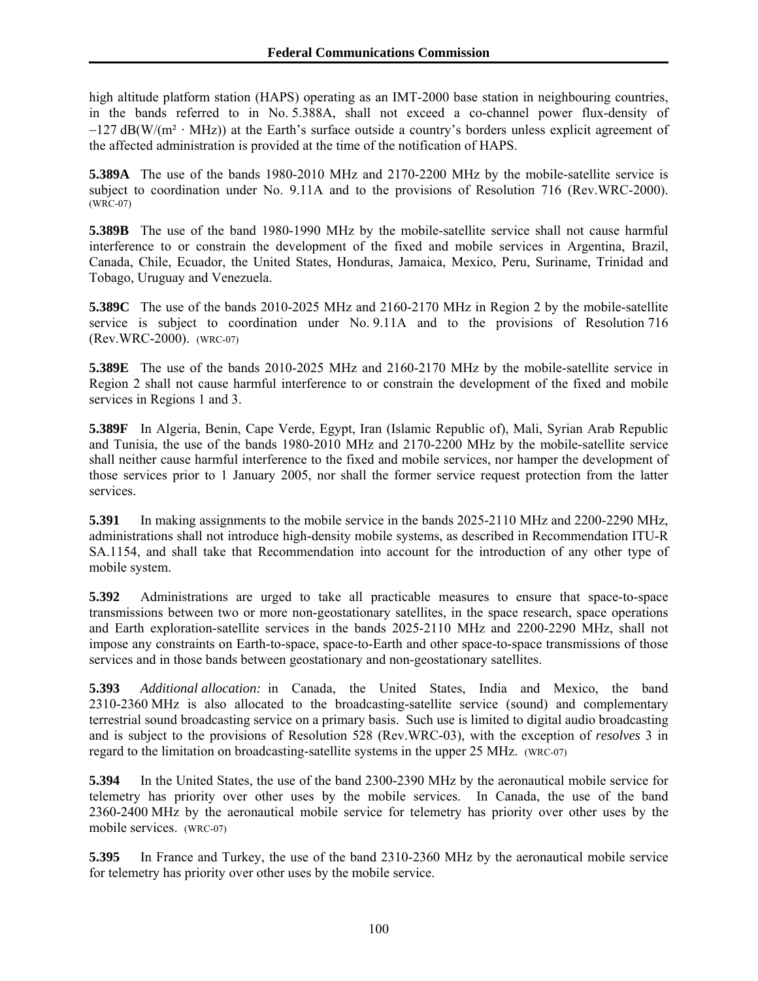high altitude platform station (HAPS) operating as an IMT-2000 base station in neighbouring countries, in the bands referred to in No. 5.388A, shall not exceed a co-channel power flux-density of  $-127$  dB(W/(m<sup>2</sup> · MHz)) at the Earth's surface outside a country's borders unless explicit agreement of the affected administration is provided at the time of the notification of HAPS.

**5.389A** The use of the bands 1980-2010 MHz and 2170-2200 MHz by the mobile-satellite service is subject to coordination under No. 9.11A and to the provisions of Resolution 716 (Rev.WRC-2000). (WRC-07)

**5.389B** The use of the band 1980-1990 MHz by the mobile-satellite service shall not cause harmful interference to or constrain the development of the fixed and mobile services in Argentina, Brazil, Canada, Chile, Ecuador, the United States, Honduras, Jamaica, Mexico, Peru, Suriname, Trinidad and Tobago, Uruguay and Venezuela.

**5.389C** The use of the bands 2010-2025 MHz and 2160-2170 MHz in Region 2 by the mobile-satellite service is subject to coordination under No. 9.11A and to the provisions of Resolution 716 (Rev.WRC-2000). (WRC-07)

**5.389E** The use of the bands 2010-2025 MHz and 2160-2170 MHz by the mobile-satellite service in Region 2 shall not cause harmful interference to or constrain the development of the fixed and mobile services in Regions 1 and 3.

**5.389F** In Algeria, Benin, Cape Verde, Egypt, Iran (Islamic Republic of), Mali, Syrian Arab Republic and Tunisia, the use of the bands 1980-2010 MHz and 2170-2200 MHz by the mobile-satellite service shall neither cause harmful interference to the fixed and mobile services, nor hamper the development of those services prior to 1 January 2005, nor shall the former service request protection from the latter services.

**5.391** In making assignments to the mobile service in the bands 2025-2110 MHz and 2200-2290 MHz, administrations shall not introduce high-density mobile systems, as described in Recommendation ITU-R SA.1154, and shall take that Recommendation into account for the introduction of any other type of mobile system.

**5.392** Administrations are urged to take all practicable measures to ensure that space-to-space transmissions between two or more non-geostationary satellites, in the space research, space operations and Earth exploration-satellite services in the bands 2025-2110 MHz and 2200-2290 MHz, shall not impose any constraints on Earth-to-space, space-to-Earth and other space-to-space transmissions of those services and in those bands between geostationary and non-geostationary satellites.

**5.393** *Additional allocation:* in Canada, the United States, India and Mexico, the band 2310-2360 MHz is also allocated to the broadcasting-satellite service (sound) and complementary terrestrial sound broadcasting service on a primary basis. Such use is limited to digital audio broadcasting and is subject to the provisions of Resolution 528 (Rev.WRC-03), with the exception of *resolves* 3 in regard to the limitation on broadcasting-satellite systems in the upper 25 MHz. (WRC-07)

**5.394** In the United States, the use of the band 2300-2390 MHz by the aeronautical mobile service for telemetry has priority over other uses by the mobile services. In Canada, the use of the band 2360-2400 MHz by the aeronautical mobile service for telemetry has priority over other uses by the mobile services. (WRC-07)

**5.395** In France and Turkey, the use of the band 2310-2360 MHz by the aeronautical mobile service for telemetry has priority over other uses by the mobile service.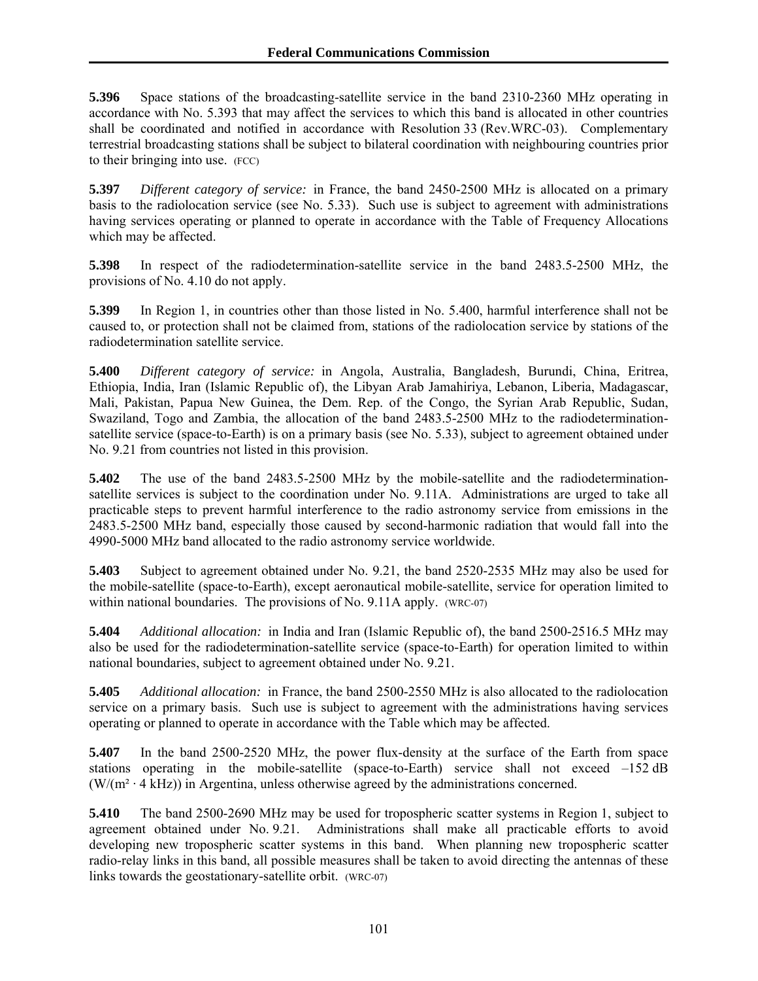**5.396** Space stations of the broadcasting-satellite service in the band 2310-2360 MHz operating in accordance with No. 5.393 that may affect the services to which this band is allocated in other countries shall be coordinated and notified in accordance with Resolution 33 (Rev.WRC-03). Complementary terrestrial broadcasting stations shall be subject to bilateral coordination with neighbouring countries prior to their bringing into use. (FCC)

**5.397** *Different category of service:* in France, the band 2450-2500 MHz is allocated on a primary basis to the radiolocation service (see No. 5.33). Such use is subject to agreement with administrations having services operating or planned to operate in accordance with the Table of Frequency Allocations which may be affected.

**5.398** In respect of the radiodetermination-satellite service in the band 2483.5-2500 MHz, the provisions of No. 4.10 do not apply.

**5.399** In Region 1, in countries other than those listed in No. 5.400, harmful interference shall not be caused to, or protection shall not be claimed from, stations of the radiolocation service by stations of the radiodetermination satellite service.

**5.400** *Different category of service:* in Angola, Australia, Bangladesh, Burundi, China, Eritrea, Ethiopia, India, Iran (Islamic Republic of), the Libyan Arab Jamahiriya, Lebanon, Liberia, Madagascar, Mali, Pakistan, Papua New Guinea, the Dem. Rep. of the Congo, the Syrian Arab Republic, Sudan, Swaziland, Togo and Zambia, the allocation of the band 2483.5-2500 MHz to the radiodeterminationsatellite service (space-to-Earth) is on a primary basis (see No. 5.33), subject to agreement obtained under No. 9.21 from countries not listed in this provision.

**5.402** The use of the band 2483.5-2500 MHz by the mobile-satellite and the radiodeterminationsatellite services is subject to the coordination under No. 9.11A. Administrations are urged to take all practicable steps to prevent harmful interference to the radio astronomy service from emissions in the 2483.5-2500 MHz band, especially those caused by second-harmonic radiation that would fall into the 4990-5000 MHz band allocated to the radio astronomy service worldwide.

**5.403** Subject to agreement obtained under No. 9.21, the band 2520-2535 MHz may also be used for the mobile-satellite (space-to-Earth), except aeronautical mobile-satellite, service for operation limited to within national boundaries. The provisions of No. 9.11A apply. (WRC-07)

**5.404** *Additional allocation:* in India and Iran (Islamic Republic of), the band 2500-2516.5 MHz may also be used for the radiodetermination-satellite service (space-to-Earth) for operation limited to within national boundaries, subject to agreement obtained under No. 9.21.

**5.405** *Additional allocation:* in France, the band 2500-2550 MHz is also allocated to the radiolocation service on a primary basis. Such use is subject to agreement with the administrations having services operating or planned to operate in accordance with the Table which may be affected.

**5.407** In the band 2500-2520 MHz, the power flux-density at the surface of the Earth from space stations operating in the mobile-satellite (space-to-Earth) service shall not exceed  $-152 \text{ dB}$  $(W/(m^2 \cdot 4 \text{ kHz}))$  in Argentina, unless otherwise agreed by the administrations concerned.

**5.410** The band 2500-2690 MHz may be used for tropospheric scatter systems in Region 1, subject to agreement obtained under No. 9.21. Administrations shall make all practicable efforts to avoid developing new tropospheric scatter systems in this band. When planning new tropospheric scatter radio-relay links in this band, all possible measures shall be taken to avoid directing the antennas of these links towards the geostationary-satellite orbit. (WRC-07)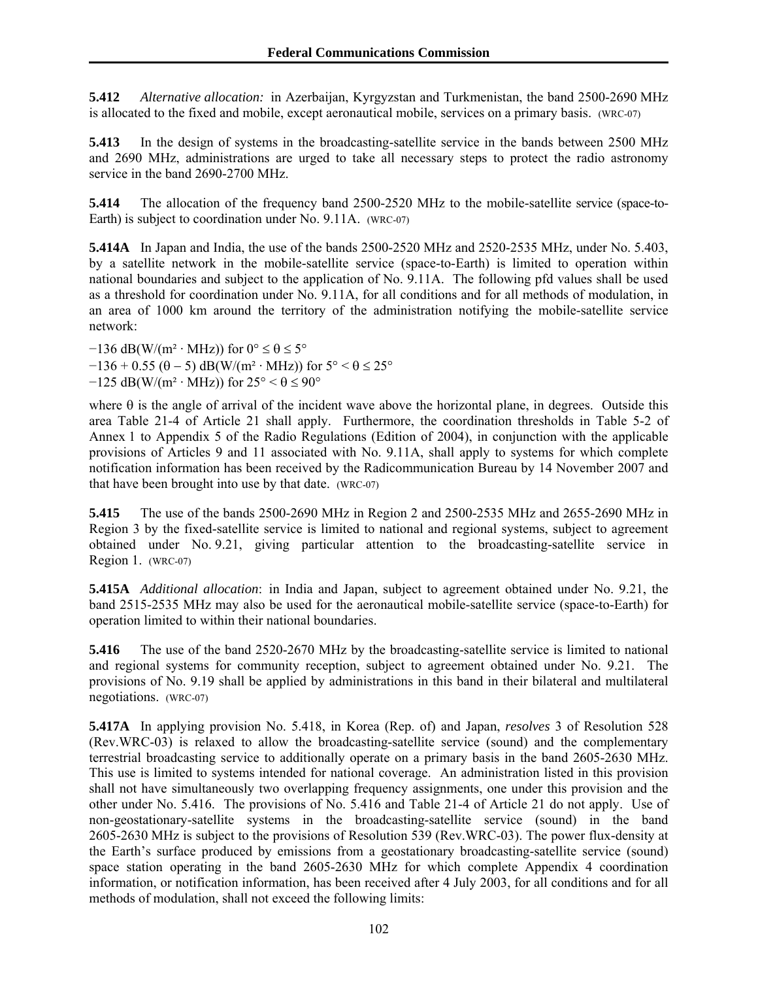**5.412** *Alternative allocation:* in Azerbaijan, Kyrgyzstan and Turkmenistan, the band 2500-2690 MHz is allocated to the fixed and mobile, except aeronautical mobile, services on a primary basis. (WRC-07)

**5.413** In the design of systems in the broadcasting-satellite service in the bands between 2500 MHz and 2690 MHz, administrations are urged to take all necessary steps to protect the radio astronomy service in the band 2690-2700 MHz.

**5.414** The allocation of the frequency band 2500-2520 MHz to the mobile-satellite service (space-to-Earth) is subject to coordination under No. 9.11A. (WRC-07)

**5.414A** In Japan and India, the use of the bands 2500-2520 MHz and 2520-2535 MHz, under No. 5.403, by a satellite network in the mobile-satellite service (space-to-Earth) is limited to operation within national boundaries and subject to the application of No. 9.11A. The following pfd values shall be used as a threshold for coordination under No. 9.11A, for all conditions and for all methods of modulation, in an area of 1000 km around the territory of the administration notifying the mobile-satellite service network:

 $-136$  dB(W/(m<sup>2</sup> · MHz)) for  $0^{\circ} \le \theta \le 5^{\circ}$  $-136 + 0.55 (\theta - 5) \text{ dB}(W/(m^2 \cdot \text{MHz}))$  for  $5^{\circ} < \theta \le 25^{\circ}$  $-125$  dB(W/(m<sup>2</sup> · MHz)) for  $25^{\circ} < \theta \le 90^{\circ}$ 

where  $\theta$  is the angle of arrival of the incident wave above the horizontal plane, in degrees. Outside this area Table 21-4 of Article 21 shall apply. Furthermore, the coordination thresholds in Table 5-2 of Annex 1 to Appendix 5 of the Radio Regulations (Edition of 2004), in conjunction with the applicable provisions of Articles 9 and 11 associated with No. 9.11A, shall apply to systems for which complete notification information has been received by the Radicommunication Bureau by 14 November 2007 and that have been brought into use by that date. (WRC-07)

**5.415** The use of the bands 2500-2690 MHz in Region 2 and 2500-2535 MHz and 2655-2690 MHz in Region 3 by the fixed-satellite service is limited to national and regional systems, subject to agreement obtained under No. 9.21, giving particular attention to the broadcasting-satellite service in Region 1. (WRC-07)

**5.415A** *Additional allocation*: in India and Japan, subject to agreement obtained under No. 9.21, the band 2515-2535 MHz may also be used for the aeronautical mobile-satellite service (space-to-Earth) for operation limited to within their national boundaries.

**5.416** The use of the band 2520-2670 MHz by the broadcasting-satellite service is limited to national and regional systems for community reception, subject to agreement obtained under No. 9.21. The provisions of No. 9.19 shall be applied by administrations in this band in their bilateral and multilateral negotiations. (WRC-07)

**5.417A** In applying provision No. 5.418, in Korea (Rep. of) and Japan, *resolves* 3 of Resolution 528 (Rev.WRC-03) is relaxed to allow the broadcasting-satellite service (sound) and the complementary terrestrial broadcasting service to additionally operate on a primary basis in the band 2605-2630 MHz. This use is limited to systems intended for national coverage. An administration listed in this provision shall not have simultaneously two overlapping frequency assignments, one under this provision and the other under No. 5.416. The provisions of No. 5.416 and Table 21-4 of Article 21 do not apply. Use of non-geostationary-satellite systems in the broadcasting-satellite service (sound) in the band 2605-2630 MHz is subject to the provisions of Resolution 539 (Rev.WRC-03). The power flux-density at the Earth's surface produced by emissions from a geostationary broadcasting-satellite service (sound) space station operating in the band 2605-2630 MHz for which complete Appendix 4 coordination information, or notification information, has been received after 4 July 2003, for all conditions and for all methods of modulation, shall not exceed the following limits: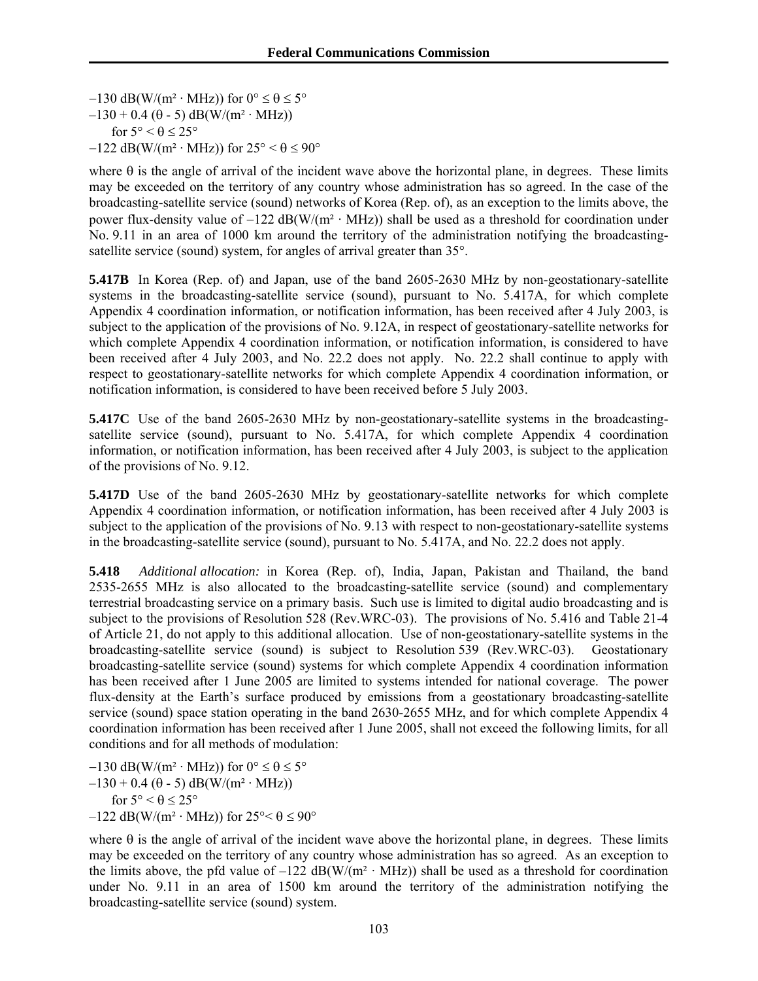$-130$  dB(W/(m<sup>2</sup> · MHz)) for  $0^{\circ} \le \theta \le 5^{\circ}$  $-130 + 0.4$  ( $\theta$  - 5) dB(W/(m<sup>2</sup> · MHz)) for  $5^{\circ} < \theta \leq 25^{\circ}$  $-122$  dB(W/(m<sup>2</sup> · MHz)) for  $25^{\circ} < \theta \le 90^{\circ}$ 

where  $\theta$  is the angle of arrival of the incident wave above the horizontal plane, in degrees. These limits may be exceeded on the territory of any country whose administration has so agreed. In the case of the broadcasting-satellite service (sound) networks of Korea (Rep. of), as an exception to the limits above, the power flux-density value of  $-122$  dB(W/(m<sup>2</sup> · MHz)) shall be used as a threshold for coordination under No. 9.11 in an area of 1000 km around the territory of the administration notifying the broadcastingsatellite service (sound) system, for angles of arrival greater than 35°.

**5.417B** In Korea (Rep. of) and Japan, use of the band 2605-2630 MHz by non-geostationary-satellite systems in the broadcasting-satellite service (sound), pursuant to No. 5.417A, for which complete Appendix 4 coordination information, or notification information, has been received after 4 July 2003, is subject to the application of the provisions of No. 9.12A, in respect of geostationary-satellite networks for which complete Appendix 4 coordination information, or notification information, is considered to have been received after 4 July 2003, and No. 22.2 does not apply. No. 22.2 shall continue to apply with respect to geostationary-satellite networks for which complete Appendix 4 coordination information, or notification information, is considered to have been received before 5 July 2003.

**5.417C** Use of the band 2605-2630 MHz by non-geostationary-satellite systems in the broadcastingsatellite service (sound), pursuant to No. 5.417A, for which complete Appendix 4 coordination information, or notification information, has been received after 4 July 2003, is subject to the application of the provisions of No. 9.12.

**5.417D** Use of the band 2605-2630 MHz by geostationary-satellite networks for which complete Appendix 4 coordination information, or notification information, has been received after 4 July 2003 is subject to the application of the provisions of No. 9.13 with respect to non-geostationary-satellite systems in the broadcasting-satellite service (sound), pursuant to No. 5.417A, and No. 22.2 does not apply.

**5.418** *Additional allocation:* in Korea (Rep. of), India, Japan, Pakistan and Thailand, the band 2535-2655 MHz is also allocated to the broadcasting-satellite service (sound) and complementary terrestrial broadcasting service on a primary basis. Such use is limited to digital audio broadcasting and is subject to the provisions of Resolution 528 (Rev.WRC-03). The provisions of No. 5.416 and Table 21-4 of Article 21, do not apply to this additional allocation. Use of non-geostationary-satellite systems in the broadcasting-satellite service (sound) is subject to Resolution 539 (Rev.WRC-03). Geostationary broadcasting-satellite service (sound) systems for which complete Appendix 4 coordination information has been received after 1 June 2005 are limited to systems intended for national coverage. The power flux-density at the Earth's surface produced by emissions from a geostationary broadcasting-satellite service (sound) space station operating in the band 2630-2655 MHz, and for which complete Appendix 4 coordination information has been received after 1 June 2005, shall not exceed the following limits, for all conditions and for all methods of modulation:

 $-130$  dB(W/(m<sup>2</sup> · MHz)) for  $0^{\circ} \le \theta \le 5^{\circ}$  $-130 + 0.4$  ( $\theta$  - 5) dB(W/(m<sup>2</sup> · MHz)) for  $5^{\circ} < \theta \leq 25^{\circ}$  $-122$  dB(W/(m<sup>2</sup> · MHz)) for  $25^{\circ} < \theta \le 90^{\circ}$ 

where  $\theta$  is the angle of arrival of the incident wave above the horizontal plane, in degrees. These limits may be exceeded on the territory of any country whose administration has so agreed. As an exception to the limits above, the pfd value of  $-122$  dB(W/(m<sup>2</sup> · MHz)) shall be used as a threshold for coordination under No. 9.11 in an area of 1500 km around the territory of the administration notifying the broadcasting-satellite service (sound) system.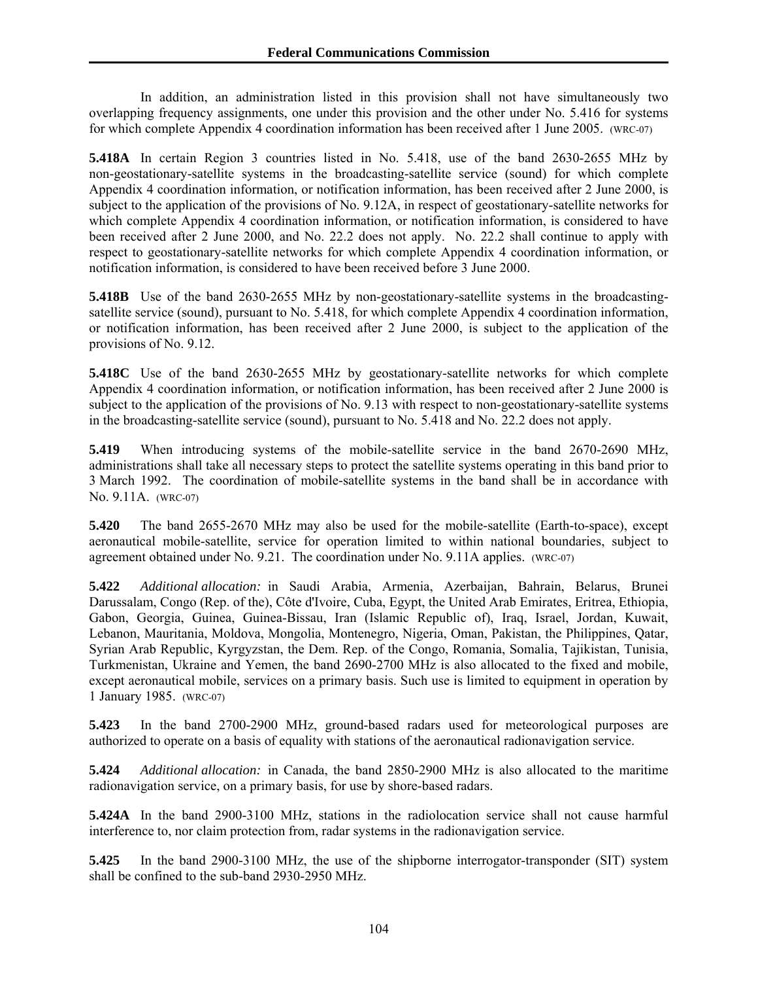In addition, an administration listed in this provision shall not have simultaneously two overlapping frequency assignments, one under this provision and the other under No. 5.416 for systems for which complete Appendix 4 coordination information has been received after 1 June 2005. (WRC-07)

**5.418A** In certain Region 3 countries listed in No. 5.418, use of the band 2630-2655 MHz by non-geostationary-satellite systems in the broadcasting-satellite service (sound) for which complete Appendix 4 coordination information, or notification information, has been received after 2 June 2000, is subject to the application of the provisions of No. 9.12A, in respect of geostationary-satellite networks for which complete Appendix 4 coordination information, or notification information, is considered to have been received after 2 June 2000, and No. 22.2 does not apply. No. 22.2 shall continue to apply with respect to geostationary-satellite networks for which complete Appendix 4 coordination information, or notification information, is considered to have been received before 3 June 2000.

**5.418B** Use of the band 2630-2655 MHz by non-geostationary-satellite systems in the broadcastingsatellite service (sound), pursuant to No. 5.418, for which complete Appendix 4 coordination information, or notification information, has been received after 2 June 2000, is subject to the application of the provisions of No. 9.12.

**5.418C** Use of the band 2630-2655 MHz by geostationary-satellite networks for which complete Appendix 4 coordination information, or notification information, has been received after 2 June 2000 is subject to the application of the provisions of No. 9.13 with respect to non-geostationary-satellite systems in the broadcasting-satellite service (sound), pursuant to No. 5.418 and No. 22.2 does not apply.

**5.419** When introducing systems of the mobile-satellite service in the band 2670-2690 MHz, administrations shall take all necessary steps to protect the satellite systems operating in this band prior to 3 March 1992. The coordination of mobile-satellite systems in the band shall be in accordance with No. 9.11A. (WRC-07)

**5.420** The band 2655-2670 MHz may also be used for the mobile-satellite (Earth-to-space), except aeronautical mobile-satellite, service for operation limited to within national boundaries, subject to agreement obtained under No. 9.21. The coordination under No. 9.11A applies. (WRC-07)

**5.422** *Additional allocation:* in Saudi Arabia, Armenia, Azerbaijan, Bahrain, Belarus, Brunei Darussalam, Congo (Rep. of the), Côte d'Ivoire, Cuba, Egypt, the United Arab Emirates, Eritrea, Ethiopia, Gabon, Georgia, Guinea, Guinea-Bissau, Iran (Islamic Republic of), Iraq, Israel, Jordan, Kuwait, Lebanon, Mauritania, Moldova, Mongolia, Montenegro, Nigeria, Oman, Pakistan, the Philippines, Qatar, Syrian Arab Republic, Kyrgyzstan, the Dem. Rep. of the Congo, Romania, Somalia, Tajikistan, Tunisia, Turkmenistan, Ukraine and Yemen, the band 2690-2700 MHz is also allocated to the fixed and mobile, except aeronautical mobile, services on a primary basis. Such use is limited to equipment in operation by 1 January 1985. (WRC-07)

**5.423** In the band 2700-2900 MHz, ground-based radars used for meteorological purposes are authorized to operate on a basis of equality with stations of the aeronautical radionavigation service.

**5.424** *Additional allocation:* in Canada, the band 2850-2900 MHz is also allocated to the maritime radionavigation service, on a primary basis, for use by shore-based radars.

**5.424A** In the band 2900-3100 MHz, stations in the radiolocation service shall not cause harmful interference to, nor claim protection from, radar systems in the radionavigation service.

**5.425** In the band 2900-3100 MHz, the use of the shipborne interrogator-transponder (SIT) system shall be confined to the sub-band 2930-2950 MHz.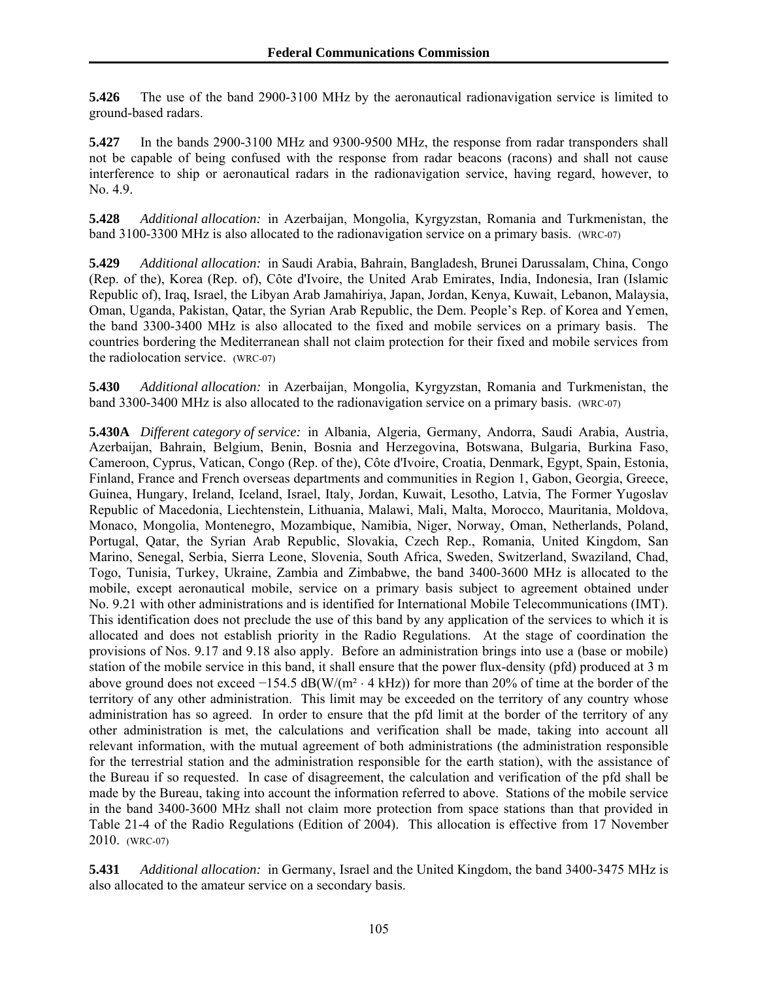**5.426** The use of the band 2900-3100 MHz by the aeronautical radionavigation service is limited to ground-based radars.

**5.427** In the bands 2900-3100 MHz and 9300-9500 MHz, the response from radar transponders shall not be capable of being confused with the response from radar beacons (racons) and shall not cause interference to ship or aeronautical radars in the radionavigation service, having regard, however, to No. 4.9.

**5.428** *Additional allocation:* in Azerbaijan, Mongolia, Kyrgyzstan, Romania and Turkmenistan, the band 3100-3300 MHz is also allocated to the radionavigation service on a primary basis. (WRC-07)

**5.429** *Additional allocation:* in Saudi Arabia, Bahrain, Bangladesh, Brunei Darussalam, China, Congo (Rep. of the), Korea (Rep. of), Côte d'Ivoire, the United Arab Emirates, India, Indonesia, Iran (Islamic Republic of), Iraq, Israel, the Libyan Arab Jamahiriya, Japan, Jordan, Kenya, Kuwait, Lebanon, Malaysia, Oman, Uganda, Pakistan, Qatar, the Syrian Arab Republic, the Dem. People's Rep. of Korea and Yemen, the band 3300-3400 MHz is also allocated to the fixed and mobile services on a primary basis. The countries bordering the Mediterranean shall not claim protection for their fixed and mobile services from the radiolocation service. (WRC-07)

**5.430** *Additional allocation:* in Azerbaijan, Mongolia, Kyrgyzstan, Romania and Turkmenistan, the band 3300-3400 MHz is also allocated to the radionavigation service on a primary basis. (WRC-07)

**5.430A** *Different category of service:* in Albania, Algeria, Germany, Andorra, Saudi Arabia, Austria, Azerbaijan, Bahrain, Belgium, Benin, Bosnia and Herzegovina, Botswana, Bulgaria, Burkina Faso, Cameroon, Cyprus, Vatican, Congo (Rep. of the), Côte d'Ivoire, Croatia, Denmark, Egypt, Spain, Estonia, Finland, France and French overseas departments and communities in Region 1, Gabon, Georgia, Greece, Guinea, Hungary, Ireland, Iceland, Israel, Italy, Jordan, Kuwait, Lesotho, Latvia, The Former Yugoslav Republic of Macedonia, Liechtenstein, Lithuania, Malawi, Mali, Malta, Morocco, Mauritania, Moldova, Monaco, Mongolia, Montenegro, Mozambique, Namibia, Niger, Norway, Oman, Netherlands, Poland, Portugal, Qatar, the Syrian Arab Republic, Slovakia, Czech Rep., Romania, United Kingdom, San Marino, Senegal, Serbia, Sierra Leone, Slovenia, South Africa, Sweden, Switzerland, Swaziland, Chad, Togo, Tunisia, Turkey, Ukraine, Zambia and Zimbabwe, the band 3400-3600 MHz is allocated to the mobile, except aeronautical mobile, service on a primary basis subject to agreement obtained under No. 9.21 with other administrations and is identified for International Mobile Telecommunications (IMT). This identification does not preclude the use of this band by any application of the services to which it is allocated and does not establish priority in the Radio Regulations. At the stage of coordination the provisions of Nos. 9.17 and 9.18 also apply. Before an administration brings into use a (base or mobile) station of the mobile service in this band, it shall ensure that the power flux-density (pfd) produced at 3 m above ground does not exceed  $-154.5$  dB(W/(m<sup>2</sup>  $\cdot$  4 kHz)) for more than 20% of time at the border of the territory of any other administration. This limit may be exceeded on the territory of any country whose administration has so agreed. In order to ensure that the pfd limit at the border of the territory of any other administration is met, the calculations and verification shall be made, taking into account all relevant information, with the mutual agreement of both administrations (the administration responsible for the terrestrial station and the administration responsible for the earth station), with the assistance of the Bureau if so requested. In case of disagreement, the calculation and verification of the pfd shall be made by the Bureau, taking into account the information referred to above. Stations of the mobile service in the band 3400-3600 MHz shall not claim more protection from space stations than that provided in Table 21-4 of the Radio Regulations (Edition of 2004). This allocation is effective from 17 November 2010. (WRC-07)

**5.431** *Additional allocation:* in Germany, Israel and the United Kingdom, the band 3400-3475 MHz is also allocated to the amateur service on a secondary basis.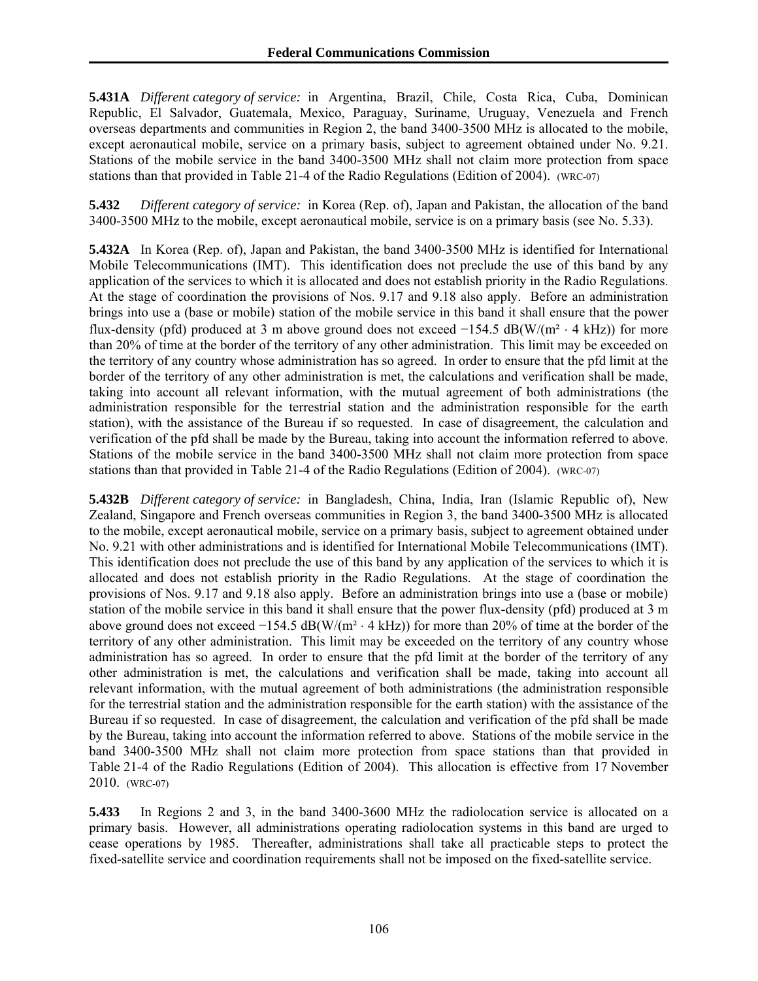**5.431A** *Different category of service:* in Argentina, Brazil, Chile, Costa Rica, Cuba, Dominican Republic, El Salvador, Guatemala, Mexico, Paraguay, Suriname, Uruguay, Venezuela and French overseas departments and communities in Region 2, the band 3400-3500 MHz is allocated to the mobile, except aeronautical mobile, service on a primary basis, subject to agreement obtained under No. 9.21. Stations of the mobile service in the band 3400-3500 MHz shall not claim more protection from space stations than that provided in Table 21-4 of the Radio Regulations (Edition of 2004). (WRC-07)

**5.432** *Different category of service:* in Korea (Rep. of), Japan and Pakistan, the allocation of the band 3400-3500 MHz to the mobile, except aeronautical mobile, service is on a primary basis (see No. 5.33).

**5.432A** In Korea (Rep. of), Japan and Pakistan, the band 3400-3500 MHz is identified for International Mobile Telecommunications (IMT). This identification does not preclude the use of this band by any application of the services to which it is allocated and does not establish priority in the Radio Regulations. At the stage of coordination the provisions of Nos. 9.17 and 9.18 also apply. Before an administration brings into use a (base or mobile) station of the mobile service in this band it shall ensure that the power flux-density (pfd) produced at 3 m above ground does not exceed  $-154.5$  dB(W/(m<sup>2</sup>  $\cdot$  4 kHz)) for more than 20% of time at the border of the territory of any other administration. This limit may be exceeded on the territory of any country whose administration has so agreed. In order to ensure that the pfd limit at the border of the territory of any other administration is met, the calculations and verification shall be made, taking into account all relevant information, with the mutual agreement of both administrations (the administration responsible for the terrestrial station and the administration responsible for the earth station), with the assistance of the Bureau if so requested. In case of disagreement, the calculation and verification of the pfd shall be made by the Bureau, taking into account the information referred to above. Stations of the mobile service in the band 3400-3500 MHz shall not claim more protection from space stations than that provided in Table 21-4 of the Radio Regulations (Edition of 2004). (WRC-07)

**5.432B** *Different category of service:* in Bangladesh, China, India, Iran (Islamic Republic of), New Zealand, Singapore and French overseas communities in Region 3, the band 3400-3500 MHz is allocated to the mobile, except aeronautical mobile, service on a primary basis, subject to agreement obtained under No. 9.21 with other administrations and is identified for International Mobile Telecommunications (IMT). This identification does not preclude the use of this band by any application of the services to which it is allocated and does not establish priority in the Radio Regulations. At the stage of coordination the provisions of Nos. 9.17 and 9.18 also apply. Before an administration brings into use a (base or mobile) station of the mobile service in this band it shall ensure that the power flux-density (pfd) produced at 3 m above ground does not exceed  $-154.5$  dB(W/(m<sup>2</sup>  $\cdot$  4 kHz)) for more than 20% of time at the border of the territory of any other administration. This limit may be exceeded on the territory of any country whose administration has so agreed. In order to ensure that the pfd limit at the border of the territory of any other administration is met, the calculations and verification shall be made, taking into account all relevant information, with the mutual agreement of both administrations (the administration responsible for the terrestrial station and the administration responsible for the earth station) with the assistance of the Bureau if so requested. In case of disagreement, the calculation and verification of the pfd shall be made by the Bureau, taking into account the information referred to above. Stations of the mobile service in the band 3400-3500 MHz shall not claim more protection from space stations than that provided in Table 21-4 of the Radio Regulations (Edition of 2004). This allocation is effective from 17 November 2010. (WRC-07)

**5.433** In Regions 2 and 3, in the band 3400-3600 MHz the radiolocation service is allocated on a primary basis. However, all administrations operating radiolocation systems in this band are urged to cease operations by 1985. Thereafter, administrations shall take all practicable steps to protect the fixed-satellite service and coordination requirements shall not be imposed on the fixed-satellite service.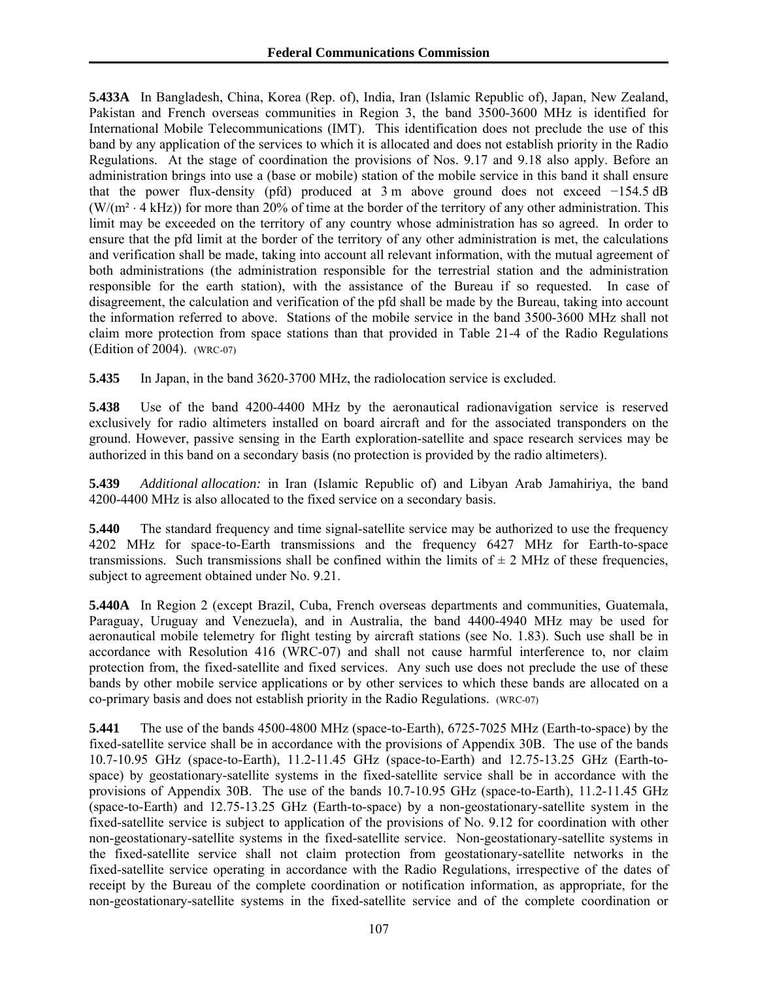**5.433A** In Bangladesh, China, Korea (Rep. of), India, Iran (Islamic Republic of), Japan, New Zealand, Pakistan and French overseas communities in Region 3, the band 3500-3600 MHz is identified for International Mobile Telecommunications (IMT). This identification does not preclude the use of this band by any application of the services to which it is allocated and does not establish priority in the Radio Regulations. At the stage of coordination the provisions of Nos. 9.17 and 9.18 also apply. Before an administration brings into use a (base or mobile) station of the mobile service in this band it shall ensure that the power flux-density (pfd) produced at 3 m above ground does not exceed −154.5 dB  $(W/(m^2 \cdot 4 \text{ kHz}))$  for more than 20% of time at the border of the territory of any other administration. This limit may be exceeded on the territory of any country whose administration has so agreed. In order to ensure that the pfd limit at the border of the territory of any other administration is met, the calculations and verification shall be made, taking into account all relevant information, with the mutual agreement of both administrations (the administration responsible for the terrestrial station and the administration responsible for the earth station), with the assistance of the Bureau if so requested. In case of disagreement, the calculation and verification of the pfd shall be made by the Bureau, taking into account the information referred to above. Stations of the mobile service in the band 3500-3600 MHz shall not claim more protection from space stations than that provided in Table 21-4 of the Radio Regulations (Edition of 2004). (WRC-07)

**5.435** In Japan, in the band 3620-3700 MHz, the radiolocation service is excluded.

**5.438** Use of the band 4200-4400 MHz by the aeronautical radionavigation service is reserved exclusively for radio altimeters installed on board aircraft and for the associated transponders on the ground. However, passive sensing in the Earth exploration-satellite and space research services may be authorized in this band on a secondary basis (no protection is provided by the radio altimeters).

**5.439** *Additional allocation:* in Iran (Islamic Republic of) and Libyan Arab Jamahiriya, the band 4200-4400 MHz is also allocated to the fixed service on a secondary basis.

**5.440** The standard frequency and time signal-satellite service may be authorized to use the frequency 4202 MHz for space-to-Earth transmissions and the frequency 6427 MHz for Earth-to-space transmissions. Such transmissions shall be confined within the limits of  $\pm 2$  MHz of these frequencies, subject to agreement obtained under No. 9.21.

**5.440A** In Region 2 (except Brazil, Cuba, French overseas departments and communities, Guatemala, Paraguay, Uruguay and Venezuela), and in Australia, the band 4400-4940 MHz may be used for aeronautical mobile telemetry for flight testing by aircraft stations (see No. 1.83). Such use shall be in accordance with Resolution 416 (WRC-07) and shall not cause harmful interference to, nor claim protection from, the fixed-satellite and fixed services. Any such use does not preclude the use of these bands by other mobile service applications or by other services to which these bands are allocated on a co-primary basis and does not establish priority in the Radio Regulations. (WRC-07)

**5.441** The use of the bands 4500-4800 MHz (space-to-Earth), 6725-7025 MHz (Earth-to-space) by the fixed-satellite service shall be in accordance with the provisions of Appendix 30B. The use of the bands 10.7-10.95 GHz (space-to-Earth), 11.2-11.45 GHz (space-to-Earth) and 12.75-13.25 GHz (Earth-tospace) by geostationary-satellite systems in the fixed-satellite service shall be in accordance with the provisions of Appendix 30B. The use of the bands 10.7-10.95 GHz (space-to-Earth), 11.2-11.45 GHz (space-to-Earth) and 12.75-13.25 GHz (Earth-to-space) by a non-geostationary-satellite system in the fixed-satellite service is subject to application of the provisions of No. 9.12 for coordination with other non-geostationary-satellite systems in the fixed-satellite service. Non-geostationary-satellite systems in the fixed-satellite service shall not claim protection from geostationary-satellite networks in the fixed-satellite service operating in accordance with the Radio Regulations, irrespective of the dates of receipt by the Bureau of the complete coordination or notification information, as appropriate, for the non-geostationary-satellite systems in the fixed-satellite service and of the complete coordination or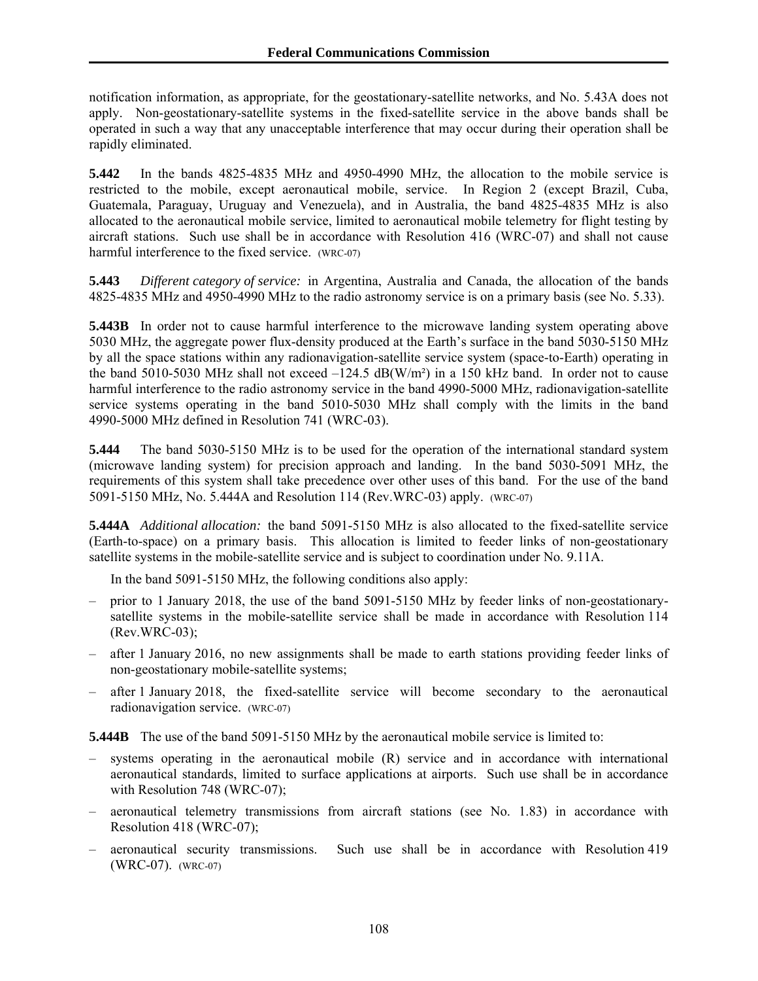notification information, as appropriate, for the geostationary-satellite networks, and No. 5.43A does not apply. Non-geostationary-satellite systems in the fixed-satellite service in the above bands shall be operated in such a way that any unacceptable interference that may occur during their operation shall be rapidly eliminated.

**5.442** In the bands 4825-4835 MHz and 4950-4990 MHz, the allocation to the mobile service is restricted to the mobile, except aeronautical mobile, service. In Region 2 (except Brazil, Cuba, Guatemala, Paraguay, Uruguay and Venezuela), and in Australia, the band 4825-4835 MHz is also allocated to the aeronautical mobile service, limited to aeronautical mobile telemetry for flight testing by aircraft stations. Such use shall be in accordance with Resolution 416 (WRC-07) and shall not cause harmful interference to the fixed service. (WRC-07)

**5.443** *Different category of service:* in Argentina, Australia and Canada, the allocation of the bands 4825-4835 MHz and 4950-4990 MHz to the radio astronomy service is on a primary basis (see No. 5.33).

**5.443B** In order not to cause harmful interference to the microwave landing system operating above 5030 MHz, the aggregate power flux-density produced at the Earth's surface in the band 5030-5150 MHz by all the space stations within any radionavigation-satellite service system (space-to-Earth) operating in the band 5010-5030 MHz shall not exceed  $-124.5$  dB(W/m<sup>2</sup>) in a 150 kHz band. In order not to cause harmful interference to the radio astronomy service in the band 4990-5000 MHz, radionavigation-satellite service systems operating in the band 5010-5030 MHz shall comply with the limits in the band 4990-5000 MHz defined in Resolution 741 (WRC-03).

**5.444** The band 5030-5150 MHz is to be used for the operation of the international standard system (microwave landing system) for precision approach and landing. In the band 5030-5091 MHz, the requirements of this system shall take precedence over other uses of this band. For the use of the band 5091-5150 MHz, No. 5.444A and Resolution 114 (Rev.WRC-03) apply. (WRC-07)

**5.444A** *Additional allocation:* the band 5091-5150 MHz is also allocated to the fixed-satellite service (Earth-to-space) on a primary basis. This allocation is limited to feeder links of non-geostationary satellite systems in the mobile-satellite service and is subject to coordination under No. 9.11A.

In the band 5091-5150 MHz, the following conditions also apply:

- prior to 1 January 2018, the use of the band 5091-5150 MHz by feeder links of non-geostationarysatellite systems in the mobile-satellite service shall be made in accordance with Resolution 114 (Rev.WRC-03);
- after 1 January 2016, no new assignments shall be made to earth stations providing feeder links of non-geostationary mobile-satellite systems;
- after 1 January 2018, the fixed-satellite service will become secondary to the aeronautical radionavigation service. (WRC-07)

**5.444B** The use of the band 5091-5150 MHz by the aeronautical mobile service is limited to:

- systems operating in the aeronautical mobile  $(R)$  service and in accordance with international aeronautical standards, limited to surface applications at airports. Such use shall be in accordance with Resolution 748 (WRC-07);
- aeronautical telemetry transmissions from aircraft stations (see No. 1.83) in accordance with Resolution 418 (WRC-07);
- aeronautical security transmissions. Such use shall be in accordance with Resolution 419 (WRC-07). (WRC-07)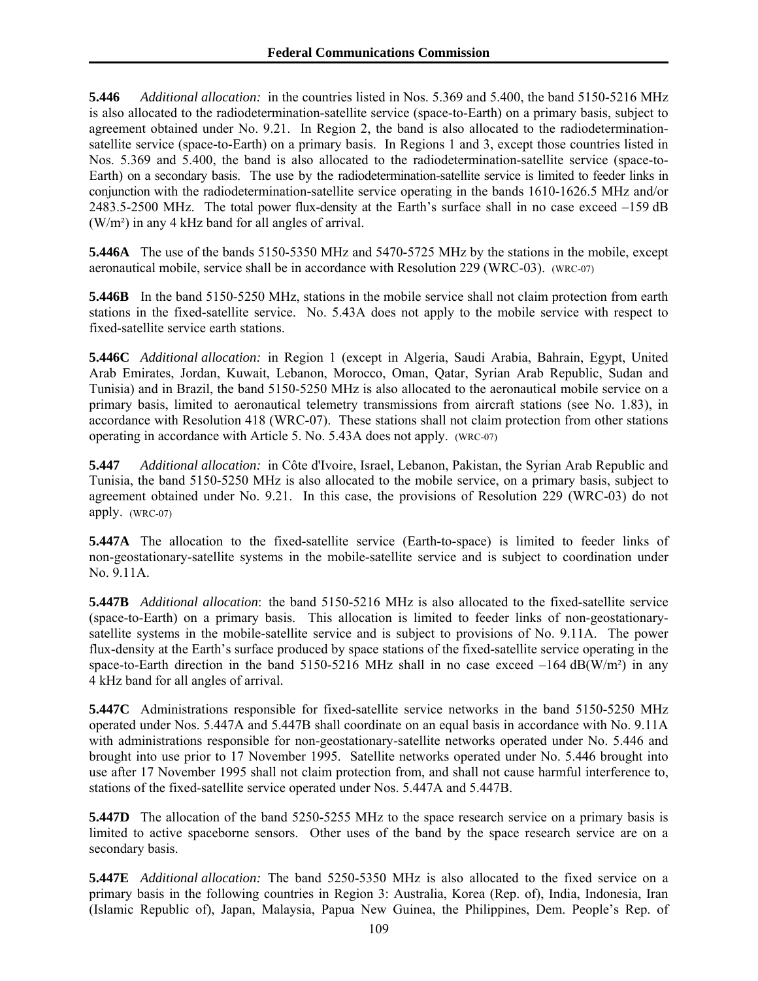**5.446** *Additional allocation:* in the countries listed in Nos. 5.369 and 5.400, the band 5150-5216 MHz is also allocated to the radiodetermination-satellite service (space-to-Earth) on a primary basis, subject to agreement obtained under No. 9.21. In Region 2, the band is also allocated to the radiodeterminationsatellite service (space-to-Earth) on a primary basis. In Regions 1 and 3, except those countries listed in Nos. 5.369 and 5.400, the band is also allocated to the radiodetermination-satellite service (space-to-Earth) on a secondary basis. The use by the radiodetermination-satellite service is limited to feeder links in conjunction with the radiodetermination-satellite service operating in the bands 1610-1626.5 MHz and/or 2483.5-2500 MHz. The total power flux-density at the Earth's surface shall in no case exceed –159 dB (W/m²) in any 4 kHz band for all angles of arrival.

**5.446A** The use of the bands 5150-5350 MHz and 5470-5725 MHz by the stations in the mobile, except aeronautical mobile, service shall be in accordance with Resolution 229 (WRC-03). (WRC-07)

**5.446B** In the band 5150-5250 MHz, stations in the mobile service shall not claim protection from earth stations in the fixed-satellite service. No. 5.43A does not apply to the mobile service with respect to fixed-satellite service earth stations.

**5.446C** *Additional allocation:* in Region 1 (except in Algeria, Saudi Arabia, Bahrain, Egypt, United Arab Emirates, Jordan, Kuwait, Lebanon, Morocco, Oman, Qatar, Syrian Arab Republic, Sudan and Tunisia) and in Brazil, the band 5150-5250 MHz is also allocated to the aeronautical mobile service on a primary basis, limited to aeronautical telemetry transmissions from aircraft stations (see No. 1.83), in accordance with Resolution 418 (WRC-07). These stations shall not claim protection from other stations operating in accordance with Article 5. No. 5.43A does not apply. (WRC-07)

**5.447** *Additional allocation:* in Côte d'Ivoire, Israel, Lebanon, Pakistan, the Syrian Arab Republic and Tunisia, the band 5150-5250 MHz is also allocated to the mobile service, on a primary basis, subject to agreement obtained under No. 9.21. In this case, the provisions of Resolution 229 (WRC-03) do not apply. (WRC-07)

**5.447A** The allocation to the fixed-satellite service (Earth-to-space) is limited to feeder links of non-geostationary-satellite systems in the mobile-satellite service and is subject to coordination under No. 9.11A.

**5.447B** *Additional allocation*: the band 5150-5216 MHz is also allocated to the fixed-satellite service (space-to-Earth) on a primary basis. This allocation is limited to feeder links of non-geostationarysatellite systems in the mobile-satellite service and is subject to provisions of No. 9.11A. The power flux-density at the Earth's surface produced by space stations of the fixed-satellite service operating in the space-to-Earth direction in the band 5150-5216 MHz shall in no case exceed  $-164$  dB(W/m<sup>2</sup>) in any 4 kHz band for all angles of arrival.

**5.447C** Administrations responsible for fixed-satellite service networks in the band 5150-5250 MHz operated under Nos. 5.447A and 5.447B shall coordinate on an equal basis in accordance with No. 9.11A with administrations responsible for non-geostationary-satellite networks operated under No. 5.446 and brought into use prior to 17 November 1995. Satellite networks operated under No. 5.446 brought into use after 17 November 1995 shall not claim protection from, and shall not cause harmful interference to, stations of the fixed-satellite service operated under Nos. 5.447A and 5.447B.

**5.447D** The allocation of the band 5250-5255 MHz to the space research service on a primary basis is limited to active spaceborne sensors. Other uses of the band by the space research service are on a secondary basis.

**5.447E** *Additional allocation:* The band 5250-5350 MHz is also allocated to the fixed service on a primary basis in the following countries in Region 3: Australia, Korea (Rep. of), India, Indonesia, Iran (Islamic Republic of), Japan, Malaysia, Papua New Guinea, the Philippines, Dem. People's Rep. of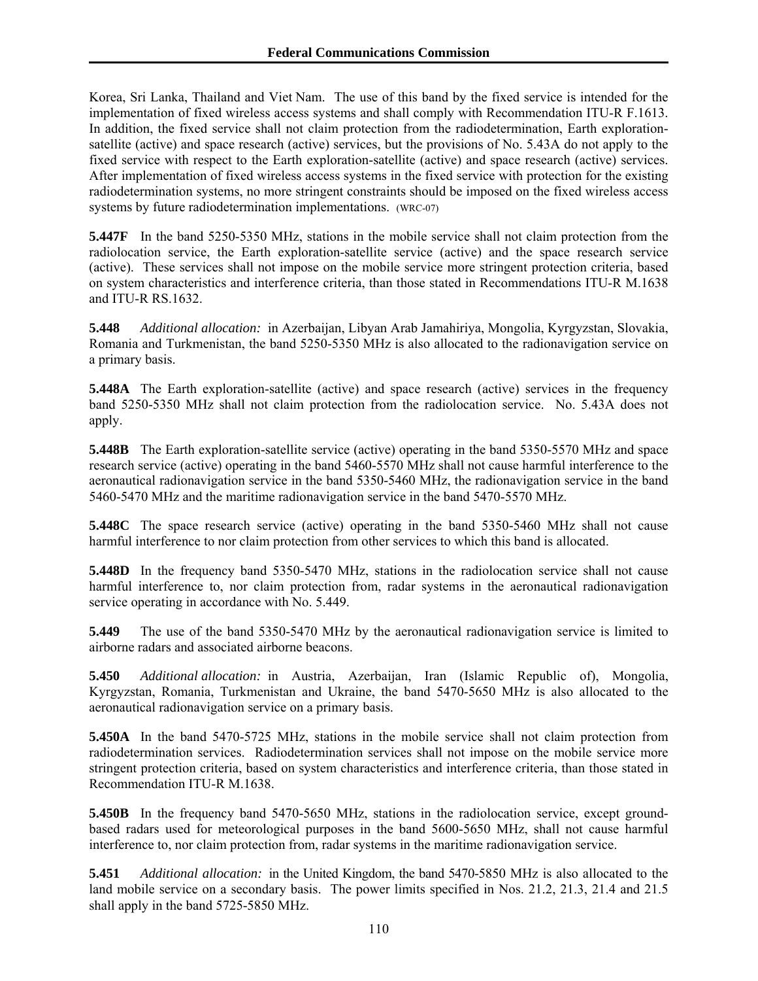Korea, Sri Lanka, Thailand and Viet Nam. The use of this band by the fixed service is intended for the implementation of fixed wireless access systems and shall comply with Recommendation ITU-R F.1613. In addition, the fixed service shall not claim protection from the radiodetermination, Earth explorationsatellite (active) and space research (active) services, but the provisions of No. 5.43A do not apply to the fixed service with respect to the Earth exploration-satellite (active) and space research (active) services. After implementation of fixed wireless access systems in the fixed service with protection for the existing radiodetermination systems, no more stringent constraints should be imposed on the fixed wireless access systems by future radiodetermination implementations. (WRC-07)

**5.447F** In the band 5250-5350 MHz, stations in the mobile service shall not claim protection from the radiolocation service, the Earth exploration-satellite service (active) and the space research service (active). These services shall not impose on the mobile service more stringent protection criteria, based on system characteristics and interference criteria, than those stated in Recommendations ITU-R M.1638 and ITU-R RS.1632.

**5.448** *Additional allocation:* in Azerbaijan, Libyan Arab Jamahiriya, Mongolia, Kyrgyzstan, Slovakia, Romania and Turkmenistan, the band 5250-5350 MHz is also allocated to the radionavigation service on a primary basis.

**5.448A** The Earth exploration-satellite (active) and space research (active) services in the frequency band 5250-5350 MHz shall not claim protection from the radiolocation service. No. 5.43A does not apply.

**5.448B** The Earth exploration-satellite service (active) operating in the band 5350-5570 MHz and space research service (active) operating in the band 5460-5570 MHz shall not cause harmful interference to the aeronautical radionavigation service in the band 5350-5460 MHz, the radionavigation service in the band 5460-5470 MHz and the maritime radionavigation service in the band 5470-5570 MHz.

**5.448C** The space research service (active) operating in the band 5350-5460 MHz shall not cause harmful interference to nor claim protection from other services to which this band is allocated.

**5.448D** In the frequency band 5350-5470 MHz, stations in the radiolocation service shall not cause harmful interference to, nor claim protection from, radar systems in the aeronautical radionavigation service operating in accordance with No. 5.449.

**5.449** The use of the band 5350-5470 MHz by the aeronautical radionavigation service is limited to airborne radars and associated airborne beacons.

**5.450** *Additional allocation:* in Austria, Azerbaijan, Iran (Islamic Republic of), Mongolia, Kyrgyzstan, Romania, Turkmenistan and Ukraine, the band 5470-5650 MHz is also allocated to the aeronautical radionavigation service on a primary basis.

**5.450A** In the band 5470-5725 MHz, stations in the mobile service shall not claim protection from radiodetermination services. Radiodetermination services shall not impose on the mobile service more stringent protection criteria, based on system characteristics and interference criteria, than those stated in Recommendation ITU-R M.1638.

**5.450B** In the frequency band 5470-5650 MHz, stations in the radiolocation service, except groundbased radars used for meteorological purposes in the band 5600-5650 MHz, shall not cause harmful interference to, nor claim protection from, radar systems in the maritime radionavigation service.

**5.451** *Additional allocation:* in the United Kingdom, the band 5470-5850 MHz is also allocated to the land mobile service on a secondary basis. The power limits specified in Nos. 21.2, 21.3, 21.4 and 21.5 shall apply in the band 5725-5850 MHz.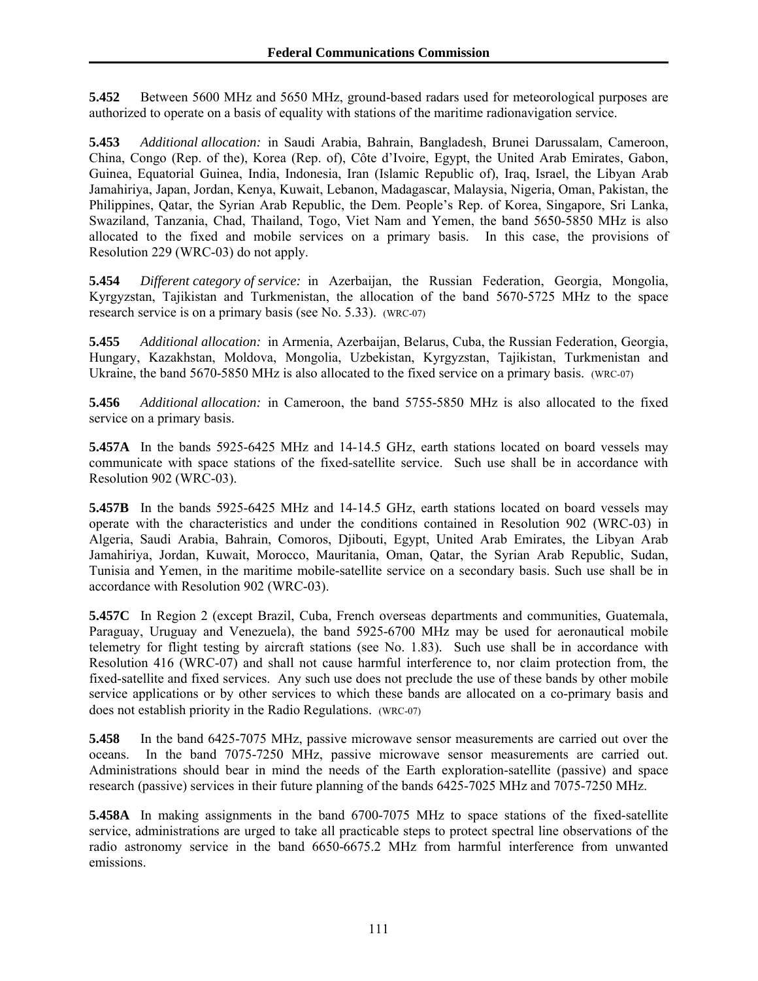**5.452** Between 5600 MHz and 5650 MHz, ground-based radars used for meteorological purposes are authorized to operate on a basis of equality with stations of the maritime radionavigation service.

**5.453** *Additional allocation:* in Saudi Arabia, Bahrain, Bangladesh, Brunei Darussalam, Cameroon, China, Congo (Rep. of the), Korea (Rep. of), Côte d'Ivoire, Egypt, the United Arab Emirates, Gabon, Guinea, Equatorial Guinea, India, Indonesia, Iran (Islamic Republic of), Iraq, Israel, the Libyan Arab Jamahiriya, Japan, Jordan, Kenya, Kuwait, Lebanon, Madagascar, Malaysia, Nigeria, Oman, Pakistan, the Philippines, Qatar, the Syrian Arab Republic, the Dem. People's Rep. of Korea, Singapore, Sri Lanka, Swaziland, Tanzania, Chad, Thailand, Togo, Viet Nam and Yemen, the band 5650-5850 MHz is also allocated to the fixed and mobile services on a primary basis. In this case, the provisions of Resolution 229 (WRC-03) do not apply.

**5.454** *Different category of service:* in Azerbaijan, the Russian Federation, Georgia, Mongolia, Kyrgyzstan, Tajikistan and Turkmenistan, the allocation of the band 5670-5725 MHz to the space research service is on a primary basis (see No. 5.33). (WRC-07)

**5.455** *Additional allocation:* in Armenia, Azerbaijan, Belarus, Cuba, the Russian Federation, Georgia, Hungary, Kazakhstan, Moldova, Mongolia, Uzbekistan, Kyrgyzstan, Tajikistan, Turkmenistan and Ukraine, the band 5670-5850 MHz is also allocated to the fixed service on a primary basis. (WRC-07)

**5.456** *Additional allocation:* in Cameroon, the band 5755-5850 MHz is also allocated to the fixed service on a primary basis.

**5.457A** In the bands 5925-6425 MHz and 14-14.5 GHz, earth stations located on board vessels may communicate with space stations of the fixed-satellite service. Such use shall be in accordance with Resolution 902 (WRC-03).

**5.457B** In the bands 5925-6425 MHz and 14-14.5 GHz, earth stations located on board vessels may operate with the characteristics and under the conditions contained in Resolution 902 (WRC-03) in Algeria, Saudi Arabia, Bahrain, Comoros, Djibouti, Egypt, United Arab Emirates, the Libyan Arab Jamahiriya, Jordan, Kuwait, Morocco, Mauritania, Oman, Qatar, the Syrian Arab Republic, Sudan, Tunisia and Yemen, in the maritime mobile-satellite service on a secondary basis. Such use shall be in accordance with Resolution 902 (WRC-03).

**5.457C** In Region 2 (except Brazil, Cuba, French overseas departments and communities, Guatemala, Paraguay, Uruguay and Venezuela), the band 5925-6700 MHz may be used for aeronautical mobile telemetry for flight testing by aircraft stations (see No. 1.83). Such use shall be in accordance with Resolution 416 (WRC-07) and shall not cause harmful interference to, nor claim protection from, the fixed-satellite and fixed services. Any such use does not preclude the use of these bands by other mobile service applications or by other services to which these bands are allocated on a co-primary basis and does not establish priority in the Radio Regulations. (WRC-07)

**5.458** In the band 6425-7075 MHz, passive microwave sensor measurements are carried out over the oceans. In the band 7075-7250 MHz, passive microwave sensor measurements are carried out. Administrations should bear in mind the needs of the Earth exploration-satellite (passive) and space research (passive) services in their future planning of the bands 6425-7025 MHz and 7075-7250 MHz.

**5.458A** In making assignments in the band 6700-7075 MHz to space stations of the fixed-satellite service, administrations are urged to take all practicable steps to protect spectral line observations of the radio astronomy service in the band 6650-6675.2 MHz from harmful interference from unwanted emissions.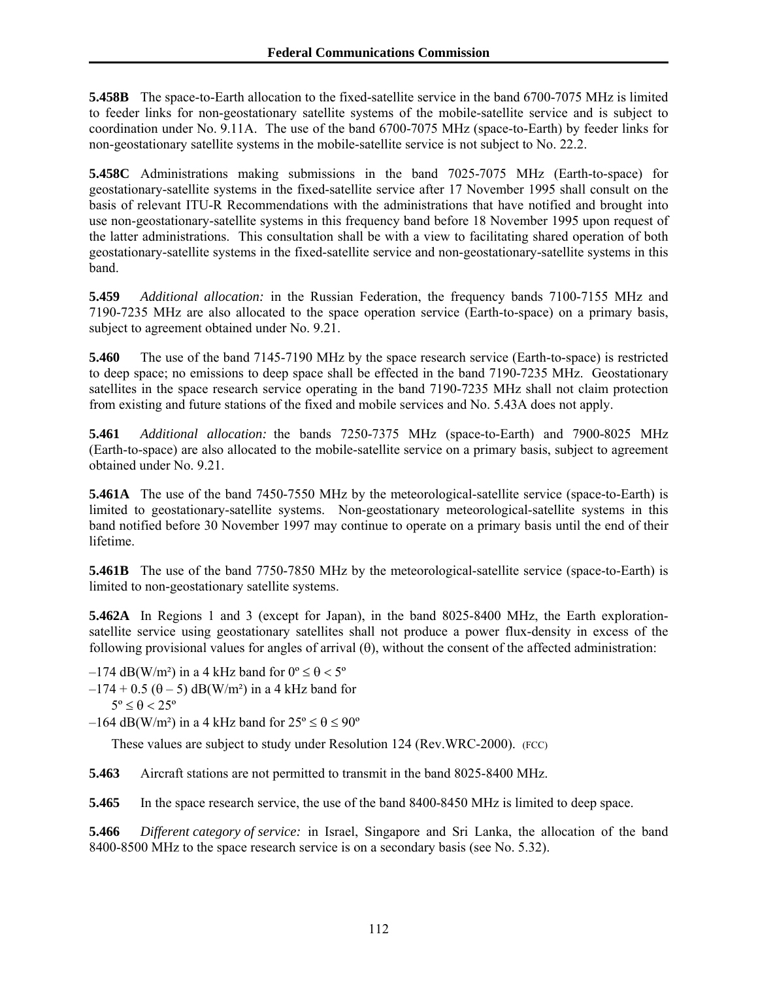**5.458B** The space-to-Earth allocation to the fixed-satellite service in the band 6700-7075 MHz is limited to feeder links for non-geostationary satellite systems of the mobile-satellite service and is subject to coordination under No. 9.11A. The use of the band 6700-7075 MHz (space-to-Earth) by feeder links for non-geostationary satellite systems in the mobile-satellite service is not subject to No. 22.2.

**5.458C** Administrations making submissions in the band 7025-7075 MHz (Earth-to-space) for geostationary-satellite systems in the fixed-satellite service after 17 November 1995 shall consult on the basis of relevant ITU-R Recommendations with the administrations that have notified and brought into use non-geostationary-satellite systems in this frequency band before 18 November 1995 upon request of the latter administrations. This consultation shall be with a view to facilitating shared operation of both geostationary-satellite systems in the fixed-satellite service and non-geostationary-satellite systems in this band.

**5.459** *Additional allocation:* in the Russian Federation, the frequency bands 7100-7155 MHz and 7190-7235 MHz are also allocated to the space operation service (Earth-to-space) on a primary basis, subject to agreement obtained under No. 9.21.

**5.460** The use of the band 7145-7190 MHz by the space research service (Earth-to-space) is restricted to deep space; no emissions to deep space shall be effected in the band 7190-7235 MHz. Geostationary satellites in the space research service operating in the band 7190-7235 MHz shall not claim protection from existing and future stations of the fixed and mobile services and No. 5.43A does not apply.

**5.461** *Additional allocation:* the bands 7250-7375 MHz (space-to-Earth) and 7900-8025 MHz (Earth-to-space) are also allocated to the mobile-satellite service on a primary basis, subject to agreement obtained under No. 9.21.

**5.461A** The use of the band 7450-7550 MHz by the meteorological-satellite service (space-to-Earth) is limited to geostationary-satellite systems. Non-geostationary meteorological-satellite systems in this band notified before 30 November 1997 may continue to operate on a primary basis until the end of their lifetime.

**5.461B** The use of the band 7750-7850 MHz by the meteorological-satellite service (space-to-Earth) is limited to non-geostationary satellite systems.

**5.462A** In Regions 1 and 3 (except for Japan), in the band 8025-8400 MHz, the Earth explorationsatellite service using geostationary satellites shall not produce a power flux-density in excess of the following provisional values for angles of arrival  $(\theta)$ , without the consent of the affected administration:

 $-174$  dB(W/m<sup>2</sup>) in a 4 kHz band for  $0^{\circ} \le \theta < 5^{\circ}$ 

 $-174 + 0.5$  ( $\theta - 5$ ) dB(W/m<sup>2</sup>) in a 4 kHz band for

```
5^{\circ} < \theta < 25^{\circ}
```
 $-164$  dB(W/m<sup>2</sup>) in a 4 kHz band for  $25^{\circ} \le \theta \le 90^{\circ}$ 

These values are subject to study under Resolution 124 (Rev.WRC-2000). (FCC)

**5.463** Aircraft stations are not permitted to transmit in the band 8025-8400 MHz.

**5.465** In the space research service, the use of the band 8400-8450 MHz is limited to deep space.

**5.466** *Different category of service:* in Israel, Singapore and Sri Lanka, the allocation of the band 8400-8500 MHz to the space research service is on a secondary basis (see No. 5.32).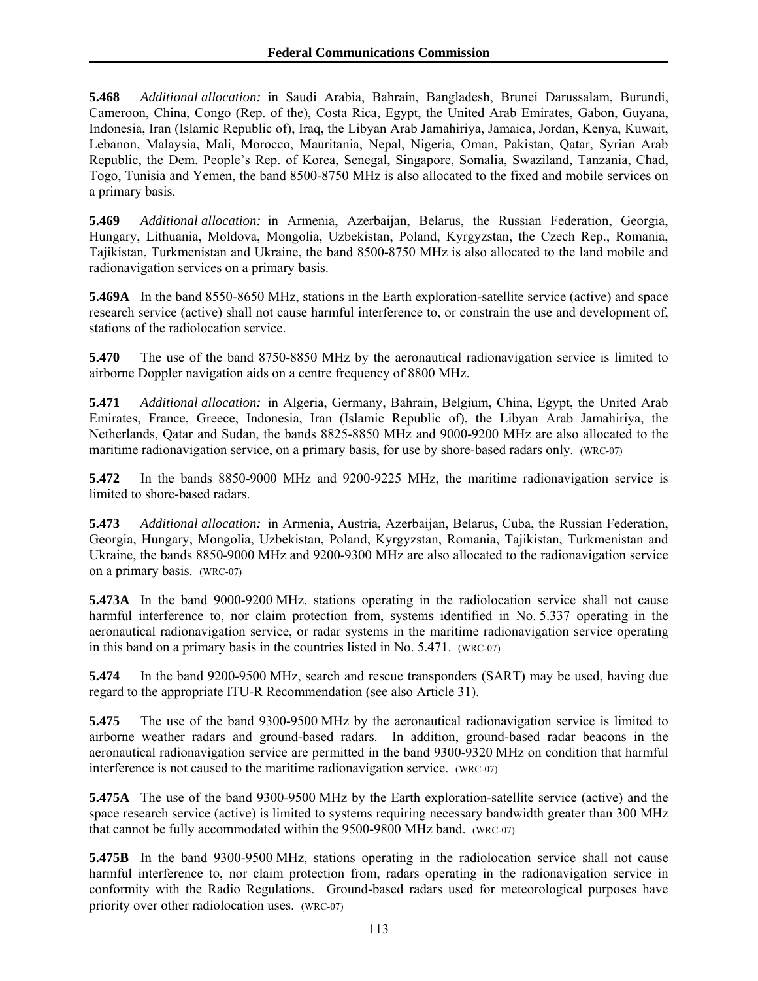**5.468** *Additional allocation:* in Saudi Arabia, Bahrain, Bangladesh, Brunei Darussalam, Burundi, Cameroon, China, Congo (Rep. of the), Costa Rica, Egypt, the United Arab Emirates, Gabon, Guyana, Indonesia, Iran (Islamic Republic of), Iraq, the Libyan Arab Jamahiriya, Jamaica, Jordan, Kenya, Kuwait, Lebanon, Malaysia, Mali, Morocco, Mauritania, Nepal, Nigeria, Oman, Pakistan, Qatar, Syrian Arab Republic, the Dem. People's Rep. of Korea, Senegal, Singapore, Somalia, Swaziland, Tanzania, Chad, Togo, Tunisia and Yemen, the band 8500-8750 MHz is also allocated to the fixed and mobile services on a primary basis.

**5.469** *Additional allocation:* in Armenia, Azerbaijan, Belarus, the Russian Federation, Georgia, Hungary, Lithuania, Moldova, Mongolia, Uzbekistan, Poland, Kyrgyzstan, the Czech Rep., Romania, Tajikistan, Turkmenistan and Ukraine, the band 8500-8750 MHz is also allocated to the land mobile and radionavigation services on a primary basis.

**5.469A** In the band 8550-8650 MHz, stations in the Earth exploration-satellite service (active) and space research service (active) shall not cause harmful interference to, or constrain the use and development of, stations of the radiolocation service.

**5.470** The use of the band 8750-8850 MHz by the aeronautical radionavigation service is limited to airborne Doppler navigation aids on a centre frequency of 8800 MHz.

**5.471** *Additional allocation:* in Algeria, Germany, Bahrain, Belgium, China, Egypt, the United Arab Emirates, France, Greece, Indonesia, Iran (Islamic Republic of), the Libyan Arab Jamahiriya, the Netherlands, Qatar and Sudan, the bands 8825-8850 MHz and 9000-9200 MHz are also allocated to the maritime radionavigation service, on a primary basis, for use by shore-based radars only. (WRC-07)

**5.472** In the bands 8850-9000 MHz and 9200-9225 MHz, the maritime radionavigation service is limited to shore-based radars.

**5.473** *Additional allocation:* in Armenia, Austria, Azerbaijan, Belarus, Cuba, the Russian Federation, Georgia, Hungary, Mongolia, Uzbekistan, Poland, Kyrgyzstan, Romania, Tajikistan, Turkmenistan and Ukraine, the bands 8850-9000 MHz and 9200-9300 MHz are also allocated to the radionavigation service on a primary basis. (WRC-07)

**5.473A** In the band 9000-9200 MHz, stations operating in the radiolocation service shall not cause harmful interference to, nor claim protection from, systems identified in No. 5.337 operating in the aeronautical radionavigation service, or radar systems in the maritime radionavigation service operating in this band on a primary basis in the countries listed in No. 5.471. (WRC-07)

**5.474** In the band 9200-9500 MHz, search and rescue transponders (SART) may be used, having due regard to the appropriate ITU-R Recommendation (see also Article 31).

**5.475** The use of the band 9300-9500 MHz by the aeronautical radionavigation service is limited to airborne weather radars and ground-based radars. In addition, ground-based radar beacons in the aeronautical radionavigation service are permitted in the band 9300-9320 MHz on condition that harmful interference is not caused to the maritime radionavigation service. (WRC-07)

**5.475A** The use of the band 9300-9500 MHz by the Earth exploration-satellite service (active) and the space research service (active) is limited to systems requiring necessary bandwidth greater than 300 MHz that cannot be fully accommodated within the 9500-9800 MHz band. (WRC-07)

**5.475B** In the band 9300-9500 MHz, stations operating in the radiolocation service shall not cause harmful interference to, nor claim protection from, radars operating in the radionavigation service in conformity with the Radio Regulations. Ground-based radars used for meteorological purposes have priority over other radiolocation uses. (WRC-07)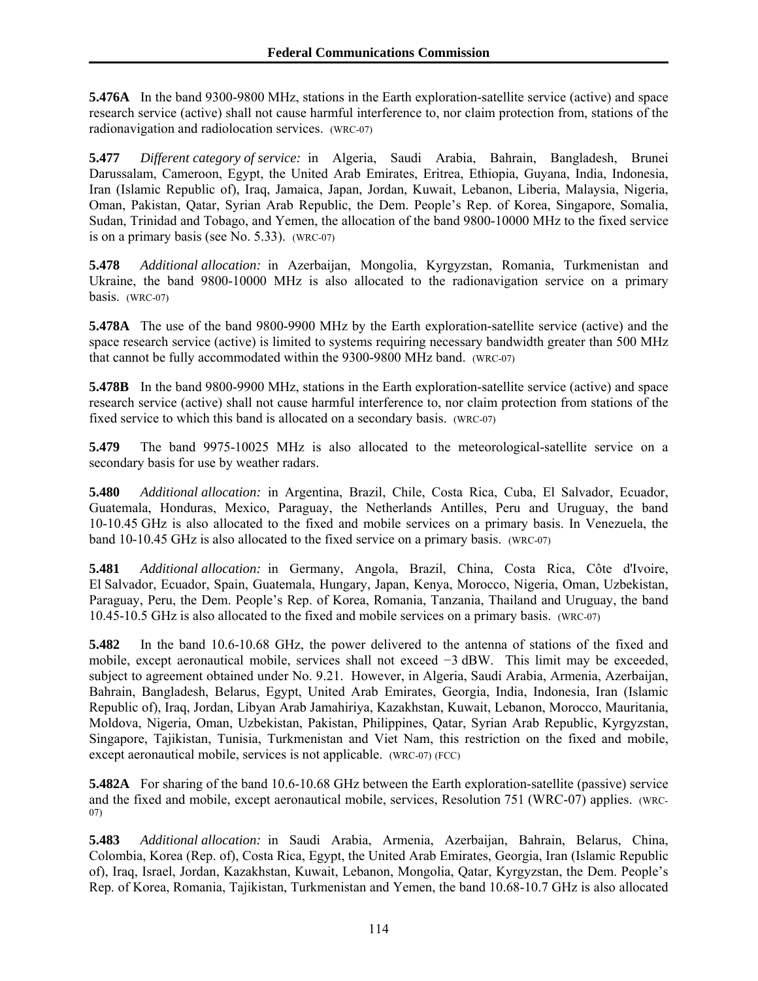**5.476A** In the band 9300-9800 MHz, stations in the Earth exploration-satellite service (active) and space research service (active) shall not cause harmful interference to, nor claim protection from, stations of the radionavigation and radiolocation services. (WRC-07)

**5.477** *Different category of service:* in Algeria, Saudi Arabia, Bahrain, Bangladesh, Brunei Darussalam, Cameroon, Egypt, the United Arab Emirates, Eritrea, Ethiopia, Guyana, India, Indonesia, Iran (Islamic Republic of), Iraq, Jamaica, Japan, Jordan, Kuwait, Lebanon, Liberia, Malaysia, Nigeria, Oman, Pakistan, Qatar, Syrian Arab Republic, the Dem. People's Rep. of Korea, Singapore, Somalia, Sudan, Trinidad and Tobago, and Yemen, the allocation of the band 9800-10000 MHz to the fixed service is on a primary basis (see No. 5.33). (WRC-07)

**5.478** *Additional allocation:* in Azerbaijan, Mongolia, Kyrgyzstan, Romania, Turkmenistan and Ukraine, the band 9800-10000 MHz is also allocated to the radionavigation service on a primary basis. (WRC-07)

**5.478A** The use of the band 9800-9900 MHz by the Earth exploration-satellite service (active) and the space research service (active) is limited to systems requiring necessary bandwidth greater than 500 MHz that cannot be fully accommodated within the 9300-9800 MHz band. (WRC-07)

**5.478B** In the band 9800-9900 MHz, stations in the Earth exploration-satellite service (active) and space research service (active) shall not cause harmful interference to, nor claim protection from stations of the fixed service to which this band is allocated on a secondary basis. (WRC-07)

**5.479** The band 9975-10025 MHz is also allocated to the meteorological-satellite service on a secondary basis for use by weather radars.

**5.480** *Additional allocation:* in Argentina, Brazil, Chile, Costa Rica, Cuba, El Salvador, Ecuador, Guatemala, Honduras, Mexico, Paraguay, the Netherlands Antilles, Peru and Uruguay, the band 10-10.45 GHz is also allocated to the fixed and mobile services on a primary basis. In Venezuela, the band 10-10.45 GHz is also allocated to the fixed service on a primary basis. (WRC-07)

**5.481** *Additional allocation:* in Germany, Angola, Brazil, China, Costa Rica, Côte d'Ivoire, El Salvador, Ecuador, Spain, Guatemala, Hungary, Japan, Kenya, Morocco, Nigeria, Oman, Uzbekistan, Paraguay, Peru, the Dem. People's Rep. of Korea, Romania, Tanzania, Thailand and Uruguay, the band 10.45-10.5 GHz is also allocated to the fixed and mobile services on a primary basis. (WRC-07)

**5.482** In the band 10.6-10.68 GHz, the power delivered to the antenna of stations of the fixed and mobile, except aeronautical mobile, services shall not exceed −3 dBW. This limit may be exceeded, subject to agreement obtained under No. 9.21. However, in Algeria, Saudi Arabia, Armenia, Azerbaijan, Bahrain, Bangladesh, Belarus, Egypt, United Arab Emirates, Georgia, India, Indonesia, Iran (Islamic Republic of), Iraq, Jordan, Libyan Arab Jamahiriya, Kazakhstan, Kuwait, Lebanon, Morocco, Mauritania, Moldova, Nigeria, Oman, Uzbekistan, Pakistan, Philippines, Qatar, Syrian Arab Republic, Kyrgyzstan, Singapore, Tajikistan, Tunisia, Turkmenistan and Viet Nam, this restriction on the fixed and mobile, except aeronautical mobile, services is not applicable. (WRC-07) (FCC)

**5.482A** For sharing of the band 10.6-10.68 GHz between the Earth exploration-satellite (passive) service and the fixed and mobile, except aeronautical mobile, services, Resolution 751 (WRC-07) applies. (WRC-07)

**5.483** *Additional allocation:* in Saudi Arabia, Armenia, Azerbaijan, Bahrain, Belarus, China, Colombia, Korea (Rep. of), Costa Rica, Egypt, the United Arab Emirates, Georgia, Iran (Islamic Republic of), Iraq, Israel, Jordan, Kazakhstan, Kuwait, Lebanon, Mongolia, Qatar, Kyrgyzstan, the Dem. People's Rep. of Korea, Romania, Tajikistan, Turkmenistan and Yemen, the band 10.68-10.7 GHz is also allocated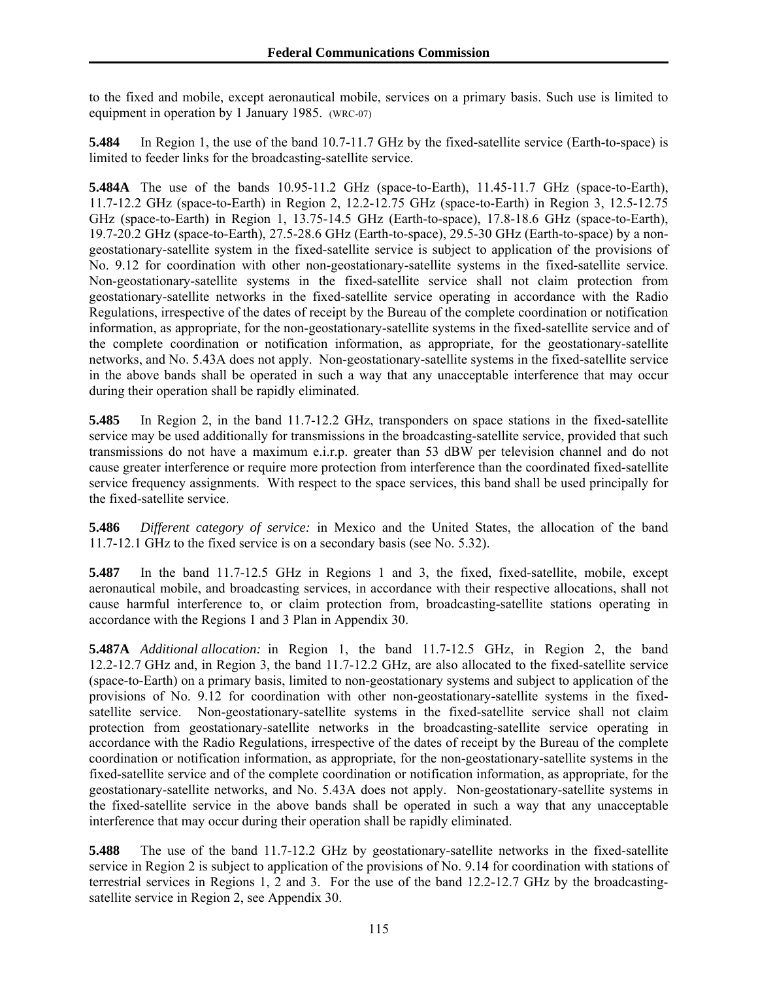to the fixed and mobile, except aeronautical mobile, services on a primary basis. Such use is limited to equipment in operation by 1 January 1985. (WRC-07)

**5.484** In Region 1, the use of the band 10.7-11.7 GHz by the fixed-satellite service (Earth-to-space) is limited to feeder links for the broadcasting-satellite service.

**5.484A** The use of the bands 10.95-11.2 GHz (space-to-Earth), 11.45-11.7 GHz (space-to-Earth), 11.7-12.2 GHz (space-to-Earth) in Region 2, 12.2-12.75 GHz (space-to-Earth) in Region 3, 12.5-12.75 GHz (space-to-Earth) in Region 1, 13.75-14.5 GHz (Earth-to-space), 17.8-18.6 GHz (space-to-Earth), 19.7-20.2 GHz (space-to-Earth), 27.5-28.6 GHz (Earth-to-space), 29.5-30 GHz (Earth-to-space) by a nongeostationary-satellite system in the fixed-satellite service is subject to application of the provisions of No. 9.12 for coordination with other non-geostationary-satellite systems in the fixed-satellite service. Non-geostationary-satellite systems in the fixed-satellite service shall not claim protection from geostationary-satellite networks in the fixed-satellite service operating in accordance with the Radio Regulations, irrespective of the dates of receipt by the Bureau of the complete coordination or notification information, as appropriate, for the non-geostationary-satellite systems in the fixed-satellite service and of the complete coordination or notification information, as appropriate, for the geostationary-satellite networks, and No. 5.43A does not apply. Non-geostationary-satellite systems in the fixed-satellite service in the above bands shall be operated in such a way that any unacceptable interference that may occur during their operation shall be rapidly eliminated.

**5.485** In Region 2, in the band 11.7-12.2 GHz, transponders on space stations in the fixed-satellite service may be used additionally for transmissions in the broadcasting-satellite service, provided that such transmissions do not have a maximum e.i.r.p. greater than 53 dBW per television channel and do not cause greater interference or require more protection from interference than the coordinated fixed-satellite service frequency assignments. With respect to the space services, this band shall be used principally for the fixed-satellite service.

**5.486** *Different category of service:* in Mexico and the United States, the allocation of the band 11.7-12.1 GHz to the fixed service is on a secondary basis (see No. 5.32).

**5.487** In the band 11.7-12.5 GHz in Regions 1 and 3, the fixed, fixed-satellite, mobile, except aeronautical mobile, and broadcasting services, in accordance with their respective allocations, shall not cause harmful interference to, or claim protection from, broadcasting-satellite stations operating in accordance with the Regions 1 and 3 Plan in Appendix 30.

**5.487A** *Additional allocation:* in Region 1, the band 11.7-12.5 GHz, in Region 2, the band 12.2-12.7 GHz and, in Region 3, the band 11.7-12.2 GHz, are also allocated to the fixed-satellite service (space-to-Earth) on a primary basis, limited to non-geostationary systems and subject to application of the provisions of No. 9.12 for coordination with other non-geostationary-satellite systems in the fixedsatellite service. Non-geostationary-satellite systems in the fixed-satellite service shall not claim protection from geostationary-satellite networks in the broadcasting-satellite service operating in accordance with the Radio Regulations, irrespective of the dates of receipt by the Bureau of the complete coordination or notification information, as appropriate, for the non-geostationary-satellite systems in the fixed-satellite service and of the complete coordination or notification information, as appropriate, for the geostationary-satellite networks, and No. 5.43A does not apply. Non-geostationary-satellite systems in the fixed-satellite service in the above bands shall be operated in such a way that any unacceptable interference that may occur during their operation shall be rapidly eliminated.

**5.488** The use of the band 11.7-12.2 GHz by geostationary-satellite networks in the fixed-satellite service in Region 2 is subject to application of the provisions of No. 9.14 for coordination with stations of terrestrial services in Regions 1, 2 and 3. For the use of the band 12.2-12.7 GHz by the broadcastingsatellite service in Region 2, see Appendix 30.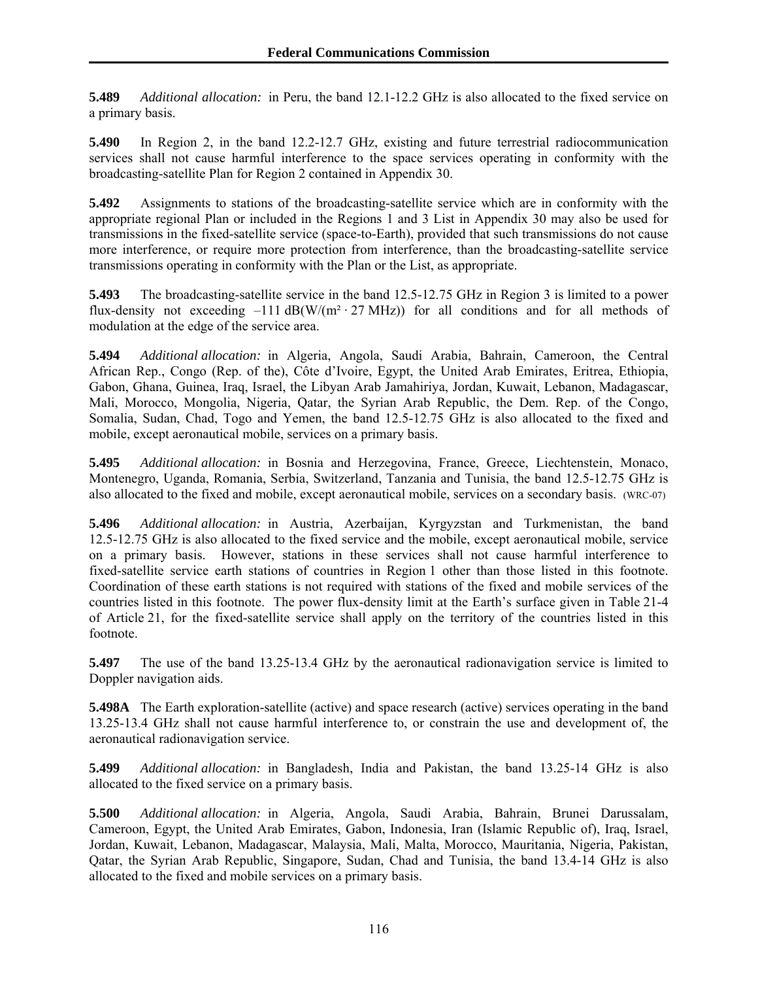**5.489** *Additional allocation:* in Peru, the band 12.1-12.2 GHz is also allocated to the fixed service on a primary basis.

**5.490** In Region 2, in the band 12.2-12.7 GHz, existing and future terrestrial radiocommunication services shall not cause harmful interference to the space services operating in conformity with the broadcasting-satellite Plan for Region 2 contained in Appendix 30.

**5.492** Assignments to stations of the broadcasting-satellite service which are in conformity with the appropriate regional Plan or included in the Regions 1 and 3 List in Appendix 30 may also be used for transmissions in the fixed-satellite service (space-to-Earth), provided that such transmissions do not cause more interference, or require more protection from interference, than the broadcasting-satellite service transmissions operating in conformity with the Plan or the List, as appropriate.

**5.493** The broadcasting-satellite service in the band 12.5-12.75 GHz in Region 3 is limited to a power flux-density not exceeding  $-111$  dB(W/(m<sup>2</sup> · 27 MHz)) for all conditions and for all methods of modulation at the edge of the service area.

**5.494** *Additional allocation:* in Algeria, Angola, Saudi Arabia, Bahrain, Cameroon, the Central African Rep., Congo (Rep. of the), Côte d'Ivoire, Egypt, the United Arab Emirates, Eritrea, Ethiopia, Gabon, Ghana, Guinea, Iraq, Israel, the Libyan Arab Jamahiriya, Jordan, Kuwait, Lebanon, Madagascar, Mali, Morocco, Mongolia, Nigeria, Qatar, the Syrian Arab Republic, the Dem. Rep. of the Congo, Somalia, Sudan, Chad, Togo and Yemen, the band 12.5-12.75 GHz is also allocated to the fixed and mobile, except aeronautical mobile, services on a primary basis.

**5.495** *Additional allocation:* in Bosnia and Herzegovina, France, Greece, Liechtenstein, Monaco, Montenegro, Uganda, Romania, Serbia, Switzerland, Tanzania and Tunisia, the band 12.5-12.75 GHz is also allocated to the fixed and mobile, except aeronautical mobile, services on a secondary basis. (WRC-07)

**5.496** *Additional allocation:* in Austria, Azerbaijan, Kyrgyzstan and Turkmenistan, the band 12.5-12.75 GHz is also allocated to the fixed service and the mobile, except aeronautical mobile, service on a primary basis. However, stations in these services shall not cause harmful interference to fixed-satellite service earth stations of countries in Region 1 other than those listed in this footnote. Coordination of these earth stations is not required with stations of the fixed and mobile services of the countries listed in this footnote. The power flux-density limit at the Earth's surface given in Table 21-4 of Article 21, for the fixed-satellite service shall apply on the territory of the countries listed in this footnote.

**5.497** The use of the band 13.25-13.4 GHz by the aeronautical radionavigation service is limited to Doppler navigation aids.

**5.498A** The Earth exploration-satellite (active) and space research (active) services operating in the band 13.25-13.4 GHz shall not cause harmful interference to, or constrain the use and development of, the aeronautical radionavigation service.

**5.499** *Additional allocation:* in Bangladesh, India and Pakistan, the band 13.25-14 GHz is also allocated to the fixed service on a primary basis.

**5.500** *Additional allocation:* in Algeria, Angola, Saudi Arabia, Bahrain, Brunei Darussalam, Cameroon, Egypt, the United Arab Emirates, Gabon, Indonesia, Iran (Islamic Republic of), Iraq, Israel, Jordan, Kuwait, Lebanon, Madagascar, Malaysia, Mali, Malta, Morocco, Mauritania, Nigeria, Pakistan, Qatar, the Syrian Arab Republic, Singapore, Sudan, Chad and Tunisia, the band 13.4-14 GHz is also allocated to the fixed and mobile services on a primary basis.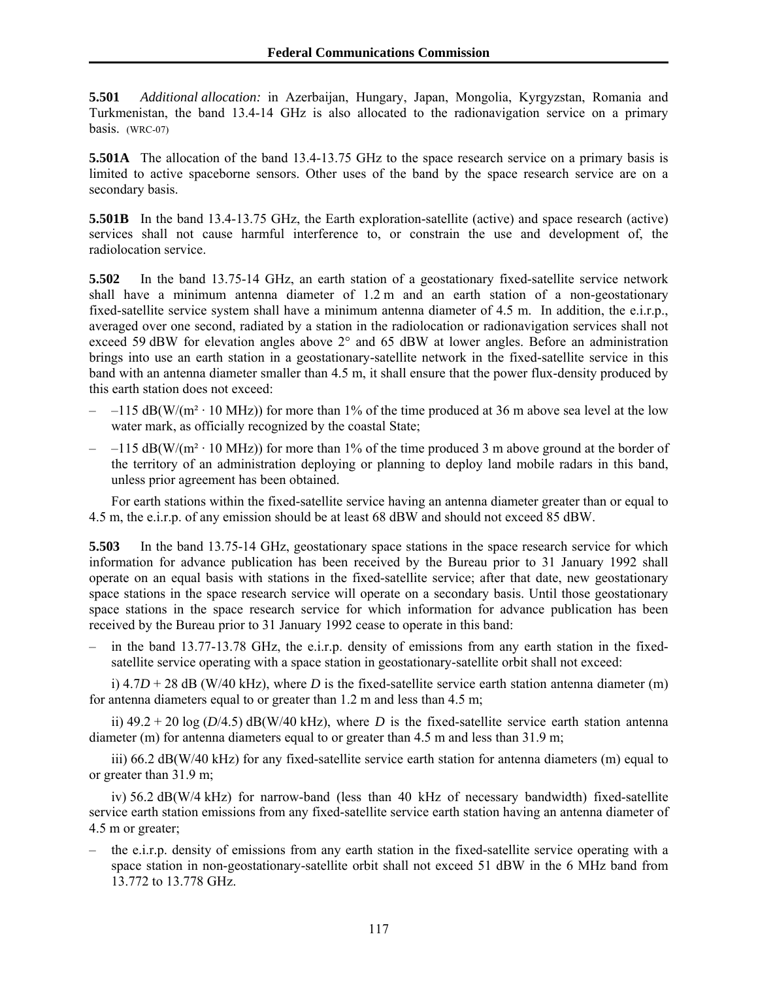**5.501** *Additional allocation:* in Azerbaijan, Hungary, Japan, Mongolia, Kyrgyzstan, Romania and Turkmenistan, the band 13.4-14 GHz is also allocated to the radionavigation service on a primary basis. (WRC-07)

**5.501A** The allocation of the band 13.4-13.75 GHz to the space research service on a primary basis is limited to active spaceborne sensors. Other uses of the band by the space research service are on a secondary basis.

**5.501B** In the band 13.4-13.75 GHz, the Earth exploration-satellite (active) and space research (active) services shall not cause harmful interference to, or constrain the use and development of, the radiolocation service.

**5.502** In the band 13.75-14 GHz, an earth station of a geostationary fixed-satellite service network shall have a minimum antenna diameter of 1.2 m and an earth station of a non-geostationary fixed-satellite service system shall have a minimum antenna diameter of 4.5 m. In addition, the e.i.r.p., averaged over one second, radiated by a station in the radiolocation or radionavigation services shall not exceed 59 dBW for elevation angles above 2° and 65 dBW at lower angles. Before an administration brings into use an earth station in a geostationary-satellite network in the fixed-satellite service in this band with an antenna diameter smaller than 4.5 m, it shall ensure that the power flux-density produced by this earth station does not exceed:

- $-$  –115 dB(W/(m<sup>2</sup> · 10 MHz)) for more than 1% of the time produced at 36 m above sea level at the low water mark, as officially recognized by the coastal State;
- $-$  –115 dB(W/(m<sup>2</sup> · 10 MHz)) for more than 1% of the time produced 3 m above ground at the border of the territory of an administration deploying or planning to deploy land mobile radars in this band, unless prior agreement has been obtained.

For earth stations within the fixed-satellite service having an antenna diameter greater than or equal to 4.5 m, the e.i.r.p. of any emission should be at least 68 dBW and should not exceed 85 dBW.

**5.503** In the band 13.75-14 GHz, geostationary space stations in the space research service for which information for advance publication has been received by the Bureau prior to 31 January 1992 shall operate on an equal basis with stations in the fixed-satellite service; after that date, new geostationary space stations in the space research service will operate on a secondary basis. Until those geostationary space stations in the space research service for which information for advance publication has been received by the Bureau prior to 31 January 1992 cease to operate in this band:

– in the band 13.77-13.78 GHz, the e.i.r.p. density of emissions from any earth station in the fixedsatellite service operating with a space station in geostationary-satellite orbit shall not exceed:

i)  $4.7D + 28$  dB (W/40 kHz), where *D* is the fixed-satellite service earth station antenna diameter (m) for antenna diameters equal to or greater than 1.2 m and less than 4.5 m;

ii)  $49.2 + 20 \log (D/4.5)$  dB(W/40 kHz), where *D* is the fixed-satellite service earth station antenna diameter (m) for antenna diameters equal to or greater than 4.5 m and less than 31.9 m;

iii) 66.2 dB(W/40 kHz) for any fixed-satellite service earth station for antenna diameters (m) equal to or greater than 31.9 m;

iv) 56.2 dB(W/4 kHz) for narrow-band (less than 40 kHz of necessary bandwidth) fixed-satellite service earth station emissions from any fixed-satellite service earth station having an antenna diameter of 4.5 m or greater;

– the e.i.r.p. density of emissions from any earth station in the fixed-satellite service operating with a space station in non-geostationary-satellite orbit shall not exceed 51 dBW in the 6 MHz band from 13.772 to 13.778 GHz.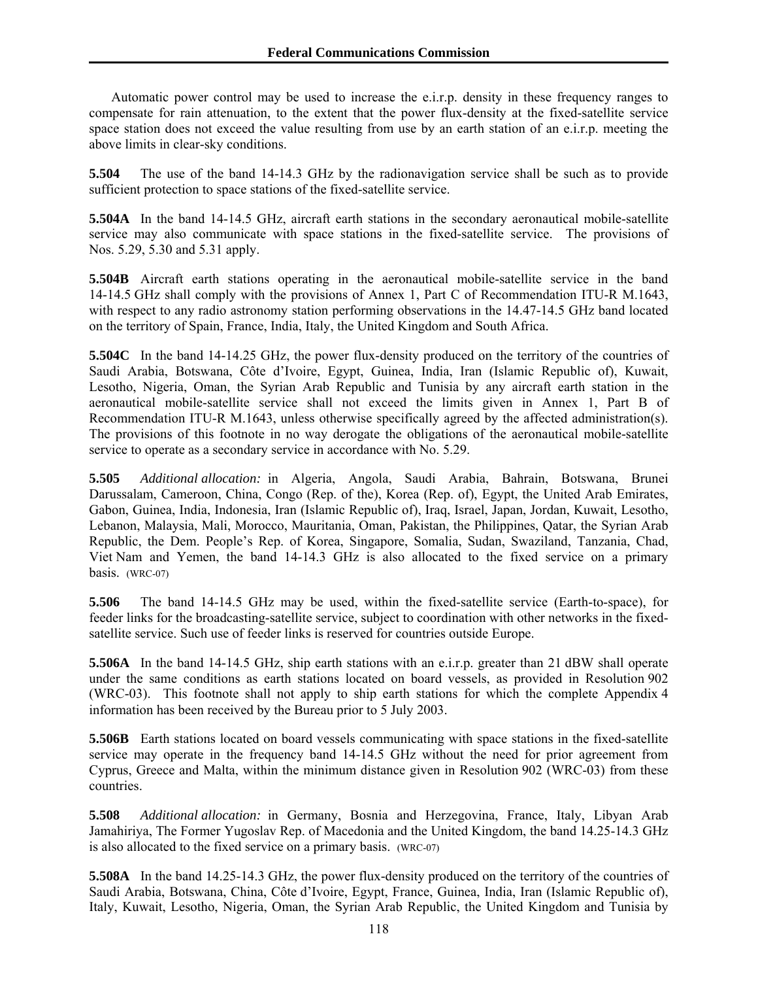Automatic power control may be used to increase the e.i.r.p. density in these frequency ranges to compensate for rain attenuation, to the extent that the power flux-density at the fixed-satellite service space station does not exceed the value resulting from use by an earth station of an e.i.r.p. meeting the above limits in clear-sky conditions.

**5.504** The use of the band 14-14.3 GHz by the radionavigation service shall be such as to provide sufficient protection to space stations of the fixed-satellite service.

**5.504A** In the band 14-14.5 GHz, aircraft earth stations in the secondary aeronautical mobile-satellite service may also communicate with space stations in the fixed-satellite service. The provisions of Nos. 5.29, 5.30 and 5.31 apply.

**5.504B** Aircraft earth stations operating in the aeronautical mobile-satellite service in the band 14-14.5 GHz shall comply with the provisions of Annex 1, Part C of Recommendation ITU-R M.1643, with respect to any radio astronomy station performing observations in the 14.47-14.5 GHz band located on the territory of Spain, France, India, Italy, the United Kingdom and South Africa.

**5.504C** In the band 14-14.25 GHz, the power flux-density produced on the territory of the countries of Saudi Arabia, Botswana, Côte d'Ivoire, Egypt, Guinea, India, Iran (Islamic Republic of), Kuwait, Lesotho, Nigeria, Oman, the Syrian Arab Republic and Tunisia by any aircraft earth station in the aeronautical mobile-satellite service shall not exceed the limits given in Annex 1, Part B of Recommendation ITU-R M.1643, unless otherwise specifically agreed by the affected administration(s). The provisions of this footnote in no way derogate the obligations of the aeronautical mobile-satellite service to operate as a secondary service in accordance with No. 5.29.

**5.505** *Additional allocation:* in Algeria, Angola, Saudi Arabia, Bahrain, Botswana, Brunei Darussalam, Cameroon, China, Congo (Rep. of the), Korea (Rep. of), Egypt, the United Arab Emirates, Gabon, Guinea, India, Indonesia, Iran (Islamic Republic of), Iraq, Israel, Japan, Jordan, Kuwait, Lesotho, Lebanon, Malaysia, Mali, Morocco, Mauritania, Oman, Pakistan, the Philippines, Qatar, the Syrian Arab Republic, the Dem. People's Rep. of Korea, Singapore, Somalia, Sudan, Swaziland, Tanzania, Chad, Viet Nam and Yemen, the band 14-14.3 GHz is also allocated to the fixed service on a primary basis. (WRC-07)

**5.506** The band 14-14.5 GHz may be used, within the fixed-satellite service (Earth-to-space), for feeder links for the broadcasting-satellite service, subject to coordination with other networks in the fixedsatellite service. Such use of feeder links is reserved for countries outside Europe.

**5.506A** In the band 14-14.5 GHz, ship earth stations with an e.i.r.p. greater than 21 dBW shall operate under the same conditions as earth stations located on board vessels, as provided in Resolution 902 (WRC-03). This footnote shall not apply to ship earth stations for which the complete Appendix 4 information has been received by the Bureau prior to 5 July 2003.

**5.506B** Earth stations located on board vessels communicating with space stations in the fixed-satellite service may operate in the frequency band 14-14.5 GHz without the need for prior agreement from Cyprus, Greece and Malta, within the minimum distance given in Resolution 902 (WRC-03) from these countries.

**5.508** *Additional allocation:* in Germany, Bosnia and Herzegovina, France, Italy, Libyan Arab Jamahiriya, The Former Yugoslav Rep. of Macedonia and the United Kingdom, the band 14.25-14.3 GHz is also allocated to the fixed service on a primary basis. (WRC-07)

**5.508A** In the band 14.25-14.3 GHz, the power flux-density produced on the territory of the countries of Saudi Arabia, Botswana, China, Côte d'Ivoire, Egypt, France, Guinea, India, Iran (Islamic Republic of), Italy, Kuwait, Lesotho, Nigeria, Oman, the Syrian Arab Republic, the United Kingdom and Tunisia by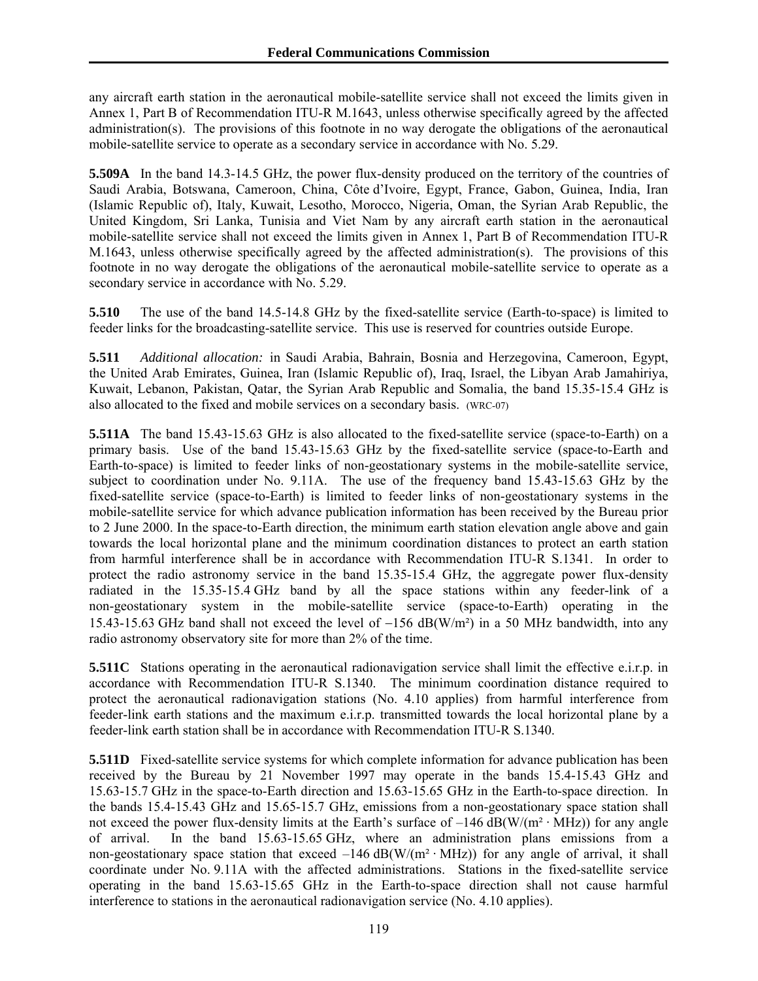any aircraft earth station in the aeronautical mobile-satellite service shall not exceed the limits given in Annex 1, Part B of Recommendation ITU-R M.1643, unless otherwise specifically agreed by the affected administration(s). The provisions of this footnote in no way derogate the obligations of the aeronautical mobile-satellite service to operate as a secondary service in accordance with No. 5.29.

**5.509A** In the band 14.3-14.5 GHz, the power flux-density produced on the territory of the countries of Saudi Arabia, Botswana, Cameroon, China, Côte d'Ivoire, Egypt, France, Gabon, Guinea, India, Iran (Islamic Republic of), Italy, Kuwait, Lesotho, Morocco, Nigeria, Oman, the Syrian Arab Republic, the United Kingdom, Sri Lanka, Tunisia and Viet Nam by any aircraft earth station in the aeronautical mobile-satellite service shall not exceed the limits given in Annex 1, Part B of Recommendation ITU-R M.1643, unless otherwise specifically agreed by the affected administration(s). The provisions of this footnote in no way derogate the obligations of the aeronautical mobile-satellite service to operate as a secondary service in accordance with No. 5.29.

**5.510** The use of the band 14.5-14.8 GHz by the fixed-satellite service (Earth-to-space) is limited to feeder links for the broadcasting-satellite service. This use is reserved for countries outside Europe.

**5.511** *Additional allocation:* in Saudi Arabia, Bahrain, Bosnia and Herzegovina, Cameroon, Egypt, the United Arab Emirates, Guinea, Iran (Islamic Republic of), Iraq, Israel, the Libyan Arab Jamahiriya, Kuwait, Lebanon, Pakistan, Qatar, the Syrian Arab Republic and Somalia, the band 15.35-15.4 GHz is also allocated to the fixed and mobile services on a secondary basis. (WRC-07)

**5.511A** The band 15.43-15.63 GHz is also allocated to the fixed-satellite service (space-to-Earth) on a primary basis. Use of the band 15.43-15.63 GHz by the fixed-satellite service (space-to-Earth and Earth-to-space) is limited to feeder links of non-geostationary systems in the mobile-satellite service, subject to coordination under No. 9.11A. The use of the frequency band 15.43-15.63 GHz by the fixed-satellite service (space-to-Earth) is limited to feeder links of non-geostationary systems in the mobile-satellite service for which advance publication information has been received by the Bureau prior to 2 June 2000. In the space-to-Earth direction, the minimum earth station elevation angle above and gain towards the local horizontal plane and the minimum coordination distances to protect an earth station from harmful interference shall be in accordance with Recommendation ITU-R S.1341. In order to protect the radio astronomy service in the band 15.35-15.4 GHz, the aggregate power flux-density radiated in the 15.35-15.4 GHz band by all the space stations within any feeder-link of a non-geostationary system in the mobile-satellite service (space-to-Earth) operating in the 15.43-15.63 GHz band shall not exceed the level of  $-156$  dB(W/m<sup>2</sup>) in a 50 MHz bandwidth, into any radio astronomy observatory site for more than 2% of the time.

**5.511C** Stations operating in the aeronautical radionavigation service shall limit the effective e.i.r.p. in accordance with Recommendation ITU-R S.1340. The minimum coordination distance required to protect the aeronautical radionavigation stations (No. 4.10 applies) from harmful interference from feeder-link earth stations and the maximum e.i.r.p. transmitted towards the local horizontal plane by a feeder-link earth station shall be in accordance with Recommendation ITU-R S.1340.

**5.511D** Fixed-satellite service systems for which complete information for advance publication has been received by the Bureau by 21 November 1997 may operate in the bands 15.4-15.43 GHz and 15.63-15.7 GHz in the space-to-Earth direction and 15.63-15.65 GHz in the Earth-to-space direction. In the bands 15.4-15.43 GHz and 15.65-15.7 GHz, emissions from a non-geostationary space station shall not exceed the power flux-density limits at the Earth's surface of  $-146$  dB(W/(m<sup>2</sup> · MHz)) for any angle of arrival. In the band 15.63-15.65 GHz, where an administration plans emissions from a non-geostationary space station that exceed  $-146$  dB(W/( $m<sup>2</sup>$  · MHz)) for any angle of arrival, it shall coordinate under No. 9.11A with the affected administrations. Stations in the fixed-satellite service operating in the band 15.63-15.65 GHz in the Earth-to-space direction shall not cause harmful interference to stations in the aeronautical radionavigation service (No. 4.10 applies).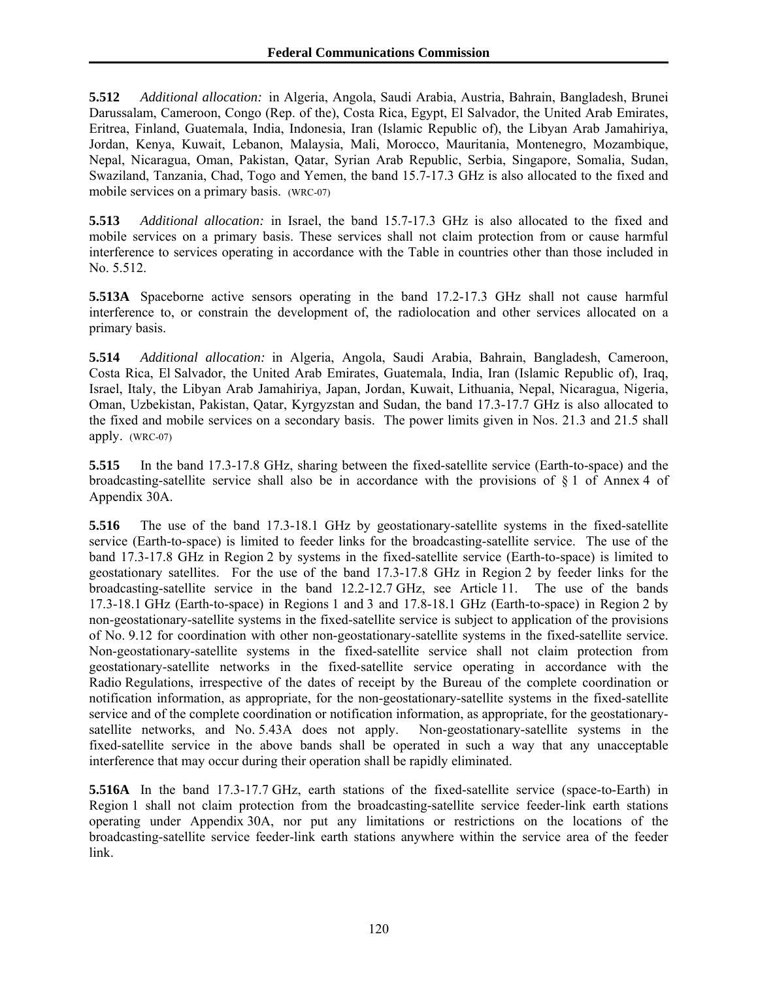**5.512** *Additional allocation:* in Algeria, Angola, Saudi Arabia, Austria, Bahrain, Bangladesh, Brunei Darussalam, Cameroon, Congo (Rep. of the), Costa Rica, Egypt, El Salvador, the United Arab Emirates, Eritrea, Finland, Guatemala, India, Indonesia, Iran (Islamic Republic of), the Libyan Arab Jamahiriya, Jordan, Kenya, Kuwait, Lebanon, Malaysia, Mali, Morocco, Mauritania, Montenegro, Mozambique, Nepal, Nicaragua, Oman, Pakistan, Qatar, Syrian Arab Republic, Serbia, Singapore, Somalia, Sudan, Swaziland, Tanzania, Chad, Togo and Yemen, the band 15.7-17.3 GHz is also allocated to the fixed and mobile services on a primary basis. (WRC-07)

**5.513** *Additional allocation:* in Israel, the band 15.7-17.3 GHz is also allocated to the fixed and mobile services on a primary basis. These services shall not claim protection from or cause harmful interference to services operating in accordance with the Table in countries other than those included in No. 5.512.

**5.513A** Spaceborne active sensors operating in the band 17.2-17.3 GHz shall not cause harmful interference to, or constrain the development of, the radiolocation and other services allocated on a primary basis.

**5.514** *Additional allocation:* in Algeria, Angola, Saudi Arabia, Bahrain, Bangladesh, Cameroon, Costa Rica, El Salvador, the United Arab Emirates, Guatemala, India, Iran (Islamic Republic of), Iraq, Israel, Italy, the Libyan Arab Jamahiriya, Japan, Jordan, Kuwait, Lithuania, Nepal, Nicaragua, Nigeria, Oman, Uzbekistan, Pakistan, Qatar, Kyrgyzstan and Sudan, the band 17.3-17.7 GHz is also allocated to the fixed and mobile services on a secondary basis. The power limits given in Nos. 21.3 and 21.5 shall apply. (WRC-07)

**5.515** In the band 17.3-17.8 GHz, sharing between the fixed-satellite service (Earth-to-space) and the broadcasting-satellite service shall also be in accordance with the provisions of § 1 of Annex 4 of Appendix 30A.

**5.516** The use of the band 17.3-18.1 GHz by geostationary-satellite systems in the fixed-satellite service (Earth-to-space) is limited to feeder links for the broadcasting-satellite service. The use of the band 17.3-17.8 GHz in Region 2 by systems in the fixed-satellite service (Earth-to-space) is limited to geostationary satellites. For the use of the band 17.3-17.8 GHz in Region 2 by feeder links for the broadcasting-satellite service in the band 12.2-12.7 GHz, see Article 11. The use of the bands 17.3-18.1 GHz (Earth-to-space) in Regions 1 and 3 and 17.8-18.1 GHz (Earth-to-space) in Region 2 by non-geostationary-satellite systems in the fixed-satellite service is subject to application of the provisions of No. 9.12 for coordination with other non-geostationary-satellite systems in the fixed-satellite service. Non-geostationary-satellite systems in the fixed-satellite service shall not claim protection from geostationary-satellite networks in the fixed-satellite service operating in accordance with the Radio Regulations, irrespective of the dates of receipt by the Bureau of the complete coordination or notification information, as appropriate, for the non-geostationary-satellite systems in the fixed-satellite service and of the complete coordination or notification information, as appropriate, for the geostationarysatellite networks, and No. 5.43A does not apply. Non-geostationary-satellite systems in the fixed-satellite service in the above bands shall be operated in such a way that any unacceptable interference that may occur during their operation shall be rapidly eliminated.

**5.516A** In the band 17.3-17.7 GHz, earth stations of the fixed-satellite service (space-to-Earth) in Region 1 shall not claim protection from the broadcasting-satellite service feeder-link earth stations operating under Appendix 30A, nor put any limitations or restrictions on the locations of the broadcasting-satellite service feeder-link earth stations anywhere within the service area of the feeder link.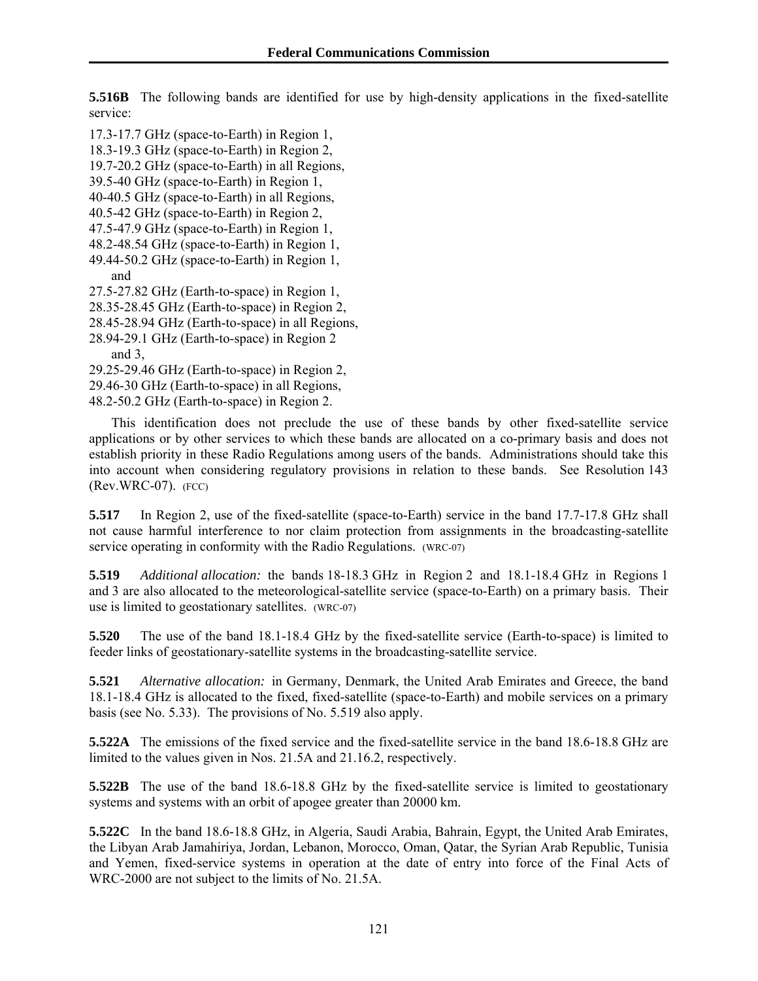**5.516B** The following bands are identified for use by high-density applications in the fixed-satellite service:

17.3-17.7 GHz (space-to-Earth) in Region 1,

18.3-19.3 GHz (space-to-Earth) in Region 2,

19.7-20.2 GHz (space-to-Earth) in all Regions,

39.5-40 GHz (space-to-Earth) in Region 1,

40-40.5 GHz (space-to-Earth) in all Regions,

40.5-42 GHz (space-to-Earth) in Region 2,

47.5-47.9 GHz (space-to-Earth) in Region 1,

- 48.2-48.54 GHz (space-to-Earth) in Region 1, 49.44-50.2 GHz (space-to-Earth) in Region 1,
- and
- 27.5-27.82 GHz (Earth-to-space) in Region 1,
- 28.35-28.45 GHz (Earth-to-space) in Region 2,

28.45-28.94 GHz (Earth-to-space) in all Regions,

28.94-29.1 GHz (Earth-to-space) in Region 2

and 3,

- 29.25-29.46 GHz (Earth-to-space) in Region 2,
- 29.46-30 GHz (Earth-to-space) in all Regions,

48.2-50.2 GHz (Earth-to-space) in Region 2.

This identification does not preclude the use of these bands by other fixed-satellite service applications or by other services to which these bands are allocated on a co-primary basis and does not establish priority in these Radio Regulations among users of the bands. Administrations should take this into account when considering regulatory provisions in relation to these bands. See Resolution 143 (Rev.WRC-07). (FCC)

**5.517** In Region 2, use of the fixed-satellite (space-to-Earth) service in the band 17.7-17.8 GHz shall not cause harmful interference to nor claim protection from assignments in the broadcasting-satellite service operating in conformity with the Radio Regulations. (WRC-07)

**5.519** *Additional allocation:* the bands 18-18.3 GHz in Region 2 and 18.1-18.4 GHz in Regions 1 and 3 are also allocated to the meteorological-satellite service (space-to-Earth) on a primary basis. Their use is limited to geostationary satellites. (WRC-07)

**5.520** The use of the band 18.1-18.4 GHz by the fixed-satellite service (Earth-to-space) is limited to feeder links of geostationary-satellite systems in the broadcasting-satellite service.

**5.521** *Alternative allocation:* in Germany, Denmark, the United Arab Emirates and Greece, the band 18.1-18.4 GHz is allocated to the fixed, fixed-satellite (space-to-Earth) and mobile services on a primary basis (see No. 5.33). The provisions of No. 5.519 also apply.

**5.522A** The emissions of the fixed service and the fixed-satellite service in the band 18.6-18.8 GHz are limited to the values given in Nos. 21.5A and 21.16.2, respectively.

**5.522B** The use of the band 18.6-18.8 GHz by the fixed-satellite service is limited to geostationary systems and systems with an orbit of apogee greater than 20000 km.

**5.522C** In the band 18.6-18.8 GHz, in Algeria, Saudi Arabia, Bahrain, Egypt, the United Arab Emirates, the Libyan Arab Jamahiriya, Jordan, Lebanon, Morocco, Oman, Qatar, the Syrian Arab Republic, Tunisia and Yemen, fixed-service systems in operation at the date of entry into force of the Final Acts of WRC-2000 are not subject to the limits of No. 21.5A.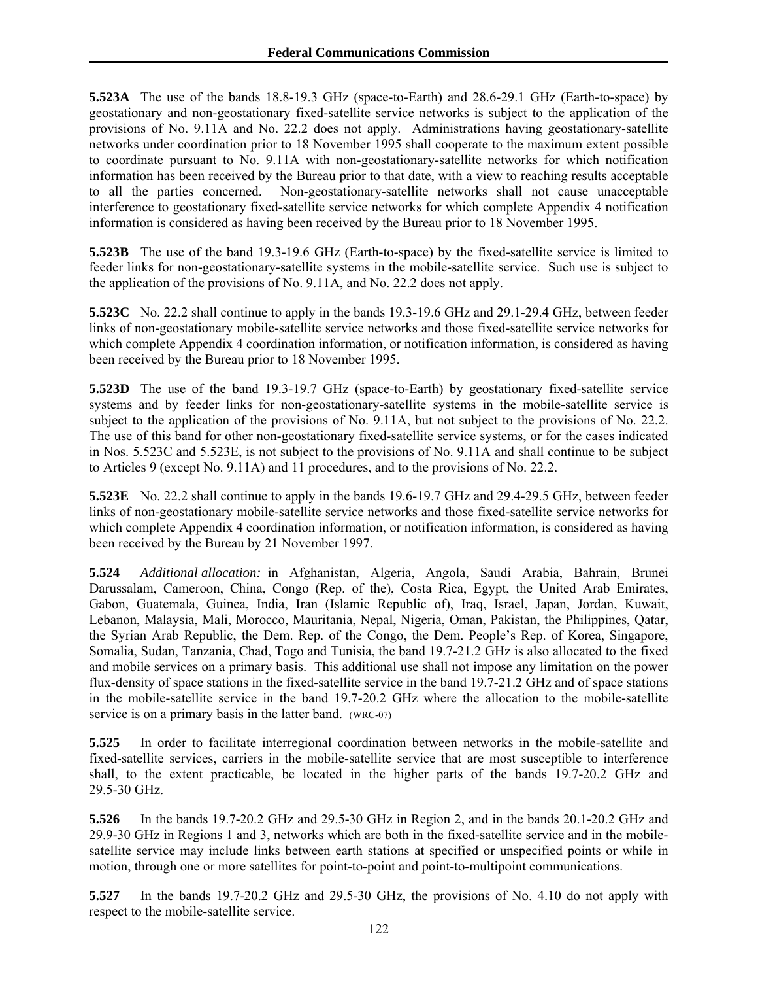**5.523A** The use of the bands 18.8-19.3 GHz (space-to-Earth) and 28.6-29.1 GHz (Earth-to-space) by geostationary and non-geostationary fixed-satellite service networks is subject to the application of the provisions of No. 9.11A and No. 22.2 does not apply. Administrations having geostationary-satellite networks under coordination prior to 18 November 1995 shall cooperate to the maximum extent possible to coordinate pursuant to No. 9.11A with non-geostationary-satellite networks for which notification information has been received by the Bureau prior to that date, with a view to reaching results acceptable to all the parties concerned. Non-geostationary-satellite networks shall not cause unacceptable interference to geostationary fixed-satellite service networks for which complete Appendix 4 notification information is considered as having been received by the Bureau prior to 18 November 1995.

**5.523B** The use of the band 19.3-19.6 GHz (Earth-to-space) by the fixed-satellite service is limited to feeder links for non-geostationary-satellite systems in the mobile-satellite service. Such use is subject to the application of the provisions of No. 9.11A, and No. 22.2 does not apply.

**5.523C** No. 22.2 shall continue to apply in the bands 19.3-19.6 GHz and 29.1-29.4 GHz, between feeder links of non-geostationary mobile-satellite service networks and those fixed-satellite service networks for which complete Appendix 4 coordination information, or notification information, is considered as having been received by the Bureau prior to 18 November 1995.

**5.523D** The use of the band 19.3-19.7 GHz (space-to-Earth) by geostationary fixed-satellite service systems and by feeder links for non-geostationary-satellite systems in the mobile-satellite service is subject to the application of the provisions of No. 9.11A, but not subject to the provisions of No. 22.2. The use of this band for other non-geostationary fixed-satellite service systems, or for the cases indicated in Nos. 5.523C and 5.523E, is not subject to the provisions of No. 9.11A and shall continue to be subject to Articles 9 (except No. 9.11A) and 11 procedures, and to the provisions of No. 22.2.

**5.523E** No. 22.2 shall continue to apply in the bands 19.6-19.7 GHz and 29.4-29.5 GHz, between feeder links of non-geostationary mobile-satellite service networks and those fixed-satellite service networks for which complete Appendix 4 coordination information, or notification information, is considered as having been received by the Bureau by 21 November 1997.

**5.524** *Additional allocation:* in Afghanistan, Algeria, Angola, Saudi Arabia, Bahrain, Brunei Darussalam, Cameroon, China, Congo (Rep. of the), Costa Rica, Egypt, the United Arab Emirates, Gabon, Guatemala, Guinea, India, Iran (Islamic Republic of), Iraq, Israel, Japan, Jordan, Kuwait, Lebanon, Malaysia, Mali, Morocco, Mauritania, Nepal, Nigeria, Oman, Pakistan, the Philippines, Qatar, the Syrian Arab Republic, the Dem. Rep. of the Congo, the Dem. People's Rep. of Korea, Singapore, Somalia, Sudan, Tanzania, Chad, Togo and Tunisia, the band 19.7-21.2 GHz is also allocated to the fixed and mobile services on a primary basis. This additional use shall not impose any limitation on the power flux-density of space stations in the fixed-satellite service in the band 19.7-21.2 GHz and of space stations in the mobile-satellite service in the band 19.7-20.2 GHz where the allocation to the mobile-satellite service is on a primary basis in the latter band. (WRC-07)

**5.525** In order to facilitate interregional coordination between networks in the mobile-satellite and fixed-satellite services, carriers in the mobile-satellite service that are most susceptible to interference shall, to the extent practicable, be located in the higher parts of the bands 19.7-20.2 GHz and 29.5-30 GHz.

**5.526** In the bands 19.7-20.2 GHz and 29.5-30 GHz in Region 2, and in the bands 20.1-20.2 GHz and 29.9-30 GHz in Regions 1 and 3, networks which are both in the fixed-satellite service and in the mobilesatellite service may include links between earth stations at specified or unspecified points or while in motion, through one or more satellites for point-to-point and point-to-multipoint communications.

**5.527** In the bands 19.7-20.2 GHz and 29.5-30 GHz, the provisions of No. 4.10 do not apply with respect to the mobile-satellite service.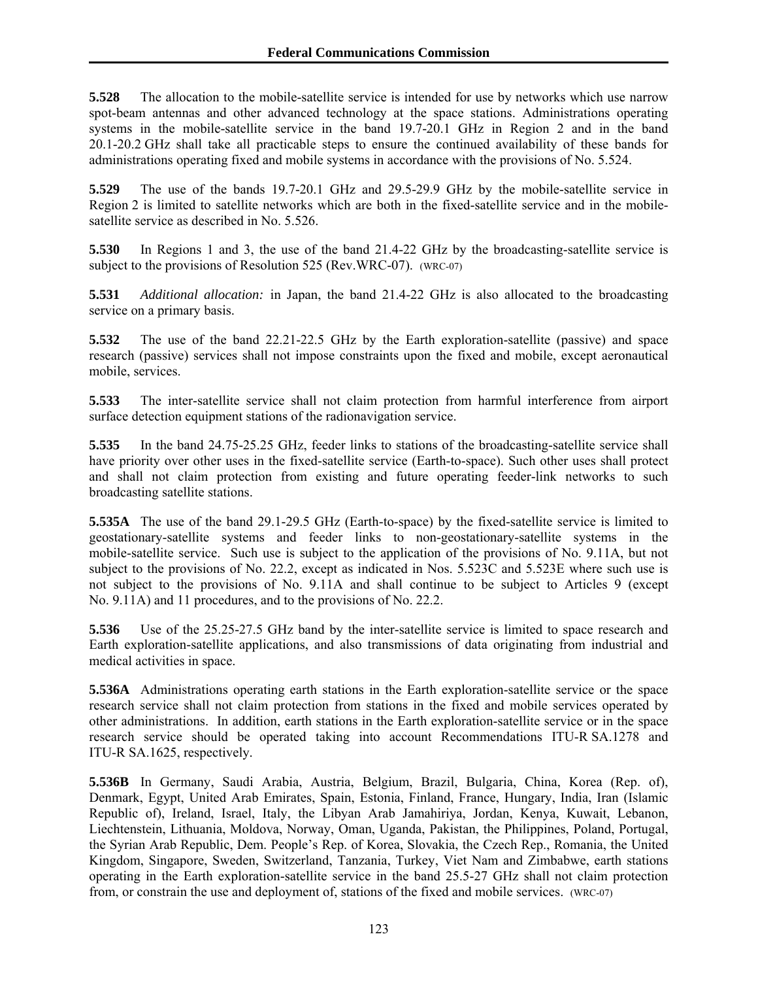**5.528** The allocation to the mobile-satellite service is intended for use by networks which use narrow spot-beam antennas and other advanced technology at the space stations. Administrations operating systems in the mobile-satellite service in the band 19.7-20.1 GHz in Region 2 and in the band 20.1-20.2 GHz shall take all practicable steps to ensure the continued availability of these bands for administrations operating fixed and mobile systems in accordance with the provisions of No. 5.524.

**5.529** The use of the bands 19.7-20.1 GHz and 29.5-29.9 GHz by the mobile-satellite service in Region 2 is limited to satellite networks which are both in the fixed-satellite service and in the mobilesatellite service as described in No. 5.526.

**5.530** In Regions 1 and 3, the use of the band 21.4-22 GHz by the broadcasting-satellite service is subject to the provisions of Resolution 525 (Rev.WRC-07). (WRC-07)

**5.531** *Additional allocation:* in Japan, the band 21.4-22 GHz is also allocated to the broadcasting service on a primary basis.

**5.532** The use of the band 22.21-22.5 GHz by the Earth exploration-satellite (passive) and space research (passive) services shall not impose constraints upon the fixed and mobile, except aeronautical mobile, services.

**5.533** The inter-satellite service shall not claim protection from harmful interference from airport surface detection equipment stations of the radionavigation service.

**5.535** In the band 24.75-25.25 GHz, feeder links to stations of the broadcasting-satellite service shall have priority over other uses in the fixed-satellite service (Earth-to-space). Such other uses shall protect and shall not claim protection from existing and future operating feeder-link networks to such broadcasting satellite stations.

**5.535A** The use of the band 29.1-29.5 GHz (Earth-to-space) by the fixed-satellite service is limited to geostationary-satellite systems and feeder links to non-geostationary-satellite systems in the mobile-satellite service. Such use is subject to the application of the provisions of No. 9.11A, but not subject to the provisions of No. 22.2, except as indicated in Nos. 5.523C and 5.523E where such use is not subject to the provisions of No. 9.11A and shall continue to be subject to Articles 9 (except No. 9.11A) and 11 procedures, and to the provisions of No. 22.2.

**5.536** Use of the 25.25-27.5 GHz band by the inter-satellite service is limited to space research and Earth exploration-satellite applications, and also transmissions of data originating from industrial and medical activities in space.

**5.536A** Administrations operating earth stations in the Earth exploration-satellite service or the space research service shall not claim protection from stations in the fixed and mobile services operated by other administrations. In addition, earth stations in the Earth exploration-satellite service or in the space research service should be operated taking into account Recommendations ITU-R SA.1278 and ITU-R SA.1625, respectively.

**5.536B** In Germany, Saudi Arabia, Austria, Belgium, Brazil, Bulgaria, China, Korea (Rep. of), Denmark, Egypt, United Arab Emirates, Spain, Estonia, Finland, France, Hungary, India, Iran (Islamic Republic of), Ireland, Israel, Italy, the Libyan Arab Jamahiriya, Jordan, Kenya, Kuwait, Lebanon, Liechtenstein, Lithuania, Moldova, Norway, Oman, Uganda, Pakistan, the Philippines, Poland, Portugal, the Syrian Arab Republic, Dem. People's Rep. of Korea, Slovakia, the Czech Rep., Romania, the United Kingdom, Singapore, Sweden, Switzerland, Tanzania, Turkey, Viet Nam and Zimbabwe, earth stations operating in the Earth exploration-satellite service in the band 25.5-27 GHz shall not claim protection from, or constrain the use and deployment of, stations of the fixed and mobile services. (WRC-07)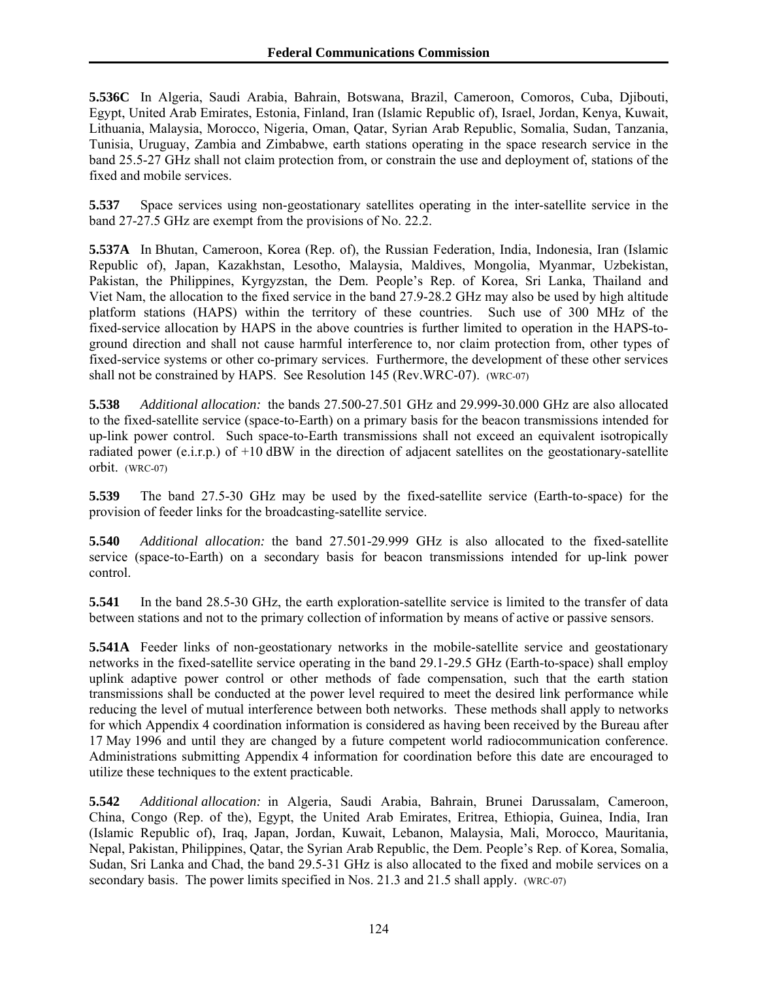**5.536C** In Algeria, Saudi Arabia, Bahrain, Botswana, Brazil, Cameroon, Comoros, Cuba, Djibouti, Egypt, United Arab Emirates, Estonia, Finland, Iran (Islamic Republic of), Israel, Jordan, Kenya, Kuwait, Lithuania, Malaysia, Morocco, Nigeria, Oman, Qatar, Syrian Arab Republic, Somalia, Sudan, Tanzania, Tunisia, Uruguay, Zambia and Zimbabwe, earth stations operating in the space research service in the band 25.5-27 GHz shall not claim protection from, or constrain the use and deployment of, stations of the fixed and mobile services.

**5.537** Space services using non-geostationary satellites operating in the inter-satellite service in the band 27-27.5 GHz are exempt from the provisions of No. 22.2.

**5.537A** In Bhutan, Cameroon, Korea (Rep. of), the Russian Federation, India, Indonesia, Iran (Islamic Republic of), Japan, Kazakhstan, Lesotho, Malaysia, Maldives, Mongolia, Myanmar, Uzbekistan, Pakistan, the Philippines, Kyrgyzstan, the Dem. People's Rep. of Korea, Sri Lanka, Thailand and Viet Nam, the allocation to the fixed service in the band 27.9-28.2 GHz may also be used by high altitude platform stations (HAPS) within the territory of these countries. Such use of 300 MHz of the fixed-service allocation by HAPS in the above countries is further limited to operation in the HAPS-toground direction and shall not cause harmful interference to, nor claim protection from, other types of fixed-service systems or other co-primary services. Furthermore, the development of these other services shall not be constrained by HAPS. See Resolution 145 (Rev.WRC-07). (WRC-07)

**5.538** *Additional allocation:* the bands 27.500-27.501 GHz and 29.999-30.000 GHz are also allocated to the fixed-satellite service (space-to-Earth) on a primary basis for the beacon transmissions intended for up-link power control. Such space-to-Earth transmissions shall not exceed an equivalent isotropically radiated power (e.i.r.p.) of +10 dBW in the direction of adjacent satellites on the geostationary-satellite orbit. (WRC-07)

**5.539** The band 27.5-30 GHz may be used by the fixed-satellite service (Earth-to-space) for the provision of feeder links for the broadcasting-satellite service.

**5.540** *Additional allocation:* the band 27.501-29.999 GHz is also allocated to the fixed-satellite service (space-to-Earth) on a secondary basis for beacon transmissions intended for up-link power control.

**5.541** In the band 28.5-30 GHz, the earth exploration-satellite service is limited to the transfer of data between stations and not to the primary collection of information by means of active or passive sensors.

**5.541A** Feeder links of non-geostationary networks in the mobile-satellite service and geostationary networks in the fixed-satellite service operating in the band 29.1-29.5 GHz (Earth-to-space) shall employ uplink adaptive power control or other methods of fade compensation, such that the earth station transmissions shall be conducted at the power level required to meet the desired link performance while reducing the level of mutual interference between both networks. These methods shall apply to networks for which Appendix 4 coordination information is considered as having been received by the Bureau after 17 May 1996 and until they are changed by a future competent world radiocommunication conference. Administrations submitting Appendix 4 information for coordination before this date are encouraged to utilize these techniques to the extent practicable.

**5.542** *Additional allocation:* in Algeria, Saudi Arabia, Bahrain, Brunei Darussalam, Cameroon, China, Congo (Rep. of the), Egypt, the United Arab Emirates, Eritrea, Ethiopia, Guinea, India, Iran (Islamic Republic of), Iraq, Japan, Jordan, Kuwait, Lebanon, Malaysia, Mali, Morocco, Mauritania, Nepal, Pakistan, Philippines, Qatar, the Syrian Arab Republic, the Dem. People's Rep. of Korea, Somalia, Sudan, Sri Lanka and Chad, the band 29.5-31 GHz is also allocated to the fixed and mobile services on a secondary basis. The power limits specified in Nos. 21.3 and 21.5 shall apply. (WRC-07)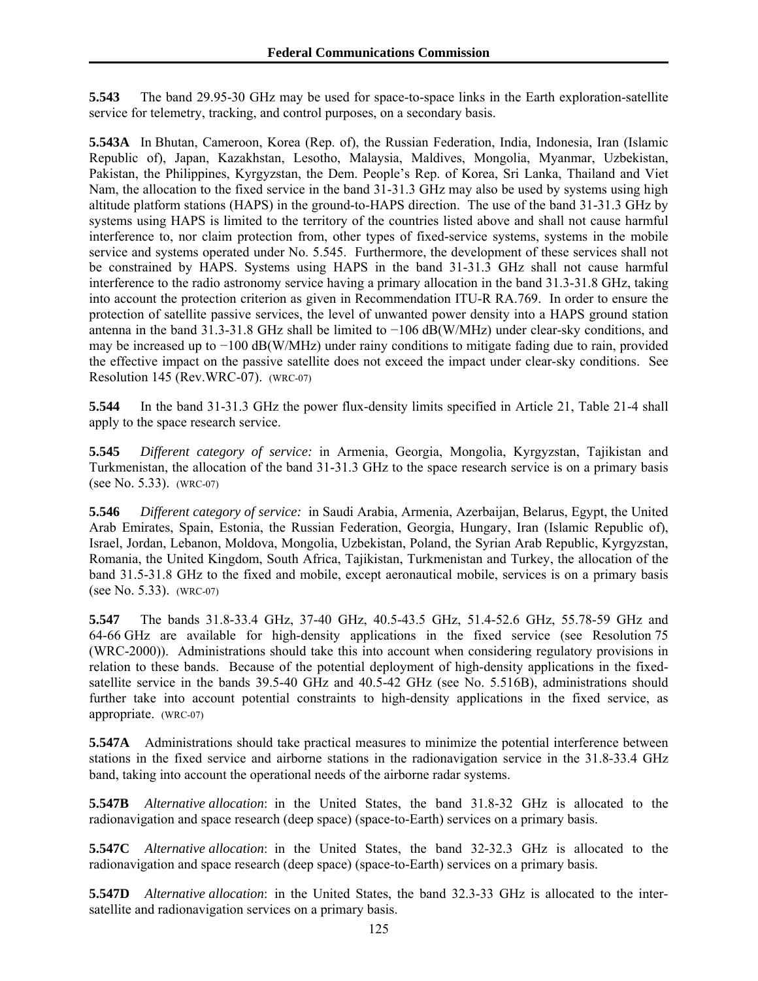**5.543** The band 29.95-30 GHz may be used for space-to-space links in the Earth exploration-satellite service for telemetry, tracking, and control purposes, on a secondary basis.

**5.543A** In Bhutan, Cameroon, Korea (Rep. of), the Russian Federation, India, Indonesia, Iran (Islamic Republic of), Japan, Kazakhstan, Lesotho, Malaysia, Maldives, Mongolia, Myanmar, Uzbekistan, Pakistan, the Philippines, Kyrgyzstan, the Dem. People's Rep. of Korea, Sri Lanka, Thailand and Viet Nam, the allocation to the fixed service in the band 31-31.3 GHz may also be used by systems using high altitude platform stations (HAPS) in the ground-to-HAPS direction. The use of the band 31-31.3 GHz by systems using HAPS is limited to the territory of the countries listed above and shall not cause harmful interference to, nor claim protection from, other types of fixed-service systems, systems in the mobile service and systems operated under No. 5.545. Furthermore, the development of these services shall not be constrained by HAPS. Systems using HAPS in the band 31-31.3 GHz shall not cause harmful interference to the radio astronomy service having a primary allocation in the band 31.3-31.8 GHz, taking into account the protection criterion as given in Recommendation ITU-R RA.769. In order to ensure the protection of satellite passive services, the level of unwanted power density into a HAPS ground station antenna in the band 31.3-31.8 GHz shall be limited to −106 dB(W/MHz) under clear-sky conditions, and may be increased up to −100 dB(W/MHz) under rainy conditions to mitigate fading due to rain, provided the effective impact on the passive satellite does not exceed the impact under clear-sky conditions. See Resolution 145 (Rev.WRC-07). (WRC-07)

**5.544** In the band 31-31.3 GHz the power flux-density limits specified in Article 21, Table 21-4 shall apply to the space research service.

**5.545** *Different category of service:* in Armenia, Georgia, Mongolia, Kyrgyzstan, Tajikistan and Turkmenistan, the allocation of the band 31-31.3 GHz to the space research service is on a primary basis (see No. 5.33). (WRC-07)

**5.546** *Different category of service:* in Saudi Arabia, Armenia, Azerbaijan, Belarus, Egypt, the United Arab Emirates, Spain, Estonia, the Russian Federation, Georgia, Hungary, Iran (Islamic Republic of), Israel, Jordan, Lebanon, Moldova, Mongolia, Uzbekistan, Poland, the Syrian Arab Republic, Kyrgyzstan, Romania, the United Kingdom, South Africa, Tajikistan, Turkmenistan and Turkey, the allocation of the band 31.5-31.8 GHz to the fixed and mobile, except aeronautical mobile, services is on a primary basis (see No. 5.33). (WRC-07)

**5.547** The bands 31.8-33.4 GHz, 37-40 GHz, 40.5-43.5 GHz, 51.4-52.6 GHz, 55.78-59 GHz and 64-66 GHz are available for high-density applications in the fixed service (see Resolution 75 (WRC-2000)). Administrations should take this into account when considering regulatory provisions in relation to these bands. Because of the potential deployment of high-density applications in the fixedsatellite service in the bands 39.5-40 GHz and 40.5-42 GHz (see No. 5.516B), administrations should further take into account potential constraints to high-density applications in the fixed service, as appropriate. (WRC-07)

**5.547A** Administrations should take practical measures to minimize the potential interference between stations in the fixed service and airborne stations in the radionavigation service in the 31.8-33.4 GHz band, taking into account the operational needs of the airborne radar systems.

**5.547B** *Alternative allocation*: in the United States, the band 31.8-32 GHz is allocated to the radionavigation and space research (deep space) (space-to-Earth) services on a primary basis.

**5.547C** *Alternative allocation*: in the United States, the band 32-32.3 GHz is allocated to the radionavigation and space research (deep space) (space-to-Earth) services on a primary basis.

**5.547D** *Alternative allocation*: in the United States, the band 32.3-33 GHz is allocated to the intersatellite and radionavigation services on a primary basis.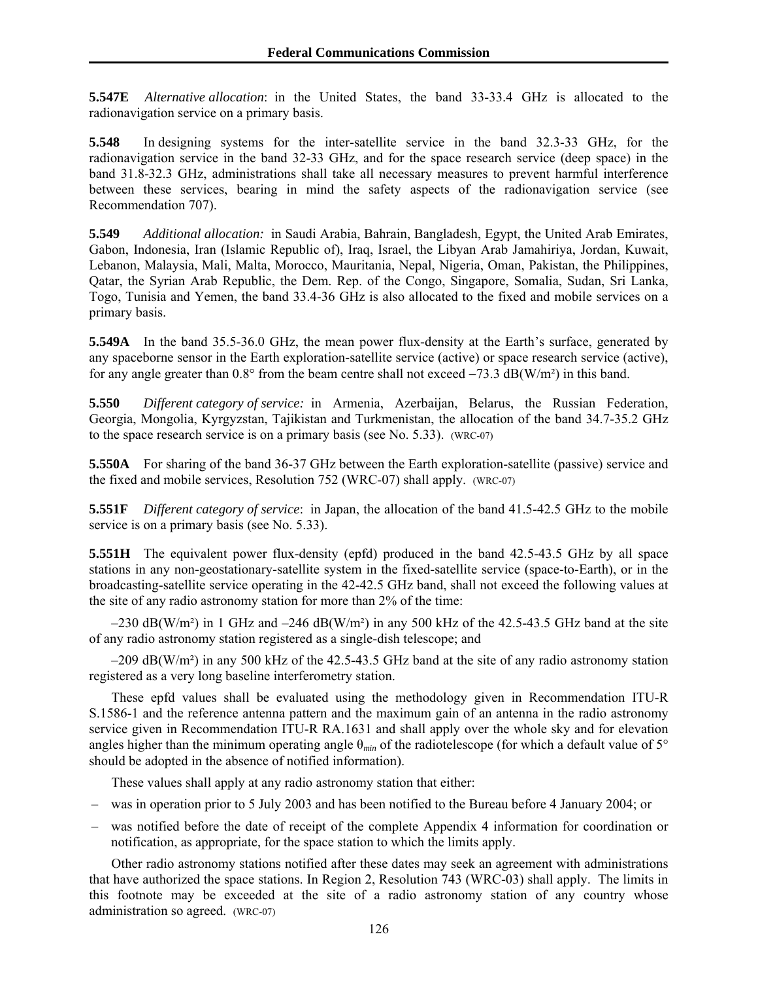**5.547E** *Alternative allocation*: in the United States, the band 33-33.4 GHz is allocated to the radionavigation service on a primary basis.

**5.548** In designing systems for the inter-satellite service in the band 32.3-33 GHz, for the radionavigation service in the band 32-33 GHz, and for the space research service (deep space) in the band 31.8-32.3 GHz, administrations shall take all necessary measures to prevent harmful interference between these services, bearing in mind the safety aspects of the radionavigation service (see Recommendation 707).

**5.549** *Additional allocation:* in Saudi Arabia, Bahrain, Bangladesh, Egypt, the United Arab Emirates, Gabon, Indonesia, Iran (Islamic Republic of), Iraq, Israel, the Libyan Arab Jamahiriya, Jordan, Kuwait, Lebanon, Malaysia, Mali, Malta, Morocco, Mauritania, Nepal, Nigeria, Oman, Pakistan, the Philippines, Qatar, the Syrian Arab Republic, the Dem. Rep. of the Congo, Singapore, Somalia, Sudan, Sri Lanka, Togo, Tunisia and Yemen, the band 33.4-36 GHz is also allocated to the fixed and mobile services on a primary basis.

**5.549A** In the band 35.5-36.0 GHz, the mean power flux-density at the Earth's surface, generated by any spaceborne sensor in the Earth exploration-satellite service (active) or space research service (active), for any angle greater than  $0.8^{\circ}$  from the beam centre shall not exceed  $-73.3$  dB(W/m<sup>2</sup>) in this band.

**5.550** *Different category of service:* in Armenia, Azerbaijan, Belarus, the Russian Federation, Georgia, Mongolia, Kyrgyzstan, Tajikistan and Turkmenistan, the allocation of the band 34.7-35.2 GHz to the space research service is on a primary basis (see No. 5.33). (WRC-07)

**5.550A** For sharing of the band 36-37 GHz between the Earth exploration-satellite (passive) service and the fixed and mobile services, Resolution 752 (WRC-07) shall apply. (WRC-07)

**5.551F** *Different category of service*: in Japan, the allocation of the band 41.5-42.5 GHz to the mobile service is on a primary basis (see No. 5.33).

**5.551H** The equivalent power flux-density (epfd) produced in the band 42.5-43.5 GHz by all space stations in any non-geostationary-satellite system in the fixed-satellite service (space-to-Earth), or in the broadcasting-satellite service operating in the 42-42.5 GHz band, shall not exceed the following values at the site of any radio astronomy station for more than 2% of the time:

 $-230$  dB(W/m<sup>2</sup>) in 1 GHz and  $-246$  dB(W/m<sup>2</sup>) in any 500 kHz of the 42.5-43.5 GHz band at the site of any radio astronomy station registered as a single-dish telescope; and

–209 dB(W/m²) in any 500 kHz of the 42.5-43.5 GHz band at the site of any radio astronomy station registered as a very long baseline interferometry station.

These epfd values shall be evaluated using the methodology given in Recommendation ITU-R S.1586-1 and the reference antenna pattern and the maximum gain of an antenna in the radio astronomy service given in Recommendation ITU-R RA.1631 and shall apply over the whole sky and for elevation angles higher than the minimum operating angle θ*min* of the radiotelescope (for which a default value of 5° should be adopted in the absence of notified information).

These values shall apply at any radio astronomy station that either:

- was in operation prior to 5 July 2003 and has been notified to the Bureau before 4 January 2004; or
- was notified before the date of receipt of the complete Appendix 4 information for coordination or notification, as appropriate, for the space station to which the limits apply.

Other radio astronomy stations notified after these dates may seek an agreement with administrations that have authorized the space stations. In Region 2, Resolution 743 (WRC-03) shall apply. The limits in this footnote may be exceeded at the site of a radio astronomy station of any country whose administration so agreed. (WRC-07)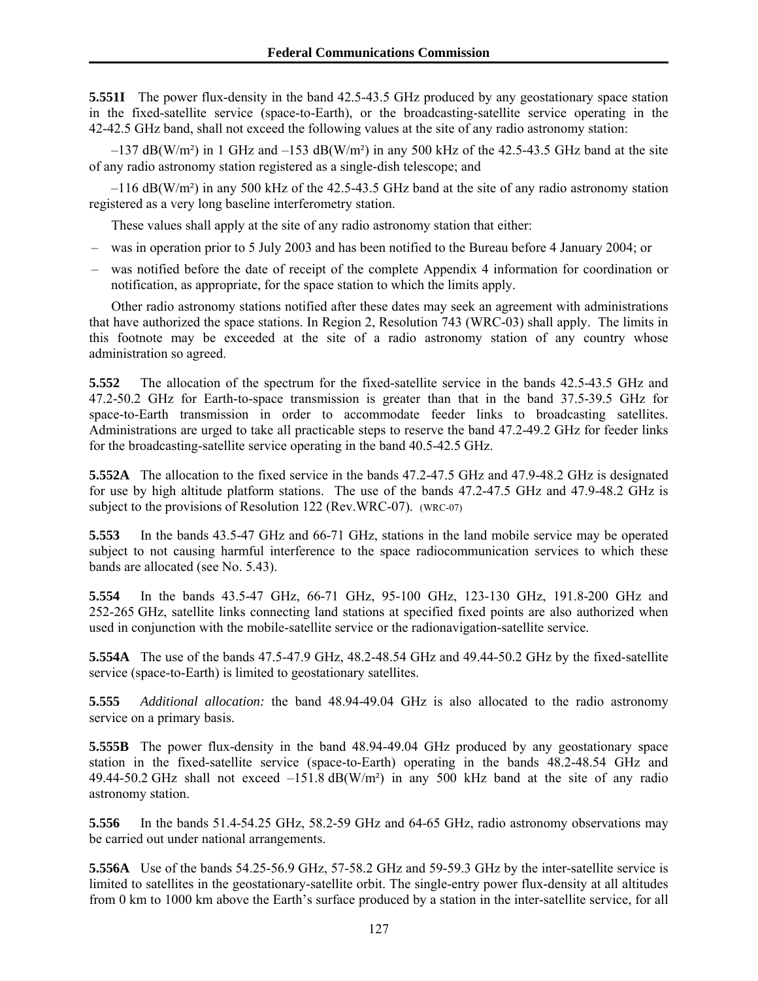**5.551I** The power flux-density in the band 42.5-43.5 GHz produced by any geostationary space station in the fixed-satellite service (space-to-Earth), or the broadcasting-satellite service operating in the 42-42.5 GHz band, shall not exceed the following values at the site of any radio astronomy station:

 $-137$  dB(W/m<sup>2</sup>) in 1 GHz and  $-153$  dB(W/m<sup>2</sup>) in any 500 kHz of the 42.5-43.5 GHz band at the site of any radio astronomy station registered as a single-dish telescope; and

–116 dB(W/m²) in any 500 kHz of the 42.5-43.5 GHz band at the site of any radio astronomy station registered as a very long baseline interferometry station.

These values shall apply at the site of any radio astronomy station that either:

- was in operation prior to 5 July 2003 and has been notified to the Bureau before 4 January 2004; or
- was notified before the date of receipt of the complete Appendix 4 information for coordination or notification, as appropriate, for the space station to which the limits apply.

Other radio astronomy stations notified after these dates may seek an agreement with administrations that have authorized the space stations. In Region 2, Resolution 743 (WRC-03) shall apply. The limits in this footnote may be exceeded at the site of a radio astronomy station of any country whose administration so agreed.

**5.552** The allocation of the spectrum for the fixed-satellite service in the bands 42.5-43.5 GHz and 47.2-50.2 GHz for Earth-to-space transmission is greater than that in the band 37.5-39.5 GHz for space-to-Earth transmission in order to accommodate feeder links to broadcasting satellites. Administrations are urged to take all practicable steps to reserve the band 47.2-49.2 GHz for feeder links for the broadcasting-satellite service operating in the band 40.5-42.5 GHz.

**5.552A** The allocation to the fixed service in the bands 47.2-47.5 GHz and 47.9-48.2 GHz is designated for use by high altitude platform stations. The use of the bands 47.2-47.5 GHz and 47.9-48.2 GHz is subject to the provisions of Resolution 122 (Rev.WRC-07). (WRC-07)

**5.553** In the bands 43.5-47 GHz and 66-71 GHz, stations in the land mobile service may be operated subject to not causing harmful interference to the space radiocommunication services to which these bands are allocated (see No. 5.43).

**5.554** In the bands 43.5-47 GHz, 66-71 GHz, 95-100 GHz, 123-130 GHz, 191.8-200 GHz and 252-265 GHz, satellite links connecting land stations at specified fixed points are also authorized when used in conjunction with the mobile-satellite service or the radionavigation-satellite service.

**5.554A** The use of the bands 47.5-47.9 GHz, 48.2-48.54 GHz and 49.44-50.2 GHz by the fixed-satellite service (space-to-Earth) is limited to geostationary satellites.

**5.555** *Additional allocation:* the band 48.94-49.04 GHz is also allocated to the radio astronomy service on a primary basis.

**5.555B** The power flux-density in the band 48.94-49.04 GHz produced by any geostationary space station in the fixed-satellite service (space-to-Earth) operating in the bands 48.2-48.54 GHz and 49.44-50.2 GHz shall not exceed  $-151.8$  dB(W/m<sup>2</sup>) in any 500 kHz band at the site of any radio astronomy station.

**5.556** In the bands 51.4-54.25 GHz, 58.2-59 GHz and 64-65 GHz, radio astronomy observations may be carried out under national arrangements.

**5.556A** Use of the bands 54.25-56.9 GHz, 57-58.2 GHz and 59-59.3 GHz by the inter-satellite service is limited to satellites in the geostationary-satellite orbit. The single-entry power flux-density at all altitudes from 0 km to 1000 km above the Earth's surface produced by a station in the inter-satellite service, for all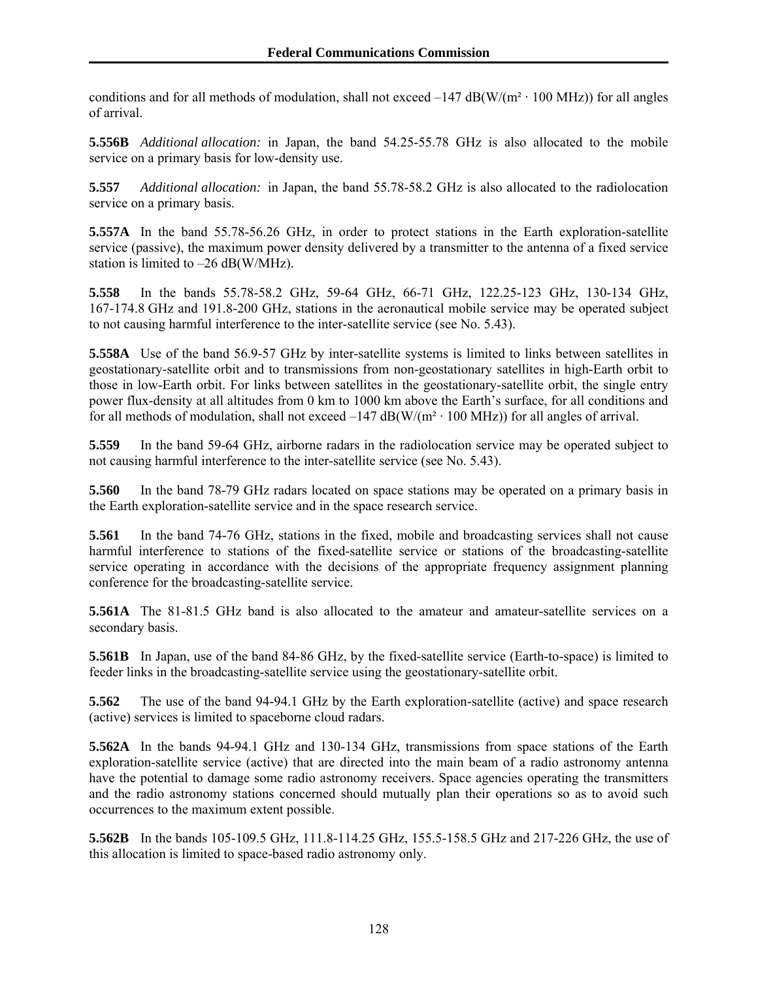conditions and for all methods of modulation, shall not exceed  $-147 \text{ dB}(W/(m^2 \cdot 100 \text{ MHz}))$  for all angles of arrival.

**5.556B** *Additional allocation:* in Japan, the band 54.25-55.78 GHz is also allocated to the mobile service on a primary basis for low-density use.

**5.557** *Additional allocation:* in Japan, the band 55.78-58.2 GHz is also allocated to the radiolocation service on a primary basis.

**5.557A** In the band 55.78-56.26 GHz, in order to protect stations in the Earth exploration-satellite service (passive), the maximum power density delivered by a transmitter to the antenna of a fixed service station is limited to  $-26$  dB(W/MHz).

**5.558** In the bands 55.78-58.2 GHz, 59-64 GHz, 66-71 GHz, 122.25-123 GHz, 130-134 GHz, 167-174.8 GHz and 191.8-200 GHz, stations in the aeronautical mobile service may be operated subject to not causing harmful interference to the inter-satellite service (see No. 5.43).

**5.558A** Use of the band 56.9-57 GHz by inter-satellite systems is limited to links between satellites in geostationary-satellite orbit and to transmissions from non-geostationary satellites in high-Earth orbit to those in low-Earth orbit. For links between satellites in the geostationary-satellite orbit, the single entry power flux-density at all altitudes from 0 km to 1000 km above the Earth's surface, for all conditions and for all methods of modulation, shall not exceed  $-147$  dB(W/(m<sup>2</sup> · 100 MHz)) for all angles of arrival.

**5.559** In the band 59-64 GHz, airborne radars in the radiolocation service may be operated subject to not causing harmful interference to the inter-satellite service (see No. 5.43).

**5.560** In the band 78-79 GHz radars located on space stations may be operated on a primary basis in the Earth exploration-satellite service and in the space research service.

**5.561** In the band 74-76 GHz, stations in the fixed, mobile and broadcasting services shall not cause harmful interference to stations of the fixed-satellite service or stations of the broadcasting-satellite service operating in accordance with the decisions of the appropriate frequency assignment planning conference for the broadcasting-satellite service.

**5.561A** The 81-81.5 GHz band is also allocated to the amateur and amateur-satellite services on a secondary basis.

**5.561B** In Japan, use of the band 84-86 GHz, by the fixed-satellite service (Earth-to-space) is limited to feeder links in the broadcasting-satellite service using the geostationary-satellite orbit.

**5.562** The use of the band 94-94.1 GHz by the Earth exploration-satellite (active) and space research (active) services is limited to spaceborne cloud radars.

**5.562A** In the bands 94-94.1 GHz and 130-134 GHz, transmissions from space stations of the Earth exploration-satellite service (active) that are directed into the main beam of a radio astronomy antenna have the potential to damage some radio astronomy receivers. Space agencies operating the transmitters and the radio astronomy stations concerned should mutually plan their operations so as to avoid such occurrences to the maximum extent possible.

**5.562B** In the bands 105-109.5 GHz, 111.8-114.25 GHz, 155.5-158.5 GHz and 217-226 GHz, the use of this allocation is limited to space-based radio astronomy only.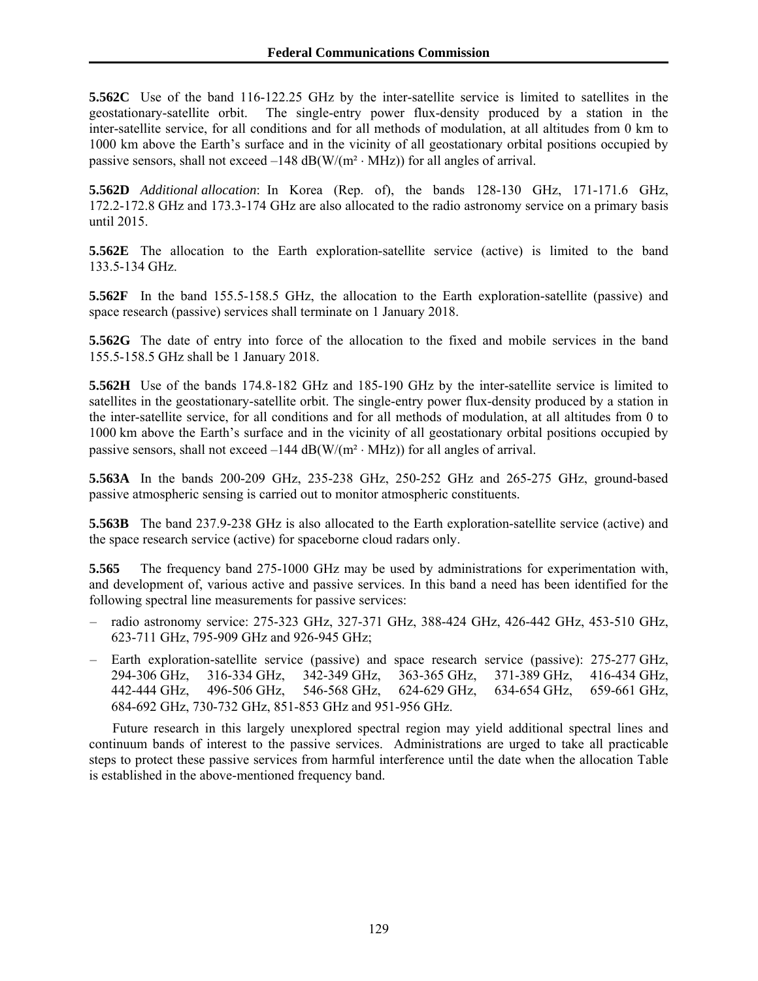**5.562C** Use of the band 116-122.25 GHz by the inter-satellite service is limited to satellites in the geostationary-satellite orbit. The single-entry power flux-density produced by a station in the inter-satellite service, for all conditions and for all methods of modulation, at all altitudes from 0 km to 1000 km above the Earth's surface and in the vicinity of all geostationary orbital positions occupied by passive sensors, shall not exceed  $-148$  dB(W/( $m<sup>2</sup> \cdot MHz$ )) for all angles of arrival.

**5.562D** *Additional allocation*: In Korea (Rep. of), the bands 128-130 GHz, 171-171.6 GHz, 172.2-172.8 GHz and 173.3-174 GHz are also allocated to the radio astronomy service on a primary basis until 2015.

**5.562E** The allocation to the Earth exploration-satellite service (active) is limited to the band 133.5-134 GHz.

**5.562F** In the band 155.5-158.5 GHz, the allocation to the Earth exploration-satellite (passive) and space research (passive) services shall terminate on 1 January 2018.

**5.562G** The date of entry into force of the allocation to the fixed and mobile services in the band 155.5-158.5 GHz shall be 1 January 2018.

**5.562H** Use of the bands 174.8-182 GHz and 185-190 GHz by the inter-satellite service is limited to satellites in the geostationary-satellite orbit. The single-entry power flux-density produced by a station in the inter-satellite service, for all conditions and for all methods of modulation, at all altitudes from 0 to 1000 km above the Earth's surface and in the vicinity of all geostationary orbital positions occupied by passive sensors, shall not exceed  $-144$  dB(W/(m<sup>2</sup>  $\cdot$  MHz)) for all angles of arrival.

**5.563A** In the bands 200-209 GHz, 235-238 GHz, 250-252 GHz and 265-275 GHz, ground-based passive atmospheric sensing is carried out to monitor atmospheric constituents.

**5.563B** The band 237.9-238 GHz is also allocated to the Earth exploration-satellite service (active) and the space research service (active) for spaceborne cloud radars only.

**5.565** The frequency band 275-1000 GHz may be used by administrations for experimentation with, and development of, various active and passive services. In this band a need has been identified for the following spectral line measurements for passive services:

- radio astronomy service: 275-323 GHz, 327-371 GHz, 388-424 GHz, 426-442 GHz, 453-510 GHz, 623-711 GHz, 795-909 GHz and 926-945 GHz;
- Earth exploration-satellite service (passive) and space research service (passive): 275-277 GHz, 294-306 GHz, 316-334 GHz, 342-349 GHz, 363-365 GHz, 371-389 GHz, 416-434 GHz, 442-444 GHz, 496-506 GHz, 546-568 GHz, 624-629 GHz, 634-654 GHz, 659-661 GHz, 684-692 GHz, 730-732 GHz, 851-853 GHz and 951-956 GHz.

Future research in this largely unexplored spectral region may yield additional spectral lines and continuum bands of interest to the passive services. Administrations are urged to take all practicable steps to protect these passive services from harmful interference until the date when the allocation Table is established in the above-mentioned frequency band.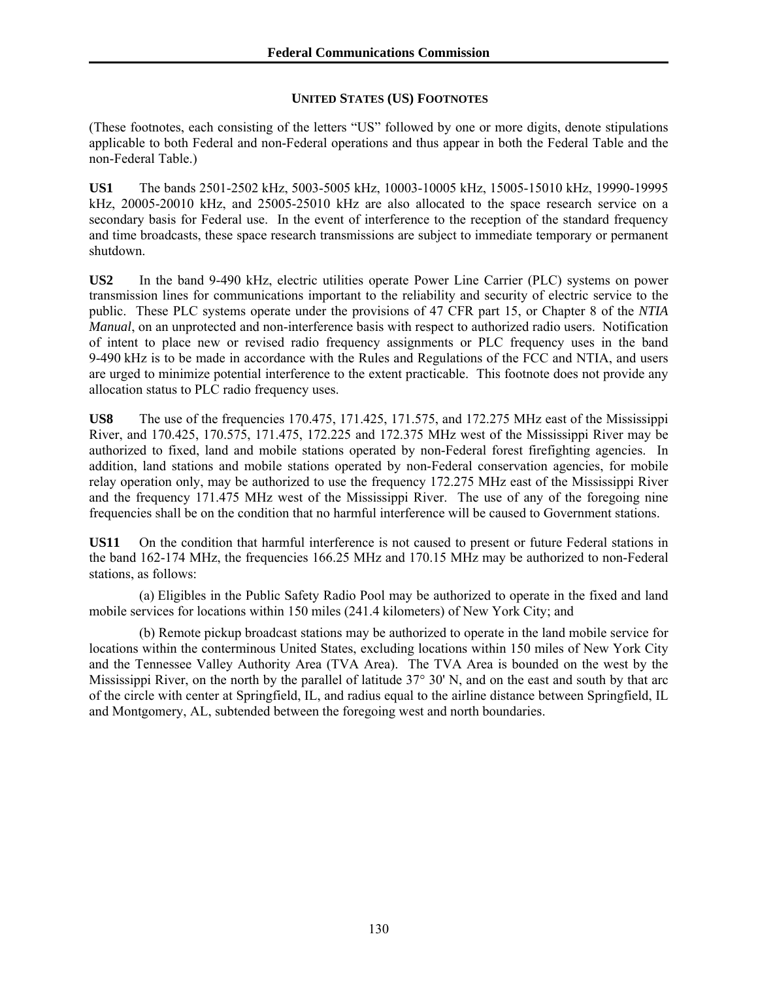## **UNITED STATES (US) FOOTNOTES**

(These footnotes, each consisting of the letters "US" followed by one or more digits, denote stipulations applicable to both Federal and non-Federal operations and thus appear in both the Federal Table and the non-Federal Table.)

**US1** The bands 2501-2502 kHz, 5003-5005 kHz, 10003-10005 kHz, 15005-15010 kHz, 19990-19995 kHz, 20005-20010 kHz, and 25005-25010 kHz are also allocated to the space research service on a secondary basis for Federal use. In the event of interference to the reception of the standard frequency and time broadcasts, these space research transmissions are subject to immediate temporary or permanent shutdown.

**US2** In the band 9-490 kHz, electric utilities operate Power Line Carrier (PLC) systems on power transmission lines for communications important to the reliability and security of electric service to the public. These PLC systems operate under the provisions of 47 CFR part 15, or Chapter 8 of the *NTIA Manual*, on an unprotected and non-interference basis with respect to authorized radio users. Notification of intent to place new or revised radio frequency assignments or PLC frequency uses in the band 9-490 kHz is to be made in accordance with the Rules and Regulations of the FCC and NTIA, and users are urged to minimize potential interference to the extent practicable. This footnote does not provide any allocation status to PLC radio frequency uses.

**US8** The use of the frequencies 170.475, 171.425, 171.575, and 172.275 MHz east of the Mississippi River, and 170.425, 170.575, 171.475, 172.225 and 172.375 MHz west of the Mississippi River may be authorized to fixed, land and mobile stations operated by non-Federal forest firefighting agencies. In addition, land stations and mobile stations operated by non-Federal conservation agencies, for mobile relay operation only, may be authorized to use the frequency 172.275 MHz east of the Mississippi River and the frequency 171.475 MHz west of the Mississippi River. The use of any of the foregoing nine frequencies shall be on the condition that no harmful interference will be caused to Government stations.

**US11** On the condition that harmful interference is not caused to present or future Federal stations in the band 162-174 MHz, the frequencies 166.25 MHz and 170.15 MHz may be authorized to non-Federal stations, as follows:

 (a) Eligibles in the Public Safety Radio Pool may be authorized to operate in the fixed and land mobile services for locations within 150 miles (241.4 kilometers) of New York City; and

 (b) Remote pickup broadcast stations may be authorized to operate in the land mobile service for locations within the conterminous United States, excluding locations within 150 miles of New York City and the Tennessee Valley Authority Area (TVA Area). The TVA Area is bounded on the west by the Mississippi River, on the north by the parallel of latitude 37° 30' N, and on the east and south by that arc of the circle with center at Springfield, IL, and radius equal to the airline distance between Springfield, IL and Montgomery, AL, subtended between the foregoing west and north boundaries.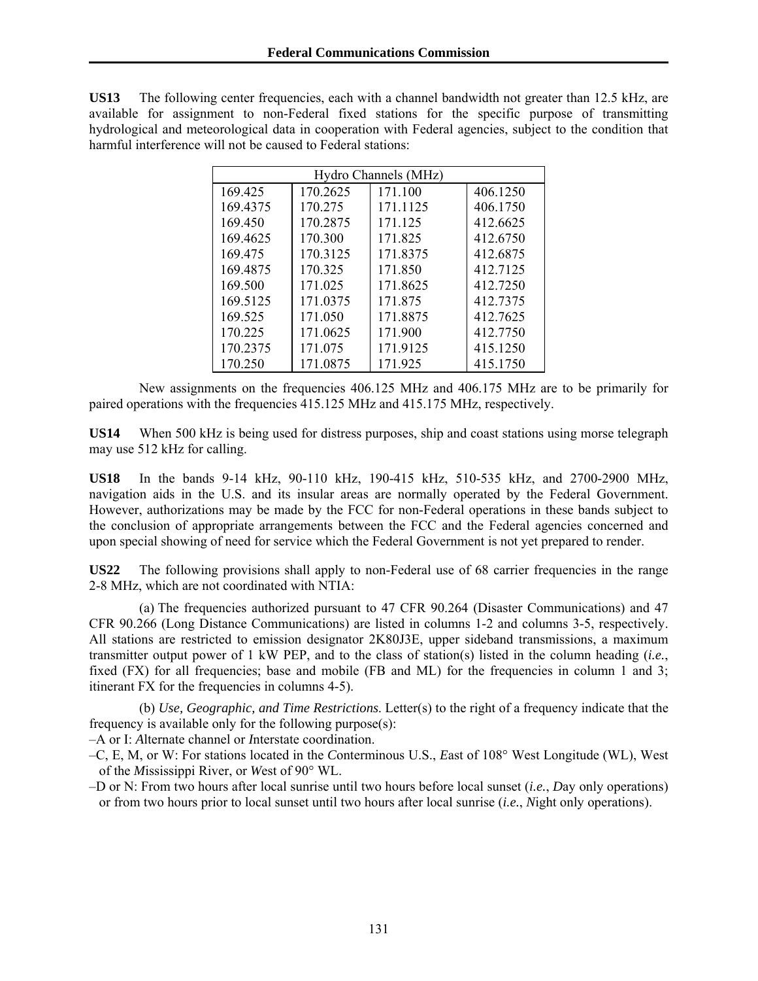**US13** The following center frequencies, each with a channel bandwidth not greater than 12.5 kHz, are available for assignment to non-Federal fixed stations for the specific purpose of transmitting hydrological and meteorological data in cooperation with Federal agencies, subject to the condition that harmful interference will not be caused to Federal stations:

| Hydro Channels (MHz) |          |          |          |
|----------------------|----------|----------|----------|
| 169.425              | 170.2625 | 171.100  | 406.1250 |
| 169.4375             | 170.275  | 171.1125 | 406.1750 |
| 169.450              | 170.2875 | 171.125  | 412.6625 |
| 169.4625             | 170.300  | 171.825  | 412.6750 |
| 169.475              | 170.3125 | 171.8375 | 412.6875 |
| 169.4875             | 170.325  | 171.850  | 412.7125 |
| 169.500              | 171.025  | 171.8625 | 412.7250 |
| 169.5125             | 171.0375 | 171.875  | 412.7375 |
| 169.525              | 171.050  | 171.8875 | 412.7625 |
| 170.225              | 171.0625 | 171.900  | 412.7750 |
| 170.2375             | 171.075  | 171.9125 | 415.1250 |
| 170.250              | 171.0875 | 171.925  | 415.1750 |

 New assignments on the frequencies 406.125 MHz and 406.175 MHz are to be primarily for paired operations with the frequencies 415.125 MHz and 415.175 MHz, respectively.

**US14** When 500 kHz is being used for distress purposes, ship and coast stations using morse telegraph may use 512 kHz for calling.

**US18** In the bands 9-14 kHz, 90-110 kHz, 190-415 kHz, 510-535 kHz, and 2700-2900 MHz, navigation aids in the U.S. and its insular areas are normally operated by the Federal Government. However, authorizations may be made by the FCC for non-Federal operations in these bands subject to the conclusion of appropriate arrangements between the FCC and the Federal agencies concerned and upon special showing of need for service which the Federal Government is not yet prepared to render.

**US22** The following provisions shall apply to non-Federal use of 68 carrier frequencies in the range 2-8 MHz, which are not coordinated with NTIA:

 (a) The frequencies authorized pursuant to 47 CFR 90.264 (Disaster Communications) and 47 CFR 90.266 (Long Distance Communications) are listed in columns 1-2 and columns 3-5, respectively. All stations are restricted to emission designator 2K80J3E, upper sideband transmissions, a maximum transmitter output power of 1 kW PEP, and to the class of station(s) listed in the column heading (*i.e.*, fixed (FX) for all frequencies; base and mobile (FB and ML) for the frequencies in column 1 and 3; itinerant FX for the frequencies in columns 4-5).

 (b) *Use, Geographic, and Time Restrictions*. Letter(s) to the right of a frequency indicate that the frequency is available only for the following purpose(s):

–A or I: *A*lternate channel or *I*nterstate coordination.

- –C, E, M, or W: For stations located in the *C*onterminous U.S., *E*ast of 108° West Longitude (WL), West of the *M*ississippi River, or *W*est of 90° WL.
- –D or N: From two hours after local sunrise until two hours before local sunset (*i.e.*, *D*ay only operations) or from two hours prior to local sunset until two hours after local sunrise (*i.e.*, *N*ight only operations).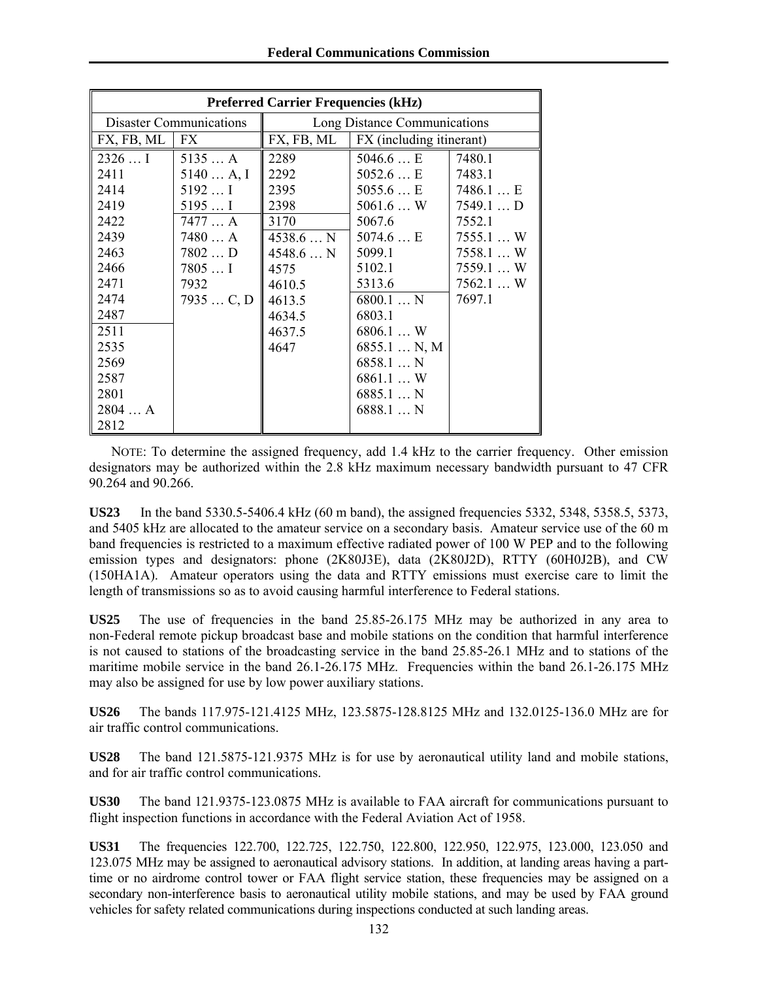| <b>Preferred Carrier Frequencies (kHz)</b> |           |                              |                                           |            |
|--------------------------------------------|-----------|------------------------------|-------------------------------------------|------------|
| <b>Disaster Communications</b>             |           | Long Distance Communications |                                           |            |
| FX, FB, ML                                 | FX        |                              | $FX, FB, ML$   $FX$ (including itinerant) |            |
| 2326I                                      | 5135A     | 2289                         | 5046.6 E                                  | 7480.1     |
| 2411                                       | 5140 A, I | 2292                         | 5052.6E                                   | 7483.1     |
| 2414                                       | $5192$ I  | 2395                         | 5055.6 E                                  | 7486.1E    |
| 2419                                       | $5195$ I  | 2398                         | $5061.6$ W                                | $7549.1$ D |
| 2422                                       | 7477A     | 3170                         | 5067.6                                    | 7552.1     |
| 2439                                       | 7480 A    | 4538.6N                      | 5074.6 E                                  | 7555.1W    |
| 2463                                       | 7802D     | $4548.6$ N                   | 5099.1                                    | 7558.1  W  |
| 2466                                       | $7805$ I  | 4575                         | 5102.1                                    | 7559.1W    |
| 2471                                       | 7932      | 4610.5                       | 5313.6                                    | $7562.1$ W |
| 2474                                       | 7935C, D  | 4613.5                       | 6800.1N                                   | 7697.1     |
| 2487                                       |           | 4634.5                       | 6803.1                                    |            |
| 2511                                       |           | 4637.5                       | 6806.1W                                   |            |
| 2535                                       |           | 4647                         | $6855.1$ N, M                             |            |
| 2569                                       |           |                              | 6858.1N                                   |            |
| 2587                                       |           |                              | 6861.1W                                   |            |
| 2801                                       |           |                              | 6885.1N                                   |            |
| 2804A                                      |           |                              | 6888.1N                                   |            |
| 2812                                       |           |                              |                                           |            |

NOTE: To determine the assigned frequency, add 1.4 kHz to the carrier frequency. Other emission designators may be authorized within the 2.8 kHz maximum necessary bandwidth pursuant to 47 CFR 90.264 and 90.266.

**US23** In the band 5330.5-5406.4 kHz (60 m band), the assigned frequencies 5332, 5348, 5358.5, 5373, and 5405 kHz are allocated to the amateur service on a secondary basis. Amateur service use of the 60 m band frequencies is restricted to a maximum effective radiated power of 100 W PEP and to the following emission types and designators: phone (2K80J3E), data (2K80J2D), RTTY (60H0J2B), and CW (150HA1A). Amateur operators using the data and RTTY emissions must exercise care to limit the length of transmissions so as to avoid causing harmful interference to Federal stations.

**US25** The use of frequencies in the band 25.85-26.175 MHz may be authorized in any area to non-Federal remote pickup broadcast base and mobile stations on the condition that harmful interference is not caused to stations of the broadcasting service in the band 25.85-26.1 MHz and to stations of the maritime mobile service in the band 26.1-26.175 MHz. Frequencies within the band 26.1-26.175 MHz may also be assigned for use by low power auxiliary stations.

**US26** The bands 117.975-121.4125 MHz, 123.5875-128.8125 MHz and 132.0125-136.0 MHz are for air traffic control communications.

**US28** The band 121.5875-121.9375 MHz is for use by aeronautical utility land and mobile stations, and for air traffic control communications.

**US30** The band 121.9375-123.0875 MHz is available to FAA aircraft for communications pursuant to flight inspection functions in accordance with the Federal Aviation Act of 1958.

**US31** The frequencies 122.700, 122.725, 122.750, 122.800, 122.950, 122.975, 123.000, 123.050 and 123.075 MHz may be assigned to aeronautical advisory stations. In addition, at landing areas having a parttime or no airdrome control tower or FAA flight service station, these frequencies may be assigned on a secondary non-interference basis to aeronautical utility mobile stations, and may be used by FAA ground vehicles for safety related communications during inspections conducted at such landing areas.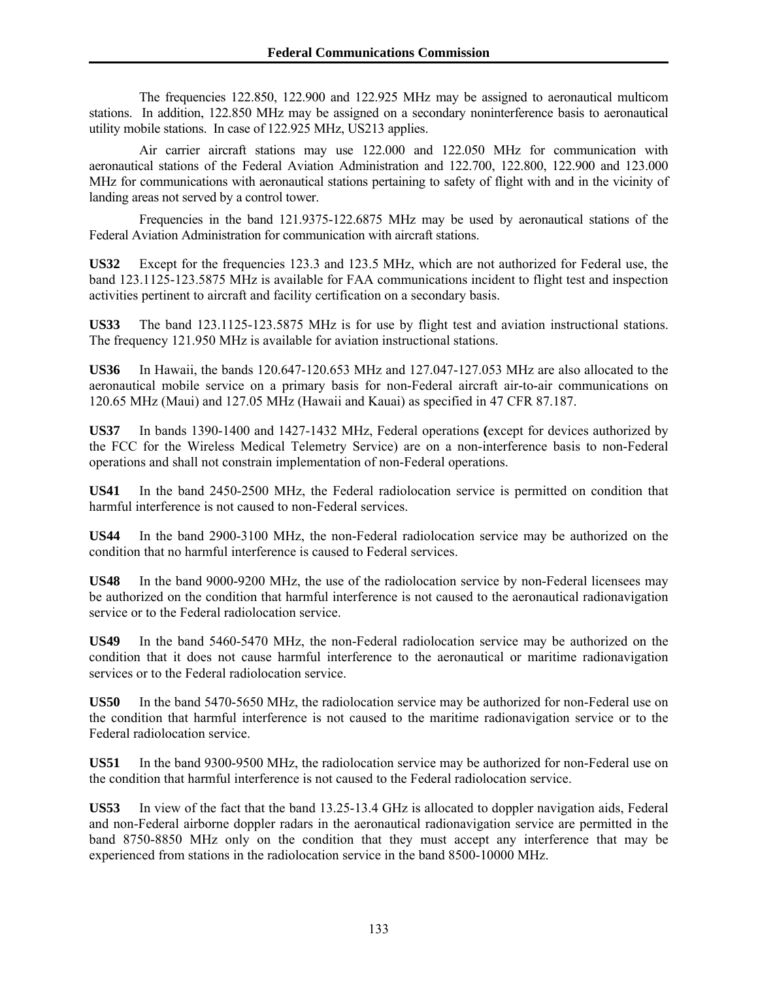The frequencies 122.850, 122.900 and 122.925 MHz may be assigned to aeronautical multicom stations. In addition, 122.850 MHz may be assigned on a secondary noninterference basis to aeronautical utility mobile stations. In case of 122.925 MHz, US213 applies.

 Air carrier aircraft stations may use 122.000 and 122.050 MHz for communication with aeronautical stations of the Federal Aviation Administration and 122.700, 122.800, 122.900 and 123.000 MHz for communications with aeronautical stations pertaining to safety of flight with and in the vicinity of landing areas not served by a control tower.

 Frequencies in the band 121.9375-122.6875 MHz may be used by aeronautical stations of the Federal Aviation Administration for communication with aircraft stations.

**US32** Except for the frequencies 123.3 and 123.5 MHz, which are not authorized for Federal use, the band 123.1125-123.5875 MHz is available for FAA communications incident to flight test and inspection activities pertinent to aircraft and facility certification on a secondary basis.

**US33** The band 123.1125-123.5875 MHz is for use by flight test and aviation instructional stations. The frequency 121.950 MHz is available for aviation instructional stations.

**US36** In Hawaii, the bands 120.647-120.653 MHz and 127.047-127.053 MHz are also allocated to the aeronautical mobile service on a primary basis for non-Federal aircraft air-to-air communications on 120.65 MHz (Maui) and 127.05 MHz (Hawaii and Kauai) as specified in 47 CFR 87.187.

**US37** In bands 1390-1400 and 1427-1432 MHz, Federal operations **(**except for devices authorized by the FCC for the Wireless Medical Telemetry Service) are on a non-interference basis to non-Federal operations and shall not constrain implementation of non-Federal operations.

**US41** In the band 2450-2500 MHz, the Federal radiolocation service is permitted on condition that harmful interference is not caused to non-Federal services.

**US44** In the band 2900-3100 MHz, the non-Federal radiolocation service may be authorized on the condition that no harmful interference is caused to Federal services.

**US48** In the band 9000-9200 MHz, the use of the radiolocation service by non-Federal licensees may be authorized on the condition that harmful interference is not caused to the aeronautical radionavigation service or to the Federal radiolocation service.

**US49** In the band 5460-5470 MHz, the non-Federal radiolocation service may be authorized on the condition that it does not cause harmful interference to the aeronautical or maritime radionavigation services or to the Federal radiolocation service.

**US50** In the band 5470-5650 MHz, the radiolocation service may be authorized for non-Federal use on the condition that harmful interference is not caused to the maritime radionavigation service or to the Federal radiolocation service.

**US51** In the band 9300-9500 MHz, the radiolocation service may be authorized for non-Federal use on the condition that harmful interference is not caused to the Federal radiolocation service.

**US53** In view of the fact that the band 13.25-13.4 GHz is allocated to doppler navigation aids, Federal and non-Federal airborne doppler radars in the aeronautical radionavigation service are permitted in the band 8750-8850 MHz only on the condition that they must accept any interference that may be experienced from stations in the radiolocation service in the band 8500-10000 MHz.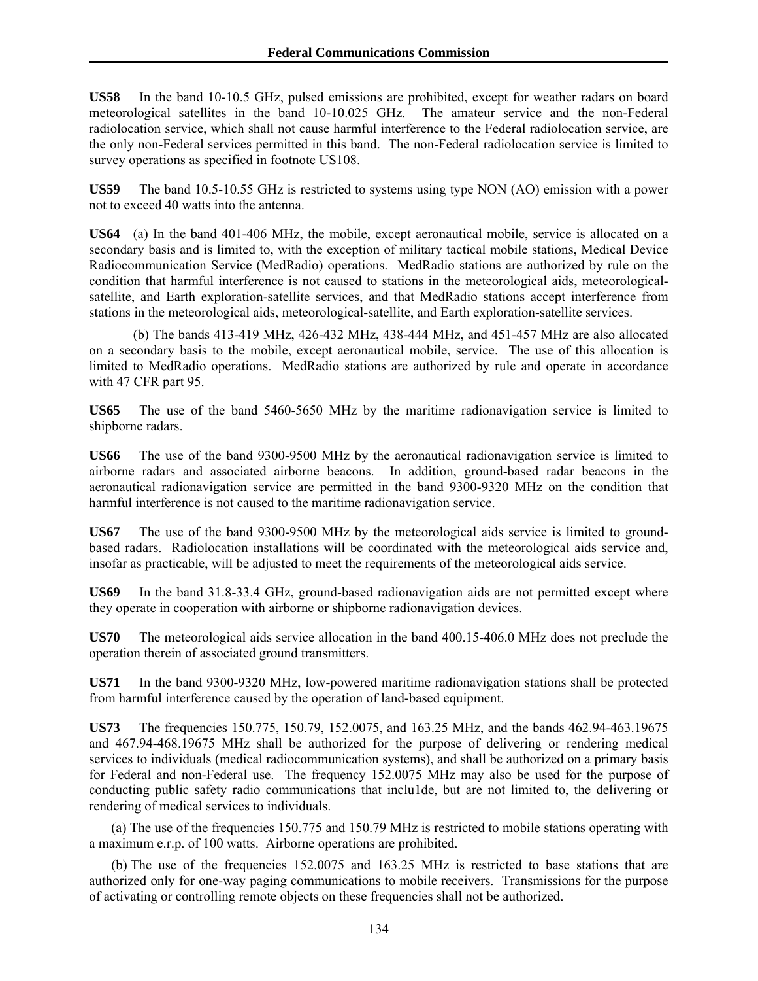**US58** In the band 10-10.5 GHz, pulsed emissions are prohibited, except for weather radars on board meteorological satellites in the band 10-10.025 GHz. The amateur service and the non-Federal radiolocation service, which shall not cause harmful interference to the Federal radiolocation service, are the only non-Federal services permitted in this band. The non-Federal radiolocation service is limited to survey operations as specified in footnote US108.

**US59** The band 10.5-10.55 GHz is restricted to systems using type NON (AO) emission with a power not to exceed 40 watts into the antenna.

**US64** (a) In the band 401-406 MHz, the mobile, except aeronautical mobile, service is allocated on a secondary basis and is limited to, with the exception of military tactical mobile stations, Medical Device Radiocommunication Service (MedRadio) operations. MedRadio stations are authorized by rule on the condition that harmful interference is not caused to stations in the meteorological aids, meteorologicalsatellite, and Earth exploration-satellite services, and that MedRadio stations accept interference from stations in the meteorological aids, meteorological-satellite, and Earth exploration-satellite services.

 (b) The bands 413-419 MHz, 426-432 MHz, 438-444 MHz, and 451-457 MHz are also allocated on a secondary basis to the mobile, except aeronautical mobile, service. The use of this allocation is limited to MedRadio operations. MedRadio stations are authorized by rule and operate in accordance with 47 CFR part 95.

**US65** The use of the band 5460-5650 MHz by the maritime radionavigation service is limited to shipborne radars.

**US66** The use of the band 9300-9500 MHz by the aeronautical radionavigation service is limited to airborne radars and associated airborne beacons. In addition, ground-based radar beacons in the aeronautical radionavigation service are permitted in the band 9300-9320 MHz on the condition that harmful interference is not caused to the maritime radionavigation service.

**US67** The use of the band 9300-9500 MHz by the meteorological aids service is limited to groundbased radars. Radiolocation installations will be coordinated with the meteorological aids service and, insofar as practicable, will be adjusted to meet the requirements of the meteorological aids service.

**US69** In the band 31.8-33.4 GHz, ground-based radionavigation aids are not permitted except where they operate in cooperation with airborne or shipborne radionavigation devices.

**US70** The meteorological aids service allocation in the band 400.15-406.0 MHz does not preclude the operation therein of associated ground transmitters.

**US71** In the band 9300-9320 MHz, low-powered maritime radionavigation stations shall be protected from harmful interference caused by the operation of land-based equipment.

**US73** The frequencies 150.775, 150.79, 152.0075, and 163.25 MHz, and the bands 462.94-463.19675 and 467.94-468.19675 MHz shall be authorized for the purpose of delivering or rendering medical services to individuals (medical radiocommunication systems), and shall be authorized on a primary basis for Federal and non-Federal use. The frequency 152.0075 MHz may also be used for the purpose of conducting public safety radio communications that inclu1de, but are not limited to, the delivering or rendering of medical services to individuals.

(a) The use of the frequencies 150.775 and 150.79 MHz is restricted to mobile stations operating with a maximum e.r.p. of 100 watts. Airborne operations are prohibited.

(b) The use of the frequencies 152.0075 and 163.25 MHz is restricted to base stations that are authorized only for one-way paging communications to mobile receivers. Transmissions for the purpose of activating or controlling remote objects on these frequencies shall not be authorized.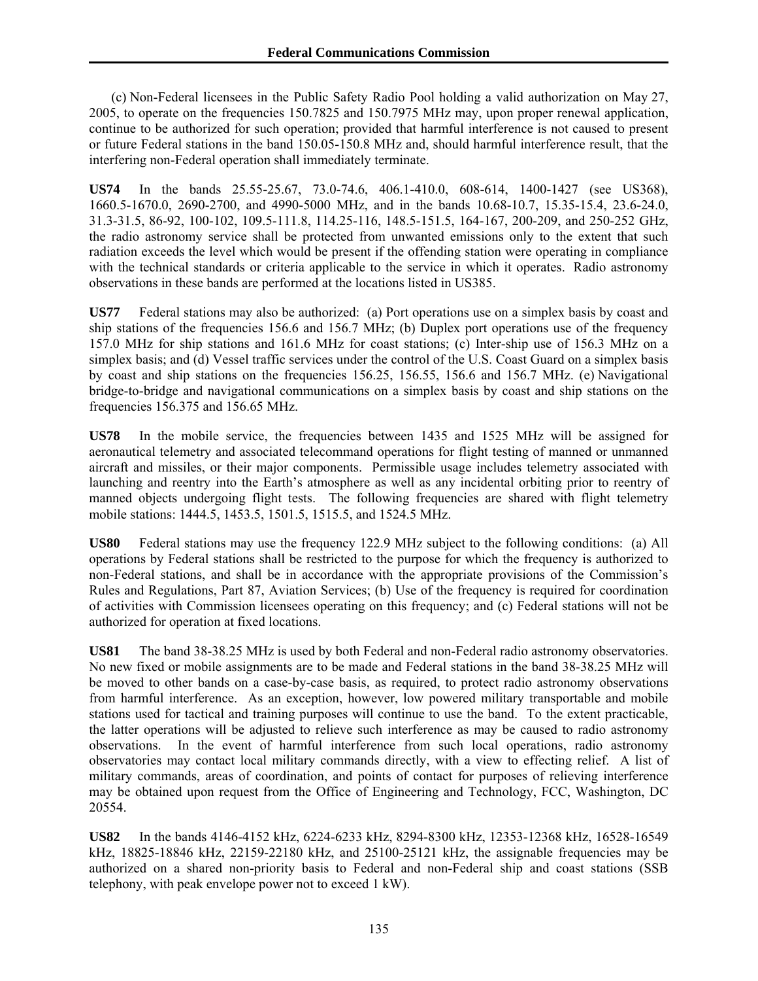(c) Non-Federal licensees in the Public Safety Radio Pool holding a valid authorization on May 27, 2005, to operate on the frequencies 150.7825 and 150.7975 MHz may, upon proper renewal application, continue to be authorized for such operation; provided that harmful interference is not caused to present or future Federal stations in the band 150.05-150.8 MHz and, should harmful interference result, that the interfering non-Federal operation shall immediately terminate.

**US74** In the bands 25.55-25.67, 73.0-74.6, 406.1-410.0, 608-614, 1400-1427 (see US368), 1660.5-1670.0, 2690-2700, and 4990-5000 MHz, and in the bands 10.68-10.7, 15.35-15.4, 23.6-24.0, 31.3-31.5, 86-92, 100-102, 109.5-111.8, 114.25-116, 148.5-151.5, 164-167, 200-209, and 250-252 GHz, the radio astronomy service shall be protected from unwanted emissions only to the extent that such radiation exceeds the level which would be present if the offending station were operating in compliance with the technical standards or criteria applicable to the service in which it operates. Radio astronomy observations in these bands are performed at the locations listed in US385.

**US77** Federal stations may also be authorized: (a) Port operations use on a simplex basis by coast and ship stations of the frequencies 156.6 and 156.7 MHz; (b) Duplex port operations use of the frequency 157.0 MHz for ship stations and 161.6 MHz for coast stations; (c) Inter-ship use of 156.3 MHz on a simplex basis; and (d) Vessel traffic services under the control of the U.S. Coast Guard on a simplex basis by coast and ship stations on the frequencies 156.25, 156.55, 156.6 and 156.7 MHz. (e) Navigational bridge-to-bridge and navigational communications on a simplex basis by coast and ship stations on the frequencies 156.375 and 156.65 MHz.

**US78** In the mobile service, the frequencies between 1435 and 1525 MHz will be assigned for aeronautical telemetry and associated telecommand operations for flight testing of manned or unmanned aircraft and missiles, or their major components. Permissible usage includes telemetry associated with launching and reentry into the Earth's atmosphere as well as any incidental orbiting prior to reentry of manned objects undergoing flight tests. The following frequencies are shared with flight telemetry mobile stations: 1444.5, 1453.5, 1501.5, 1515.5, and 1524.5 MHz.

**US80** Federal stations may use the frequency 122.9 MHz subject to the following conditions: (a) All operations by Federal stations shall be restricted to the purpose for which the frequency is authorized to non-Federal stations, and shall be in accordance with the appropriate provisions of the Commission's Rules and Regulations, Part 87, Aviation Services; (b) Use of the frequency is required for coordination of activities with Commission licensees operating on this frequency; and (c) Federal stations will not be authorized for operation at fixed locations.

**US81** The band 38-38.25 MHz is used by both Federal and non-Federal radio astronomy observatories. No new fixed or mobile assignments are to be made and Federal stations in the band 38-38.25 MHz will be moved to other bands on a case-by-case basis, as required, to protect radio astronomy observations from harmful interference. As an exception, however, low powered military transportable and mobile stations used for tactical and training purposes will continue to use the band. To the extent practicable, the latter operations will be adjusted to relieve such interference as may be caused to radio astronomy observations. In the event of harmful interference from such local operations, radio astronomy observatories may contact local military commands directly, with a view to effecting relief. A list of military commands, areas of coordination, and points of contact for purposes of relieving interference may be obtained upon request from the Office of Engineering and Technology, FCC, Washington, DC 20554.

**US82** In the bands 4146-4152 kHz, 6224-6233 kHz, 8294-8300 kHz, 12353-12368 kHz, 16528-16549 kHz, 18825-18846 kHz, 22159-22180 kHz, and 25100-25121 kHz, the assignable frequencies may be authorized on a shared non-priority basis to Federal and non-Federal ship and coast stations (SSB telephony, with peak envelope power not to exceed 1 kW).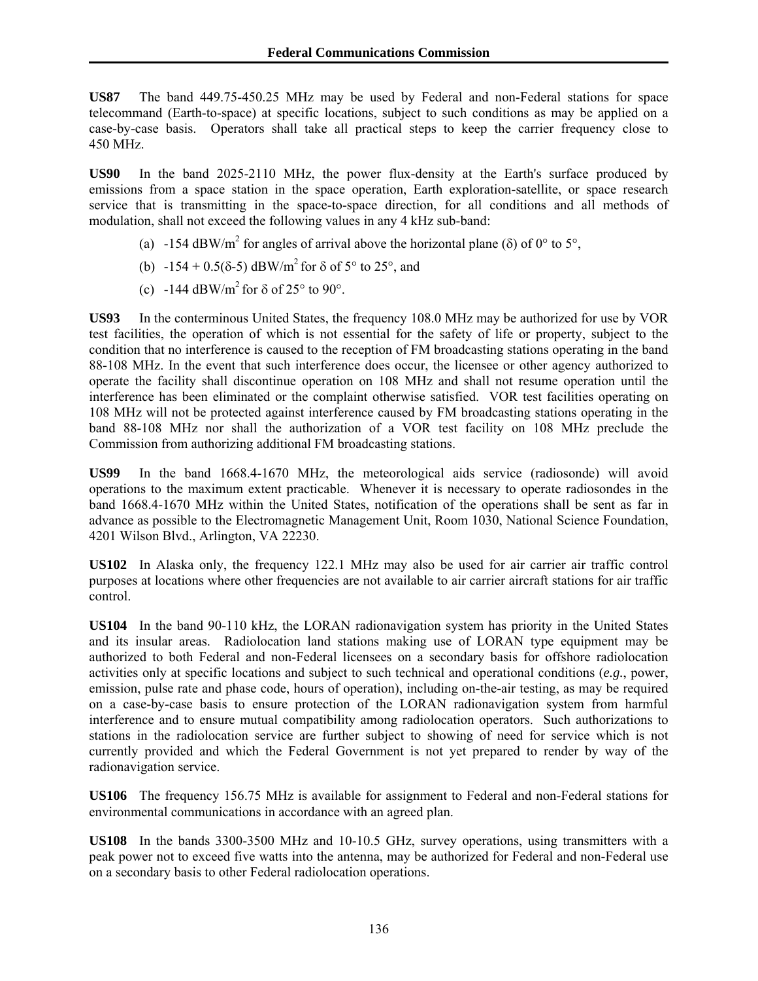**US87** The band 449.75-450.25 MHz may be used by Federal and non-Federal stations for space telecommand (Earth-to-space) at specific locations, subject to such conditions as may be applied on a case-by-case basis. Operators shall take all practical steps to keep the carrier frequency close to 450 MHz.

**US90** In the band 2025-2110 MHz, the power flux-density at the Earth's surface produced by emissions from a space station in the space operation, Earth exploration-satellite, or space research service that is transmitting in the space-to-space direction, for all conditions and all methods of modulation, shall not exceed the following values in any 4 kHz sub-band:

- (a) -154 dBW/m<sup>2</sup> for angles of arrival above the horizontal plane ( $\delta$ ) of 0° to 5°,
	- (b)  $-154 + 0.5(8-5)$  dBW/m<sup>2</sup> for  $\delta$  of  $5^{\circ}$  to  $25^{\circ}$ , and
	- (c)  $-144 \text{ dBW/m}^2$  for  $\delta$  of 25° to 90°.

**US93** In the conterminous United States, the frequency 108.0 MHz may be authorized for use by VOR test facilities, the operation of which is not essential for the safety of life or property, subject to the condition that no interference is caused to the reception of FM broadcasting stations operating in the band 88-108 MHz. In the event that such interference does occur, the licensee or other agency authorized to operate the facility shall discontinue operation on 108 MHz and shall not resume operation until the interference has been eliminated or the complaint otherwise satisfied. VOR test facilities operating on 108 MHz will not be protected against interference caused by FM broadcasting stations operating in the band 88-108 MHz nor shall the authorization of a VOR test facility on 108 MHz preclude the Commission from authorizing additional FM broadcasting stations.

**US99** In the band 1668.4-1670 MHz, the meteorological aids service (radiosonde) will avoid operations to the maximum extent practicable. Whenever it is necessary to operate radiosondes in the band 1668.4-1670 MHz within the United States, notification of the operations shall be sent as far in advance as possible to the Electromagnetic Management Unit, Room 1030, National Science Foundation, 4201 Wilson Blvd., Arlington, VA 22230.

**US102** In Alaska only, the frequency 122.1 MHz may also be used for air carrier air traffic control purposes at locations where other frequencies are not available to air carrier aircraft stations for air traffic control.

**US104** In the band 90-110 kHz, the LORAN radionavigation system has priority in the United States and its insular areas. Radiolocation land stations making use of LORAN type equipment may be authorized to both Federal and non-Federal licensees on a secondary basis for offshore radiolocation activities only at specific locations and subject to such technical and operational conditions (*e.g.*, power, emission, pulse rate and phase code, hours of operation), including on-the-air testing, as may be required on a case-by-case basis to ensure protection of the LORAN radionavigation system from harmful interference and to ensure mutual compatibility among radiolocation operators. Such authorizations to stations in the radiolocation service are further subject to showing of need for service which is not currently provided and which the Federal Government is not yet prepared to render by way of the radionavigation service.

**US106** The frequency 156.75 MHz is available for assignment to Federal and non-Federal stations for environmental communications in accordance with an agreed plan.

**US108** In the bands 3300-3500 MHz and 10-10.5 GHz, survey operations, using transmitters with a peak power not to exceed five watts into the antenna, may be authorized for Federal and non-Federal use on a secondary basis to other Federal radiolocation operations.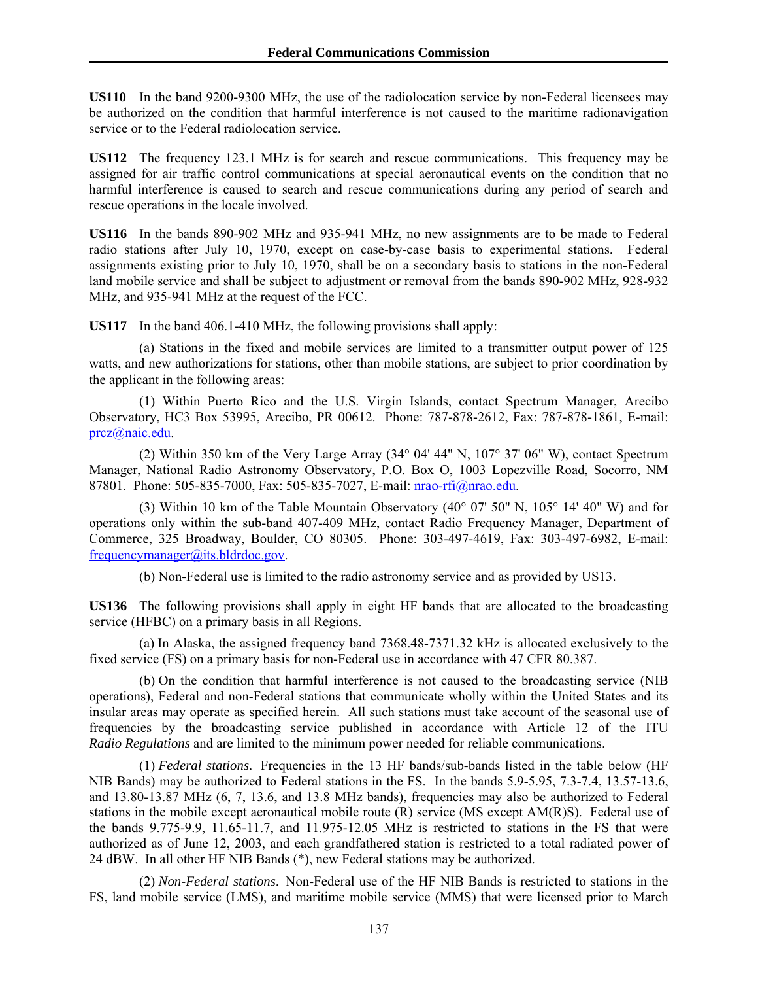**US110** In the band 9200-9300 MHz, the use of the radiolocation service by non-Federal licensees may be authorized on the condition that harmful interference is not caused to the maritime radionavigation service or to the Federal radiolocation service.

**US112** The frequency 123.1 MHz is for search and rescue communications. This frequency may be assigned for air traffic control communications at special aeronautical events on the condition that no harmful interference is caused to search and rescue communications during any period of search and rescue operations in the locale involved.

**US116** In the bands 890-902 MHz and 935-941 MHz, no new assignments are to be made to Federal radio stations after July 10, 1970, except on case-by-case basis to experimental stations. Federal assignments existing prior to July 10, 1970, shall be on a secondary basis to stations in the non-Federal land mobile service and shall be subject to adjustment or removal from the bands 890-902 MHz, 928-932 MHz, and 935-941 MHz at the request of the FCC.

**US117** In the band 406.1-410 MHz, the following provisions shall apply:

 (a) Stations in the fixed and mobile services are limited to a transmitter output power of 125 watts, and new authorizations for stations, other than mobile stations, are subject to prior coordination by the applicant in the following areas:

 (1) Within Puerto Rico and the U.S. Virgin Islands, contact Spectrum Manager, Arecibo Observatory, HC3 Box 53995, Arecibo, PR 00612. Phone: 787-878-2612, Fax: 787-878-1861, E-mail: prcz@naic.edu.

 (2) Within 350 km of the Very Large Array (34° 04' 44" N, 107° 37' 06" W), contact Spectrum Manager, National Radio Astronomy Observatory, P.O. Box O, 1003 Lopezville Road, Socorro, NM 87801. Phone: 505-835-7000, Fax: 505-835-7027, E-mail: nrao-rfi@nrao.edu.

 (3) Within 10 km of the Table Mountain Observatory (40° 07' 50" N, 105° 14' 40" W) and for operations only within the sub-band 407-409 MHz, contact Radio Frequency Manager, Department of Commerce, 325 Broadway, Boulder, CO 80305. Phone: 303-497-4619, Fax: 303-497-6982, E-mail: frequencymanager@its.bldrdoc.gov.

(b) Non-Federal use is limited to the radio astronomy service and as provided by US13.

**US136** The following provisions shall apply in eight HF bands that are allocated to the broadcasting service (HFBC) on a primary basis in all Regions.

 (a) In Alaska, the assigned frequency band 7368.48-7371.32 kHz is allocated exclusively to the fixed service (FS) on a primary basis for non-Federal use in accordance with 47 CFR 80.387.

 (b) On the condition that harmful interference is not caused to the broadcasting service (NIB operations), Federal and non-Federal stations that communicate wholly within the United States and its insular areas may operate as specified herein. All such stations must take account of the seasonal use of frequencies by the broadcasting service published in accordance with Article 12 of the ITU *Radio Regulations* and are limited to the minimum power needed for reliable communications.

 (1) *Federal stations*. Frequencies in the 13 HF bands/sub-bands listed in the table below (HF NIB Bands) may be authorized to Federal stations in the FS. In the bands 5.9-5.95, 7.3-7.4, 13.57-13.6, and 13.80-13.87 MHz (6, 7, 13.6, and 13.8 MHz bands), frequencies may also be authorized to Federal stations in the mobile except aeronautical mobile route (R) service (MS except AM(R)S). Federal use of the bands 9.775-9.9, 11.65-11.7, and 11.975-12.05 MHz is restricted to stations in the FS that were authorized as of June 12, 2003, and each grandfathered station is restricted to a total radiated power of 24 dBW. In all other HF NIB Bands (\*), new Federal stations may be authorized.

 (2) *Non-Federal stations*. Non-Federal use of the HF NIB Bands is restricted to stations in the FS, land mobile service (LMS), and maritime mobile service (MMS) that were licensed prior to March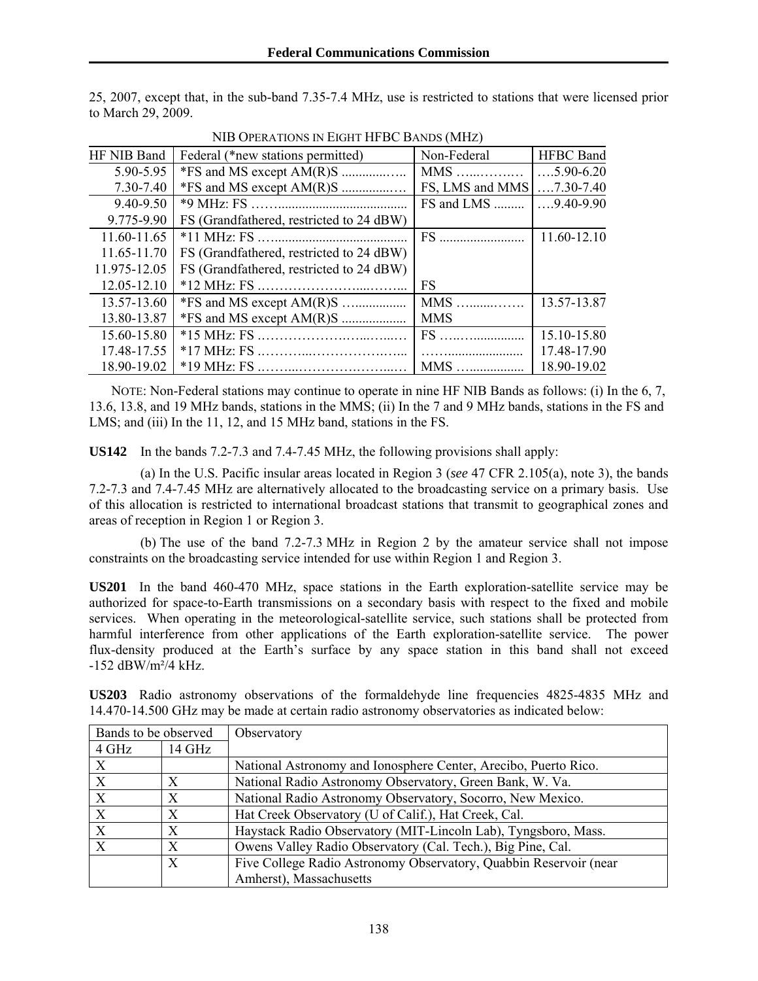25, 2007, except that, in the sub-band 7.35-7.4 MHz, use is restricted to stations that were licensed prior to March 29, 2009.

| THE OF EXAMPLE IN ERICH THE DU DARUS (INITIA) |                                          |                              |                   |
|-----------------------------------------------|------------------------------------------|------------------------------|-------------------|
| HF NIB Band                                   | Federal (*new stations permitted)        | Non-Federal                  | <b>HFBC</b> Band  |
| 5.90-5.95                                     |                                          | $MMS$                        | $\dots$ 5.90-6.20 |
| 7.30-7.40                                     | $*FS$ and MS except $AM(R)S$             | FS, LMS and MMS              | $\dots$ 7.30-7.40 |
| 9.40-9.50                                     |                                          | FS and LMS $\vert 9.40-9.90$ |                   |
| 9.775-9.90                                    | FS (Grandfathered, restricted to 24 dBW) |                              |                   |
| 11.60-11.65                                   |                                          |                              | 11.60-12.10       |
| 11.65-11.70                                   | FS (Grandfathered, restricted to 24 dBW) |                              |                   |
| 11.975-12.05                                  | FS (Grandfathered, restricted to 24 dBW) |                              |                   |
| 12.05-12.10                                   |                                          | FS                           |                   |
| 13.57-13.60                                   |                                          | $MMS$                        | 13.57-13.87       |
| 13.80-13.87                                   |                                          | <b>MMS</b>                   |                   |
| 15.60-15.80                                   |                                          |                              | 15.10-15.80       |
| 17.48-17.55                                   |                                          |                              | 17.48-17.90       |
| 18.90-19.02                                   |                                          | MMS                          | 18.90-19.02       |

NIB OPERATIONS IN EIGHT HFBC BANDS (MHZ)

NOTE: Non-Federal stations may continue to operate in nine HF NIB Bands as follows: (i) In the 6, 7, 13.6, 13.8, and 19 MHz bands, stations in the MMS; (ii) In the 7 and 9 MHz bands, stations in the FS and LMS; and (iii) In the 11, 12, and 15 MHz band, stations in the FS.

**US142** In the bands 7.2-7.3 and 7.4-7.45 MHz, the following provisions shall apply:

 (a) In the U.S. Pacific insular areas located in Region 3 (*see* 47 CFR 2.105(a), note 3), the bands 7.2-7.3 and 7.4-7.45 MHz are alternatively allocated to the broadcasting service on a primary basis. Use of this allocation is restricted to international broadcast stations that transmit to geographical zones and areas of reception in Region 1 or Region 3.

 (b) The use of the band 7.2-7.3 MHz in Region 2 by the amateur service shall not impose constraints on the broadcasting service intended for use within Region 1 and Region 3.

**US201** In the band 460-470 MHz, space stations in the Earth exploration-satellite service may be authorized for space-to-Earth transmissions on a secondary basis with respect to the fixed and mobile services. When operating in the meteorological-satellite service, such stations shall be protected from harmful interference from other applications of the Earth exploration-satellite service. The power flux-density produced at the Earth's surface by any space station in this band shall not exceed -152 dBW/m²/4 kHz.

| Bands to be observed |        | Observatory                                                       |
|----------------------|--------|-------------------------------------------------------------------|
| 4 GHz                | 14 GHz |                                                                   |
| $\boldsymbol{X}$     |        | National Astronomy and Ionosphere Center, Arecibo, Puerto Rico.   |
| X                    | X      | National Radio Astronomy Observatory, Green Bank, W. Va.          |
| X                    | Χ      | National Radio Astronomy Observatory, Socorro, New Mexico.        |
| X                    | Х      | Hat Creek Observatory (U of Calif.), Hat Creek, Cal.              |
| $\boldsymbol{X}$     | X      | Haystack Radio Observatory (MIT-Lincoln Lab), Tyngsboro, Mass.    |
| X                    | X      | Owens Valley Radio Observatory (Cal. Tech.), Big Pine, Cal.       |
|                      | X      | Five College Radio Astronomy Observatory, Quabbin Reservoir (near |
|                      |        | Amherst), Massachusetts                                           |

**US203** Radio astronomy observations of the formaldehyde line frequencies 4825-4835 MHz and 14.470-14.500 GHz may be made at certain radio astronomy observatories as indicated below: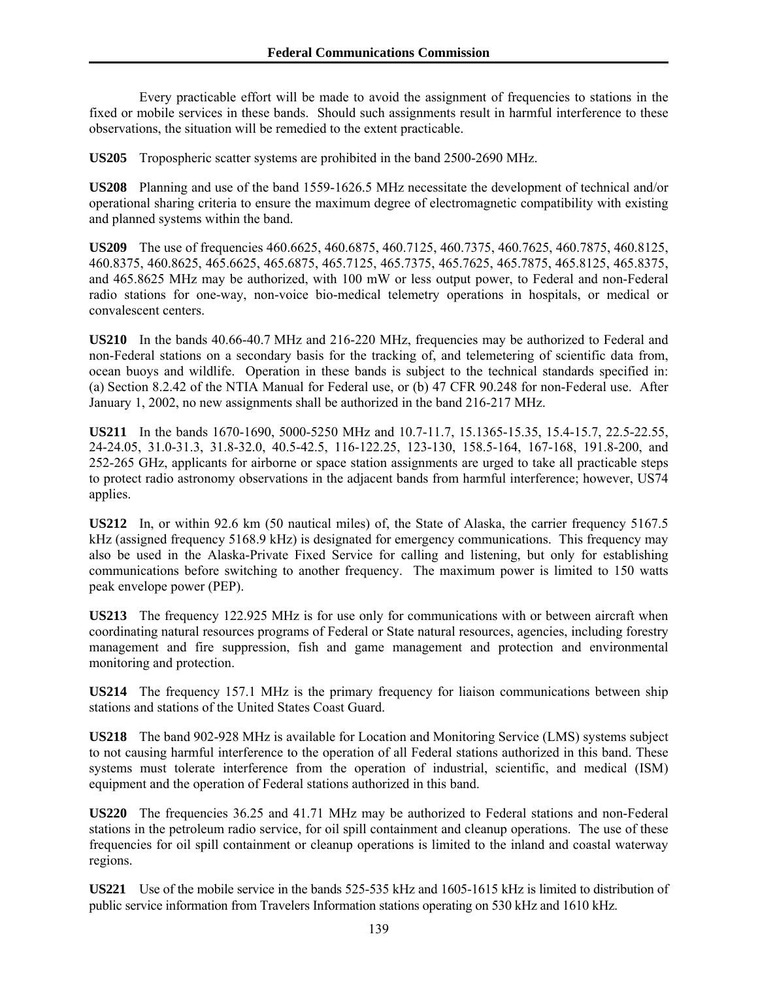Every practicable effort will be made to avoid the assignment of frequencies to stations in the fixed or mobile services in these bands. Should such assignments result in harmful interference to these observations, the situation will be remedied to the extent practicable.

**US205** Tropospheric scatter systems are prohibited in the band 2500-2690 MHz.

**US208** Planning and use of the band 1559-1626.5 MHz necessitate the development of technical and/or operational sharing criteria to ensure the maximum degree of electromagnetic compatibility with existing and planned systems within the band.

**US209** The use of frequencies 460.6625, 460.6875, 460.7125, 460.7375, 460.7625, 460.7875, 460.8125, 460.8375, 460.8625, 465.6625, 465.6875, 465.7125, 465.7375, 465.7625, 465.7875, 465.8125, 465.8375, and 465.8625 MHz may be authorized, with 100 mW or less output power, to Federal and non-Federal radio stations for one-way, non-voice bio-medical telemetry operations in hospitals, or medical or convalescent centers.

**US210** In the bands 40.66-40.7 MHz and 216-220 MHz, frequencies may be authorized to Federal and non-Federal stations on a secondary basis for the tracking of, and telemetering of scientific data from, ocean buoys and wildlife. Operation in these bands is subject to the technical standards specified in: (a) Section 8.2.42 of the NTIA Manual for Federal use, or (b) 47 CFR 90.248 for non-Federal use. After January 1, 2002, no new assignments shall be authorized in the band 216-217 MHz.

**US211** In the bands 1670-1690, 5000-5250 MHz and 10.7-11.7, 15.1365-15.35, 15.4-15.7, 22.5-22.55, 24-24.05, 31.0-31.3, 31.8-32.0, 40.5-42.5, 116-122.25, 123-130, 158.5-164, 167-168, 191.8-200, and 252-265 GHz, applicants for airborne or space station assignments are urged to take all practicable steps to protect radio astronomy observations in the adjacent bands from harmful interference; however, US74 applies.

**US212** In, or within 92.6 km (50 nautical miles) of, the State of Alaska, the carrier frequency 5167.5 kHz (assigned frequency 5168.9 kHz) is designated for emergency communications. This frequency may also be used in the Alaska-Private Fixed Service for calling and listening, but only for establishing communications before switching to another frequency. The maximum power is limited to 150 watts peak envelope power (PEP).

**US213** The frequency 122.925 MHz is for use only for communications with or between aircraft when coordinating natural resources programs of Federal or State natural resources, agencies, including forestry management and fire suppression, fish and game management and protection and environmental monitoring and protection.

**US214** The frequency 157.1 MHz is the primary frequency for liaison communications between ship stations and stations of the United States Coast Guard.

**US218** The band 902-928 MHz is available for Location and Monitoring Service (LMS) systems subject to not causing harmful interference to the operation of all Federal stations authorized in this band. These systems must tolerate interference from the operation of industrial, scientific, and medical (ISM) equipment and the operation of Federal stations authorized in this band.

**US220** The frequencies 36.25 and 41.71 MHz may be authorized to Federal stations and non-Federal stations in the petroleum radio service, for oil spill containment and cleanup operations. The use of these frequencies for oil spill containment or cleanup operations is limited to the inland and coastal waterway regions.

**US221** Use of the mobile service in the bands 525-535 kHz and 1605-1615 kHz is limited to distribution of public service information from Travelers Information stations operating on 530 kHz and 1610 kHz.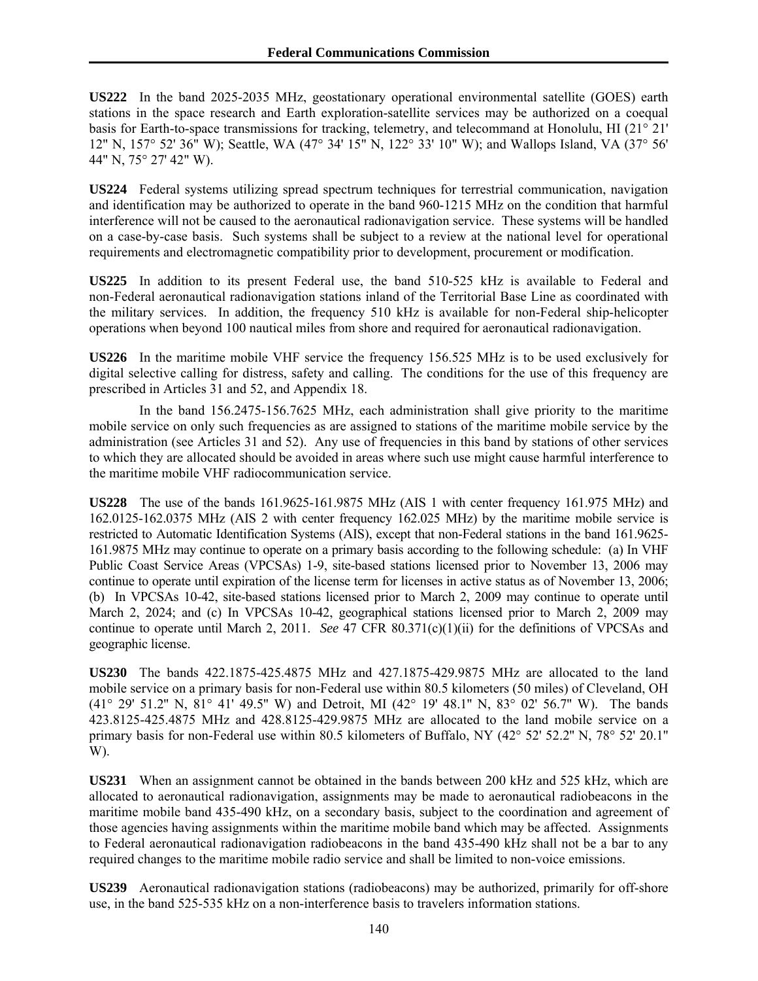**US222** In the band 2025-2035 MHz, geostationary operational environmental satellite (GOES) earth stations in the space research and Earth exploration-satellite services may be authorized on a coequal basis for Earth-to-space transmissions for tracking, telemetry, and telecommand at Honolulu, HI (21° 21' 12" N, 157° 52' 36" W); Seattle, WA (47° 34' 15" N, 122° 33' 10" W); and Wallops Island, VA (37° 56' 44" N, 75° 27' 42" W).

**US224** Federal systems utilizing spread spectrum techniques for terrestrial communication, navigation and identification may be authorized to operate in the band 960-1215 MHz on the condition that harmful interference will not be caused to the aeronautical radionavigation service. These systems will be handled on a case-by-case basis. Such systems shall be subject to a review at the national level for operational requirements and electromagnetic compatibility prior to development, procurement or modification.

**US225** In addition to its present Federal use, the band 510-525 kHz is available to Federal and non-Federal aeronautical radionavigation stations inland of the Territorial Base Line as coordinated with the military services. In addition, the frequency 510 kHz is available for non-Federal ship-helicopter operations when beyond 100 nautical miles from shore and required for aeronautical radionavigation.

**US226** In the maritime mobile VHF service the frequency 156.525 MHz is to be used exclusively for digital selective calling for distress, safety and calling. The conditions for the use of this frequency are prescribed in Articles 31 and 52, and Appendix 18.

 In the band 156.2475-156.7625 MHz, each administration shall give priority to the maritime mobile service on only such frequencies as are assigned to stations of the maritime mobile service by the administration (see Articles 31 and 52). Any use of frequencies in this band by stations of other services to which they are allocated should be avoided in areas where such use might cause harmful interference to the maritime mobile VHF radiocommunication service.

**US228** The use of the bands 161.9625-161.9875 MHz (AIS 1 with center frequency 161.975 MHz) and 162.0125-162.0375 MHz (AIS 2 with center frequency 162.025 MHz) by the maritime mobile service is restricted to Automatic Identification Systems (AIS), except that non-Federal stations in the band 161.9625- 161.9875 MHz may continue to operate on a primary basis according to the following schedule: (a) In VHF Public Coast Service Areas (VPCSAs) 1-9, site-based stations licensed prior to November 13, 2006 may continue to operate until expiration of the license term for licenses in active status as of November 13, 2006; (b) In VPCSAs 10-42, site-based stations licensed prior to March 2, 2009 may continue to operate until March 2, 2024; and (c) In VPCSAs 10-42, geographical stations licensed prior to March 2, 2009 may continue to operate until March 2, 2011. *See* 47 CFR 80.371(c)(1)(ii) for the definitions of VPCSAs and geographic license.

**US230** The bands 422.1875-425.4875 MHz and 427.1875-429.9875 MHz are allocated to the land mobile service on a primary basis for non-Federal use within 80.5 kilometers (50 miles) of Cleveland, OH (41° 29' 51.2'' N, 81° 41' 49.5'' W) and Detroit, MI (42° 19' 48.1'' N, 83° 02' 56.7'' W). The bands 423.8125-425.4875 MHz and 428.8125-429.9875 MHz are allocated to the land mobile service on a primary basis for non-Federal use within 80.5 kilometers of Buffalo, NY (42° 52' 52.2'' N, 78° 52' 20.1'' W).

**US231** When an assignment cannot be obtained in the bands between 200 kHz and 525 kHz, which are allocated to aeronautical radionavigation, assignments may be made to aeronautical radiobeacons in the maritime mobile band 435-490 kHz, on a secondary basis, subject to the coordination and agreement of those agencies having assignments within the maritime mobile band which may be affected. Assignments to Federal aeronautical radionavigation radiobeacons in the band 435-490 kHz shall not be a bar to any required changes to the maritime mobile radio service and shall be limited to non-voice emissions.

**US239** Aeronautical radionavigation stations (radiobeacons) may be authorized, primarily for off-shore use, in the band 525-535 kHz on a non-interference basis to travelers information stations.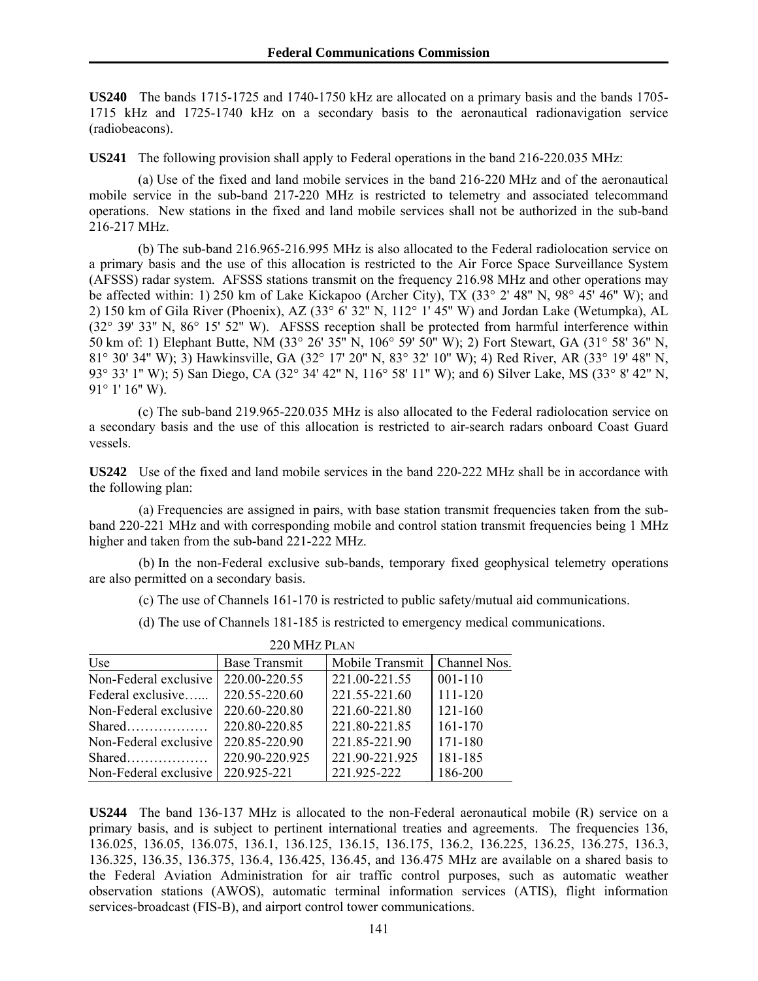**US240** The bands 1715-1725 and 1740-1750 kHz are allocated on a primary basis and the bands 1705- 1715 kHz and 1725-1740 kHz on a secondary basis to the aeronautical radionavigation service (radiobeacons).

**US241** The following provision shall apply to Federal operations in the band 216-220.035 MHz:

 (a) Use of the fixed and land mobile services in the band 216-220 MHz and of the aeronautical mobile service in the sub-band 217-220 MHz is restricted to telemetry and associated telecommand operations. New stations in the fixed and land mobile services shall not be authorized in the sub-band 216-217 MHz.

 (b) The sub-band 216.965-216.995 MHz is also allocated to the Federal radiolocation service on a primary basis and the use of this allocation is restricted to the Air Force Space Surveillance System (AFSSS) radar system. AFSSS stations transmit on the frequency 216.98 MHz and other operations may be affected within: 1) 250 km of Lake Kickapoo (Archer City), TX (33° 2' 48'' N, 98° 45' 46'' W); and 2) 150 km of Gila River (Phoenix), AZ (33° 6' 32'' N, 112° 1' 45'' W) and Jordan Lake (Wetumpka), AL (32° 39' 33'' N, 86° 15' 52'' W). AFSSS reception shall be protected from harmful interference within 50 km of: 1) Elephant Butte, NM (33° 26' 35'' N, 106° 59' 50'' W); 2) Fort Stewart, GA (31° 58' 36'' N, 81° 30' 34'' W); 3) Hawkinsville, GA (32° 17' 20'' N, 83° 32' 10'' W); 4) Red River, AR (33° 19' 48'' N, 93° 33' 1'' W); 5) San Diego, CA (32° 34' 42'' N, 116° 58' 11'' W); and 6) Silver Lake, MS (33° 8' 42'' N,  $91^{\circ}$  1' 16" W).

 (c) The sub-band 219.965-220.035 MHz is also allocated to the Federal radiolocation service on a secondary basis and the use of this allocation is restricted to air-search radars onboard Coast Guard vessels.

**US242** Use of the fixed and land mobile services in the band 220-222 MHz shall be in accordance with the following plan:

 (a) Frequencies are assigned in pairs, with base station transmit frequencies taken from the subband 220-221 MHz and with corresponding mobile and control station transmit frequencies being 1 MHz higher and taken from the sub-band 221-222 MHz.

 (b) In the non-Federal exclusive sub-bands, temporary fixed geophysical telemetry operations are also permitted on a secondary basis.

(c) The use of Channels 161-170 is restricted to public safety/mutual aid communications.

(d) The use of Channels 181-185 is restricted to emergency medical communications.

| Use                   | Base Transmit  | Mobile Transmit | Channel Nos. |
|-----------------------|----------------|-----------------|--------------|
| Non-Federal exclusive | 220.00-220.55  | 221.00-221.55   | $001 - 110$  |
| Federal exclusive     | 220.55-220.60  | 221.55-221.60   | 111-120      |
| Non-Federal exclusive | 220.60-220.80  | 221.60-221.80   | $121 - 160$  |
|                       | 220.80-220.85  | 221.80-221.85   | $161 - 170$  |
| Non-Federal exclusive | 220.85-220.90  | 221.85-221.90   | 171-180      |
|                       | 220.90-220.925 | 221.90-221.925  | 181-185      |
| Non-Federal exclusive | 220.925-221    | 221.925-222     | 186-200      |

220 MHZ PLAN

**US244** The band 136-137 MHz is allocated to the non-Federal aeronautical mobile (R) service on a primary basis, and is subject to pertinent international treaties and agreements. The frequencies 136, 136.025, 136.05, 136.075, 136.1, 136.125, 136.15, 136.175, 136.2, 136.225, 136.25, 136.275, 136.3, 136.325, 136.35, 136.375, 136.4, 136.425, 136.45, and 136.475 MHz are available on a shared basis to the Federal Aviation Administration for air traffic control purposes, such as automatic weather observation stations (AWOS), automatic terminal information services (ATIS), flight information services-broadcast (FIS-B), and airport control tower communications.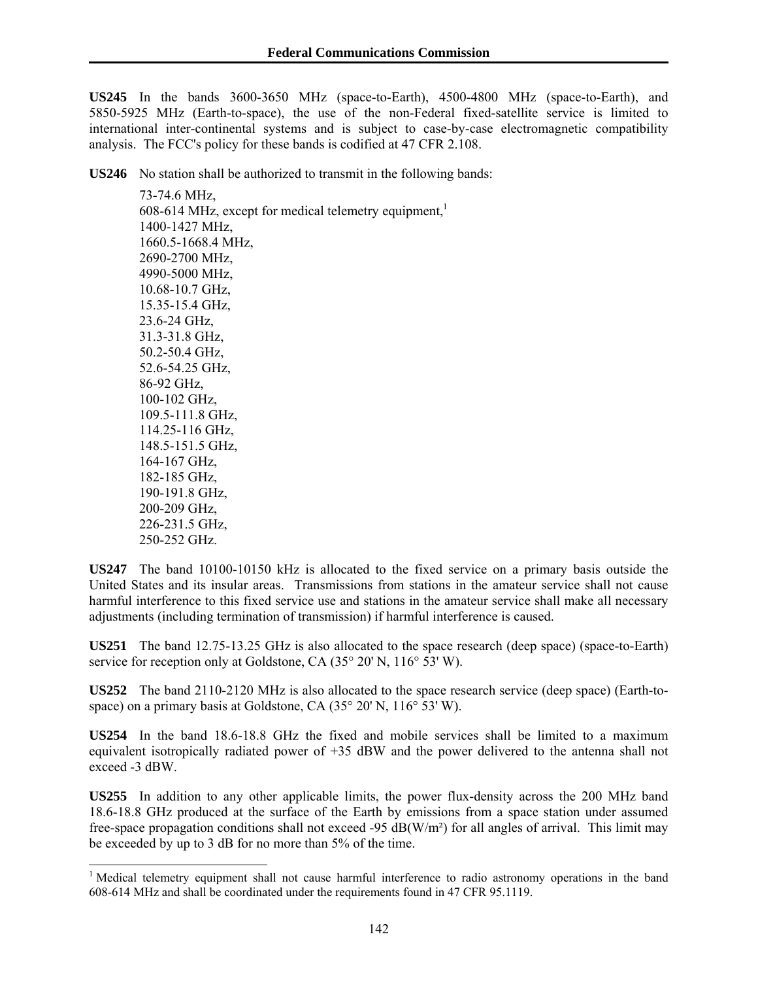**US245** In the bands 3600-3650 MHz (space-to-Earth), 4500-4800 MHz (space-to-Earth), and 5850-5925 MHz (Earth-to-space), the use of the non-Federal fixed-satellite service is limited to international inter-continental systems and is subject to case-by-case electromagnetic compatibility analysis. The FCC's policy for these bands is codified at 47 CFR 2.108.

**US246** No station shall be authorized to transmit in the following bands:

 73-74.6 MHz, 608-614 MHz, except for medical telemetry equipment, $<sup>1</sup>$ </sup> 1400-1427 MHz, 1660.5-1668.4 MHz, 2690-2700 MHz, 4990-5000 MHz, 10.68-10.7 GHz, 15.35-15.4 GHz, 23.6-24 GHz, 31.3-31.8 GHz, 50.2-50.4 GHz, 52.6-54.25 GHz, 86-92 GHz, 100-102 GHz, 109.5-111.8 GHz, 114.25-116 GHz, 148.5-151.5 GHz, 164-167 GHz, 182-185 GHz, 190-191.8 GHz, 200-209 GHz, 226-231.5 GHz,

250-252 GHz.

 $\overline{a}$ 

**US247** The band 10100-10150 kHz is allocated to the fixed service on a primary basis outside the United States and its insular areas. Transmissions from stations in the amateur service shall not cause harmful interference to this fixed service use and stations in the amateur service shall make all necessary adjustments (including termination of transmission) if harmful interference is caused.

**US251** The band 12.75-13.25 GHz is also allocated to the space research (deep space) (space-to-Earth) service for reception only at Goldstone, CA (35° 20' N, 116° 53' W).

**US252** The band 2110-2120 MHz is also allocated to the space research service (deep space) (Earth-tospace) on a primary basis at Goldstone, CA (35° 20' N, 116° 53' W).

**US254** In the band 18.6-18.8 GHz the fixed and mobile services shall be limited to a maximum equivalent isotropically radiated power of +35 dBW and the power delivered to the antenna shall not exceed -3 dBW.

**US255** In addition to any other applicable limits, the power flux-density across the 200 MHz band 18.6-18.8 GHz produced at the surface of the Earth by emissions from a space station under assumed free-space propagation conditions shall not exceed -95  $dB(W/m<sup>2</sup>)$  for all angles of arrival. This limit may be exceeded by up to 3 dB for no more than 5% of the time.

<sup>&</sup>lt;sup>1</sup> Medical telemetry equipment shall not cause harmful interference to radio astronomy operations in the band 608-614 MHz and shall be coordinated under the requirements found in 47 CFR 95.1119.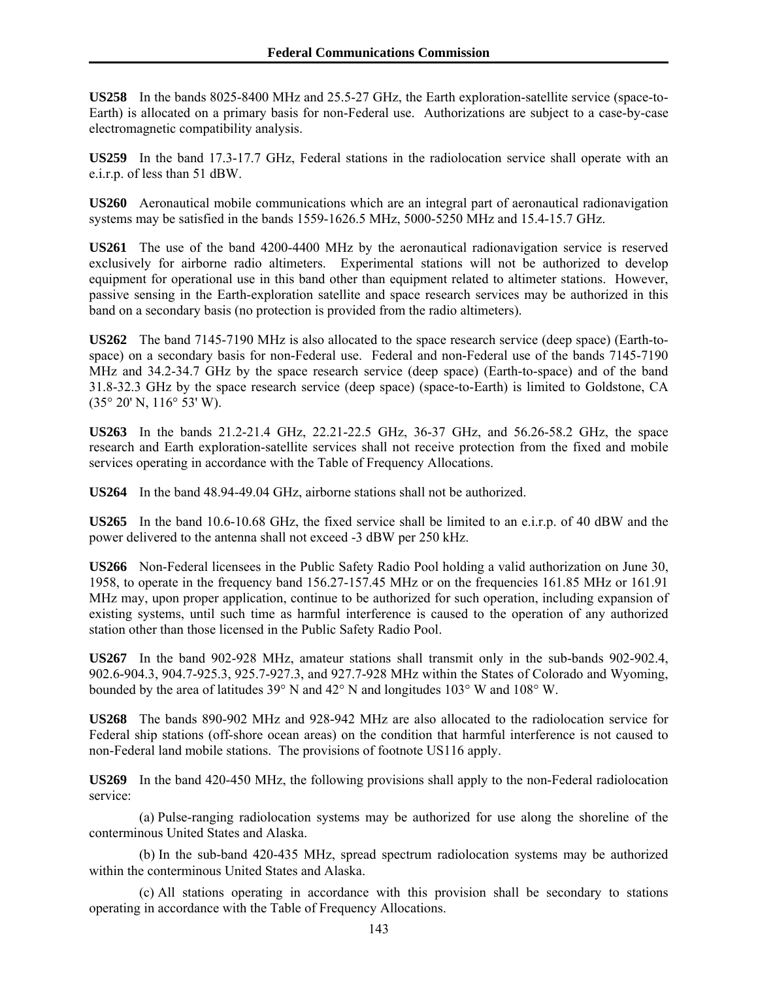**US258** In the bands 8025-8400 MHz and 25.5-27 GHz, the Earth exploration-satellite service (space-to-Earth) is allocated on a primary basis for non-Federal use. Authorizations are subject to a case-by-case electromagnetic compatibility analysis.

**US259** In the band 17.3-17.7 GHz, Federal stations in the radiolocation service shall operate with an e.i.r.p. of less than 51 dBW.

**US260** Aeronautical mobile communications which are an integral part of aeronautical radionavigation systems may be satisfied in the bands 1559-1626.5 MHz, 5000-5250 MHz and 15.4-15.7 GHz.

**US261** The use of the band 4200-4400 MHz by the aeronautical radionavigation service is reserved exclusively for airborne radio altimeters. Experimental stations will not be authorized to develop equipment for operational use in this band other than equipment related to altimeter stations. However, passive sensing in the Earth-exploration satellite and space research services may be authorized in this band on a secondary basis (no protection is provided from the radio altimeters).

**US262** The band 7145-7190 MHz is also allocated to the space research service (deep space) (Earth-tospace) on a secondary basis for non-Federal use. Federal and non-Federal use of the bands 7145-7190 MHz and 34.2-34.7 GHz by the space research service (deep space) (Earth-to-space) and of the band 31.8-32.3 GHz by the space research service (deep space) (space-to-Earth) is limited to Goldstone, CA (35° 20' N, 116° 53' W).

**US263** In the bands 21.2-21.4 GHz, 22.21-22.5 GHz, 36-37 GHz, and 56.26-58.2 GHz, the space research and Earth exploration-satellite services shall not receive protection from the fixed and mobile services operating in accordance with the Table of Frequency Allocations.

**US264** In the band 48.94-49.04 GHz, airborne stations shall not be authorized.

**US265** In the band 10.6-10.68 GHz, the fixed service shall be limited to an e.i.r.p. of 40 dBW and the power delivered to the antenna shall not exceed -3 dBW per 250 kHz.

**US266** Non-Federal licensees in the Public Safety Radio Pool holding a valid authorization on June 30, 1958, to operate in the frequency band 156.27-157.45 MHz or on the frequencies 161.85 MHz or 161.91 MHz may, upon proper application, continue to be authorized for such operation, including expansion of existing systems, until such time as harmful interference is caused to the operation of any authorized station other than those licensed in the Public Safety Radio Pool.

**US267** In the band 902-928 MHz, amateur stations shall transmit only in the sub-bands 902-902.4, 902.6-904.3, 904.7-925.3, 925.7-927.3, and 927.7-928 MHz within the States of Colorado and Wyoming, bounded by the area of latitudes 39° N and 42° N and longitudes 103° W and 108° W.

**US268** The bands 890-902 MHz and 928-942 MHz are also allocated to the radiolocation service for Federal ship stations (off-shore ocean areas) on the condition that harmful interference is not caused to non-Federal land mobile stations. The provisions of footnote US116 apply.

**US269** In the band 420-450 MHz, the following provisions shall apply to the non-Federal radiolocation service:

 (a) Pulse-ranging radiolocation systems may be authorized for use along the shoreline of the conterminous United States and Alaska.

 (b) In the sub-band 420-435 MHz, spread spectrum radiolocation systems may be authorized within the conterminous United States and Alaska.

 (c) All stations operating in accordance with this provision shall be secondary to stations operating in accordance with the Table of Frequency Allocations.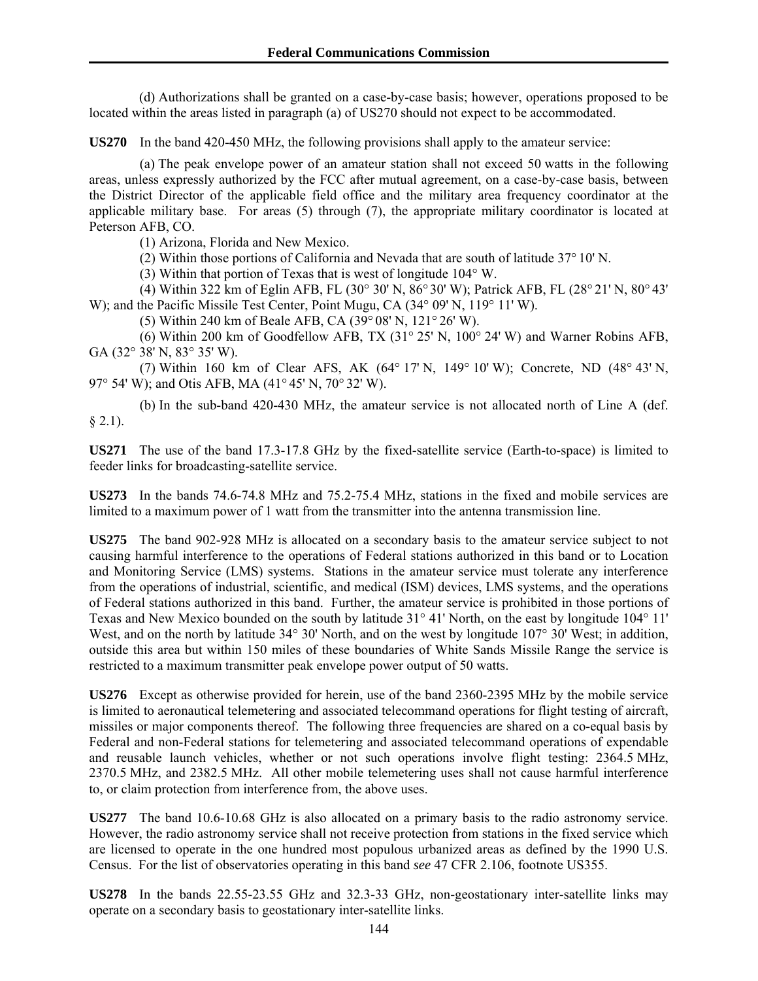(d) Authorizations shall be granted on a case-by-case basis; however, operations proposed to be located within the areas listed in paragraph (a) of US270 should not expect to be accommodated.

**US270** In the band 420-450 MHz, the following provisions shall apply to the amateur service:

 (a) The peak envelope power of an amateur station shall not exceed 50 watts in the following areas, unless expressly authorized by the FCC after mutual agreement, on a case-by-case basis, between the District Director of the applicable field office and the military area frequency coordinator at the applicable military base. For areas (5) through (7), the appropriate military coordinator is located at Peterson AFB, CO.

(1) Arizona, Florida and New Mexico.

(2) Within those portions of California and Nevada that are south of latitude 37° 10' N.

(3) Within that portion of Texas that is west of longitude 104° W.

 (4) Within 322 km of Eglin AFB, FL (30° 30' N, 86° 30' W); Patrick AFB, FL (28° 21' N, 80° 43' W); and the Pacific Missile Test Center, Point Mugu, CA (34° 09' N, 119° 11' W).

(5) Within 240 km of Beale AFB, CA (39° 08' N, 121° 26' W).

 (6) Within 200 km of Goodfellow AFB, TX (31° 25' N, 100° 24' W) and Warner Robins AFB, GA (32° 38' N, 83° 35' W).

 (7) Within 160 km of Clear AFS, AK (64° 17' N, 149° 10' W); Concrete, ND (48° 43' N, 97° 54' W); and Otis AFB, MA (41° 45' N, 70° 32' W).

 (b) In the sub-band 420-430 MHz, the amateur service is not allocated north of Line A (def.  $§$  2.1).

**US271** The use of the band 17.3-17.8 GHz by the fixed-satellite service (Earth-to-space) is limited to feeder links for broadcasting-satellite service.

**US273** In the bands 74.6-74.8 MHz and 75.2-75.4 MHz, stations in the fixed and mobile services are limited to a maximum power of 1 watt from the transmitter into the antenna transmission line.

**US275** The band 902-928 MHz is allocated on a secondary basis to the amateur service subject to not causing harmful interference to the operations of Federal stations authorized in this band or to Location and Monitoring Service (LMS) systems. Stations in the amateur service must tolerate any interference from the operations of industrial, scientific, and medical (ISM) devices, LMS systems, and the operations of Federal stations authorized in this band. Further, the amateur service is prohibited in those portions of Texas and New Mexico bounded on the south by latitude 31° 41' North, on the east by longitude 104° 11' West, and on the north by latitude 34° 30' North, and on the west by longitude 107° 30' West; in addition, outside this area but within 150 miles of these boundaries of White Sands Missile Range the service is restricted to a maximum transmitter peak envelope power output of 50 watts.

**US276** Except as otherwise provided for herein, use of the band 2360-2395 MHz by the mobile service is limited to aeronautical telemetering and associated telecommand operations for flight testing of aircraft, missiles or major components thereof. The following three frequencies are shared on a co-equal basis by Federal and non-Federal stations for telemetering and associated telecommand operations of expendable and reusable launch vehicles, whether or not such operations involve flight testing: 2364.5 MHz, 2370.5 MHz, and 2382.5 MHz. All other mobile telemetering uses shall not cause harmful interference to, or claim protection from interference from, the above uses.

**US277** The band 10.6-10.68 GHz is also allocated on a primary basis to the radio astronomy service. However, the radio astronomy service shall not receive protection from stations in the fixed service which are licensed to operate in the one hundred most populous urbanized areas as defined by the 1990 U.S. Census. For the list of observatories operating in this band *see* 47 CFR 2.106, footnote US355.

**US278** In the bands 22.55-23.55 GHz and 32.3-33 GHz, non-geostationary inter-satellite links may operate on a secondary basis to geostationary inter-satellite links.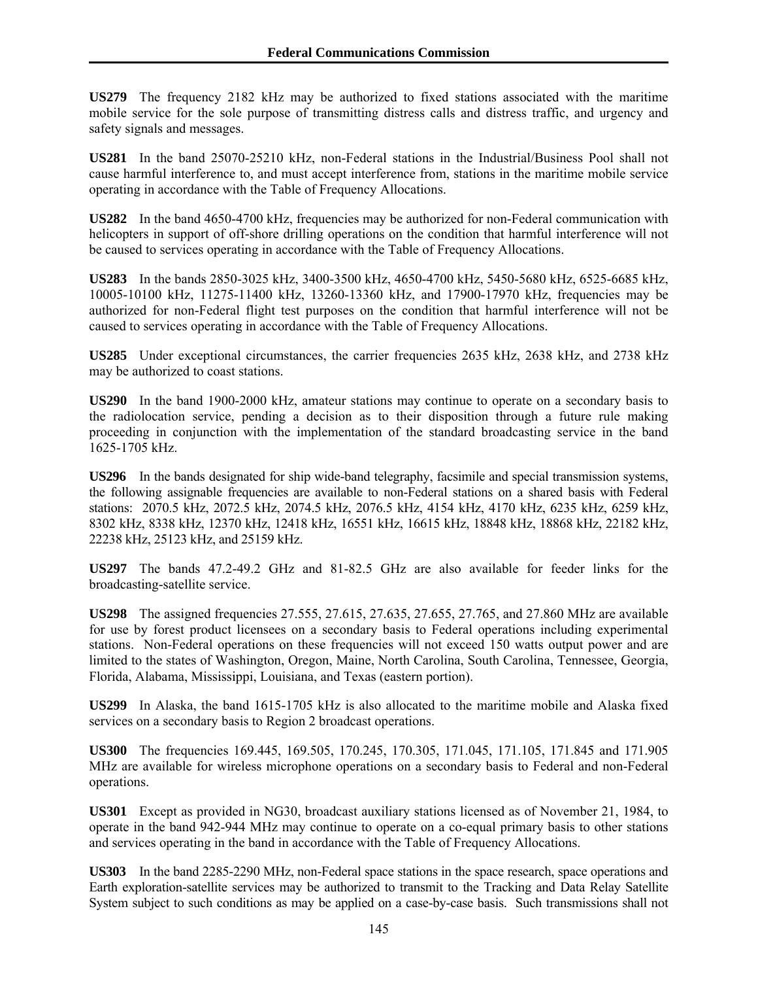**US279** The frequency 2182 kHz may be authorized to fixed stations associated with the maritime mobile service for the sole purpose of transmitting distress calls and distress traffic, and urgency and safety signals and messages.

**US281** In the band 25070-25210 kHz, non-Federal stations in the Industrial/Business Pool shall not cause harmful interference to, and must accept interference from, stations in the maritime mobile service operating in accordance with the Table of Frequency Allocations.

**US282** In the band 4650-4700 kHz, frequencies may be authorized for non-Federal communication with helicopters in support of off-shore drilling operations on the condition that harmful interference will not be caused to services operating in accordance with the Table of Frequency Allocations.

**US283** In the bands 2850-3025 kHz, 3400-3500 kHz, 4650-4700 kHz, 5450-5680 kHz, 6525-6685 kHz, 10005-10100 kHz, 11275-11400 kHz, 13260-13360 kHz, and 17900-17970 kHz, frequencies may be authorized for non-Federal flight test purposes on the condition that harmful interference will not be caused to services operating in accordance with the Table of Frequency Allocations.

**US285** Under exceptional circumstances, the carrier frequencies 2635 kHz, 2638 kHz, and 2738 kHz may be authorized to coast stations.

**US290** In the band 1900-2000 kHz, amateur stations may continue to operate on a secondary basis to the radiolocation service, pending a decision as to their disposition through a future rule making proceeding in conjunction with the implementation of the standard broadcasting service in the band 1625-1705 kHz.

**US296** In the bands designated for ship wide-band telegraphy, facsimile and special transmission systems, the following assignable frequencies are available to non-Federal stations on a shared basis with Federal stations: 2070.5 kHz, 2072.5 kHz, 2074.5 kHz, 2076.5 kHz, 4154 kHz, 4170 kHz, 6235 kHz, 6259 kHz, 8302 kHz, 8338 kHz, 12370 kHz, 12418 kHz, 16551 kHz, 16615 kHz, 18848 kHz, 18868 kHz, 22182 kHz, 22238 kHz, 25123 kHz, and 25159 kHz.

**US297** The bands 47.2-49.2 GHz and 81-82.5 GHz are also available for feeder links for the broadcasting-satellite service.

**US298** The assigned frequencies 27.555, 27.615, 27.635, 27.655, 27.765, and 27.860 MHz are available for use by forest product licensees on a secondary basis to Federal operations including experimental stations. Non-Federal operations on these frequencies will not exceed 150 watts output power and are limited to the states of Washington, Oregon, Maine, North Carolina, South Carolina, Tennessee, Georgia, Florida, Alabama, Mississippi, Louisiana, and Texas (eastern portion).

**US299** In Alaska, the band 1615-1705 kHz is also allocated to the maritime mobile and Alaska fixed services on a secondary basis to Region 2 broadcast operations.

**US300** The frequencies 169.445, 169.505, 170.245, 170.305, 171.045, 171.105, 171.845 and 171.905 MHz are available for wireless microphone operations on a secondary basis to Federal and non-Federal operations.

**US301** Except as provided in NG30, broadcast auxiliary stations licensed as of November 21, 1984, to operate in the band 942-944 MHz may continue to operate on a co-equal primary basis to other stations and services operating in the band in accordance with the Table of Frequency Allocations.

**US303** In the band 2285-2290 MHz, non-Federal space stations in the space research, space operations and Earth exploration-satellite services may be authorized to transmit to the Tracking and Data Relay Satellite System subject to such conditions as may be applied on a case-by-case basis. Such transmissions shall not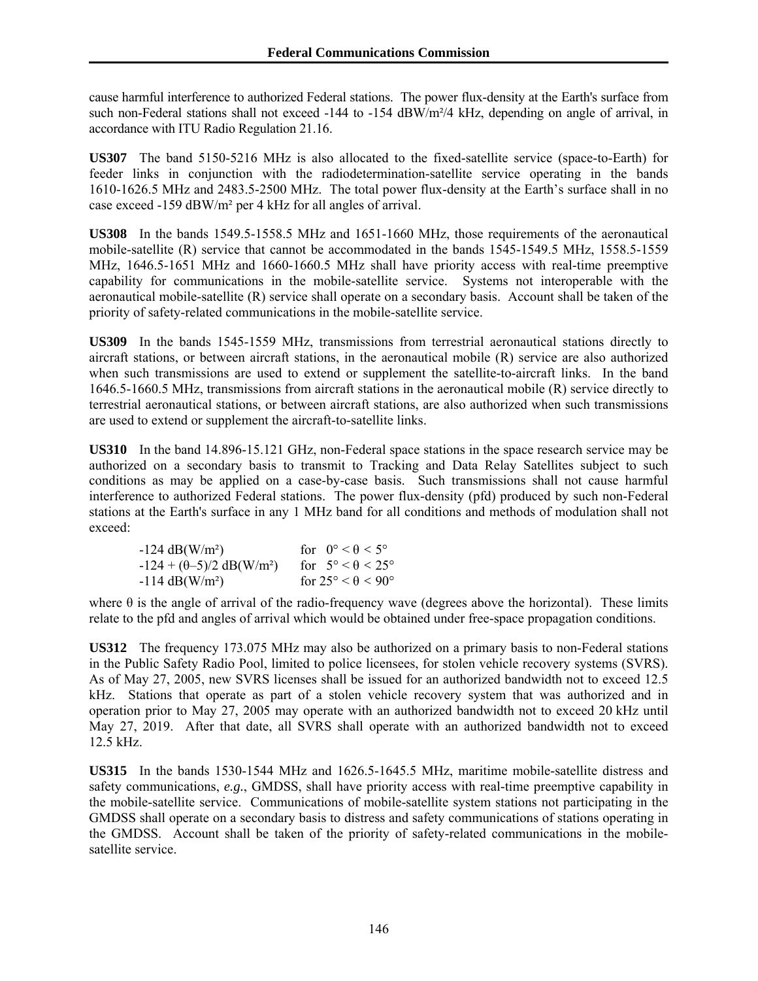cause harmful interference to authorized Federal stations. The power flux-density at the Earth's surface from such non-Federal stations shall not exceed -144 to -154 dBW/m<sup>2</sup>/4 kHz, depending on angle of arrival, in accordance with ITU Radio Regulation 21.16.

**US307** The band 5150-5216 MHz is also allocated to the fixed-satellite service (space-to-Earth) for feeder links in conjunction with the radiodetermination-satellite service operating in the bands 1610-1626.5 MHz and 2483.5-2500 MHz. The total power flux-density at the Earth's surface shall in no case exceed -159 dBW/m² per 4 kHz for all angles of arrival.

**US308** In the bands 1549.5-1558.5 MHz and 1651-1660 MHz, those requirements of the aeronautical mobile-satellite (R) service that cannot be accommodated in the bands 1545-1549.5 MHz, 1558.5-1559 MHz, 1646.5-1651 MHz and 1660-1660.5 MHz shall have priority access with real-time preemptive capability for communications in the mobile-satellite service. Systems not interoperable with the aeronautical mobile-satellite (R) service shall operate on a secondary basis. Account shall be taken of the priority of safety-related communications in the mobile-satellite service.

**US309** In the bands 1545-1559 MHz, transmissions from terrestrial aeronautical stations directly to aircraft stations, or between aircraft stations, in the aeronautical mobile (R) service are also authorized when such transmissions are used to extend or supplement the satellite-to-aircraft links. In the band 1646.5-1660.5 MHz, transmissions from aircraft stations in the aeronautical mobile (R) service directly to terrestrial aeronautical stations, or between aircraft stations, are also authorized when such transmissions are used to extend or supplement the aircraft-to-satellite links.

**US310** In the band 14.896-15.121 GHz, non-Federal space stations in the space research service may be authorized on a secondary basis to transmit to Tracking and Data Relay Satellites subject to such conditions as may be applied on a case-by-case basis. Such transmissions shall not cause harmful interference to authorized Federal stations. The power flux-density (pfd) produced by such non-Federal stations at the Earth's surface in any 1 MHz band for all conditions and methods of modulation shall not exceed:

| $-124 \text{ dB}(W/m^2)$                      | for $0^{\circ} < \theta < 5^{\circ}$   |
|-----------------------------------------------|----------------------------------------|
| $-124 + (\theta - 5)/2$ dB(W/m <sup>2</sup> ) | for $5^\circ < \theta < 25^\circ$      |
| $-114 \text{ dB}(W/m^2)$                      | for $25^{\circ} < \theta < 90^{\circ}$ |

where  $\theta$  is the angle of arrival of the radio-frequency wave (degrees above the horizontal). These limits relate to the pfd and angles of arrival which would be obtained under free-space propagation conditions.

**US312** The frequency 173.075 MHz may also be authorized on a primary basis to non-Federal stations in the Public Safety Radio Pool, limited to police licensees, for stolen vehicle recovery systems (SVRS). As of May 27, 2005, new SVRS licenses shall be issued for an authorized bandwidth not to exceed 12.5 kHz.Stations that operate as part of a stolen vehicle recovery system that was authorized and in operation prior to May 27, 2005 may operate with an authorized bandwidth not to exceed 20 kHz until May 27, 2019. After that date, all SVRS shall operate with an authorized bandwidth not to exceed 12.5 kHz.

**US315** In the bands 1530-1544 MHz and 1626.5-1645.5 MHz, maritime mobile-satellite distress and safety communications, *e.g.*, GMDSS, shall have priority access with real-time preemptive capability in the mobile-satellite service. Communications of mobile-satellite system stations not participating in the GMDSS shall operate on a secondary basis to distress and safety communications of stations operating in the GMDSS. Account shall be taken of the priority of safety-related communications in the mobilesatellite service.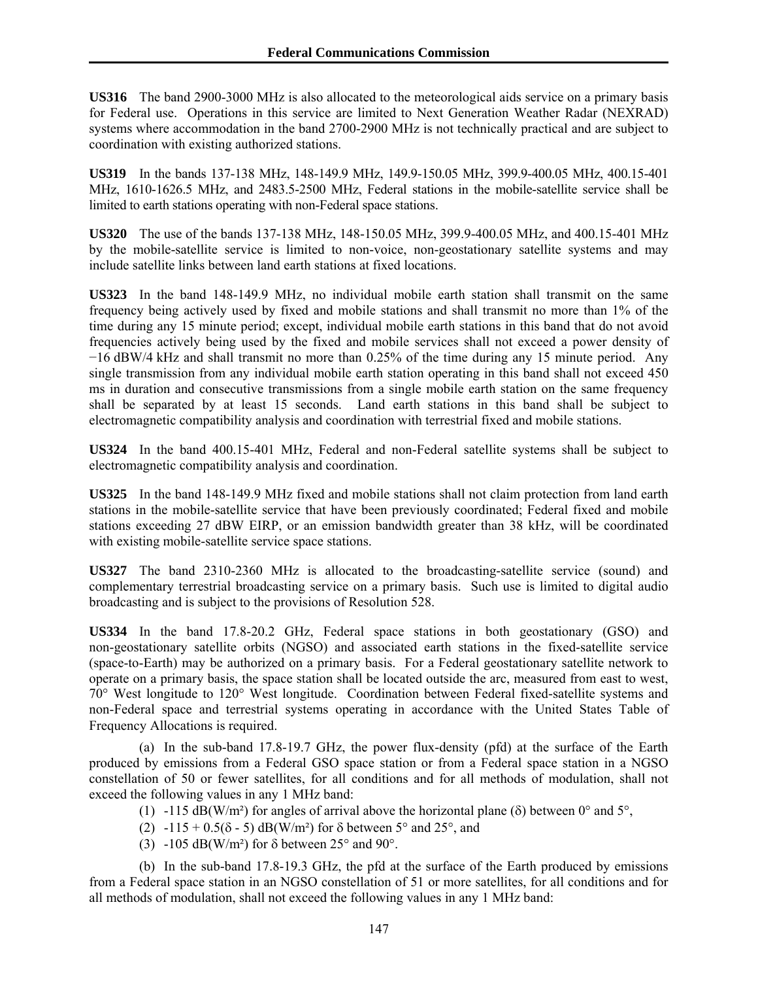**US316** The band 2900-3000 MHz is also allocated to the meteorological aids service on a primary basis for Federal use. Operations in this service are limited to Next Generation Weather Radar (NEXRAD) systems where accommodation in the band 2700-2900 MHz is not technically practical and are subject to coordination with existing authorized stations.

**US319** In the bands 137-138 MHz, 148-149.9 MHz, 149.9-150.05 MHz, 399.9-400.05 MHz, 400.15-401 MHz, 1610-1626.5 MHz, and 2483.5-2500 MHz, Federal stations in the mobile-satellite service shall be limited to earth stations operating with non-Federal space stations.

**US320** The use of the bands 137-138 MHz, 148-150.05 MHz, 399.9-400.05 MHz, and 400.15-401 MHz by the mobile-satellite service is limited to non-voice, non-geostationary satellite systems and may include satellite links between land earth stations at fixed locations.

**US323** In the band 148-149.9 MHz, no individual mobile earth station shall transmit on the same frequency being actively used by fixed and mobile stations and shall transmit no more than 1% of the time during any 15 minute period; except, individual mobile earth stations in this band that do not avoid frequencies actively being used by the fixed and mobile services shall not exceed a power density of −16 dBW/4 kHz and shall transmit no more than 0.25% of the time during any 15 minute period. Any single transmission from any individual mobile earth station operating in this band shall not exceed 450 ms in duration and consecutive transmissions from a single mobile earth station on the same frequency shall be separated by at least 15 seconds. Land earth stations in this band shall be subject to electromagnetic compatibility analysis and coordination with terrestrial fixed and mobile stations.

**US324** In the band 400.15-401 MHz, Federal and non-Federal satellite systems shall be subject to electromagnetic compatibility analysis and coordination.

**US325** In the band 148-149.9 MHz fixed and mobile stations shall not claim protection from land earth stations in the mobile-satellite service that have been previously coordinated; Federal fixed and mobile stations exceeding 27 dBW EIRP, or an emission bandwidth greater than 38 kHz, will be coordinated with existing mobile-satellite service space stations.

**US327** The band 2310-2360 MHz is allocated to the broadcasting-satellite service (sound) and complementary terrestrial broadcasting service on a primary basis. Such use is limited to digital audio broadcasting and is subject to the provisions of Resolution 528.

**US334** In the band 17.8-20.2 GHz, Federal space stations in both geostationary (GSO) and non-geostationary satellite orbits (NGSO) and associated earth stations in the fixed-satellite service (space-to-Earth) may be authorized on a primary basis. For a Federal geostationary satellite network to operate on a primary basis, the space station shall be located outside the arc, measured from east to west, 70° West longitude to 120° West longitude. Coordination between Federal fixed-satellite systems and non-Federal space and terrestrial systems operating in accordance with the United States Table of Frequency Allocations is required.

 (a) In the sub-band 17.8-19.7 GHz, the power flux-density (pfd) at the surface of the Earth produced by emissions from a Federal GSO space station or from a Federal space station in a NGSO constellation of 50 or fewer satellites, for all conditions and for all methods of modulation, shall not exceed the following values in any 1 MHz band:

- (1) -115 dB(W/m<sup>2</sup>) for angles of arrival above the horizontal plane ( $\delta$ ) between 0° and 5°,
- (2)  $-115 + 0.5(8 5)$  dB(W/m<sup>2</sup>) for  $\delta$  between 5° and 25°, and
- (3) -105 dB(W/m<sup>2</sup>) for  $\delta$  between 25° and 90°.

 (b) In the sub-band 17.8-19.3 GHz, the pfd at the surface of the Earth produced by emissions from a Federal space station in an NGSO constellation of 51 or more satellites, for all conditions and for all methods of modulation, shall not exceed the following values in any 1 MHz band: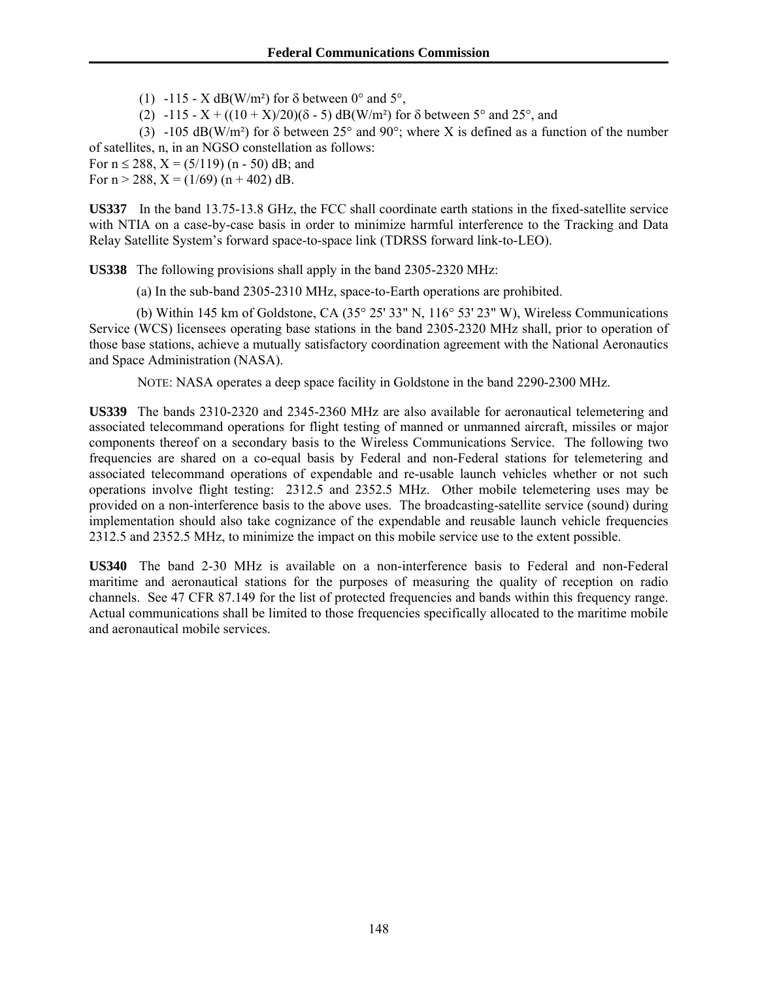(1) -115 - X dB(W/m<sup>2</sup>) for  $\delta$  between 0° and 5°,

(2) -115 - X + ((10 + X)/20)( $\delta$  - 5) dB(W/m<sup>2</sup>) for  $\delta$  between 5° and 25°, and

(3) -105 dB(W/m<sup>2</sup>) for  $\delta$  between 25° and 90°; where X is defined as a function of the number of satellites, n, in an NGSO constellation as follows:

For  $n \le 288$ ,  $X = (5/119)$  (n - 50) dB; and

For  $n > 288$ ,  $X = (1/69) (n + 402) dB$ .

**US337** In the band 13.75-13.8 GHz, the FCC shall coordinate earth stations in the fixed-satellite service with NTIA on a case-by-case basis in order to minimize harmful interference to the Tracking and Data Relay Satellite System's forward space-to-space link (TDRSS forward link-to-LEO).

**US338** The following provisions shall apply in the band 2305-2320 MHz:

(a) In the sub-band 2305-2310 MHz, space-to-Earth operations are prohibited.

 (b) Within 145 km of Goldstone, CA (35° 25' 33" N, 116° 53' 23" W), Wireless Communications Service (WCS) licensees operating base stations in the band 2305-2320 MHz shall, prior to operation of those base stations, achieve a mutually satisfactory coordination agreement with the National Aeronautics and Space Administration (NASA).

NOTE: NASA operates a deep space facility in Goldstone in the band 2290-2300 MHz.

**US339** The bands 2310-2320 and 2345-2360 MHz are also available for aeronautical telemetering and associated telecommand operations for flight testing of manned or unmanned aircraft, missiles or major components thereof on a secondary basis to the Wireless Communications Service. The following two frequencies are shared on a co-equal basis by Federal and non-Federal stations for telemetering and associated telecommand operations of expendable and re-usable launch vehicles whether or not such operations involve flight testing: 2312.5 and 2352.5 MHz. Other mobile telemetering uses may be provided on a non-interference basis to the above uses. The broadcasting-satellite service (sound) during implementation should also take cognizance of the expendable and reusable launch vehicle frequencies 2312.5 and 2352.5 MHz, to minimize the impact on this mobile service use to the extent possible.

**US340** The band 2-30 MHz is available on a non-interference basis to Federal and non-Federal maritime and aeronautical stations for the purposes of measuring the quality of reception on radio channels. See 47 CFR 87.149 for the list of protected frequencies and bands within this frequency range. Actual communications shall be limited to those frequencies specifically allocated to the maritime mobile and aeronautical mobile services.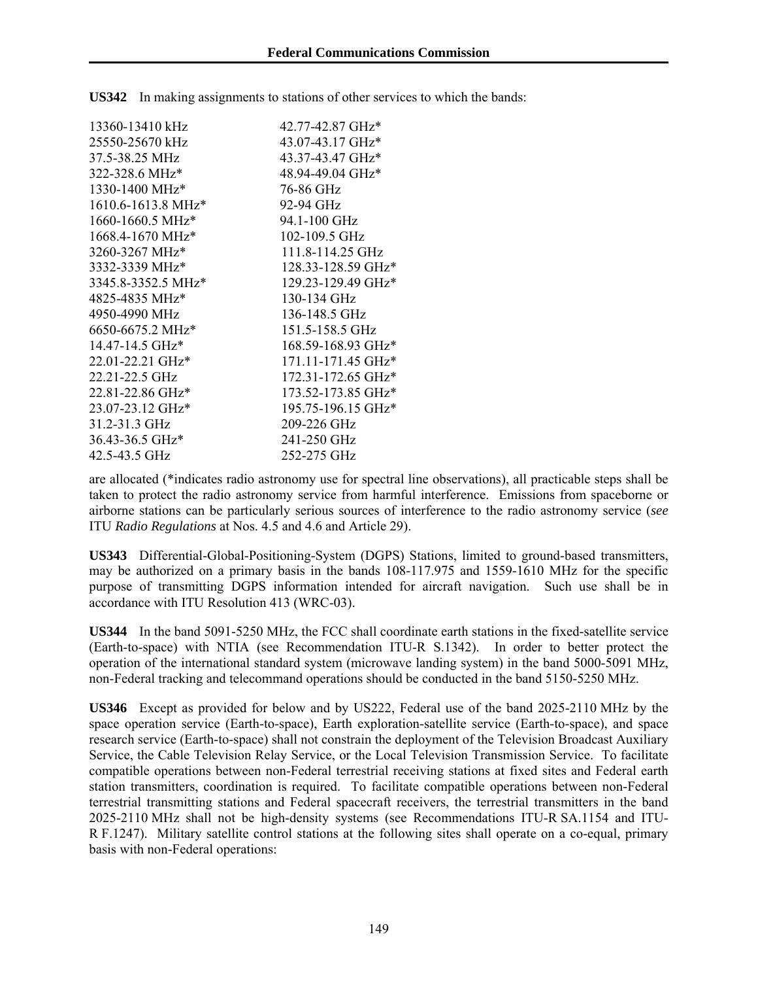| 42.77-42.87 GHz*   |
|--------------------|
| 43.07-43.17 GHz*   |
| 43.37-43.47 GHz*   |
| 48.94-49.04 GHz*   |
| 76-86 GHz          |
| 92-94 GHz          |
| 94.1-100 GHz       |
| 102-109.5 GHz      |
| 111.8-114.25 GHz   |
| 128.33-128.59 GHz* |
| 129.23-129.49 GHz* |
| 130-134 GHz        |
| 136-148.5 GHz      |
| 151.5-158.5 GHz    |
| 168.59-168.93 GHz* |
| 171.11-171.45 GHz* |
| 172.31-172.65 GHz* |
| 173.52-173.85 GHz* |
| 195.75-196.15 GHz* |
| 209-226 GHz        |
| 241-250 GHz        |
| 252-275 GHz        |
|                    |

**US342** In making assignments to stations of other services to which the bands:

are allocated (\*indicates radio astronomy use for spectral line observations), all practicable steps shall be taken to protect the radio astronomy service from harmful interference. Emissions from spaceborne or airborne stations can be particularly serious sources of interference to the radio astronomy service (*see* ITU *Radio Regulations* at Nos. 4.5 and 4.6 and Article 29).

**US343** Differential-Global-Positioning-System (DGPS) Stations, limited to ground-based transmitters, may be authorized on a primary basis in the bands 108-117.975 and 1559-1610 MHz for the specific purpose of transmitting DGPS information intended for aircraft navigation. Such use shall be in accordance with ITU Resolution 413 (WRC-03).

**US344** In the band 5091-5250 MHz, the FCC shall coordinate earth stations in the fixed-satellite service (Earth-to-space) with NTIA (see Recommendation ITU-R S.1342). In order to better protect the operation of the international standard system (microwave landing system) in the band 5000-5091 MHz, non-Federal tracking and telecommand operations should be conducted in the band 5150-5250 MHz.

**US346** Except as provided for below and by US222, Federal use of the band 2025-2110 MHz by the space operation service (Earth-to-space), Earth exploration-satellite service (Earth-to-space), and space research service (Earth-to-space) shall not constrain the deployment of the Television Broadcast Auxiliary Service, the Cable Television Relay Service, or the Local Television Transmission Service. To facilitate compatible operations between non-Federal terrestrial receiving stations at fixed sites and Federal earth station transmitters, coordination is required. To facilitate compatible operations between non-Federal terrestrial transmitting stations and Federal spacecraft receivers, the terrestrial transmitters in the band 2025-2110 MHz shall not be high-density systems (see Recommendations ITU-R SA.1154 and ITU-R F.1247). Military satellite control stations at the following sites shall operate on a co-equal, primary basis with non-Federal operations: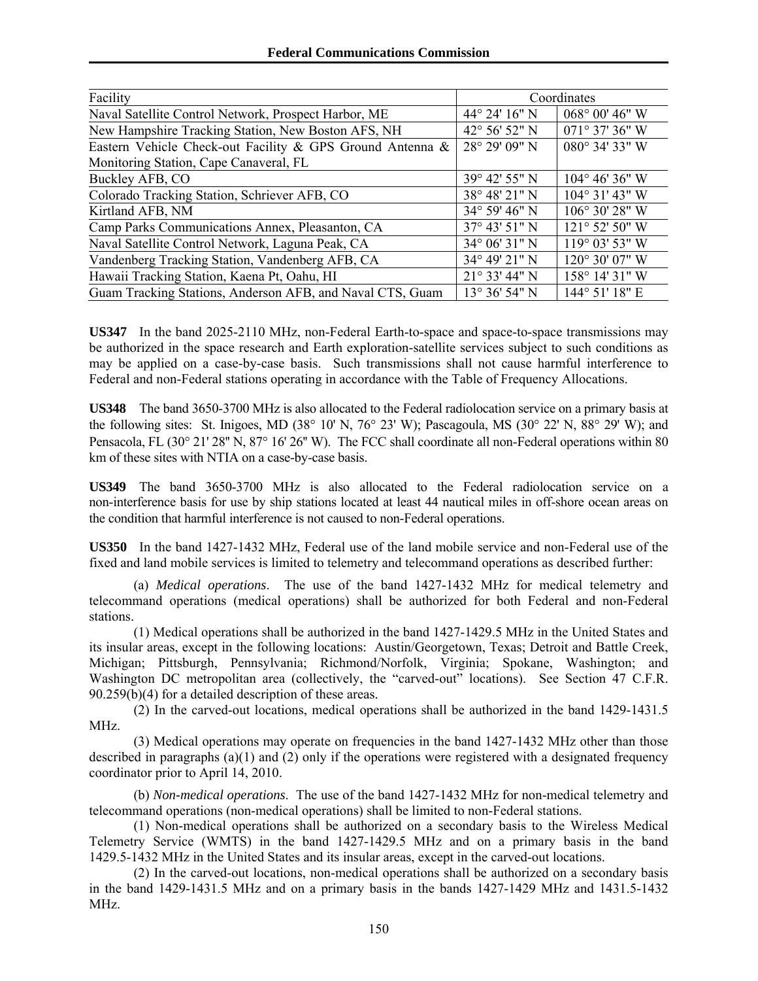| Facility                                                  |                         | Coordinates             |
|-----------------------------------------------------------|-------------------------|-------------------------|
| Naval Satellite Control Network, Prospect Harbor, ME      | 44° 24′ 16″ N           | $068^{\circ}$ 00' 46" W |
| New Hampshire Tracking Station, New Boston AFS, NH        | 42° 56' 52" N           | $071^{\circ}$ 37' 36" W |
| Eastern Vehicle Check-out Facility & GPS Ground Antenna & | 28° 29' 09" N           | 080° 34' 33" W          |
| Monitoring Station, Cape Canaveral, FL                    |                         |                         |
| Buckley AFB, CO                                           | 39° 42' 55" N           | $104^{\circ}$ 46' 36" W |
| Colorado Tracking Station, Schriever AFB, CO              | 38° 48′ 21″ N           | $104^{\circ}$ 31' 43" W |
| Kirtland AFB, NM                                          | $34^{\circ} 59' 46'' N$ | $106^{\circ}$ 30' 28" W |
| Camp Parks Communications Annex, Pleasanton, CA           | 37° 43' 51" N           | 121° 52' 50" W          |
| Naval Satellite Control Network, Laguna Peak, CA          | 34° 06' 31" N           | 119° 03' 53" W          |
| Vandenberg Tracking Station, Vandenberg AFB, CA           | 34° 49' 21" N           | 120° 30' 07" W          |
| Hawaii Tracking Station, Kaena Pt, Oahu, HI               | $21^{\circ}$ 33' 44" N  | 158° 14' 31" W          |
| Guam Tracking Stations, Anderson AFB, and Naval CTS, Guam | 13° 36' 54" N           | 144° 51' 18" E          |

**US347** In the band 2025-2110 MHz, non-Federal Earth-to-space and space-to-space transmissions may be authorized in the space research and Earth exploration-satellite services subject to such conditions as may be applied on a case-by-case basis. Such transmissions shall not cause harmful interference to Federal and non-Federal stations operating in accordance with the Table of Frequency Allocations.

**US348** The band 3650-3700 MHz is also allocated to the Federal radiolocation service on a primary basis at the following sites: St. Inigoes, MD (38 $^{\circ}$  10' N, 76 $^{\circ}$  23' W); Pascagoula, MS (30 $^{\circ}$  22' N, 88 $^{\circ}$  29' W); and Pensacola, FL (30° 21' 28" N, 87° 16' 26" W). The FCC shall coordinate all non-Federal operations within 80 km of these sites with NTIA on a case-by-case basis.

**US349** The band 3650-3700 MHz is also allocated to the Federal radiolocation service on a non-interference basis for use by ship stations located at least 44 nautical miles in off-shore ocean areas on the condition that harmful interference is not caused to non-Federal operations.

**US350** In the band 1427-1432 MHz, Federal use of the land mobile service and non-Federal use of the fixed and land mobile services is limited to telemetry and telecommand operations as described further:

(a) *Medical operations*. The use of the band 1427-1432 MHz for medical telemetry and telecommand operations (medical operations) shall be authorized for both Federal and non-Federal stations.

(1) Medical operations shall be authorized in the band 1427-1429.5 MHz in the United States and its insular areas, except in the following locations: Austin/Georgetown, Texas; Detroit and Battle Creek, Michigan; Pittsburgh, Pennsylvania; Richmond/Norfolk, Virginia; Spokane, Washington; and Washington DC metropolitan area (collectively, the "carved-out" locations). See Section 47 C.F.R. 90.259(b)(4) for a detailed description of these areas.

(2) In the carved-out locations, medical operations shall be authorized in the band 1429-1431.5 MHz.

(3) Medical operations may operate on frequencies in the band 1427-1432 MHz other than those described in paragraphs (a)(1) and (2) only if the operations were registered with a designated frequency coordinator prior to April 14, 2010.

(b) *Non-medical operations*. The use of the band 1427-1432 MHz for non-medical telemetry and telecommand operations (non-medical operations) shall be limited to non-Federal stations.

(1) Non-medical operations shall be authorized on a secondary basis to the Wireless Medical Telemetry Service (WMTS) in the band 1427-1429.5 MHz and on a primary basis in the band 1429.5-1432 MHz in the United States and its insular areas, except in the carved-out locations.

(2) In the carved-out locations, non-medical operations shall be authorized on a secondary basis in the band 1429-1431.5 MHz and on a primary basis in the bands 1427-1429 MHz and 1431.5-1432 MHz.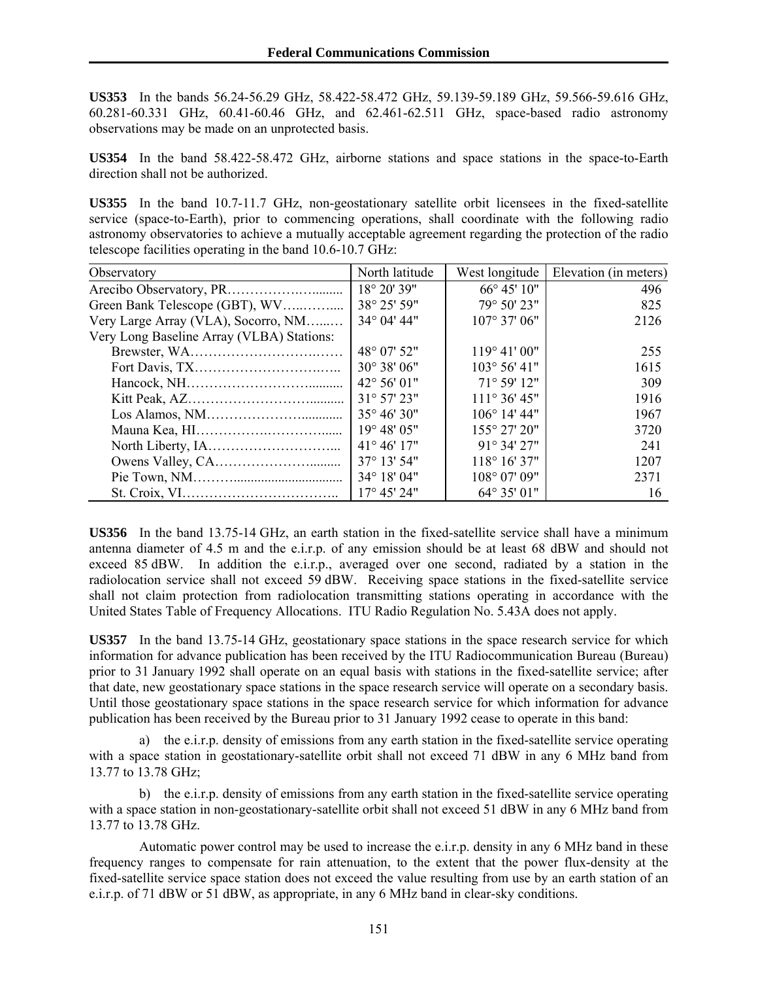**US353** In the bands 56.24-56.29 GHz, 58.422-58.472 GHz, 59.139-59.189 GHz, 59.566-59.616 GHz, 60.281-60.331 GHz, 60.41-60.46 GHz, and 62.461-62.511 GHz, space-based radio astronomy observations may be made on an unprotected basis.

**US354** In the band 58.422-58.472 GHz, airborne stations and space stations in the space-to-Earth direction shall not be authorized.

**US355** In the band 10.7-11.7 GHz, non-geostationary satellite orbit licensees in the fixed-satellite service (space-to-Earth), prior to commencing operations, shall coordinate with the following radio astronomy observatories to achieve a mutually acceptable agreement regarding the protection of the radio telescope facilities operating in the band 10.6-10.7 GHz:

| Observatory                               | North latitude        | West longitude         | Elevation (in meters) |
|-------------------------------------------|-----------------------|------------------------|-----------------------|
|                                           | 18° 20' 39"           | 66° 45' 10"            | 496                   |
| Green Bank Telescope (GBT), WV            | 38° 25' 59"           | 79° 50' 23"            | 825                   |
| Very Large Array (VLA), Socorro, NM       | 34° 04' 44"           | $107^{\circ}$ 37' 06"  | 2126                  |
| Very Long Baseline Array (VLBA) Stations: |                       |                        |                       |
|                                           | 48° 07' 52"           | $119^{\circ} 41' 00''$ | 255                   |
|                                           | 30° 38' 06"           | $103^{\circ} 56' 41''$ | 1615                  |
|                                           | 42° 56' 01"           | 71° 59' 12"            | 309                   |
|                                           | 31° 57' 23"           | $111^{\circ}36'45"$    | 1916                  |
|                                           | $35^{\circ} 46' 30''$ | $106^{\circ}$ 14' 44"  | 1967                  |
|                                           | 19° 48' 05"           | 155° 27' 20"           | 3720                  |
|                                           | $41^{\circ} 46' 17"$  | $91^{\circ}$ 34' 27"   | 241                   |
|                                           | $37^{\circ}$ 13' 54"  | $118^{\circ} 16' 37"$  | 1207                  |
|                                           | 34° 18' 04"           | 108° 07' 09"           | 2371                  |
|                                           | 17° 45' 24"           | 64° 35' 01"            | 16                    |

**US356** In the band 13.75-14 GHz, an earth station in the fixed-satellite service shall have a minimum antenna diameter of 4.5 m and the e.i.r.p. of any emission should be at least 68 dBW and should not exceed 85 dBW. In addition the e.i.r.p., averaged over one second, radiated by a station in the radiolocation service shall not exceed 59 dBW. Receiving space stations in the fixed-satellite service shall not claim protection from radiolocation transmitting stations operating in accordance with the United States Table of Frequency Allocations. ITU Radio Regulation No. 5.43A does not apply.

**US357** In the band 13.75-14 GHz, geostationary space stations in the space research service for which information for advance publication has been received by the ITU Radiocommunication Bureau (Bureau) prior to 31 January 1992 shall operate on an equal basis with stations in the fixed-satellite service; after that date, new geostationary space stations in the space research service will operate on a secondary basis. Until those geostationary space stations in the space research service for which information for advance publication has been received by the Bureau prior to 31 January 1992 cease to operate in this band:

a) the e.i.r.p. density of emissions from any earth station in the fixed-satellite service operating with a space station in geostationary-satellite orbit shall not exceed 71 dBW in any 6 MHz band from 13.77 to 13.78 GHz;

b) the e.i.r.p. density of emissions from any earth station in the fixed-satellite service operating with a space station in non-geostationary-satellite orbit shall not exceed 51 dBW in any 6 MHz band from 13.77 to 13.78 GHz.

 Automatic power control may be used to increase the e.i.r.p. density in any 6 MHz band in these frequency ranges to compensate for rain attenuation, to the extent that the power flux-density at the fixed-satellite service space station does not exceed the value resulting from use by an earth station of an e.i.r.p. of 71 dBW or 51 dBW, as appropriate, in any 6 MHz band in clear-sky conditions.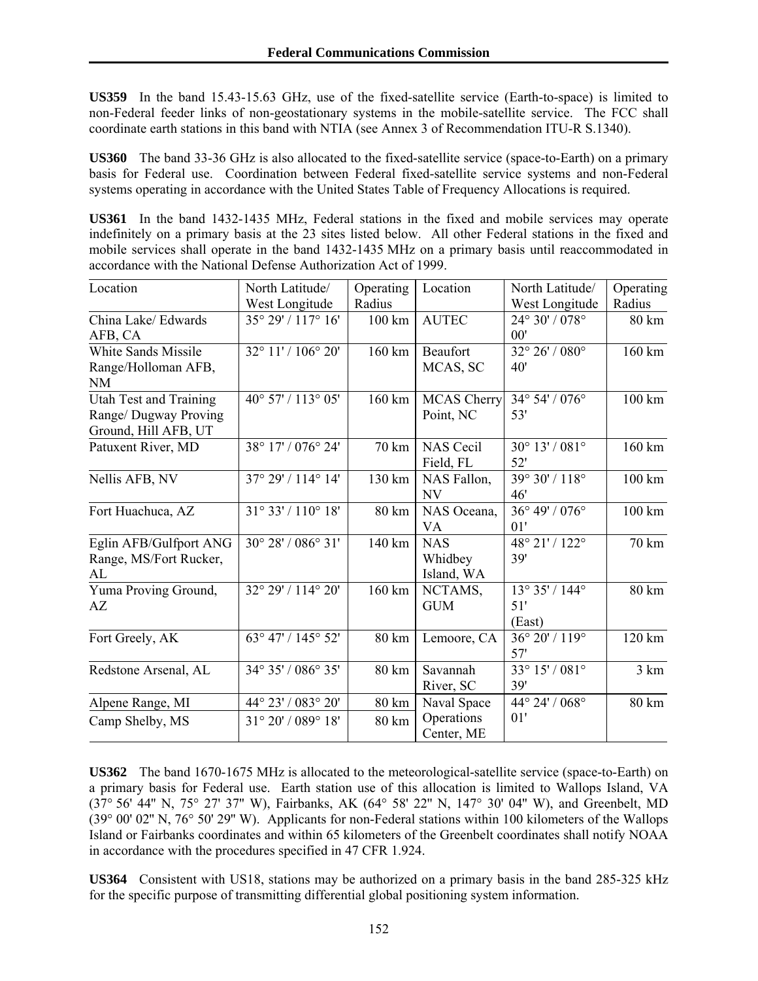**US359** In the band 15.43-15.63 GHz, use of the fixed-satellite service (Earth-to-space) is limited to non-Federal feeder links of non-geostationary systems in the mobile-satellite service. The FCC shall coordinate earth stations in this band with NTIA (see Annex 3 of Recommendation ITU-R S.1340).

**US360** The band 33-36 GHz is also allocated to the fixed-satellite service (space-to-Earth) on a primary basis for Federal use. Coordination between Federal fixed-satellite service systems and non-Federal systems operating in accordance with the United States Table of Frequency Allocations is required.

**US361** In the band 1432-1435 MHz, Federal stations in the fixed and mobile services may operate indefinitely on a primary basis at the 23 sites listed below. All other Federal stations in the fixed and mobile services shall operate in the band 1432-1435 MHz on a primary basis until reaccommodated in accordance with the National Defense Authorization Act of 1999.

| Location                                                                       | North Latitude/<br>West Longitude | Operating<br>Radius | Location                            | North Latitude/<br>West Longitude               | Operating<br>Radius |
|--------------------------------------------------------------------------------|-----------------------------------|---------------------|-------------------------------------|-------------------------------------------------|---------------------|
| China Lake/ Edwards<br>AFB, CA                                                 | 35° 29' / 117° 16'                | 100 km              | <b>AUTEC</b>                        | 24° 30' / 078°<br>00'                           | 80 km               |
| White Sands Missile<br>Range/Holloman AFB,<br><b>NM</b>                        | 32° 11' / 106° 20'                | 160 km              | Beaufort<br>MCAS, SC                | 32° 26' / 080°<br>40'                           | 160 km              |
| <b>Utah Test and Training</b><br>Range/ Dugway Proving<br>Ground, Hill AFB, UT | 40° 57' / 113° 05'                | 160 km              | <b>MCAS Cherry</b><br>Point, NC     | $34^{\circ} 54' / 076^{\circ}$<br>53'           | $100 \mathrm{km}$   |
| Patuxent River, MD                                                             | 38° 17' / 076° 24'                | 70 km               | <b>NAS Cecil</b><br>Field, FL       | 30° 13' / 081°<br>52'                           | 160 km              |
| Nellis AFB, NV                                                                 | 37° 29' / 114° 14'                | 130 km              | NAS Fallon,<br>NV                   | 39° 30' / 118°<br>46'                           | 100 km              |
| Fort Huachuca, AZ                                                              | 31° 33' / 110° 18'                | 80 km               | NAS Oceana,<br>VA                   | 36° 49' / 076°<br>01'                           | 100 km              |
| Eglin AFB/Gulfport ANG<br>Range, MS/Fort Rucker,<br>AL                         | 30° 28' / 086° 31'                | 140 km              | <b>NAS</b><br>Whidbey<br>Island, WA | 48° 21' / 122°<br>39'                           | 70 km               |
| Yuma Proving Ground,<br>AZ                                                     | 32° 29' / 114° 20'                | 160 km              | NCTAMS,<br><b>GUM</b>               | $13^{\circ} 35' / 144^{\circ}$<br>51'<br>(East) | 80 km               |
| Fort Greely, AK                                                                | 63° 47' / 145° 52'                | 80 km               | Lemoore, CA                         | 36° 20' / 119°<br>57'                           | 120 km              |
| Redstone Arsenal, AL                                                           | 34° 35' / 086° 35'                | 80 km               | Savannah<br>River, SC               | $33^{\circ} 15' / 081^{\circ}$<br>39'           | 3 km                |
| Alpene Range, MI                                                               | 44° 23' / 083° 20'                | 80 km               | Naval Space                         | 44° 24' / 068°                                  | 80 km               |
| Camp Shelby, MS                                                                | 31° 20' / 089° 18'                | 80 km               | Operations<br>Center, ME            | 01'                                             |                     |

**US362** The band 1670-1675 MHz is allocated to the meteorological-satellite service (space-to-Earth) on a primary basis for Federal use. Earth station use of this allocation is limited to Wallops Island, VA (37° 56' 44'' N, 75° 27' 37'' W), Fairbanks, AK (64° 58' 22'' N, 147° 30' 04'' W), and Greenbelt, MD (39° 00' 02'' N, 76° 50' 29'' W). Applicants for non-Federal stations within 100 kilometers of the Wallops Island or Fairbanks coordinates and within 65 kilometers of the Greenbelt coordinates shall notify NOAA in accordance with the procedures specified in 47 CFR 1.924.

**US364** Consistent with US18, stations may be authorized on a primary basis in the band 285-325 kHz for the specific purpose of transmitting differential global positioning system information.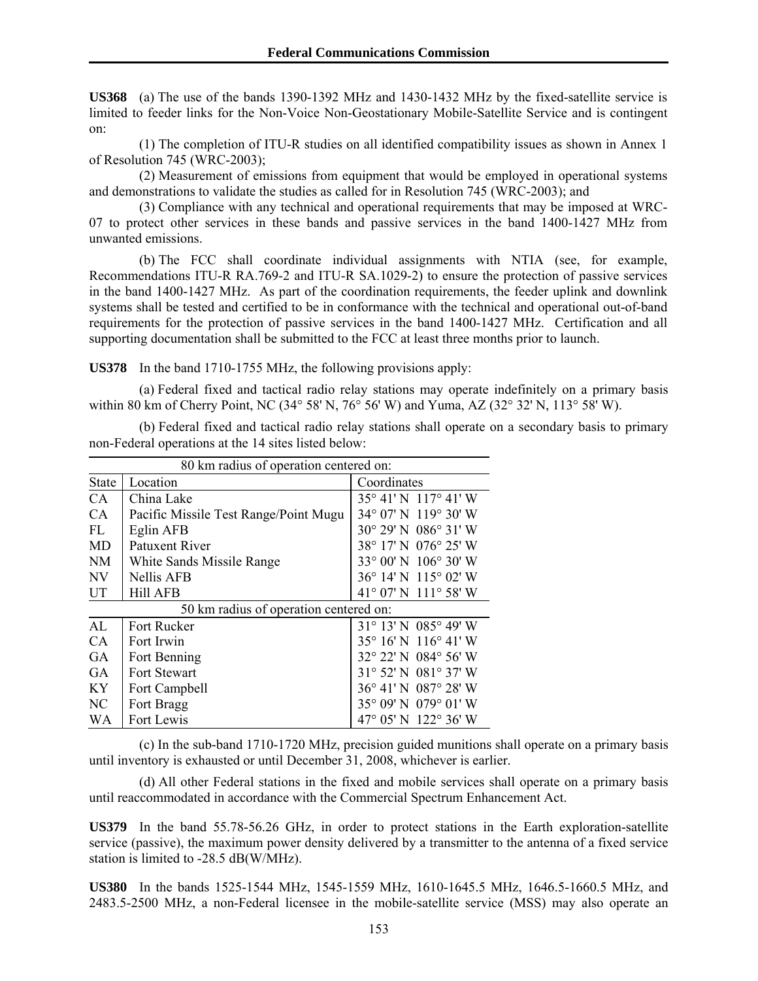**US368** (a) The use of the bands 1390-1392 MHz and 1430-1432 MHz by the fixed-satellite service is limited to feeder links for the Non-Voice Non-Geostationary Mobile-Satellite Service and is contingent on:

 (1) The completion of ITU-R studies on all identified compatibility issues as shown in Annex 1 of Resolution 745 (WRC-2003);

 (2) Measurement of emissions from equipment that would be employed in operational systems and demonstrations to validate the studies as called for in Resolution 745 (WRC-2003); and

 (3) Compliance with any technical and operational requirements that may be imposed at WRC-07 to protect other services in these bands and passive services in the band 1400-1427 MHz from unwanted emissions.

 (b) The FCC shall coordinate individual assignments with NTIA (see, for example, Recommendations ITU-R RA.769-2 and ITU-R SA.1029-2) to ensure the protection of passive services in the band 1400-1427 MHz. As part of the coordination requirements, the feeder uplink and downlink systems shall be tested and certified to be in conformance with the technical and operational out-of-band requirements for the protection of passive services in the band 1400-1427 MHz. Certification and all supporting documentation shall be submitted to the FCC at least three months prior to launch.

**US378** In the band 1710-1755 MHz, the following provisions apply:

 (a) Federal fixed and tactical radio relay stations may operate indefinitely on a primary basis within 80 km of Cherry Point, NC (34° 58' N, 76° 56' W) and Yuma, AZ (32° 32' N, 113° 58' W).

 (b) Federal fixed and tactical radio relay stations shall operate on a secondary basis to primary non-Federal operations at the 14 sites listed below:

| 80 km radius of operation centered on: |                                        |                                         |  |  |
|----------------------------------------|----------------------------------------|-----------------------------------------|--|--|
| <b>State</b>                           | Location                               | Coordinates                             |  |  |
| CA                                     | China Lake                             | 35° 41' N 117° 41' W                    |  |  |
| CA                                     | Pacific Missile Test Range/Point Mugu  | 34° 07' N 119° 30' W                    |  |  |
| FL                                     | Eglin AFB                              | $30^{\circ}$ 29' N $086^{\circ}$ 31' W  |  |  |
| <b>MD</b>                              | Patuxent River                         | 38° 17' N 076° 25' W                    |  |  |
| NM                                     | White Sands Missile Range              | 33° 00' N 106° 30' W                    |  |  |
| <b>NV</b>                              | <b>Nellis AFB</b>                      | $36^{\circ}$ 14' N $115^{\circ}$ 02' W  |  |  |
| UT                                     | <b>Hill AFB</b>                        | 41° 07' N 111° 58' W                    |  |  |
|                                        | 50 km radius of operation centered on: |                                         |  |  |
| AI                                     | <b>Fort Rucker</b>                     | $31^{\circ}$ 13' N 085° 49' W           |  |  |
| CA                                     | Fort Irwin                             | $35^{\circ}$ 16' N $116^{\circ}$ 41' W  |  |  |
| <b>GA</b>                              | Fort Benning                           | $32^{\circ}$ 22' N 084 $^{\circ}$ 56' W |  |  |
| <b>GA</b>                              | Fort Stewart                           | 31° 52' N 081° 37' W                    |  |  |
| KY.                                    | Fort Campbell                          | 36° 41' N 087° 28' W                    |  |  |
| NC.                                    | Fort Bragg                             | 35° 09' N 079° 01' W                    |  |  |
| <b>WA</b>                              | Fort Lewis                             | 47° 05' N 122° 36' W                    |  |  |

 (c) In the sub-band 1710-1720 MHz, precision guided munitions shall operate on a primary basis until inventory is exhausted or until December 31, 2008, whichever is earlier.

 (d) All other Federal stations in the fixed and mobile services shall operate on a primary basis until reaccommodated in accordance with the Commercial Spectrum Enhancement Act.

**US379** In the band 55.78-56.26 GHz, in order to protect stations in the Earth exploration-satellite service (passive), the maximum power density delivered by a transmitter to the antenna of a fixed service station is limited to -28.5 dB(W/MHz).

**US380** In the bands 1525-1544 MHz, 1545-1559 MHz, 1610-1645.5 MHz, 1646.5-1660.5 MHz, and 2483.5-2500 MHz, a non-Federal licensee in the mobile-satellite service (MSS) may also operate an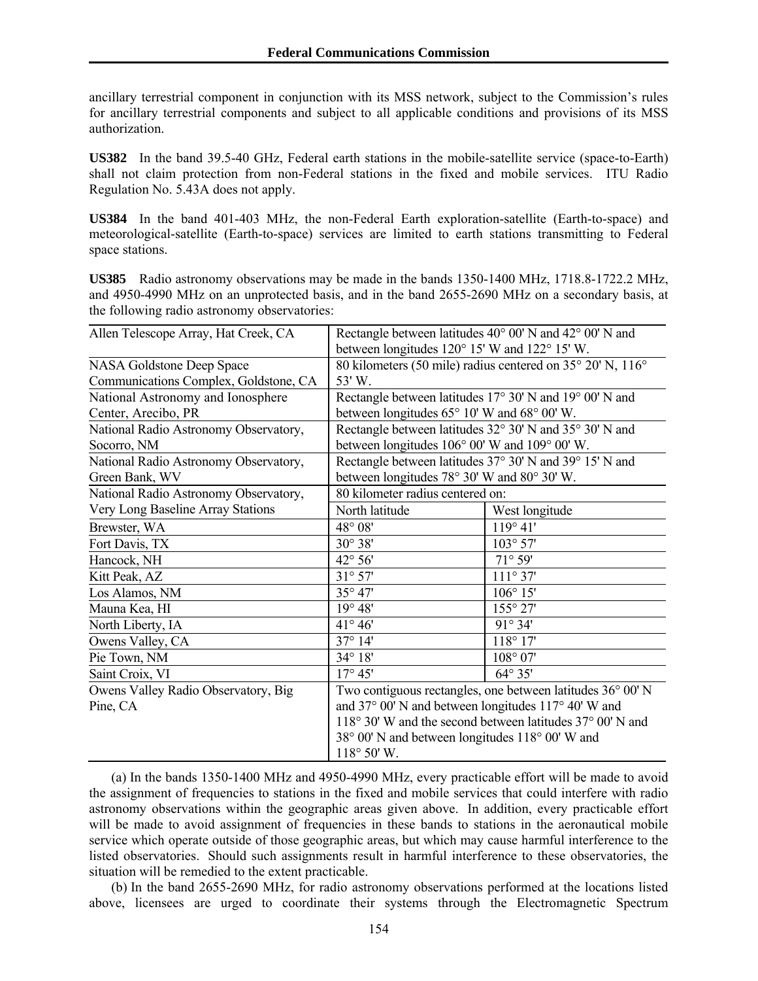ancillary terrestrial component in conjunction with its MSS network, subject to the Commission's rules for ancillary terrestrial components and subject to all applicable conditions and provisions of its MSS authorization.

**US382** In the band 39.5-40 GHz, Federal earth stations in the mobile-satellite service (space-to-Earth) shall not claim protection from non-Federal stations in the fixed and mobile services. ITU Radio Regulation No. 5.43A does not apply.

**US384** In the band 401-403 MHz, the non-Federal Earth exploration-satellite (Earth-to-space) and meteorological-satellite (Earth-to-space) services are limited to earth stations transmitting to Federal space stations.

**US385** Radio astronomy observations may be made in the bands 1350-1400 MHz, 1718.8-1722.2 MHz, and 4950-4990 MHz on an unprotected basis, and in the band 2655-2690 MHz on a secondary basis, at the following radio astronomy observatories:

| Allen Telescope Array, Hat Creek, CA  | Rectangle between latitudes 40° 00' N and 42° 00' N and<br>between longitudes 120° 15' W and 122° 15' W. |                                                         |  |  |
|---------------------------------------|----------------------------------------------------------------------------------------------------------|---------------------------------------------------------|--|--|
| NASA Goldstone Deep Space             | 80 kilometers (50 mile) radius centered on 35° 20' N, 116°                                               |                                                         |  |  |
| Communications Complex, Goldstone, CA | 53'W.                                                                                                    |                                                         |  |  |
| National Astronomy and Ionosphere     |                                                                                                          | Rectangle between latitudes 17° 30' N and 19° 00' N and |  |  |
| Center, Arecibo, PR                   | between longitudes $65^{\circ}$ 10' W and $68^{\circ}$ 00' W.                                            |                                                         |  |  |
| National Radio Astronomy Observatory, |                                                                                                          | Rectangle between latitudes 32° 30' N and 35° 30' N and |  |  |
| Socorro, NM                           | between longitudes 106° 00' W and 109° 00' W.                                                            |                                                         |  |  |
| National Radio Astronomy Observatory, |                                                                                                          | Rectangle between latitudes 37° 30' N and 39° 15' N and |  |  |
| Green Bank, WV                        | between longitudes 78° 30' W and 80° 30' W.                                                              |                                                         |  |  |
| National Radio Astronomy Observatory, | 80 kilometer radius centered on:                                                                         |                                                         |  |  |
| Very Long Baseline Array Stations     | North latitude                                                                                           | West longitude                                          |  |  |
| Brewster, WA                          | 48° 08'                                                                                                  | 119°41'                                                 |  |  |
| Fort Davis, TX                        | $30^{\circ} 38'$                                                                                         | $103^{\circ} 57'$                                       |  |  |
| Hancock, NH                           | 42° 56'                                                                                                  | 71° 59'                                                 |  |  |
| Kitt Peak, AZ                         | $31^{\circ}$ 57'                                                                                         | $111^{\circ}37'$                                        |  |  |
| Los Alamos, NM                        | 35° 47'                                                                                                  | $106^{\circ} 15'$                                       |  |  |
| Mauna Kea, HI                         | $19^{\circ} 48'$                                                                                         | 155° 27'                                                |  |  |
| North Liberty, IA                     | $41^{\circ} 46'$                                                                                         | $91^{\circ} 34'$                                        |  |  |
| Owens Valley, CA                      | 37° 14'                                                                                                  | 118°17'                                                 |  |  |
| Pie Town, NM                          | 34° 18'                                                                                                  | 108° 07'                                                |  |  |
| Saint Croix, VI                       | $17^{\circ} 45'$                                                                                         | $64^{\circ}35'$                                         |  |  |
| Owens Valley Radio Observatory, Big   | Two contiguous rectangles, one between latitudes 36° 00' N                                               |                                                         |  |  |
| Pine, CA                              | and 37° 00' N and between longitudes 117° 40' W and                                                      |                                                         |  |  |
|                                       | 118° 30' W and the second between latitudes 37° 00' N and                                                |                                                         |  |  |
|                                       | 38° 00' N and between longitudes 118° 00' W and                                                          |                                                         |  |  |
|                                       | $118^{\circ} 50'$ W.                                                                                     |                                                         |  |  |

(a) In the bands 1350-1400 MHz and 4950-4990 MHz, every practicable effort will be made to avoid the assignment of frequencies to stations in the fixed and mobile services that could interfere with radio astronomy observations within the geographic areas given above. In addition, every practicable effort will be made to avoid assignment of frequencies in these bands to stations in the aeronautical mobile service which operate outside of those geographic areas, but which may cause harmful interference to the listed observatories. Should such assignments result in harmful interference to these observatories, the situation will be remedied to the extent practicable.

(b) In the band 2655-2690 MHz, for radio astronomy observations performed at the locations listed above, licensees are urged to coordinate their systems through the Electromagnetic Spectrum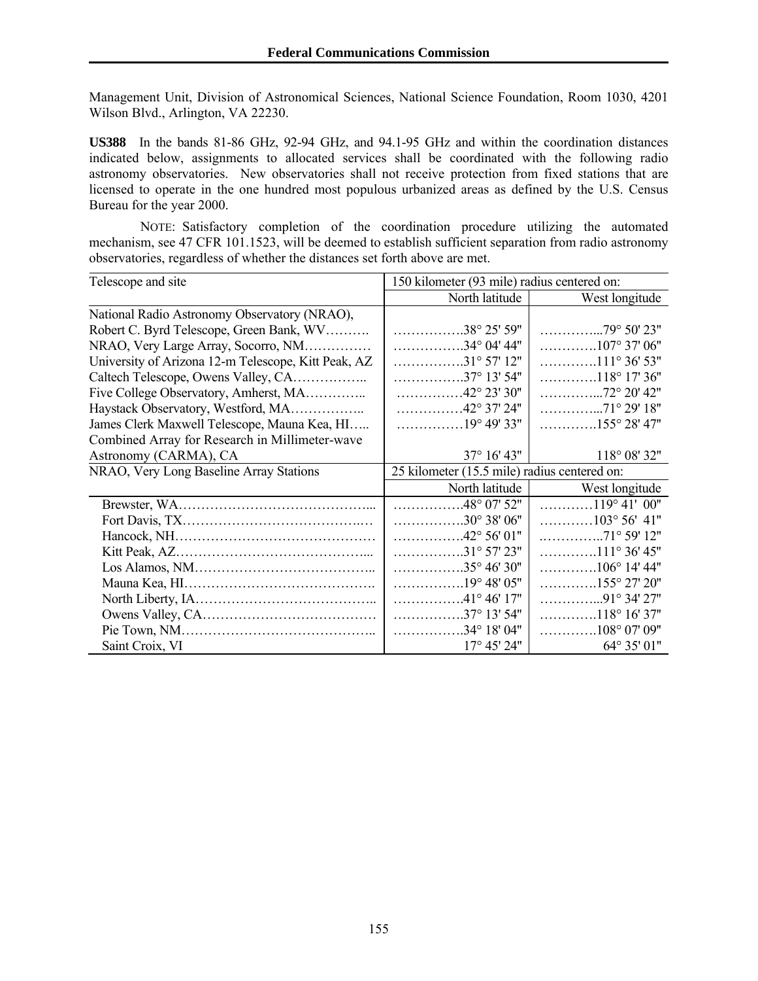Management Unit, Division of Astronomical Sciences, National Science Foundation, Room 1030, 4201 Wilson Blvd., Arlington, VA 22230.

**US388** In the bands 81-86 GHz, 92-94 GHz, and 94.1-95 GHz and within the coordination distances indicated below, assignments to allocated services shall be coordinated with the following radio astronomy observatories. New observatories shall not receive protection from fixed stations that are licensed to operate in the one hundred most populous urbanized areas as defined by the U.S. Census Bureau for the year 2000.

 NOTE: Satisfactory completion of the coordination procedure utilizing the automated mechanism, see 47 CFR 101.1523, will be deemed to establish sufficient separation from radio astronomy observatories, regardless of whether the distances set forth above are met.

| Telescope and site                                  | 150 kilometer (93 mile) radius centered on:                     |                                                                 |  |
|-----------------------------------------------------|-----------------------------------------------------------------|-----------------------------------------------------------------|--|
|                                                     | North latitude                                                  | West longitude                                                  |  |
| National Radio Astronomy Observatory (NRAO),        |                                                                 |                                                                 |  |
| Robert C. Byrd Telescope, Green Bank, WV            | $\ldots$ 38° 25' 59"                                            | $\ldots \ldots \ldots \ldots \ldots$ . 79° 50' 23"              |  |
| NRAO, Very Large Array, Socorro, NM                 | $\ldots \ldots \ldots \ldots \ldots 34^{\circ} 04' 44''$        | $\ldots \ldots \ldots \ldots 107^{\circ} 37' 06''$              |  |
| University of Arizona 12-m Telescope, Kitt Peak, AZ | $\ldots \ldots \ldots \ldots \ldots \ldots 31^{\circ} 57' 12''$ | $\ldots \ldots \ldots \ldots 111^{\circ}36'53''$                |  |
|                                                     | $\ldots \ldots \ldots \ldots \ldots \ldots 37^{\circ} 13' 54''$ | $\ldots \ldots \ldots \ldots 118^{\circ} 17' 36''$              |  |
| Five College Observatory, Amherst, MA               | $\ldots \ldots \ldots \ldots \ldots 42^{\circ} 23' 30''$        | $\ldots \ldots \ldots \ldots \ldots 72^{\circ} 20' 42''$        |  |
| Haystack Observatory, Westford, MA                  | $\ldots \ldots \ldots \ldots \ldots 42^{\circ} 37' 24''$        |                                                                 |  |
| James Clerk Maxwell Telescope, Mauna Kea, HI        | $\ldots \ldots \ldots \ldots 19^{\circ} 49' 33''$               | $\ldots \ldots \ldots \ldots 155^{\circ} 28' 47''$              |  |
| Combined Array for Research in Millimeter-wave      |                                                                 |                                                                 |  |
| Astronomy (CARMA), CA                               | $37^{\circ}$ 16' 43"                                            | 118° 08' 32"                                                    |  |
| NRAO, Very Long Baseline Array Stations             | 25 kilometer (15.5 mile) radius centered on:                    |                                                                 |  |
|                                                     | North latitude                                                  | West longitude                                                  |  |
|                                                     |                                                                 |                                                                 |  |
|                                                     | $\ldots$ 48° 07' 52"                                            | $\ldots$ 119°41'00"                                             |  |
|                                                     | $\ldots \ldots \ldots \ldots \ldots 30^{\circ} 38' 06''$        | $\ldots \ldots \ldots \ldots 103^{\circ} 56' 41''$              |  |
|                                                     | $\ldots$ 42° 56' 01"                                            | $\ldots \ldots \ldots \ldots \ldots 71^{\circ} 59' 12''$        |  |
|                                                     | $\ldots$ 31° 57' 23"                                            | $\ldots \ldots \ldots \ldots 111^{\circ} 36' 45"$               |  |
|                                                     | $\ldots \ldots \ldots \ldots \ldots \ldots 35^{\circ} 46' 30''$ | $\ldots \ldots \ldots \ldots 106^{\circ}$ 14' 44"               |  |
|                                                     |                                                                 | $\ldots \ldots \ldots \ldots 155^{\circ} 27' 20''$              |  |
|                                                     | $\ldots$ 41° 46' 17"                                            | $\ldots \ldots \ldots \ldots \ldots \ldots 91^{\circ} 34' 27''$ |  |
|                                                     | $\ldots \ldots \ldots \ldots \ldots \ldots 37^{\circ} 13' 54''$ | $\ldots \ldots \ldots \ldots 118^{\circ} 16' 37''$              |  |
| Saint Croix, VI                                     | $\ldots$ 34° 18′ 04″<br>$17^{\circ}$ 45' 24"                    | $\ldots \ldots \ldots \ldots 108^{\circ} 07' 09''$              |  |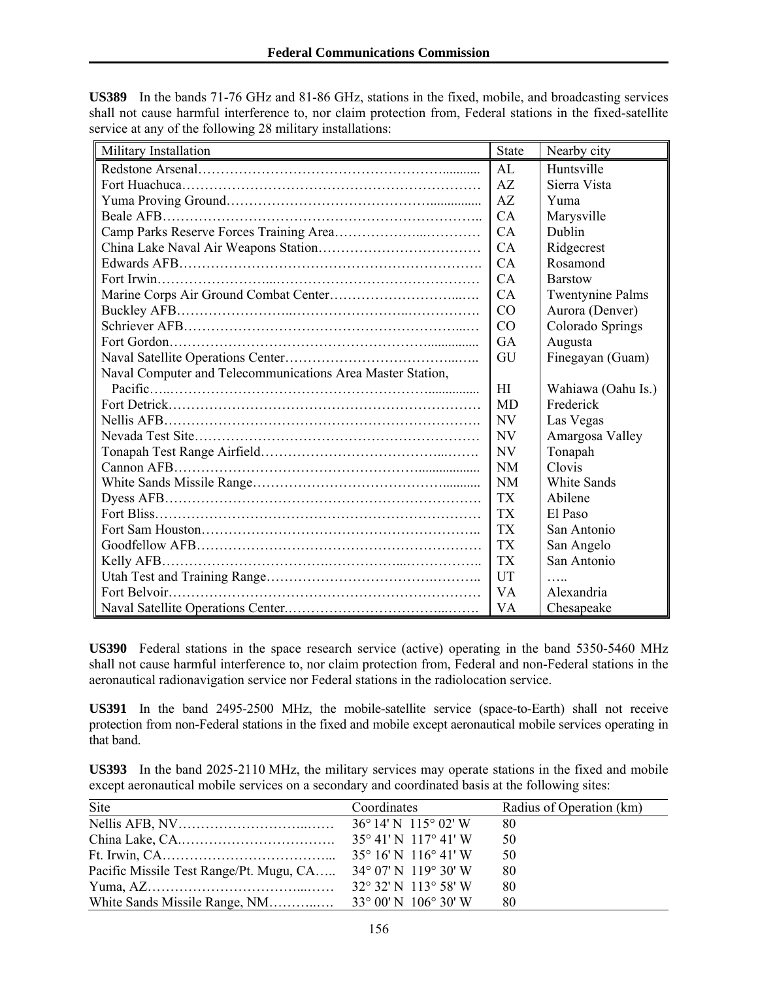| Military Installation<br><u> 1989 - Johann Stoff, deutscher Stoffen und der Stoffen und der Stoffen und der Stoffen und der Stoffen und der</u> | <b>State</b> | Nearby city             |
|-------------------------------------------------------------------------------------------------------------------------------------------------|--------------|-------------------------|
|                                                                                                                                                 | AL           | Huntsville              |
|                                                                                                                                                 | AZ           | Sierra Vista            |
|                                                                                                                                                 | AZ           | Yuma                    |
|                                                                                                                                                 | CA           | Marysville              |
|                                                                                                                                                 | CA           | Dublin                  |
|                                                                                                                                                 | CA           | Ridgecrest              |
|                                                                                                                                                 | CA           | Rosamond                |
|                                                                                                                                                 | CA           | <b>Barstow</b>          |
|                                                                                                                                                 | CA           | <b>Twentynine Palms</b> |
|                                                                                                                                                 | CO           | Aurora (Denver)         |
|                                                                                                                                                 | CO           | Colorado Springs        |
|                                                                                                                                                 | <b>GA</b>    | Augusta                 |
|                                                                                                                                                 | GU           | Finegayan (Guam)        |
| Naval Computer and Telecommunications Area Master Station,                                                                                      |              |                         |
|                                                                                                                                                 | HI           | Wahiawa (Oahu Is.)      |
|                                                                                                                                                 | <b>MD</b>    | Frederick               |
|                                                                                                                                                 | <b>NV</b>    | Las Vegas               |
|                                                                                                                                                 | <b>NV</b>    | Amargosa Valley         |
|                                                                                                                                                 | <b>NV</b>    | Tonapah                 |
|                                                                                                                                                 | <b>NM</b>    | Clovis                  |
|                                                                                                                                                 | <b>NM</b>    | <b>White Sands</b>      |
|                                                                                                                                                 | <b>TX</b>    | Abilene                 |
|                                                                                                                                                 | <b>TX</b>    | El Paso                 |
|                                                                                                                                                 | <b>TX</b>    | San Antonio             |
|                                                                                                                                                 | <b>TX</b>    | San Angelo              |
|                                                                                                                                                 | <b>TX</b>    | San Antonio             |
|                                                                                                                                                 | <b>UT</b>    | 1.1.1.1                 |
|                                                                                                                                                 | <b>VA</b>    | Alexandria              |
|                                                                                                                                                 | <b>VA</b>    | Chesapeake              |

**US389** In the bands 71-76 GHz and 81-86 GHz, stations in the fixed, mobile, and broadcasting services shall not cause harmful interference to, nor claim protection from, Federal stations in the fixed-satellite service at any of the following 28 military installations:

**US390** Federal stations in the space research service (active) operating in the band 5350-5460 MHz shall not cause harmful interference to, nor claim protection from, Federal and non-Federal stations in the aeronautical radionavigation service nor Federal stations in the radiolocation service.

**US391** In the band 2495-2500 MHz, the mobile-satellite service (space-to-Earth) shall not receive protection from non-Federal stations in the fixed and mobile except aeronautical mobile services operating in that band.

**US393** In the band 2025-2110 MHz, the military services may operate stations in the fixed and mobile except aeronautical mobile services on a secondary and coordinated basis at the following sites:

| Site                                    | Coordinates                             | Radius of Operation (km) |
|-----------------------------------------|-----------------------------------------|--------------------------|
|                                         |                                         | 80                       |
|                                         |                                         | 50                       |
|                                         |                                         | 50                       |
| Pacific Missile Test Range/Pt. Mugu, CA | $34^{\circ}$ 07' N 119 $^{\circ}$ 30' W | 80                       |
|                                         | $32^{\circ}$ 32' N 113 $^{\circ}$ 58' W | 80                       |
|                                         |                                         | 80                       |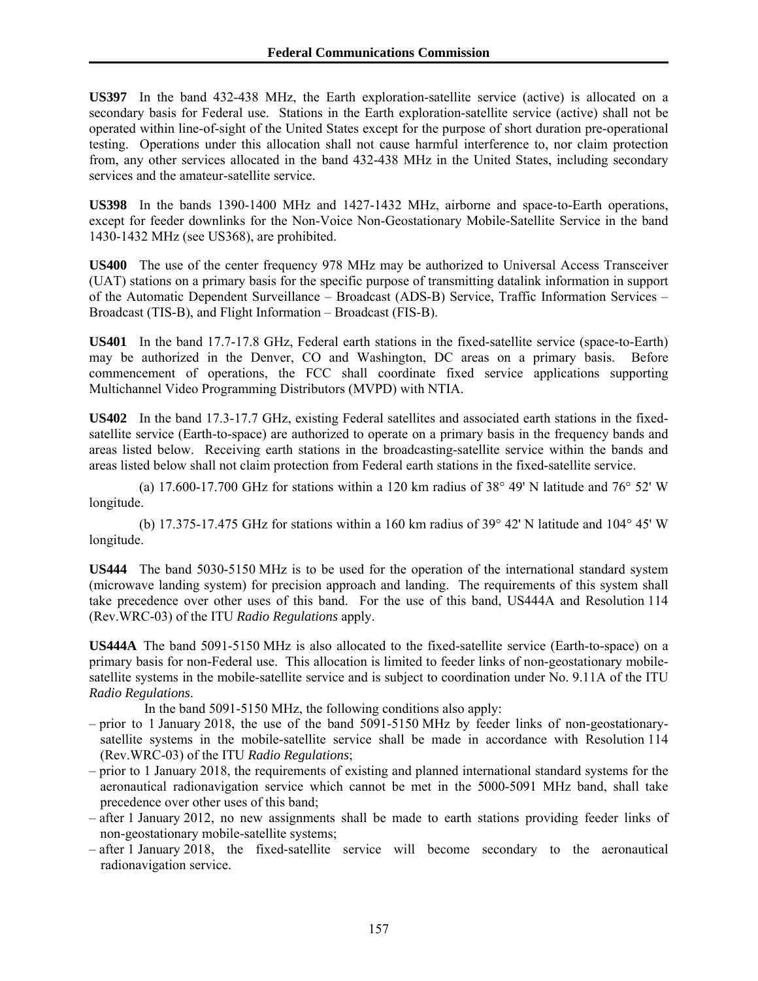**US397** In the band 432-438 MHz, the Earth exploration-satellite service (active) is allocated on a secondary basis for Federal use. Stations in the Earth exploration-satellite service (active) shall not be operated within line-of-sight of the United States except for the purpose of short duration pre-operational testing. Operations under this allocation shall not cause harmful interference to, nor claim protection from, any other services allocated in the band 432-438 MHz in the United States, including secondary services and the amateur-satellite service.

**US398** In the bands 1390-1400 MHz and 1427-1432 MHz, airborne and space-to-Earth operations, except for feeder downlinks for the Non-Voice Non-Geostationary Mobile-Satellite Service in the band 1430-1432 MHz (see US368), are prohibited.

**US400** The use of the center frequency 978 MHz may be authorized to Universal Access Transceiver (UAT) stations on a primary basis for the specific purpose of transmitting datalink information in support of the Automatic Dependent Surveillance – Broadcast (ADS-B) Service, Traffic Information Services – Broadcast (TIS-B), and Flight Information – Broadcast (FIS-B).

**US401** In the band 17.7-17.8 GHz, Federal earth stations in the fixed-satellite service (space-to-Earth) may be authorized in the Denver, CO and Washington, DC areas on a primary basis. Before commencement of operations, the FCC shall coordinate fixed service applications supporting Multichannel Video Programming Distributors (MVPD) with NTIA.

**US402** In the band 17.3-17.7 GHz, existing Federal satellites and associated earth stations in the fixedsatellite service (Earth-to-space) are authorized to operate on a primary basis in the frequency bands and areas listed below. Receiving earth stations in the broadcasting-satellite service within the bands and areas listed below shall not claim protection from Federal earth stations in the fixed-satellite service.

(a) 17.600-17.700 GHz for stations within a 120 km radius of 38° 49' N latitude and 76° 52' W longitude.

(b) 17.375-17.475 GHz for stations within a 160 km radius of 39 $^{\circ}$  42' N latitude and 104 $^{\circ}$  45' W longitude.

**US444** The band 5030-5150 MHz is to be used for the operation of the international standard system (microwave landing system) for precision approach and landing. The requirements of this system shall take precedence over other uses of this band. For the use of this band, US444A and Resolution 114 (Rev.WRC-03) of the ITU *Radio Regulations* apply.

**US444A** The band 5091-5150 MHz is also allocated to the fixed-satellite service (Earth-to-space) on a primary basis for non-Federal use. This allocation is limited to feeder links of non-geostationary mobilesatellite systems in the mobile-satellite service and is subject to coordination under No. 9.11A of the ITU *Radio Regulations*.

In the band 5091-5150 MHz, the following conditions also apply:

- prior to 1 January 2018, the use of the band 5091-5150 MHz by feeder links of non-geostationarysatellite systems in the mobile-satellite service shall be made in accordance with Resolution 114 (Rev.WRC-03) of the ITU *Radio Regulations*;
- prior to 1 January 2018, the requirements of existing and planned international standard systems for the aeronautical radionavigation service which cannot be met in the 5000-5091 MHz band, shall take precedence over other uses of this band;
- after 1 January 2012, no new assignments shall be made to earth stations providing feeder links of non-geostationary mobile-satellite systems;
- after 1 January 2018, the fixed-satellite service will become secondary to the aeronautical radionavigation service.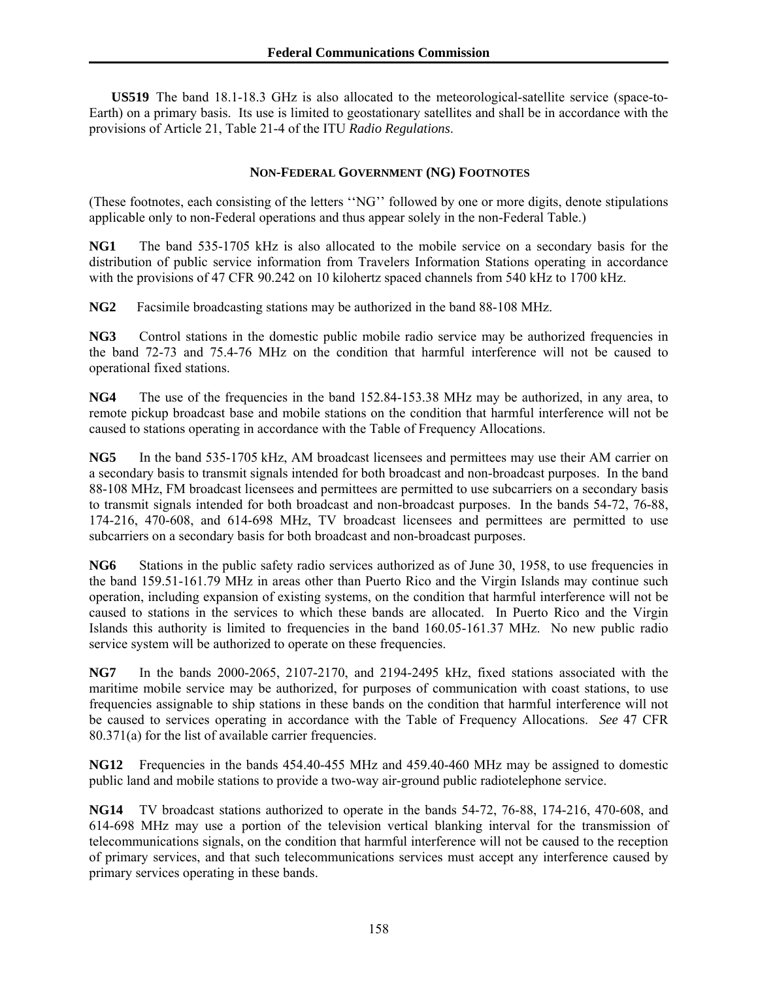**US519** The band 18.1-18.3 GHz is also allocated to the meteorological-satellite service (space-to-Earth) on a primary basis. Its use is limited to geostationary satellites and shall be in accordance with the provisions of Article 21, Table 21-4 of the ITU *Radio Regulations*.

## **NON-FEDERAL GOVERNMENT (NG) FOOTNOTES**

(These footnotes, each consisting of the letters ''NG'' followed by one or more digits, denote stipulations applicable only to non-Federal operations and thus appear solely in the non-Federal Table.)

**NG1** The band 535-1705 kHz is also allocated to the mobile service on a secondary basis for the distribution of public service information from Travelers Information Stations operating in accordance with the provisions of 47 CFR 90.242 on 10 kilohertz spaced channels from 540 kHz to 1700 kHz.

**NG2** Facsimile broadcasting stations may be authorized in the band 88-108 MHz.

**NG3** Control stations in the domestic public mobile radio service may be authorized frequencies in the band 72-73 and 75.4-76 MHz on the condition that harmful interference will not be caused to operational fixed stations.

**NG4** The use of the frequencies in the band 152.84-153.38 MHz may be authorized, in any area, to remote pickup broadcast base and mobile stations on the condition that harmful interference will not be caused to stations operating in accordance with the Table of Frequency Allocations.

**NG5** In the band 535-1705 kHz, AM broadcast licensees and permittees may use their AM carrier on a secondary basis to transmit signals intended for both broadcast and non-broadcast purposes. In the band 88-108 MHz, FM broadcast licensees and permittees are permitted to use subcarriers on a secondary basis to transmit signals intended for both broadcast and non-broadcast purposes. In the bands 54-72, 76-88, 174-216, 470-608, and 614-698 MHz, TV broadcast licensees and permittees are permitted to use subcarriers on a secondary basis for both broadcast and non-broadcast purposes.

**NG6** Stations in the public safety radio services authorized as of June 30, 1958, to use frequencies in the band 159.51-161.79 MHz in areas other than Puerto Rico and the Virgin Islands may continue such operation, including expansion of existing systems, on the condition that harmful interference will not be caused to stations in the services to which these bands are allocated. In Puerto Rico and the Virgin Islands this authority is limited to frequencies in the band 160.05-161.37 MHz. No new public radio service system will be authorized to operate on these frequencies.

**NG7** In the bands 2000-2065, 2107-2170, and 2194-2495 kHz, fixed stations associated with the maritime mobile service may be authorized, for purposes of communication with coast stations, to use frequencies assignable to ship stations in these bands on the condition that harmful interference will not be caused to services operating in accordance with the Table of Frequency Allocations. *See* 47 CFR 80.371(a) for the list of available carrier frequencies.

**NG12** Frequencies in the bands 454.40-455 MHz and 459.40-460 MHz may be assigned to domestic public land and mobile stations to provide a two-way air-ground public radiotelephone service.

**NG14** TV broadcast stations authorized to operate in the bands 54-72, 76-88, 174-216, 470-608, and 614-698 MHz may use a portion of the television vertical blanking interval for the transmission of telecommunications signals, on the condition that harmful interference will not be caused to the reception of primary services, and that such telecommunications services must accept any interference caused by primary services operating in these bands.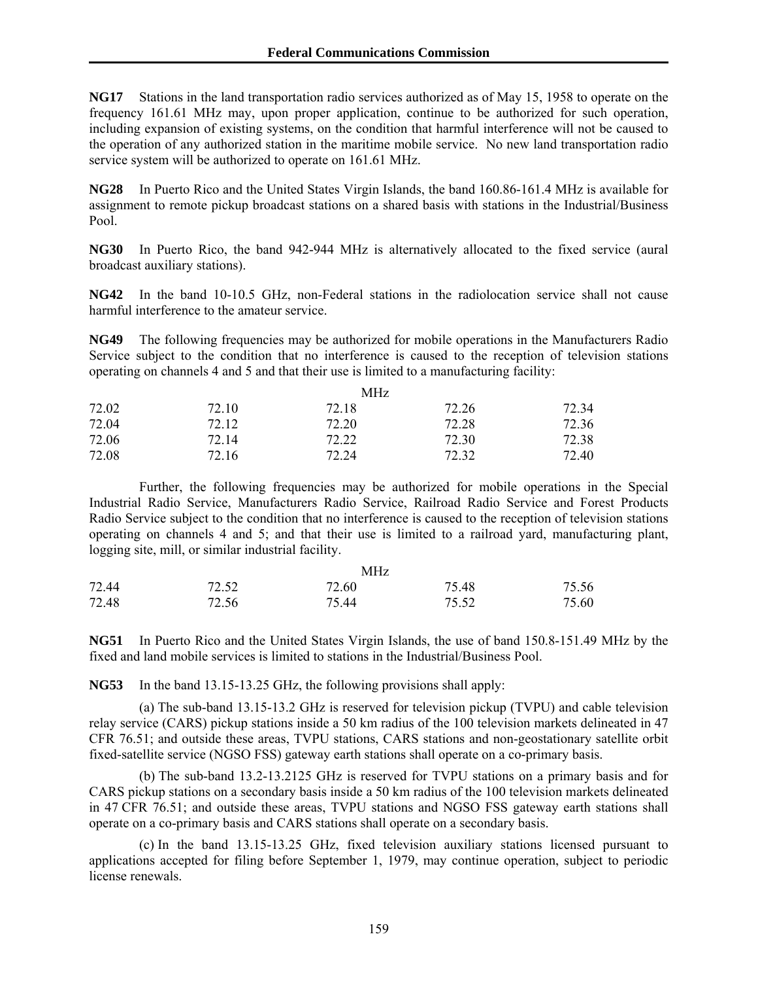**NG17** Stations in the land transportation radio services authorized as of May 15, 1958 to operate on the frequency 161.61 MHz may, upon proper application, continue to be authorized for such operation, including expansion of existing systems, on the condition that harmful interference will not be caused to the operation of any authorized station in the maritime mobile service. No new land transportation radio service system will be authorized to operate on 161.61 MHz.

**NG28** In Puerto Rico and the United States Virgin Islands, the band 160.86-161.4 MHz is available for assignment to remote pickup broadcast stations on a shared basis with stations in the Industrial/Business Pool.

**NG30** In Puerto Rico, the band 942-944 MHz is alternatively allocated to the fixed service (aural broadcast auxiliary stations).

**NG42** In the band 10-10.5 GHz, non-Federal stations in the radiolocation service shall not cause harmful interference to the amateur service.

**NG49** The following frequencies may be authorized for mobile operations in the Manufacturers Radio Service subject to the condition that no interference is caused to the reception of television stations operating on channels 4 and 5 and that their use is limited to a manufacturing facility:

|       |       | <b>MHz</b> |       |       |
|-------|-------|------------|-------|-------|
| 72.02 | 72.10 | 72.18      | 72.26 | 72.34 |
| 72.04 | 72.12 | 72.20      | 72.28 | 72.36 |
| 72.06 | 72 14 | 72.22      | 72.30 | 72.38 |
| 72.08 | 72.16 | 72.24      | 72.32 | 72.40 |

 Further, the following frequencies may be authorized for mobile operations in the Special Industrial Radio Service, Manufacturers Radio Service, Railroad Radio Service and Forest Products Radio Service subject to the condition that no interference is caused to the reception of television stations operating on channels 4 and 5; and that their use is limited to a railroad yard, manufacturing plant, logging site, mill, or similar industrial facility.

| 72.44 |       | MHz   |       |       |
|-------|-------|-------|-------|-------|
|       | 72.52 | 72.60 | 75.48 | 75.56 |
| 72.48 | 72.56 | 75.44 | 75.52 | 75.60 |

**NG51** In Puerto Rico and the United States Virgin Islands, the use of band 150.8-151.49 MHz by the fixed and land mobile services is limited to stations in the Industrial/Business Pool.

**NG53** In the band 13.15-13.25 GHz, the following provisions shall apply:

 (a) The sub-band 13.15-13.2 GHz is reserved for television pickup (TVPU) and cable television relay service (CARS) pickup stations inside a 50 km radius of the 100 television markets delineated in 47 CFR 76.51; and outside these areas, TVPU stations, CARS stations and non-geostationary satellite orbit fixed-satellite service (NGSO FSS) gateway earth stations shall operate on a co-primary basis.

 (b) The sub-band 13.2-13.2125 GHz is reserved for TVPU stations on a primary basis and for CARS pickup stations on a secondary basis inside a 50 km radius of the 100 television markets delineated in 47 CFR 76.51; and outside these areas, TVPU stations and NGSO FSS gateway earth stations shall operate on a co-primary basis and CARS stations shall operate on a secondary basis.

 (c) In the band 13.15-13.25 GHz, fixed television auxiliary stations licensed pursuant to applications accepted for filing before September 1, 1979, may continue operation, subject to periodic license renewals.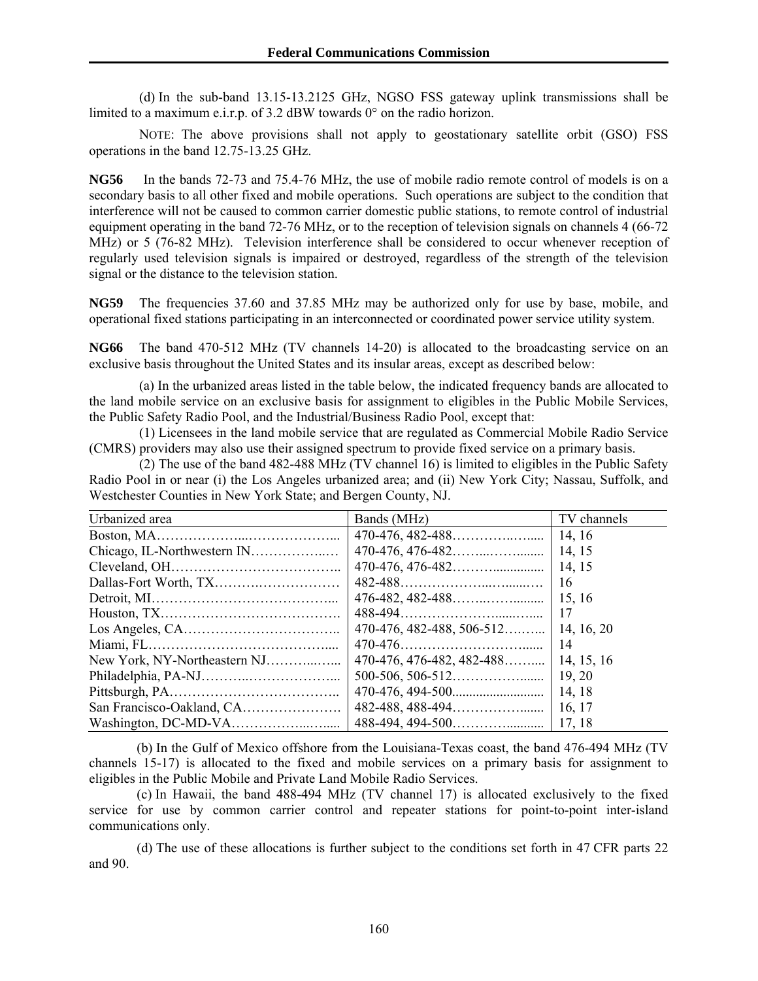(d) In the sub-band 13.15-13.2125 GHz, NGSO FSS gateway uplink transmissions shall be limited to a maximum e.i.r.p. of 3.2 dBW towards 0° on the radio horizon.

 NOTE: The above provisions shall not apply to geostationary satellite orbit (GSO) FSS operations in the band 12.75-13.25 GHz.

**NG56** In the bands 72-73 and 75.4-76 MHz, the use of mobile radio remote control of models is on a secondary basis to all other fixed and mobile operations. Such operations are subject to the condition that interference will not be caused to common carrier domestic public stations, to remote control of industrial equipment operating in the band 72-76 MHz, or to the reception of television signals on channels 4 (66-72 MHz) or 5 (76-82 MHz). Television interference shall be considered to occur whenever reception of regularly used television signals is impaired or destroyed, regardless of the strength of the television signal or the distance to the television station.

**NG59** The frequencies 37.60 and 37.85 MHz may be authorized only for use by base, mobile, and operational fixed stations participating in an interconnected or coordinated power service utility system.

**NG66** The band 470-512 MHz (TV channels 14-20) is allocated to the broadcasting service on an exclusive basis throughout the United States and its insular areas, except as described below:

 (a) In the urbanized areas listed in the table below, the indicated frequency bands are allocated to the land mobile service on an exclusive basis for assignment to eligibles in the Public Mobile Services, the Public Safety Radio Pool, and the Industrial/Business Radio Pool, except that:

 (1) Licensees in the land mobile service that are regulated as Commercial Mobile Radio Service (CMRS) providers may also use their assigned spectrum to provide fixed service on a primary basis.

 $(2)$  The use of the band 482-488 MHz (TV channel 16) is limited to eligibles in the Public Safety Radio Pool in or near (i) the Los Angeles urbanized area; and (ii) New York City; Nassau, Suffolk, and Westchester Counties in New York State; and Bergen County, NJ.

| Urbanized area                                                                  | Bands (MHz)                              | TV channels |
|---------------------------------------------------------------------------------|------------------------------------------|-------------|
|                                                                                 |                                          |             |
|                                                                                 |                                          | 14, 15      |
|                                                                                 |                                          | 14, 15      |
|                                                                                 |                                          | 16          |
|                                                                                 | $476-482, 482-488$ [15, 16               |             |
|                                                                                 |                                          | $\vert$ 17  |
| $\text{Los Angeles}, \text{CA} \dots \dots \dots \dots \dots \dots \dots \dots$ |                                          |             |
|                                                                                 |                                          |             |
|                                                                                 | $470-476, 476-482, 482-488$   14, 15, 16 |             |
|                                                                                 |                                          | 19, 20      |
|                                                                                 |                                          | 14, 18      |
|                                                                                 |                                          |             |
|                                                                                 |                                          |             |

 (b) In the Gulf of Mexico offshore from the Louisiana-Texas coast, the band 476-494 MHz (TV channels 15-17) is allocated to the fixed and mobile services on a primary basis for assignment to eligibles in the Public Mobile and Private Land Mobile Radio Services.

 (c) In Hawaii, the band 488-494 MHz (TV channel 17) is allocated exclusively to the fixed service for use by common carrier control and repeater stations for point-to-point inter-island communications only.

 (d) The use of these allocations is further subject to the conditions set forth in 47 CFR parts 22 and 90.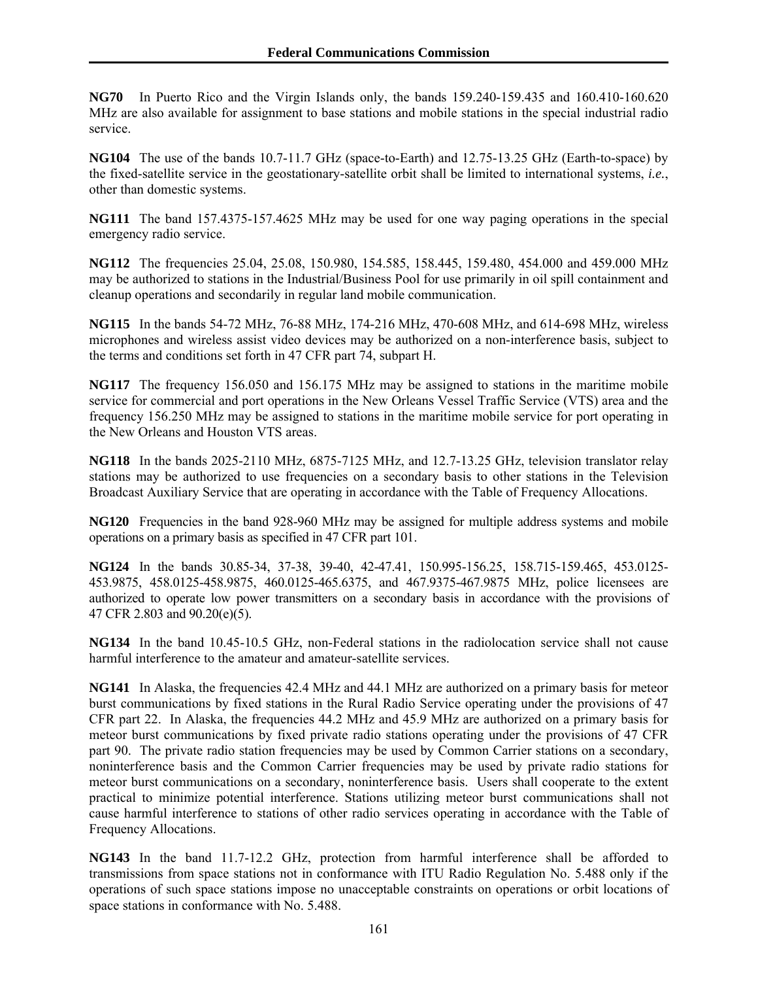**NG70** In Puerto Rico and the Virgin Islands only, the bands 159.240-159.435 and 160.410-160.620 MHz are also available for assignment to base stations and mobile stations in the special industrial radio service.

**NG104** The use of the bands 10.7-11.7 GHz (space-to-Earth) and 12.75-13.25 GHz (Earth-to-space) by the fixed-satellite service in the geostationary-satellite orbit shall be limited to international systems, *i.e.*, other than domestic systems.

**NG111** The band 157.4375-157.4625 MHz may be used for one way paging operations in the special emergency radio service.

**NG112** The frequencies 25.04, 25.08, 150.980, 154.585, 158.445, 159.480, 454.000 and 459.000 MHz may be authorized to stations in the Industrial/Business Pool for use primarily in oil spill containment and cleanup operations and secondarily in regular land mobile communication.

**NG115** In the bands 54-72 MHz, 76-88 MHz, 174-216 MHz, 470-608 MHz, and 614-698 MHz, wireless microphones and wireless assist video devices may be authorized on a non-interference basis, subject to the terms and conditions set forth in 47 CFR part 74, subpart H.

**NG117** The frequency 156.050 and 156.175 MHz may be assigned to stations in the maritime mobile service for commercial and port operations in the New Orleans Vessel Traffic Service (VTS) area and the frequency 156.250 MHz may be assigned to stations in the maritime mobile service for port operating in the New Orleans and Houston VTS areas.

**NG118** In the bands 2025-2110 MHz, 6875-7125 MHz, and 12.7-13.25 GHz, television translator relay stations may be authorized to use frequencies on a secondary basis to other stations in the Television Broadcast Auxiliary Service that are operating in accordance with the Table of Frequency Allocations.

**NG120** Frequencies in the band 928-960 MHz may be assigned for multiple address systems and mobile operations on a primary basis as specified in 47 CFR part 101.

**NG124** In the bands 30.85-34, 37-38, 39-40, 42-47.41, 150.995-156.25, 158.715-159.465, 453.0125- 453.9875, 458.0125-458.9875, 460.0125-465.6375, and 467.9375-467.9875 MHz, police licensees are authorized to operate low power transmitters on a secondary basis in accordance with the provisions of 47 CFR 2.803 and 90.20(e)(5).

**NG134** In the band 10.45-10.5 GHz, non-Federal stations in the radiolocation service shall not cause harmful interference to the amateur and amateur-satellite services.

**NG141** In Alaska, the frequencies 42.4 MHz and 44.1 MHz are authorized on a primary basis for meteor burst communications by fixed stations in the Rural Radio Service operating under the provisions of 47 CFR part 22. In Alaska, the frequencies 44.2 MHz and 45.9 MHz are authorized on a primary basis for meteor burst communications by fixed private radio stations operating under the provisions of 47 CFR part 90. The private radio station frequencies may be used by Common Carrier stations on a secondary, noninterference basis and the Common Carrier frequencies may be used by private radio stations for meteor burst communications on a secondary, noninterference basis. Users shall cooperate to the extent practical to minimize potential interference. Stations utilizing meteor burst communications shall not cause harmful interference to stations of other radio services operating in accordance with the Table of Frequency Allocations.

**NG143** In the band 11.7-12.2 GHz, protection from harmful interference shall be afforded to transmissions from space stations not in conformance with ITU Radio Regulation No. 5.488 only if the operations of such space stations impose no unacceptable constraints on operations or orbit locations of space stations in conformance with No. 5.488.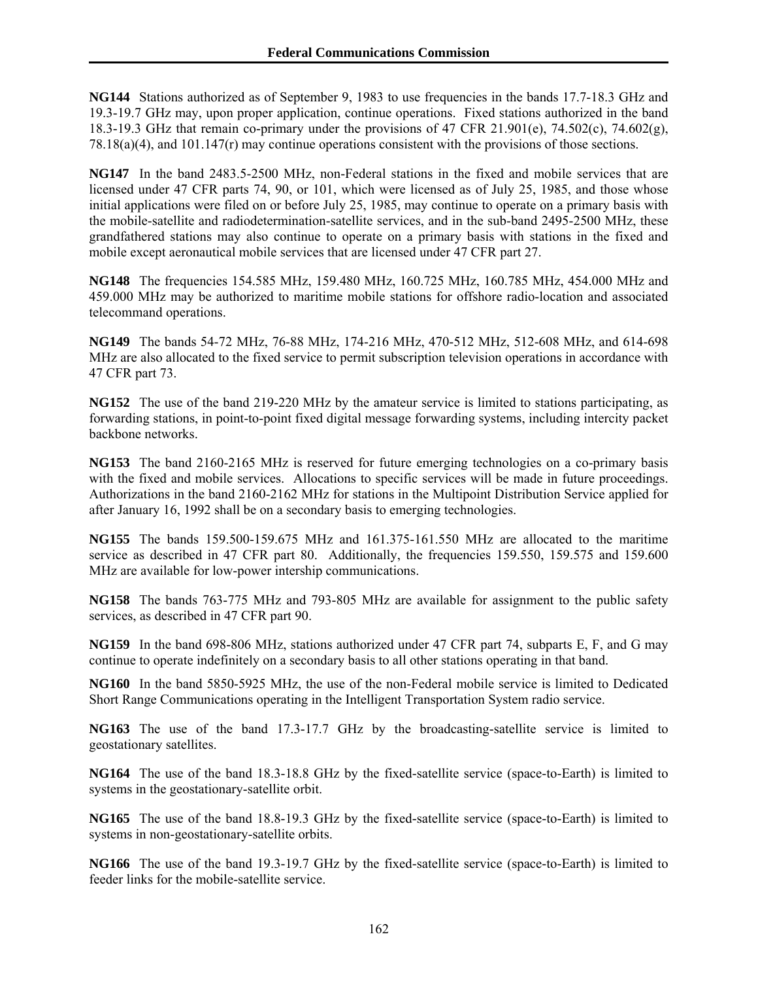**NG144** Stations authorized as of September 9, 1983 to use frequencies in the bands 17.7-18.3 GHz and 19.3-19.7 GHz may, upon proper application, continue operations. Fixed stations authorized in the band 18.3-19.3 GHz that remain co-primary under the provisions of 47 CFR 21.901(e), 74.502(c), 74.602(g), 78.18(a)(4), and 101.147(r) may continue operations consistent with the provisions of those sections.

**NG147** In the band 2483.5-2500 MHz, non-Federal stations in the fixed and mobile services that are licensed under 47 CFR parts 74, 90, or 101, which were licensed as of July 25, 1985, and those whose initial applications were filed on or before July 25, 1985, may continue to operate on a primary basis with the mobile-satellite and radiodetermination-satellite services, and in the sub-band 2495-2500 MHz, these grandfathered stations may also continue to operate on a primary basis with stations in the fixed and mobile except aeronautical mobile services that are licensed under 47 CFR part 27.

**NG148** The frequencies 154.585 MHz, 159.480 MHz, 160.725 MHz, 160.785 MHz, 454.000 MHz and 459.000 MHz may be authorized to maritime mobile stations for offshore radio-location and associated telecommand operations.

**NG149** The bands 54-72 MHz, 76-88 MHz, 174-216 MHz, 470-512 MHz, 512-608 MHz, and 614-698 MHz are also allocated to the fixed service to permit subscription television operations in accordance with 47 CFR part 73.

**NG152** The use of the band 219-220 MHz by the amateur service is limited to stations participating, as forwarding stations, in point-to-point fixed digital message forwarding systems, including intercity packet backbone networks.

**NG153** The band 2160-2165 MHz is reserved for future emerging technologies on a co-primary basis with the fixed and mobile services. Allocations to specific services will be made in future proceedings. Authorizations in the band 2160-2162 MHz for stations in the Multipoint Distribution Service applied for after January 16, 1992 shall be on a secondary basis to emerging technologies.

**NG155** The bands 159.500-159.675 MHz and 161.375-161.550 MHz are allocated to the maritime service as described in 47 CFR part 80. Additionally, the frequencies 159.550, 159.575 and 159.600 MHz are available for low-power intership communications.

**NG158** The bands 763-775 MHz and 793-805 MHz are available for assignment to the public safety services, as described in 47 CFR part 90.

**NG159** In the band 698-806 MHz, stations authorized under 47 CFR part 74, subparts E, F, and G may continue to operate indefinitely on a secondary basis to all other stations operating in that band.

**NG160** In the band 5850-5925 MHz, the use of the non-Federal mobile service is limited to Dedicated Short Range Communications operating in the Intelligent Transportation System radio service.

**NG163** The use of the band 17.3-17.7 GHz by the broadcasting-satellite service is limited to geostationary satellites.

**NG164** The use of the band 18.3-18.8 GHz by the fixed-satellite service (space-to-Earth) is limited to systems in the geostationary-satellite orbit.

**NG165** The use of the band 18.8-19.3 GHz by the fixed-satellite service (space-to-Earth) is limited to systems in non-geostationary-satellite orbits.

**NG166** The use of the band 19.3-19.7 GHz by the fixed-satellite service (space-to-Earth) is limited to feeder links for the mobile-satellite service.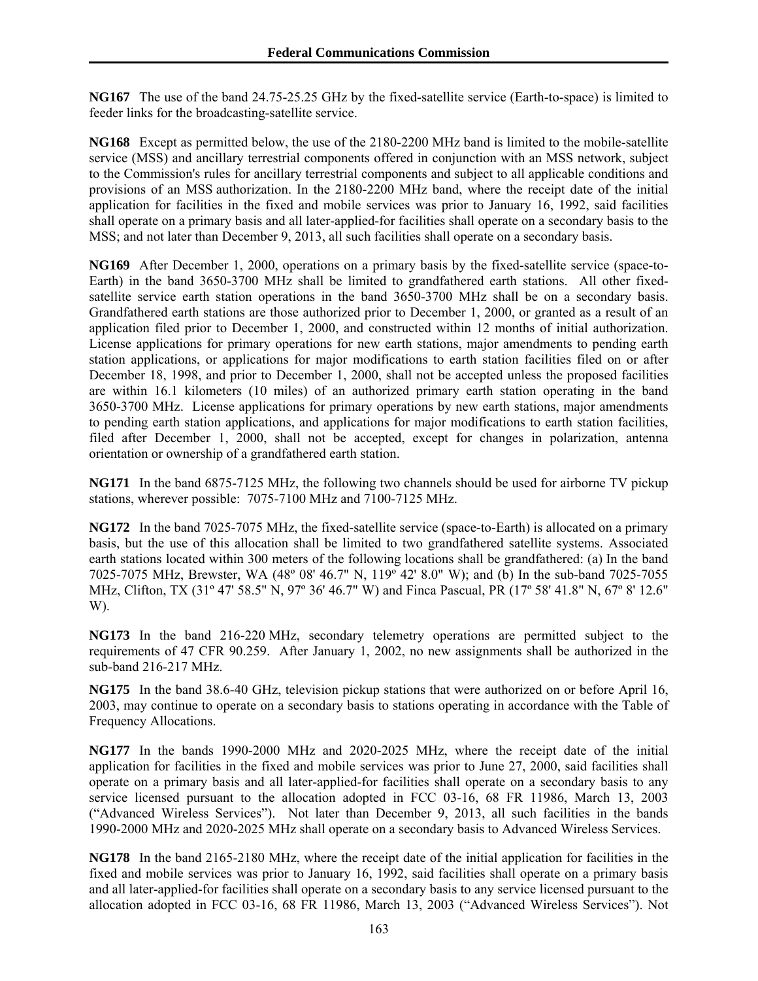**NG167** The use of the band 24.75-25.25 GHz by the fixed-satellite service (Earth-to-space) is limited to feeder links for the broadcasting-satellite service.

**NG168** Except as permitted below, the use of the 2180-2200 MHz band is limited to the mobile-satellite service (MSS) and ancillary terrestrial components offered in conjunction with an MSS network, subject to the Commission's rules for ancillary terrestrial components and subject to all applicable conditions and provisions of an MSS authorization. In the 2180-2200 MHz band, where the receipt date of the initial application for facilities in the fixed and mobile services was prior to January 16, 1992, said facilities shall operate on a primary basis and all later-applied-for facilities shall operate on a secondary basis to the MSS; and not later than December 9, 2013, all such facilities shall operate on a secondary basis.

**NG169** After December 1, 2000, operations on a primary basis by the fixed-satellite service (space-to-Earth) in the band 3650-3700 MHz shall be limited to grandfathered earth stations. All other fixedsatellite service earth station operations in the band 3650-3700 MHz shall be on a secondary basis. Grandfathered earth stations are those authorized prior to December 1, 2000, or granted as a result of an application filed prior to December 1, 2000, and constructed within 12 months of initial authorization. License applications for primary operations for new earth stations, major amendments to pending earth station applications, or applications for major modifications to earth station facilities filed on or after December 18, 1998, and prior to December 1, 2000, shall not be accepted unless the proposed facilities are within 16.1 kilometers (10 miles) of an authorized primary earth station operating in the band 3650-3700 MHz. License applications for primary operations by new earth stations, major amendments to pending earth station applications, and applications for major modifications to earth station facilities, filed after December 1, 2000, shall not be accepted, except for changes in polarization, antenna orientation or ownership of a grandfathered earth station.

**NG171** In the band 6875-7125 MHz, the following two channels should be used for airborne TV pickup stations, wherever possible: 7075-7100 MHz and 7100-7125 MHz.

**NG172** In the band 7025-7075 MHz, the fixed-satellite service (space-to-Earth) is allocated on a primary basis, but the use of this allocation shall be limited to two grandfathered satellite systems. Associated earth stations located within 300 meters of the following locations shall be grandfathered: (a) In the band 7025-7075 MHz, Brewster, WA (48º 08' 46.7" N, 119º 42' 8.0" W); and (b) In the sub-band 7025-7055 MHz, Clifton, TX (31º 47' 58.5" N, 97º 36' 46.7" W) and Finca Pascual, PR (17º 58' 41.8" N, 67º 8' 12.6" W).

**NG173** In the band 216-220 MHz, secondary telemetry operations are permitted subject to the requirements of 47 CFR 90.259. After January 1, 2002, no new assignments shall be authorized in the sub-band 216-217 MHz.

**NG175** In the band 38.6-40 GHz, television pickup stations that were authorized on or before April 16, 2003, may continue to operate on a secondary basis to stations operating in accordance with the Table of Frequency Allocations.

**NG177** In the bands 1990-2000 MHz and 2020-2025 MHz, where the receipt date of the initial application for facilities in the fixed and mobile services was prior to June 27, 2000, said facilities shall operate on a primary basis and all later-applied-for facilities shall operate on a secondary basis to any service licensed pursuant to the allocation adopted in FCC 03-16, 68 FR 11986, March 13, 2003 ("Advanced Wireless Services"). Not later than December 9, 2013, all such facilities in the bands 1990-2000 MHz and 2020-2025 MHz shall operate on a secondary basis to Advanced Wireless Services.

**NG178** In the band 2165-2180 MHz, where the receipt date of the initial application for facilities in the fixed and mobile services was prior to January 16, 1992, said facilities shall operate on a primary basis and all later-applied-for facilities shall operate on a secondary basis to any service licensed pursuant to the allocation adopted in FCC 03-16, 68 FR 11986, March 13, 2003 ("Advanced Wireless Services"). Not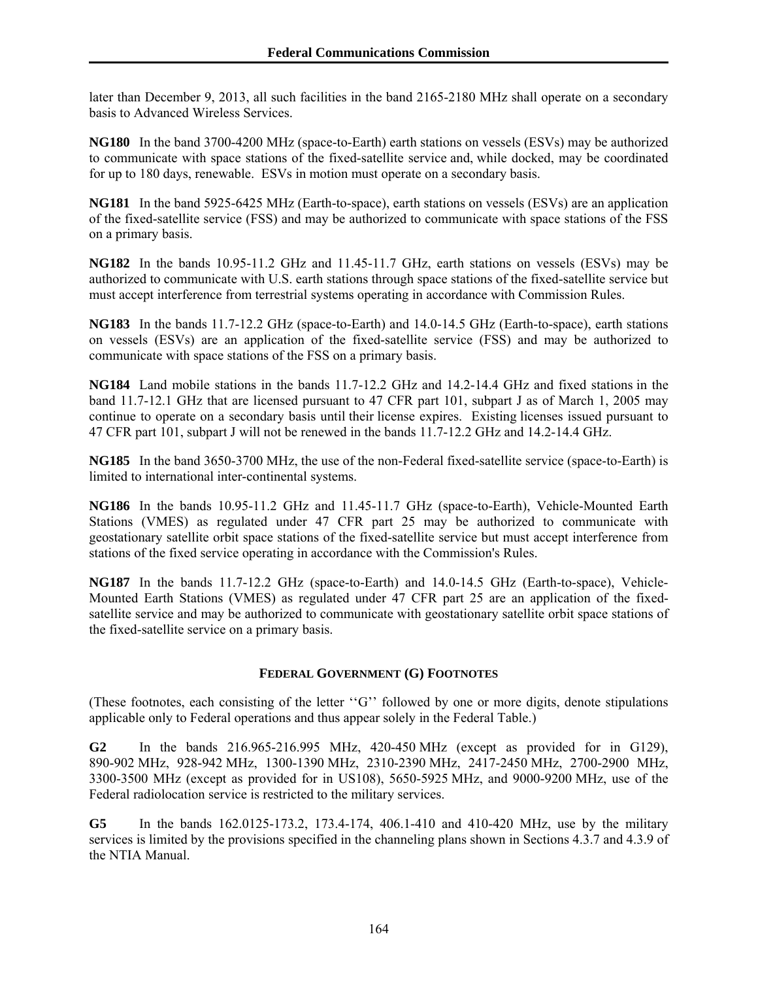later than December 9, 2013, all such facilities in the band 2165-2180 MHz shall operate on a secondary basis to Advanced Wireless Services.

**NG180** In the band 3700-4200 MHz (space-to-Earth) earth stations on vessels (ESVs) may be authorized to communicate with space stations of the fixed-satellite service and, while docked, may be coordinated for up to 180 days, renewable. ESVs in motion must operate on a secondary basis.

**NG181** In the band 5925-6425 MHz (Earth-to-space), earth stations on vessels (ESVs) are an application of the fixed-satellite service (FSS) and may be authorized to communicate with space stations of the FSS on a primary basis.

**NG182** In the bands 10.95-11.2 GHz and 11.45-11.7 GHz, earth stations on vessels (ESVs) may be authorized to communicate with U.S. earth stations through space stations of the fixed-satellite service but must accept interference from terrestrial systems operating in accordance with Commission Rules.

**NG183** In the bands 11.7-12.2 GHz (space-to-Earth) and 14.0-14.5 GHz (Earth-to-space), earth stations on vessels (ESVs) are an application of the fixed-satellite service (FSS) and may be authorized to communicate with space stations of the FSS on a primary basis.

**NG184** Land mobile stations in the bands 11.7-12.2 GHz and 14.2-14.4 GHz and fixed stations in the band 11.7-12.1 GHz that are licensed pursuant to 47 CFR part 101, subpart J as of March 1, 2005 may continue to operate on a secondary basis until their license expires. Existing licenses issued pursuant to 47 CFR part 101, subpart J will not be renewed in the bands 11.7-12.2 GHz and 14.2-14.4 GHz.

**NG185** In the band 3650-3700 MHz, the use of the non-Federal fixed-satellite service (space-to-Earth) is limited to international inter-continental systems.

**NG186** In the bands 10.95-11.2 GHz and 11.45-11.7 GHz (space-to-Earth), Vehicle-Mounted Earth Stations (VMES) as regulated under 47 CFR part 25 may be authorized to communicate with geostationary satellite orbit space stations of the fixed-satellite service but must accept interference from stations of the fixed service operating in accordance with the Commission's Rules.

**NG187** In the bands 11.7-12.2 GHz (space-to-Earth) and 14.0-14.5 GHz (Earth-to-space), Vehicle-Mounted Earth Stations (VMES) as regulated under 47 CFR part 25 are an application of the fixedsatellite service and may be authorized to communicate with geostationary satellite orbit space stations of the fixed-satellite service on a primary basis.

## **FEDERAL GOVERNMENT (G) FOOTNOTES**

(These footnotes, each consisting of the letter ''G'' followed by one or more digits, denote stipulations applicable only to Federal operations and thus appear solely in the Federal Table.)

**G2** In the bands 216.965-216.995 MHz, 420-450 MHz (except as provided for in G129), 890-902 MHz, 928-942 MHz, 1300-1390 MHz, 2310-2390 MHz, 2417-2450 MHz, 2700-2900 MHz, 3300-3500 MHz (except as provided for in US108), 5650-5925 MHz, and 9000-9200 MHz, use of the Federal radiolocation service is restricted to the military services.

**G5** In the bands 162.0125-173.2, 173.4-174, 406.1-410 and 410-420 MHz, use by the military services is limited by the provisions specified in the channeling plans shown in Sections 4.3.7 and 4.3.9 of the NTIA Manual.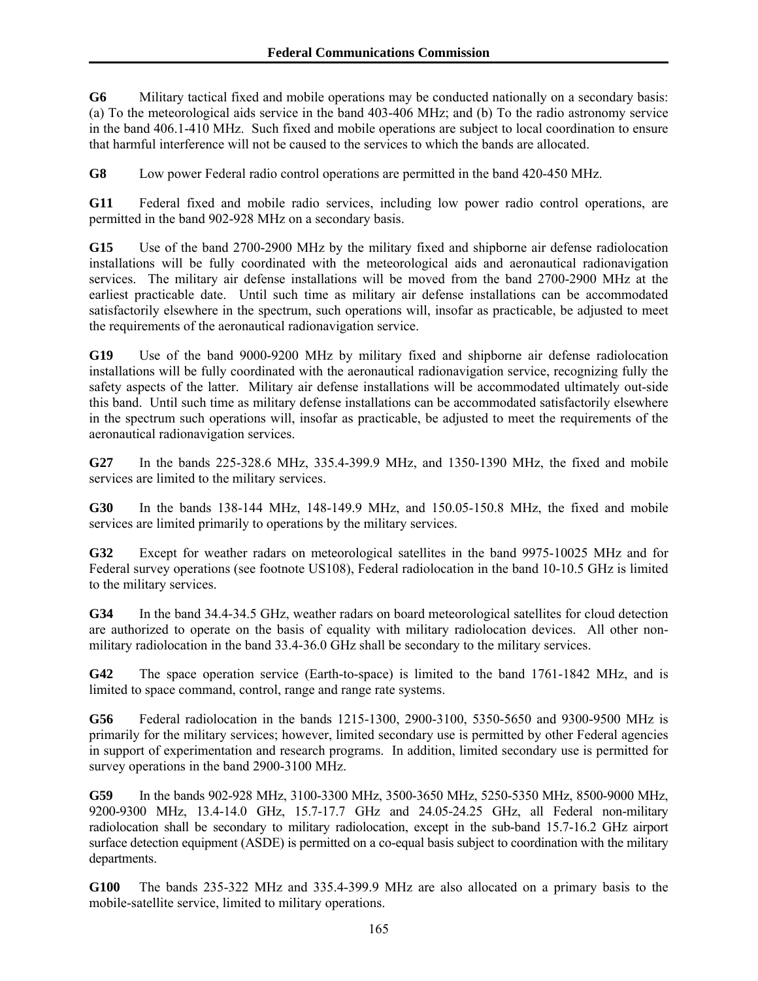**G6** Military tactical fixed and mobile operations may be conducted nationally on a secondary basis: (a) To the meteorological aids service in the band 403-406 MHz; and (b) To the radio astronomy service in the band 406.1-410 MHz. Such fixed and mobile operations are subject to local coordination to ensure that harmful interference will not be caused to the services to which the bands are allocated.

**G8** Low power Federal radio control operations are permitted in the band 420-450 MHz.

**G11** Federal fixed and mobile radio services, including low power radio control operations, are permitted in the band 902-928 MHz on a secondary basis.

**G15** Use of the band 2700-2900 MHz by the military fixed and shipborne air defense radiolocation installations will be fully coordinated with the meteorological aids and aeronautical radionavigation services. The military air defense installations will be moved from the band 2700-2900 MHz at the earliest practicable date. Until such time as military air defense installations can be accommodated satisfactorily elsewhere in the spectrum, such operations will, insofar as practicable, be adjusted to meet the requirements of the aeronautical radionavigation service.

**G19** Use of the band 9000-9200 MHz by military fixed and shipborne air defense radiolocation installations will be fully coordinated with the aeronautical radionavigation service, recognizing fully the safety aspects of the latter. Military air defense installations will be accommodated ultimately out-side this band. Until such time as military defense installations can be accommodated satisfactorily elsewhere in the spectrum such operations will, insofar as practicable, be adjusted to meet the requirements of the aeronautical radionavigation services.

**G27** In the bands 225-328.6 MHz, 335.4-399.9 MHz, and 1350-1390 MHz, the fixed and mobile services are limited to the military services.

**G30** In the bands 138-144 MHz, 148-149.9 MHz, and 150.05-150.8 MHz, the fixed and mobile services are limited primarily to operations by the military services.

**G32** Except for weather radars on meteorological satellites in the band 9975-10025 MHz and for Federal survey operations (see footnote US108), Federal radiolocation in the band 10-10.5 GHz is limited to the military services.

**G34** In the band 34.4-34.5 GHz, weather radars on board meteorological satellites for cloud detection are authorized to operate on the basis of equality with military radiolocation devices. All other nonmilitary radiolocation in the band 33.4-36.0 GHz shall be secondary to the military services.

**G42** The space operation service (Earth-to-space) is limited to the band 1761-1842 MHz, and is limited to space command, control, range and range rate systems.

**G56** Federal radiolocation in the bands 1215-1300, 2900-3100, 5350-5650 and 9300-9500 MHz is primarily for the military services; however, limited secondary use is permitted by other Federal agencies in support of experimentation and research programs. In addition, limited secondary use is permitted for survey operations in the band 2900-3100 MHz.

**G59** In the bands 902-928 MHz, 3100-3300 MHz, 3500-3650 MHz, 5250-5350 MHz, 8500-9000 MHz, 9200-9300 MHz, 13.4-14.0 GHz, 15.7-17.7 GHz and 24.05-24.25 GHz, all Federal non-military radiolocation shall be secondary to military radiolocation, except in the sub-band 15.7-16.2 GHz airport surface detection equipment (ASDE) is permitted on a co-equal basis subject to coordination with the military departments.

**G100** The bands 235-322 MHz and 335.4-399.9 MHz are also allocated on a primary basis to the mobile-satellite service, limited to military operations.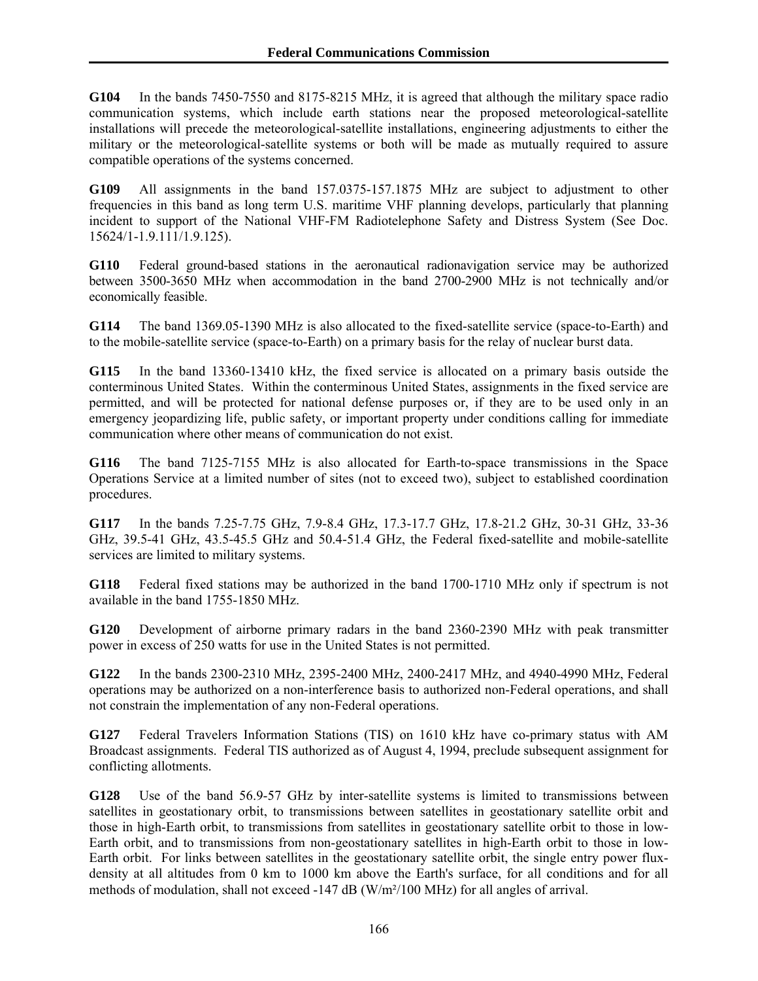**G104** In the bands 7450-7550 and 8175-8215 MHz, it is agreed that although the military space radio communication systems, which include earth stations near the proposed meteorological-satellite installations will precede the meteorological-satellite installations, engineering adjustments to either the military or the meteorological-satellite systems or both will be made as mutually required to assure compatible operations of the systems concerned.

**G109** All assignments in the band 157.0375-157.1875 MHz are subject to adjustment to other frequencies in this band as long term U.S. maritime VHF planning develops, particularly that planning incident to support of the National VHF-FM Radiotelephone Safety and Distress System (See Doc. 15624/1-1.9.111/1.9.125).

**G110** Federal ground-based stations in the aeronautical radionavigation service may be authorized between 3500-3650 MHz when accommodation in the band 2700-2900 MHz is not technically and/or economically feasible.

**G114** The band 1369.05-1390 MHz is also allocated to the fixed-satellite service (space-to-Earth) and to the mobile-satellite service (space-to-Earth) on a primary basis for the relay of nuclear burst data.

**G115** In the band 13360-13410 kHz, the fixed service is allocated on a primary basis outside the conterminous United States. Within the conterminous United States, assignments in the fixed service are permitted, and will be protected for national defense purposes or, if they are to be used only in an emergency jeopardizing life, public safety, or important property under conditions calling for immediate communication where other means of communication do not exist.

**G116** The band 7125-7155 MHz is also allocated for Earth-to-space transmissions in the Space Operations Service at a limited number of sites (not to exceed two), subject to established coordination procedures.

**G117** In the bands 7.25-7.75 GHz, 7.9-8.4 GHz, 17.3-17.7 GHz, 17.8-21.2 GHz, 30-31 GHz, 33-36 GHz, 39.5-41 GHz, 43.5-45.5 GHz and 50.4-51.4 GHz, the Federal fixed-satellite and mobile-satellite services are limited to military systems.

**G118** Federal fixed stations may be authorized in the band 1700-1710 MHz only if spectrum is not available in the band 1755-1850 MHz.

**G120** Development of airborne primary radars in the band 2360-2390 MHz with peak transmitter power in excess of 250 watts for use in the United States is not permitted.

**G122** In the bands 2300-2310 MHz, 2395-2400 MHz, 2400-2417 MHz, and 4940-4990 MHz, Federal operations may be authorized on a non-interference basis to authorized non-Federal operations, and shall not constrain the implementation of any non-Federal operations.

**G127** Federal Travelers Information Stations (TIS) on 1610 kHz have co-primary status with AM Broadcast assignments. Federal TIS authorized as of August 4, 1994, preclude subsequent assignment for conflicting allotments.

**G128** Use of the band 56.9-57 GHz by inter-satellite systems is limited to transmissions between satellites in geostationary orbit, to transmissions between satellites in geostationary satellite orbit and those in high-Earth orbit, to transmissions from satellites in geostationary satellite orbit to those in low-Earth orbit, and to transmissions from non-geostationary satellites in high-Earth orbit to those in low-Earth orbit. For links between satellites in the geostationary satellite orbit, the single entry power fluxdensity at all altitudes from 0 km to 1000 km above the Earth's surface, for all conditions and for all methods of modulation, shall not exceed -147 dB (W/m²/100 MHz) for all angles of arrival.